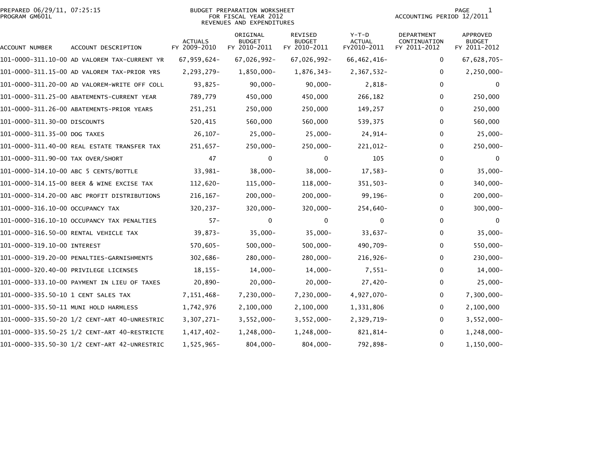|                | PREPARED 06/29/11, 07:25:15 |  |
|----------------|-----------------------------|--|
| PROGRAM GM601L |                             |  |

# PREPARED 06/29/11, 07:25:15 BUDGET PREPARATION WORKSHEET PAGE 1PROGRAM GM601L FOR FISCAL YEAR 2012 ACCOUNTING PERIOD 12/2011 REVENUES AND EXPENDITURES

| ACCOUNT NUMBER                      | ACCOUNT DESCRIPTION                          | <b>ACTUALS</b><br>FY 2009-2010 | ORIGINAL<br><b>BUDGET</b><br>FY 2010-2011 | REVISED<br><b>BUDGET</b><br>FY 2010-2011 | $Y-T-D$<br><b>ACTUAL</b><br>FY2010-2011 | DEPARTMENT<br>CONTINUATION<br>FY 2011-2012 | APPROVED<br><b>BUDGET</b><br>FY 2011-2012 |
|-------------------------------------|----------------------------------------------|--------------------------------|-------------------------------------------|------------------------------------------|-----------------------------------------|--------------------------------------------|-------------------------------------------|
|                                     | 101-0000-311.10-00 AD VALOREM TAX-CURRENT YR | 67,959,624-                    | 67,026,992-                               | 67,026,992-                              | 66,462,416-                             | 0                                          | 67,628,705-                               |
|                                     | 101-0000-311.15-00 AD VALOREM TAX-PRIOR YRS  | 2,293,279-                     | 1,850,000-                                | 1,876,343-                               | 2,367,532-                              | $\mathbf{0}$                               | $2, 250, 000 -$                           |
|                                     | 101-0000-311.20-00 AD VALOREM-WRITE OFF COLL | $93,825-$                      | $90,000 -$                                | $90,000 -$                               | 2,818-                                  | $\mathbf{0}$                               | $\bf{0}$                                  |
|                                     | 101-0000-311.25-00 ABATEMENTS-CURRENT YEAR   | 789,779                        | 450,000                                   | 450,000                                  | 266,182                                 | 0                                          | 250,000                                   |
|                                     | 101-0000-311.26-00 ABATEMENTS-PRIOR YEARS    | 251,251                        | 250,000                                   | 250,000                                  | 149,257                                 | 0                                          | 250,000                                   |
| 101-0000-311.30-00 DISCOUNTS        |                                              | 520,415                        | 560,000                                   | 560,000                                  | 539,375                                 | 0                                          | 560,000                                   |
| 101-0000-311.35-00 DOG TAXES        |                                              | $26, 107 -$                    | $25,000 -$                                | $25,000-$                                | 24,914-                                 | $\Omega$                                   | $25,000 -$                                |
|                                     | 101-0000-311.40-00 REAL ESTATE TRANSFER TAX  | 251,657-                       | $250,000 -$                               | $250,000 -$                              | 221,012-                                | 0                                          | $250,000 -$                               |
| 101-0000-311.90-00 TAX OVER/SHORT   |                                              | 47                             | 0                                         | 0                                        | 105                                     | 0                                          | 0                                         |
|                                     | 101-0000-314.10-00 ABC 5 CENTS/BOTTLE        | 33,981-                        | $38,000 -$                                | $38,000 -$                               | 17,583-                                 | $\Omega$                                   | $35,000 -$                                |
|                                     | 101-0000-314.15-00 BEER & WINE EXCISE TAX    | 112,620-                       | $115,000 -$                               | 118,000-                                 | 351,503-                                | 0                                          | 340,000-                                  |
|                                     | 101-0000-314.20-00 ABC PROFIT DISTRIBUTIONS  | $216, 167 -$                   | $200,000 -$                               | $200,000 -$                              | 99,196-                                 | 0                                          | $200,000 -$                               |
| 101-0000-316.10-00 OCCUPANCY TAX    |                                              | $320, 237 -$                   | $320,000 -$                               | $320,000 -$                              | 254,640-                                | 0                                          | $300,000 -$                               |
|                                     | 101-0000-316.10-10 OCCUPANCY TAX PENALTIES   | $57 -$                         | $\Omega$                                  | 0                                        | $\Omega$                                | $\mathbf{0}$                               | $\bf{0}$                                  |
|                                     | 101-0000-316.50-00 RENTAL VEHICLE TAX        | $39.873-$                      | $35,000 -$                                | $35,000 -$                               | $33.637 -$                              | 0                                          | $35,000 -$                                |
| 101-0000-319.10-00 INTEREST         |                                              | $570,605 -$                    | $500,000 -$                               | $500,000 -$                              | 490,709-                                | $\mathbf{0}$                               | 550,000-                                  |
|                                     | 101-0000-319.20-00 PENALTIES-GARNISHMENTS    | 302,686-                       | 280,000-                                  | 280,000-                                 | 216,926-                                | 0                                          | 230,000-                                  |
|                                     | 101-0000-320.40-00 PRIVILEGE LICENSES        | $18, 155 -$                    | 14,000-                                   | 14,000-                                  | $7,551-$                                | 0                                          | $14,000-$                                 |
|                                     | 101-0000-333.10-00 PAYMENT IN LIEU OF TAXES  | 20,890-                        | $20,000 -$                                | $20,000 -$                               | $27,420-$                               | 0                                          | $25,000-$                                 |
| 101-0000-335.50-10 1 CENT SALES TAX |                                              | 7, 151, 468-                   | 7,230,000-                                | 7,230,000-                               | 4,927,070-                              | 0                                          | 7,300,000-                                |
|                                     | 101-0000-335.50-11 MUNI HOLD HARMLESS        | 1,742,976                      | 2,100,000                                 | 2,100,000                                | 1,331,806                               | 0                                          | 2,100,000                                 |
|                                     | 101-0000-335.50-20 1/2 CENT-ART 40-UNRESTRIC | $3,307,271-$                   | $3,552,000 -$                             | $3,552,000 -$                            | 2,329,719-                              | 0                                          | $3,552,000 -$                             |
|                                     | 101-0000-335.50-25 1/2 CENT-ART 40-RESTRICTE | 1,417,402-                     | $1,248,000 -$                             | 1,248,000-                               | 821,814-                                | $\mathbf{0}$                               | 1,248,000-                                |
|                                     | 101-0000-335.50-30 1/2 CENT-ART 42-UNRESTRIC | 1,525,965-                     | $804,000 -$                               | 804,000-                                 | 792,898-                                | 0                                          | $1, 150, 000 -$                           |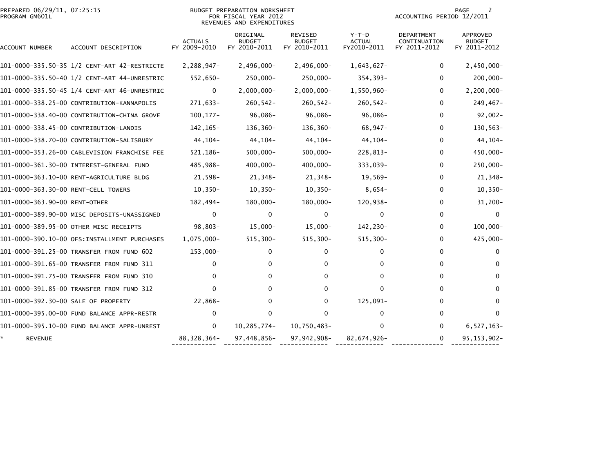| PREPARED 06/29/11, 07:25:15<br>PROGRAM GM601L |                                               |                                | <b>BUDGET PREPARATION WORKSHEET</b><br>FOR FISCAL YEAR 2012<br>REVENUES AND EXPENDITURES |                                                 |                                         | ACCOUNTING PERIOD 12/2011                         | PAGE                                      |
|-----------------------------------------------|-----------------------------------------------|--------------------------------|------------------------------------------------------------------------------------------|-------------------------------------------------|-----------------------------------------|---------------------------------------------------|-------------------------------------------|
| ACCOUNT NUMBER                                | ACCOUNT DESCRIPTION                           | <b>ACTUALS</b><br>FY 2009-2010 | ORIGINAL<br><b>BUDGET</b><br>FY 2010-2011                                                | <b>REVISED</b><br><b>BUDGET</b><br>FY 2010-2011 | $Y-T-D$<br><b>ACTUAL</b><br>FY2010-2011 | <b>DEPARTMENT</b><br>CONTINUATION<br>FY 2011-2012 | <b>APPROVED</b><br>BUDGET<br>FY 2011-2012 |
|                                               |                                               | 2,288,947-                     | $2,496,000 -$                                                                            | $2,496,000 -$                                   | $1,643,627-$                            | 0                                                 | $2,450,000 -$                             |
|                                               |                                               | 552,650-                       | 250,000-                                                                                 | $250,000 -$                                     | $354,393-$                              | 0                                                 | $200,000 -$                               |
|                                               | 101-0000-335.50-45 1/4 CENT-ART 46-UNRESTRIC  | 0                              | $2,000,000-$                                                                             | $2,000,000 -$                                   | 1,550,960-                              | 0                                                 | $2, 200, 000 -$                           |
|                                               | 101-0000-338.25-00 CONTRIBUTION-KANNAPOLIS    | 271,633-                       | $260, 542 -$                                                                             | $260, 542 -$                                    | $260, 542 -$                            | 0                                                 | 249,467-                                  |
|                                               | 101-0000-338.40-00 CONTRIBUTION-CHINA GROVE   | $100, 177 -$                   | 96,086-                                                                                  | 96,086-                                         | 96,086-                                 | 0                                                 | $92,002 -$                                |
|                                               | 101-0000-338.45-00 CONTRIBUTION-LANDIS        | 142, 165-                      | 136,360-                                                                                 | 136,360-                                        | 68,947-                                 | 0                                                 | 130,563-                                  |
|                                               | 101-0000-338.70-00 CONTRIBUTION-SALISBURY     | 44, 104-                       | 44, 104-                                                                                 | $44, 104 -$                                     | 44, 104-                                | $\mathbf{0}$                                      | $44, 104 -$                               |
|                                               | 101-0000-353.26-00 CABLEVISION FRANCHISE FEE  | 521,186-                       | $500,000 -$                                                                              | $500,000 -$                                     | 228,813-                                | 0                                                 | 450,000-                                  |
|                                               |                                               | 485,988-                       | $400,000 -$                                                                              | 400,000-                                        | 333,039-                                | 0                                                 | 250,000-                                  |
|                                               |                                               | 21,598-                        | 21,348-                                                                                  | 21,348-                                         | $19,569-$                               | 0                                                 | 21,348-                                   |
| 101-0000-363.30-00 RENT-CELL TOWERS           |                                               | $10,350-$                      | $10, 350 -$                                                                              | $10,350-$                                       | $8,654-$                                | 0                                                 | $10, 350 -$                               |
| 101-0000-363.90-00 RENT-OTHER                 |                                               | 182,494-                       | $180,000 -$                                                                              | $180,000 -$                                     | 120,938-                                | 0                                                 | $31,200 -$                                |
|                                               | 101-0000-389.90-00 MISC DEPOSITS-UNASSIGNED   | 0                              | 0                                                                                        | 0                                               | 0                                       | 0                                                 | $\mathbf{0}$                              |
|                                               | 101-0000-389.95-00 OTHER MISC RECEIPTS        | $98,803-$                      | $15,000-$                                                                                | $15,000 -$                                      | 142,230-                                | $\mathbf{0}$                                      | $100,000 -$                               |
|                                               | 101-0000-390.10-00 OFS: INSTALLMENT PURCHASES | 1,075,000-                     | $515, 300 -$                                                                             | $515,300 -$                                     | $515,300-$                              | 0                                                 | 425,000-                                  |
|                                               | 101-0000-391.25-00 TRANSFER FROM FUND 602     | $153,000 -$                    | 0                                                                                        | 0                                               | 0                                       | $\Omega$                                          | $\mathbf 0$                               |
|                                               | 101-0000-391.65-00 TRANSFER FROM FUND 311     | 0                              | 0                                                                                        | 0                                               | 0                                       | 0                                                 | 0                                         |
|                                               | 101-0000-391.75-00 TRANSFER FROM FUND 310     | 0                              | 0                                                                                        | 0                                               | 0                                       | 0                                                 | $\Omega$                                  |
|                                               | 101-0000-391.85-00 TRANSFER FROM FUND 312     | $\Omega$                       | 0                                                                                        | $\mathbf{0}$                                    | $\mathbf{0}$                            | 0                                                 | 0                                         |
| 101-0000-392.30-00 SALE OF PROPERTY           |                                               | 22,868-                        | 0                                                                                        | 0                                               | 125,091-                                | 0                                                 | 0                                         |
|                                               | 101-0000-395.00-00 FUND BALANCE APPR-RESTR    | 0                              | 0                                                                                        | 0                                               | 0                                       | 0                                                 | $\Omega$                                  |
|                                               |                                               | $\mathbf{0}$                   | 10,285,774-                                                                              | 10,750,483-                                     | 0                                       | $\mathbf{0}$                                      | $6,527,163-$                              |
| <b>REVENUE</b>                                |                                               | 88, 328, 364-                  | 97,448,856-                                                                              | 97,942,908-                                     | 82,674,926-                             | 0                                                 | 95, 153, 902-                             |

------------ ------------- ------------- ------------- -------------- -------------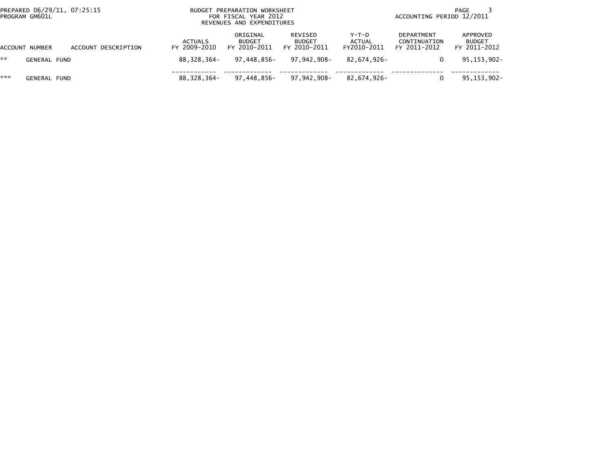| PREPARED 06/29/11, 07:25:15<br>PROGRAM GM601L |                     |                     | BUDGET PREPARATION WORKSHEET<br>FOR FISCAL YEAR 2012<br>REVENUES AND EXPENDITURES |                                           |                                          |                                  | PAGE<br>ACCOUNTING PERIOD 12/2011                 |                                           |  |
|-----------------------------------------------|---------------------|---------------------|-----------------------------------------------------------------------------------|-------------------------------------------|------------------------------------------|----------------------------------|---------------------------------------------------|-------------------------------------------|--|
|                                               | ACCOUNT NUMBER      | ACCOUNT DESCRIPTION | ACTUALS<br>FY 2009-2010                                                           | ORIGINAL<br><b>BUDGET</b><br>FY 2010-2011 | REVISED<br><b>BUDGET</b><br>FY 2010-2011 | $Y-T-D$<br>ACTUAL<br>FY2010-2011 | <b>DEPARTMENT</b><br>CONTINUATION<br>FY 2011-2012 | APPROVED<br><b>BUDGET</b><br>FY 2011-2012 |  |
| **                                            | GENERAL FUND        |                     | 88.328.364-                                                                       | 97.448.856-                               | 97.942.908-                              | 82.674.926-                      |                                                   | 95,153,902-                               |  |
| ***                                           | <b>GENERAL FUND</b> |                     | 88,328,364-                                                                       | 97.448.856-                               | 97,942,908–                              | 82,674,926-                      |                                                   | 95,153,902-                               |  |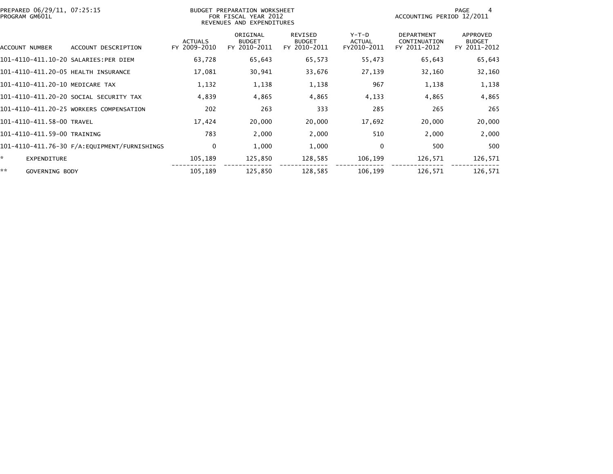| PREPARED 06/29/11, 07:25:15<br>PROGRAM GM601L |                                         |                                | BUDGET PREPARATION WORKSHEET<br>FOR FISCAL YEAR 2012<br>REVENUES AND EXPENDITURES |                                          |                                       |                                                   | PAGE<br>4<br>ACCOUNTING PERIOD 12/2011    |  |  |
|-----------------------------------------------|-----------------------------------------|--------------------------------|-----------------------------------------------------------------------------------|------------------------------------------|---------------------------------------|---------------------------------------------------|-------------------------------------------|--|--|
| ACCOUNT NUMBER                                | ACCOUNT DESCRIPTION                     | <b>ACTUALS</b><br>FY 2009-2010 | ORIGINAL<br><b>BUDGET</b><br>FY 2010-2011                                         | REVISED<br><b>BUDGET</b><br>FY 2010-2011 | Y-T-D<br><b>ACTUAL</b><br>FY2010-2011 | <b>DEPARTMENT</b><br>CONTINUATION<br>FY 2011-2012 | APPROVED<br><b>BUDGET</b><br>FY 2011-2012 |  |  |
| 101-4110-411.10-20 SALARIES:PER DIEM          |                                         | 63,728                         | 65,643                                                                            | 65,573                                   | 55,473                                | 65,643                                            | 65,643                                    |  |  |
| 101-4110-411.20-05 HEALTH INSURANCE           |                                         | 17,081                         | 30,941                                                                            | 33,676                                   | 27,139                                | 32,160                                            | 32,160                                    |  |  |
| 101-4110-411.20-10 MEDICARE TAX               |                                         | 1,132                          | 1,138                                                                             | 1,138                                    | 967                                   | 1,138                                             | 1,138                                     |  |  |
|                                               | 101–4110–411.20–20 SOCIAL SECURITY TAX  | 4,839                          | 4,865                                                                             | 4,865                                    | 4,133                                 | 4,865                                             | 4,865                                     |  |  |
|                                               | 101-4110-411.20-25 WORKERS COMPENSATION | 202                            | 263                                                                               | 333                                      | 285                                   | 265                                               | 265                                       |  |  |
| 101-4110-411.58-00 TRAVEL                     |                                         | 17,424                         | 20,000                                                                            | 20,000                                   | 17,692                                | 20,000                                            | 20,000                                    |  |  |
| 101-4110-411.59-00 TRAINING                   |                                         | 783                            | 2,000                                                                             | 2,000                                    | 510                                   | 2,000                                             | 2,000                                     |  |  |
|                                               |                                         | 0                              | 1,000                                                                             | 1,000                                    | $\mathbf 0$                           | 500                                               | 500                                       |  |  |
| ÷.<br>EXPENDITURE                             |                                         | 105,189                        | 125,850                                                                           | 128,585                                  | 106,199                               | 126,571                                           | 126,571                                   |  |  |
| **<br>GOVERNING BODY                          |                                         | 105,189                        | 125,850                                                                           | 128,585                                  | 106,199                               | 126,571                                           | 126,571                                   |  |  |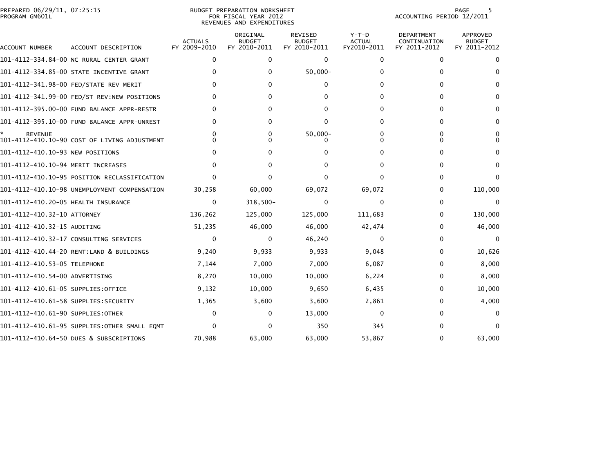|                | PREPARED 06/29/11, 07:25:15 |  |
|----------------|-----------------------------|--|
| PROGRAM GM601L |                             |  |

# PREPARED 06/29/11, 07:25:15 BUDGET PREPARATION WORKSHEET PAGE 5PROGRAM GM601L FOR FISCAL YEAR 2012 ACCOUNTING PERIOD 12/2011 REVENUES AND EXPENDITURES

#### PAGE 5<br>ACCOUNTING PERIOD 12/2011

| ACCOUNT NUMBER                       | ACCOUNT DESCRIPTION                          | <b>ACTUALS</b><br>FY 2009-2010 | ORIGINAL<br><b>BUDGET</b><br>FY 2010-2011 | <b>REVISED</b><br><b>BUDGET</b><br>FY 2010-2011 | $Y-T-D$<br><b>ACTUAL</b><br>FY2010-2011 | <b>DEPARTMENT</b><br>CONTINUATION<br>FY 2011-2012 | <b>APPROVED</b><br><b>BUDGET</b><br>FY 2011-2012 |
|--------------------------------------|----------------------------------------------|--------------------------------|-------------------------------------------|-------------------------------------------------|-----------------------------------------|---------------------------------------------------|--------------------------------------------------|
|                                      | 101-4112-334.84-00 NC RURAL CENTER GRANT     | $\Omega$                       | 0                                         | $\Omega$                                        | $\mathbf{0}$                            | $\mathbf{0}$                                      | 0                                                |
|                                      | 101-4112-334.85-00 STATE INCENTIVE GRANT     | $\Omega$                       | 0                                         | $50,000 -$                                      | 0                                       | 0                                                 | 0                                                |
|                                      | 101-4112-341.98-00 FED/STATE REV MERIT       | 0                              | 0                                         | 0                                               | $^{\circ}$                              | 0                                                 | 0                                                |
|                                      | 101-4112-341.99-00 FED/ST REV:NEW POSITIONS  |                                | O                                         | O                                               |                                         | 0                                                 | 0                                                |
|                                      | 101-4112-395.00-00 FUND BALANCE APPR-RESTR   | O                              | 0                                         | 0                                               | 0                                       | 0                                                 | 0                                                |
|                                      | 101-4112-395.10-00 FUND BALANCE APPR-UNREST  |                                | 0                                         | 0                                               | 0                                       | 0                                                 | 0                                                |
| <b>REVENUE</b>                       | 101-4112-410.10-90 COST OF LIVING ADJUSTMENT | O                              | 0                                         | $50,000 -$                                      |                                         | 0<br>0                                            | 0                                                |
| 101-4112-410.10-93 NEW POSITIONS     |                                              |                                |                                           |                                                 | 0                                       | 0                                                 | O                                                |
| 101-4112-410.10-94 MERIT INCREASES   |                                              |                                |                                           |                                                 |                                         | 0                                                 | 0                                                |
|                                      | 101–4112–410.10–95 POSITION RECLASSIFICATION |                                |                                           |                                                 | o                                       | 0                                                 | 0                                                |
|                                      | 101-4112-410.10-98 UNEMPLOYMENT COMPENSATION | 30,258                         | 60,000                                    | 69,072                                          | 69,072                                  | 0                                                 | 110,000                                          |
| 101-4112-410.20-05 HEALTH INSURANCE  |                                              | $\mathbf{0}$                   | $318,500 -$                               | 0                                               | 0                                       | 0                                                 | $\mathbf 0$                                      |
| 101-4112-410.32-10 ATTORNEY          |                                              | 136,262                        | 125,000                                   | 125,000                                         | 111,683                                 | 0                                                 | 130,000                                          |
| 101-4112-410.32-15 AUDITING          |                                              | 51,235                         | 46,000                                    | 46,000                                          | 42,474                                  | 0                                                 | 46,000                                           |
|                                      | 101-4112-410.32-17 CONSULTING SERVICES       | $\Omega$                       | 0                                         | 46,240                                          | $\Omega$                                | 0                                                 | $\Omega$                                         |
|                                      | 101-4112-410.44-20 RENT:LAND & BUILDINGS     | 9,240                          | 9,933                                     | 9,933                                           | 9,048                                   | 0                                                 | 10,626                                           |
| 101-4112-410.53-05 TELEPHONE         |                                              | 7,144                          | 7,000                                     | 7,000                                           | 6,087                                   | 0                                                 | 8,000                                            |
| 101-4112-410.54-00 ADVERTISING       |                                              | 8,270                          | 10,000                                    | 10,000                                          | 6,224                                   | 0                                                 | 8,000                                            |
| 101-4112-410.61-05 SUPPLIES:OFFICE   |                                              | 9,132                          | 10,000                                    | 9,650                                           | 6,435                                   | 0                                                 | 10,000                                           |
| 101-4112-410.61-58 SUPPLIES:SECURITY |                                              | 1,365                          | 3,600                                     | 3,600                                           | 2,861                                   | 0                                                 | 4,000                                            |
| 101-4112-410.61-90 SUPPLIES:OTHER    |                                              | $\Omega$                       | 0                                         | 13,000                                          | $\mathbf 0$                             | 0                                                 |                                                  |
|                                      | 101-4112-410.61-95 SUPPLIES:OTHER SMALL EQMT | $\Omega$                       |                                           | 350                                             | 345                                     | 0                                                 |                                                  |
|                                      | 101-4112-410.64-50 DUES & SUBSCRIPTIONS      | 70,988                         | 63,000                                    | 63,000                                          | 53,867                                  | 0                                                 | 63,000                                           |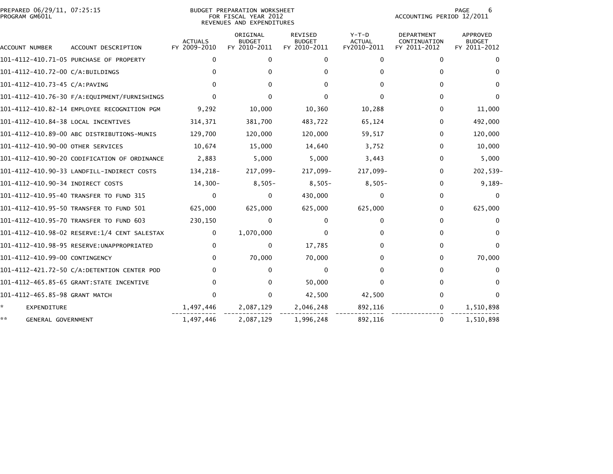|                | PREPARED 06/29/11, 07:25:15 |  |
|----------------|-----------------------------|--|
| PROGRAM GM601L |                             |  |

## PREPARED 06/29/11, 07:25:15 BUDGET PREPARATION WORKSHEET PAGE 6PROGRAM GM601L FOR FISCAL YEAR 2012 ACCOUNTING PERIOD 12/2011 REVENUES AND EXPENDITURES

| ACCOUNT NUMBER                      | ACCOUNT DESCRIPTION                          | <b>ACTUALS</b><br>FY 2009-2010 | ORIGINAL<br><b>BUDGET</b><br>FY 2010-2011 | <b>REVISED</b><br><b>BUDGET</b><br>FY 2010-2011 | $Y-T-D$<br><b>ACTUAL</b><br>FY2010-2011 | <b>DEPARTMENT</b><br>CONTINUATION<br>FY 2011-2012 | APPROVED<br><b>BUDGET</b><br>FY 2011-2012 |
|-------------------------------------|----------------------------------------------|--------------------------------|-------------------------------------------|-------------------------------------------------|-----------------------------------------|---------------------------------------------------|-------------------------------------------|
|                                     | 101-4112-410.71-05 PURCHASE OF PROPERTY      | $\Omega$                       | 0                                         | $\Omega$                                        | $\Omega$                                | $\Omega$                                          |                                           |
| 101-4112-410.72-00 C/A:BUILDINGS    |                                              |                                |                                           |                                                 |                                         | ∩                                                 |                                           |
| 101-4112-410.73-45 C/A:PAVING       |                                              |                                |                                           |                                                 |                                         |                                                   |                                           |
|                                     |                                              |                                |                                           |                                                 |                                         | 0                                                 |                                           |
|                                     | 101-4112-410.82-14 EMPLOYEE RECOGNITION PGM  | 9,292                          | 10,000                                    | 10,360                                          | 10,288                                  | 0                                                 | 11,000                                    |
| 101-4112-410.84-38 LOCAL INCENTIVES |                                              | 314,371                        | 381,700                                   | 483,722                                         | 65,124                                  | 0                                                 | 492,000                                   |
|                                     | 101-4112-410.89-00 ABC DISTRIBUTIONS-MUNIS   | 129,700                        | 120,000                                   | 120,000                                         | 59,517                                  | 0                                                 | 120,000                                   |
| 101-4112-410.90-00 OTHER SERVICES   |                                              | 10,674                         | 15,000                                    | 14,640                                          | 3,752                                   | 0                                                 | 10,000                                    |
|                                     | 101-4112-410.90-20 CODIFICATION OF ORDINANCE | 2,883                          | 5,000                                     | 5,000                                           | 3,443                                   | 0                                                 | 5,000                                     |
|                                     | 101-4112-410.90-33 LANDFILL-INDIRECT COSTS   | 134,218-                       | 217,099-                                  | 217,099-                                        | 217,099-                                | 0                                                 | 202,539-                                  |
| 101-4112-410.90-34 INDIRECT COSTS   |                                              | $14,300-$                      | $8,505-$                                  | $8,505-$                                        | $8,505-$                                | 0                                                 | $9,189-$                                  |
|                                     | 101-4112-410.95-40 TRANSFER TO FUND 315      | 0                              | 0                                         | 430,000                                         | 0                                       | 0                                                 |                                           |
|                                     | 101-4112-410.95-50 TRANSFER TO FUND 501      | 625,000                        | 625,000                                   | 625,000                                         | 625,000                                 | 0                                                 | 625,000                                   |
|                                     | 101-4112-410.95-70 TRANSFER TO FUND 603      | 230,150                        | 0                                         | <sup>0</sup>                                    | 0                                       | 0                                                 |                                           |
|                                     | 101-4112-410.98-02 RESERVE:1/4 CENT SALESTAX | 0                              | 1,070,000                                 |                                                 |                                         |                                                   |                                           |
|                                     | 101-4112-410.98-95 RESERVE:UNAPPROPRIATED    | 0                              | 0                                         | 17,785                                          |                                         | 0                                                 |                                           |
| 101-4112-410.99-00 CONTINGENCY      |                                              | $\Omega$                       | 70,000                                    | 70,000                                          |                                         | 0                                                 | 70,000                                    |
|                                     | 101-4112-421.72-50 C/A:DETENTION CENTER POD  |                                | 0                                         | O                                               |                                         | ∩                                                 |                                           |
|                                     | 101-4112-465.85-65 GRANT: STATE INCENTIVE    | 0                              | 0                                         | 50,000                                          |                                         | 0                                                 |                                           |
| 101-4112-465.85-98 GRANT MATCH      |                                              |                                | 0                                         | 42,500                                          | 42,500                                  |                                                   |                                           |
| EXPENDITURE                         |                                              | 1,497,446                      | 2,087,129                                 | 2,046,248                                       | 892,116                                 | 0                                                 | 1,510,898                                 |
| **<br>GENERAL GOVERNMENT            |                                              | 1,497,446                      | 2,087,129                                 | 1,996,248                                       | 892.116                                 | 0                                                 | 1,510,898                                 |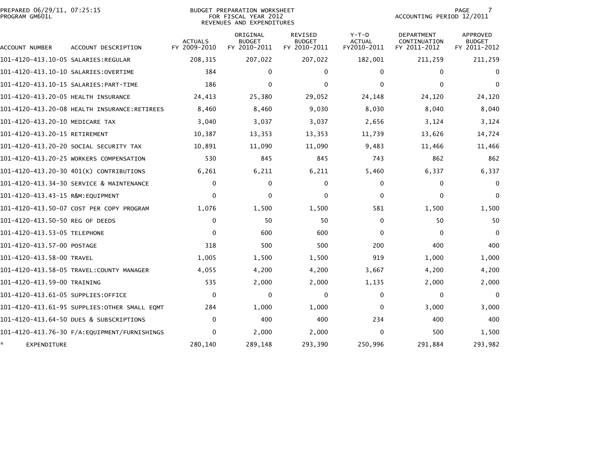| PREPARED 06/29/11, 07:25:15<br>PROGRAM GM601L |                                              | <b>BUDGET PREPARATION WORKSHEET</b><br>FOR FISCAL YEAR 2012<br>REVENUES AND EXPENDITURES |                                           |                                                 | <b>PAGE</b><br>ACCOUNTING PERIOD 12/2011 |                                            |                                           |
|-----------------------------------------------|----------------------------------------------|------------------------------------------------------------------------------------------|-------------------------------------------|-------------------------------------------------|------------------------------------------|--------------------------------------------|-------------------------------------------|
| ACCOUNT NUMBER                                | ACCOUNT DESCRIPTION                          | <b>ACTUALS</b><br>FY 2009-2010                                                           | ORIGINAL<br><b>BUDGET</b><br>FY 2010-2011 | <b>REVISED</b><br><b>BUDGET</b><br>FY 2010-2011 | $Y-T-D$<br><b>ACTUAL</b><br>FY2010-2011  | DEPARTMENT<br>CONTINUATION<br>FY 2011-2012 | APPROVED<br><b>BUDGET</b><br>FY 2011-2012 |
| 101–4120–413.10–05 SALARIES:REGULAR           |                                              | 208,315                                                                                  | 207,022                                   | 207,022                                         | 182,001                                  | 211,259                                    | 211,259                                   |
| 101-4120-413.10-10 SALARIES: OVERTIME         |                                              | 384                                                                                      | 0                                         | 0                                               | $\bf{0}$                                 | $\Omega$                                   | $\bf{0}$                                  |
|                                               |                                              | 186                                                                                      | $\Omega$                                  | $\Omega$                                        | $\Omega$                                 | $\Omega$                                   | $\Omega$                                  |
| 101-4120-413.20-05 HEALTH INSURANCE           |                                              | 24,413                                                                                   | 25,380                                    | 29,052                                          | 24,148                                   | 24,120                                     | 24,120                                    |
|                                               | 101-4120-413.20-08 HEALTH INSURANCE:RETIREES | 8,460                                                                                    | 8,460                                     | 9,030                                           | 8,030                                    | 8,040                                      | 8,040                                     |
| 101-4120-413.20-10 MEDICARE TAX               |                                              | 3,040                                                                                    | 3,037                                     | 3,037                                           | 2,656                                    | 3,124                                      | 3,124                                     |
| 101-4120-413.20-15 RETIREMENT                 |                                              | 10,387                                                                                   | 13,353                                    | 13,353                                          | 11,739                                   | 13,626                                     | 14,724                                    |
|                                               | 101–4120–413.20–20 SOCIAL SECURITY TAX       | 10,891                                                                                   | 11,090                                    | 11,090                                          | 9,483                                    | 11,466                                     | 11,466                                    |
|                                               | 101-4120-413.20-25 WORKERS COMPENSATION      | 530                                                                                      | 845                                       | 845                                             | 743                                      | 862                                        | 862                                       |
|                                               | 101-4120-413.20-30 401(K) CONTRIBUTIONS      | 6,261                                                                                    | 6,211                                     | 6,211                                           | 5,460                                    | 6,337                                      | 6,337                                     |
|                                               | 101-4120-413.34-30 SERVICE & MAINTENANCE     | $\mathbf{0}$                                                                             | 0                                         | 0                                               | $\mathbf{0}$                             | $\Omega$                                   | 0                                         |
| 101-4120-413.43-15 R&M:EQUIPMENT              |                                              | $\Omega$                                                                                 | 0                                         | $\mathbf{0}$                                    | $\Omega$                                 | 0                                          | $\Omega$                                  |
|                                               | 101-4120-413.50-07 COST PER COPY PROGRAM     | 1,076                                                                                    | 1,500                                     | 1,500                                           | 581                                      | 1,500                                      | 1,500                                     |
| 101-4120-413.50-50 REG OF DEEDS               |                                              | $\Omega$                                                                                 | 50                                        | 50                                              | $\mathbf{0}$                             | 50                                         | 50                                        |
| 101-4120-413.53-05 TELEPHONE                  |                                              | $\Omega$                                                                                 | 600                                       | 600                                             | $\mathbf{0}$                             | $\Omega$                                   | $\Omega$                                  |
| 101–4120–413.57–00 POSTAGE                    |                                              | 318                                                                                      | 500                                       | 500                                             | 200                                      | 400                                        | 400                                       |
| 101-4120-413.58-00 TRAVEL                     |                                              | 1,005                                                                                    | 1,500                                     | 1,500                                           | 919                                      | 1,000                                      | 1,000                                     |
|                                               |                                              | 4,055                                                                                    | 4,200                                     | 4,200                                           | 3,667                                    | 4,200                                      | 4,200                                     |
| 101-4120-413.59-00 TRAINING                   |                                              | 535                                                                                      | 2,000                                     | 2,000                                           | 1,135                                    | 2,000                                      | 2,000                                     |
| 101–4120–413.61–05 SUPPLIES:OFFICE            |                                              | $\mathbf{0}$                                                                             | 0                                         | 0                                               | $\bf{0}$                                 | $\Omega$                                   | $\Omega$                                  |
|                                               | 101-4120-413.61-95 SUPPLIES:OTHER SMALL EOMT | 284                                                                                      | 1,000                                     | 1,000                                           | $\bf{0}$                                 | 3,000                                      | 3,000                                     |
|                                               | 101-4120-413.64-50 DUES & SUBSCRIPTIONS      | $\mathbf{0}$                                                                             | 400                                       | 400                                             | 234                                      | 400                                        | 400                                       |
|                                               |                                              | 0                                                                                        | 2,000                                     | 2,000                                           | $\Omega$                                 | 500                                        | 1,500                                     |
| EXPENDITURE                                   |                                              | 280,140                                                                                  | 289,148                                   | 293,390                                         | 250,996                                  | 291,884                                    | 293,982                                   |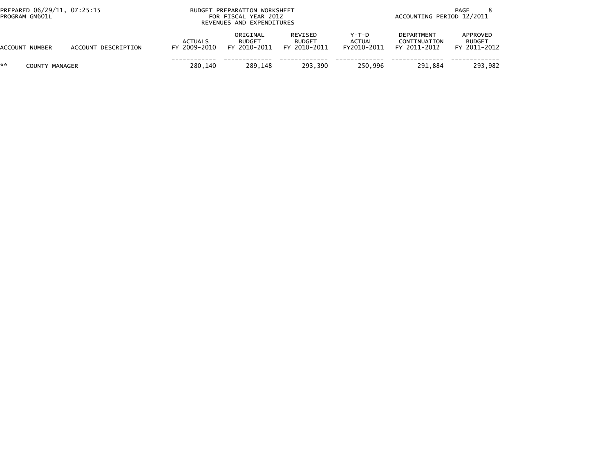|    | PREPARED 06/29/11, 07:25:15<br>PROGRAM GM601L |                     | BUDGET PREPARATION WORKSHEET<br>FOR FISCAL YEAR 2012<br>REVENUES AND EXPENDITURES | PAGE<br>ACCOUNTING PERIOD 12/2011         |                                          |                                  |                                            |                                           |
|----|-----------------------------------------------|---------------------|-----------------------------------------------------------------------------------|-------------------------------------------|------------------------------------------|----------------------------------|--------------------------------------------|-------------------------------------------|
|    | <b>ACCOUNT NUMBER</b>                         | ACCOUNT DESCRIPTION | <b>ACTUALS</b><br>FY 2009-2010                                                    | ORIGINAL<br><b>BUDGET</b><br>FY 2010-2011 | REVISED<br><b>BUDGET</b><br>FY 2010-2011 | $Y-T-D$<br>ACTUAL<br>FY2010-2011 | DEPARTMENT<br>CONTINUATION<br>FY 2011-2012 | APPROVED<br><b>BUDGET</b><br>FY 2011-2012 |
| ** | COUNTY MANAGER                                |                     | 280.140                                                                           | 289.148                                   | 293.390                                  | 250.996                          | 291.884                                    | 293.982                                   |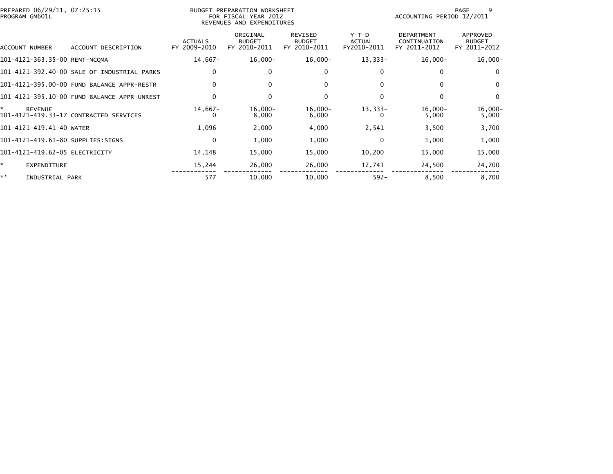| PREPARED 06/29/11, 07:25:15<br>PROGRAM GM601L |                                             |                                | BUDGET PREPARATION WORKSHEET<br>FOR FISCAL YEAR 2012<br>REVENUES AND EXPENDITURES |                                          |                                  | ACCOUNTING PERIOD 12/2011                         | -9<br>PAGE                                |
|-----------------------------------------------|---------------------------------------------|--------------------------------|-----------------------------------------------------------------------------------|------------------------------------------|----------------------------------|---------------------------------------------------|-------------------------------------------|
| ACCOUNT NUMBER                                | ACCOUNT DESCRIPTION                         | <b>ACTUALS</b><br>FY 2009-2010 | ORIGINAL<br><b>BUDGET</b><br>FY 2010-2011                                         | REVISED<br><b>BUDGET</b><br>FY 2010-2011 | $Y-T-D$<br>ACTUAL<br>FY2010-2011 | <b>DEPARTMENT</b><br>CONTINUATION<br>FY 2011-2012 | APPROVED<br><b>BUDGET</b><br>FY 2011-2012 |
| 101-4121-363.35-00 RENT-NCQMA                 |                                             | 14,667-                        | $16,000-$                                                                         | $16,000 -$                               | $13,333-$                        | $16,000-$                                         | $16,000-$                                 |
|                                               | 101-4121-392.40-00 SALE OF INDUSTRIAL PARKS | 0                              | 0                                                                                 | 0                                        | 0                                | 0                                                 | $\bf{0}$                                  |
|                                               | 101-4121-395.00-00 FUND BALANCE APPR-RESTR  | $\Omega$                       | 0                                                                                 | 0                                        | $\Omega$                         | 0                                                 | $\Omega$                                  |
|                                               | 101-4121-395.10-00 FUND BALANCE APPR-UNREST | $\Omega$                       | 0                                                                                 | $\Omega$                                 | 0                                | $\mathbf{0}$                                      | $\Omega$                                  |
| ÷.<br><b>REVENUE</b>                          | 101-4121-419.33-17 CONTRACTED SERVICES      | $14,667-$<br>$^{\circ}$        | $16,000-$<br>8,000                                                                | $16,000-$<br>6,000                       | $13,333-$                        | $16,000-$<br>5,000                                | $16,000-$<br>5,000                        |
| 101-4121-419.41-40 WATER                      |                                             | 1,096                          | 2,000                                                                             | 4,000                                    | 2,541                            | 3,500                                             | 3,700                                     |
|                                               | 101-4121-419.61-80 SUPPLIES:SIGNS           | $\mathbf 0$                    | 1,000                                                                             | 1,000                                    | 0                                | 1,000                                             | 1,000                                     |
| 101-4121-419.62-05 ELECTRICITY                |                                             | 14,148                         | 15,000                                                                            | 15,000                                   | 10,200                           | 15,000                                            | 15,000                                    |
| *<br>EXPENDITURE                              |                                             | 15,244                         | 26,000                                                                            | 26,000                                   | 12,741                           | 24,500                                            | 24,700                                    |
| **<br>INDUSTRIAL PARK                         |                                             | 577                            | 10,000                                                                            | 10,000                                   | $592 -$                          | 8,500                                             | 8,700                                     |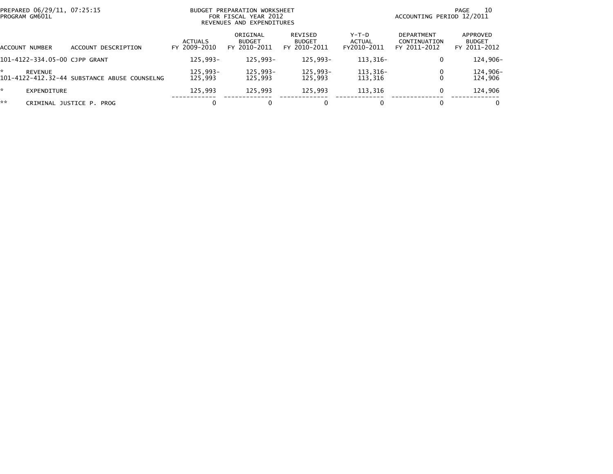| PREPARED 06/29/11, 07:25:15<br>PROGRAM GM601L |                                              |                                | BUDGET PREPARATION WORKSHEET<br>FOR FISCAL YEAR 2012<br>REVENUES AND EXPENDITURES |                                          | 10<br>PAGE<br>ACCOUNTING PERIOD 12/2011 |                                                   |                                           |  |
|-----------------------------------------------|----------------------------------------------|--------------------------------|-----------------------------------------------------------------------------------|------------------------------------------|-----------------------------------------|---------------------------------------------------|-------------------------------------------|--|
| ACCOUNT NUMBER                                | DESCRIPTION<br>ACCOUNT                       | <b>ACTUALS</b><br>FY 2009-2010 | ORIGINAL<br><b>BUDGET</b><br>FY 2010-2011                                         | REVISED<br><b>BUDGET</b><br>FY 2010-2011 | Y-T-D<br>ACTUAL<br>FY2010-2011          | <b>DEPARTMENT</b><br>CONTINUATION<br>FY 2011-2012 | APPROVED<br><b>BUDGET</b><br>FY 2011-2012 |  |
| 101-4122-334.05-00 CJPP GRANT                 |                                              | 125.993-                       | 125.993-                                                                          | 125.993-                                 | 113.316-                                | $\Omega$                                          | 124,906-                                  |  |
| REVENUE                                       | 101-4122-412.32-44 SUBSTANCE ABUSE COUNSELNG | 125,993-<br>125,993            | 125,993-<br>125,993                                                               | 125.993-<br>125.993                      | 113,316-<br>113,316                     | 0<br>$\Omega$                                     | 124,906-<br>124,906                       |  |
| $\mathbb{R}$<br>EXPENDITURE                   |                                              | 125,993                        | 125,993                                                                           | 125.993                                  | 113,316                                 | $\mathbf{0}$                                      | 124,906                                   |  |
| **                                            | CRIMINAL JUSTICE P. PROG                     |                                | 0                                                                                 | 0                                        |                                         | 0                                                 |                                           |  |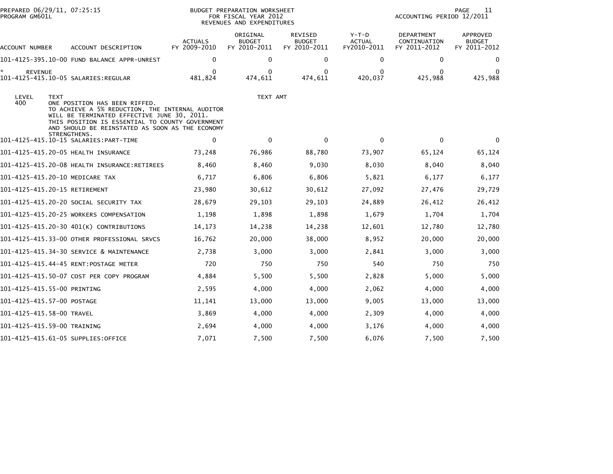| PROGRAM GM601L      | PREPARED 06/29/11, 07:25:15                                                                                                                                                                                                                                          |                                | <b>BUDGET PREPARATION WORKSHEET</b><br>FOR FISCAL YEAR 2012<br>REVENUES AND EXPENDITURES | 11<br>PAGE<br>ACCOUNTING PERIOD 12/2011  |                                       |                                            |                                           |
|---------------------|----------------------------------------------------------------------------------------------------------------------------------------------------------------------------------------------------------------------------------------------------------------------|--------------------------------|------------------------------------------------------------------------------------------|------------------------------------------|---------------------------------------|--------------------------------------------|-------------------------------------------|
| ACCOUNT NUMBER      | ACCOUNT DESCRIPTION                                                                                                                                                                                                                                                  | <b>ACTUALS</b><br>FY 2009-2010 | ORIGINAL<br><b>BUDGET</b><br>FY 2010-2011                                                | REVISED<br><b>BUDGET</b><br>FY 2010-2011 | Y-T-D<br><b>ACTUAL</b><br>FY2010-2011 | DEPARTMENT<br>CONTINUATION<br>FY 2011-2012 | APPROVED<br><b>BUDGET</b><br>FY 2011-2012 |
|                     |                                                                                                                                                                                                                                                                      | 0                              | 0                                                                                        | 0                                        | 0                                     | 0                                          | $\bf{0}$                                  |
| *<br><b>REVENUE</b> |                                                                                                                                                                                                                                                                      | 0<br>481,824                   | $\bf{0}$<br>474,611                                                                      | $\Omega$<br>474,611                      | 0<br>420,037                          | $\bf{0}$<br>425,988                        | 0<br>425,988                              |
| LEVEL<br>400        | <b>TEXT</b><br>ONE POSITION HAS BEEN RIFFED.<br>TO ACHIEVE A 5% REDUCTION, THE INTERNAL AUDITOR<br>WILL BE TERMINATED EFFECTIVE JUNE 30, 2011.<br>THIS POSITION IS ESSENTIAL TO COUNTY GOVERNMENT<br>AND SHOULD BE REINSTATED AS SOON AS THE ECONOMY<br>STRENGTHENS. |                                | TEXT AMT                                                                                 |                                          |                                       |                                            |                                           |
|                     |                                                                                                                                                                                                                                                                      | 0                              | $\mathbf{0}$                                                                             | $\mathbf 0$                              | $\mathbf 0$                           | $\mathbf 0$                                | $\Omega$                                  |
|                     | 101-4125-415.20-05 HEALTH INSURANCE                                                                                                                                                                                                                                  | 73,248                         | 76,986                                                                                   | 88,780                                   | 73,907                                | 65,124                                     | 65,124                                    |
|                     |                                                                                                                                                                                                                                                                      | 8,460                          | 8,460                                                                                    | 9,030                                    | 8,030                                 | 8,040                                      | 8,040                                     |
|                     | 101-4125-415.20-10 MEDICARE TAX                                                                                                                                                                                                                                      | 6,717                          | 6,806                                                                                    | 6,806                                    | 5,821                                 | 6,177                                      | 6,177                                     |
|                     | 101-4125-415.20-15 RETIREMENT                                                                                                                                                                                                                                        | 23,980                         | 30,612                                                                                   | 30,612                                   | 27,092                                | 27,476                                     | 29,729                                    |
|                     | 101–4125–415.20–20 SOCIAL SECURITY TAX                                                                                                                                                                                                                               | 28,679                         | 29,103                                                                                   | 29,103                                   | 24,889                                | 26,412                                     | 26,412                                    |
|                     | 101-4125-415.20-25 WORKERS COMPENSATION                                                                                                                                                                                                                              | 1,198                          | 1,898                                                                                    | 1,898                                    | 1,679                                 | 1.704                                      | 1,704                                     |
|                     | 101-4125-415.20-30 401(K) CONTRIBUTIONS                                                                                                                                                                                                                              | 14,173                         | 14,238                                                                                   | 14,238                                   | 12,601                                | 12,780                                     | 12,780                                    |
|                     | 101-4125-415.33-00 OTHER PROFESSIONAL SRVCS                                                                                                                                                                                                                          | 16,762                         | 20,000                                                                                   | 38,000                                   | 8,952                                 | 20,000                                     | 20,000                                    |
|                     | 101-4125-415.34-30 SERVICE & MAINTENANCE                                                                                                                                                                                                                             | 2,738                          | 3,000                                                                                    | 3,000                                    | 2,841                                 | 3,000                                      | 3,000                                     |
|                     | 101-4125-415.44-45 RENT:POSTAGE METER                                                                                                                                                                                                                                | 720                            | 750                                                                                      | 750                                      | 540                                   | 750                                        | 750                                       |
|                     | 101-4125-415.50-07 COST PER COPY PROGRAM                                                                                                                                                                                                                             | 4,884                          | 5,500                                                                                    | 5,500                                    | 2,828                                 | 5,000                                      | 5,000                                     |
|                     | 101-4125-415.55-00 PRINTING                                                                                                                                                                                                                                          | 2,595                          | 4,000                                                                                    | 4,000                                    | 2,062                                 | 4,000                                      | 4,000                                     |
|                     | 101-4125-415.57-00 POSTAGE                                                                                                                                                                                                                                           | 11,141                         | 13,000                                                                                   | 13,000                                   | 9,005                                 | 13,000                                     | 13,000                                    |
|                     | 101-4125-415.58-00 TRAVEL                                                                                                                                                                                                                                            | 3,869                          | 4,000                                                                                    | 4,000                                    | 2,309                                 | 4,000                                      | 4,000                                     |
|                     | 101-4125-415.59-00 TRAINING                                                                                                                                                                                                                                          | 2,694                          | 4,000                                                                                    | 4,000                                    | 3,176                                 | 4,000                                      | 4,000                                     |
|                     | 101-4125-415.61-05 SUPPLIES:OFFICE                                                                                                                                                                                                                                   | 7,071                          | 7,500                                                                                    | 7,500                                    | 6,076                                 | 7,500                                      | 7,500                                     |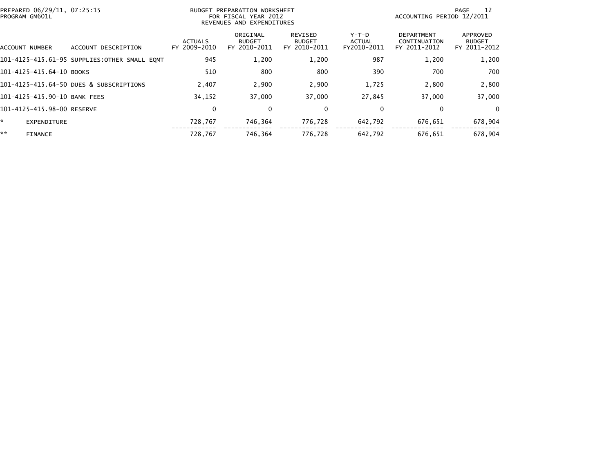| PREPARED 06/29/11, 07:25:15<br>PROGRAM GM601L |                                              |                                | BUDGET PREPARATION WORKSHEET<br>FOR FISCAL YEAR 2012<br>REVENUES AND EXPENDITURES |                                          |                                       | ACCOUNTING PERIOD 12/2011                         | -12<br>PAGE                               |
|-----------------------------------------------|----------------------------------------------|--------------------------------|-----------------------------------------------------------------------------------|------------------------------------------|---------------------------------------|---------------------------------------------------|-------------------------------------------|
| ACCOUNT NUMBER                                | DESCRIPTION<br><b>ACCOUNT</b>                | <b>ACTUALS</b><br>FY 2009-2010 | ORIGINAL<br><b>BUDGET</b><br>FY 2010-2011                                         | REVISED<br><b>BUDGET</b><br>FY 2010-2011 | Y-T-D<br><b>ACTUAL</b><br>FY2010-2011 | <b>DEPARTMENT</b><br>CONTINUATION<br>FY 2011-2012 | APPROVED<br><b>BUDGET</b><br>FY 2011-2012 |
|                                               | 101-4125-415.61-95 SUPPLIES:OTHER SMALL EQMT | 945                            | 1,200                                                                             | 1,200                                    | 987                                   | 1,200                                             | 1,200                                     |
| 101-4125-415.64-10 BOOKS                      |                                              | 510                            | 800                                                                               | 800                                      | 390                                   | 700                                               | 700                                       |
|                                               | 101-4125-415.64-50 DUES & SUBSCRIPTIONS      | 2,407                          | 2,900                                                                             | 2,900                                    | 1,725                                 | 2,800                                             | 2,800                                     |
| 101-4125-415.90-10 BANK FEES                  |                                              | 34,152                         | 37.000                                                                            | 37,000                                   | 27,845                                | 37,000                                            | 37,000                                    |
| 101-4125-415.98-00 RESERVE                    |                                              | $\Omega$                       | 0                                                                                 | 0                                        | 0                                     | 0                                                 | $\Omega$                                  |
| *.<br>EXPENDITURE                             |                                              | 728,767                        | 746,364                                                                           | 776,728                                  | 642,792                               | 676,651                                           | 678,904                                   |
| **<br><b>FINANCE</b>                          |                                              | 728,767                        | 746.364                                                                           | 776,728                                  | 642,792                               | 676.651                                           | 678,904                                   |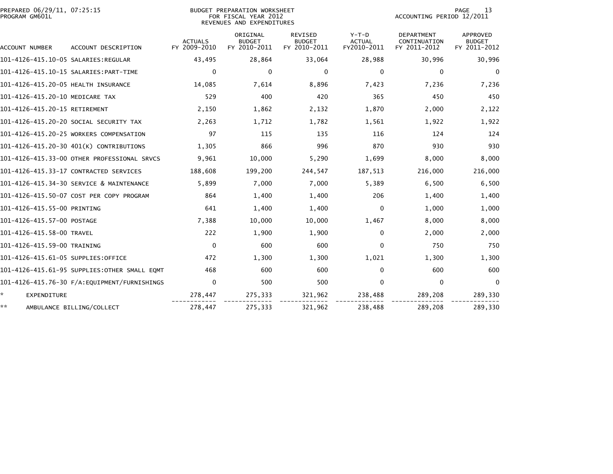| PREPARED 06/29/11, 07:25:15<br>PROGRAM GM601L |                                              |                                | BUDGET PREPARATION WORKSHEET<br>FOR FISCAL YEAR 2012<br>REVENUES AND EXPENDITURES |                                          | PAGE<br>13<br>ACCOUNTING PERIOD 12/2011 |                                                   |                                           |
|-----------------------------------------------|----------------------------------------------|--------------------------------|-----------------------------------------------------------------------------------|------------------------------------------|-----------------------------------------|---------------------------------------------------|-------------------------------------------|
| ACCOUNT NUMBER                                | ACCOUNT DESCRIPTION                          | <b>ACTUALS</b><br>FY 2009-2010 | ORIGINAL<br><b>BUDGET</b><br>FY 2010-2011                                         | REVISED<br><b>BUDGET</b><br>FY 2010-2011 | $Y-T-D$<br><b>ACTUAL</b><br>FY2010-2011 | <b>DEPARTMENT</b><br>CONTINUATION<br>FY 2011-2012 | APPROVED<br><b>BUDGET</b><br>FY 2011-2012 |
|                                               |                                              | 43,495                         | 28,864                                                                            | 33,064                                   | 28,988                                  | 30,996                                            | 30,996                                    |
|                                               |                                              | 0                              | 0                                                                                 | 0                                        | 0                                       | 0                                                 | $\mathbf 0$                               |
| 101-4126-415.20-05 HEALTH INSURANCE           |                                              | 14,085                         | 7,614                                                                             | 8,896                                    | 7,423                                   | 7,236                                             | 7,236                                     |
| 101-4126-415.20-10 MEDICARE TAX               |                                              | 529                            | 400                                                                               | 420                                      | 365                                     | 450                                               | 450                                       |
| 101-4126-415.20-15 RETIREMENT                 |                                              | 2,150                          | 1,862                                                                             | 2,132                                    | 1,870                                   | 2,000                                             | 2,122                                     |
|                                               | 101-4126-415.20-20 SOCIAL SECURITY TAX       | 2,263                          | 1,712                                                                             | 1,782                                    | 1,561                                   | 1,922                                             | 1,922                                     |
|                                               | 101-4126-415.20-25 WORKERS COMPENSATION      | 97                             | 115                                                                               | 135                                      | 116                                     | 124                                               | 124                                       |
|                                               | 101-4126-415.20-30 401(K) CONTRIBUTIONS      | 1,305                          | 866                                                                               | 996                                      | 870                                     | 930                                               | 930                                       |
|                                               | 101-4126-415.33-00 OTHER PROFESSIONAL SRVCS  | 9,961                          | 10,000                                                                            | 5,290                                    | 1,699                                   | 8,000                                             | 8,000                                     |
|                                               | 101-4126-415.33-17 CONTRACTED SERVICES       | 188,608                        | 199,200                                                                           | 244,547                                  | 187,513                                 | 216,000                                           | 216,000                                   |
|                                               | 101-4126-415.34-30 SERVICE & MAINTENANCE     | 5,899                          | 7,000                                                                             | 7,000                                    | 5,389                                   | 6,500                                             | 6,500                                     |
|                                               | 101-4126-415.50-07 COST PER COPY PROGRAM     | 864                            | 1,400                                                                             | 1,400                                    | 206                                     | 1,400                                             | 1,400                                     |
| 101-4126-415.55-00 PRINTING                   |                                              | 641                            | 1,400                                                                             | 1,400                                    | 0                                       | 1,000                                             | 1,000                                     |
| 101-4126-415.57-00 POSTAGE                    |                                              | 7,388                          | 10,000                                                                            | 10,000                                   | 1,467                                   | 8,000                                             | 8,000                                     |
| 101-4126-415.58-00 TRAVEL                     |                                              | 222                            | 1,900                                                                             | 1,900                                    | 0                                       | 2,000                                             | 2,000                                     |
| 101-4126-415.59-00 TRAINING                   |                                              | $\mathbf{0}$                   | 600                                                                               | 600                                      | $\mathbf{0}$                            | 750                                               | 750                                       |
| 101-4126-415.61-05 SUPPLIES:OFFICE            |                                              | 472                            | 1,300                                                                             | 1,300                                    | 1,021                                   | 1,300                                             | 1,300                                     |
|                                               | 101-4126-415.61-95 SUPPLIES:OTHER SMALL EOMT | 468                            | 600                                                                               | 600                                      | $\mathbf{0}$                            | 600                                               | 600                                       |
|                                               |                                              | 0                              | 500                                                                               | 500                                      | $\mathbf 0$                             | 0                                                 | $\Omega$                                  |
| ÷.<br><b>EXPENDITURE</b>                      |                                              | 278,447                        | 275,333                                                                           | 321,962                                  | 238,488                                 | 289,208                                           | 289,330                                   |
| **                                            | AMBULANCE BILLING/COLLECT                    | 278,447                        | 275,333                                                                           | 321,962                                  | 238,488                                 | 289,208                                           | 289,330                                   |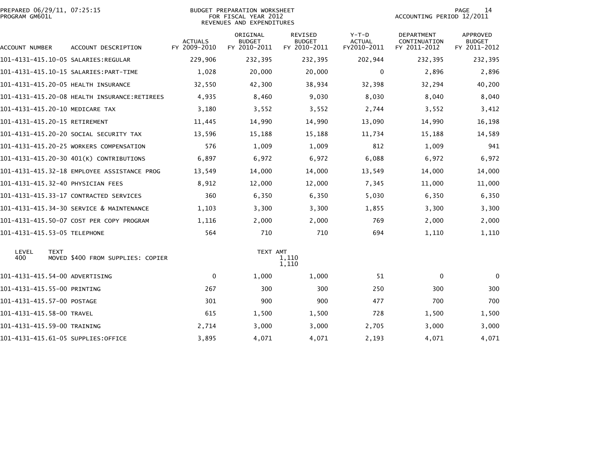| PREPARED 06/29/11, 07:25:15<br>PROGRAM GM601L |                                             |                                | <b>BUDGET PREPARATION WORKSHEET</b><br>FOR FISCAL YEAR 2012<br>REVENUES AND EXPENDITURES | 14<br>PAGE<br>ACCOUNTING PERIOD 12/2011         |                                         |                                                   |                                           |
|-----------------------------------------------|---------------------------------------------|--------------------------------|------------------------------------------------------------------------------------------|-------------------------------------------------|-----------------------------------------|---------------------------------------------------|-------------------------------------------|
| ACCOUNT NUMBER                                | ACCOUNT DESCRIPTION                         | <b>ACTUALS</b><br>FY 2009-2010 | ORIGINAL<br><b>BUDGET</b><br>FY 2010-2011                                                | <b>REVISED</b><br><b>BUDGET</b><br>FY 2010-2011 | $Y-T-D$<br><b>ACTUAL</b><br>FY2010-2011 | <b>DEPARTMENT</b><br>CONTINUATION<br>FY 2011-2012 | APPROVED<br><b>BUDGET</b><br>FY 2011-2012 |
|                                               |                                             | 229,906                        | 232,395                                                                                  | 232,395                                         | 202,944                                 | 232,395                                           | 232,395                                   |
|                                               |                                             | 1,028                          | 20,000                                                                                   | 20,000                                          | 0                                       | 2,896                                             | 2,896                                     |
|                                               |                                             | 32,550                         | 42,300                                                                                   | 38,934                                          | 32,398                                  | 32,294                                            | 40,200                                    |
|                                               |                                             | 4,935                          | 8,460                                                                                    | 9,030                                           | 8,030                                   | 8,040                                             | 8,040                                     |
| 101-4131-415.20-10 MEDICARE TAX               |                                             | 3,180                          | 3,552                                                                                    | 3,552                                           | 2,744                                   | 3,552                                             | 3,412                                     |
| 101-4131-415.20-15 RETIREMENT                 |                                             | 11,445                         | 14,990                                                                                   | 14,990                                          | 13,090                                  | 14,990                                            | 16,198                                    |
|                                               | 101-4131-415.20-20 SOCIAL SECURITY TAX      | 13,596                         | 15,188                                                                                   | 15,188                                          | 11,734                                  | 15,188                                            | 14,589                                    |
|                                               | 101-4131-415.20-25 WORKERS COMPENSATION     | 576                            | 1,009                                                                                    | 1,009                                           | 812                                     | 1,009                                             | 941                                       |
|                                               | 101-4131-415.20-30 401(K) CONTRIBUTIONS     | 6,897                          | 6,972                                                                                    | 6,972                                           | 6,088                                   | 6,972                                             | 6,972                                     |
|                                               | 101-4131-415.32-18 EMPLOYEE ASSISTANCE PROG | 13,549                         | 14,000                                                                                   | 14,000                                          | 13,549                                  | 14,000                                            | 14,000                                    |
|                                               | 101-4131-415.32-40 PHYSICIAN FEES           | 8,912                          | 12,000                                                                                   | 12,000                                          | 7,345                                   | 11,000                                            | 11,000                                    |
|                                               | 101-4131-415.33-17 CONTRACTED SERVICES      | 360                            | 6,350                                                                                    | 6,350                                           | 5,030                                   | 6,350                                             | 6,350                                     |
|                                               | 101-4131-415.34-30 SERVICE & MAINTENANCE    | 1,103                          | 3,300                                                                                    | 3,300                                           | 1,855                                   | 3,300                                             | 3,300                                     |
|                                               | 101-4131-415.50-07 COST PER COPY PROGRAM    | 1,116                          | 2,000                                                                                    | 2,000                                           | 769                                     | 2,000                                             | 2,000                                     |
| 101-4131-415.53-05 TELEPHONE                  |                                             | 564                            | 710                                                                                      | 710                                             | 694                                     | 1,110                                             | 1,110                                     |
| LEVEL<br><b>TEXT</b><br>400                   | MOVED \$400 FROM SUPPLIES: COPIER           |                                | TEXT AMT                                                                                 | 1,110<br>1,110                                  |                                         |                                                   |                                           |
| 101-4131-415.54-00 ADVERTISING                |                                             | $\mathbf{0}$                   | 1,000                                                                                    | 1,000                                           | 51                                      | 0                                                 | $\mathbf{0}$                              |
| 101-4131-415.55-00 PRINTING                   |                                             | 267                            | 300                                                                                      | 300                                             | 250                                     | 300                                               | 300                                       |
| 101-4131-415.57-00 POSTAGE                    |                                             | 301                            | 900                                                                                      | 900                                             | 477                                     | 700                                               | 700                                       |
| 101-4131-415.58-00 TRAVEL                     |                                             | 615                            | 1,500                                                                                    | 1,500                                           | 728                                     | 1,500                                             | 1,500                                     |
| 101-4131-415.59-00 TRAINING                   |                                             | 2,714                          | 3,000                                                                                    | 3,000                                           | 2,705                                   | 3,000                                             | 3,000                                     |
|                                               | 101-4131-415.61-05 SUPPLIES:OFFICE          | 3,895                          | 4,071                                                                                    | 4,071                                           | 2,193                                   | 4,071                                             | 4,071                                     |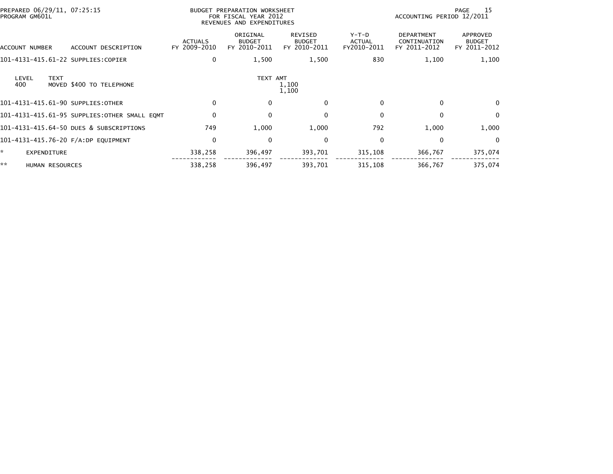| PREPARED 06/29/11, 07:25:15<br>PROGRAM GM601L |                                              |                                | BUDGET PREPARATION WORKSHEET<br>FOR FISCAL YEAR 2012<br>REVENUES AND EXPENDITURES |                                                 |                                         | -15<br>PAGE<br>ACCOUNTING PERIOD 12/2011          |                                           |
|-----------------------------------------------|----------------------------------------------|--------------------------------|-----------------------------------------------------------------------------------|-------------------------------------------------|-----------------------------------------|---------------------------------------------------|-------------------------------------------|
| ACCOUNT NUMBER                                | ACCOUNT DESCRIPTION                          | <b>ACTUALS</b><br>FY 2009-2010 | ORIGINAL<br><b>BUDGET</b><br>FY 2010-2011                                         | <b>REVISED</b><br><b>BUDGET</b><br>FY 2010-2011 | $Y-T-D$<br><b>ACTUAL</b><br>FY2010-2011 | <b>DEPARTMENT</b><br>CONTINUATION<br>FY 2011-2012 | APPROVED<br><b>BUDGET</b><br>FY 2011-2012 |
| 101-4131-415.61-22 SUPPLIES:COPIER            |                                              | $\Omega$                       | 1,500                                                                             | 1,500                                           | 830                                     | 1,100                                             | 1,100                                     |
| <b>TEXT</b><br>LEVEL<br>400                   | MOVED \$400 TO TELEPHONE                     |                                | TEXT AMT                                                                          | 1,100<br>1,100                                  |                                         |                                                   |                                           |
| 101-4131-415.61-90 SUPPLIES:OTHER             |                                              | $\mathbf{0}$                   | 0                                                                                 | 0                                               | $\mathbf{0}$                            | 0                                                 | $\mathbf{0}$                              |
|                                               | 101-4131-415.61-95 SUPPLIES:OTHER SMALL EQMT | $\mathbf{0}$                   | 0                                                                                 | 0                                               | $\mathbf{0}$                            | $\mathbf{0}$                                      | 0                                         |
|                                               | 101-4131-415.64-50 DUES & SUBSCRIPTIONS      | 749                            | 1,000                                                                             | 1,000                                           | 792                                     | 1,000                                             | 1,000                                     |
| 101-4131-415.76-20 F/A:DP EQUIPMENT           |                                              | $\mathbf{0}$                   | 0                                                                                 | $\mathbf{0}$                                    | $\mathbf{0}$                            | $\Omega$                                          | $\Omega$                                  |
| ÷.<br><b>EXPENDITURE</b>                      |                                              | 338,258                        | 396,497                                                                           | 393,701                                         | 315,108                                 | 366,767                                           | 375,074                                   |
| **<br>HUMAN RESOURCES                         |                                              | 338,258                        | 396,497                                                                           | 393,701                                         | 315,108                                 | 366,767                                           | 375,074                                   |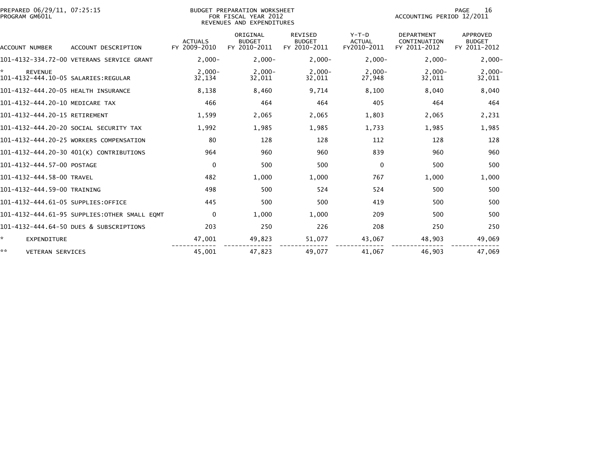| PREPARED 06/29/11, 07:25:15<br>PROGRAM GM601L               |                                              |                                | <b>BUDGET PREPARATION WORKSHEET</b><br>FOR FISCAL YEAR 2012<br>REVENUES AND EXPENDITURES | 16<br><b>PAGE</b><br>ACCOUNTING PERIOD 12/2011  |                                         |                                                   |                                           |
|-------------------------------------------------------------|----------------------------------------------|--------------------------------|------------------------------------------------------------------------------------------|-------------------------------------------------|-----------------------------------------|---------------------------------------------------|-------------------------------------------|
| ACCOUNT NUMBER                                              | ACCOUNT DESCRIPTION                          | <b>ACTUALS</b><br>FY 2009-2010 | ORIGINAL<br><b>BUDGET</b><br>FY 2010-2011                                                | <b>REVISED</b><br><b>BUDGET</b><br>FY 2010-2011 | $Y-T-D$<br><b>ACTUAL</b><br>FY2010-2011 | <b>DEPARTMENT</b><br>CONTINUATION<br>FY 2011-2012 | APPROVED<br><b>BUDGET</b><br>FY 2011-2012 |
|                                                             | 101-4132-334.72-00 VETERANS SERVICE GRANT    | $2.000 -$                      | $2.000 -$                                                                                | $2,000-$                                        | $2.000 -$                               | $2.000 -$                                         | $2,000-$                                  |
| ×.<br><b>REVENUE</b><br>101-4132-444.10-05 SALARIES:REGULAR |                                              | $2.000 -$<br>32,134            | $2,000-$<br>32,011                                                                       | $2,000-$<br>32,011                              | $2.000 -$<br>27,948                     | $2.000 -$<br>32,011                               | $2,000-$<br>32,011                        |
| 101-4132-444.20-05 HEALTH INSURANCE                         |                                              | 8,138                          | 8,460                                                                                    | 9,714                                           | 8,100                                   | 8,040                                             | 8,040                                     |
| 101-4132-444.20-10 MEDICARE TAX                             |                                              | 466                            | 464                                                                                      | 464                                             | 405                                     | 464                                               | 464                                       |
| 101-4132-444.20-15 RETIREMENT                               |                                              | 1,599                          | 2,065                                                                                    | 2,065                                           | 1,803                                   | 2,065                                             | 2,231                                     |
|                                                             | 101-4132-444.20-20 SOCIAL SECURITY TAX       | 1.992                          | 1,985                                                                                    | 1,985                                           | 1.733                                   | 1.985                                             | 1,985                                     |
|                                                             | 101-4132-444.20-25 WORKERS COMPENSATION      | 80                             | 128                                                                                      | 128                                             | 112                                     | 128                                               | 128                                       |
|                                                             | 101-4132-444.20-30 401(K) CONTRIBUTIONS      | 964                            | 960                                                                                      | 960                                             | 839                                     | 960                                               | 960                                       |
| 101-4132-444.57-00 POSTAGE                                  |                                              | $\mathbf 0$                    | 500                                                                                      | 500                                             | $\mathbf 0$                             | 500                                               | 500                                       |
| 101-4132-444.58-00 TRAVEL                                   |                                              | 482                            | 1,000                                                                                    | 1,000                                           | 767                                     | 1,000                                             | 1,000                                     |
| 101-4132-444.59-00 TRAINING                                 |                                              | 498                            | 500                                                                                      | 524                                             | 524                                     | 500                                               | 500                                       |
| 101-4132-444.61-05 SUPPLIES:OFFICE                          |                                              | 445                            | 500                                                                                      | 500                                             | 419                                     | 500                                               | 500                                       |
|                                                             | 101-4132-444.61-95 SUPPLIES:OTHER SMALL EOMT | $\mathbf{0}$                   | 1,000                                                                                    | 1,000                                           | 209                                     | 500                                               | 500                                       |
|                                                             | 101-4132-444.64-50 DUES & SUBSCRIPTIONS      | 203                            | 250                                                                                      | 226                                             | 208                                     | 250                                               | 250                                       |
| ÷.<br><b>EXPENDITURE</b>                                    |                                              | 47,001                         | 49,823                                                                                   | 51,077                                          | 43,067                                  | 48,903                                            | 49,069                                    |
| **<br><b>VETERAN SERVICES</b>                               |                                              | 45,001                         | 47,823                                                                                   | 49.077                                          | 41,067                                  | 46,903                                            | 47,069                                    |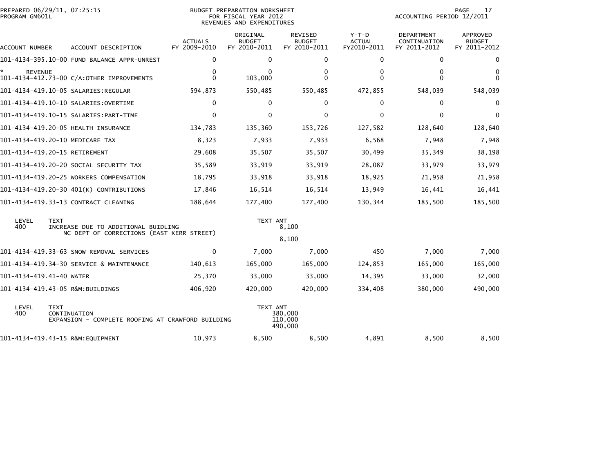| PROGRAM GM601L           | PREPARED 06/29/11, 07:25:15                                                                     |                                | BUDGET PREPARATION WORKSHEET<br>FOR FISCAL YEAR 2012<br>REVENUES AND EXPENDITURES | PAGE<br>17<br>ACCOUNTING PERIOD 12/2011         |                                       |                                            |                                           |
|--------------------------|-------------------------------------------------------------------------------------------------|--------------------------------|-----------------------------------------------------------------------------------|-------------------------------------------------|---------------------------------------|--------------------------------------------|-------------------------------------------|
| ACCOUNT NUMBER           | ACCOUNT DESCRIPTION                                                                             | <b>ACTUALS</b><br>FY 2009-2010 | ORIGINAL<br><b>BUDGET</b><br>FY 2010-2011                                         | <b>REVISED</b><br><b>BUDGET</b><br>FY 2010-2011 | Y-T-D<br><b>ACTUAL</b><br>FY2010-2011 | DEPARTMENT<br>CONTINUATION<br>FY 2011-2012 | APPROVED<br><b>BUDGET</b><br>FY 2011-2012 |
|                          | 101-4134-395.10-00 FUND BALANCE APPR-UNREST                                                     | 0                              | 0                                                                                 | 0                                               | $\mathbf 0$                           | 0                                          | 0                                         |
| <b>REVENUE</b>           | 101-4134-412.73-00 C/A:OTHER IMPROVEMENTS                                                       | 0<br>0                         | 0<br>103,000                                                                      | 0<br>0                                          | 0<br>$\Omega$                         | 0<br>0                                     | 0<br>$\Omega$                             |
|                          | 101-4134-419.10-05 SALARIES:REGULAR                                                             | 594,873                        | 550,485                                                                           | 550,485                                         | 472,855                               | 548,039                                    | 548,039                                   |
|                          |                                                                                                 | $\Omega$                       | $\Omega$                                                                          | 0                                               | $\mathbf{0}$                          | $\Omega$                                   | $\Omega$                                  |
|                          | 101-4134-419.10-15 SALARIES: PART-TIME                                                          | 0                              | 0                                                                                 | 0                                               | $\mathbf 0$                           | $\mathbf 0$                                | $\mathbf{0}$                              |
|                          | 101-4134-419.20-05 HEALTH INSURANCE                                                             | 134,783                        | 135,360                                                                           | 153,726                                         | 127,582                               | 128,640                                    | 128,640                                   |
|                          | 101-4134-419.20-10 MEDICARE TAX                                                                 | 8,323                          | 7,933                                                                             | 7,933                                           | 6,568                                 | 7,948                                      | 7,948                                     |
|                          | 101-4134-419.20-15 RETIREMENT                                                                   | 29,608                         | 35,507                                                                            | 35,507                                          | 30,499                                | 35,349                                     | 38,198                                    |
|                          | 101-4134-419.20-20 SOCIAL SECURITY TAX                                                          | 35,589                         | 33,919                                                                            | 33,919                                          | 28,087                                | 33,979                                     | 33,979                                    |
|                          | 101-4134-419.20-25 WORKERS COMPENSATION                                                         | 18,795                         | 33,918                                                                            | 33,918                                          | 18,925                                | 21,958                                     | 21,958                                    |
|                          | 101-4134-419.20-30 401(K) CONTRIBUTIONS                                                         | 17,846                         | 16,514                                                                            | 16,514                                          | 13,949                                | 16,441                                     | 16,441                                    |
|                          | 101-4134-419.33-13 CONTRACT CLEANING                                                            | 188,644                        | 177,400                                                                           | 177,400                                         | 130,344                               | 185,500                                    | 185,500                                   |
| LEVEL<br>400             | <b>TEXT</b><br>INCREASE DUE TO ADDITIONAL BUIDLING<br>NC DEPT OF CORRECTIONS (EAST KERR STREET) |                                | TEXT AMT                                                                          | 8,100                                           |                                       |                                            |                                           |
|                          |                                                                                                 |                                |                                                                                   | 8,100                                           |                                       |                                            |                                           |
|                          | 101-4134-419.33-63 SNOW REMOVAL SERVICES                                                        | 0                              | 7,000                                                                             | 7,000                                           | 450                                   | 7,000                                      | 7,000                                     |
|                          | 101-4134-419.34-30 SERVICE & MAINTENANCE                                                        | 140,613                        | 165,000                                                                           | 165,000                                         | 124,853                               | 165,000                                    | 165,000                                   |
| 101-4134-419.41-40 WATER |                                                                                                 | 25,370                         | 33,000                                                                            | 33,000                                          | 14,395                                | 33,000                                     | 32,000                                    |
|                          | 101-4134-419.43-05 R&M:BUILDINGS                                                                | 406,920                        | 420,000                                                                           | 420,000                                         | 334,408                               | 380,000                                    | 490,000                                   |
| LEVEL<br>400             | <b>TEXT</b><br>CONTINUATION<br>EXPANSION - COMPLETE ROOFING AT CRAWFORD BUILDING                |                                | TEXT AMT                                                                          | 380,000<br>110,000<br>490,000                   |                                       |                                            |                                           |
|                          | 101-4134-419.43-15 R&M:EQUIPMENT                                                                | 10,973                         | 8,500                                                                             | 8,500                                           | 4,891                                 | 8,500                                      | 8,500                                     |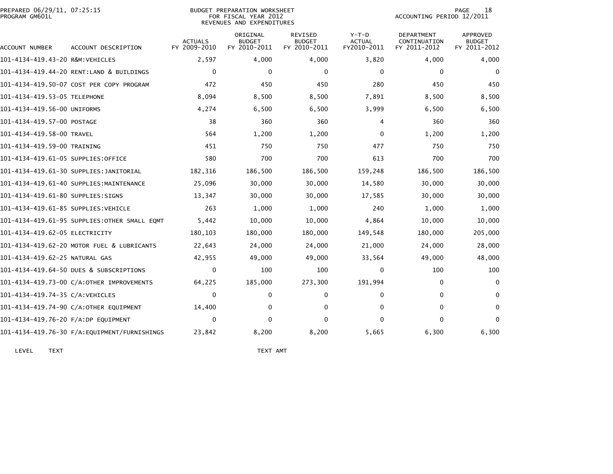| PREPARED 06/29/11, 07:25:15<br>PROGRAM GM601L |                                              | <b>BUDGET PREPARATION WORKSHEET</b><br>FOR FISCAL YEAR 2012<br>REVENUES AND EXPENDITURES |                                           | 18<br>PAGE<br>ACCOUNTING PERIOD 12/2011         |                                         |                                                   |                                                  |
|-----------------------------------------------|----------------------------------------------|------------------------------------------------------------------------------------------|-------------------------------------------|-------------------------------------------------|-----------------------------------------|---------------------------------------------------|--------------------------------------------------|
| ACCOUNT NUMBER                                | ACCOUNT DESCRIPTION                          | <b>ACTUALS</b><br>FY 2009-2010                                                           | ORIGINAL<br><b>BUDGET</b><br>FY 2010-2011 | <b>REVISED</b><br><b>BUDGET</b><br>FY 2010-2011 | $Y-T-D$<br><b>ACTUAL</b><br>FY2010-2011 | <b>DEPARTMENT</b><br>CONTINUATION<br>FY 2011-2012 | <b>APPROVED</b><br><b>BUDGET</b><br>FY 2011-2012 |
| 101-4134-419.43-20 R&M:VEHICLES               |                                              | 2,597                                                                                    | 4,000                                     | 4,000                                           | 3,820                                   | 4,000                                             | 4,000                                            |
|                                               | 101-4134-419.44-20 RENT:LAND & BUILDINGS     | 0                                                                                        | 0                                         | 0                                               | $\mathbf 0$                             | $\mathbf 0$                                       | $\mathbf 0$                                      |
|                                               | 101-4134-419.50-07 COST PER COPY PROGRAM     | 472                                                                                      | 450                                       | 450                                             | 280                                     | 450                                               | 450                                              |
| 101-4134-419.53-05 TELEPHONE                  |                                              | 8,094                                                                                    | 8,500                                     | 8,500                                           | 7,891                                   | 8,500                                             | 8,500                                            |
| 101-4134-419.56-00 UNIFORMS                   |                                              | 4,274                                                                                    | 6,500                                     | 6,500                                           | 3,999                                   | 6,500                                             | 6,500                                            |
| 101-4134-419.57-00 POSTAGE                    |                                              | 38                                                                                       | 360                                       | 360                                             | 4                                       | 360                                               | 360                                              |
| 101-4134-419.58-00 TRAVEL                     |                                              | 564                                                                                      | 1,200                                     | 1,200                                           | $\Omega$                                | 1,200                                             | 1,200                                            |
| 101-4134-419.59-00 TRAINING                   |                                              | 451                                                                                      | 750                                       | 750                                             | 477                                     | 750                                               | 750                                              |
| 101-4134-419.61-05 SUPPLIES:OFFICE            |                                              | 580                                                                                      | 700                                       | 700                                             | 613                                     | 700                                               | 700                                              |
|                                               | 101–4134–419.61–30 SUPPLIES:JANITORIAL       | 182,316                                                                                  | 186,500                                   | 186,500                                         | 159,248                                 | 186,500                                           | 186,500                                          |
|                                               | 101-4134-419.61-40 SUPPLIES:MAINTENANCE      | 25,096                                                                                   | 30,000                                    | 30,000                                          | 14,580                                  | 30,000                                            | 30,000                                           |
| 101-4134-419.61-80 SUPPLIES:SIGNS             |                                              | 13,347                                                                                   | 30,000                                    | 30,000                                          | 17,585                                  | 30,000                                            | 30,000                                           |
| 101–4134–419.61–85 SUPPLIES:VEHICLE           |                                              | 263                                                                                      | 1,000                                     | 1,000                                           | 240                                     | 1,000                                             | 1,000                                            |
|                                               | 101-4134-419.61-95 SUPPLIES:OTHER SMALL EQMT | 5,442                                                                                    | 10,000                                    | 10,000                                          | 4,864                                   | 10,000                                            | 10,000                                           |
| 101-4134-419.62-05 ELECTRICITY                |                                              | 180.103                                                                                  | 180,000                                   | 180,000                                         | 149,548                                 | 180,000                                           | 205,000                                          |
|                                               | 101-4134-419.62-20 MOTOR FUEL & LUBRICANTS   | 22,643                                                                                   | 24,000                                    | 24,000                                          | 21,000                                  | 24,000                                            | 28,000                                           |
| 101-4134-419.62-25 NATURAL GAS                |                                              | 42,955                                                                                   | 49,000                                    | 49,000                                          | 33,564                                  | 49,000                                            | 48,000                                           |
|                                               | 101-4134-419.64-50 DUES & SUBSCRIPTIONS      | $\Omega$                                                                                 | 100                                       | 100                                             | $\Omega$                                | 100                                               | 100                                              |
|                                               | 101-4134-419.73-00 C/A:OTHER IMPROVEMENTS    | 64,225                                                                                   | 185,000                                   | 273,300                                         | 191,994                                 | $\mathbf{0}$                                      | $\mathbf{0}$                                     |
| 101-4134-419.74-35 C/A:VEHICLES               |                                              | $\Omega$                                                                                 | 0                                         | 0                                               | 0                                       | $\mathbf{0}$                                      | $\mathbf{0}$                                     |
|                                               | 101-4134-419.74-90 C/A:OTHER EQUIPMENT       | 14,400                                                                                   | 0                                         | 0                                               | 0                                       | $\mathbf{0}$                                      | $\mathbf{0}$                                     |
| 101-4134-419.76-20 F/A:DP EQUIPMENT           |                                              | $\Omega$                                                                                 | 0                                         | $\Omega$                                        | $\Omega$                                | $\Omega$                                          | $\Omega$                                         |
|                                               | 101-4134-419.76-30 F/A:EQUIPMENT/FURNISHINGS | 23,842                                                                                   | 8,200                                     | 8,200                                           | 5,665                                   | 6,300                                             | 6,300                                            |
|                                               |                                              |                                                                                          |                                           |                                                 |                                         |                                                   |                                                  |

LEVEL TEXT TEXT AMT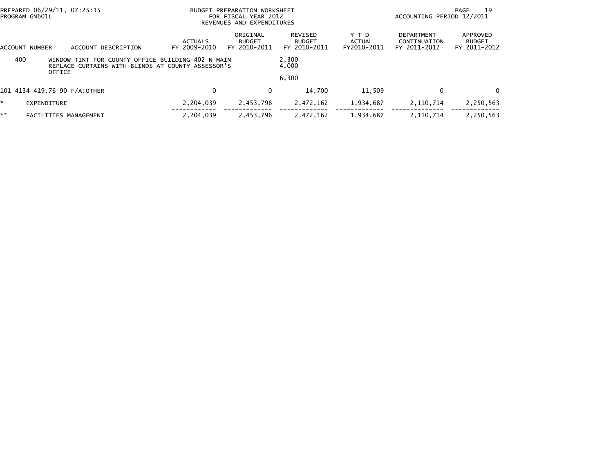|                                                                                                                                | PREPARED 06/29/11, 07:25:15<br>PROGRAM GM601L |                                | BUDGET PREPARATION WORKSHEET<br>FOR FISCAL YEAR 2012<br>REVENUES AND EXPENDITURES |                                           |                                                 |                                  | ACCOUNTING PERIOD 12/2011                         | 19<br>PAGE                                |
|--------------------------------------------------------------------------------------------------------------------------------|-----------------------------------------------|--------------------------------|-----------------------------------------------------------------------------------|-------------------------------------------|-------------------------------------------------|----------------------------------|---------------------------------------------------|-------------------------------------------|
|                                                                                                                                | ACCOUNT DESCRIPTION<br>ACCOUNT NUMBER         | <b>ACTUALS</b><br>FY 2009-2010 |                                                                                   | ORIGINAL<br><b>BUDGET</b><br>FY 2010-2011 | <b>REVISED</b><br><b>BUDGET</b><br>FY 2010-2011 | $Y-T-D$<br>ACTUAL<br>FY2010-2011 | <b>DEPARTMENT</b><br>CONTINUATION<br>FY 2011-2012 | APPROVED<br><b>BUDGET</b><br>FY 2011-2012 |
| 400<br>WINDOW TINT FOR COUNTY OFFICE BUILDING-402 N MAIN<br>REPLACE CURTAINS WITH BLINDS AT COUNTY ASSESSOR'S<br><b>OFFICE</b> |                                               |                                |                                                                                   |                                           | 2,300<br>4,000                                  |                                  |                                                   |                                           |
|                                                                                                                                |                                               |                                |                                                                                   |                                           | 6,300                                           |                                  |                                                   |                                           |
|                                                                                                                                | 101-4134-419.76-90 F/A:OTHER                  |                                | $\Omega$                                                                          | 0                                         | 14,700                                          | 11,509                           |                                                   | 0                                         |
| *                                                                                                                              | EXPENDITURE                                   |                                | 2,204,039                                                                         | 2,453,796                                 | 2,472,162                                       | 1,934,687                        | 2,110,714                                         | 2,250,563                                 |
| **                                                                                                                             | FACILITIES MANAGEMENT                         |                                | 2.204.039                                                                         | 2,453,796                                 | 2,472,162                                       | 1,934,687                        | 2,110,714                                         | 2,250,563                                 |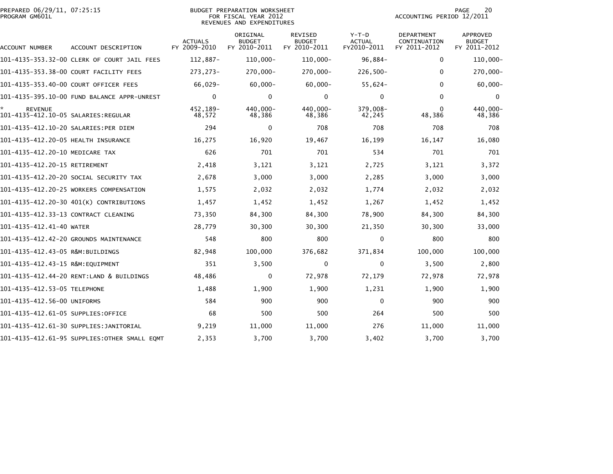| PREPARED 06/29/11, 07:25:15<br>PROGRAM GM601L         | <b>BUDGET PREPARATION WORKSHEET</b><br>FOR FISCAL YEAR 2012<br>REVENUES AND EXPENDITURES |                                |                                           |                                          |                                         |                                            | 20<br><b>PAGE</b><br>ACCOUNTING PERIOD 12/2011   |  |
|-------------------------------------------------------|------------------------------------------------------------------------------------------|--------------------------------|-------------------------------------------|------------------------------------------|-----------------------------------------|--------------------------------------------|--------------------------------------------------|--|
| ACCOUNT NUMBER                                        | ACCOUNT DESCRIPTION                                                                      | <b>ACTUALS</b><br>FY 2009-2010 | ORIGINAL<br><b>BUDGET</b><br>FY 2010-2011 | REVISED<br><b>BUDGET</b><br>FY 2010-2011 | $Y-T-D$<br><b>ACTUAL</b><br>FY2010-2011 | DEPARTMENT<br>CONTINUATION<br>FY 2011-2012 | <b>APPROVED</b><br><b>BUDGET</b><br>FY 2011-2012 |  |
|                                                       | 101-4135-353.32-00 CLERK OF COURT JAIL FEES                                              | $112,887-$                     | $110,000 -$                               | $110,000 -$                              | $96,884-$                               | 0                                          | $110,000 -$                                      |  |
|                                                       | 101-4135-353.38-00 COURT FACILITY FEES                                                   | 273, 273-                      | 270,000-                                  | 270,000-                                 | $226,500 -$                             | $\bf{0}$                                   | 270,000-                                         |  |
|                                                       | 101-4135-353.40-00 COURT OFFICER FEES                                                    | 66,029-                        | $60,000 -$                                | $60,000 -$                               | $55,624-$                               | $\mathbf{0}$                               | $60,000 -$                                       |  |
|                                                       |                                                                                          | $\mathbf{0}$                   | 0                                         | 0                                        | $\Omega$                                | $\mathbf{0}$                               | 0                                                |  |
| <b>REVENUE</b><br>101-4135-412.10-05 SALARIES:REGULAR |                                                                                          | 452,189-<br>48,572             | 440,000-<br>48,386                        | 440,000-<br>48,386                       | 379,008-<br>42,245                      | $\mathbf{0}$<br>48,386                     | 440,000-<br>48,386                               |  |
| 101-4135-412.10-20 SALARIES:PER DIEM                  |                                                                                          | 294                            | 0                                         | 708                                      | 708                                     | 708                                        | 708                                              |  |
| 101-4135-412.20-05 HEALTH INSURANCE                   |                                                                                          | 16,275                         | 16,920                                    | 19,467                                   | 16,199                                  | 16,147                                     | 16,080                                           |  |
| 101-4135-412.20-10 MEDICARE TAX                       |                                                                                          | 626                            | 701                                       | 701                                      | 534                                     | 701                                        | 701                                              |  |
| 101-4135-412.20-15 RETIREMENT                         |                                                                                          | 2,418                          | 3,121                                     | 3,121                                    | 2,725                                   | 3,121                                      | 3,372                                            |  |
|                                                       | 101-4135-412.20-20 SOCIAL SECURITY TAX                                                   | 2,678                          | 3,000                                     | 3,000                                    | 2,285                                   | 3,000                                      | 3,000                                            |  |
|                                                       | 101-4135-412.20-25 WORKERS COMPENSATION                                                  | 1,575                          | 2,032                                     | 2,032                                    | 1,774                                   | 2,032                                      | 2,032                                            |  |
|                                                       | 101-4135-412.20-30 401(K) CONTRIBUTIONS                                                  | 1,457                          | 1,452                                     | 1,452                                    | 1,267                                   | 1,452                                      | 1,452                                            |  |
| 101-4135-412.33-13 CONTRACT CLEANING                  |                                                                                          | 73,350                         | 84,300                                    | 84,300                                   | 78,900                                  | 84,300                                     | 84,300                                           |  |
| 101-4135-412.41-40 WATER                              |                                                                                          | 28,779                         | 30,300                                    | 30,300                                   | 21,350                                  | 30,300                                     | 33,000                                           |  |
|                                                       | 101-4135-412.42-20 GROUNDS MAINTENANCE                                                   | 548                            | 800                                       | 800                                      | $\mathbf 0$                             | 800                                        | 800                                              |  |
| 101–4135–412.43–05 R&M:BUILDINGS                      |                                                                                          | 82,948                         | 100,000                                   | 376,682                                  | 371,834                                 | 100,000                                    | 100,000                                          |  |
| 101-4135-412.43-15 R&M:EQUIPMENT                      |                                                                                          | 351                            | 3,500                                     | 0                                        | $\mathbf 0$                             | 3,500                                      | 2,800                                            |  |
|                                                       | 101-4135-412.44-20 RENT:LAND & BUILDINGS                                                 | 48,486                         | 0                                         | 72,978                                   | 72,179                                  | 72,978                                     | 72,978                                           |  |
| 101-4135-412.53-05 TELEPHONE                          |                                                                                          | 1,488                          | 1,900                                     | 1,900                                    | 1,231                                   | 1,900                                      | 1,900                                            |  |
| 101-4135-412.56-00 UNIFORMS                           |                                                                                          | 584                            | 900                                       | 900                                      | 0                                       | 900                                        | 900                                              |  |
| 101-4135-412.61-05 SUPPLIES:OFFICE                    |                                                                                          | 68                             | 500                                       | 500                                      | 264                                     | 500                                        | 500                                              |  |
|                                                       | 101-4135-412.61-30 SUPPLIES:JANITORIAL                                                   | 9,219                          | 11,000                                    | 11,000                                   | 276                                     | 11,000                                     | 11,000                                           |  |
|                                                       | 101-4135-412.61-95 SUPPLIES:OTHER SMALL EQMT                                             | 2,353                          | 3,700                                     | 3,700                                    | 3,402                                   | 3,700                                      | 3,700                                            |  |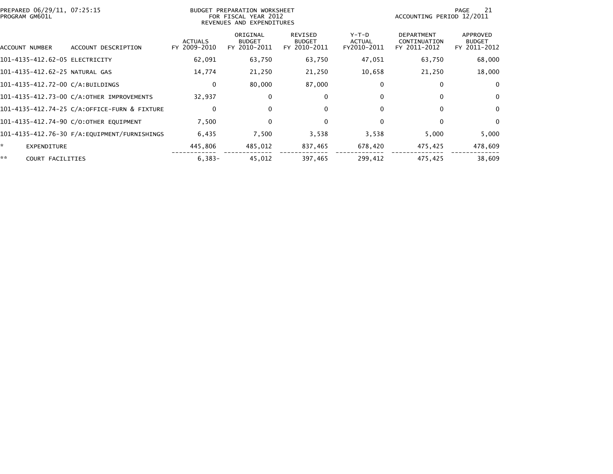| PREPARED 06/29/11, 07:25:15<br>PROGRAM GM601L | BUDGET PREPARATION WORKSHEET<br>FOR FISCAL YEAR 2012<br>REVENUES AND EXPENDITURES |                                |                                           |                                          |                                       |                                                   | 21<br>PAGE<br>ACCOUNTING PERIOD 12/2011   |  |  |
|-----------------------------------------------|-----------------------------------------------------------------------------------|--------------------------------|-------------------------------------------|------------------------------------------|---------------------------------------|---------------------------------------------------|-------------------------------------------|--|--|
| ACCOUNT NUMBER                                | ACCOUNT DESCRIPTION                                                               | <b>ACTUALS</b><br>FY 2009-2010 | ORIGINAL<br><b>BUDGET</b><br>FY 2010-2011 | REVISED<br><b>BUDGET</b><br>FY 2010-2011 | Y-T-D<br><b>ACTUAL</b><br>FY2010-2011 | <b>DEPARTMENT</b><br>CONTINUATION<br>FY 2011-2012 | APPROVED<br><b>BUDGET</b><br>FY 2011-2012 |  |  |
| 101-4135-412.62-05 ELECTRICITY                |                                                                                   | 62,091                         | 63,750                                    | 63,750                                   | 47,051                                | 63,750                                            | 68,000                                    |  |  |
| 101-4135-412.62-25 NATURAL GAS                |                                                                                   | 14,774                         | 21,250                                    | 21,250                                   | 10,658                                | 21,250                                            | 18,000                                    |  |  |
| 101-4135-412.72-00 C/A:BUILDINGS              |                                                                                   | $\mathbf{0}$                   | 80,000                                    | 87,000                                   | $\Omega$                              | $\Omega$                                          | $\mathbf{0}$                              |  |  |
|                                               | 101-4135-412.73-00 C/A:OTHER IMPROVEMENTS                                         | 32,937                         | 0                                         | 0                                        |                                       | $\Omega$                                          | $\mathbf 0$                               |  |  |
|                                               | 101-4135-412.74-25 C/A:OFFICE-FURN & FIXTURE                                      | 0                              | 0                                         | 0                                        | $\Omega$                              | $\bf{0}$                                          | $\mathbf{0}$                              |  |  |
|                                               | 101-4135-412.74-90 C/O:OTHER EQUIPMENT                                            | 7,500                          | 0                                         | 0                                        | $\bf{0}$                              | $\bf{0}$                                          | $\mathbf{0}$                              |  |  |
|                                               |                                                                                   | 6,435                          | 7,500                                     | 3,538                                    | 3,538                                 | 5,000                                             | 5,000                                     |  |  |
| ŵ.<br>EXPENDITURE                             |                                                                                   | 445,806                        | 485,012                                   | 837,465                                  | 678,420                               | 475,425                                           | 478,609                                   |  |  |
| **<br>COURT FACILITIES                        |                                                                                   | $6,383-$                       | 45,012                                    | 397,465                                  | 299,412                               | 475,425                                           | 38,609                                    |  |  |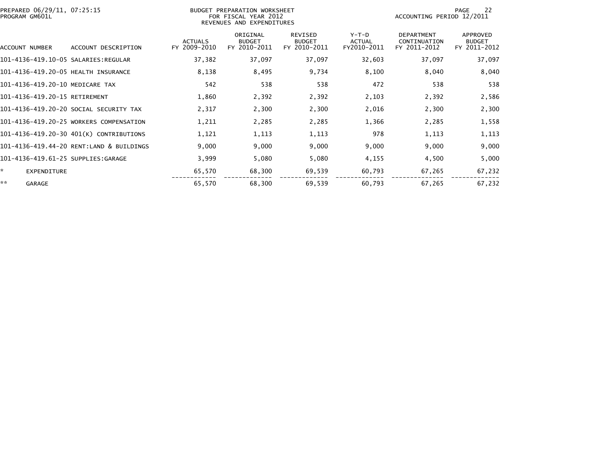| PREPARED 06/29/11, 07:25:15<br>PROGRAM GM601L |                                          |                                | BUDGET PREPARATION WORKSHEET<br>FOR FISCAL YEAR 2012<br>REVENUES AND EXPENDITURES |                                                 | 22<br>PAGE<br>ACCOUNTING PERIOD 12/2011 |                                                   |                                           |
|-----------------------------------------------|------------------------------------------|--------------------------------|-----------------------------------------------------------------------------------|-------------------------------------------------|-----------------------------------------|---------------------------------------------------|-------------------------------------------|
| <b>ACCOUNT NUMBER</b>                         | ACCOUNT DESCRIPTION                      | <b>ACTUALS</b><br>FY 2009-2010 | ORIGINAL<br><b>BUDGET</b><br>FY 2010-2011                                         | <b>REVISED</b><br><b>BUDGET</b><br>FY 2010-2011 | $Y-T-D$<br><b>ACTUAL</b><br>FY2010-2011 | <b>DEPARTMENT</b><br>CONTINUATION<br>FY 2011-2012 | APPROVED<br><b>BUDGET</b><br>FY 2011-2012 |
|                                               |                                          | 37,382                         | 37,097                                                                            | 37,097                                          | 32,603                                  | 37,097                                            | 37,097                                    |
| 101-4136-419.20-05 HEALTH INSURANCE           |                                          | 8,138                          | 8,495                                                                             | 9,734                                           | 8,100                                   | 8,040                                             | 8,040                                     |
| 101-4136-419.20-10 MEDICARE TAX               |                                          | 542                            | 538                                                                               | 538                                             | 472                                     | 538                                               | 538                                       |
| 101-4136-419.20-15 RETIREMENT                 |                                          | 1,860                          | 2,392                                                                             | 2,392                                           | 2,103                                   | 2,392                                             | 2,586                                     |
|                                               | 101-4136-419.20-20 SOCIAL SECURITY TAX   | 2,317                          | 2,300                                                                             | 2,300                                           | 2,016                                   | 2,300                                             | 2,300                                     |
|                                               | 101-4136-419.20-25 WORKERS COMPENSATION  | 1,211                          | 2,285                                                                             | 2,285                                           | 1,366                                   | 2,285                                             | 1,558                                     |
|                                               | 101-4136-419.20-30 401(K) CONTRIBUTIONS  | 1,121                          | 1,113                                                                             | 1,113                                           | 978                                     | 1,113                                             | 1,113                                     |
|                                               | 101-4136-419.44-20 RENT:LAND & BUILDINGS | 9,000                          | 9,000                                                                             | 9,000                                           | 9,000                                   | 9,000                                             | 9,000                                     |
| 101-4136-419.61-25 SUPPLIES:GARAGE            |                                          | 3,999                          | 5,080                                                                             | 5,080                                           | 4,155                                   | 4,500                                             | 5,000                                     |
| *.<br>EXPENDITURE                             |                                          | 65,570                         | 68,300                                                                            | 69,539                                          | 60,793                                  | 67,265                                            | 67,232                                    |
| **<br>GARAGE                                  |                                          | 65,570                         | 68,300                                                                            | 69,539                                          | 60,793                                  | 67,265                                            | 67,232                                    |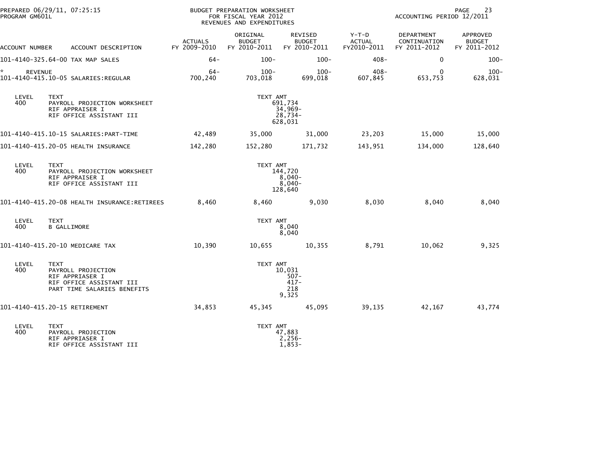| PROGRAM GM601L       | PREPARED 06/29/11, 07:25:15                                                                                     |                                | BUDGET PREPARATION WORKSHEET<br>FOR FISCAL YEAR 2012<br>REVENUES AND EXPENDITURES | PAGE<br>23<br>ACCOUNTING PERIOD 12/2011      |                                         |                                            |                                           |
|----------------------|-----------------------------------------------------------------------------------------------------------------|--------------------------------|-----------------------------------------------------------------------------------|----------------------------------------------|-----------------------------------------|--------------------------------------------|-------------------------------------------|
| ACCOUNT NUMBER       | ACCOUNT DESCRIPTION                                                                                             | <b>ACTUALS</b><br>FY 2009-2010 | ORIGINAL<br><b>BUDGET</b><br>FY 2010-2011                                         | REVISED<br><b>BUDGET</b><br>FY 2010-2011     | $Y-T-D$<br><b>ACTUAL</b><br>FY2010-2011 | DEPARTMENT<br>CONTINUATION<br>FY 2011-2012 | APPROVED<br><b>BUDGET</b><br>FY 2011-2012 |
|                      | 101-4140-325.64-00 TAX MAP SALES                                                                                | $64-$                          | $100 -$                                                                           | $100 -$                                      | $408 -$                                 | $\mathbf 0$                                | $100 -$                                   |
| *.<br><b>REVENUE</b> | 101-4140-415.10-05 SALARIES:REGULAR                                                                             | $64-$<br>700,240               | $100 -$<br>703,018                                                                | $100 -$<br>699,018                           | $408 -$<br>607,845                      | 0<br>653,753                               | $100 -$<br>628,031                        |
| LEVEL<br>400         | TEXT<br>PAYROLL PROJECTION WORKSHEET<br>RIF APPRAISER I<br>RIF OFFICE ASSISTANT III                             |                                | TEXT AMT<br>691,734<br>$34,969-$<br>$28,734-$<br>628,031                          |                                              |                                         |                                            |                                           |
|                      |                                                                                                                 | 42,489                         | 35,000                                                                            | 31,000                                       | 23,203                                  | 15,000                                     | 15,000                                    |
|                      | 101-4140-415.20-05 HEALTH INSURANCE                                                                             | 142,280                        | 152,280                                                                           | 171,732                                      | 143,951                                 | 134,000                                    | 128,640                                   |
| LEVEL<br>400         | <b>TEXT</b><br>PAYROLL PROJECTION WORKSHEET<br>RIF APPRAISER I<br>RIF OFFICE ASSISTANT III                      |                                | TEXT AMT                                                                          | 144,720<br>$8,040-$<br>$8,040-$<br>128,640   |                                         |                                            |                                           |
|                      |                                                                                                                 | 8,460                          | 8,460                                                                             | 9,030                                        | 8,030                                   | 8,040                                      | 8,040                                     |
| LEVEL<br>400         | <b>TEXT</b><br><b>B GALLIMORE</b>                                                                               |                                | TEXT AMT                                                                          | 8,040<br>8,040                               |                                         |                                            |                                           |
|                      | 101-4140-415.20-10 MEDICARE TAX                                                                                 | 10,390                         | 10,655                                                                            | 10,355                                       | 8,791                                   | 10,062                                     | 9,325                                     |
| LEVEL<br>400         | <b>TEXT</b><br>PAYROLL PROJECTION<br>RIF APPRIASER I<br>RIF OFFICE ASSISTANT III<br>PART TIME SALARIES BENEFITS |                                | TEXT AMT                                                                          | 10,031<br>$507 -$<br>$417 -$<br>218<br>9,325 |                                         |                                            |                                           |
|                      | 101-4140-415.20-15 RETIREMENT                                                                                   | 34,853                         | 45,345                                                                            | 45,095                                       | 39,135                                  | 42,167                                     | 43,774                                    |
| LEVEL<br>400         | <b>TEXT</b><br>PAYROLL PROJECTION<br>RIF APPRIASER I<br>RIF OFFICE ASSISTANT III                                |                                | TEXT AMT                                                                          | 47,883<br>$2,256-$<br>$1,853-$               |                                         |                                            |                                           |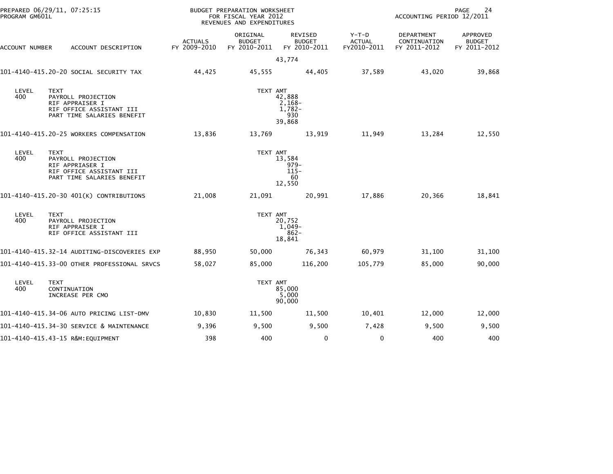| PROGRAM GM601L | PREPARED 06/29/11, 07:25:15                                                                                    |                                | BUDGET PREPARATION WORKSHEET<br>FOR FISCAL YEAR 2012<br>REVENUES AND EXPENDITURES |                                               | 24<br>PAGE<br>ACCOUNTING PERIOD 12/2011 |                                                   |                                           |
|----------------|----------------------------------------------------------------------------------------------------------------|--------------------------------|-----------------------------------------------------------------------------------|-----------------------------------------------|-----------------------------------------|---------------------------------------------------|-------------------------------------------|
| ACCOUNT NUMBER | ACCOUNT DESCRIPTION                                                                                            | <b>ACTUALS</b><br>FY 2009-2010 | ORIGINAL<br><b>BUDGET</b><br>FY 2010-2011                                         | REVISED<br><b>BUDGET</b><br>FY 2010-2011      | $Y-T-D$<br><b>ACTUAL</b><br>FY2010-2011 | <b>DEPARTMENT</b><br>CONTINUATION<br>FY 2011-2012 | APPROVED<br><b>BUDGET</b><br>FY 2011-2012 |
|                |                                                                                                                |                                |                                                                                   | 43,774                                        |                                         |                                                   |                                           |
|                | 101–4140–415.20–20 SOCIAL SECURITY TAX                                                                         | 44,425                         | 45,555                                                                            | 44,405                                        | 37,589                                  | 43,020                                            | 39,868                                    |
| LEVEL<br>400   | <b>TEXT</b><br>PAYROLL PROJECTION<br>RIF APPRAISER I<br>RIF OFFICE ASSISTANT III<br>PART TIME SALARIES BENEFIT |                                | TEXT AMT                                                                          | 42,888<br>$2,168-$<br>1,782-<br>930<br>39,868 |                                         |                                                   |                                           |
|                | 101-4140-415.20-25 WORKERS COMPENSATION                                                                        | 13,836                         | 13,769                                                                            | 13,919                                        | 11,949                                  | 13,284                                            | 12,550                                    |
| LEVEL<br>400   | <b>TEXT</b><br>PAYROLL PROJECTION<br>RIF APPRIASER I<br>RIF OFFICE ASSISTANT III<br>PART TIME SALARIES BENEFIT |                                | TEXT AMT                                                                          | 13.584<br>$979-$<br>$115 -$<br>60<br>12,550   |                                         |                                                   |                                           |
|                | 101-4140-415.20-30 401(K) CONTRIBUTIONS                                                                        | 21,008                         | 21,091                                                                            | 20,991                                        | 17,886                                  | 20,366                                            | 18,841                                    |
| LEVEL<br>400   | <b>TEXT</b><br>PAYROLL PROJECTION<br>RIF APPRAISER I<br>RIF OFFICE ASSISTANT III                               |                                | TEXT AMT                                                                          | 20,752<br>1,049-<br>$862 -$<br>18,841         |                                         |                                                   |                                           |
|                | 101–4140–415.32–14 AUDITING–DISCOVERIES EXP                                                                    | 88,950                         | 50,000                                                                            | 76,343                                        | 60,979                                  | 31,100                                            | 31,100                                    |
|                | 101-4140-415.33-00 OTHER PROFESSIONAL SRVCS                                                                    | 58,027                         | 85,000                                                                            | 116,200                                       | 105,779                                 | 85,000                                            | 90,000                                    |
| LEVEL<br>400   | <b>TEXT</b><br>CONTINUATION<br>INCREASE PER CMO                                                                |                                | TEXT AMT                                                                          | 85,000<br>5,000<br>90,000                     |                                         |                                                   |                                           |
|                | 101-4140-415.34-06 AUTO PRICING LIST-DMV                                                                       | 10,830                         | 11,500                                                                            | 11,500                                        | 10,401                                  | 12,000                                            | 12,000                                    |
|                | 101-4140-415.34-30 SERVICE & MAINTENANCE                                                                       | 9,396                          | 9,500                                                                             | 9,500                                         | 7,428                                   | 9,500                                             | 9,500                                     |
|                | 101-4140-415.43-15 R&M:EQUIPMENT                                                                               | 398                            | 400                                                                               | $\mathbf 0$                                   | $\mathbf 0$                             | 400                                               | 400                                       |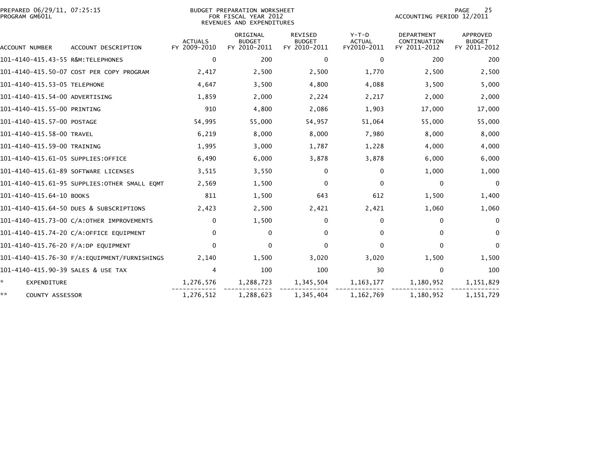| PREPARED 06/29/11, 07:25:15<br>PROGRAM GM601L |                                              |                                | BUDGET PREPARATION WORKSHEET<br>FOR FISCAL YEAR 2012<br>REVENUES AND EXPENDITURES |                                                 |                                         | 25<br>PAGE<br>ACCOUNTING PERIOD 12/2011           |                                                  |  |  |
|-----------------------------------------------|----------------------------------------------|--------------------------------|-----------------------------------------------------------------------------------|-------------------------------------------------|-----------------------------------------|---------------------------------------------------|--------------------------------------------------|--|--|
| ACCOUNT NUMBER                                | ACCOUNT DESCRIPTION                          | <b>ACTUALS</b><br>FY 2009-2010 | ORIGINAL<br><b>BUDGET</b><br>FY 2010-2011                                         | <b>REVISED</b><br><b>BUDGET</b><br>FY 2010-2011 | $Y-T-D$<br><b>ACTUAL</b><br>FY2010-2011 | <b>DEPARTMENT</b><br>CONTINUATION<br>FY 2011-2012 | <b>APPROVED</b><br><b>BUDGET</b><br>FY 2011-2012 |  |  |
| 101-4140-415.43-55 R&M:TELEPHONES             |                                              | 0                              | 200                                                                               | 0                                               | $\Omega$                                | 200                                               | 200                                              |  |  |
|                                               | 101-4140-415.50-07 COST PER COPY PROGRAM     | 2,417                          | 2,500                                                                             | 2,500                                           | 1,770                                   | 2,500                                             | 2,500                                            |  |  |
| 101-4140-415.53-05 TELEPHONE                  |                                              | 4,647                          | 3,500                                                                             | 4,800                                           | 4,088                                   | 3,500                                             | 5,000                                            |  |  |
| 101-4140-415.54-00 ADVERTISING                |                                              | 1,859                          | 2,000                                                                             | 2,224                                           | 2,217                                   | 2,000                                             | 2,000                                            |  |  |
| 101-4140-415.55-00 PRINTING                   |                                              | 910                            | 4,800                                                                             | 2,086                                           | 1,903                                   | 17,000                                            | 17,000                                           |  |  |
| 101-4140-415.57-00 POSTAGE                    |                                              | 54,995                         | 55,000                                                                            | 54,957                                          | 51,064                                  | 55,000                                            | 55,000                                           |  |  |
| 101-4140-415.58-00 TRAVEL                     |                                              | 6,219                          | 8,000                                                                             | 8,000                                           | 7,980                                   | 8,000                                             | 8,000                                            |  |  |
| 101-4140-415.59-00 TRAINING                   |                                              | 1,995                          | 3,000                                                                             | 1,787                                           | 1,228                                   | 4,000                                             | 4,000                                            |  |  |
| 101-4140-415.61-05 SUPPLIES:OFFICE            |                                              | 6,490                          | 6,000                                                                             | 3,878                                           | 3,878                                   | 6,000                                             | 6,000                                            |  |  |
| 101-4140-415.61-89 SOFTWARE LICENSES          |                                              | 3,515                          | 3,550                                                                             | 0                                               | 0                                       | 1,000                                             | 1,000                                            |  |  |
|                                               | 101-4140-415.61-95 SUPPLIES:OTHER SMALL EQMT | 2,569                          | 1,500                                                                             | 0                                               | $\Omega$                                | 0                                                 | 0                                                |  |  |
| 101-4140-415.64-10 BOOKS                      |                                              | 811                            | 1,500                                                                             | 643                                             | 612                                     | 1,500                                             | 1,400                                            |  |  |
|                                               | 101-4140-415.64-50 DUES & SUBSCRIPTIONS      | 2,423                          | 2,500                                                                             | 2,421                                           | 2,421                                   | 1,060                                             | 1,060                                            |  |  |
|                                               | 101-4140-415.73-00 C/A:OTHER IMPROVEMENTS    | $\mathbf{0}$                   | 1,500                                                                             | 0                                               | 0                                       | 0                                                 | $\mathbf{0}$                                     |  |  |
|                                               | 101-4140-415.74-20 C/A:OFFICE EQUIPMENT      | $\Omega$                       | 0                                                                                 | $\mathbf{0}$                                    | $\mathbf{0}$                            | $\Omega$                                          | $\Omega$                                         |  |  |
| 101-4140-415.76-20 F/A:DP EQUIPMENT           |                                              | $\Omega$                       | 0                                                                                 | $\mathbf{0}$                                    | 0                                       | $\mathbf{0}$                                      | 0                                                |  |  |
|                                               | 101-4140-415.76-30 F/A:EQUIPMENT/FURNISHINGS | 2,140                          | 1,500                                                                             | 3,020                                           | 3,020                                   | 1,500                                             | 1,500                                            |  |  |
| 101-4140-415.90-39 SALES & USE TAX            |                                              | 4                              | 100                                                                               | 100                                             | 30                                      | $\mathbf 0$                                       | 100                                              |  |  |
| ☆.<br><b>EXPENDITURE</b>                      |                                              | 1,276,576                      | 1,288,723                                                                         | 1,345,504                                       | 1, 163, 177                             | 1,180,952                                         | 1,151,829                                        |  |  |
| **<br>COUNTY ASSESSOR                         |                                              | 1,276,512                      | 1,288,623                                                                         | 1,345,404                                       | 1,162,769                               | 1,180,952                                         | 1, 151, 729                                      |  |  |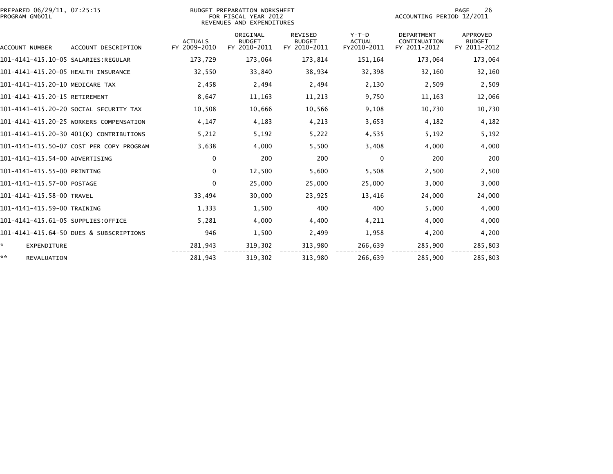| PREPARED 06/29/11, 07:25:15<br>PROGRAM GM601L |                                          |                                | BUDGET PREPARATION WORKSHEET<br>FOR FISCAL YEAR 2012<br>REVENUES AND EXPENDITURES | 26<br>PAGE<br>ACCOUNTING PERIOD 12/2011         |                                         |                                                   |                                           |
|-----------------------------------------------|------------------------------------------|--------------------------------|-----------------------------------------------------------------------------------|-------------------------------------------------|-----------------------------------------|---------------------------------------------------|-------------------------------------------|
| ACCOUNT NUMBER                                | ACCOUNT DESCRIPTION                      | <b>ACTUALS</b><br>FY 2009-2010 | ORIGINAL<br><b>BUDGET</b><br>FY 2010-2011                                         | <b>REVISED</b><br><b>BUDGET</b><br>FY 2010-2011 | $Y-T-D$<br><b>ACTUAL</b><br>FY2010-2011 | <b>DEPARTMENT</b><br>CONTINUATION<br>FY 2011-2012 | APPROVED<br><b>BUDGET</b><br>FY 2011-2012 |
|                                               |                                          | 173,729                        | 173,064                                                                           | 173,814                                         | 151,164                                 | 173,064                                           | 173,064                                   |
| 101-4141-415.20-05 HEALTH INSURANCE           |                                          | 32,550                         | 33,840                                                                            | 38,934                                          | 32,398                                  | 32,160                                            | 32,160                                    |
| 101-4141-415.20-10 MEDICARE TAX               |                                          | 2,458                          | 2,494                                                                             | 2,494                                           | 2,130                                   | 2,509                                             | 2,509                                     |
| 101-4141-415.20-15 RETIREMENT                 |                                          | 8,647                          | 11,163                                                                            | 11,213                                          | 9,750                                   | 11,163                                            | 12,066                                    |
|                                               | 101-4141-415.20-20 SOCIAL SECURITY TAX   | 10,508                         | 10,666                                                                            | 10,566                                          | 9,108                                   | 10,730                                            | 10,730                                    |
|                                               | 101-4141-415.20-25 WORKERS COMPENSATION  | 4,147                          | 4,183                                                                             | 4,213                                           | 3,653                                   | 4,182                                             | 4,182                                     |
|                                               | 101-4141-415.20-30 401(K) CONTRIBUTIONS  | 5,212                          | 5,192                                                                             | 5,222                                           | 4,535                                   | 5,192                                             | 5,192                                     |
|                                               | 101-4141-415.50-07 COST PER COPY PROGRAM | 3,638                          | 4,000                                                                             | 5,500                                           | 3,408                                   | 4,000                                             | 4,000                                     |
| 101-4141-415.54-00 ADVERTISING                |                                          | $\mathbf{0}$                   | 200                                                                               | 200                                             | $\mathbf{0}$                            | 200                                               | 200                                       |
| 101-4141-415.55-00 PRINTING                   |                                          | $\mathbf{0}$                   | 12,500                                                                            | 5,600                                           | 5,508                                   | 2,500                                             | 2,500                                     |
| 101-4141-415.57-00 POSTAGE                    |                                          | $\mathbf{0}$                   | 25,000                                                                            | 25,000                                          | 25,000                                  | 3,000                                             | 3,000                                     |
| 101-4141-415.58-00 TRAVEL                     |                                          | 33,494                         | 30,000                                                                            | 23,925                                          | 13.416                                  | 24,000                                            | 24,000                                    |
| 101-4141-415.59-00 TRAINING                   |                                          | 1,333                          | 1,500                                                                             | 400                                             | 400                                     | 5,000                                             | 4,000                                     |
| 101-4141-415.61-05 SUPPLIES:OFFICE            |                                          | 5.281                          | 4,000                                                                             | 4,400                                           | 4,211                                   | 4,000                                             | 4,000                                     |
|                                               | 101-4141-415.64-50 DUES & SUBSCRIPTIONS  | 946                            | 1.500                                                                             | 2,499                                           | 1.958                                   | 4.200                                             | 4,200                                     |
| ŵ.<br><b>EXPENDITURE</b>                      |                                          | 281,943                        | 319,302                                                                           | 313,980                                         | 266,639                                 | 285,900                                           | 285,803                                   |
| **<br><b>REVALUATION</b>                      |                                          | 281,943                        | 319,302                                                                           | 313.980                                         | 266,639                                 | 285.900                                           | 285,803                                   |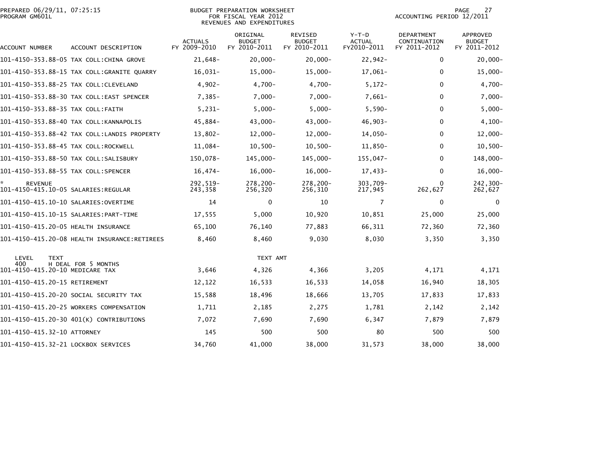|                | PREPARED 06/29/11, 07:25:15 |  |
|----------------|-----------------------------|--|
| PROGRAM GM601L |                             |  |

## PREPARED 06/29/11, 07:25:15 BUDGET PREPARATION WORKSHEET PAGE 27PROGRAM GM601L FOR FISCAL YEAR 2012 ACCOUNTING PERIOD 12/2011 REVENUES AND EXPENDITURES

| ACCOUNT NUMBER                                        | ACCOUNT DESCRIPTION                          | <b>ACTUALS</b><br>FY 2009-2010 | ORIGINAL<br><b>BUDGET</b><br>FY 2010-2011 | REVISED<br><b>BUDGET</b><br>FY 2010-2011 | $Y-T-D$<br><b>ACTUAL</b><br>FY2010-2011 | DEPARTMENT<br>CONTINUATION<br>FY 2011-2012 | <b>APPROVED</b><br><b>BUDGET</b><br>FY 2011-2012 |
|-------------------------------------------------------|----------------------------------------------|--------------------------------|-------------------------------------------|------------------------------------------|-----------------------------------------|--------------------------------------------|--------------------------------------------------|
|                                                       | 101-4150-353.88-05 TAX COLL:CHINA GROVE      | 21,648-                        | $20,000 -$                                | $20,000 -$                               | $22,942-$                               | $\mathbf{0}$                               | $20,000 -$                                       |
|                                                       | 101-4150-353.88-15 TAX COLL:GRANITE QUARRY   | $16,031-$                      | $15,000-$                                 | $15,000-$                                | $17,061-$                               | $\bf{0}$                                   | $15,000 -$                                       |
|                                                       | 101-4150-353.88-25 TAX COLL:CLEVELAND        | $4,902-$                       | $4,700-$                                  | $4,700-$                                 | $5,172-$                                | $\mathbf{0}$                               | $4,700-$                                         |
|                                                       | 101-4150-353.88-30 TAX COLL:EAST SPENCER     | $7,385-$                       | $7,000-$                                  | $7,000 -$                                | $7,661-$                                | 0                                          | $7,000 -$                                        |
| 101-4150-353.88-35 TAX COLL:FAITH                     |                                              | $5,231-$                       | $5,000 -$                                 | $5,000 -$                                | $5,590-$                                | 0                                          | $5,000 -$                                        |
|                                                       | 101-4150-353.88-40 TAX COLL:KANNAPOLIS       | 45,884-                        | 43,000-                                   | $43,000 -$                               | $46,903-$                               | 0                                          | $4,100-$                                         |
|                                                       | 101-4150-353.88-42 TAX COLL:LANDIS PROPERTY  | $13,802-$                      | $12,000-$                                 | $12,000-$                                | $14,050-$                               | $\bf{0}$                                   | $12,000 -$                                       |
| 101-4150-353.88-45 TAX COLL:ROCKWELL                  |                                              | 11,084-                        | $10,500-$                                 | $10,500-$                                | $11,850-$                               | $\mathbf{0}$                               | $10,500 -$                                       |
|                                                       | 101-4150-353.88-50 TAX COLL:SALISBURY        | 150,078-                       | 145,000-                                  | 145,000-                                 | $155,047-$                              | $\Omega$                                   | 148,000-                                         |
| 101-4150-353.88-55 TAX COLL:SPENCER                   |                                              | $16,474-$                      | $16,000 -$                                | $16,000 -$                               | $17,433-$                               | $\Omega$                                   | $16,000 -$                                       |
| <b>REVENUE</b><br>101-4150-415.10-05 SALARIES:REGULAR |                                              | 292,519-<br>243,358            | 278,200-<br>256,320                       | 278,200-<br>256,310                      | 303,709-<br>217,945                     | 262,627                                    | 242,300-<br>262,627                              |
| 101–4150–415.10–10 SALARIES:OVERTIME                  |                                              | 14                             | $\mathbf{0}$                              | 10                                       | $\overline{7}$                          | $\bf{0}$                                   | 0                                                |
|                                                       |                                              | 17,555                         | 5,000                                     | 10,920                                   | 10,851                                  | 25,000                                     | 25,000                                           |
| 101-4150-415.20-05 HEALTH INSURANCE                   |                                              | 65,100                         | 76,140                                    | 77,883                                   | 66,311                                  | 72,360                                     | 72,360                                           |
|                                                       | 101-4150-415.20-08 HEALTH INSURANCE:RETIREES | 8,460                          | 8,460                                     | 9,030                                    | 8,030                                   | 3,350                                      | 3,350                                            |
| LEVEL<br><b>TEXT</b>                                  |                                              |                                | TEXT AMT                                  |                                          |                                         |                                            |                                                  |
| 400<br>101-4150-415.20-10 MEDICARE TAX                | H DEAL FOR 5 MONTHS                          | 3,646                          | 4,326                                     | 4,366                                    | 3,205                                   | 4,171                                      | 4,171                                            |
| 101-4150-415.20-15 RETIREMENT                         |                                              | 12,122                         | 16,533                                    | 16,533                                   | 14,058                                  | 16,940                                     | 18,305                                           |
|                                                       | 101–4150–415.20–20 SOCIAL SECURITY TAX       | 15,588                         | 18,496                                    | 18,666                                   | 13,705                                  | 17,833                                     | 17,833                                           |
|                                                       | 101-4150-415.20-25 WORKERS COMPENSATION      | 1,711                          | 2,185                                     | 2,275                                    | 1,781                                   | 2,142                                      | 2,142                                            |
|                                                       | 101-4150-415.20-30 401(K) CONTRIBUTIONS      | 7,072                          | 7,690                                     | 7,690                                    | 6,347                                   | 7,879                                      | 7,879                                            |
| 101-4150-415.32-10 ATTORNEY                           |                                              | 145                            | 500                                       | 500                                      | 80                                      | 500                                        | 500                                              |
| 101-4150-415.32-21 LOCKBOX SERVICES                   |                                              | 34,760                         | 41,000                                    | 38,000                                   | 31,573                                  | 38,000                                     | 38,000                                           |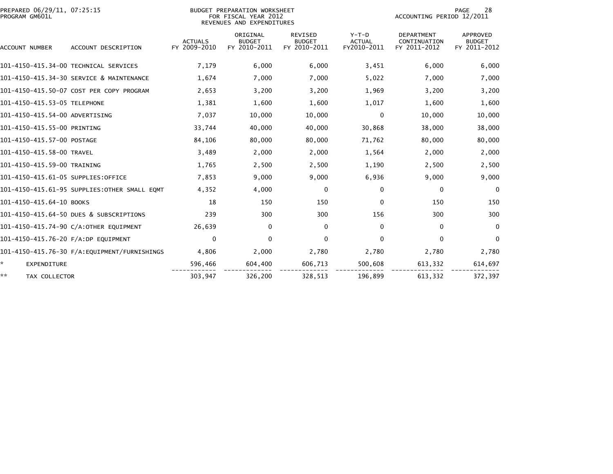| PREPARED 06/29/11, 07:25:15<br>PROGRAM GM601L |                                               |                                | <b>BUDGET PREPARATION WORKSHEET</b><br>FOR FISCAL YEAR 2012<br>REVENUES AND EXPENDITURES |                                                 |                                         | ACCOUNTING PERIOD 12/2011                         | 28<br><b>PAGE</b>                         |
|-----------------------------------------------|-----------------------------------------------|--------------------------------|------------------------------------------------------------------------------------------|-------------------------------------------------|-----------------------------------------|---------------------------------------------------|-------------------------------------------|
| <b>ACCOUNT NUMBER</b>                         | ACCOUNT DESCRIPTION                           | <b>ACTUALS</b><br>FY 2009-2010 | ORIGINAL<br><b>BUDGET</b><br>FY 2010-2011                                                | <b>REVISED</b><br><b>BUDGET</b><br>FY 2010-2011 | $Y-T-D$<br><b>ACTUAL</b><br>FY2010-2011 | <b>DEPARTMENT</b><br>CONTINUATION<br>FY 2011-2012 | APPROVED<br><b>BUDGET</b><br>FY 2011-2012 |
|                                               | 101-4150-415.34-00 TECHNICAL SERVICES         | 7,179                          | 6,000                                                                                    | 6,000                                           | 3,451                                   | 6,000                                             | 6,000                                     |
|                                               | 101-4150-415.34-30 SERVICE & MAINTENANCE      | 1,674                          | 7,000                                                                                    | 7,000                                           | 5,022                                   | 7,000                                             | 7,000                                     |
|                                               | 101-4150-415.50-07 COST PER COPY PROGRAM      | 2,653                          | 3,200                                                                                    | 3,200                                           | 1,969                                   | 3,200                                             | 3,200                                     |
| 101-4150-415.53-05 TELEPHONE                  |                                               | 1,381                          | 1,600                                                                                    | 1,600                                           | 1,017                                   | 1,600                                             | 1,600                                     |
| 101-4150-415.54-00 ADVERTISING                |                                               | 7,037                          | 10,000                                                                                   | 10,000                                          | $\mathbf{0}$                            | 10,000                                            | 10,000                                    |
| 101-4150-415.55-00 PRINTING                   |                                               | 33,744                         | 40,000                                                                                   | 40,000                                          | 30,868                                  | 38,000                                            | 38,000                                    |
| 101-4150-415.57-00 POSTAGE                    |                                               | 84,106                         | 80,000                                                                                   | 80,000                                          | 71,762                                  | 80,000                                            | 80,000                                    |
| 101-4150-415.58-00 TRAVEL                     |                                               | 3,489                          | 2,000                                                                                    | 2,000                                           | 1,564                                   | 2,000                                             | 2,000                                     |
| 101-4150-415.59-00 TRAINING                   |                                               | 1,765                          | 2,500                                                                                    | 2,500                                           | 1,190                                   | 2,500                                             | 2,500                                     |
| 101-4150-415.61-05 SUPPLIES:OFFICE            |                                               | 7,853                          | 9,000                                                                                    | 9,000                                           | 6,936                                   | 9,000                                             | 9,000                                     |
|                                               | 101-4150-415.61-95 SUPPLIES: OTHER SMALL EQMT | 4,352                          | 4,000                                                                                    | 0                                               | $\mathbf{0}$                            | 0                                                 | $\Omega$                                  |
| 101-4150-415.64-10 BOOKS                      |                                               | 18                             | 150                                                                                      | 150                                             | $\mathbf{0}$                            | 150                                               | 150                                       |
|                                               | 101-4150-415.64-50 DUES & SUBSCRIPTIONS       | 239                            | 300                                                                                      | 300                                             | 156                                     | 300                                               | 300                                       |
|                                               | 101-4150-415.74-90 C/A:OTHER EQUIPMENT        | 26,639                         | $\mathbf{0}$                                                                             | $\mathbf 0$                                     | $\mathbf{0}$                            | $\Omega$                                          | $\Omega$                                  |
| 101-4150-415.76-20 F/A:DP EQUIPMENT           |                                               | 0                              | 0                                                                                        | $\mathbf 0$                                     | 0                                       | $\mathbf{0}$                                      | $\mathbf{0}$                              |
|                                               | 101-4150-415.76-30 F/A: EQUIPMENT/FURNISHINGS | 4,806                          | 2,000                                                                                    | 2,780                                           | 2,780                                   | 2,780                                             | 2,780                                     |
| * .<br>EXPENDITURE                            |                                               | 596,466                        | 604,400                                                                                  | 606,713                                         | 500,608                                 | 613,332                                           | 614,697                                   |
| **<br>TAX COLLECTOR                           |                                               | 303,947                        | 326,200                                                                                  | 328,513                                         | 196,899                                 | 613,332                                           | 372,397                                   |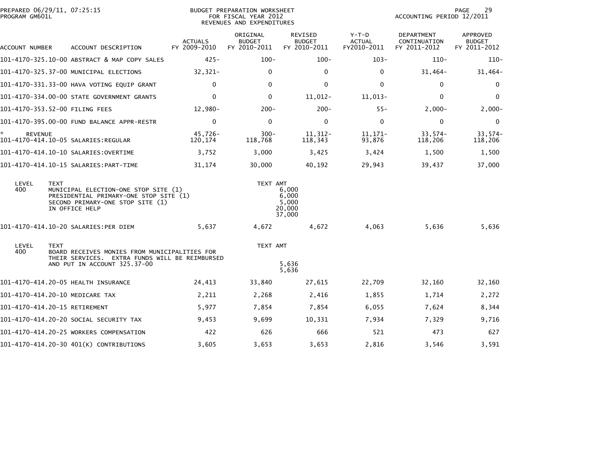| PROGRAM GM601L       | PREPARED 06/29/11, 07:25:15                                                                                                                         |                                | BUDGET PREPARATION WORKSHEET<br>FOR FISCAL YEAR 2012<br>REVENUES AND EXPENDITURES | 29<br>PAGE<br>ACCOUNTING PERIOD 12/2011     |                                       |                                            |                                           |
|----------------------|-----------------------------------------------------------------------------------------------------------------------------------------------------|--------------------------------|-----------------------------------------------------------------------------------|---------------------------------------------|---------------------------------------|--------------------------------------------|-------------------------------------------|
| ACCOUNT NUMBER       | ACCOUNT DESCRIPTION                                                                                                                                 | <b>ACTUALS</b><br>FY 2009-2010 | ORIGINAL<br><b>BUDGET</b><br>FY 2010-2011                                         | REVISED<br><b>BUDGET</b><br>FY 2010-2011    | Y-T-D<br><b>ACTUAL</b><br>FY2010-2011 | DEPARTMENT<br>CONTINUATION<br>FY 2011-2012 | APPROVED<br><b>BUDGET</b><br>FY 2011-2012 |
|                      | 101-4170-325.10-00 ABSTRACT & MAP COPY SALES                                                                                                        | $425 -$                        | $100 -$                                                                           | $100 -$                                     | $103 -$                               | $110-$                                     | $110-$                                    |
|                      | 101-4170-325.37-00 MUNICIPAL ELECTIONS                                                                                                              | $32,321-$                      | 0                                                                                 | 0                                           | 0                                     | $31,464-$                                  | $31,464-$                                 |
|                      | 101-4170-331.33-00 HAVA VOTING EQUIP GRANT                                                                                                          | $\mathbf{0}$                   | $\Omega$                                                                          | $\mathbf 0$                                 | $\mathbf{0}$                          | $\mathbf{0}$                               | 0                                         |
|                      | 101-4170-334.00-00 STATE GOVERNMENT GRANTS                                                                                                          | $\mathbf{0}$                   | 0                                                                                 | $11,012-$                                   | 11,013-                               | $\Omega$                                   | $\mathbf 0$                               |
|                      | 101-4170-353.52-00 FILING FEES                                                                                                                      | $12,980-$                      | $200 -$                                                                           | $200 -$                                     | $55 -$                                | $2,000-$                                   | $2,000-$                                  |
|                      | 101-4170-395.00-00 FUND BALANCE APPR-RESTR                                                                                                          | $\mathbf{0}$                   | $\mathbf 0$                                                                       | $\mathbf 0$                                 | $\mathbf{0}$                          | $\mathbf{0}$                               | $\mathbf 0$                               |
| *.<br><b>REVENUE</b> | 101-4170-414.10-05 SALARIES:REGULAR                                                                                                                 | 45,726-<br>120,174             | $300 -$<br>118,768                                                                | $11.312 -$<br>118,343                       | $11,171-$<br>93,876                   | $33,574-$<br>118,206                       | $33,574-$<br>118,206                      |
|                      |                                                                                                                                                     | 3,752                          | 3,000                                                                             | 3,425                                       | 3,424                                 | 1,500                                      | 1,500                                     |
|                      |                                                                                                                                                     | 31,174                         | 30,000                                                                            | 40,192                                      | 29,943                                | 39,437                                     | 37,000                                    |
| LEVEL<br>400         | <b>TEXT</b><br>MUNICIPAL ELECTION-ONE STOP SITE (1)<br>PRESIDENTIAL PRIMARY-ONE STOP SITE (1)<br>SECOND PRIMARY-ONE STOP SITE (1)<br>IN OFFICE HELP |                                | TEXT AMT                                                                          | 6,000<br>6,000<br>5,000<br>20,000<br>37,000 |                                       |                                            |                                           |
|                      | 101-4170-414.10-20 SALARIES:PER DIEM                                                                                                                | 5,637                          | 4,672                                                                             | 4,672                                       | 4,063                                 | 5,636                                      | 5,636                                     |
| LEVEL<br>400         | <b>TEXT</b><br>BOARD RECEIVES MONIES FROM MUNICIPALITIES FOR<br>THEIR SERVICES. EXTRA FUNDS WILL BE REIMBURSED                                      |                                | TEXT AMT                                                                          |                                             |                                       |                                            |                                           |
|                      | AND PUT IN ACCOUNT 325.37-00                                                                                                                        |                                |                                                                                   | 5,636<br>5,636                              |                                       |                                            |                                           |
|                      | 101-4170-414.20-05 HEALTH INSURANCE                                                                                                                 | 24,413                         | 33,840                                                                            | 27,615                                      | 22,709                                | 32,160                                     | 32,160                                    |
|                      | 101-4170-414.20-10 MEDICARE TAX                                                                                                                     | 2,211                          | 2,268                                                                             | 2,416                                       | 1,855                                 | 1,714                                      | 2,272                                     |
|                      | 101-4170-414.20-15 RETIREMENT                                                                                                                       | 5,977                          | 7,854                                                                             | 7,854                                       | 6,055                                 | 7,624                                      | 8,344                                     |
|                      | 101–4170–414.20–20 SOCIAL SECURITY TAX                                                                                                              | 9,453                          | 9.699                                                                             | 10,331                                      | 7,934                                 | 7,329                                      | 9,716                                     |
|                      | 101-4170-414.20-25 WORKERS COMPENSATION                                                                                                             | 422                            | 626                                                                               | 666                                         | 521                                   | 473                                        | 627                                       |
|                      | 101-4170-414.20-30 401(K) CONTRIBUTIONS                                                                                                             | 3,605                          | 3,653                                                                             | 3,653                                       | 2,816                                 | 3,546                                      | 3,591                                     |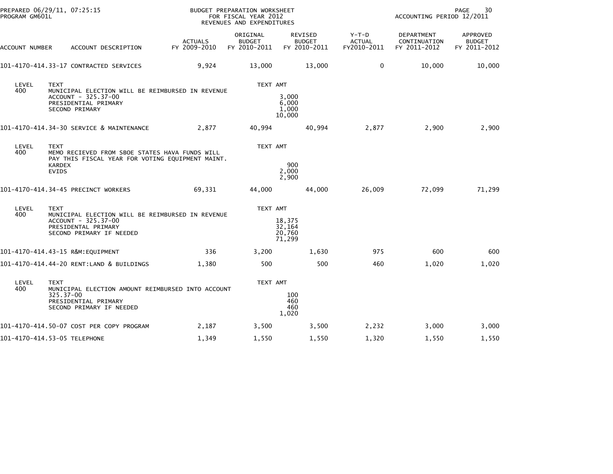| PREPARED 06/29/11, 07:25:15<br>PROGRAM GM601L |                                              |                                                                                                                            |                                | BUDGET PREPARATION WORKSHEET<br>FOR FISCAL YEAR 2012<br>REVENUES AND EXPENDITURES |                                      |                                          |                                         | ACCOUNTING PERIOD 12/2011                         | 30<br>PAGE                                |
|-----------------------------------------------|----------------------------------------------|----------------------------------------------------------------------------------------------------------------------------|--------------------------------|-----------------------------------------------------------------------------------|--------------------------------------|------------------------------------------|-----------------------------------------|---------------------------------------------------|-------------------------------------------|
| ACCOUNT NUMBER                                |                                              | ACCOUNT DESCRIPTION                                                                                                        | <b>ACTUALS</b><br>FY 2009-2010 | ORIGINAL<br><b>BUDGET</b><br>FY 2010-2011                                         |                                      | REVISED<br><b>BUDGET</b><br>FY 2010-2011 | $Y-T-D$<br><b>ACTUAL</b><br>FY2010-2011 | <b>DEPARTMENT</b><br>CONTINUATION<br>FY 2011-2012 | APPROVED<br><b>BUDGET</b><br>FY 2011-2012 |
|                                               |                                              | 101-4170-414.33-17 CONTRACTED SERVICES                                                                                     | 9,924                          | 13,000                                                                            |                                      | 13,000                                   | 0                                       | 10,000                                            | 10,000                                    |
| LEVEL<br>400                                  | <b>TEXT</b>                                  | MUNICIPAL ELECTION WILL BE REIMBURSED IN REVENUE<br>ACCOUNT - 325.37-00<br>PRESIDENTIAL PRIMARY<br>SECOND PRIMARY          |                                | TEXT AMT                                                                          | 3,000<br>6,000<br>1,000<br>10,000    |                                          |                                         |                                                   |                                           |
|                                               |                                              | 101-4170-414.34-30 SERVICE & MAINTENANCE                                                                                   | 2,877                          | 40,994                                                                            |                                      | 40,994                                   | 2,877                                   | 2,900                                             | 2,900                                     |
| LEVEL<br>400                                  | <b>TEXT</b><br><b>KARDEX</b><br><b>EVIDS</b> | MEMO RECIEVED FROM SBOE STATES HAVA FUNDS WILL<br>PAY THIS FISCAL YEAR FOR VOTING EQUIPMENT MAINT.                         |                                | TEXT AMT                                                                          | 900<br>2,000<br>2,900                |                                          |                                         |                                                   |                                           |
|                                               |                                              | 101-4170-414.34-45 PRECINCT WORKERS                                                                                        | 69,331                         | 44,000                                                                            |                                      | 44,000                                   | 26,009                                  | 72,099                                            | 71,299                                    |
| LEVEL<br>400                                  | <b>TEXT</b>                                  | MUNICIPAL ELECTION WILL BE REIMBURSED IN REVENUE<br>ACCOUNT - 325.37-00<br>PRESIDENTAL PRIMARY<br>SECOND PRIMARY IF NEEDED |                                | TEXT AMT                                                                          | 18,375<br>32,164<br>20,760<br>71,299 |                                          |                                         |                                                   |                                           |
|                                               |                                              | 101-4170-414.43-15 R&M:EQUIPMENT                                                                                           | 336                            | 3,200                                                                             |                                      | 1,630                                    | 975                                     | 600                                               | 600                                       |
|                                               |                                              | 101-4170-414.44-20 RENT:LAND & BUILDINGS                                                                                   | 1,380                          | 500                                                                               |                                      | 500                                      | 460                                     | 1,020                                             | 1,020                                     |
| LEVEL<br>400                                  | <b>TEXT</b><br>325.37-00                     | MUNICIPAL ELECTION AMOUNT REIMBURSED INTO ACCOUNT<br>PRESIDENTIAL PRIMARY<br>SECOND PRIMARY IF NEEDED                      |                                | TEXT AMT                                                                          | 100<br>460<br>460<br>1,020           |                                          |                                         |                                                   |                                           |
|                                               |                                              | 101-4170-414.50-07 COST PER COPY PROGRAM                                                                                   | 2,187                          | 3,500                                                                             |                                      | 3,500                                    | 2,232                                   | 3,000                                             | 3,000                                     |
| 101-4170-414.53-05 TELEPHONE                  |                                              |                                                                                                                            | 1,349                          | 1,550                                                                             |                                      | 1,550                                    | 1,320                                   | 1,550                                             | 1,550                                     |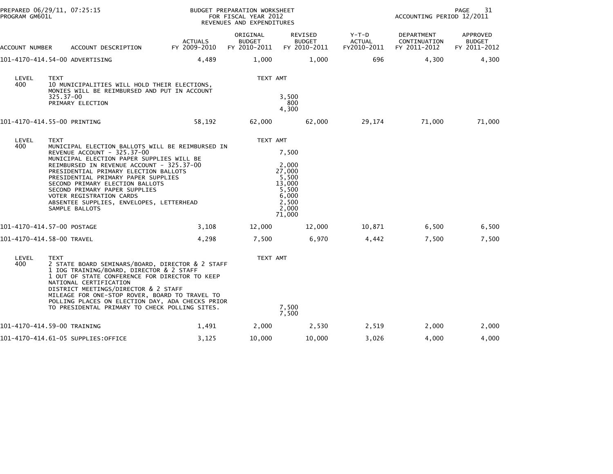| PREPARED 06/29/11, 07:25:15<br>PROGRAM GM601L |                                                                                                                                                                                                                                                                                                                                                                                                                                        |                                | BUDGET PREPARATION WORKSHEET<br>FOR FISCAL YEAR 2012<br>REVENUES AND EXPENDITURES |                                                                                           | 31<br>PAGE<br>ACCOUNTING PERIOD 12/2011 |                                            |                                           |
|-----------------------------------------------|----------------------------------------------------------------------------------------------------------------------------------------------------------------------------------------------------------------------------------------------------------------------------------------------------------------------------------------------------------------------------------------------------------------------------------------|--------------------------------|-----------------------------------------------------------------------------------|-------------------------------------------------------------------------------------------|-----------------------------------------|--------------------------------------------|-------------------------------------------|
| ACCOUNT NUMBER                                | ACCOUNT DESCRIPTION                                                                                                                                                                                                                                                                                                                                                                                                                    | <b>ACTUALS</b><br>FY 2009-2010 | ORIGINAL<br><b>BUDGET</b><br>FY 2010-2011                                         | REVISED<br><b>BUDGET</b><br>FY 2010-2011                                                  | $Y-T-D$<br><b>ACTUAL</b><br>FY2010-2011 | DEPARTMENT<br>CONTINUATION<br>FY 2011-2012 | APPROVED<br><b>BUDGET</b><br>FY 2011-2012 |
|                                               | 101-4170-414.54-00 ADVERTISING                                                                                                                                                                                                                                                                                                                                                                                                         | 4,489                          | 1,000                                                                             | 1,000                                                                                     | 696                                     | 4,300                                      | 4,300                                     |
| LEVEL<br>400                                  | <b>TEXT</b><br>10 MUNICIPALITIES WILL HOLD THEIR ELECTIONS,<br>MONIES WILL BE REIMBURSED AND PUT IN ACCOUNT<br>325.37-00<br>PRIMARY ELECTION                                                                                                                                                                                                                                                                                           |                                | TEXT AMT                                                                          | 3,500<br>800<br>4,300                                                                     |                                         |                                            |                                           |
|                                               | 101-4170-414.55-00 PRINTING                                                                                                                                                                                                                                                                                                                                                                                                            | 58,192                         | 62,000                                                                            | 62,000                                                                                    | 29,174                                  | 71,000                                     | 71,000                                    |
| LEVEL<br>400                                  | <b>TEXT</b><br>MUNICIPAL ELECTION BALLOTS WILL BE REIMBURSED IN<br>REVENUE ACCOUNT - 325.37-00<br>MUNICIPAL ELECTION PAPER SUPPLIES WILL BE<br>REIMBURSED IN REVENUE ACCOUNT - 325.37-00<br>PRESIDENTIAL PRIMARY ELECTION BALLOTS<br>PRESIDENTIAL PRIMARY PAPER SUPPLIES<br>SECOND PRIMARY ELECTION BALLOTS<br>SECOND PRIMARY PAPER SUPPLIES<br>VOTER REGISTRATION CARDS<br>ABSENTEE SUPPLIES, ENVELOPES, LETTERHEAD<br>SAMPLE BALLOTS |                                | TEXT AMT                                                                          | 7,500<br>2,000<br>27,000<br>5,500<br>13,000<br>5.500<br>6,000<br>2,500<br>2,000<br>71,000 |                                         |                                            |                                           |
|                                               | 101-4170-414.57-00 POSTAGE                                                                                                                                                                                                                                                                                                                                                                                                             | 3,108                          | 12,000                                                                            | 12,000                                                                                    | 10,871                                  | 6,500                                      | 6,500                                     |
|                                               | 101-4170-414.58-00 TRAVEL                                                                                                                                                                                                                                                                                                                                                                                                              | 4,298                          | 7,500                                                                             | 6,970                                                                                     | 4,442                                   | 7,500                                      | 7,500                                     |
| LEVEL<br>400                                  | <b>TEXT</b><br>2 STATE BOARD SEMINARS/BOARD, DIRECTOR & 2 STAFF<br>1 IOG TRAINING/BOARD, DIRECTOR & 2 STAFF<br>1 OUT OF STATE CONFERENCE FOR DIRECTOR TO KEEP<br>NATIONAL CERTIFICATION<br>DISTRICT MEETINGS/DIRECTOR & 2 STAFF<br>MILEAGE FOR ONE-STOP ROVER, BOARD TO TRAVEL TO<br>POLLING PLACES ON ELECTION DAY, ADA CHECKS PRIOR<br>TO PRESIDENTAL PRIMARY TO CHECK POLLING SITES.                                                |                                | TEXT AMT                                                                          | 7,500<br>7,500                                                                            |                                         |                                            |                                           |
|                                               | 101-4170-414.59-00 TRAINING                                                                                                                                                                                                                                                                                                                                                                                                            | 1,491                          | 2,000                                                                             | 2,530                                                                                     | 2,519                                   | 2,000                                      | 2,000                                     |
|                                               | 101-4170-414.61-05 SUPPLIES:OFFICE                                                                                                                                                                                                                                                                                                                                                                                                     | 3,125                          | 10,000                                                                            | 10,000                                                                                    | 3,026                                   | 4,000                                      | 4,000                                     |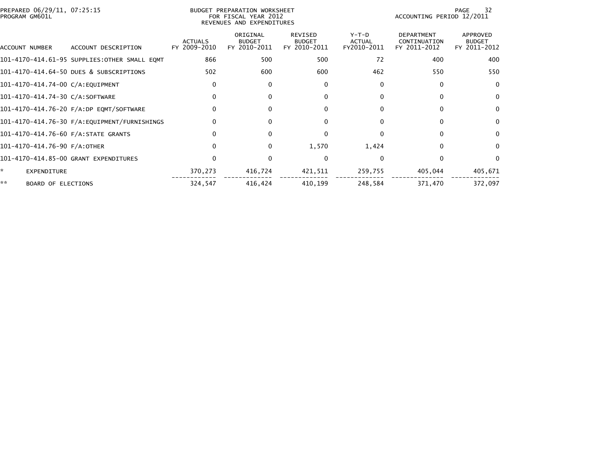| PREPARED 06/29/11, 07:25:15<br>PROGRAM GM601L |                                              | BUDGET PREPARATION WORKSHEET<br>ACCOUNTING PERIOD 12/2011<br>FOR FISCAL YEAR 2012<br>REVENUES AND EXPENDITURES |                                           |                                                 |                                         |                                                   |                                           |  |
|-----------------------------------------------|----------------------------------------------|----------------------------------------------------------------------------------------------------------------|-------------------------------------------|-------------------------------------------------|-----------------------------------------|---------------------------------------------------|-------------------------------------------|--|
| ACCOUNT NUMBER                                | ACCOUNT DESCRIPTION                          | <b>ACTUALS</b><br>FY 2009-2010                                                                                 | ORIGINAL<br><b>BUDGET</b><br>FY 2010-2011 | <b>REVISED</b><br><b>BUDGET</b><br>FY 2010-2011 | $Y-T-D$<br><b>ACTUAL</b><br>FY2010-2011 | <b>DEPARTMENT</b><br>CONTINUATION<br>FY 2011-2012 | APPROVED<br><b>BUDGET</b><br>FY 2011-2012 |  |
|                                               | 101-4170-414.61-95 SUPPLIES:OTHER SMALL EQMT | 866                                                                                                            | 500                                       | 500                                             | 72                                      | 400                                               | 400                                       |  |
|                                               | 101-4170-414.64-50 DUES & SUBSCRIPTIONS      | 502                                                                                                            | 600                                       | 600                                             | 462                                     | 550                                               | 550                                       |  |
| 101-4170-414.74-00 C/A:EQUIPMENT              |                                              | $\Omega$                                                                                                       | 0                                         | 0                                               | $\Omega$                                | $\Omega$                                          | $\bf{0}$                                  |  |
| 101-4170-414.74-30 C/A:SOFTWARE               |                                              | $\Omega$                                                                                                       | 0                                         | 0                                               | $\bf{0}$                                |                                                   | $\bf{0}$                                  |  |
|                                               | 101-4170-414.76-20 F/A:DP EQMT/SOFTWARE      | $\Omega$                                                                                                       |                                           | 0                                               | $\Omega$                                |                                                   | 0                                         |  |
|                                               | 101-4170-414.76-30 F/A:EQUIPMENT/FURNISHINGS |                                                                                                                |                                           |                                                 | $\Omega$                                |                                                   | 0                                         |  |
| 101-4170-414.76-60 F/A:STATE GRANTS           |                                              |                                                                                                                |                                           |                                                 | $\Omega$                                |                                                   |                                           |  |
| 101-4170-414.76-90 F/A:OTHER                  |                                              | $\Omega$                                                                                                       | 0                                         | 1,570                                           | 1,424                                   |                                                   |                                           |  |
|                                               | 101-4170-414.85-00 GRANT EXPENDITURES        |                                                                                                                |                                           |                                                 | $\Omega$                                |                                                   |                                           |  |
| *<br><b>EXPENDITURE</b>                       |                                              | 370,273                                                                                                        | 416,724                                   | 421,511                                         | 259,755                                 | 405,044                                           | 405,671                                   |  |
| **<br>BOARD OF ELECTIONS                      |                                              | 324,547                                                                                                        | 416,424                                   | 410,199                                         | 248,584                                 | 371,470                                           | 372,097                                   |  |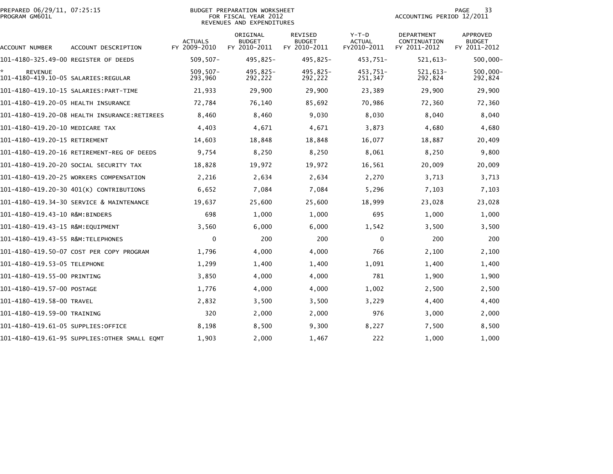|                | PREPARED 06/29/11, 07:25:15 |  |
|----------------|-----------------------------|--|
| PROGRAM GM601L |                             |  |

#### BUDGET PREPARATION WORKSHEET PROGRAM GM601L FOR FISCAL YEAR 2012 ACCOUNTING PERIOD 12/2011 REVENUES AND EXPENDITURES

| ACCOUNT NUMBER                                         | ACCOUNT DESCRIPTION                           | <b>ACTUALS</b><br>FY 2009-2010 | ORIGINAL<br><b>BUDGET</b><br>FY 2010-2011 | <b>REVISED</b><br><b>BUDGET</b><br>FY 2010-2011 | $Y-T-D$<br><b>ACTUAL</b><br>FY2010-2011 | <b>DEPARTMENT</b><br>CONTINUATION<br>FY 2011-2012 | <b>APPROVED</b><br><b>BUDGET</b><br>FY 2011-2012 |
|--------------------------------------------------------|-----------------------------------------------|--------------------------------|-------------------------------------------|-------------------------------------------------|-----------------------------------------|---------------------------------------------------|--------------------------------------------------|
| 101-4180-325.49-00 REGISTER OF DEEDS                   |                                               | $509, 507 -$                   | 495,825-                                  | 495.825-                                        | 453,751-                                | $521,613-$                                        | 500,000-                                         |
| <b>REVENUE</b><br>101-4180-419.10-05 SALARIES: REGULAR |                                               | $509, 507 -$<br>293,960        | 495,825-<br>292,222                       | 495,825-<br>292,222                             | 453,751-<br>251,347                     | $521,613-$<br>292,824                             | $500,000 -$<br>292,824                           |
|                                                        |                                               | 21,933                         | 29,900                                    | 29,900                                          | 23,389                                  | 29,900                                            | 29,900                                           |
| 101-4180-419.20-05 HEALTH INSURANCE                    |                                               | 72,784                         | 76,140                                    | 85,692                                          | 70,986                                  | 72,360                                            | 72,360                                           |
|                                                        |                                               | 8,460                          | 8,460                                     | 9,030                                           | 8,030                                   | 8,040                                             | 8,040                                            |
| 101-4180-419.20-10 MEDICARE TAX                        |                                               | 4,403                          | 4,671                                     | 4,671                                           | 3,873                                   | 4,680                                             | 4,680                                            |
| 101-4180-419.20-15 RETIREMENT                          |                                               | 14,603                         | 18,848                                    | 18,848                                          | 16,077                                  | 18,887                                            | 20,409                                           |
|                                                        | 101-4180-419.20-16 RETIREMENT-REG OF DEEDS    | 9,754                          | 8,250                                     | 8,250                                           | 8,061                                   | 8,250                                             | 9,800                                            |
|                                                        | 101–4180–419.20–20 SOCIAL SECURITY TAX        | 18,828                         | 19,972                                    | 19,972                                          | 16,561                                  | 20,009                                            | 20,009                                           |
|                                                        | 101-4180-419.20-25 WORKERS COMPENSATION       | 2,216                          | 2,634                                     | 2,634                                           | 2,270                                   | 3,713                                             | 3,713                                            |
|                                                        | 101-4180-419.20-30 401(K) CONTRIBUTIONS       | 6,652                          | 7,084                                     | 7,084                                           | 5,296                                   | 7,103                                             | 7,103                                            |
|                                                        | 101-4180-419.34-30 SERVICE & MAINTENANCE      | 19,637                         | 25,600                                    | 25,600                                          | 18,999                                  | 23,028                                            | 23,028                                           |
| 101-4180-419.43-10 R&M:BINDERS                         |                                               | 698                            | 1,000                                     | 1,000                                           | 695                                     | 1,000                                             | 1,000                                            |
| 101-4180-419.43-15 R&M: EQUIPMENT                      |                                               | 3,560                          | 6,000                                     | 6,000                                           | 1,542                                   | 3,500                                             | 3,500                                            |
| 101-4180-419.43-55 R&M: TELEPHONES                     |                                               | $\mathbf{0}$                   | 200                                       | 200                                             | $\Omega$                                | 200                                               | 200                                              |
|                                                        | 101-4180-419.50-07 COST PER COPY PROGRAM      | 1,796                          | 4,000                                     | 4,000                                           | 766                                     | 2,100                                             | 2,100                                            |
| 101-4180-419.53-05 TELEPHONE                           |                                               | 1,299                          | 1,400                                     | 1,400                                           | 1,091                                   | 1,400                                             | 1,400                                            |
| 101-4180-419.55-00 PRINTING                            |                                               | 3,850                          | 4,000                                     | 4,000                                           | 781                                     | 1,900                                             | 1,900                                            |
| 101–4180–419.57–00 POSTAGE                             |                                               | 1,776                          | 4,000                                     | 4,000                                           | 1,002                                   | 2,500                                             | 2,500                                            |
| 101-4180-419.58-00 TRAVEL                              |                                               | 2,832                          | 3,500                                     | 3,500                                           | 3,229                                   | 4,400                                             | 4,400                                            |
| 101-4180-419.59-00 TRAINING                            |                                               | 320                            | 2,000                                     | 2,000                                           | 976                                     | 3,000                                             | 2,000                                            |
| 101-4180-419.61-05 SUPPLIES:OFFICE                     |                                               | 8,198                          | 8,500                                     | 9,300                                           | 8,227                                   | 7,500                                             | 8,500                                            |
|                                                        | 101-4180-419.61-95 SUPPLIES: OTHER SMALL EQMT | 1,903                          | 2,000                                     | 1,467                                           | 222                                     | 1.000                                             | 1,000                                            |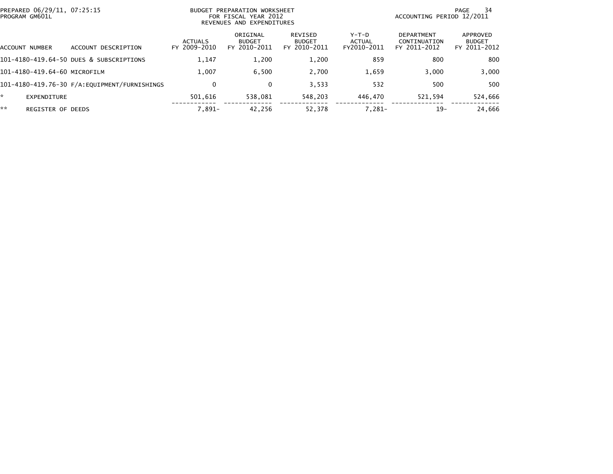| PREPARED 06/29/11, 07:25:15<br>PROGRAM GM601L |                                         | BUDGET PREPARATION WORKSHEET<br>FOR FISCAL YEAR 2012<br>REVENUES AND EXPENDITURES |                                           |                                                 |                                  | ACCOUNTING PERIOD 12/2011                         | 34<br>PAGE                                |
|-----------------------------------------------|-----------------------------------------|-----------------------------------------------------------------------------------|-------------------------------------------|-------------------------------------------------|----------------------------------|---------------------------------------------------|-------------------------------------------|
| ACCOUNT NUMBER                                | DESCRIPTION<br>ACCOUNT                  | <b>ACTUALS</b><br>FY 2009-2010                                                    | ORIGINAL<br><b>BUDGET</b><br>FY 2010-2011 | <b>REVISED</b><br><b>BUDGET</b><br>FY 2010-2011 | $Y-T-D$<br>ACTUAL<br>FY2010-2011 | <b>DEPARTMENT</b><br>CONTINUATION<br>FY 2011-2012 | APPROVED<br><b>BUDGET</b><br>FY 2011-2012 |
|                                               | 101-4180-419.64-50 DUES & SUBSCRIPTIONS | 1,147                                                                             | 1,200                                     | 1,200                                           | 859                              | 800                                               | 800                                       |
| 101-4180-419.64-60 MICROFILM                  |                                         | 1.007                                                                             | 6.500                                     | 2.700                                           | 1,659                            | 3.000                                             | 3,000                                     |
|                                               |                                         | $\mathbf{0}$                                                                      | 0                                         | 3.533                                           | 532                              | 500                                               | 500                                       |
| EXPENDITURE                                   |                                         | 501.616                                                                           | 538.081                                   | 548.203                                         | 446.470                          | 521,594                                           | 524,666                                   |
| **                                            | <b>REGISTER OF DEEDS</b>                | $7.891 -$                                                                         | 42,256                                    | 52.378                                          | $7,281-$                         | $19-$                                             | 24,666                                    |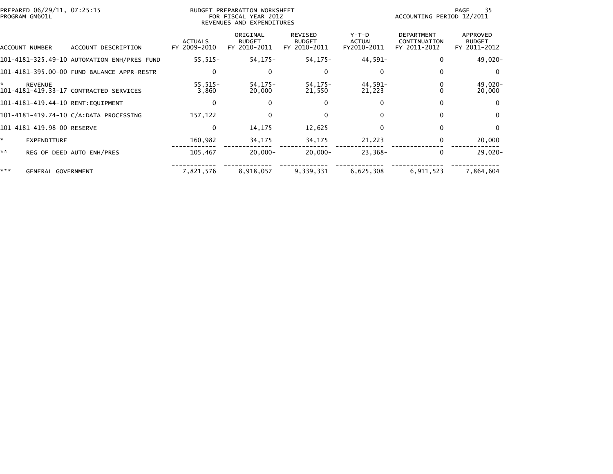| PREPARED 06/29/11, 07:25:15<br>PROGRAM GM601L |                                             | BUDGET PREPARATION WORKSHEET<br>FOR FISCAL YEAR 2012<br>REVENUES AND EXPENDITURES |                                           |                                                 |                                       | 35<br>PAGE<br>ACCOUNTING PERIOD 12/2011           |                                           |
|-----------------------------------------------|---------------------------------------------|-----------------------------------------------------------------------------------|-------------------------------------------|-------------------------------------------------|---------------------------------------|---------------------------------------------------|-------------------------------------------|
| ACCOUNT NUMBER                                | ACCOUNT DESCRIPTION                         | <b>ACTUALS</b><br>FY 2009-2010                                                    | ORIGINAL<br><b>BUDGET</b><br>FY 2010-2011 | <b>REVISED</b><br><b>BUDGET</b><br>FY 2010-2011 | Y-T-D<br><b>ACTUAL</b><br>FY2010-2011 | <b>DEPARTMENT</b><br>CONTINUATION<br>FY 2011-2012 | APPROVED<br><b>BUDGET</b><br>FY 2011-2012 |
|                                               | 101-4181-325.49-10 AUTOMATION ENH/PRES FUND | $55,515-$                                                                         | $54, 175 -$                               | 54,175-                                         | 44,591-                               | 0                                                 | 49,020-                                   |
|                                               | 101-4181-395.00-00 FUND BALANCE APPR-RESTR  | $\Omega$                                                                          | 0                                         | 0                                               | $\Omega$                              | 0                                                 | $\Omega$                                  |
| *<br><b>REVENUE</b>                           | 101-4181-419.33-17 CONTRACTED SERVICES      | $55,515-$<br>3,860                                                                | 54, 175-<br>20,000                        | 54,175-<br>21,550                               | 44,591-<br>21,223                     |                                                   | 49,020-<br>20,000                         |
| 101-4181-419.44-10 RENT:EQUIPMENT             |                                             | 0                                                                                 |                                           | 0                                               | 0                                     | 0                                                 | $\Omega$                                  |
|                                               | 101-4181-419.74-10 C/A:DATA PROCESSING      | 157,122                                                                           | 0                                         | $\Omega$                                        | $\Omega$                              | $\mathbf{0}$                                      | $\Omega$                                  |
| 101-4181-419.98-00 RESERVE                    |                                             | 0                                                                                 | 14,175                                    | 12,625                                          | 0                                     | 0                                                 | $\Omega$                                  |
| *.<br>EXPENDITURE                             |                                             | 160,982                                                                           | 34,175                                    | 34,175                                          | 21,223                                | 0                                                 | 20,000                                    |
| **                                            | REG OF DEED AUTO ENH/PRES                   | 105,467                                                                           | $20.000 -$                                | $20.000 -$                                      | $23.368 -$                            | $\mathbf{0}$                                      | $29,020-$                                 |
| ***<br>GENERAL GOVERNMENT                     |                                             | 7,821,576                                                                         | 8,918,057                                 | 9,339,331                                       | 6,625,308                             | 6,911,523                                         | 7,864,604                                 |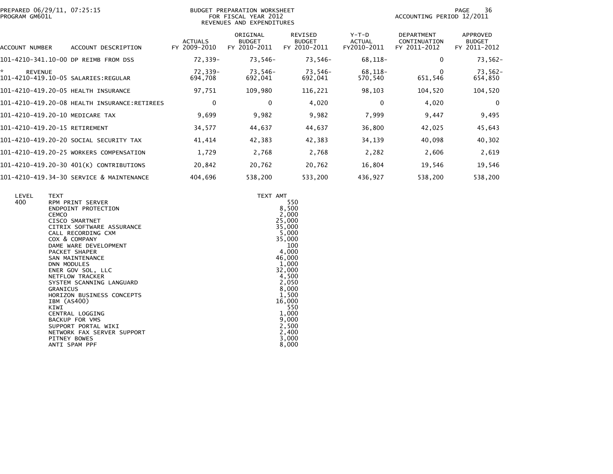| PREPARED 06/29/11, 07:25:15<br>PROGRAM GM601L                 |                                              | BUDGET PREPARATION WORKSHEET<br>FOR FISCAL YEAR 2012<br>REVENUES AND EXPENDITURES |                                           |                                                 |                                       |                                                   | 36<br>PAGE<br>ACCOUNTING PERIOD 12/2011   |
|---------------------------------------------------------------|----------------------------------------------|-----------------------------------------------------------------------------------|-------------------------------------------|-------------------------------------------------|---------------------------------------|---------------------------------------------------|-------------------------------------------|
| <b>ACCOUNT NUMBER</b>                                         | ACCOUNT DESCRIPTION                          | <b>ACTUALS</b><br>FY 2009-2010                                                    | ORIGINAL<br><b>BUDGET</b><br>FY 2010-2011 | <b>REVISED</b><br><b>BUDGET</b><br>FY 2010-2011 | Y-T-D<br><b>ACTUAL</b><br>FY2010-2011 | <b>DEPARTMENT</b><br>CONTINUATION<br>FY 2011-2012 | APPROVED<br><b>BUDGET</b><br>FY 2011-2012 |
| 101-4210-341.10-00 DP REIMB FROM DSS                          |                                              | 72,339-                                                                           | 73,546-                                   | 73,546-                                         | 68,118-                               | 0                                                 | 73,562-                                   |
| * .<br><b>REVENUE</b><br>101-4210-419.10-05 SALARIES: REGULAR |                                              | 72,339-<br>694,708                                                                | 73,546-<br>692,041                        | 73,546-<br>692,041                              | 68,118-<br>570,540                    | 0<br>651,546                                      | 73,562-<br>654,850                        |
| 101-4210-419.20-05 HEALTH INSURANCE                           |                                              | 97,751                                                                            | 109,980                                   | 116,221                                         | 98,103                                | 104,520                                           | 104,520                                   |
|                                                               | 101-4210-419.20-08 HEALTH INSURANCE:RETIREES | 0                                                                                 | 0                                         | 4,020                                           | $\Omega$                              | 4,020                                             | 0                                         |
| 101-4210-419.20-10 MEDICARE TAX                               |                                              | 9,699                                                                             | 9,982                                     | 9,982                                           | 7,999                                 | 9,447                                             | 9,495                                     |
| 101-4210-419.20-15 RETIREMENT                                 |                                              | 34,577                                                                            | 44,637                                    | 44,637                                          | 36,800                                | 42,025                                            | 45,643                                    |
|                                                               | 101-4210-419.20-20 SOCIAL SECURITY TAX       | 41,414                                                                            | 42,383                                    | 42,383                                          | 34,139                                | 40,098                                            | 40,302                                    |
|                                                               | 101-4210-419.20-25 WORKERS COMPENSATION      | 1,729                                                                             | 2,768                                     | 2,768                                           | 2,282                                 | 2,606                                             | 2,619                                     |
|                                                               | 101-4210-419.20-30 401(K) CONTRIBUTIONS      | 20,842                                                                            | 20,762                                    | 20,762                                          | 16,804                                | 19,546                                            | 19,546                                    |
|                                                               | 101-4210-419.34-30 SERVICE & MAINTENANCE     | 404,696                                                                           | 538,200                                   | 533,200                                         | 436,927                               | 538,200                                           | 538,200                                   |

| LEVEL<br>400 | <b>TEXT</b><br>RPM PRINT SERVER<br>ENDPOINT PROTECTION<br><b>CEMCO</b><br>CISCO SMARTNET<br>CITRIX SOFTWARE ASSURANCE<br>CALL RECORDING CXM<br>COX & COMPANY<br>DAME WARE DEVELOPMENT<br>PACKET SHAPER<br>SAN MAINTENANCE<br><b>DNN MODULES</b><br>ENER GOV SOL, LLC<br><b>NETFLOW TRACKER</b><br>SYSTEM SCANNING LANGUARD<br><b>GRANICUS</b><br>HORIZON BUSINESS CONCEPTS<br>IBM (AS400)<br>KIWI<br>CENTRAL LOGGING<br><b>BACKUP FOR VMS</b><br>SUPPORT PORTAL WIKI | TEXT AMT<br>550<br>8,500<br>2,000<br>25,000<br>35,000<br>5,000<br>35,000<br>100<br>4,000<br>46,000<br>1,000<br>32,000<br>4,500<br>2,050<br>8,000<br>1,500<br>16,000<br>550<br>1,000<br>9,000<br>2,500 |
|--------------|----------------------------------------------------------------------------------------------------------------------------------------------------------------------------------------------------------------------------------------------------------------------------------------------------------------------------------------------------------------------------------------------------------------------------------------------------------------------|-------------------------------------------------------------------------------------------------------------------------------------------------------------------------------------------------------|
|              | NETWORK FAX SERVER SUPPORT<br>PITNEY BOWES<br>ANTI SPAM PPF                                                                                                                                                                                                                                                                                                                                                                                                          | 2,400<br>3,000<br>8,000                                                                                                                                                                               |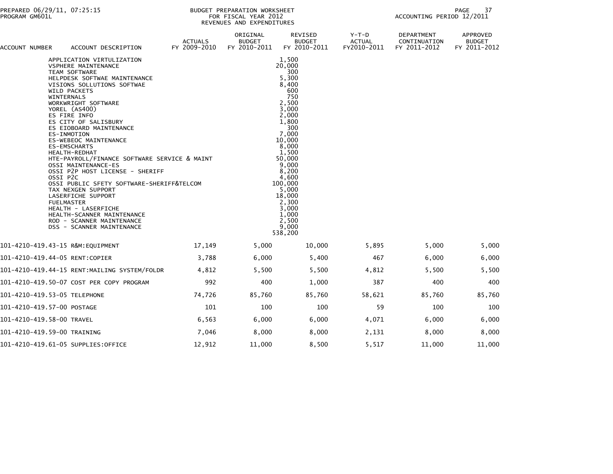| ACCOUNT NUMBER<br>ACCOUNT DESCRIPTION                                                                                                                                                                                                                                                                                                                                                                                                                                                                                                                                                                                                                                                                                     | <b>ACTUALS</b><br>FY 2009-2010 | ORIGINAL<br><b>BUDGET</b><br>FY 2010-2011 | <b>REVISED</b><br><b>BUDGET</b><br>FY 2010-2011                                                                                                                                                                                                                   | $Y-T-D$<br><b>ACTUAL</b><br>FY2010-2011 | <b>DEPARTMENT</b><br>CONTINUATION<br>FY 2011-2012 | APPROVED<br><b>BUDGET</b><br>FY 2011-2012 |
|---------------------------------------------------------------------------------------------------------------------------------------------------------------------------------------------------------------------------------------------------------------------------------------------------------------------------------------------------------------------------------------------------------------------------------------------------------------------------------------------------------------------------------------------------------------------------------------------------------------------------------------------------------------------------------------------------------------------------|--------------------------------|-------------------------------------------|-------------------------------------------------------------------------------------------------------------------------------------------------------------------------------------------------------------------------------------------------------------------|-----------------------------------------|---------------------------------------------------|-------------------------------------------|
| APPLICATION VIRTULIZATION<br>VSPHERE MAINTENANCE<br><b>TEAM SOFTWARE</b><br>HELPDESK SOFTWAE MAINTENANCE<br>VISIONS SOLLUTIONS SOFTWAE<br>WILD PACKETS<br><b>WINTERNALS</b><br>WORKWRIGHT SOFTWARE<br>YOREL (AS400)<br>ES FIRE INFO<br>ES CITY OF SALISBURY<br>ES EIOBOARD MAINTENANCE<br>ES-INMOTION<br>ES-WEBEOC MAINTENANCE<br><b>ES-EMSCHARTS</b><br>HEALTH-REDHAT<br>HTE-PAYROLL/FINANCE SOFTWARE SERVICE & MAINT<br>OSSI MAINTENANCE-ES<br>OSSI P2P HOST LICENSE - SHERIFF<br>OSSI P2C<br>OSSI PUBLIC SFETY SOFTWARE-SHERIFF&TELCOM<br>TAX NEXGEN SUPPORT<br>LASERFICHE SUPPORT<br><b>FUELMASTER</b><br>HEALTH - LASERFICHE<br>HEALTH-SCANNER MAINTENANCE<br>ROD - SCANNER MAINTENANCE<br>DSS - SCANNER MAINTENANCE |                                |                                           | 1,500<br>20,000<br>300<br>5,300<br>8,400<br>600<br>750<br>2,500<br>3,000<br>2,000<br>1.800<br>300<br>7.000<br>10,000<br>8,000<br>1,500<br>50.000<br>9,000<br>8,200<br>4,600<br>100,000<br>5,000<br>18,000<br>2,300<br>3,000<br>1,000<br>2.500<br>9,000<br>538,200 |                                         |                                                   |                                           |
| 101-4210-419.43-15 R&M:EQUIPMENT                                                                                                                                                                                                                                                                                                                                                                                                                                                                                                                                                                                                                                                                                          | 17,149                         | 5,000                                     | 10,000                                                                                                                                                                                                                                                            | 5,895                                   | 5,000                                             | 5,000                                     |
| 101-4210-419.44-05 RENT:COPIER                                                                                                                                                                                                                                                                                                                                                                                                                                                                                                                                                                                                                                                                                            | 3,788                          | 6,000                                     | 5,400                                                                                                                                                                                                                                                             | 467                                     | 6,000                                             | 6,000                                     |
| 101-4210-419.44-15 RENT:MAILING SYSTEM/FOLDR                                                                                                                                                                                                                                                                                                                                                                                                                                                                                                                                                                                                                                                                              | 4,812                          | 5,500                                     | 5,500                                                                                                                                                                                                                                                             | 4,812                                   | 5,500                                             | 5,500                                     |
| 101-4210-419.50-07 COST PER COPY PROGRAM                                                                                                                                                                                                                                                                                                                                                                                                                                                                                                                                                                                                                                                                                  | 992                            | 400                                       | 1,000                                                                                                                                                                                                                                                             | 387                                     | 400                                               | 400                                       |
| 101-4210-419.53-05 TELEPHONE                                                                                                                                                                                                                                                                                                                                                                                                                                                                                                                                                                                                                                                                                              | 74,726                         | 85,760                                    | 85,760                                                                                                                                                                                                                                                            | 58,621                                  | 85,760                                            | 85,760                                    |
| 101-4210-419.57-00 POSTAGE                                                                                                                                                                                                                                                                                                                                                                                                                                                                                                                                                                                                                                                                                                | 101                            | 100                                       | 100                                                                                                                                                                                                                                                               | 59                                      | 100                                               | 100                                       |
| 101-4210-419.58-00 TRAVEL                                                                                                                                                                                                                                                                                                                                                                                                                                                                                                                                                                                                                                                                                                 | 6,563                          | 6,000                                     | 6,000                                                                                                                                                                                                                                                             | 4,071                                   | 6,000                                             | 6,000                                     |
| 101-4210-419.59-00 TRAINING                                                                                                                                                                                                                                                                                                                                                                                                                                                                                                                                                                                                                                                                                               | 7,046                          | 8,000                                     | 8,000                                                                                                                                                                                                                                                             | 2,131                                   | 8,000                                             | 8,000                                     |
| 101-4210-419.61-05 SUPPLIES:OFFICE                                                                                                                                                                                                                                                                                                                                                                                                                                                                                                                                                                                                                                                                                        | 12,912                         | 11,000                                    | 8,500                                                                                                                                                                                                                                                             | 5,517                                   | 11,000                                            | 11,000                                    |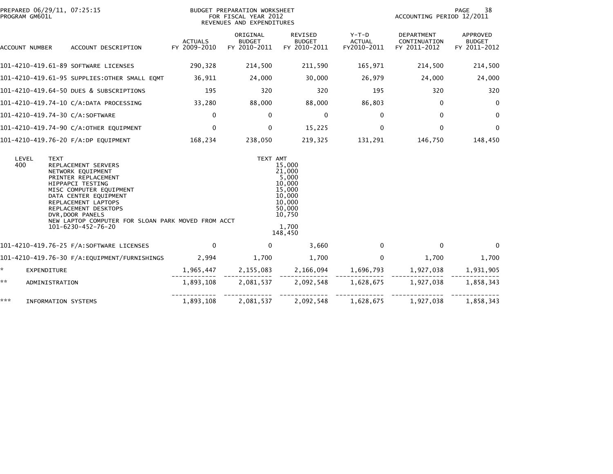| PREPARED 06/29/11, 07:25:15<br>PROGRAM GM601L |                            |                                                                                                                                                                                                                                                                                        |                                | BUDGET PREPARATION WORKSHEET<br>FOR FISCAL YEAR 2012<br>REVENUES AND EXPENDITURES |                                                                                                           |                                       | PAGE<br>38<br>ACCOUNTING PERIOD 12/2011           |                                           |  |
|-----------------------------------------------|----------------------------|----------------------------------------------------------------------------------------------------------------------------------------------------------------------------------------------------------------------------------------------------------------------------------------|--------------------------------|-----------------------------------------------------------------------------------|-----------------------------------------------------------------------------------------------------------|---------------------------------------|---------------------------------------------------|-------------------------------------------|--|
|                                               | ACCOUNT NUMBER             | ACCOUNT DESCRIPTION                                                                                                                                                                                                                                                                    | <b>ACTUALS</b><br>FY 2009-2010 | ORIGINAL<br><b>BUDGET</b><br>FY 2010-2011                                         | REVISED<br><b>BUDGET</b><br>FY 2010-2011                                                                  | Y-T-D<br><b>ACTUAL</b><br>FY2010-2011 | <b>DEPARTMENT</b><br>CONTINUATION<br>FY 2011-2012 | APPROVED<br><b>BUDGET</b><br>FY 2011-2012 |  |
|                                               |                            | 101-4210-419.61-89 SOFTWARE LICENSES                                                                                                                                                                                                                                                   | 290,328                        | 214,500                                                                           | 211,590                                                                                                   | 165,971                               | 214,500                                           | 214,500                                   |  |
|                                               |                            | 101-4210-419.61-95 SUPPLIES:OTHER SMALL EQMT                                                                                                                                                                                                                                           | 36,911                         | 24,000                                                                            | 30,000                                                                                                    | 26,979                                | 24,000                                            | 24,000                                    |  |
|                                               |                            | 101-4210-419.64-50 DUES & SUBSCRIPTIONS                                                                                                                                                                                                                                                | 195                            | 320                                                                               | 320                                                                                                       | 195                                   | 320                                               | 320                                       |  |
|                                               |                            | 101-4210-419.74-10 C/A:DATA PROCESSING                                                                                                                                                                                                                                                 | 33,280                         | 88,000                                                                            | 88,000                                                                                                    | 86,803                                | $\mathbf{0}$                                      | 0                                         |  |
|                                               |                            | 101-4210-419.74-30 C/A:SOFTWARE                                                                                                                                                                                                                                                        | $\mathbf{0}$                   | 0                                                                                 | 0                                                                                                         | $\Omega$                              | $\mathbf{0}$                                      | $\mathbf 0$                               |  |
|                                               |                            | 101-4210-419.74-90 C/A:OTHER EQUIPMENT                                                                                                                                                                                                                                                 | $\mathbf{0}$                   | $\Omega$                                                                          | 15,225                                                                                                    | $\Omega$                              | $\mathbf{0}$                                      | 0                                         |  |
|                                               |                            | 101-4210-419.76-20 F/A:DP EQUIPMENT                                                                                                                                                                                                                                                    | 168,234                        | 238,050                                                                           | 219,325                                                                                                   | 131,291                               | 146,750                                           | 148,450                                   |  |
| 400                                           | LEVEL<br><b>TEXT</b>       | REPLACEMENT SERVERS<br>NETWORK EQUIPMENT<br>PRINTER REPLACEMENT<br>HIPPAPCI TESTING<br>MISC COMPUTER EQUIPMENT<br>DATA CENTER EQUIPMENT<br>REPLACEMENT LAPTOPS<br>REPLACEMENT DESKTOPS<br>DVR, DOOR PANELS<br>NEW LAPTOP COMPUTER FOR SLOAN PARK MOVED FROM ACCT<br>101-6230-452-76-20 |                                | TEXT AMT                                                                          | 15,000<br>21,000<br>5,000<br>10,000<br>15,000<br>10,000<br>10,000<br>50,000<br>10,750<br>1,700<br>148,450 |                                       |                                                   |                                           |  |
|                                               |                            | 101-4210-419.76-25 F/A:SOFTWARE LICENSES                                                                                                                                                                                                                                               | $\mathbf{0}$                   | 0                                                                                 | 3,660                                                                                                     | $\Omega$                              | $\mathbf{0}$                                      | $\Omega$                                  |  |
|                                               |                            | 101-4210-419.76-30 F/A: EQUIPMENT/FURNISHINGS                                                                                                                                                                                                                                          | 2,994                          | 1,700                                                                             | 1,700                                                                                                     | $\Omega$                              | 1,700                                             | 1,700                                     |  |
| *.                                            | EXPENDITURE                |                                                                                                                                                                                                                                                                                        |                                | 1,965,447 2,155,083                                                               | 2,166,094                                                                                                 | 1,696,793                             | 1,927,038                                         | 1,931,905                                 |  |
| **                                            | ADMINISTRATION             |                                                                                                                                                                                                                                                                                        | 1,893,108                      | 2,081,537                                                                         | 2,092,548                                                                                                 | 1,628,675                             | 1,927,038                                         | 1,858,343                                 |  |
| ***                                           | <b>INFORMATION SYSTEMS</b> |                                                                                                                                                                                                                                                                                        | 1,893,108                      | 2,081,537                                                                         | 2,092,548                                                                                                 | 1,628,675                             | 1,927,038                                         | 1,858,343                                 |  |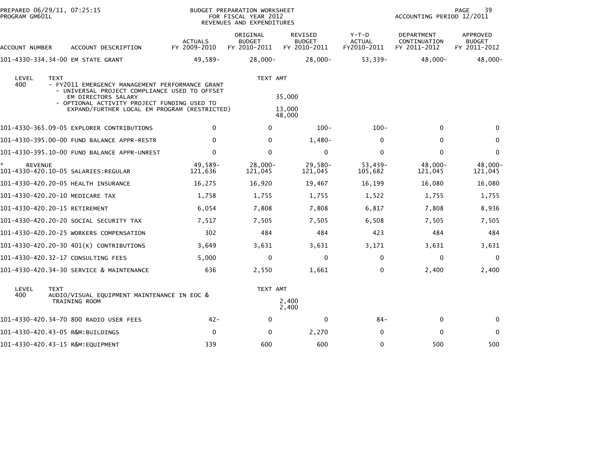| PROGRAM GM601L       | PREPARED 06/29/11, 07:25:15                                                                                                                                                                                                           |                                | BUDGET PREPARATION WORKSHEET<br>FOR FISCAL YEAR 2012<br>REVENUES AND EXPENDITURES |                                          | 39<br>PAGE<br>ACCOUNTING PERIOD 12/2011 |                                            |                                           |
|----------------------|---------------------------------------------------------------------------------------------------------------------------------------------------------------------------------------------------------------------------------------|--------------------------------|-----------------------------------------------------------------------------------|------------------------------------------|-----------------------------------------|--------------------------------------------|-------------------------------------------|
| ACCOUNT NUMBER       | ACCOUNT DESCRIPTION                                                                                                                                                                                                                   | <b>ACTUALS</b><br>FY 2009-2010 | ORIGINAL<br><b>BUDGET</b><br>FY 2010-2011                                         | REVISED<br><b>BUDGET</b><br>FY 2010-2011 | Y-T-D<br>ACTUAL<br>FY2010-2011          | DEPARTMENT<br>CONTINUATION<br>FY 2011-2012 | APPROVED<br><b>BUDGET</b><br>FY 2011-2012 |
|                      | 101-4330-334.34-00 EM STATE GRANT                                                                                                                                                                                                     | 49,589-                        | $28,000-$                                                                         | $28,000 -$                               | 53,339-                                 | $48,000-$                                  | 48,000-                                   |
| LEVEL<br>400         | <b>TEXT</b><br>- FY2011 EMERGENCY MANAGEMENT PERFORMANCE GRANT<br>- UNIVERSAL PROJECT COMPLIANCE USED TO OFFSET<br>EM DIRECTORS SALARY<br>- OPTIONAL ACTIVITY PROJECT FUNDING USED TO<br>EXPAND/FURTHER LOCAL EM PROGRAM (RESTRICTED) |                                | TEXT AMT                                                                          | 35,000<br>13,000<br>48,000               |                                         |                                            |                                           |
|                      | 101-4330-365.09-05 EXPLORER CONTRIBUTIONS                                                                                                                                                                                             | $\mathbf{0}$                   | $\mathbf{0}$                                                                      | $100 -$                                  | $100 -$                                 | $\mathbf{0}$                               | $\Omega$                                  |
|                      |                                                                                                                                                                                                                                       | $\Omega$                       | $\Omega$                                                                          | 1,480-                                   | 0                                       | $\Omega$                                   | $\mathbf{0}$                              |
|                      | 101-4330-395.10-00 FUND BALANCE APPR-UNREST                                                                                                                                                                                           | $\mathbf 0$                    | $\mathbf{0}$                                                                      | 0                                        | $\mathbf 0$                             | $\mathbf{0}$                               | 0                                         |
| *.<br><b>REVENUE</b> | 101-4330-420.10-05 SALARIES:REGULAR                                                                                                                                                                                                   | 49,589-<br>121,636             | $28,000 -$<br>121,045                                                             | $29,580-$<br>121,045                     | 53,439-<br>105,682                      | 48,000-<br>121,045                         | 48,000-<br>121,045                        |
|                      | 101-4330-420.20-05 HEALTH INSURANCE                                                                                                                                                                                                   | 16,275                         | 16,920                                                                            | 19,467                                   | 16,199                                  | 16,080                                     | 16,080                                    |
|                      | 101-4330-420.20-10 MEDICARE TAX                                                                                                                                                                                                       | 1,758                          | 1,755                                                                             | 1,755                                    | 1,522                                   | 1,755                                      | 1,755                                     |
|                      | 101-4330-420.20-15 RETIREMENT                                                                                                                                                                                                         | 6,054                          | 7,808                                                                             | 7,808                                    | 6,817                                   | 7,808                                      | 8,936                                     |
|                      | 101–4330–420.20–20 SOCIAL SECURITY TAX                                                                                                                                                                                                | 7,517                          | 7,505                                                                             | 7,505                                    | 6,508                                   | 7,505                                      | 7,505                                     |
|                      | 101-4330-420.20-25 WORKERS COMPENSATION                                                                                                                                                                                               | 302                            | 484                                                                               | 484                                      | 423                                     | 484                                        | 484                                       |
|                      | 101-4330-420.20-30 401(K) CONTRIBUTIONS                                                                                                                                                                                               | 3,649                          | 3,631                                                                             | 3,631                                    | 3,171                                   | 3,631                                      | 3,631                                     |
|                      | 101-4330-420.32-17 CONSULTING FEES                                                                                                                                                                                                    | 5,000                          | $\mathbf{0}$                                                                      | $\mathbf{0}$                             | 0                                       | $\mathbf{0}$                               | $\mathbf{0}$                              |
|                      | 101-4330-420.34-30 SERVICE & MAINTENANCE                                                                                                                                                                                              | 636                            | 2,550                                                                             | 1,661                                    | 0                                       | 2,400                                      | 2,400                                     |
| LEVEL<br>400         | <b>TEXT</b><br>AUDIO/VISUAL EQUIPMENT MAINTENANCE IN EOC &<br>TRAINING ROOM                                                                                                                                                           |                                | TEXT AMT                                                                          | 2,400<br>2,400                           |                                         |                                            |                                           |
|                      | 101-4330-420.34-70 800 RADIO USER FEES                                                                                                                                                                                                | $42 -$                         | $\mathbf{0}$                                                                      | 0                                        | $84 -$                                  | 0                                          | $\Omega$                                  |
|                      | 101-4330-420.43-05 R&M:BUILDINGS                                                                                                                                                                                                      | $\mathbf{0}$                   | $\mathbf{0}$                                                                      | 2,270                                    | $\mathbf{0}$                            | $\mathbf{0}$                               | $\mathbf{0}$                              |
|                      | 101-4330-420.43-15 R&M:EQUIPMENT                                                                                                                                                                                                      | 339                            | 600                                                                               | 600                                      | 0                                       | 500                                        | 500                                       |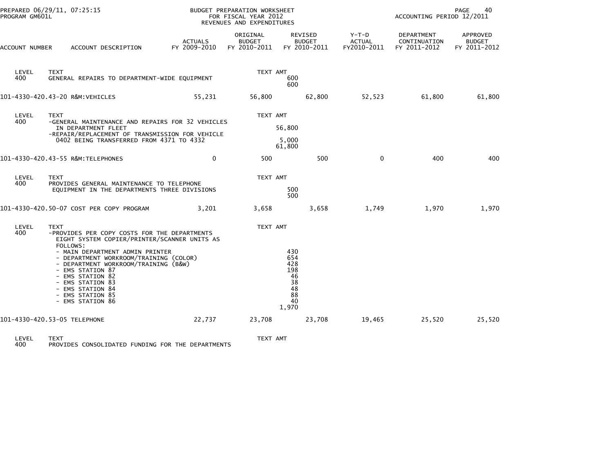| PREPARED 06/29/11, 07:25:15<br>PROGRAM GM601L |                                                                                                                                                                                                                                                                                                                                                               |                                | BUDGET PREPARATION WORKSHEET<br>FOR FISCAL YEAR 2012<br>REVENUES AND EXPENDITURES |                                                                 | 40<br>PAGE<br>ACCOUNTING PERIOD 12/2011 |                                            |                                           |  |
|-----------------------------------------------|---------------------------------------------------------------------------------------------------------------------------------------------------------------------------------------------------------------------------------------------------------------------------------------------------------------------------------------------------------------|--------------------------------|-----------------------------------------------------------------------------------|-----------------------------------------------------------------|-----------------------------------------|--------------------------------------------|-------------------------------------------|--|
| ACCOUNT NUMBER                                | ACCOUNT DESCRIPTION                                                                                                                                                                                                                                                                                                                                           | <b>ACTUALS</b><br>FY 2009-2010 | ORIGINAL<br><b>BUDGET</b><br>FY 2010-2011                                         | REVISED<br><b>BUDGET</b><br>FY 2010-2011                        | Y-T-D<br><b>ACTUAL</b><br>FY2010-2011   | DEPARTMENT<br>CONTINUATION<br>FY 2011-2012 | APPROVED<br><b>BUDGET</b><br>FY 2011-2012 |  |
| LEVEL<br>400                                  | <b>TEXT</b><br>GENERAL REPAIRS TO DEPARTMENT-WIDE EQUIPMENT                                                                                                                                                                                                                                                                                                   |                                | TEXT AMT                                                                          | 600<br>600                                                      |                                         |                                            |                                           |  |
|                                               | 101-4330-420.43-20 R&M: VEHICLES                                                                                                                                                                                                                                                                                                                              | 55,231                         | 56,800                                                                            | 62,800                                                          | 52,523                                  | 61,800                                     | 61,800                                    |  |
| LEVEL<br>400                                  | <b>TEXT</b><br>-GENERAL MAINTENANCE AND REPAIRS FOR 32 VEHICLES<br>IN DEPARTMENT FLEET<br>-REPAIR/REPLACEMENT OF TRANSMISSION FOR VEHICLE<br>0402 BEING TRANSFERRED FROM 4371 TO 4332                                                                                                                                                                         |                                | TEXT AMT                                                                          | 56,800<br>5,000<br>61,800                                       |                                         |                                            |                                           |  |
|                                               | 101-4330-420.43-55 R&M: TELEPHONES                                                                                                                                                                                                                                                                                                                            | $\mathbf{0}$                   | 500                                                                               | 500                                                             | $\Omega$                                | 400                                        | 400                                       |  |
| LEVEL<br>400                                  | <b>TEXT</b><br>PROVIDES GENERAL MAINTENANCE TO TELEPHONE<br>EQUIPMENT IN THE DEPARTMENTS THREE DIVISIONS                                                                                                                                                                                                                                                      |                                | TEXT AMT                                                                          | 500<br>500                                                      |                                         |                                            |                                           |  |
|                                               | 101-4330-420.50-07 COST PER COPY PROGRAM                                                                                                                                                                                                                                                                                                                      | 3,201                          | 3,658                                                                             | 3,658                                                           | 1,749                                   | 1,970                                      | 1,970                                     |  |
| LEVEL<br>400                                  | TEXT<br>-PROVIDES PER COPY COSTS FOR THE DEPARTMENTS<br>EIGHT SYSTEM COPIER/PRINTER/SCANNER UNITS AS<br>FOLLOWS:<br>- MAIN DEPARTMENT ADMIN PRINTER<br>- DEPARTMENT WORKROOM/TRAINING (COLOR)<br>- DEPARTMENT WORKROOM/TRAINING (B&W)<br>- EMS STATION 87<br>- EMS STATION 82<br>- EMS STATION 83<br>- EMS STATION 84<br>- EMS STATION 85<br>- EMS STATION 86 |                                | TEXT AMT                                                                          | 430<br>654<br>428<br>198<br>46<br>38<br>48<br>88<br>40<br>1,970 |                                         |                                            |                                           |  |
|                                               | 101-4330-420.53-05 TELEPHONE                                                                                                                                                                                                                                                                                                                                  | 22,737                         | 23,708                                                                            | 23,708                                                          | 19,465                                  | 25,520                                     | 25,520                                    |  |
| <b>LEVEL</b>                                  | <b>TEXT</b>                                                                                                                                                                                                                                                                                                                                                   |                                | TEXT AMT                                                                          |                                                                 |                                         |                                            |                                           |  |

LEVEL TEXT TEXT AMT 400 PROVIDES CONSOLIDATED FUNDING FOR THE DEPARTMENTS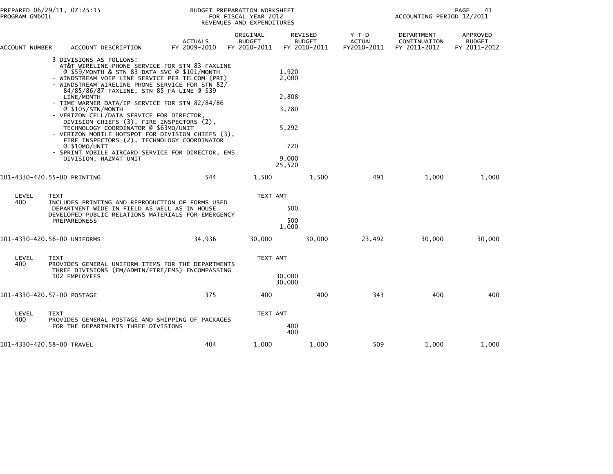| PROGRAM GM601L | PREPARED 06/29/11, 07:25:15                                                                                                                                                                                                                                                                                                                                                                                                                                                                                                                                                                                                                                                                               |                                | <b>BUDGET PREPARATION WORKSHEET</b><br>FOR FISCAL YEAR 2012<br>REVENUES AND EXPENDITURES |                                                                     |                                          |                                         |                                            | 41<br>PAGE<br>ACCOUNTING PERIOD 12/2011   |  |  |
|----------------|-----------------------------------------------------------------------------------------------------------------------------------------------------------------------------------------------------------------------------------------------------------------------------------------------------------------------------------------------------------------------------------------------------------------------------------------------------------------------------------------------------------------------------------------------------------------------------------------------------------------------------------------------------------------------------------------------------------|--------------------------------|------------------------------------------------------------------------------------------|---------------------------------------------------------------------|------------------------------------------|-----------------------------------------|--------------------------------------------|-------------------------------------------|--|--|
| ACCOUNT NUMBER | ACCOUNT DESCRIPTION                                                                                                                                                                                                                                                                                                                                                                                                                                                                                                                                                                                                                                                                                       | <b>ACTUALS</b><br>FY 2009-2010 | ORIGINAL<br><b>BUDGET</b><br>FY 2010-2011                                                |                                                                     | REVISED<br><b>BUDGET</b><br>FY 2010-2011 | $Y-T-D$<br><b>ACTUAL</b><br>FY2010-2011 | DEPARTMENT<br>CONTINUATION<br>FY 2011-2012 | APPROVED<br><b>BUDGET</b><br>FY 2011-2012 |  |  |
|                | 3 DIVISIONS AS FOLLOWS:<br>- AT&T WIRELINE PHONE SERVICE FOR STN 83 FAXLINE<br>@ \$59/MONTH & STN 83 DATA SVC @ \$101/MONTH<br>- WINDSTREAM VOIP LINE SERVICE PER TELCOM (PRI)<br>- WINDSTREAM WIRELINE PHONE SERVICE FOR STN 82/<br>84/85/86/87 FAXLINE, STN 85 FA LINE @ \$39<br>LINE/MONTH<br>- TIME WARNER DATA/IP SERVICE FOR STN 82/84/86<br>@ \$105/STN/MONTH<br>- VERIZON CELL/DATA SERVICE FOR DIRECTOR,<br>DIVISION CHIEFS (3), FIRE INSPECTORS (2),<br>TECHNOLOGY COORDINATOR @ \$63MO/UNIT<br>- VERIZON MOBILE HOTSPOT FOR DIVISION CHIEFS (3),<br>FIRE INSPECTORS (2), TECHNOLOGY COORDINATOR<br>@ \$10MO/UNIT<br>- SPRINT MOBILE AIRCARD SERVICE FOR DIRECTOR, EMS<br>DIVISION, HAZMAT UNIT |                                |                                                                                          | 1.920<br>2,000<br>2,808<br>3,780<br>5,292<br>720<br>9.000<br>25,520 |                                          |                                         |                                            |                                           |  |  |
|                | 101-4330-420.55-00 PRINTING                                                                                                                                                                                                                                                                                                                                                                                                                                                                                                                                                                                                                                                                               | 544                            | 1,500                                                                                    |                                                                     | 1,500                                    | 491                                     | 1,000                                      | 1,000                                     |  |  |
| LEVEL<br>400   | <b>TEXT</b><br>INCLUDES PRINTING AND REPRODUCTION OF FORMS USED<br>DEPARTMENT WIDE IN FIELD AS WELL AS IN HOUSE<br>DEVELOPED PUBLIC RELATIONS MATERIALS FOR EMERGENCY<br><b>PREPAREDNESS</b>                                                                                                                                                                                                                                                                                                                                                                                                                                                                                                              |                                | TEXT AMT                                                                                 | 500<br>500<br>1,000                                                 |                                          |                                         |                                            |                                           |  |  |
|                | 101-4330-420.56-00 UNIFORMS                                                                                                                                                                                                                                                                                                                                                                                                                                                                                                                                                                                                                                                                               | 34,936                         | 30,000                                                                                   |                                                                     | 30,000                                   | 23,492                                  | 30,000                                     | 30,000                                    |  |  |
| LEVEL<br>400   | <b>TEXT</b><br>PROVIDES GENERAL UNIFORM ITEMS FOR THE DEPARTMENTS<br>THREE DIVISIONS (EM/ADMIN/FIRE/EMS) ENCOMPASSING<br>102 EMPLOYEES                                                                                                                                                                                                                                                                                                                                                                                                                                                                                                                                                                    |                                | TEXT AMT                                                                                 | 30,000<br>30,000                                                    |                                          |                                         |                                            |                                           |  |  |
|                | 101-4330-420.57-00 POSTAGE                                                                                                                                                                                                                                                                                                                                                                                                                                                                                                                                                                                                                                                                                | 375                            | 400                                                                                      |                                                                     | 400                                      | 343                                     | 400                                        | 400                                       |  |  |
| LEVEL<br>400   | <b>TEXT</b><br>PROVIDES GENERAL POSTAGE AND SHIPPING OF PACKAGES<br>FOR THE DEPARTMENTS THREE DIVISIONS                                                                                                                                                                                                                                                                                                                                                                                                                                                                                                                                                                                                   |                                | TEXT AMT                                                                                 | 400<br>400                                                          |                                          |                                         |                                            |                                           |  |  |
|                | 101-4330-420.58-00 TRAVEL                                                                                                                                                                                                                                                                                                                                                                                                                                                                                                                                                                                                                                                                                 | 404                            | 1,000                                                                                    |                                                                     | 1,000                                    | 509                                     | 1.000                                      | 1,000                                     |  |  |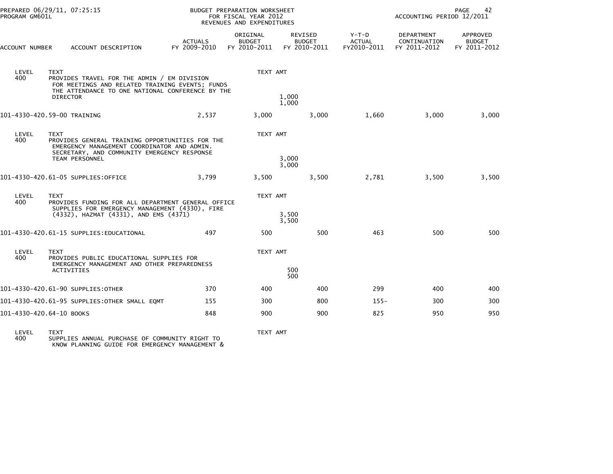| PREPARED 06/29/11, 07:25:15<br>PROGRAM GM601L |                                                                                                                                                                                       |                                | <b>BUDGET PREPARATION WORKSHEET</b><br>FOR FISCAL YEAR 2012<br>REVENUES AND EXPENDITURES |                                                 | 42<br>PAGE<br>ACCOUNTING PERIOD 12/2011 |                                            |                                           |
|-----------------------------------------------|---------------------------------------------------------------------------------------------------------------------------------------------------------------------------------------|--------------------------------|------------------------------------------------------------------------------------------|-------------------------------------------------|-----------------------------------------|--------------------------------------------|-------------------------------------------|
| ACCOUNT NUMBER                                | ACCOUNT DESCRIPTION                                                                                                                                                                   | <b>ACTUALS</b><br>FY 2009-2010 | ORIGINAL<br><b>BUDGET</b><br>FY 2010-2011                                                | <b>REVISED</b><br><b>BUDGET</b><br>FY 2010-2011 | $Y-T-D$<br><b>ACTUAL</b><br>FY2010-2011 | DEPARTMENT<br>CONTINUATION<br>FY 2011-2012 | APPROVED<br><b>BUDGET</b><br>FY 2011-2012 |
| LEVEL<br>400                                  | <b>TEXT</b><br>PROVIDES TRAVEL FOR THE ADMIN / EM DIVISION<br>FOR MEETINGS AND RELATED TRAINING EVENTS; FUNDS<br>THE ATTENDANCE TO ONE NATIONAL CONFERENCE BY THE<br><b>DIRECTOR</b>  |                                | TEXT AMT                                                                                 | 1,000                                           |                                         |                                            |                                           |
|                                               |                                                                                                                                                                                       |                                |                                                                                          | 1,000                                           |                                         |                                            |                                           |
|                                               | 101-4330-420.59-00 TRAINING                                                                                                                                                           | 2,537                          | 3,000                                                                                    | 3,000                                           | 1,660                                   | 3,000                                      | 3,000                                     |
| LEVEL<br>400                                  | <b>TEXT</b><br>PROVIDES GENERAL TRAINING OPPORTUNITIES FOR THE<br>EMERGENCY MANAGEMENT COORDINATOR AND ADMIN.<br>SECRETARY, AND COMMUNITY EMERGENCY RESPONSE<br><b>TEAM PERSONNEL</b> |                                | TEXT AMT                                                                                 | 3,000<br>3,000                                  |                                         |                                            |                                           |
|                                               | 101-4330-420.61-05 SUPPLIES:OFFICE                                                                                                                                                    | 3.799                          | 3,500                                                                                    | 3,500                                           | 2,781                                   | 3,500                                      | 3,500                                     |
| LEVEL<br>400                                  | <b>TEXT</b><br>PROVIDES FUNDING FOR ALL DEPARTMENT GENERAL OFFICE<br>SUPPLIES FOR EMERGENCY MANAGEMENT (4330), FIRE<br>(4332), HAZMAT (4331), AND EMS (4371)                          |                                | TEXT AMT                                                                                 | 3,500<br>3,500                                  |                                         |                                            |                                           |
|                                               | 101-4330-420.61-15 SUPPLIES:EDUCATIONAL                                                                                                                                               | 497                            | 500                                                                                      | 500                                             | 463                                     | 500                                        | 500                                       |
| LEVEL<br>400                                  | <b>TEXT</b><br>PROVIDES PUBLIC EDUCATIONAL SUPPLIES FOR<br>EMERGENCY MANAGEMENT AND OTHER PREPAREDNESS                                                                                |                                | TEXT AMT                                                                                 |                                                 |                                         |                                            |                                           |
|                                               | ACTIVITIES                                                                                                                                                                            |                                |                                                                                          | 500<br>500                                      |                                         |                                            |                                           |
|                                               | 101-4330-420.61-90 SUPPLIES:OTHER                                                                                                                                                     | 370                            | 400                                                                                      | 400                                             | 299                                     | 400                                        | 400                                       |
|                                               | 101–4330–420.61–95 SUPPLIES:OTHER SMALL EOMT                                                                                                                                          | 155                            | 300                                                                                      | 800                                             | $155 -$                                 | 300                                        | 300                                       |
| 101-4330-420.64-10 BOOKS                      |                                                                                                                                                                                       | 848                            | 900                                                                                      | 900                                             | 825                                     | 950                                        | 950                                       |

LEVEL TEXT TEXT AMT 400 SUPPLIES ANNUAL PURCHASE OF COMMUNITY RIGHT TO KNOW PLANNING GUIDE FOR EMERGENCY MANAGEMENT &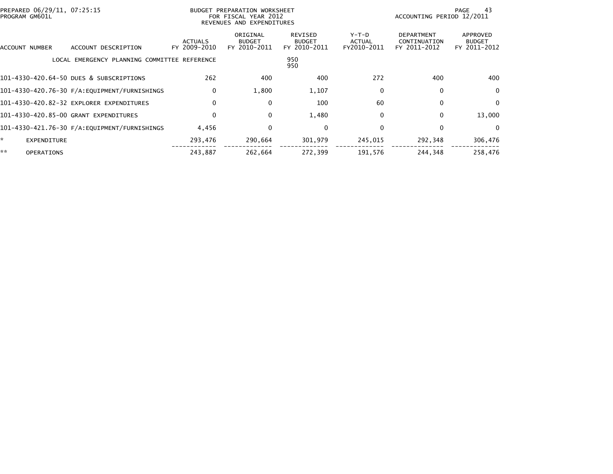| PREPARED 06/29/11, 07:25:15<br>PROGRAM GM601L |                                               |                                | BUDGET PREPARATION WORKSHEET<br>FOR FISCAL YEAR 2012<br>REVENUES AND EXPENDITURES |                                          |                                | ACCOUNTING PERIOD 12/2011                         | 43<br>PAGE                                |
|-----------------------------------------------|-----------------------------------------------|--------------------------------|-----------------------------------------------------------------------------------|------------------------------------------|--------------------------------|---------------------------------------------------|-------------------------------------------|
| ACCOUNT NUMBER                                | ACCOUNT DESCRIPTION                           | <b>ACTUALS</b><br>FY 2009-2010 | ORIGINAL<br><b>BUDGET</b><br>FY 2010-2011                                         | REVISED<br><b>BUDGET</b><br>FY 2010-2011 | Y-T-D<br>ACTUAL<br>FY2010-2011 | <b>DEPARTMENT</b><br>CONTINUATION<br>FY 2011-2012 | APPROVED<br><b>BUDGET</b><br>FY 2011-2012 |
|                                               | LOCAL EMERGENCY PLANNING COMMITTEE REFERENCE  |                                |                                                                                   | 950<br>950                               |                                |                                                   |                                           |
|                                               | 101-4330-420.64-50 DUES & SUBSCRIPTIONS       | 262                            | 400                                                                               | 400                                      | 272                            | 400                                               | 400                                       |
|                                               |                                               | $\mathbf{0}$                   | 1,800                                                                             | 1,107                                    | $\mathbf{0}$                   | $\mathbf{0}$                                      | $\mathbf 0$                               |
|                                               | 101-4330-420.82-32 EXPLORER EXPENDITURES      |                                | 0                                                                                 | 100                                      | 60                             | $\mathbf{0}$                                      | 0                                         |
|                                               | 101-4330-420.85-00 GRANT EXPENDITURES         |                                | $\mathbf 0$                                                                       | 1,480                                    | 0                              | 0                                                 | 13,000                                    |
|                                               | 101-4330-421.76-30 F/A: EQUIPMENT/FURNISHINGS | 4,456                          | 0                                                                                 | 0                                        | $\Omega$                       | 0                                                 | 0                                         |
| *.<br>EXPENDITURE                             |                                               | 293,476                        | 290,664                                                                           | 301,979                                  | 245,015                        | 292,348                                           | 306,476                                   |
| **<br><b>OPERATIONS</b>                       |                                               | 243,887                        | 262,664                                                                           | 272,399                                  | 191,576                        | 244,348                                           | 258,476                                   |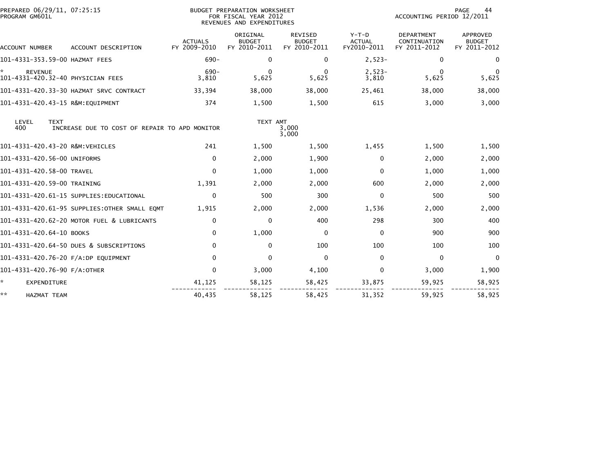| PREPARED 06/29/11, 07:25:15<br>PROGRAM GM601L       |                                               |                                | BUDGET PREPARATION WORKSHEET<br>FOR FISCAL YEAR 2012<br>REVENUES AND EXPENDITURES |                                                 |                                         | ACCOUNTING PERIOD 12/2011                         | 44<br>PAGE                                |
|-----------------------------------------------------|-----------------------------------------------|--------------------------------|-----------------------------------------------------------------------------------|-------------------------------------------------|-----------------------------------------|---------------------------------------------------|-------------------------------------------|
| ACCOUNT NUMBER                                      | ACCOUNT DESCRIPTION                           | <b>ACTUALS</b><br>FY 2009-2010 | ORIGINAL<br><b>BUDGET</b><br>FY 2010-2011                                         | <b>REVISED</b><br><b>BUDGET</b><br>FY 2010-2011 | $Y-T-D$<br><b>ACTUAL</b><br>FY2010-2011 | <b>DEPARTMENT</b><br>CONTINUATION<br>FY 2011-2012 | APPROVED<br><b>BUDGET</b><br>FY 2011-2012 |
| 101-4331-353.59-00 HAZMAT FEES                      |                                               | $690 -$                        | 0                                                                                 | 0                                               | $2,523-$                                | $\mathbf{0}$                                      | $\Omega$                                  |
| <b>REVENUE</b><br>101-4331-420.32-40 PHYSICIAN FEES |                                               | $690 -$<br>3,810               | 0<br>5,625                                                                        | $\Omega$<br>5,625                               | $2,523-$<br>3,810                       | 0<br>5,625                                        | $\Omega$<br>5,625                         |
|                                                     |                                               | 33,394                         | 38,000                                                                            | 38,000                                          | 25,461                                  | 38,000                                            | 38,000                                    |
| 101-4331-420.43-15 R&M:EQUIPMENT                    |                                               | 374                            | 1,500                                                                             | 1,500                                           | 615                                     | 3,000                                             | 3,000                                     |
| LEVEL<br><b>TEXT</b><br>400                         | INCREASE DUE TO COST OF REPAIR TO APD MONITOR |                                | TEXT AMT                                                                          | 3,000<br>3,000                                  |                                         |                                                   |                                           |
| 101-4331-420.43-20 R&M:VEHICLES                     |                                               | 241                            | 1,500                                                                             | 1,500                                           | 1,455                                   | 1,500                                             | 1,500                                     |
| 101-4331-420.56-00 UNIFORMS                         |                                               | $\mathbf{0}$                   | 2,000                                                                             | 1,900                                           | $\mathbf{0}$                            | 2,000                                             | 2,000                                     |
| 101-4331-420.58-00 TRAVEL                           |                                               | $\mathbf{0}$                   | 1,000                                                                             | 1,000                                           | $\Omega$                                | 1,000                                             | 1,000                                     |
| 101-4331-420.59-00 TRAINING                         |                                               | 1,391                          | 2,000                                                                             | 2,000                                           | 600                                     | 2,000                                             | 2,000                                     |
|                                                     | 101-4331-420.61-15 SUPPLIES:EDUCATIONAL       | $\Omega$                       | 500                                                                               | 300                                             | $\Omega$                                | 500                                               | 500                                       |
|                                                     | 101-4331-420.61-95 SUPPLIES:OTHER SMALL EQMT  | 1,915                          | 2,000                                                                             | 2,000                                           | 1,536                                   | 2,000                                             | 2,000                                     |
|                                                     | 101-4331-420.62-20 MOTOR FUEL & LUBRICANTS    | $\Omega$                       | 0                                                                                 | 400                                             | 298                                     | 300                                               | 400                                       |
| 101-4331-420.64-10 BOOKS                            |                                               | $\mathbf{0}$                   | 1,000                                                                             | $\mathbf 0$                                     | $\Omega$                                | 900                                               | 900                                       |
|                                                     | 101-4331-420.64-50 DUES & SUBSCRIPTIONS       | $\Omega$                       | 0                                                                                 | 100                                             | 100                                     | 100                                               | 100                                       |
| 101-4331-420.76-20 F/A:DP EQUIPMENT                 |                                               | $\Omega$                       | 0                                                                                 | 0                                               | $\mathbf{0}$                            | $\Omega$                                          | $\Omega$                                  |
| 101-4331-420.76-90 F/A:OTHER                        |                                               | $\mathbf{0}$                   | 3,000                                                                             | 4,100                                           | 0                                       | 3,000                                             | 1,900                                     |
| ÷.<br><b>EXPENDITURE</b>                            |                                               | 41,125                         | 58,125                                                                            | 58,425                                          | 33,875                                  | 59,925                                            | 58,925                                    |
| **<br><b>HAZMAT TEAM</b>                            |                                               | 40,435                         | 58.125                                                                            | 58.425                                          | 31.352                                  | 59,925                                            | 58.925                                    |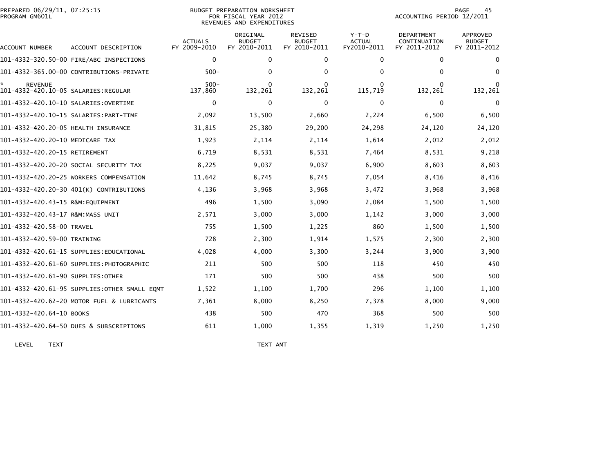| PREPARED 06/29/11, 07:25:15<br>PROGRAM GM601L  |                                              | BUDGET PREPARATION WORKSHEET<br>FOR FISCAL YEAR 2012<br>REVENUES AND EXPENDITURES |                                           |                                          |                                       |                                                   | 45<br>PAGE<br>ACCOUNTING PERIOD 12/2011          |  |  |
|------------------------------------------------|----------------------------------------------|-----------------------------------------------------------------------------------|-------------------------------------------|------------------------------------------|---------------------------------------|---------------------------------------------------|--------------------------------------------------|--|--|
| ACCOUNT NUMBER                                 | ACCOUNT DESCRIPTION                          | <b>ACTUALS</b><br>FY 2009-2010                                                    | ORIGINAL<br><b>BUDGET</b><br>FY 2010-2011 | REVISED<br><b>BUDGET</b><br>FY 2010-2011 | Y-T-D<br><b>ACTUAL</b><br>FY2010-2011 | <b>DEPARTMENT</b><br>CONTINUATION<br>FY 2011-2012 | <b>APPROVED</b><br><b>BUDGET</b><br>FY 2011-2012 |  |  |
|                                                | 101-4332-320.50-00 FIRE/ABC INSPECTIONS      | $\mathbf 0$                                                                       | $\Omega$                                  | 0                                        | 0                                     | 0                                                 | $\mathbf 0$                                      |  |  |
|                                                | 101-4332-365.00-00 CONTRIBUTIONS-PRIVATE     | $500 -$                                                                           | 0                                         | 0                                        | 0                                     | 0                                                 | $\Omega$                                         |  |  |
| REVENUE<br>101-4332-420.10-05 SALARIES:REGULAR |                                              | $500 -$<br>137,860                                                                | 0<br>132,261                              | 0<br>132,261                             | 0<br>115,719                          | 0<br>132,261                                      | 132,261                                          |  |  |
| 101-4332-420.10-10 SALARIES:OVERTIME           |                                              | $\Omega$                                                                          | $\Omega$                                  | $\mathbf 0$                              | 0                                     | 0                                                 | $\mathbf 0$                                      |  |  |
|                                                |                                              | 2,092                                                                             | 13,500                                    | 2,660                                    | 2,224                                 | 6,500                                             | 6,500                                            |  |  |
| 101-4332-420.20-05 HEALTH INSURANCE            |                                              | 31,815                                                                            | 25,380                                    | 29,200                                   | 24,298                                | 24,120                                            | 24,120                                           |  |  |
| 101-4332-420.20-10 MEDICARE TAX                |                                              | 1,923                                                                             | 2,114                                     | 2,114                                    | 1,614                                 | 2,012                                             | 2,012                                            |  |  |
| 101-4332-420.20-15 RETIREMENT                  |                                              | 6,719                                                                             | 8,531                                     | 8,531                                    | 7,464                                 | 8,531                                             | 9,218                                            |  |  |
|                                                | 101–4332–420.20–20 SOCIAL SECURITY TAX       | 8,225                                                                             | 9,037                                     | 9,037                                    | 6,900                                 | 8,603                                             | 8,603                                            |  |  |
|                                                | 101-4332-420.20-25 WORKERS COMPENSATION      | 11,642                                                                            | 8,745                                     | 8,745                                    | 7,054                                 | 8,416                                             | 8,416                                            |  |  |
|                                                | 101-4332-420.20-30 401(K) CONTRIBUTIONS      | 4,136                                                                             | 3,968                                     | 3,968                                    | 3,472                                 | 3,968                                             | 3,968                                            |  |  |
| 101-4332-420.43-15 R&M:EQUIPMENT               |                                              | 496                                                                               | 1,500                                     | 3,090                                    | 2,084                                 | 1,500                                             | 1,500                                            |  |  |
| 101-4332-420.43-17 R&M:MASS UNIT               |                                              | 2,571                                                                             | 3,000                                     | 3,000                                    | 1,142                                 | 3,000                                             | 3,000                                            |  |  |
| 101-4332-420.58-00 TRAVEL                      |                                              | 755                                                                               | 1,500                                     | 1,225                                    | 860                                   | 1,500                                             | 1,500                                            |  |  |
| 101-4332-420.59-00 TRAINING                    |                                              | 728                                                                               | 2,300                                     | 1,914                                    | 1,575                                 | 2,300                                             | 2,300                                            |  |  |
|                                                |                                              | 4,028                                                                             | 4,000                                     | 3,300                                    | 3,244                                 | 3,900                                             | 3,900                                            |  |  |
|                                                | 101–4332–420.61–60 SUPPLIES:PHOTOGRAPHIC     | 211                                                                               | 500                                       | 500                                      | 118                                   | 450                                               | 450                                              |  |  |
| 101-4332-420.61-90 SUPPLIES:OTHER              |                                              | 171                                                                               | 500                                       | 500                                      | 438                                   | 500                                               | 500                                              |  |  |
|                                                | 101-4332-420.61-95 SUPPLIES:OTHER SMALL EQMT | 1,522                                                                             | 1,100                                     | 1,700                                    | 296                                   | 1,100                                             | 1,100                                            |  |  |
|                                                | 101-4332-420.62-20 MOTOR FUEL & LUBRICANTS   | 7,361                                                                             | 8,000                                     | 8,250                                    | 7,378                                 | 8,000                                             | 9,000                                            |  |  |
| 101-4332-420.64-10 BOOKS                       |                                              | 438                                                                               | 500                                       | 470                                      | 368                                   | 500                                               | 500                                              |  |  |
|                                                | 101-4332-420.64-50 DUES & SUBSCRIPTIONS      | 611                                                                               | 1.000                                     | 1,355                                    | 1,319                                 | 1,250                                             | 1.250                                            |  |  |

LEVEL TEXT NEXT AND TEXT AND TEXT AND TEXT AND TEXT AND TEXT AND TEXT AND TEXT AND TEXT AND TEXT AND TEXT AND TEXT AND TEXT AND TEXT AND TEXT AND TEXT AND TEXT AND TEXT AND TEXT AND TEXT AND TEXT AND TEXT AND TEXT AND TEXT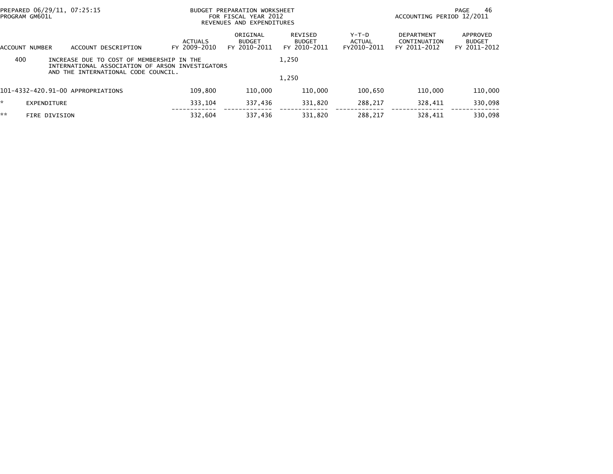|     | PREPARED 06/29/11, 07:25:15<br>PROGRAM GM601L                                                                                        |                                | BUDGET PREPARATION WORKSHEET<br>FOR FISCAL YEAR 2012<br>REVENUES AND EXPENDITURES |                                          |                                |                                                   | 46<br>PAGE<br>ACCOUNTING PERIOD 12/2011   |  |  |
|-----|--------------------------------------------------------------------------------------------------------------------------------------|--------------------------------|-----------------------------------------------------------------------------------|------------------------------------------|--------------------------------|---------------------------------------------------|-------------------------------------------|--|--|
|     | ACCOUNT DESCRIPTION<br>ACCOUNT NUMBER                                                                                                | <b>ACTUALS</b><br>FY 2009-2010 | ORIGINAL<br><b>BUDGET</b><br>FY 2010-2011                                         | REVISED<br><b>BUDGET</b><br>FY 2010-2011 | Y-T-D<br>ACTUAL<br>FY2010-2011 | <b>DEPARTMENT</b><br>CONTINUATION<br>FY 2011-2012 | APPROVED<br><b>BUDGET</b><br>FY 2011-2012 |  |  |
| 400 | INCREASE DUE TO COST OF MEMBERSHIP IN THE<br>INTERNATIONAL ASSOCIATION OF ARSON INVESTIGATORS<br>AND THE INTERNATIONAL CODE COUNCIL. |                                |                                                                                   | 1,250                                    |                                |                                                   |                                           |  |  |
|     |                                                                                                                                      |                                |                                                                                   | 1,250                                    |                                |                                                   |                                           |  |  |
|     | 101-4332-420.91-00 APPROPRIATIONS                                                                                                    | 109,800                        | 110,000                                                                           | 110,000                                  | 100.650                        | 110,000                                           | 110,000                                   |  |  |
| *   | EXPENDITURE                                                                                                                          | 333.104                        | 337,436                                                                           | 331.820                                  | 288.217                        | 328.411                                           | 330,098                                   |  |  |
| **  | <b>FIRE DIVISION</b>                                                                                                                 | 332.604                        | 337,436                                                                           | 331,820                                  | 288,217                        | 328.411                                           | 330,098                                   |  |  |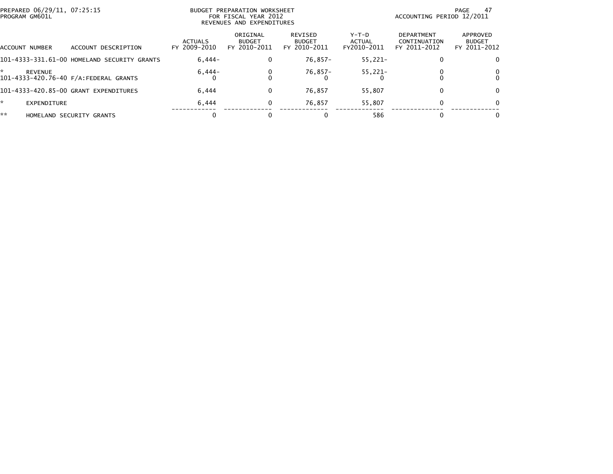|    | PREPARED 06/29/11, 07:25:15<br>PROGRAM GM601L |                                             | <b>BUDGET PREPARATION WORKSHEET</b><br>FOR FISCAL YEAR 2012<br>REVENUES AND EXPENDITURES |                                           |                                          |                                | -47<br>PAGE<br>ACCOUNTING PERIOD 12/2011   |                                           |  |
|----|-----------------------------------------------|---------------------------------------------|------------------------------------------------------------------------------------------|-------------------------------------------|------------------------------------------|--------------------------------|--------------------------------------------|-------------------------------------------|--|
|    | ACCOUNT NUMBER                                | ACCOUNT DESCRIPTION                         | <b>ACTUALS</b><br>FY 2009-2010                                                           | ORIGINAL<br><b>BUDGET</b><br>FY 2010-2011 | REVISED<br><b>BUDGET</b><br>FY 2010-2011 | Y-T-D<br>ACTUAL<br>FY2010-2011 | DEPARTMENT<br>CONTINUATION<br>FY 2011-2012 | APPROVED<br><b>BUDGET</b><br>FY 2011-2012 |  |
|    |                                               | 101-4333-331.61-00 HOMELAND SECURITY GRANTS | $6.444-$                                                                                 | 0                                         | $76.857 -$                               | $55.221 -$                     | 0                                          | $\Omega$                                  |  |
| ÷. | <b>REVENUE</b>                                |                                             | $6,444-$                                                                                 | 0                                         | 76,857-                                  | $55,221-$                      |                                            | 0                                         |  |
|    |                                               | 101-4333-420.85-00 GRANT EXPENDITURES       | 6,444                                                                                    | 0                                         | 76,857                                   | 55.807                         | 0                                          | $\Omega$                                  |  |
| ÷. | EXPENDITURE                                   |                                             | 6,444                                                                                    | 0                                         | 76,857                                   | 55.807                         | $\Omega$                                   | $\Omega$                                  |  |
| ** |                                               | HOMELAND SECURITY GRANTS                    |                                                                                          |                                           | 0                                        | 586                            |                                            | 0                                         |  |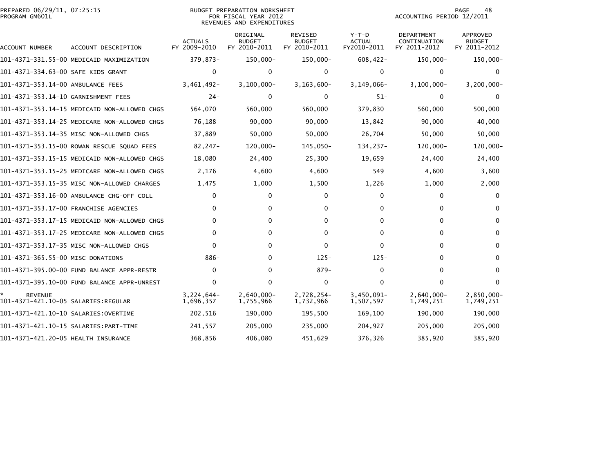| PREPARED 06/29/11, 07:25:15<br>PROGRAM GM601L         |                                              |                                | <b>BUDGET PREPARATION WORKSHEET</b><br>FOR FISCAL YEAR 2012<br>REVENUES AND EXPENDITURES |                                                 |                                         | ACCOUNTING PERIOD 12/2011                         | 48<br>PAGE                                |
|-------------------------------------------------------|----------------------------------------------|--------------------------------|------------------------------------------------------------------------------------------|-------------------------------------------------|-----------------------------------------|---------------------------------------------------|-------------------------------------------|
| ACCOUNT NUMBER                                        | ACCOUNT DESCRIPTION                          | <b>ACTUALS</b><br>FY 2009-2010 | ORIGINAL<br><b>BUDGET</b><br>FY 2010-2011                                                | <b>REVISED</b><br><b>BUDGET</b><br>FY 2010-2011 | $Y-T-D$<br><b>ACTUAL</b><br>FY2010-2011 | <b>DEPARTMENT</b><br>CONTINUATION<br>FY 2011-2012 | APPROVED<br><b>BUDGET</b><br>FY 2011-2012 |
|                                                       | 101-4371-331.55-00 MEDICAID MAXIMIZATION     | 379,873-                       | 150,000-                                                                                 | 150,000-                                        | $608,422-$                              | 150,000-                                          | 150,000-                                  |
| 101–4371–334.63–00 SAFE KIDS GRANT                    |                                              | $\mathbf{0}$                   | 0                                                                                        | 0                                               | $\Omega$                                | 0                                                 | 0                                         |
| 101-4371-353.14-00 AMBULANCE FEES                     |                                              | $3,461,492-$                   | $3,100,000 -$                                                                            | $3, 163, 600 -$                                 | $3, 149, 066 -$                         | $3,100,000 -$                                     | $3, 200, 000 -$                           |
| 101-4371-353.14-10 GARNISHMENT FEES                   |                                              | $24 -$                         | 0                                                                                        | 0                                               | $51 -$                                  | $\Omega$                                          | $\mathbf{0}$                              |
|                                                       | 101–4371–353.14–15 MEDICAID NON–ALLOWED CHGS | 564,070                        | 560,000                                                                                  | 560,000                                         | 379,830                                 | 560,000                                           | 500,000                                   |
|                                                       | 101-4371-353.14-25 MEDICARE NON-ALLOWED CHGS | 76,188                         | 90,000                                                                                   | 90,000                                          | 13,842                                  | 90,000                                            | 40,000                                    |
|                                                       | 101-4371-353.14-35 MISC NON-ALLOWED CHGS     | 37,889                         | 50,000                                                                                   | 50,000                                          | 26,704                                  | 50,000                                            | 50,000                                    |
|                                                       | 101-4371-353.15-00 ROWAN RESCUE SQUAD FEES   | $82, 247 -$                    | 120,000-                                                                                 | 145,050-                                        | 134,237-                                | $120,000 -$                                       | 120,000-                                  |
|                                                       | 101-4371-353.15-15 MEDICAID NON-ALLOWED CHGS | 18,080                         | 24,400                                                                                   | 25,300                                          | 19,659                                  | 24,400                                            | 24,400                                    |
|                                                       | 101-4371-353.15-25 MEDICARE NON-ALLOWED CHGS | 2,176                          | 4,600                                                                                    | 4,600                                           | 549                                     | 4,600                                             | 3,600                                     |
|                                                       | 101-4371-353.15-35 MISC NON-ALLOWED CHARGES  | 1,475                          | 1,000                                                                                    | 1,500                                           | 1,226                                   | 1,000                                             | 2,000                                     |
|                                                       | 101-4371-353.16-00 AMBULANCE CHG-OFF COLL    | $\Omega$                       | $\Omega$                                                                                 | 0                                               | $\Omega$                                | $\Omega$                                          | $\mathbf{0}$                              |
|                                                       | 101-4371-353.17-00 FRANCHISE AGENCIES        | $\Omega$                       | $\Omega$                                                                                 | 0                                               | 0                                       | $\Omega$                                          | 0                                         |
|                                                       | 101-4371-353.17-15 MEDICAID NON-ALLOWED CHGS | $\mathbf{0}$                   | $\Omega$                                                                                 | 0                                               | 0                                       | $\Omega$                                          | 0                                         |
|                                                       | 101-4371-353.17-25 MEDICARE NON-ALLOWED CHGS | $\Omega$                       | $\Omega$                                                                                 | 0                                               | $\Omega$                                | $\Omega$                                          | 0                                         |
|                                                       | 101-4371-353.17-35 MISC NON-ALLOWED CHGS     | $\Omega$                       | $\Omega$                                                                                 | 0                                               | $\Omega$                                | $\Omega$                                          | $\mathbf{0}$                              |
| 101-4371-365.55-00 MISC DONATIONS                     |                                              | 886-                           | 0                                                                                        | $125 -$                                         | $125 -$                                 | 0                                                 | 0                                         |
|                                                       | 101-4371-395.00-00 FUND BALANCE APPR-RESTR   | $\mathbf{0}$                   | $\Omega$                                                                                 | $879-$                                          | $\Omega$                                | $\Omega$                                          | $\mathbf{0}$                              |
|                                                       | 101-4371-395.10-00 FUND BALANCE APPR-UNREST  | $\mathbf{0}$                   | $\Omega$                                                                                 | 0                                               | $\Omega$                                | $\mathbf{0}$                                      | $\mathbf{0}$                              |
| <b>REVENUE</b><br>101–4371–421.10–05 SALARIES:REGULAR |                                              | $3,224,644-$<br>1,696,357      | $2,640,000 -$<br>1,755,966                                                               | 2,728,254-<br>1,732,966                         | $3,450,091 -$<br>1,507,597              | $2,640,000 -$<br>1,749,251                        | 2,850,000-<br>1,749,251                   |
| 101-4371-421.10-10 SALARIES:OVERTIME                  |                                              | 202,516                        | 190,000                                                                                  | 195,500                                         | 169,100                                 | 190,000                                           | 190,000                                   |
|                                                       |                                              | 241,557                        | 205,000                                                                                  | 235,000                                         | 204,927                                 | 205,000                                           | 205,000                                   |
| 101-4371-421.20-05 HEALTH INSURANCE                   |                                              | 368,856                        | 406,080                                                                                  | 451,629                                         | 376,326                                 | 385,920                                           | 385,920                                   |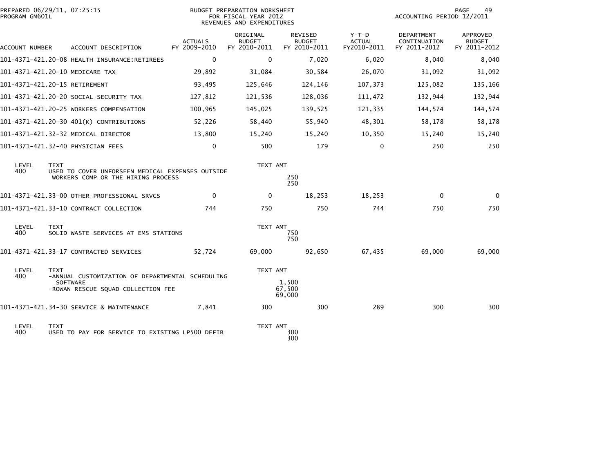| PROGRAM GM601L | PREPARED 06/29/11, 07:25:15                                                                           | BUDGET PREPARATION WORKSHEET<br>FOR FISCAL YEAR 2012<br>REVENUES AND EXPENDITURES |                                           |                                                 |                                         | 49<br>PAGE<br>ACCOUNTING PERIOD 12/2011    |                                           |
|----------------|-------------------------------------------------------------------------------------------------------|-----------------------------------------------------------------------------------|-------------------------------------------|-------------------------------------------------|-----------------------------------------|--------------------------------------------|-------------------------------------------|
| ACCOUNT NUMBER | ACCOUNT DESCRIPTION                                                                                   | <b>ACTUALS</b><br>FY 2009-2010                                                    | ORIGINAL<br><b>BUDGET</b><br>FY 2010-2011 | <b>REVISED</b><br><b>BUDGET</b><br>FY 2010-2011 | $Y-T-D$<br><b>ACTUAL</b><br>FY2010-2011 | DEPARTMENT<br>CONTINUATION<br>FY 2011-2012 | APPROVED<br><b>BUDGET</b><br>FY 2011-2012 |
|                | 101-4371-421.20-08 HEALTH INSURANCE:RETIREES                                                          | $\mathbf{0}$                                                                      | $\mathbf{0}$                              | 7,020                                           | 6,020                                   | 8,040                                      | 8,040                                     |
|                | 101-4371-421.20-10 MEDICARE TAX                                                                       | 29,892                                                                            | 31,084                                    | 30,584                                          | 26,070                                  | 31,092                                     | 31,092                                    |
|                | 101-4371-421.20-15 RETIREMENT                                                                         | 93,495                                                                            | 125,646                                   | 124,146                                         | 107,373                                 | 125,082                                    | 135,166                                   |
|                | 101-4371-421.20-20 SOCIAL SECURITY TAX                                                                | 127,812                                                                           | 121,536                                   | 128,036                                         | 111,472                                 | 132,944                                    | 132,944                                   |
|                | 101-4371-421.20-25 WORKERS COMPENSATION                                                               | 100,965                                                                           | 145,025                                   | 139,525                                         | 121,335                                 | 144,574                                    | 144,574                                   |
|                | 101-4371-421.20-30 401(K) CONTRIBUTIONS                                                               | 52,226                                                                            | 58,440                                    | 55,940                                          | 48,301                                  | 58,178                                     | 58,178                                    |
|                | 101-4371-421.32-32 MEDICAL DIRECTOR                                                                   | 13,800                                                                            | 15,240                                    | 15,240                                          | 10,350                                  | 15,240                                     | 15,240                                    |
|                | 101-4371-421.32-40 PHYSICIAN FEES                                                                     | 0                                                                                 | 500                                       | 179                                             | $\mathbf{0}$                            | 250                                        | 250                                       |
| LEVEL<br>400   | <b>TEXT</b><br>USED TO COVER UNFORSEEN MEDICAL EXPENSES OUTSIDE<br>WORKERS COMP OR THE HIRING PROCESS |                                                                                   | TEXT AMT                                  | 250<br>250                                      |                                         |                                            |                                           |
|                | 101-4371-421.33-00 OTHER PROFESSIONAL SRVCS                                                           | $\mathbf{0}$                                                                      | 0                                         | 18,253                                          | 18,253                                  | $\Omega$                                   | $\mathbf{0}$                              |
|                | 101-4371-421.33-10 CONTRACT COLLECTION                                                                | 744                                                                               | 750                                       | 750                                             | 744                                     | 750                                        | 750                                       |
| LEVEL<br>400   | <b>TEXT</b><br>SOLID WASTE SERVICES AT EMS STATIONS                                                   |                                                                                   | TEXT AMT                                  | 750<br>750                                      |                                         |                                            |                                           |
|                | 101-4371-421.33-17 CONTRACTED SERVICES                                                                | 52,724                                                                            | 69,000                                    | 92,650                                          | 67,435                                  | 69,000                                     | 69,000                                    |
| LEVEL<br>400   | <b>TEXT</b><br>-ANNUAL CUSTOMIZATION OF DEPARTMENTAL SCHEDULING<br><b>SOFTWARE</b>                    |                                                                                   | TEXT AMT                                  | 1,500                                           |                                         |                                            |                                           |
|                | -ROWAN RESCUE SQUAD COLLECTION FEE                                                                    |                                                                                   |                                           | 67,500<br>69,000                                |                                         |                                            |                                           |
|                | 101-4371-421.34-30 SERVICE & MAINTENANCE                                                              | 7,841                                                                             | 300                                       | 300                                             | 289                                     | 300                                        | 300                                       |
| LEVEL<br>400   | <b>TEXT</b><br>USED TO PAY FOR SERVICE TO EXISTING LP500 DEFIB                                        |                                                                                   | TEXT AMT                                  | 300<br>300                                      |                                         |                                            |                                           |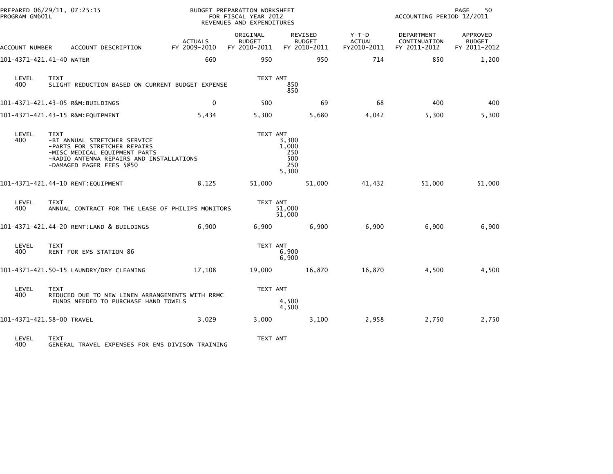| PROGRAM GM601L | PREPARED 06/29/11, 07:25:15                                                                                                                                                          |                                | BUDGET PREPARATION WORKSHEET<br>FOR FISCAL YEAR 2012<br>REVENUES AND EXPENDITURES |                                                 |                                         | 50<br>PAGE<br>ACCOUNTING PERIOD 12/2011    |                                           |  |
|----------------|--------------------------------------------------------------------------------------------------------------------------------------------------------------------------------------|--------------------------------|-----------------------------------------------------------------------------------|-------------------------------------------------|-----------------------------------------|--------------------------------------------|-------------------------------------------|--|
| ACCOUNT NUMBER | ACCOUNT DESCRIPTION                                                                                                                                                                  | <b>ACTUALS</b><br>FY 2009-2010 | ORIGINAL<br><b>BUDGET</b><br>FY 2010-2011                                         | <b>REVISED</b><br><b>BUDGET</b><br>FY 2010-2011 | $Y-T-D$<br><b>ACTUAL</b><br>FY2010-2011 | DEPARTMENT<br>CONTINUATION<br>FY 2011-2012 | APPROVED<br><b>BUDGET</b><br>FY 2011-2012 |  |
|                | 101-4371-421.41-40 WATER                                                                                                                                                             | 660                            | 950                                                                               | 950                                             | 714                                     | 850                                        | 1,200                                     |  |
| LEVEL<br>400   | TEXT<br>SLIGHT REDUCTION BASED ON CURRENT BUDGET EXPENSE                                                                                                                             |                                | TEXT AMT                                                                          | 850<br>850                                      |                                         |                                            |                                           |  |
|                | 101-4371-421.43-05 R&M:BUILDINGS                                                                                                                                                     | $\mathbf 0$                    | 500                                                                               | 69                                              | 68                                      | 400                                        | 400                                       |  |
|                | 101-4371-421.43-15 R&M:EQUIPMENT                                                                                                                                                     | 5,434                          | 5,300                                                                             | 5,680                                           | 4,042                                   | 5,300                                      | 5,300                                     |  |
| LEVEL<br>400   | <b>TEXT</b><br>-BI ANNUAL STRETCHER SERVICE<br>-PARTS FOR STRETCHER REPAIRS<br>-MISC MEDICAL EQUIPMENT PARTS<br>-RADIO ANTENNA REPAIRS AND INSTALLATIONS<br>-DAMAGED PAGER FEES 5@50 |                                | TEXT AMT                                                                          | 3,300<br>1,000<br>250<br>500<br>250<br>5,300    |                                         |                                            |                                           |  |
|                |                                                                                                                                                                                      | 8,125                          | 51,000                                                                            | 51,000                                          | 41,432                                  | 51,000                                     | 51,000                                    |  |
| LEVEL<br>400   | <b>TEXT</b><br>ANNUAL CONTRACT FOR THE LEASE OF PHILIPS MONITORS                                                                                                                     |                                | TEXT AMT                                                                          | 51,000<br>51,000                                |                                         |                                            |                                           |  |
|                | 101-4371-421.44-20 RENT:LAND & BUILDINGS                                                                                                                                             | 6,900                          | 6,900                                                                             | 6,900                                           | 6,900                                   | 6,900                                      | 6,900                                     |  |
| LEVEL<br>400   | <b>TEXT</b><br>RENT FOR EMS STATION 86                                                                                                                                               |                                | TEXT AMT                                                                          | 6,900<br>6,900                                  |                                         |                                            |                                           |  |
|                | 101-4371-421.50-15 LAUNDRY/DRY CLEANING                                                                                                                                              | 17,108                         | 19,000                                                                            | 16,870                                          | 16,870                                  | 4,500                                      | 4,500                                     |  |
| LEVEL<br>400   | <b>TEXT</b><br>REDUCED DUE TO NEW LINEN ARRANGEMENTS WITH RRMC<br>FUNDS NEEDED TO PURCHASE HAND TOWELS                                                                               |                                | TEXT AMT                                                                          | 4,500<br>4,500                                  |                                         |                                            |                                           |  |
|                | 101-4371-421.58-00 TRAVEL                                                                                                                                                            | 3,029                          | 3,000                                                                             | 3,100                                           | 2,958                                   | 2,750                                      | 2,750                                     |  |
| LEVEL<br>400   | <b>TEXT</b><br>GENERAL TRAVEL EXPENSES FOR EMS DIVISON TRAINING                                                                                                                      |                                | TEXT AMT                                                                          |                                                 |                                         |                                            |                                           |  |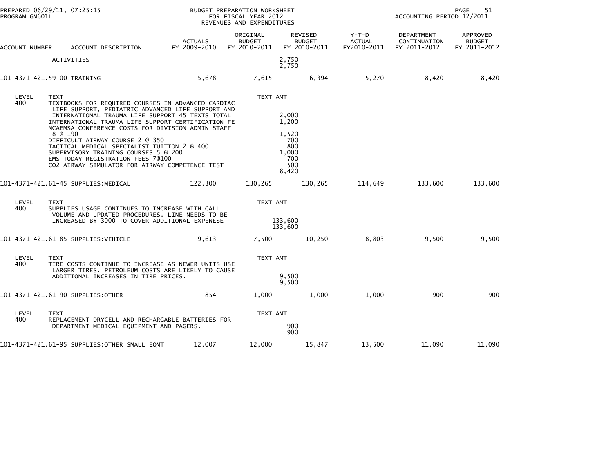| PREPARED 06/29/11, 07:25:15<br>PROGRAM GM601L |                                                                                                                                                                                                                                                                                                                                                                                                                                                                                                                    |                                | BUDGET PREPARATION WORKSHEET<br>FOR FISCAL YEAR 2012<br>REVENUES AND EXPENDITURES | 51<br>PAGE<br>ACCOUNTING PERIOD 12/2011                               |                                         |                                            |                                                  |
|-----------------------------------------------|--------------------------------------------------------------------------------------------------------------------------------------------------------------------------------------------------------------------------------------------------------------------------------------------------------------------------------------------------------------------------------------------------------------------------------------------------------------------------------------------------------------------|--------------------------------|-----------------------------------------------------------------------------------|-----------------------------------------------------------------------|-----------------------------------------|--------------------------------------------|--------------------------------------------------|
| ACCOUNT NUMBER                                | ACCOUNT DESCRIPTION                                                                                                                                                                                                                                                                                                                                                                                                                                                                                                | <b>ACTUALS</b><br>FY 2009-2010 | ORIGINAL<br><b>BUDGET</b><br>FY 2010-2011                                         | <b>REVISED</b><br><b>BUDGET</b><br>FY 2010-2011                       | $Y-T-D$<br><b>ACTUAL</b><br>FY2010-2011 | DEPARTMENT<br>CONTINUATION<br>FY 2011-2012 | <b>APPROVED</b><br><b>BUDGET</b><br>FY 2011-2012 |
|                                               | <b>ACTIVITIES</b>                                                                                                                                                                                                                                                                                                                                                                                                                                                                                                  |                                |                                                                                   | 2,750<br>2,750                                                        |                                         |                                            |                                                  |
|                                               | 101-4371-421.59-00 TRAINING                                                                                                                                                                                                                                                                                                                                                                                                                                                                                        | 5,678                          | 7,615                                                                             | 6,394                                                                 | 5,270                                   | 8,420                                      | 8,420                                            |
| LEVEL<br>400                                  | <b>TEXT</b><br>TEXTBOOKS FOR REQUIRED COURSES IN ADVANCED CARDIAC<br>LIFE SUPPORT, PEDIATRIC ADVANCED LIFE SUPPORT AND<br>INTERNATIONAL TRAUMA LIFE SUPPORT 45 TEXTS TOTAL<br>INTERNATIONAL TRAUMA LIFE SUPPORT CERTIFICATION FE<br>NCAEMSA CONFERENCE COSTS FOR DIVISION ADMIN STAFF<br>8 @ 190<br>DIFFICULT AIRWAY COURSE 2 @ 350<br>TACTICAL MEDICAL SPECIALIST TUITION 2 @ 400<br>SUPERVISORY TRAINING COURSES 5 @ 200<br>EMS TODAY REGISTRATION FEES 70100<br>CO2 AIRWAY SIMULATOR FOR AIRWAY COMPETENCE TEST |                                | TEXT AMT                                                                          | 2,000<br>1,200<br>1,520<br>700<br>800<br>1,000<br>700<br>500<br>8,420 |                                         |                                            |                                                  |
|                                               | 101–4371–421.61–45 SUPPLIES:MEDICAL                                                                                                                                                                                                                                                                                                                                                                                                                                                                                | 122,300                        | 130,265                                                                           | 130,265                                                               | 114,649                                 | 133,600                                    | 133,600                                          |
| LEVEL<br>400                                  | <b>TEXT</b><br>SUPPLIES USAGE CONTINUES TO INCREASE WITH CALL<br>VOLUME AND UPDATED PROCEDURES. LINE NEEDS TO BE<br>INCREASED BY 3000 TO COVER ADDITIONAL EXPENESE                                                                                                                                                                                                                                                                                                                                                 |                                |                                                                                   | TEXT AMT<br>133,600<br>133,600                                        |                                         |                                            |                                                  |
|                                               | 101–4371–421.61–85 SUPPLIES:VEHICLE                                                                                                                                                                                                                                                                                                                                                                                                                                                                                | 9,613                          | 7,500                                                                             | 10,250                                                                | 8,803                                   | 9,500                                      | 9,500                                            |
| LEVEL<br>400                                  | <b>TEXT</b><br>TIRE COSTS CONTINUE TO INCREASE AS NEWER UNITS USE<br>LARGER TIRES. PETROLEUM COSTS ARE LIKELY TO CAUSE<br>ADDITIONAL INCREASES IN TIRE PRICES.                                                                                                                                                                                                                                                                                                                                                     |                                | TEXT AMT                                                                          | 9,500<br>9,500                                                        |                                         |                                            |                                                  |
|                                               | 101-4371-421.61-90 SUPPLIES:OTHER                                                                                                                                                                                                                                                                                                                                                                                                                                                                                  | 854                            | 1,000                                                                             | 1,000                                                                 | 1,000                                   | 900                                        | 900                                              |
| LEVEL<br>400                                  | TEXT<br>REPLACEMENT DRYCELL AND RECHARGABLE BATTERIES FOR<br>DEPARTMENT MEDICAL EQUIPMENT AND PAGERS.                                                                                                                                                                                                                                                                                                                                                                                                              |                                | TEXT AMT                                                                          | 900<br>900                                                            |                                         |                                            |                                                  |
|                                               | 101-4371-421.61-95 SUPPLIES:OTHER SMALL EQMT                                                                                                                                                                                                                                                                                                                                                                                                                                                                       | 12,007                         | 12,000                                                                            | 15,847                                                                | 13,500                                  | 11,090                                     | 11,090                                           |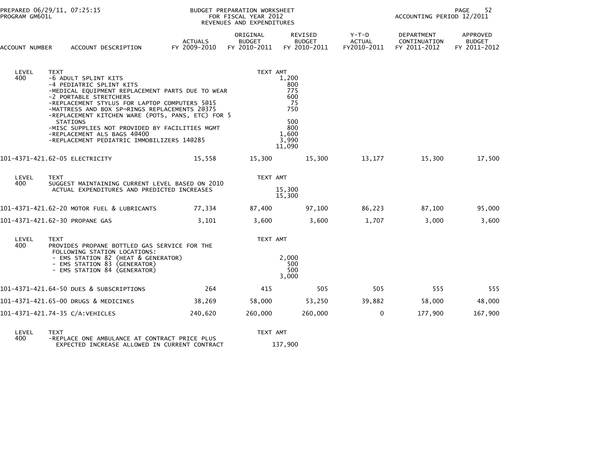| PREPARED 06/29/11, 07:25:15<br>PROGRAM GM601L |                                                                                                                                                                                                                                                                                                                                                                                                                                                 |                                | BUDGET PREPARATION WORKSHEET<br>FOR FISCAL YEAR 2012<br>REVENUES AND EXPENDITURES |                                                                                     | 52<br><b>PAGE</b><br>ACCOUNTING PERIOD 12/2011 |                                            |                                           |  |
|-----------------------------------------------|-------------------------------------------------------------------------------------------------------------------------------------------------------------------------------------------------------------------------------------------------------------------------------------------------------------------------------------------------------------------------------------------------------------------------------------------------|--------------------------------|-----------------------------------------------------------------------------------|-------------------------------------------------------------------------------------|------------------------------------------------|--------------------------------------------|-------------------------------------------|--|
| ACCOUNT NUMBER                                | ACCOUNT DESCRIPTION                                                                                                                                                                                                                                                                                                                                                                                                                             | <b>ACTUALS</b><br>FY 2009-2010 | ORIGINAL<br><b>BUDGET</b><br>FY 2010-2011                                         | REVISED<br><b>BUDGET</b><br>FY 2010-2011                                            | Y-T-D<br><b>ACTUAL</b><br>FY2010-2011          | DEPARTMENT<br>CONTINUATION<br>FY 2011-2012 | APPROVED<br><b>BUDGET</b><br>FY 2011-2012 |  |
| LEVEL<br>400                                  | TEXT<br>-6 ADULT SPLINT KITS<br>-4 PEDIATRIC SPLINT KITS<br>-MEDICAL EQUIPMENT REPLACEMENT PARTS DUE TO WEAR<br>-2 PORTABLE STRETCHERS<br>-REPLACEMENT STYLUS FOR LAPTOP COMPUTERS 5@15<br>-MATTRESS AND BOX SP-RINGS REPLACEMENTS 20375<br>-REPLACEMENT KITCHEN WARE (POTS, PANS, ETC) FOR 5<br><b>STATIONS</b><br>-MISC SUPPLIES NOT PROVIDED BY FACILITIES MGMT<br>-REPLACEMENT ALS BAGS 40400<br>-REPLACEMENT PEDIATRIC IMMOBILIZERS 14@285 |                                | TEXT AMT                                                                          | 1,200<br>800<br>775<br>600<br>- 75<br>750<br>500<br>800<br>1,600<br>3.990<br>11,090 |                                                |                                            |                                           |  |
|                                               | 101-4371-421.62-05 ELECTRICITY                                                                                                                                                                                                                                                                                                                                                                                                                  | 15,558                         | 15,300                                                                            | 15,300                                                                              | 13,177                                         | 15,300                                     | 17,500                                    |  |
| LEVEL<br>400                                  | <b>TEXT</b><br>SUGGEST MAINTAINING CURRENT LEVEL BASED ON 2010<br>ACTUAL EXPENDITURES AND PREDICTED INCREASES                                                                                                                                                                                                                                                                                                                                   |                                | TEXT AMT                                                                          | 15,300<br>15,300                                                                    |                                                |                                            |                                           |  |
|                                               | 101-4371-421.62-20 MOTOR FUEL & LUBRICANTS                                                                                                                                                                                                                                                                                                                                                                                                      | 77,334                         | 87,400                                                                            | 97,100                                                                              | 86,223                                         | 87,100                                     | 95,000                                    |  |
|                                               | 101-4371-421.62-30 PROPANE GAS                                                                                                                                                                                                                                                                                                                                                                                                                  | 3,101                          | 3,600                                                                             | 3,600                                                                               | 1,707                                          | 3,000                                      | 3,600                                     |  |
| LEVEL<br>400                                  | <b>TEXT</b><br>PROVIDES PROPANE BOTTLED GAS SERVICE FOR THE<br>FOLLOWING STATION LOCATIONS:<br>- EMS STATION 82 (HEAT & GENERATOR)<br>- EMS STATION 83 (GENERATOR)<br>- EMS STATION 84 (GENERATOR)                                                                                                                                                                                                                                              |                                | TEXT AMT                                                                          | 2,000<br>500<br>500<br>3,000                                                        |                                                |                                            |                                           |  |
|                                               | 101-4371-421.64-50 DUES & SUBSCRIPTIONS                                                                                                                                                                                                                                                                                                                                                                                                         | 264                            | 415                                                                               | 505                                                                                 | 505                                            | 555                                        | 555                                       |  |
|                                               | 101-4371-421.65-00 DRUGS & MEDICINES                                                                                                                                                                                                                                                                                                                                                                                                            | 38,269                         | 58,000                                                                            | 53,250                                                                              | 39,882                                         | 58,000                                     | 48,000                                    |  |
|                                               | 101-4371-421.74-35 C/A:VEHICLES                                                                                                                                                                                                                                                                                                                                                                                                                 | 240,620                        | 260,000                                                                           | 260,000                                                                             | $\mathbf 0$                                    | 177,900                                    | 167,900                                   |  |
|                                               |                                                                                                                                                                                                                                                                                                                                                                                                                                                 |                                |                                                                                   |                                                                                     |                                                |                                            |                                           |  |

LEVEL TEXT TEXT AMT 400 -REPLACE ONE AMBULANCE AT CONTRACT PRICE PLUS EXPECTED INCREASE ALLOWED IN CURRENT CONTRACT 137,900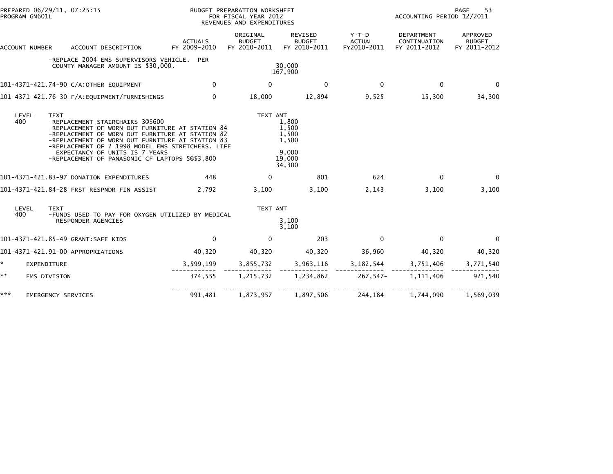| PREPARED 06/29/11, 07:25:15<br>PROGRAM GM601L |                                                                                                                                                                                                                                                                                                                                       |                                | BUDGET PREPARATION WORKSHEET<br>FOR FISCAL YEAR 2012<br>REVENUES AND EXPENDITURES |                                                               | 53<br>PAGE<br>ACCOUNTING PERIOD 12/2011 |                                            |                                           |
|-----------------------------------------------|---------------------------------------------------------------------------------------------------------------------------------------------------------------------------------------------------------------------------------------------------------------------------------------------------------------------------------------|--------------------------------|-----------------------------------------------------------------------------------|---------------------------------------------------------------|-----------------------------------------|--------------------------------------------|-------------------------------------------|
| ACCOUNT NUMBER                                | ACCOUNT DESCRIPTION                                                                                                                                                                                                                                                                                                                   | <b>ACTUALS</b><br>FY 2009-2010 | ORIGINAL<br><b>BUDGET</b><br>FY 2010-2011                                         | REVISED<br><b>BUDGET</b><br>FY 2010-2011                      | $Y-T-D$<br><b>ACTUAL</b><br>FY2010-2011 | DEPARTMENT<br>CONTINUATION<br>FY 2011-2012 | APPROVED<br><b>BUDGET</b><br>FY 2011-2012 |
|                                               | -REPLACE 2004 EMS SUPERVISORS VEHICLE. PER<br>COUNTY MANAGER AMOUNT IS \$30,000.                                                                                                                                                                                                                                                      |                                |                                                                                   | 30,000<br>167,900                                             |                                         |                                            |                                           |
|                                               | 101-4371-421.74-90 C/A:OTHER EQUIPMENT                                                                                                                                                                                                                                                                                                | $\Omega$                       | 0                                                                                 | 0                                                             | $\Omega$                                | $\mathbf{0}$                               | $\Omega$                                  |
|                                               | 101-4371-421.76-30 F/A:EQUIPMENT/FURNISHINGS                                                                                                                                                                                                                                                                                          | $\Omega$                       | 18,000                                                                            | 12,894                                                        | 9,525                                   | 15,300                                     | 34,300                                    |
| LEVEL<br><b>TEXT</b><br>400                   | -REPLACEMENT STAIRCHAIRS 3@\$600<br>-REPLACEMENT OF WORN OUT FURNITURE AT STATION 84<br>-REPLACEMENT OF WORN OUT FURNITURE AT STATION 82<br>-REPLACEMENT OF WORN OUT FURNITURE AT STATION 83<br>-REPLACEMENT OF 2 1998 MODEL EMS STRETCHERS. LIFE<br>EXPECTANCY OF UNITS IS 7 YEARS<br>-REPLACEMENT OF PANASONIC CF LAPTOPS 50\$3,800 |                                | TEXT AMT                                                                          | 1.800<br>1,500<br>1,500<br>1,500<br>9,000<br>19,000<br>34,300 |                                         |                                            |                                           |
|                                               | 101-4371-421.83-97 DONATION EXPENDITURES                                                                                                                                                                                                                                                                                              | 448                            | 0                                                                                 | 801                                                           | 624                                     | 0                                          | $\Omega$                                  |
|                                               | 101-4371-421.84-28 FRST RESPNDR FIN ASSIST                                                                                                                                                                                                                                                                                            | 2.792                          | 3,100                                                                             | 3,100                                                         | 2,143                                   | 3,100                                      | 3,100                                     |
| LEVEL<br><b>TEXT</b><br>400                   | -FUNDS USED TO PAY FOR OXYGEN UTILIZED BY MEDICAL<br>RESPONDER AGENCIES                                                                                                                                                                                                                                                               |                                | TEXT AMT                                                                          | 3,100<br>3,100                                                |                                         |                                            |                                           |
|                                               | 101-4371-421.85-49 GRANT:SAFE KIDS                                                                                                                                                                                                                                                                                                    | $\mathbf{0}$                   | $\Omega$                                                                          | 203                                                           | $\mathbf{0}$                            | $\mathbf{0}$                               | $\mathbf{0}$                              |
|                                               | 101-4371-421.91-00 APPROPRIATIONS                                                                                                                                                                                                                                                                                                     | 40,320                         | 40,320                                                                            | 40,320                                                        | 36,960                                  | 40,320                                     | 40,320                                    |
| *.<br>EXPENDITURE                             |                                                                                                                                                                                                                                                                                                                                       | 3,599,199                      | 3,855,732                                                                         | 3,963,116                                                     |                                         | 3, 182, 544 3, 751, 406                    | 3,771,540                                 |
| **<br>EMS DIVISION                            |                                                                                                                                                                                                                                                                                                                                       | 374,555                        | 1,215,732                                                                         | 1,234,862                                                     | 267,547-                                | 1, 111, 406                                | 921,540                                   |
| ***<br>EMERGENCY SERVICES                     |                                                                                                                                                                                                                                                                                                                                       | 991,481                        | 1,873,957                                                                         | 1,897,506                                                     | 244,184                                 | 1,744,090                                  | 1,569,039                                 |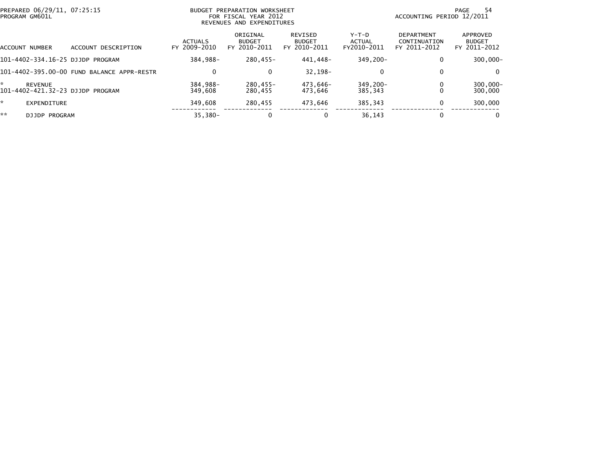| PREPARED 06/29/11, 07:25:15<br>PROGRAM GM601L           |                                            |                                | <b>BUDGET PREPARATION WORKSHEET</b><br>FOR FISCAL YEAR 2012<br>REVENUES AND EXPENDITURES |                                                     |                                | 54<br>PAGE<br>ACCOUNTING PERIOD 12/2011           |                                           |  |  |
|---------------------------------------------------------|--------------------------------------------|--------------------------------|------------------------------------------------------------------------------------------|-----------------------------------------------------|--------------------------------|---------------------------------------------------|-------------------------------------------|--|--|
| ACCOUNT NUMBER                                          | DESCRIPTION<br>ACCOUNT                     | <b>ACTUALS</b><br>FY 2009-2010 | ORIGINAL<br><b>BUDGET</b><br>FY 2010-2011                                                | <b>REVISED</b><br><b>BUDGET</b><br>2010-2011<br>FY. | Y-T-D<br>ACTUAL<br>FY2010-2011 | <b>DEPARTMENT</b><br>CONTINUATION<br>FY 2011-2012 | APPROVED<br><b>BUDGET</b><br>FY 2011-2012 |  |  |
| 101-4402-334.16-25 DJJDP PROGRAM                        |                                            | 384.988-                       | 280,455-                                                                                 | 441.448-                                            | $349.200 -$                    | 0                                                 | $300,000 -$                               |  |  |
|                                                         | 101-4402-395.00-00 FUND BALANCE APPR-RESTR | $\mathbf{0}$                   | 0                                                                                        | $32.198 -$                                          | 0                              | $\mathbf{0}$                                      | $\Omega$                                  |  |  |
| ÷<br><b>REVENUE</b><br>101-4402-421.32-23 DJJDP PROGRAM |                                            | 384.988-<br>349,608            | $280.455 -$<br>280.455                                                                   | 473.646-<br>473,646                                 | $349.200 -$<br>385.343         | 0                                                 | $300,000 -$<br>300,000                    |  |  |
| *.<br>EXPENDITURE                                       |                                            | 349,608                        | 280.455                                                                                  | 473.646                                             | 385.343                        | 0                                                 | 300,000                                   |  |  |
| **<br>DJJDP PROGRAM                                     |                                            | $35,380-$                      | 0                                                                                        | 0                                                   | 36.143                         | $\bf{0}$                                          | 0                                         |  |  |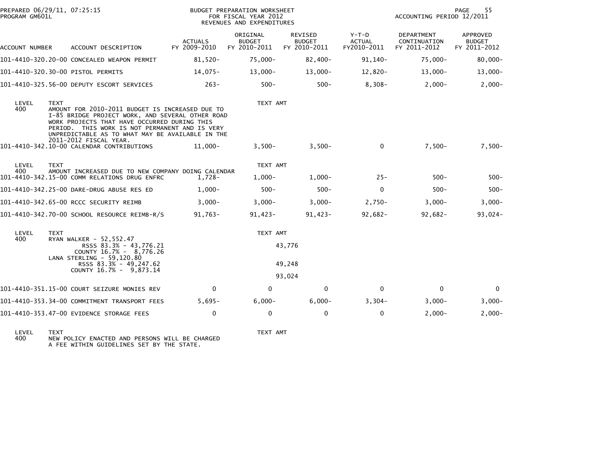| PREPARED 06/29/11, 07:25:15<br>PROGRAM GM601L |             |                                                                                                                                                                                                                                                           | BUDGET PREPARATION WORKSHEET<br>FOR FISCAL YEAR 2012<br>REVENUES AND EXPENDITURES |                                           |                                                 |                                         | 55<br>PAGE<br>ACCOUNTING PERIOD 12/2011    |                                                  |  |
|-----------------------------------------------|-------------|-----------------------------------------------------------------------------------------------------------------------------------------------------------------------------------------------------------------------------------------------------------|-----------------------------------------------------------------------------------|-------------------------------------------|-------------------------------------------------|-----------------------------------------|--------------------------------------------|--------------------------------------------------|--|
| ACCOUNT NUMBER                                |             | ACCOUNT DESCRIPTION                                                                                                                                                                                                                                       | <b>ACTUALS</b><br>FY 2009-2010                                                    | ORIGINAL<br><b>BUDGET</b><br>FY 2010-2011 | <b>REVISED</b><br><b>BUDGET</b><br>FY 2010-2011 | $Y-T-D$<br><b>ACTUAL</b><br>FY2010-2011 | DEPARTMENT<br>CONTINUATION<br>FY 2011-2012 | <b>APPROVED</b><br><b>BUDGET</b><br>FY 2011-2012 |  |
|                                               |             | 101-4410-320.20-00 CONCEALED WEAPON PERMIT                                                                                                                                                                                                                | 81,520-                                                                           | 75,000-                                   | $82,400-$                                       | 91,140-                                 | 75,000-                                    | $80,000 -$                                       |  |
|                                               |             | 101-4410-320.30-00 PISTOL PERMITS                                                                                                                                                                                                                         | 14,075-                                                                           | $13,000-$                                 | $13,000 -$                                      | $12,820-$                               | $13,000-$                                  | $13,000 -$                                       |  |
|                                               |             | 101-4410-325.56-00 DEPUTY ESCORT SERVICES                                                                                                                                                                                                                 | $263-$                                                                            | $500 -$                                   | $500 -$                                         | $8,308-$                                | $2,000-$                                   | $2,000-$                                         |  |
| LEVEL<br>400                                  | <b>TEXT</b> | AMOUNT FOR 2010-2011 BUDGET IS INCREASED DUE TO<br>I-85 BRIDGE PROJECT WORK, AND SEVERAL OTHER ROAD<br>WORK PROJECTS THAT HAVE OCCURRED DURING THIS<br>PERIOD. THIS WORK IS NOT PERMANENT AND IS VERY<br>UNPREDICTABLE AS TO WHAT MAY BE AVAILABLE IN THE |                                                                                   | TEXT AMT                                  |                                                 |                                         |                                            |                                                  |  |
|                                               |             | 2011-2012 FISCAL YEAR.<br>101-4410-342.10-00 CALENDAR CONTRIBUTIONS                                                                                                                                                                                       | 11,000-                                                                           | $3,500-$                                  | $3,500-$                                        | 0                                       | $7,500-$                                   | $7,500-$                                         |  |
| LEVEL<br>400                                  | <b>TEXT</b> | AMOUNT INCREASED DUE TO NEW COMPANY DOING CALENDAR<br>101-4410-342.15-00 COMM RELATIONS DRUG ENFRC                                                                                                                                                        | 1,728-                                                                            | TEXT AMT<br>$1,000-$                      | $1,000-$                                        | $25 -$                                  | $500 -$                                    | $500 -$                                          |  |
|                                               |             | 101-4410-342.25-00 DARE-DRUG ABUSE RES ED                                                                                                                                                                                                                 | $1,000-$                                                                          | $500 -$                                   | $500 -$                                         | $\mathbf 0$                             | $500 -$                                    | $500 -$                                          |  |
|                                               |             | 101-4410-342.65-00 RCCC SECURITY REIMB                                                                                                                                                                                                                    | $3,000-$                                                                          | $3,000-$                                  | $3,000-$                                        | $2,750-$                                | $3,000-$                                   | $3,000-$                                         |  |
|                                               |             | 101-4410-342.70-00 SCHOOL RESOURCE REIMB-R/S                                                                                                                                                                                                              | $91,763-$                                                                         | $91,423-$                                 | $91,423-$                                       | $92,682 -$                              | $92,682-$                                  | $93,024-$                                        |  |
| LEVEL<br>400                                  | <b>TEXT</b> | RYAN WALKER - 52,552.47<br>RSSS 83.3% - 43,776.21<br>COUNTY 16.7% - 8,776.26<br>LANA STERLING - 59.120.80<br>RSSS 83.3% - 49,247.62<br>COUNTY 16.7% - 9.873.14                                                                                            |                                                                                   | TEXT AMT                                  | 43,776<br>49,248<br>93,024                      |                                         |                                            |                                                  |  |
|                                               |             | 101-4410-351.15-00 COURT SEIZURE MONIES REV                                                                                                                                                                                                               | $\mathbf{0}$                                                                      | $\Omega$                                  | 0                                               | 0                                       | $\mathbf 0$                                | $\Omega$                                         |  |
|                                               |             | 101-4410-353.34-00 COMMITMENT TRANSPORT FEES                                                                                                                                                                                                              | $5,695-$                                                                          | $6,000-$                                  | $6,000-$                                        | $3,304-$                                | $3,000-$                                   | $3,000-$                                         |  |
|                                               |             | 101-4410-353.47-00 EVIDENCE STORAGE FEES                                                                                                                                                                                                                  | $\Omega$                                                                          | 0                                         | 0                                               | $\mathbf 0$                             | $2,000-$                                   | $2,000-$                                         |  |

LEVEL TEXT TEXT AMT 400 NEW POLICY ENACTED AND PERSONS WILL BE CHARGED A FEE WITHIN GUIDELINES SET BY THE STATE.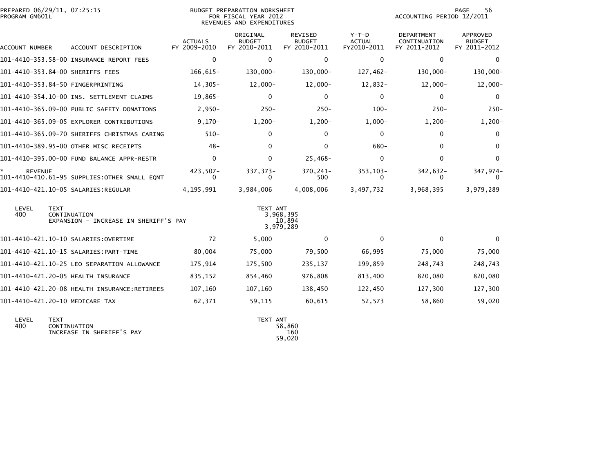| PREPARED 06/29/11, 07:25:15<br>PROGRAM GM601L |                                                       | BUDGET PREPARATION WORKSHEET<br>FOR FISCAL YEAR 2012<br>REVENUES AND EXPENDITURES |                                           |                                          |                                  | 56<br><b>PAGE</b><br>ACCOUNTING PERIOD 12/2011 |                                                  |  |
|-----------------------------------------------|-------------------------------------------------------|-----------------------------------------------------------------------------------|-------------------------------------------|------------------------------------------|----------------------------------|------------------------------------------------|--------------------------------------------------|--|
| ACCOUNT NUMBER                                | ACCOUNT DESCRIPTION                                   | <b>ACTUALS</b><br>FY 2009-2010                                                    | ORIGINAL<br><b>BUDGET</b><br>FY 2010-2011 | REVISED<br><b>BUDGET</b><br>FY 2010-2011 | $Y-T-D$<br>ACTUAL<br>FY2010-2011 | DEPARTMENT<br>CONTINUATION<br>FY 2011-2012     | <b>APPROVED</b><br><b>BUDGET</b><br>FY 2011-2012 |  |
|                                               | 101-4410-353.58-00 INSURANCE REPORT FEES              | $\mathbf{0}$                                                                      | 0                                         | $\mathbf{0}$                             | $\mathbf{0}$                     | $\mathbf{0}$                                   | $\mathbf{0}$                                     |  |
| 101-4410-353.84-00 SHERIFFS FEES              |                                                       | 166,615-                                                                          | 130,000-                                  | 130,000-                                 | 127,462-                         | $130,000 -$                                    | 130,000-                                         |  |
| 101-4410-353.84-50 FINGERPRINTING             |                                                       | $14,305-$                                                                         | $12,000-$                                 | $12,000 -$                               | 12,832-                          | $12,000-$                                      | $12,000-$                                        |  |
|                                               | 101-4410-354.10-00 INS. SETTLEMENT CLAIMS             | 19,865-                                                                           | 0                                         | $\mathbf{0}$                             | $\Omega$                         | 0                                              | $\Omega$                                         |  |
|                                               | 101-4410-365.09-00 PUBLIC SAFETY DONATIONS            | $2,950-$                                                                          | $250 -$                                   | $250 -$                                  | $100 -$                          | $250 -$                                        | $250 -$                                          |  |
|                                               | 101-4410-365.09-05 EXPLORER CONTRIBUTIONS             | $9,170-$                                                                          | $1,200-$                                  | $1,200-$                                 | $1,000-$                         | $1,200-$                                       | $1,200-$                                         |  |
|                                               | 101-4410-365.09-70 SHERIFFS CHRISTMAS CARING          | $510 -$                                                                           | 0                                         | 0                                        | $\bf{0}$                         | 0                                              | $\bf{0}$                                         |  |
|                                               | 101-4410-389.95-00 OTHER MISC RECEIPTS                | $48 -$                                                                            | 0                                         | $\Omega$                                 | $680 -$                          | 0                                              | 0                                                |  |
|                                               | 101-4410-395.00-00 FUND BALANCE APPR-RESTR            | $\mathbf{0}$                                                                      | 0                                         | $25,468-$                                | $\mathbf{0}$                     | $\Omega$                                       | 0                                                |  |
| <b>REVENUE</b>                                | 101-4410-410.61-95 SUPPLIES: OTHER SMALL EQMT         | $423,507-$<br>0                                                                   | 337, 373-<br>0                            | 370,241-<br>500                          | 353, 103-<br>0                   | 342,632-<br>0                                  | 347,974-<br>0                                    |  |
|                                               |                                                       | 4,195,991                                                                         | 3,984,006                                 | 4,008,006                                | 3,497,732                        | 3,968,395                                      | 3,979,289                                        |  |
| LEVEL<br><b>TEXT</b><br>400                   | CONTINUATION<br>EXPANSION - INCREASE IN SHERIFF'S PAY |                                                                                   | TEXT AMT                                  | 3,968,395<br>10,894<br>3,979,289         |                                  |                                                |                                                  |  |
|                                               | 101-4410-421.10-10 SALARIES:OVERTIME                  | 72                                                                                | 5,000                                     | $\bf{0}$                                 | $\Omega$                         | 0                                              | 0                                                |  |
|                                               |                                                       | 80,004                                                                            | 75,000                                    | 79,500                                   | 66,995                           | 75,000                                         | 75,000                                           |  |
|                                               | 101-4410-421.10-25 LEO SEPARATION ALLOWANCE           | 175,914                                                                           | 175,500                                   | 235,137                                  | 199,859                          | 248,743                                        | 248,743                                          |  |
| 101-4410-421.20-05 HEALTH INSURANCE           |                                                       | 835,152                                                                           | 854,460                                   | 976,808                                  | 813,400                          | 820,080                                        | 820,080                                          |  |
|                                               | 101-4410-421.20-08 HEALTH INSURANCE:RETIREES          | 107,160                                                                           | 107,160                                   | 138,450                                  | 122,450                          | 127,300                                        | 127,300                                          |  |
| 101-4410-421.20-10 MEDICARE TAX               |                                                       | 62,371                                                                            | 59,115                                    | 60,615                                   | 52,573                           | 58,860                                         | 59,020                                           |  |
| I FVFI<br><b>TFXT</b>                         |                                                       |                                                                                   | TFXT AMT                                  |                                          |                                  |                                                |                                                  |  |

| LEVEL | TFXT                      | TEXT AMT |
|-------|---------------------------|----------|
| 400   | CONTINUATION              | 58.860   |
|       | INCREASE IN SHERIFF'S PAY | 160      |
|       |                           | 59.020   |
|       |                           |          |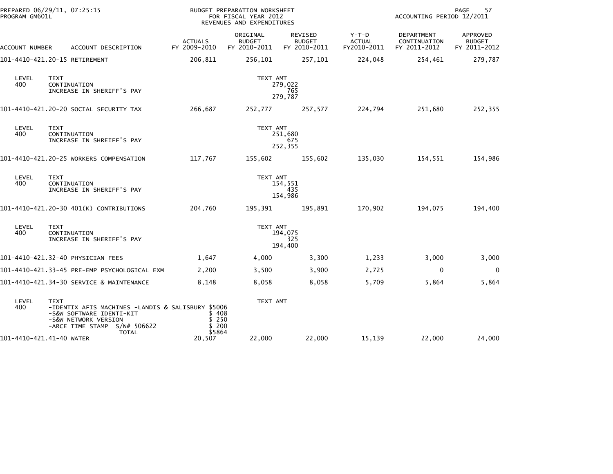| PROGRAM GM601L           | PREPARED 06/29/11, 07:25:15                                                                                                                                          | <b>BUDGET PREPARATION WORKSHEET</b><br>FOR FISCAL YEAR 2012<br>REVENUES AND EXPENDITURES |                                           |                                                 |                                         | 57<br>PAGE<br>ACCOUNTING PERIOD 12/2011    |                                           |  |  |
|--------------------------|----------------------------------------------------------------------------------------------------------------------------------------------------------------------|------------------------------------------------------------------------------------------|-------------------------------------------|-------------------------------------------------|-----------------------------------------|--------------------------------------------|-------------------------------------------|--|--|
| ACCOUNT NUMBER           | ACCOUNT DESCRIPTION                                                                                                                                                  | <b>ACTUALS</b><br>FY 2009-2010                                                           | ORIGINAL<br><b>BUDGET</b><br>FY 2010-2011 | <b>REVISED</b><br><b>BUDGET</b><br>FY 2010-2011 | $Y-T-D$<br><b>ACTUAL</b><br>FY2010-2011 | DEPARTMENT<br>CONTINUATION<br>FY 2011-2012 | APPROVED<br><b>BUDGET</b><br>FY 2011-2012 |  |  |
|                          | 101-4410-421.20-15 RETIREMENT                                                                                                                                        | 206,811                                                                                  | 256,101                                   | 257,101                                         | 224,048                                 | 254,461                                    | 279,787                                   |  |  |
| LEVEL<br>400             | <b>TEXT</b><br>CONTINUATION<br>INCREASE IN SHERIFF'S PAY                                                                                                             |                                                                                          | TEXT AMT                                  | 279,022<br>765<br>279,787                       |                                         |                                            |                                           |  |  |
|                          | 101-4410-421.20-20 SOCIAL SECURITY TAX                                                                                                                               | 266,687                                                                                  | 252,777                                   | 257,577                                         | 224,794                                 | 251,680                                    | 252,355                                   |  |  |
| LEVEL<br>400             | <b>TEXT</b><br>CONTINUATION<br>INCREASE IN SHREIFF'S PAY                                                                                                             |                                                                                          | TEXT AMT                                  | 251,680<br>675<br>252,355                       |                                         |                                            |                                           |  |  |
|                          | 101-4410-421.20-25 WORKERS COMPENSATION                                                                                                                              | 117,767                                                                                  | 155,602                                   | 155,602                                         | 135,030                                 | 154,551                                    | 154,986                                   |  |  |
| LEVEL<br>400             | <b>TEXT</b><br>CONTINUATION<br>INCREASE IN SHERIFF'S PAY                                                                                                             |                                                                                          | TEXT AMT                                  | 154,551<br>435<br>154,986                       |                                         |                                            |                                           |  |  |
|                          | 101-4410-421.20-30 401(K) CONTRIBUTIONS                                                                                                                              | 204,760                                                                                  | 195,391                                   | 195,891                                         | 170,902                                 | 194,075                                    | 194,400                                   |  |  |
| LEVEL<br>400             | <b>TEXT</b><br>CONTINUATION<br>INCREASE IN SHERIFF'S PAY                                                                                                             |                                                                                          | TEXT AMT                                  | 194,075<br>325<br>194,400                       |                                         |                                            |                                           |  |  |
|                          | 101-4410-421.32-40 PHYSICIAN FEES                                                                                                                                    | 1,647                                                                                    | 4,000                                     | 3,300                                           | 1,233                                   | 3,000                                      | 3,000                                     |  |  |
|                          | 101-4410-421.33-45 PRE-EMP PSYCHOLOGICAL EXM                                                                                                                         | 2,200                                                                                    | 3,500                                     | 3,900                                           | 2,725                                   | $\mathbf 0$                                | $\mathbf 0$                               |  |  |
|                          | 101-4410-421.34-30 SERVICE & MAINTENANCE                                                                                                                             | 8,148                                                                                    | 8,058                                     | 8,058                                           | 5,709                                   | 5,864                                      | 5,864                                     |  |  |
| LEVEL<br>400             | <b>TEXT</b><br>-IDENTIX AFIS MACHINES -LANDIS & SALISBURY \$5006<br>-S&W SOFTWARE IDENTI-KIT<br>-S&W NETWORK VERSION<br>-ARCE TIME STAMP S/N# 506622<br><b>TOTAL</b> | \$408<br>\$250<br>\$200<br>\$5864                                                        | TEXT AMT                                  |                                                 |                                         |                                            |                                           |  |  |
| 101-4410-421.41-40 WATER |                                                                                                                                                                      | 20,507                                                                                   | 22,000                                    | 22,000                                          | 15,139                                  | 22,000                                     | 24,000                                    |  |  |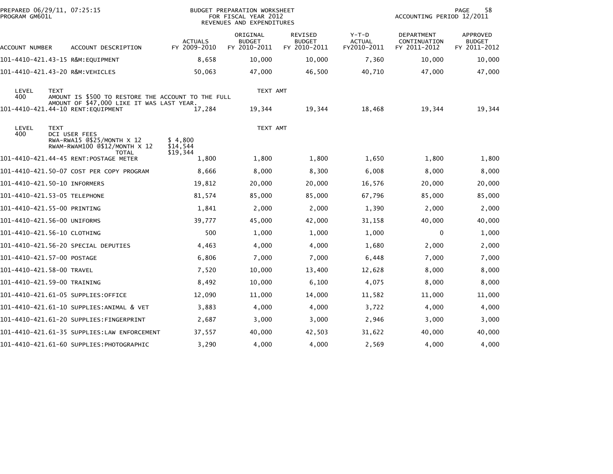| PREPARED 06/29/11, 07:25:15<br>PROGRAM GM601L |                                                                                                 |                                 | <b>BUDGET PREPARATION WORKSHEET</b><br>FOR FISCAL YEAR 2012<br>REVENUES AND EXPENDITURES | 58<br>PAGE<br>ACCOUNTING PERIOD 12/2011  |                                         |                                            |                                           |
|-----------------------------------------------|-------------------------------------------------------------------------------------------------|---------------------------------|------------------------------------------------------------------------------------------|------------------------------------------|-----------------------------------------|--------------------------------------------|-------------------------------------------|
| ACCOUNT NUMBER                                | ACCOUNT DESCRIPTION                                                                             | <b>ACTUALS</b><br>FY 2009-2010  | ORIGINAL<br><b>BUDGET</b><br>FY 2010-2011                                                | REVISED<br><b>BUDGET</b><br>FY 2010-2011 | $Y-T-D$<br><b>ACTUAL</b><br>FY2010-2011 | DEPARTMENT<br>CONTINUATION<br>FY 2011-2012 | APPROVED<br><b>BUDGET</b><br>FY 2011-2012 |
| 101-4410-421.43-15 R&M:EOUIPMENT              |                                                                                                 | 8,658                           | 10,000                                                                                   | 10,000                                   | 7,360                                   | 10,000                                     | 10,000                                    |
| 101-4410-421.43-20 R&M: VEHICLES              |                                                                                                 | 50,063                          | 47,000                                                                                   | 46,500                                   | 40,710                                  | 47,000                                     | 47,000                                    |
| LEVEL<br><b>TEXT</b><br>400                   | AMOUNT IS \$500 TO RESTORE THE ACCOUNT TO THE FULL<br>AMOUNT OF \$47,000 LIKE IT WAS LAST YEAR. |                                 | TEXT AMT                                                                                 |                                          |                                         |                                            |                                           |
|                                               | 101-4410-421.44-10 RENT:EQUIPMENT                                                               | 17,284                          | 19,344                                                                                   | 19,344                                   | 18,468                                  | 19,344                                     | 19,344                                    |
| LEVEL<br><b>TEXT</b><br>400                   | <b>DCI USER FEES</b>                                                                            |                                 | TEXT AMT                                                                                 |                                          |                                         |                                            |                                           |
|                                               | $RWA-RWA15$ $@$25/MONTH \times 12$<br>RWAM-RWAM100 @\$12/MONTH X 12<br><b>TOTAL</b>             | \$4,800<br>\$14,544<br>\$19,344 |                                                                                          |                                          |                                         |                                            |                                           |
|                                               | 101-4410-421.44-45 RENT:POSTAGE METER                                                           | 1,800                           | 1,800                                                                                    | 1,800                                    | 1,650                                   | 1,800                                      | 1,800                                     |
|                                               | 101-4410-421.50-07 COST PER COPY PROGRAM                                                        | 8,666                           | 8,000                                                                                    | 8,300                                    | 6,008                                   | 8,000                                      | 8,000                                     |
| 101-4410-421.50-10 INFORMERS                  |                                                                                                 | 19,812                          | 20,000                                                                                   | 20,000                                   | 16,576                                  | 20,000                                     | 20,000                                    |
| 101-4410-421.53-05 TELEPHONE                  |                                                                                                 | 81,574                          | 85,000                                                                                   | 85,000                                   | 67,796                                  | 85,000                                     | 85,000                                    |
| 101-4410-421.55-00 PRINTING                   |                                                                                                 | 1,841                           | 2,000                                                                                    | 2,000                                    | 1,390                                   | 2,000                                      | 2,000                                     |
| 101-4410-421.56-00 UNIFORMS                   |                                                                                                 | 39.777                          | 45,000                                                                                   | 42,000                                   | 31,158                                  | 40,000                                     | 40,000                                    |
| 101-4410-421.56-10 CLOTHING                   |                                                                                                 | 500                             | 1,000                                                                                    | 1,000                                    | 1,000                                   | $\mathbf{0}$                               | 1,000                                     |
|                                               | 101-4410-421.56-20 SPECIAL DEPUTIES                                                             | 4,463                           | 4,000                                                                                    | 4,000                                    | 1,680                                   | 2,000                                      | 2,000                                     |
| 101-4410-421.57-00 POSTAGE                    |                                                                                                 | 6,806                           | 7,000                                                                                    | 7,000                                    | 6,448                                   | 7,000                                      | 7,000                                     |
| 101-4410-421.58-00 TRAVEL                     |                                                                                                 | 7,520                           | 10,000                                                                                   | 13,400                                   | 12,628                                  | 8,000                                      | 8,000                                     |
| 101-4410-421.59-00 TRAINING                   |                                                                                                 | 8,492                           | 10,000                                                                                   | 6,100                                    | 4,075                                   | 8,000                                      | 8,000                                     |
|                                               | 101-4410-421.61-05 SUPPLIES:OFFICE                                                              | 12,090                          | 11,000                                                                                   | 14,000                                   | 11,582                                  | 11,000                                     | 11,000                                    |
|                                               | 101-4410-421.61-10 SUPPLIES:ANIMAL & VET                                                        | 3,883                           | 4,000                                                                                    | 4,000                                    | 3,722                                   | 4,000                                      | 4,000                                     |
|                                               | 101-4410-421.61-20 SUPPLIES:FINGERPRINT                                                         | 2,687                           | 3,000                                                                                    | 3,000                                    | 2,946                                   | 3,000                                      | 3,000                                     |
|                                               | 101-4410-421.61-35 SUPPLIES:LAW ENFORCEMENT                                                     | 37,557                          | 40,000                                                                                   | 42,503                                   | 31,622                                  | 40,000                                     | 40,000                                    |
|                                               | 101-4410-421.61-60 SUPPLIES:PHOTOGRAPHIC                                                        | 3,290                           | 4,000                                                                                    | 4,000                                    | 2,569                                   | 4,000                                      | 4,000                                     |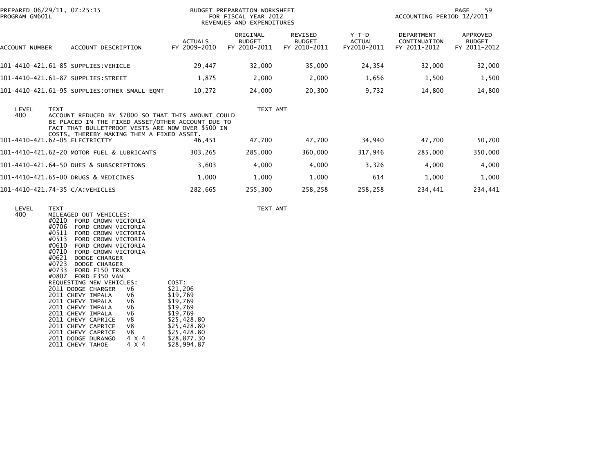| PREPARED 06/29/11, 07:25:15<br>PROGRAM GM601L |                                                                                                                                                                                                            | <b>BUDGET PREPARATION WORKSHEET</b><br>FOR FISCAL YEAR 2012<br>REVENUES AND EXPENDITURES |                                           |                                                 |                                  | 59<br>PAGE<br>ACCOUNTING PERIOD 12/2011           |                                           |  |  |
|-----------------------------------------------|------------------------------------------------------------------------------------------------------------------------------------------------------------------------------------------------------------|------------------------------------------------------------------------------------------|-------------------------------------------|-------------------------------------------------|----------------------------------|---------------------------------------------------|-------------------------------------------|--|--|
| ACCOUNT NUMBER                                | ACCOUNT DESCRIPTION                                                                                                                                                                                        | <b>ACTUALS</b><br>FY 2009-2010                                                           | ORIGINAL<br><b>BUDGET</b><br>FY 2010-2011 | <b>REVISED</b><br><b>BUDGET</b><br>FY 2010-2011 | $Y-T-D$<br>ACTUAL<br>FY2010-2011 | <b>DEPARTMENT</b><br>CONTINUATION<br>FY 2011-2012 | APPROVED<br><b>BUDGET</b><br>FY 2011-2012 |  |  |
| 101-4410-421.61-85 SUPPLIES:VEHICLE           |                                                                                                                                                                                                            | 29,447                                                                                   | 32,000                                    | 35,000                                          | 24,354                           | 32,000                                            | 32,000                                    |  |  |
| 101-4410-421.61-87 SUPPLIES:STREET            |                                                                                                                                                                                                            | 1,875                                                                                    | 2,000                                     | 2,000                                           | 1,656                            | 1,500                                             | 1,500                                     |  |  |
|                                               | 101-4410-421.61-95 SUPPLIES:OTHER SMALL EQMT                                                                                                                                                               | 10,272                                                                                   | 24,000                                    | 20,300                                          | 9,732                            | 14,800                                            | 14,800                                    |  |  |
| LEVEL<br><b>TEXT</b><br>400                   | ACCOUNT REDUCED BY \$7000 SO THAT THIS AMOUNT COULD<br>BE PLACED IN THE FIXED ASSET/OTHER ACCOUNT DUE TO<br>FACT THAT BULLETPROOF VESTS ARE NOW OVER \$500 IN<br>COSTS, THEREBY MAKING THEM A FIXED ASSET. |                                                                                          | TEXT AMT                                  |                                                 |                                  |                                                   |                                           |  |  |
| 101-4410-421.62-05 ELECTRICITY                |                                                                                                                                                                                                            | 46,451                                                                                   | 47,700                                    | 47,700                                          | 34,940                           | 47,700                                            | 50,700                                    |  |  |
|                                               | 101-4410-421.62-20 MOTOR FUEL & LUBRICANTS                                                                                                                                                                 | 303,265                                                                                  | 285,000                                   | 360,000                                         | 317,946                          | 285,000                                           | 350,000                                   |  |  |
|                                               | 101-4410-421.64-50 DUES & SUBSCRIPTIONS                                                                                                                                                                    | 3,603                                                                                    | 4,000                                     | 4,000                                           | 3,326                            | 4,000                                             | 4,000                                     |  |  |
|                                               | 101-4410-421.65-00 DRUGS & MEDICINES                                                                                                                                                                       | 1,000                                                                                    | 1,000                                     | 1,000                                           | 614                              | 1,000                                             | 1,000                                     |  |  |
| 101-4410-421.74-35 C/A:VEHICLES               |                                                                                                                                                                                                            | 282,665                                                                                  | 255,300                                   | 258,258                                         | 258,258                          | 234,441                                           | 234,441                                   |  |  |

| LEVEL<br>400 | <b>TEXT</b><br>MILEAGED OUT VEHICLES:<br>#0210<br>FORD CROWN VICTORIA                        |             | TEXT AMT |
|--------------|----------------------------------------------------------------------------------------------|-------------|----------|
|              | #0706<br>FORD CROWN VICTORIA<br>#0511<br>FORD CROWN VICTORIA<br>#0513<br>FORD CROWN VICTORIA |             |          |
|              | #0610<br>FORD CROWN VICTORIA<br>#0710<br>FORD CROWN VICTORIA                                 |             |          |
|              | #0621<br>DODGE CHARGER                                                                       |             |          |
|              | #0723 DODGE CHARGER                                                                          |             |          |
|              | #0733 FORD F150 TRUCK<br>#0807 FORD E350 VAN                                                 |             |          |
|              | REQUESTING NEW VEHICLES:                                                                     | COST:       |          |
|              | 2011 DODGE CHARGER<br>V6                                                                     | \$21,206    |          |
|              | 2011 CHEVY IMPALA<br>V6                                                                      | \$19,769    |          |
|              | V6<br>2011 CHEVY IMPALA                                                                      | \$19,769    |          |
|              | V6<br>2011 CHEVY IMPALA                                                                      | \$19,769    |          |
|              | V6<br>2011 CHEVY IMPALA                                                                      | \$19,769    |          |
|              | V8<br>2011 CHEVY CAPRICE                                                                     | \$25,428.80 |          |
|              | V8<br>2011 CHEVY CAPRICE                                                                     | \$25,428.80 |          |
|              | V8<br>2011 CHEVY CAPRICE                                                                     | \$25,428.80 |          |
|              | 2011 DODGE DURANGO<br>4 X 4                                                                  | \$28,877.30 |          |
|              | 2011 CHEVY TAHOE<br>4 X 4                                                                    | \$28,994.87 |          |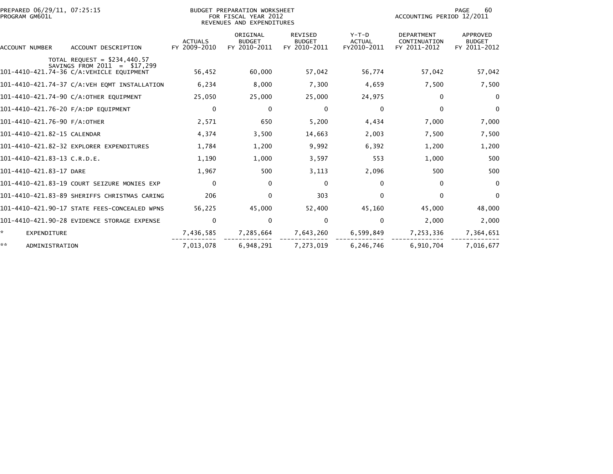| PREPARED 06/29/11, 07:25:15<br>PROGRAM GM601L                                                               | BUDGET PREPARATION WORKSHEET<br>FOR FISCAL YEAR 2012<br>REVENUES AND EXPENDITURES |                                           |                                                 |                                         | 60<br>PAGE<br>ACCOUNTING PERIOD 12/2011           |                                           |  |
|-------------------------------------------------------------------------------------------------------------|-----------------------------------------------------------------------------------|-------------------------------------------|-------------------------------------------------|-----------------------------------------|---------------------------------------------------|-------------------------------------------|--|
| ACCOUNT DESCRIPTION<br><b>ACCOUNT NUMBER</b>                                                                | <b>ACTUALS</b><br>FY 2009-2010                                                    | ORIGINAL<br><b>BUDGET</b><br>FY 2010-2011 | <b>REVISED</b><br><b>BUDGET</b><br>FY 2010-2011 | $Y-T-D$<br><b>ACTUAL</b><br>FY2010-2011 | <b>DEPARTMENT</b><br>CONTINUATION<br>FY 2011-2012 | APPROVED<br><b>BUDGET</b><br>FY 2011-2012 |  |
| TOTAL REQUEST = $$234,440.57$<br>SAVINGS FROM $2011 = $17,299$<br>101-4410-421.74-36 C/A: VEHICLE EQUIPMENT | 56,452                                                                            | 60,000                                    | 57,042                                          | 56,774                                  | 57,042                                            | 57,042                                    |  |
| 101-4410-421.74-37 C/A:VEH EQMT INSTALLATION                                                                | 6,234                                                                             | 8,000                                     | 7,300                                           | 4,659                                   | 7,500                                             | 7,500                                     |  |
| 101-4410-421.74-90 C/A:OTHER EQUIPMENT                                                                      | 25.050                                                                            | 25,000                                    | 25,000                                          | 24,975                                  | $\Omega$                                          | $\Omega$                                  |  |
| 101-4410-421.76-20 F/A:DP EQUIPMENT                                                                         | $\Omega$                                                                          | 0                                         | $\mathbf 0$                                     | $\mathbf{0}$                            | $\Omega$                                          | $\Omega$                                  |  |
| 101-4410-421.76-90 F/A:OTHER                                                                                | 2,571                                                                             | 650                                       | 5,200                                           | 4,434                                   | 7,000                                             | 7,000                                     |  |
| 101-4410-421.82-15 CALENDAR                                                                                 | 4,374                                                                             | 3,500                                     | 14,663                                          | 2,003                                   | 7,500                                             | 7,500                                     |  |
| 101-4410-421.82-32 EXPLORER EXPENDITURES                                                                    | 1,784                                                                             | 1,200                                     | 9,992                                           | 6,392                                   | 1,200                                             | 1,200                                     |  |
| 101-4410-421.83-13 C.R.D.E.                                                                                 | 1,190                                                                             | 1,000                                     | 3,597                                           | 553                                     | 1,000                                             | 500                                       |  |
| 101-4410-421.83-17 DARE                                                                                     | 1,967                                                                             | 500                                       | 3,113                                           | 2,096                                   | 500                                               | 500                                       |  |
| 101-4410-421.83-19 COURT SEIZURE MONIES EXP                                                                 | $\mathbf{0}$                                                                      | 0                                         | 0                                               | $\mathbf{0}$                            | $\Omega$                                          | $\mathbf 0$                               |  |
| 101-4410-421.83-89 SHERIFFS CHRISTMAS CARING                                                                | 206                                                                               | $\Omega$                                  | 303                                             | $\Omega$                                | $\Omega$                                          | $\Omega$                                  |  |
| 101-4410-421.90-17 STATE FEES-CONCEALED WPNS                                                                | 56.225                                                                            | 45,000                                    | 52,400                                          | 45,160                                  | 45,000                                            | 48,000                                    |  |
| 101-4410-421.90-28 EVIDENCE STORAGE EXPENSE                                                                 | $\Omega$                                                                          | 0                                         | $\Omega$                                        | $\mathbf{0}$                            | 2,000                                             | 2,000                                     |  |
| $\mathcal{H}^{\pm}$<br><b>EXPENDITURE</b>                                                                   | 7,436,585                                                                         | 7,285,664                                 | 7,643,260                                       | 6,599,849                               | 7,253,336                                         | 7,364,651                                 |  |
| **<br>ADMINISTRATION                                                                                        | 7,013,078                                                                         | 6,948,291                                 | 7,273,019                                       | 6,246,746                               | 6,910,704                                         | 7,016,677                                 |  |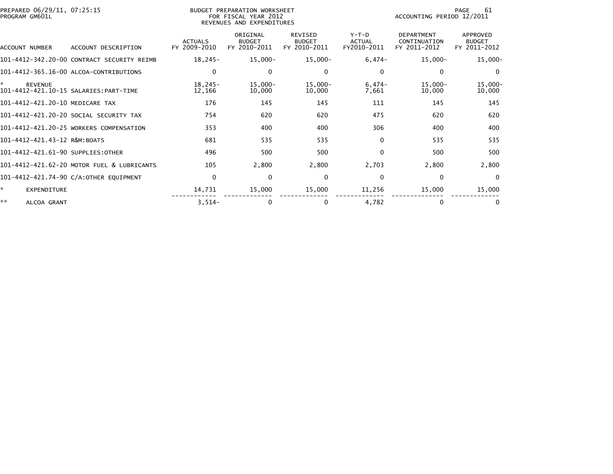| PREPARED 06/29/11, 07:25:15<br>PROGRAM GM601L |                                            |                                | BUDGET PREPARATION WORKSHEET<br>FOR FISCAL YEAR 2012<br>REVENUES AND EXPENDITURES |                                                 |                                         | 61<br>PAGE<br>ACCOUNTING PERIOD 12/2011           |                                                  |
|-----------------------------------------------|--------------------------------------------|--------------------------------|-----------------------------------------------------------------------------------|-------------------------------------------------|-----------------------------------------|---------------------------------------------------|--------------------------------------------------|
| ACCOUNT NUMBER                                | ACCOUNT DESCRIPTION                        | <b>ACTUALS</b><br>FY 2009-2010 | ORIGINAL<br><b>BUDGET</b><br>FY 2010-2011                                         | <b>REVISED</b><br><b>BUDGET</b><br>FY 2010-2011 | $Y-T-D$<br><b>ACTUAL</b><br>FY2010-2011 | <b>DEPARTMENT</b><br>CONTINUATION<br>FY 2011-2012 | <b>APPROVED</b><br><b>BUDGET</b><br>FY 2011-2012 |
|                                               | 101-4412-342.20-00 CONTRACT SECURITY REIMB | $18,245-$                      | $15,000-$                                                                         | $15,000 -$                                      | $6,474-$                                | $15,000 -$                                        | $15,000 -$                                       |
|                                               | 101-4412-365.16-00 ALCOA-CONTRIBUTIONS     | $\mathbf{0}$                   | 0                                                                                 | 0                                               | 0                                       | $\Omega$                                          | $\Omega$                                         |
| <b>REVENUE</b>                                | 101-4412-421.10-15 SALARIES: PART-TIME     | $18.245-$<br>12,166            | $15,000-$<br>10,000                                                               | $15,000 -$<br>10,000                            | $6,474-$<br>7,661                       | $15,000 -$<br>10,000                              | $15,000 -$<br>10,000                             |
| 101-4412-421.20-10 MEDICARE TAX               |                                            | 176                            | 145                                                                               | 145                                             | 111                                     | 145                                               | 145                                              |
|                                               | 101-4412-421.20-20 SOCIAL SECURITY TAX     | 754                            | 620                                                                               | 620                                             | 475                                     | 620                                               | 620                                              |
|                                               | 101-4412-421.20-25 WORKERS COMPENSATION    | 353                            | 400                                                                               | 400                                             | 306                                     | 400                                               | 400                                              |
| 101-4412-421.43-12 R&M:BOATS                  |                                            | 681                            | 535                                                                               | 535                                             | $\mathbf{0}$                            | 535                                               | 535                                              |
| 101-4412-421.61-90 SUPPLIES: OTHER            |                                            | 496                            | 500                                                                               | 500                                             | $\Omega$                                | 500                                               | 500                                              |
|                                               | 101-4412-421.62-20 MOTOR FUEL & LUBRICANTS | 105                            | 2,800                                                                             | 2,800                                           | 2,703                                   | 2,800                                             | 2,800                                            |
|                                               | 101-4412-421.74-90 C/A:OTHER EQUIPMENT     | $\mathbf{0}$                   | $\mathbf{0}$                                                                      | 0                                               | $\Omega$                                | $\Omega$                                          | $\overline{0}$                                   |
| EXPENDITURE                                   |                                            | 14,731                         | 15,000                                                                            | 15,000                                          | 11,256                                  | 15,000                                            | 15,000                                           |
| **<br>ALCOA GRANT                             |                                            | $3,514-$                       | 0                                                                                 | 0                                               | 4,782                                   | 0                                                 |                                                  |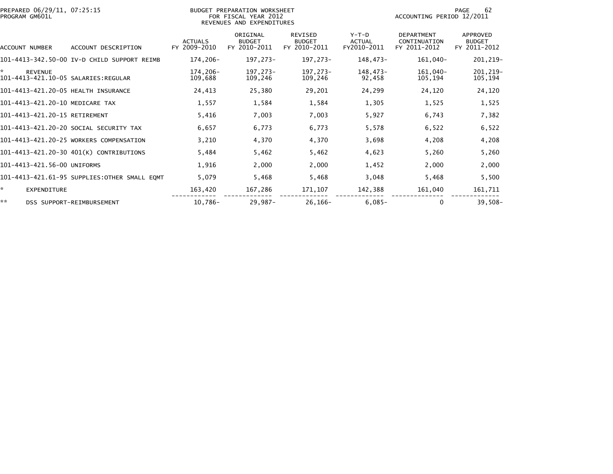| PREPARED 06/29/11, 07:25:15<br>PROGRAM GM601L |                                              | BUDGET PREPARATION WORKSHEET<br>FOR FISCAL YEAR 2012<br>REVENUES AND EXPENDITURES |                                           |                                                 |                                         | 62<br>PAGE<br>ACCOUNTING PERIOD 12/2011           |                                                  |  |
|-----------------------------------------------|----------------------------------------------|-----------------------------------------------------------------------------------|-------------------------------------------|-------------------------------------------------|-----------------------------------------|---------------------------------------------------|--------------------------------------------------|--|
| ACCOUNT NUMBER                                | ACCOUNT DESCRIPTION                          | <b>ACTUALS</b><br>FY 2009-2010                                                    | ORIGINAL<br><b>BUDGET</b><br>FY 2010-2011 | <b>REVISED</b><br><b>BUDGET</b><br>FY 2010-2011 | $Y-T-D$<br><b>ACTUAL</b><br>FY2010-2011 | <b>DEPARTMENT</b><br>CONTINUATION<br>FY 2011-2012 | <b>APPROVED</b><br><b>BUDGET</b><br>FY 2011-2012 |  |
|                                               | 101-4413-342.50-00 IV-D CHILD SUPPORT REIMB  | 174,206-                                                                          | 197,273-                                  | 197,273-                                        | 148,473-                                | 161,040-                                          | 201, 219-                                        |  |
| <b>REVENUE</b>                                |                                              | 174.206-<br>109,688                                                               | 197.273-<br>109,246                       | 197,273-<br>109,246                             | 148,473-<br>92,458                      | 161,040-<br>105,194                               | 201, 219-<br>105,194                             |  |
| 101-4413-421.20-05 HEALTH INSURANCE           |                                              | 24,413                                                                            | 25,380                                    | 29,201                                          | 24,299                                  | 24,120                                            | 24,120                                           |  |
| 101-4413-421.20-10 MEDICARE TAX               |                                              | 1,557                                                                             | 1,584                                     | 1,584                                           | 1,305                                   | 1,525                                             | 1,525                                            |  |
| 101-4413-421.20-15 RETIREMENT                 |                                              | 5,416                                                                             | 7,003                                     | 7,003                                           | 5,927                                   | 6,743                                             | 7,382                                            |  |
|                                               | 101-4413-421.20-20 SOCIAL SECURITY TAX       | 6,657                                                                             | 6,773                                     | 6,773                                           | 5,578                                   | 6,522                                             | 6,522                                            |  |
|                                               | 101-4413-421.20-25 WORKERS COMPENSATION      | 3,210                                                                             | 4,370                                     | 4,370                                           | 3,698                                   | 4,208                                             | 4,208                                            |  |
|                                               | 101-4413-421.20-30 401(K) CONTRIBUTIONS      | 5,484                                                                             | 5,462                                     | 5,462                                           | 4,623                                   | 5,260                                             | 5,260                                            |  |
| 101-4413-421.56-00 UNIFORMS                   |                                              | 1,916                                                                             | 2,000                                     | 2,000                                           | 1,452                                   | 2,000                                             | 2,000                                            |  |
|                                               | 101-4413-421.61-95 SUPPLIES:OTHER SMALL EQMT | 5,079                                                                             | 5,468                                     | 5,468                                           | 3,048                                   | 5,468                                             | 5,500                                            |  |
| *.<br>EXPENDITURE                             |                                              | 163,420                                                                           | 167,286                                   | 171,107                                         | 142,388                                 | 161,040                                           | 161,711                                          |  |
| **                                            | DSS SUPPORT-REIMBURSEMENT                    | 10,786-                                                                           | 29,987-                                   | $26, 166 -$                                     | $6,085-$                                | 0                                                 | $39,508-$                                        |  |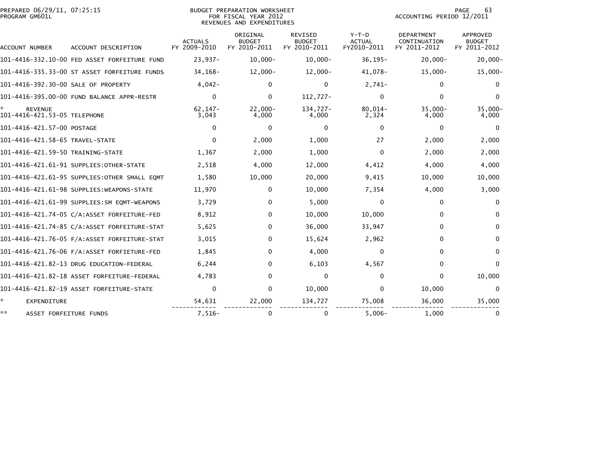| PREPARED 06/29/11, 07:25:15<br>PROGRAM GM601L  |                                              | <b>BUDGET PREPARATION WORKSHEET</b><br>FOR FISCAL YEAR 2012<br>REVENUES AND EXPENDITURES |                                           |                                                 |                                         | 63<br><b>PAGE</b><br>ACCOUNTING PERIOD 12/2011    |                                                  |  |
|------------------------------------------------|----------------------------------------------|------------------------------------------------------------------------------------------|-------------------------------------------|-------------------------------------------------|-----------------------------------------|---------------------------------------------------|--------------------------------------------------|--|
| ACCOUNT NUMBER                                 | ACCOUNT DESCRIPTION                          | <b>ACTUALS</b><br>FY 2009-2010                                                           | ORIGINAL<br><b>BUDGET</b><br>FY 2010-2011 | <b>REVISED</b><br><b>BUDGET</b><br>FY 2010-2011 | $Y-T-D$<br><b>ACTUAL</b><br>FY2010-2011 | <b>DEPARTMENT</b><br>CONTINUATION<br>FY 2011-2012 | <b>APPROVED</b><br><b>BUDGET</b><br>FY 2011-2012 |  |
|                                                | 101-4416-332.10-00 FED ASSET FORFEITURE FUND | $23,937-$                                                                                | $10.000 -$                                | $10,000 -$                                      | $36, 195 -$                             | $20.000 -$                                        | $20,000 -$                                       |  |
|                                                | 101-4416-335.33-00 ST ASSET FORFEITURE FUNDS | 34, 168-                                                                                 | $12,000-$                                 | $12,000 -$                                      | 41,078-                                 | $15,000 -$                                        | 15,000-                                          |  |
| 101-4416-392.30-00 SALE OF PROPERTY            |                                              | $4.042 -$                                                                                | $\Omega$                                  | $\mathbf{0}$                                    | $2.741-$                                | $\mathbf{0}$                                      | $\mathbf{0}$                                     |  |
|                                                | 101-4416-395.00-00 FUND BALANCE APPR-RESTR   | $\mathbf{0}$                                                                             | $\mathbf{0}$                              | 112,727-                                        | $\Omega$                                | $\mathbf{0}$                                      | $\Omega$                                         |  |
| <b>REVENUE</b><br>101-4416-421.53-05 TELEPHONE |                                              | $62, 147 -$<br>3,043                                                                     | $22,000 -$<br>4,000                       | 134,727-<br>4,000                               | $80,014-$<br>2,324                      | $35,000 -$<br>4,000                               | $35,000 -$<br>4,000                              |  |
| 101-4416-421.57-00 POSTAGE                     |                                              | $\Omega$                                                                                 | 0                                         | $\Omega$                                        | $\Omega$                                | $\mathbf{0}$                                      | $\Omega$                                         |  |
| 101-4416-421.58-65 TRAVEL-STATE                |                                              | $\Omega$                                                                                 | 2,000                                     | 1,000                                           | 27                                      | 2,000                                             | 2,000                                            |  |
| 101-4416-421.59-50 TRAINING-STATE              |                                              | 1,367                                                                                    | 2,000                                     | 1,000                                           | $\Omega$                                | 2,000                                             | 2,000                                            |  |
|                                                | 101-4416-421.61-91 SUPPLIES:OTHER-STATE      | 2,518                                                                                    | 4,000                                     | 12,000                                          | 4,412                                   | 4,000                                             | 4,000                                            |  |
|                                                | 101-4416-421.61-95 SUPPLIES:OTHER SMALL EQMT | 1,580                                                                                    | 10,000                                    | 20,000                                          | 9,415                                   | 10,000                                            | 10,000                                           |  |
|                                                | 101-4416-421.61-98 SUPPLIES:WEAPONS-STATE    | 11,970                                                                                   | 0                                         | 10,000                                          | 7,354                                   | 4,000                                             | 3,000                                            |  |
|                                                | 101-4416-421.61-99 SUPPLIES:SM EQMT-WEAPONS  | 3,729                                                                                    | $\Omega$                                  | 5,000                                           | $\Omega$                                | $\Omega$                                          | $\Omega$                                         |  |
|                                                | 101-4416-421.74-05 C/A:ASSET FORFEITURE-FED  | 8,912                                                                                    | $\Omega$                                  | 10,000                                          | 10,000                                  | $\Omega$                                          | $\Omega$                                         |  |
|                                                |                                              | 5,625                                                                                    | 0                                         | 36,000                                          | 33,947                                  | $\Omega$                                          | $\Omega$                                         |  |
|                                                |                                              | 3,015                                                                                    | 0                                         | 15,624                                          | 2,962                                   | $\Omega$                                          | $\Omega$                                         |  |
|                                                |                                              | 1,845                                                                                    | 0                                         | 4,000                                           | $\Omega$                                | $\Omega$                                          | $\Omega$                                         |  |
|                                                | 101-4416-421.82-13 DRUG EDUCATION-FEDERAL    | 6,244                                                                                    | 0                                         | 6,103                                           | 4,567                                   | $\mathbf{0}$                                      | $\Omega$                                         |  |
|                                                | 101–4416–421.82–18 ASSET FORFEITURE–FEDERAL  | 4,783                                                                                    | 0                                         | $\Omega$                                        | $\Omega$                                | $\mathbf{0}$                                      | 10,000                                           |  |
|                                                | 101-4416-421.82-19 ASSET FORFEITURE-STATE    | $\Omega$                                                                                 | 0                                         | 10,000                                          | $\Omega$                                | 10,000                                            | $\Omega$                                         |  |
| *.<br>EXPENDITURE                              |                                              | 54,631                                                                                   | 22,000                                    | 134,727                                         | 75,008                                  | 36,000                                            | 35,000                                           |  |
| **<br>ASSET FORFEITURE FUNDS                   |                                              | $7,516-$                                                                                 | 0                                         | 0                                               | $5,006-$                                | 1.000                                             | 0                                                |  |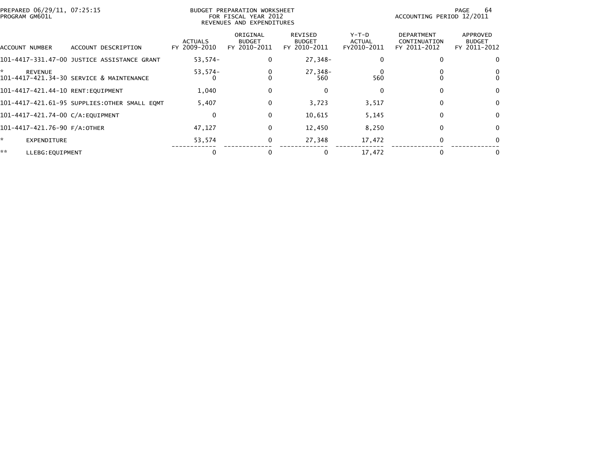| PROGRAM GM601L | PREPARED 06/29/11, 07:25:15  |                                              | BUDGET PREPARATION WORKSHEET<br>FOR FISCAL YEAR 2012<br>REVENUES AND EXPENDITURES |                                           |                                          |                                | 64<br>PAGE<br>ACCOUNTING PERIOD 12/2011           |                                           |
|----------------|------------------------------|----------------------------------------------|-----------------------------------------------------------------------------------|-------------------------------------------|------------------------------------------|--------------------------------|---------------------------------------------------|-------------------------------------------|
| ACCOUNT NUMBER |                              | ACCOUNT DESCRIPTION                          | <b>ACTUALS</b><br>FY 2009-2010                                                    | ORIGINAL<br><b>BUDGET</b><br>FY 2010-2011 | REVISED<br><b>BUDGET</b><br>FY 2010-2011 | Y-T-D<br>ACTUAL<br>FY2010-2011 | <b>DEPARTMENT</b><br>CONTINUATION<br>FY 2011-2012 | APPROVED<br><b>BUDGET</b><br>FY 2011-2012 |
|                |                              | 101–4417–331.47–00 JUSTICE ASSISTANCE GRANT  | 53,574-                                                                           | 0                                         | 27,348-                                  |                                |                                                   |                                           |
| *              | <b>REVENUE</b>               | 101-4417-421.34-30 SERVICE & MAINTENANCE     | $53,574-$                                                                         |                                           | 27,348-<br>560                           | 560                            |                                                   |                                           |
|                |                              | 101-4417-421.44-10 RENT:EQUIPMENT            | 1,040                                                                             | 0                                         | 0                                        | $\Omega$                       | 0                                                 | 0                                         |
|                |                              | 101-4417-421.61-95 SUPPLIES:OTHER SMALL EQMT | 5,407                                                                             | 0                                         | 3,723                                    | 3,517                          | 0                                                 | $\Omega$                                  |
|                |                              | 101-4417-421.74-00 C/A:EQUIPMENT             | $\Omega$                                                                          | 0                                         | 10,615                                   | 5,145                          | 0                                                 | $\Omega$                                  |
|                | 101-4417-421.76-90 F/A:OTHER |                                              | 47,127                                                                            | 0                                         | 12,450                                   | 8,250                          | 0                                                 |                                           |
| *              | EXPENDITURE                  |                                              | 53,574                                                                            | 0                                         | 27,348                                   | 17,472                         |                                                   |                                           |
| **             | LLEBG: EQUIPMENT             |                                              |                                                                                   |                                           |                                          | 17,472                         |                                                   |                                           |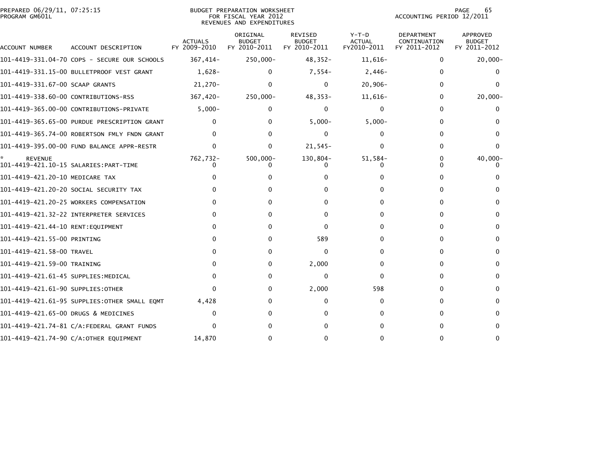| PREPARED 06/29/11, 07:25:15<br>PROGRAM GM601L |                                              |                                | BUDGET PREPARATION WORKSHEET<br>FOR FISCAL YEAR 2012<br>REVENUES AND EXPENDITURES |                                                 | 65<br><b>PAGE</b><br>ACCOUNTING PERIOD 12/2011 |                                                   |                                                  |
|-----------------------------------------------|----------------------------------------------|--------------------------------|-----------------------------------------------------------------------------------|-------------------------------------------------|------------------------------------------------|---------------------------------------------------|--------------------------------------------------|
| ACCOUNT NUMBER                                | ACCOUNT DESCRIPTION                          | <b>ACTUALS</b><br>FY 2009-2010 | ORIGINAL<br><b>BUDGET</b><br>FY 2010-2011                                         | <b>REVISED</b><br><b>BUDGET</b><br>FY 2010-2011 | $Y-T-D$<br><b>ACTUAL</b><br>FY2010-2011        | <b>DEPARTMENT</b><br>CONTINUATION<br>FY 2011-2012 | <b>APPROVED</b><br><b>BUDGET</b><br>FY 2011-2012 |
|                                               | 101-4419-331.04-70 COPS - SECURE OUR SCHOOLS | 367,414-                       | 250,000-                                                                          | $48,352-$                                       | $11,616-$                                      | 0                                                 | $20,000 -$                                       |
|                                               | 101-4419-331.15-00 BULLETPROOF VEST GRANT    | $1,628-$                       | 0                                                                                 | 7,554-                                          | $2,446-$                                       | 0                                                 | 0                                                |
| 101-4419-331.67-00 SCAAP GRANTS               |                                              | $21,270-$                      | 0                                                                                 | $\Omega$                                        | $20,906 -$                                     | $\Omega$                                          |                                                  |
| 101-4419-338.60-00 CONTRIBUTIONS-RSS          |                                              | 367,420-                       | 250,000-                                                                          | $48,353-$                                       | 11,616-                                        | 0                                                 | $20,000 -$                                       |
|                                               | 101-4419-365.00-00 CONTRIBUTIONS-PRIVATE     | $5,000-$                       | 0                                                                                 | 0                                               | 0                                              | 0                                                 |                                                  |
|                                               | 101-4419-365.65-00 PURDUE PRESCRIPTION GRANT |                                | 0                                                                                 | $5,000 -$                                       | $5,000 -$                                      | 0                                                 |                                                  |
|                                               | 101-4419-365.74-00 ROBERTSON FMLY FNDN GRANT | 0                              | 0                                                                                 | $\Omega$                                        | $\Omega$                                       | 0                                                 | $\Omega$                                         |
|                                               | 101-4419-395.00-00 FUND BALANCE APPR-RESTR   | 0                              | 0                                                                                 | $21,545-$                                       | 0                                              | 0                                                 |                                                  |
| <b>REVENUE</b>                                |                                              | 762,732-                       | $500,000 -$                                                                       | 130,804-                                        | 51,584-                                        | 0                                                 | $40,000 -$                                       |
| 101-4419-421.20-10 MEDICARE TAX               |                                              |                                |                                                                                   |                                                 | o                                              |                                                   |                                                  |
|                                               | 101–4419–421.20–20 SOCIAL SECURITY TAX       |                                |                                                                                   |                                                 |                                                | 0                                                 |                                                  |
|                                               | 101-4419-421.20-25 WORKERS COMPENSATION      | 0                              | 0                                                                                 | 0                                               | 0                                              | 0                                                 | 0                                                |
|                                               | 101-4419-421.32-22 INTERPRETER SERVICES      |                                | 0                                                                                 | $\Omega$                                        |                                                | 0                                                 | 0                                                |
|                                               |                                              | $\Omega$                       | 0                                                                                 | 0                                               |                                                | 0                                                 | 0                                                |
| 101-4419-421.55-00 PRINTING                   |                                              | $\Omega$                       | 0                                                                                 | 589                                             | o                                              | 0                                                 |                                                  |
| 101-4419-421.58-00 TRAVEL                     |                                              | 0                              | 0                                                                                 | 0                                               | 0                                              | 0                                                 | $\Omega$                                         |
| 101-4419-421.59-00 TRAINING                   |                                              | 0                              | 0                                                                                 | 2,000                                           | 0                                              | 0                                                 |                                                  |
| 101–4419–421.61–45 SUPPLIES:MEDICAL           |                                              | 0                              | 0                                                                                 | $\mathbf{0}$                                    | 0                                              | $\Omega$                                          | n                                                |
| 101–4419–421.61–90 SUPPLIES:OTHER             |                                              | $\Omega$                       | 0                                                                                 | 2,000                                           | 598                                            | 0                                                 |                                                  |
|                                               | 101–4419–421.61–95 SUPPLIES:OTHER SMALL EQMT | 4,428                          | 0                                                                                 | 0                                               | 0                                              | 0                                                 | 0                                                |
| 101-4419-421.65-00 DRUGS & MEDICINES          |                                              | $\Omega$                       | 0                                                                                 | <sup>0</sup>                                    | 0                                              | 0                                                 |                                                  |
|                                               |                                              | $\Omega$                       | 0                                                                                 |                                                 |                                                | 0                                                 | 0                                                |
|                                               | 101-4419-421.74-90 C/A:OTHER EQUIPMENT       | 14,870                         | 0                                                                                 | O                                               | 0                                              | ∩                                                 |                                                  |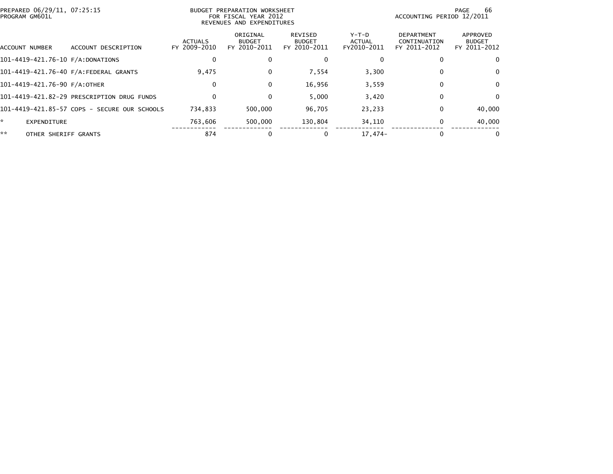| PREPARED 06/29/11, 07:25:15<br>PROGRAM GM601L |                                              | BUDGET PREPARATION WORKSHEET<br>FOR FISCAL YEAR 2012<br>REVENUES AND EXPENDITURES |                                           |                                          |                                | 66<br>PAGE<br>ACCOUNTING PERIOD 12/2011           |                                           |  |
|-----------------------------------------------|----------------------------------------------|-----------------------------------------------------------------------------------|-------------------------------------------|------------------------------------------|--------------------------------|---------------------------------------------------|-------------------------------------------|--|
| ACCOUNT NUMBER                                | ACCOUNT DESCRIPTION                          | <b>ACTUALS</b><br>FY 2009-2010                                                    | ORIGINAL<br><b>BUDGET</b><br>FY 2010-2011 | REVISED<br><b>BUDGET</b><br>FY 2010-2011 | Y-T-D<br>ACTUAL<br>FY2010-2011 | <b>DEPARTMENT</b><br>CONTINUATION<br>FY 2011-2012 | APPROVED<br><b>BUDGET</b><br>FY 2011-2012 |  |
| 101-4419-421.76-10 F/A:DONATIONS              |                                              | $\Omega$                                                                          | 0                                         | $\mathbf 0$                              | $\Omega$                       |                                                   | $\mathbf{0}$                              |  |
|                                               | 101-4419-421.76-40 F/A:FEDERAL GRANTS        | 9,475                                                                             | 0                                         | 7,554                                    | 3,300                          | 0                                                 | 0                                         |  |
| 101-4419-421.76-90 F/A:OTHER                  |                                              | $\Omega$                                                                          | 0                                         | 16,956                                   | 3,559                          | $\bf{0}$                                          | $\mathbf{0}$                              |  |
|                                               | 101-4419-421.82-29 PRESCRIPTION DRUG FUNDS   | $\Omega$                                                                          | 0                                         | 5.000                                    | 3,420                          | 0                                                 | 0                                         |  |
|                                               | 101-4419-421.85-57 COPS - SECURE OUR SCHOOLS | 734,833                                                                           | 500,000                                   | 96,705                                   | 23,233                         | $\Omega$                                          | 40,000                                    |  |
| *.<br>EXPENDITURE                             |                                              | 763,606                                                                           | 500,000                                   | 130,804                                  | 34,110                         | 0                                                 | 40,000                                    |  |
| **<br>OTHER SHERIFF GRANTS                    |                                              | 874                                                                               |                                           | 0                                        | $17.474-$                      | $\Omega$                                          | $\mathbf{0}$                              |  |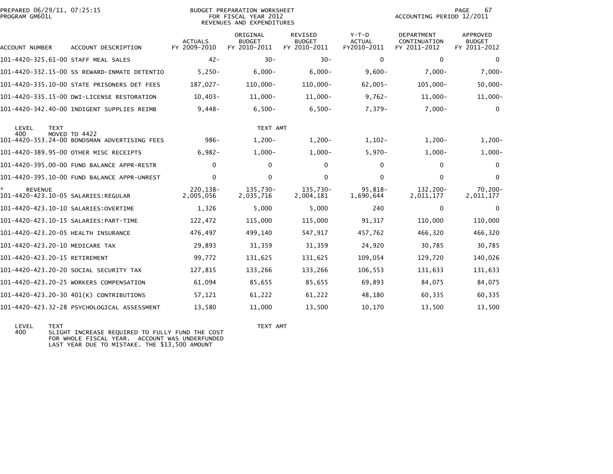| PREPARED 06/29/11, 07:25:15<br>PROGRAM GM601L         |                                              | <b>BUDGET PREPARATION WORKSHEET</b><br>FOR FISCAL YEAR 2012<br>REVENUES AND EXPENDITURES |                                           |                                          |                                         | PAGE<br>67<br>ACCOUNTING PERIOD 12/2011           |                                                  |
|-------------------------------------------------------|----------------------------------------------|------------------------------------------------------------------------------------------|-------------------------------------------|------------------------------------------|-----------------------------------------|---------------------------------------------------|--------------------------------------------------|
| ACCOUNT NUMBER                                        | ACCOUNT DESCRIPTION                          | <b>ACTUALS</b><br>FY 2009-2010                                                           | ORIGINAL<br><b>BUDGET</b><br>FY 2010-2011 | REVISED<br><b>BUDGET</b><br>FY 2010-2011 | $Y-T-D$<br><b>ACTUAL</b><br>FY2010-2011 | <b>DEPARTMENT</b><br>CONTINUATION<br>FY 2011-2012 | <b>APPROVED</b><br><b>BUDGET</b><br>FY 2011-2012 |
| 101-4420-325.61-00 STAFF MEAL SALES                   |                                              | $42 -$                                                                                   | $30 -$                                    | $30 -$                                   | $\mathbf{0}$                            | $\mathbf{0}$                                      | $\mathbf{0}$                                     |
|                                                       | 101-4420-332.15-00 SS REWARD-INMATE DETENTIO | $5,250-$                                                                                 | $6,000 -$                                 | $6,000-$                                 | $9,600-$                                | $7,000-$                                          | $7,000-$                                         |
|                                                       | 101-4420-335.10-00 STATE PRISONERS DET FEES  | 187.027-                                                                                 | 110,000-                                  | $110,000 -$                              | $62,005 -$                              | $105.000 -$                                       | $50,000 -$                                       |
|                                                       | 101-4420-335.15-00 DWI-LICENSE RESTORATION   | $10.403 -$                                                                               | $11,000 -$                                | $11,000 -$                               | $9,762 -$                               | $11,000 -$                                        | $11,000-$                                        |
|                                                       | 101-4420-342.40-00 INDIGENT SUPPLIES REIMB   | $9,448-$                                                                                 | $6,500-$                                  | $6,500-$                                 | 7,379-                                  | $7,000-$                                          | $\mathbf{0}$                                     |
| LEVEL<br><b>TEXT</b><br>400                           | MOVED TO 4422                                |                                                                                          | TEXT AMT                                  |                                          |                                         |                                                   |                                                  |
|                                                       | 101-4420-353.24-00 BONDSMAN ADVERTISING FEES | $986 -$                                                                                  | $1,200-$                                  | $1,200-$                                 | $1,102-$                                | $1,200-$                                          | $1,200-$                                         |
|                                                       | 101-4420-389.95-00 OTHER MISC RECEIPTS       | $6,982-$                                                                                 | $1,000 -$                                 | $1,000-$                                 | $5,970-$                                | $1,000-$                                          | $1,000-$                                         |
|                                                       | 101-4420-395.00-00 FUND BALANCE APPR-RESTR   | $\Omega$                                                                                 | $\Omega$                                  | $\mathbf{0}$                             | $\Omega$                                | $\Omega$                                          | $\mathbf{0}$                                     |
|                                                       | 101-4420-395.10-00 FUND BALANCE APPR-UNREST  | $\mathbf 0$                                                                              | $\mathbf 0$                               | 0                                        | $\mathbf{0}$                            | $\mathbf 0$                                       | $\mathbf 0$                                      |
| <b>REVENUE</b><br>101-4420-423.10-05 SALARIES:REGULAR |                                              | 220, 138-<br>2.005.056                                                                   | 135,730-<br>2,035,716                     | 135,730-<br>2,004,181                    | 95,818-<br>1,690,644                    | 132,200-<br>2,011,177                             | 70,200-<br>2,011,177                             |
|                                                       |                                              | 1,326                                                                                    | 5,000                                     | 5,000                                    | 240                                     | $\bf{0}$                                          | $\mathbf{0}$                                     |
|                                                       |                                              | 122,472                                                                                  | 115,000                                   | 115,000                                  | 91,317                                  | 110,000                                           | 110,000                                          |
| 101-4420-423.20-05 HEALTH INSURANCE                   |                                              | 476,497                                                                                  | 499,140                                   | 547,917                                  | 457,762                                 | 466,320                                           | 466,320                                          |
| 101-4420-423.20-10 MEDICARE TAX                       |                                              | 29,893                                                                                   | 31,359                                    | 31,359                                   | 24,920                                  | 30,785                                            | 30,785                                           |
| 101-4420-423.20-15 RETIREMENT                         |                                              | 99,772                                                                                   | 131,625                                   | 131,625                                  | 109,054                                 | 129,720                                           | 140,026                                          |
|                                                       | 101-4420-423.20-20 SOCIAL SECURITY TAX       | 127,815                                                                                  | 133,266                                   | 133,266                                  | 106,553                                 | 131,633                                           | 131,633                                          |
|                                                       | 101-4420-423.20-25 WORKERS COMPENSATION      | 61,094                                                                                   | 85,655                                    | 85,655                                   | 69,893                                  | 84,075                                            | 84,075                                           |
|                                                       | 101-4420-423.20-30 401(K) CONTRIBUTIONS      | 57,121                                                                                   | 61,222                                    | 61,222                                   | 48,180                                  | 60,335                                            | 60,335                                           |
|                                                       | 101-4420-423.32-28 PSYCHOLOGICAL ASSESSMENT  | 13.580                                                                                   | 11.000                                    | 13,500                                   | 10,170                                  | 13,500                                            | 13,500                                           |

LEVEL TEXT TEXT AMT 400 SLIGHT INCREASE REQUIRED TO FULLY FUND THE COST FOR WHOLE FISCAL YEAR. ACCOUNT WAS UNDERFUNDED LAST YEAR DUE TO MISTAKE. THE \$13,500 AMOUNT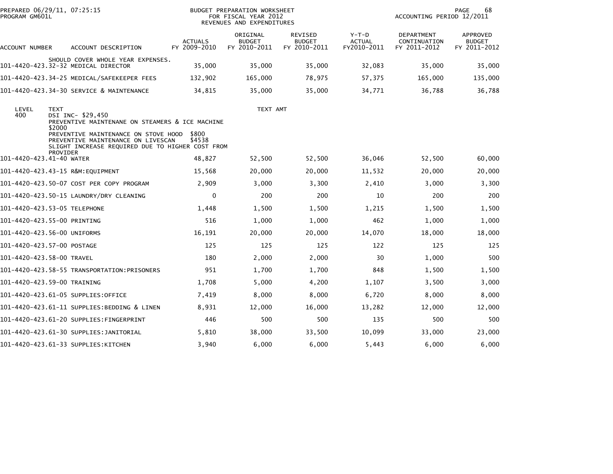| PREPARED 06/29/11, 07:25:15<br>PROGRAM GM601L |                                                                                                                                                                             |                                | <b>BUDGET PREPARATION WORKSHEET</b><br>FOR FISCAL YEAR 2012<br>REVENUES AND EXPENDITURES | 68<br>PAGE<br>ACCOUNTING PERIOD 12/2011         |                                         |                                            |                                           |
|-----------------------------------------------|-----------------------------------------------------------------------------------------------------------------------------------------------------------------------------|--------------------------------|------------------------------------------------------------------------------------------|-------------------------------------------------|-----------------------------------------|--------------------------------------------|-------------------------------------------|
| ACCOUNT NUMBER                                | ACCOUNT DESCRIPTION                                                                                                                                                         | <b>ACTUALS</b><br>FY 2009-2010 | ORIGINAL<br><b>BUDGET</b><br>FY 2010-2011                                                | <b>REVISED</b><br><b>BUDGET</b><br>FY 2010-2011 | $Y-T-D$<br><b>ACTUAL</b><br>FY2010-2011 | DEPARTMENT<br>CONTINUATION<br>FY 2011-2012 | APPROVED<br><b>BUDGET</b><br>FY 2011-2012 |
|                                               | SHOULD COVER WHOLE YEAR EXPENSES.<br>101-4420-423.32-32 MEDICAL DIRECTOR                                                                                                    | 35,000                         | 35,000                                                                                   | 35,000                                          | 32,083                                  | 35,000                                     | 35,000                                    |
|                                               | 101-4420-423.34-25 MEDICAL/SAFEKEEPER FEES                                                                                                                                  |                                |                                                                                          |                                                 |                                         |                                            |                                           |
|                                               |                                                                                                                                                                             | 132,902                        | 165,000                                                                                  | 78,975                                          | 57,375                                  | 165,000                                    | 135,000                                   |
|                                               | 101-4420-423.34-30 SERVICE & MAINTENANCE                                                                                                                                    | 34.815                         | 35,000                                                                                   | 35,000                                          | 34,771                                  | 36,788                                     | 36,788                                    |
| LEVEL<br>400                                  | <b>TEXT</b><br>DSI INC- \$29,450<br>PREVENTIVE MAINTENANE ON STEAMERS & ICE MACHINE<br>\$2000<br>PREVENTIVE MAINTENANCE ON STOVE HOOD<br>PREVENTIVE MAINTENANCE ON LIVESCAN | \$800<br>\$4538                | TEXT AMT                                                                                 |                                                 |                                         |                                            |                                           |
| 101-4420-423.41-40 WATER                      | SLIGHT INCREASE REQUIRED DUE TO HIGHER COST FROM<br><b>PROVIDER</b>                                                                                                         | 48,827                         |                                                                                          | 52,500                                          | 36,046                                  | 52,500                                     | 60,000                                    |
|                                               |                                                                                                                                                                             |                                | 52,500                                                                                   |                                                 |                                         |                                            |                                           |
|                                               | 101-4420-423.43-15 R&M:EQUIPMENT                                                                                                                                            | 15,568                         | 20,000                                                                                   | 20,000                                          | 11,532                                  | 20,000                                     | 20,000                                    |
|                                               | 101-4420-423.50-07 COST PER COPY PROGRAM                                                                                                                                    | 2,909                          | 3,000                                                                                    | 3,300                                           | 2,410                                   | 3,000                                      | 3,300                                     |
|                                               | 101-4420-423.50-15 LAUNDRY/DRY CLEANING                                                                                                                                     | $\mathbf{0}$                   | 200                                                                                      | 200                                             | 10                                      | 200                                        | 200                                       |
|                                               | 101-4420-423.53-05 TELEPHONE                                                                                                                                                | 1,448                          | 1,500                                                                                    | 1,500                                           | 1,215                                   | 1,500                                      | 1,500                                     |
|                                               | 101-4420-423.55-00 PRINTING                                                                                                                                                 | 516                            | 1,000                                                                                    | 1,000                                           | 462                                     | 1,000                                      | 1,000                                     |
|                                               | 101-4420-423.56-00 UNIFORMS                                                                                                                                                 | 16,191                         | 20,000                                                                                   | 20,000                                          | 14,070                                  | 18,000                                     | 18,000                                    |
|                                               | 101-4420-423.57-00 POSTAGE                                                                                                                                                  | 125                            | 125                                                                                      | 125                                             | 122                                     | 125                                        | 125                                       |
| 101-4420-423.58-00 TRAVEL                     |                                                                                                                                                                             | 180                            | 2,000                                                                                    | 2,000                                           | 30                                      | 1,000                                      | 500                                       |
|                                               | 101-4420-423.58-55 TRANSPORTATION:PRISONERS                                                                                                                                 | 951                            | 1,700                                                                                    | 1,700                                           | 848                                     | 1,500                                      | 1,500                                     |
|                                               | 101-4420-423.59-00 TRAINING                                                                                                                                                 | 1,708                          | 5,000                                                                                    | 4,200                                           | 1,107                                   | 3,500                                      | 3,000                                     |
|                                               | 101-4420-423.61-05 SUPPLIES:OFFICE                                                                                                                                          | 7,419                          | 8,000                                                                                    | 8,000                                           | 6,720                                   | 8,000                                      | 8,000                                     |
|                                               | 101-4420-423.61-11 SUPPLIES:BEDDING & LINEN                                                                                                                                 | 8,931                          | 12,000                                                                                   | 16,000                                          | 13,282                                  | 12,000                                     | 12,000                                    |
|                                               | 101-4420-423.61-20 SUPPLIES:FINGERPRINT                                                                                                                                     | 446                            | 500                                                                                      | 500                                             | 135                                     | 500                                        | 500                                       |
|                                               | 101-4420-423.61-30 SUPPLIES:JANITORIAL                                                                                                                                      | 5,810                          | 38,000                                                                                   | 33,500                                          | 10,099                                  | 33,000                                     | 23,000                                    |
|                                               | 101-4420-423.61-33 SUPPLIES:KITCHEN                                                                                                                                         | 3,940                          | 6,000                                                                                    | 6,000                                           | 5,443                                   | 6,000                                      | 6,000                                     |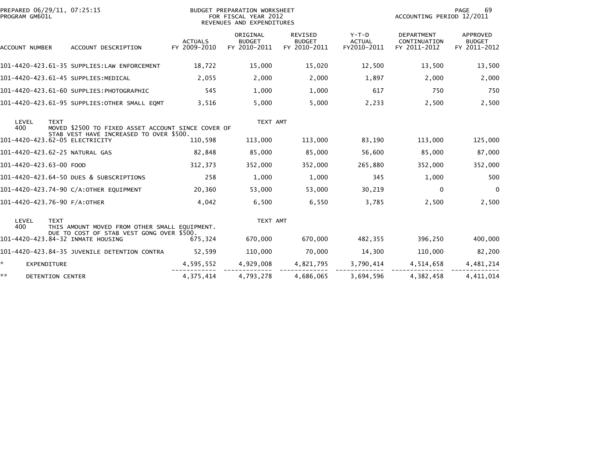| PREPARED 06/29/11, 07:25:15<br>PROGRAM GM601L |                    |             |                                                                                               | BUDGET PREPARATION WORKSHEET<br>FOR FISCAL YEAR 2012<br>REVENUES AND EXPENDITURES |                                           |                                                 |                                         | PAGE<br>69<br>ACCOUNTING PERIOD 12/2011           |                                           |  |
|-----------------------------------------------|--------------------|-------------|-----------------------------------------------------------------------------------------------|-----------------------------------------------------------------------------------|-------------------------------------------|-------------------------------------------------|-----------------------------------------|---------------------------------------------------|-------------------------------------------|--|
| ACCOUNT NUMBER                                |                    |             | ACCOUNT DESCRIPTION                                                                           | <b>ACTUALS</b><br>FY 2009-2010                                                    | ORIGINAL<br><b>BUDGET</b><br>FY 2010-2011 | <b>REVISED</b><br><b>BUDGET</b><br>FY 2010-2011 | $Y-T-D$<br><b>ACTUAL</b><br>FY2010-2011 | <b>DEPARTMENT</b><br>CONTINUATION<br>FY 2011-2012 | APPROVED<br><b>BUDGET</b><br>FY 2011-2012 |  |
|                                               |                    |             | 101-4420-423.61-35 SUPPLIES:LAW ENFORCEMENT                                                   | 18,722                                                                            | 15,000                                    | 15,020                                          | 12,500                                  | 13,500                                            | 13,500                                    |  |
|                                               |                    |             | 101-4420-423.61-45 SUPPLIES:MEDICAL                                                           | 2,055                                                                             | 2,000                                     | 2,000                                           | 1,897                                   | 2,000                                             | 2,000                                     |  |
|                                               |                    |             | 101-4420-423.61-60 SUPPLIES:PHOTOGRAPHIC                                                      | 545                                                                               | 1,000                                     | 1,000                                           | 617                                     | 750                                               | 750                                       |  |
|                                               |                    |             | 101-4420-423.61-95 SUPPLIES:OTHER SMALL EQMT                                                  | 3,516                                                                             | 5,000                                     | 5,000                                           | 2,233                                   | 2,500                                             | 2,500                                     |  |
| LEVEL<br>400                                  |                    | <b>TEXT</b> | MOVED \$2500 TO FIXED ASSET ACCOUNT SINCE COVER OF<br>STAB VEST HAVE INCREASED TO OVER \$500. |                                                                                   | TEXT AMT                                  |                                                 |                                         |                                                   |                                           |  |
|                                               |                    |             | 101-4420-423.62-05 ELECTRICITY                                                                | 110,598                                                                           | 113,000                                   | 113,000                                         | 83,190                                  | 113,000                                           | 125,000                                   |  |
|                                               |                    |             | 101-4420-423.62-25 NATURAL GAS                                                                | 82,848                                                                            | 85,000                                    | 85,000                                          | 56,600                                  | 85,000                                            | 87,000                                    |  |
| 101-4420-423.63-00 FOOD                       |                    |             |                                                                                               | 312,373                                                                           | 352,000                                   | 352,000                                         | 265,880                                 | 352,000                                           | 352,000                                   |  |
|                                               |                    |             | 101-4420-423.64-50 DUES & SUBSCRIPTIONS                                                       | 258                                                                               | 1,000                                     | 1,000                                           | 345                                     | 1,000                                             | 500                                       |  |
|                                               |                    |             | 101-4420-423.74-90 C/A:OTHER EQUIPMENT                                                        | 20,360                                                                            | 53,000                                    | 53,000                                          | 30,219                                  | $\mathbf{0}$                                      | $\mathbf 0$                               |  |
|                                               |                    |             | 101-4420-423.76-90 F/A:OTHER                                                                  | 4,042                                                                             | 6,500                                     | 6,550                                           | 3,785                                   | 2,500                                             | 2,500                                     |  |
| LEVEL<br>400                                  |                    | <b>TEXT</b> | THIS AMOUNT MOVED FROM OTHER SMALL EQUIPMENT.                                                 |                                                                                   | TEXT AMT                                  |                                                 |                                         |                                                   |                                           |  |
|                                               |                    |             | DUE TO COST OF STAB VEST GONG OVER \$500.<br>101-4420-423.84-32 INMATE HOUSING                | 675,324                                                                           | 670,000                                   | 670,000                                         | 482.355                                 | 396,250                                           | 400,000                                   |  |
|                                               |                    |             | 101-4420-423.84-35 JUVENILE DETENTION CONTRA                                                  | 52,599                                                                            | 110,000                                   | 70,000                                          | 14,300                                  | 110,000                                           | 82,200                                    |  |
| *.                                            | <b>EXPENDITURE</b> |             |                                                                                               | 4,595,552                                                                         | 4,929,008                                 | 4,821,795                                       | 3,790,414                               | 4,514,658                                         | 4,481,214                                 |  |
| **                                            | DETENTION CENTER   |             |                                                                                               | 4,375,414                                                                         | 4,793,278                                 | 4,686,065                                       | 3,694,596                               | 4,382,458                                         | 4,411,014                                 |  |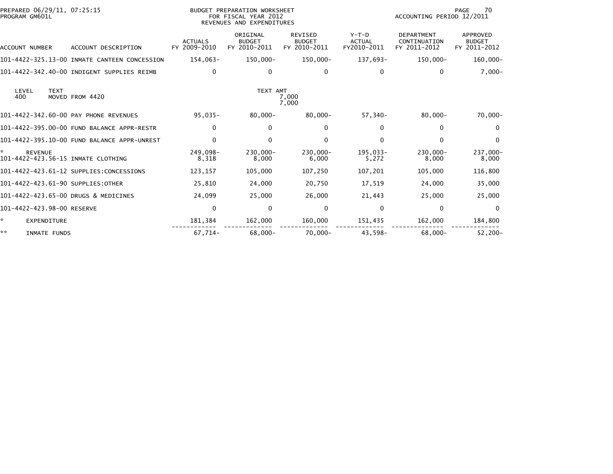| PREPARED 06/29/11, 07:25:15<br>PROGRAM GM601L             |                                              | BUDGET PREPARATION WORKSHEET<br>FOR FISCAL YEAR 2012<br>REVENUES AND EXPENDITURES |                                           |                                                 |                                         | 70<br>PAGE<br>ACCOUNTING PERIOD 12/2011           |                                           |
|-----------------------------------------------------------|----------------------------------------------|-----------------------------------------------------------------------------------|-------------------------------------------|-------------------------------------------------|-----------------------------------------|---------------------------------------------------|-------------------------------------------|
| ACCOUNT NUMBER                                            | ACCOUNT DESCRIPTION                          | <b>ACTUALS</b><br>FY 2009-2010                                                    | ORIGINAL<br><b>BUDGET</b><br>FY 2010-2011 | <b>REVISED</b><br><b>BUDGET</b><br>FY 2010-2011 | $Y-T-D$<br><b>ACTUAL</b><br>FY2010-2011 | <b>DEPARTMENT</b><br>CONTINUATION<br>FY 2011-2012 | APPROVED<br><b>BUDGET</b><br>FY 2011-2012 |
|                                                           | 101-4422-325.13-00 INMATE CANTEEN CONCESSION | 154,063-                                                                          | $150,000 -$                               | $150,000 -$                                     | 137,693-                                | 150,000-                                          | $160,000 -$                               |
|                                                           | 101-4422-342.40-00 INDIGENT SUPPLIES REIMB   | 0                                                                                 | 0                                         | 0                                               | 0                                       | 0                                                 | $7,000-$                                  |
| <b>TEXT</b><br>LEVEL<br>400                               | MOVED FROM 4420                              |                                                                                   | TEXT AMT                                  | 7,000<br>7,000                                  |                                         |                                                   |                                           |
|                                                           | 101-4422-342.60-00 PAY PHONE REVENUES        | $95,035-$                                                                         | $80,000 -$                                | $80,000 -$                                      | $57,340-$                               | $80,000 -$                                        | $70,000 -$                                |
|                                                           | 101-4422-395.00-00 FUND BALANCE APPR-RESTR   | $\mathbf{0}$                                                                      | $\mathbf{0}$                              | 0                                               | 0                                       | 0                                                 | $\mathbf{0}$                              |
|                                                           | 101-4422-395.10-00 FUND BALANCE APPR-UNREST  | 0                                                                                 | 0                                         | 0                                               | 0                                       | 0                                                 | $\mathbf 0$                               |
| *<br><b>REVENUE</b><br>101-4422-423.56-15 INMATE CLOTHING |                                              | 249,098-<br>8,318                                                                 | $230,000 -$<br>8,000                      | 230,000-<br>6,000                               | 195.033-<br>5,272                       | $230,000 -$<br>8,000                              | 237,000-<br>8,000                         |
|                                                           | 101-4422-423.61-12 SUPPLIES:CONCESSIONS      | 123,157                                                                           | 105,000                                   | 107,250                                         | 107,201                                 | 105,000                                           | 116,800                                   |
| 101-4422-423.61-90 SUPPLIES:OTHER                         |                                              | 25,810                                                                            | 24,000                                    | 20,750                                          | 17,519                                  | 24,000                                            | 35,000                                    |
| 101-4422-423.65-00 DRUGS & MEDICINES                      |                                              | 24,099                                                                            | 25,000                                    | 26,000                                          | 21,443                                  | 25,000                                            | 25,000                                    |
| 101-4422-423.98-00 RESERVE                                |                                              | $\mathbf 0$                                                                       | 0                                         | 0                                               | 0                                       | 0                                                 | $\mathbf 0$                               |
| *<br>EXPENDITURE                                          |                                              | 181,384                                                                           | 162,000                                   | 160,000                                         | 151,435                                 | 162,000                                           | 184,800                                   |
| **<br>INMATE FUNDS                                        |                                              | 67,714-                                                                           | $68,000 -$                                | $70,000 -$                                      | 43,598-                                 | $68.000 -$                                        | $52,200-$                                 |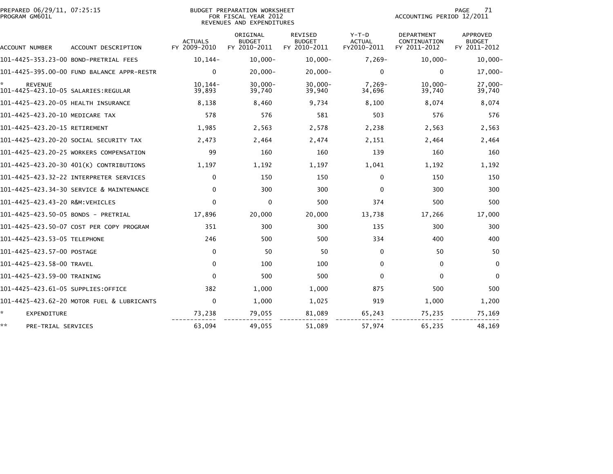| PREPARED 06/29/11, 07:25:15<br>PROGRAM GM601L |                                            |                                | BUDGET PREPARATION WORKSHEET<br>FOR FISCAL YEAR 2012<br>REVENUES AND EXPENDITURES |                                                 |                                         |                                                   | 71<br>PAGE<br>ACCOUNTING PERIOD 12/2011   |  |  |
|-----------------------------------------------|--------------------------------------------|--------------------------------|-----------------------------------------------------------------------------------|-------------------------------------------------|-----------------------------------------|---------------------------------------------------|-------------------------------------------|--|--|
| ACCOUNT NUMBER                                | ACCOUNT DESCRIPTION                        | <b>ACTUALS</b><br>FY 2009-2010 | ORIGINAL<br><b>BUDGET</b><br>FY 2010-2011                                         | <b>REVISED</b><br><b>BUDGET</b><br>FY 2010-2011 | $Y-T-D$<br><b>ACTUAL</b><br>FY2010-2011 | <b>DEPARTMENT</b><br>CONTINUATION<br>FY 2011-2012 | <b>APPROVED</b><br>BUDGET<br>FY 2011-2012 |  |  |
|                                               | 101-4425-353.23-00 BOND-PRETRIAL FEES      | $10, 144 -$                    | $10,000 -$                                                                        | $10,000 -$                                      | $7,269-$                                | $10,000 -$                                        | $10,000 -$                                |  |  |
|                                               | 101-4425-395.00-00 FUND BALANCE APPR-RESTR | $\Omega$                       | $20,000 -$                                                                        | $20,000 -$                                      | $\Omega$                                | $\mathbf{0}$                                      | $17,000 -$                                |  |  |
| <b>REVENUE</b>                                |                                            | $10.144-$<br>39,893            | $30.000 -$<br>39,740                                                              | $30,000 -$<br>39,940                            | $7.269 -$<br>34,696                     | $10.000 -$<br>39,740                              | 27,000-<br>39,740                         |  |  |
| 101-4425-423.20-05 HEALTH INSURANCE           |                                            | 8,138                          | 8,460                                                                             | 9,734                                           | 8,100                                   | 8,074                                             | 8,074                                     |  |  |
| 101-4425-423.20-10 MEDICARE TAX               |                                            | 578                            | 576                                                                               | 581                                             | 503                                     | 576                                               | 576                                       |  |  |
| 101-4425-423.20-15 RETIREMENT                 |                                            | 1,985                          | 2,563                                                                             | 2,578                                           | 2,238                                   | 2,563                                             | 2,563                                     |  |  |
|                                               | 101-4425-423.20-20 SOCIAL SECURITY TAX     | 2,473                          | 2,464                                                                             | 2,474                                           | 2,151                                   | 2,464                                             | 2,464                                     |  |  |
|                                               | 101-4425-423.20-25 WORKERS COMPENSATION    | 99                             | 160                                                                               | 160                                             | 139                                     | 160                                               | 160                                       |  |  |
|                                               | 101-4425-423.20-30 401(K) CONTRIBUTIONS    | 1,197                          | 1,192                                                                             | 1,197                                           | 1,041                                   | 1,192                                             | 1,192                                     |  |  |
|                                               | 101-4425-423.32-22 INTERPRETER SERVICES    | $\Omega$                       | 150                                                                               | 150                                             | $\Omega$                                | 150                                               | 150                                       |  |  |
|                                               | 101-4425-423.34-30 SERVICE & MAINTENANCE   | $\Omega$                       | 300                                                                               | 300                                             | $\Omega$                                | 300                                               | 300                                       |  |  |
| 101-4425-423.43-20 R&M:VEHICLES               |                                            | $\mathbf{0}$                   | $\Omega$                                                                          | 500                                             | 374                                     | 500                                               | 500                                       |  |  |
| 101-4425-423.50-05 BONDS - PRETRIAL           |                                            | 17,896                         | 20,000                                                                            | 20,000                                          | 13,738                                  | 17,266                                            | 17,000                                    |  |  |
|                                               | 101-4425-423.50-07 COST PER COPY PROGRAM   | 351                            | 300                                                                               | 300                                             | 135                                     | 300                                               | 300                                       |  |  |
| 101-4425-423.53-05 TELEPHONE                  |                                            | 246                            | 500                                                                               | 500                                             | 334                                     | 400                                               | 400                                       |  |  |
| 101-4425-423.57-00 POSTAGE                    |                                            | $\mathbf{0}$                   | 50                                                                                | 50                                              | $\mathbf{0}$                            | 50                                                | 50                                        |  |  |
| 101-4425-423.58-00 TRAVEL                     |                                            | $\mathbf{0}$                   | 100                                                                               | 100                                             | $\mathbf{0}$                            | $\mathbf{0}$                                      | $\mathbf 0$                               |  |  |
| 101-4425-423.59-00 TRAINING                   |                                            | $\Omega$                       | 500                                                                               | 500                                             | $\Omega$                                | $\mathbf{0}$                                      | $\mathbf{0}$                              |  |  |
| 101-4425-423.61-05 SUPPLIES:OFFICE            |                                            | 382                            | 1,000                                                                             | 1,000                                           | 875                                     | 500                                               | 500                                       |  |  |
|                                               | 101-4425-423.62-20 MOTOR FUEL & LUBRICANTS | $\Omega$                       | 1,000                                                                             | 1,025                                           | 919                                     | 1,000                                             | 1,200                                     |  |  |
| ×.<br><b>EXPENDITURE</b>                      |                                            | 73,238                         | 79,055                                                                            | 81,089                                          | 65,243                                  | 75,235                                            | 75,169                                    |  |  |
| **<br>PRE-TRIAL SERVICES                      |                                            | 63,094                         | 49,055                                                                            | 51,089                                          | 57,974                                  | 65,235                                            | 48,169                                    |  |  |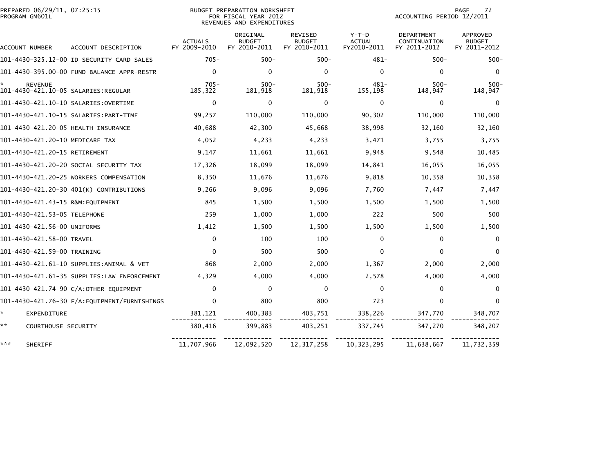| PREPARED 06/29/11, 07:25:15<br>PROGRAM GM601L         |                                             |                                | BUDGET PREPARATION WORKSHEET<br>FOR FISCAL YEAR 2012<br>REVENUES AND EXPENDITURES |                                                 |                                         | PAGE<br>72<br>ACCOUNTING PERIOD 12/2011           |                                           |  |
|-------------------------------------------------------|---------------------------------------------|--------------------------------|-----------------------------------------------------------------------------------|-------------------------------------------------|-----------------------------------------|---------------------------------------------------|-------------------------------------------|--|
| ACCOUNT NUMBER                                        | ACCOUNT DESCRIPTION                         | <b>ACTUALS</b><br>FY 2009-2010 | ORIGINAL<br><b>BUDGET</b><br>FY 2010-2011                                         | <b>REVISED</b><br><b>BUDGET</b><br>FY 2010-2011 | $Y-T-D$<br><b>ACTUAL</b><br>FY2010-2011 | <b>DEPARTMENT</b><br>CONTINUATION<br>FY 2011-2012 | APPROVED<br><b>BUDGET</b><br>FY 2011-2012 |  |
|                                                       | 101-4430-325.12-00 ID SECURITY CARD SALES   | $705 -$                        | $500 -$                                                                           | $500 -$                                         | $481 -$                                 | $500 -$                                           | $500 -$                                   |  |
|                                                       | 101-4430-395.00-00 FUND BALANCE APPR-RESTR  | $\mathbf 0$                    | 0                                                                                 | $\mathbf{0}$                                    | $\mathbf{0}$                            | $\Omega$                                          | 0                                         |  |
| <b>REVENUE</b><br>101-4430-421.10-05 SALARIES:REGULAR |                                             | $705 -$<br>185,322             | $500 -$<br>181,918                                                                | $500 -$<br>181,918                              | $481 -$<br>155,198                      | $500 -$<br>148,947                                | $500 -$<br>148,947                        |  |
|                                                       | 101-4430-421.10-10 SALARIES:OVERTIME        | $\Omega$                       | $\Omega$                                                                          | $\Omega$                                        | $\Omega$                                | 0                                                 | 0                                         |  |
|                                                       | 101-4430-421.10-15 SALARIES: PART-TIME      | 99,257                         | 110,000                                                                           | 110,000                                         | 90,302                                  | 110,000                                           | 110,000                                   |  |
| 101-4430-421.20-05 HEALTH INSURANCE                   |                                             | 40,688                         | 42,300                                                                            | 45,668                                          | 38,998                                  | 32,160                                            | 32,160                                    |  |
| 101-4430-421.20-10 MEDICARE TAX                       |                                             | 4,052                          | 4,233                                                                             | 4,233                                           | 3,471                                   | 3,755                                             | 3,755                                     |  |
| 101-4430-421.20-15 RETIREMENT                         |                                             | 9,147                          | 11,661                                                                            | 11,661                                          | 9,948                                   | 9,548                                             | 10,485                                    |  |
|                                                       | 101-4430-421.20-20 SOCIAL SECURITY TAX      | 17,326                         | 18,099                                                                            | 18,099                                          | 14,841                                  | 16,055                                            | 16,055                                    |  |
|                                                       | 101-4430-421.20-25 WORKERS COMPENSATION     | 8,350                          | 11.676                                                                            | 11.676                                          | 9.818                                   | 10,358                                            | 10,358                                    |  |
|                                                       | 101-4430-421.20-30 401(K) CONTRIBUTIONS     | 9,266                          | 9,096                                                                             | 9,096                                           | 7,760                                   | 7,447                                             | 7,447                                     |  |
| 101-4430-421.43-15 R&M:EQUIPMENT                      |                                             | 845                            | 1,500                                                                             | 1,500                                           | 1.500                                   | 1,500                                             | 1,500                                     |  |
| 101-4430-421.53-05 TELEPHONE                          |                                             | 259                            | 1,000                                                                             | 1,000                                           | 222                                     | 500                                               | 500                                       |  |
| 101-4430-421.56-00 UNIFORMS                           |                                             | 1,412                          | 1,500                                                                             | 1,500                                           | 1,500                                   | 1,500                                             | 1,500                                     |  |
| 101-4430-421.58-00 TRAVEL                             |                                             | $\mathbf 0$                    | 100                                                                               | 100                                             | $\mathbf{0}$                            | $\mathbf{0}$                                      | $\mathbf 0$                               |  |
| 101-4430-421.59-00 TRAINING                           |                                             | $\mathbf{0}$                   | 500                                                                               | 500                                             | $\Omega$                                | $\mathbf{0}$                                      | $\mathbf{0}$                              |  |
|                                                       | 101-4430-421.61-10 SUPPLIES:ANIMAL & VET    | 868                            | 2,000                                                                             | 2,000                                           | 1,367                                   | 2,000                                             | 2,000                                     |  |
|                                                       | 101-4430-421.61-35 SUPPLIES:LAW ENFORCEMENT | 4.329                          | 4.000                                                                             | 4,000                                           | 2,578                                   | 4,000                                             | 4,000                                     |  |
|                                                       | 101-4430-421.74-90 C/A:OTHER EQUIPMENT      | $\Omega$                       | $\Omega$                                                                          | $\mathbf{0}$                                    | $\Omega$                                | $\mathbf{0}$                                      | 0                                         |  |
|                                                       |                                             | $\Omega$                       | 800                                                                               | 800                                             | 723                                     | 0                                                 | 0                                         |  |
| $\mathcal{H}^{\pm}$<br>EXPENDITURE                    |                                             | 381,121                        | 400,383                                                                           | 403,751                                         | 338,226                                 | 347,770                                           | 348,707                                   |  |
| **<br>COURTHOUSE SECURITY                             |                                             | 380,416                        | 399,883                                                                           | 403,251                                         | 337,745                                 | 347,270                                           | 348,207                                   |  |
| ***<br>SHERIFF                                        |                                             | 11,707,966                     | 12,092,520                                                                        | 12, 317, 258                                    | 10, 323, 295                            | 11,638,667                                        | 11,732,359                                |  |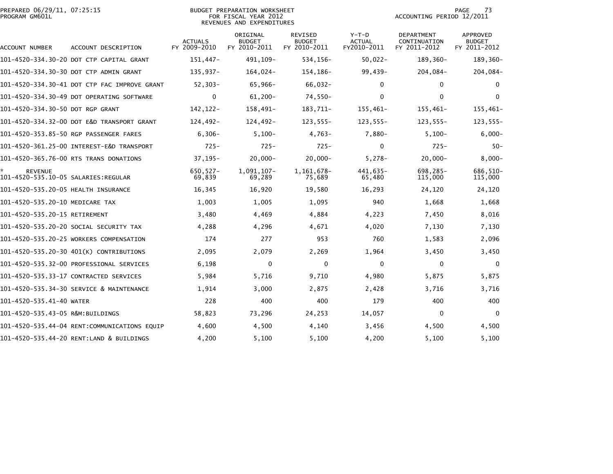| PREPARED 06/29/11, 07:25:15<br>PROGRAM GM601L |                                              |                                | <b>BUDGET PREPARATION WORKSHEET</b><br>FOR FISCAL YEAR 2012<br>REVENUES AND EXPENDITURES | 73<br><b>PAGE</b><br>ACCOUNTING PERIOD 12/2011  |                                         |                                            |                                                  |
|-----------------------------------------------|----------------------------------------------|--------------------------------|------------------------------------------------------------------------------------------|-------------------------------------------------|-----------------------------------------|--------------------------------------------|--------------------------------------------------|
| ACCOUNT NUMBER                                | ACCOUNT DESCRIPTION                          | <b>ACTUALS</b><br>FY 2009-2010 | ORIGINAL<br><b>BUDGET</b><br>FY 2010-2011                                                | <b>REVISED</b><br><b>BUDGET</b><br>FY 2010-2011 | $Y-T-D$<br><b>ACTUAL</b><br>FY2010-2011 | DEPARTMENT<br>CONTINUATION<br>FY 2011-2012 | <b>APPROVED</b><br><b>BUDGET</b><br>FY 2011-2012 |
|                                               | 101-4520-334.30-20 DOT CTP CAPITAL GRANT     | $151,447-$                     | 491, 109-                                                                                | 534,156-                                        | $50,022 -$                              | 189,360-                                   | 189,360-                                         |
|                                               | 101-4520-334.30-30 DOT CTP ADMIN GRANT       | $135.937-$                     | 164.024-                                                                                 | 154,186-                                        | $99,439-$                               | 204,084-                                   | 204,084-                                         |
|                                               | 101-4520-334.30-41 DOT CTP FAC IMPROVE GRANT | $52, 303 -$                    | 65,966-                                                                                  | 66,032-                                         | $\Omega$                                | $\mathbf{0}$                               | $\Omega$                                         |
|                                               | 101-4520-334.30-49 DOT OPERATING SOFTWARE    | $\mathbf 0$                    | $61,200 -$                                                                               | $74,550-$                                       | 0                                       | $\mathbf 0$                                | $\Omega$                                         |
| 101-4520-334.30-50 DOT RGP GRANT              |                                              | 142,122-                       | 158,491-                                                                                 | 183,711-                                        | 155,461-                                | 155,461-                                   | 155,461-                                         |
|                                               | 101-4520-334.32-00 DOT E&D TRANSPORT GRANT   | 124,492-                       | 124,492-                                                                                 | $123,555-$                                      | $123,555-$                              | $123,555-$                                 | $123,555-$                                       |
|                                               | 101-4520-353.85-50 RGP PASSENGER FARES       | $6,306-$                       | $5,100-$                                                                                 | 4,763-                                          | $7,880-$                                | $5.100 -$                                  | $6,000-$                                         |
|                                               |                                              | $725 -$                        | $725 -$                                                                                  | $725 -$                                         | $\Omega$                                | $725 -$                                    | $50 -$                                           |
|                                               | 101-4520-365.76-00 RTS TRANS DONATIONS       | $37, 195 -$                    | $20,000 -$                                                                               | $20,000 -$                                      | $5,278-$                                | $20.000 -$                                 | $8,000 -$                                        |
| <b>REVENUE</b>                                |                                              | $650, 527 -$<br>69,839         | 1,091,107-<br>69,289                                                                     | 1,161,678-<br>75,689                            | 441,635-<br>65,480                      | 698,285-<br>115,000                        | 686,510-<br>115,000                              |
| 101-4520-535.20-05 HEALTH INSURANCE           |                                              | 16,345                         | 16,920                                                                                   | 19,580                                          | 16,293                                  | 24,120                                     | 24,120                                           |
| 101-4520-535.20-10 MEDICARE TAX               |                                              | 1,003                          | 1,005                                                                                    | 1,095                                           | 940                                     | 1,668                                      | 1,668                                            |
| 101-4520-535.20-15 RETIREMENT                 |                                              | 3,480                          | 4,469                                                                                    | 4,884                                           | 4,223                                   | 7,450                                      | 8,016                                            |
|                                               | 101–4520–535.20–20 SOCIAL SECURITY TAX       | 4,288                          | 4,296                                                                                    | 4,671                                           | 4,020                                   | 7,130                                      | 7,130                                            |
|                                               | 101-4520-535.20-25 WORKERS COMPENSATION      | 174                            | 277                                                                                      | 953                                             | 760                                     | 1,583                                      | 2,096                                            |
|                                               | 101-4520-535.20-30 401(K) CONTRIBUTIONS      | 2,095                          | 2,079                                                                                    | 2,269                                           | 1,964                                   | 3,450                                      | 3,450                                            |
|                                               | 101–4520–535.32–00 PROFESSIONAL SERVICES     | 6,198                          | $\mathbf{0}$                                                                             | 0                                               | $\Omega$                                | 0                                          | $\Omega$                                         |
|                                               | 101-4520-535.33-17 CONTRACTED SERVICES       | 5,984                          | 5,716                                                                                    | 9,710                                           | 4,980                                   | 5,875                                      | 5,875                                            |
|                                               | 101-4520-535.34-30 SERVICE & MAINTENANCE     | 1,914                          | 3.000                                                                                    | 2,875                                           | 2,428                                   | 3,716                                      | 3,716                                            |
| 101-4520-535.41-40 WATER                      |                                              | 228                            | 400                                                                                      | 400                                             | 179                                     | 400                                        | 400                                              |
| 101-4520-535.43-05 R&M:BUILDINGS              |                                              | 58,823                         | 73,296                                                                                   | 24,253                                          | 14,057                                  | 0                                          | $\Omega$                                         |
|                                               | 101-4520-535.44-04 RENT:COMMUNICATIONS EQUIP | 4,600                          | 4,500                                                                                    | 4,140                                           | 3,456                                   | 4,500                                      | 4,500                                            |
|                                               | 101-4520-535.44-20 RENT:LAND & BUILDINGS     | 4,200                          | 5,100                                                                                    | 5,100                                           | 4,200                                   | 5,100                                      | 5,100                                            |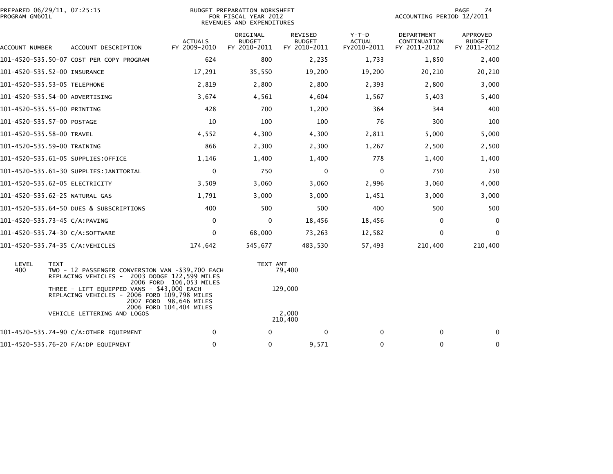| PROGRAM GM601L | PREPARED 06/29/11, 07:25:15              |                                                                                            |                                                     | BUDGET PREPARATION WORKSHEET<br>FOR FISCAL YEAR 2012<br>REVENUES AND EXPENDITURES | PAGE<br>74<br>ACCOUNTING PERIOD 12/2011  |                                         |                                            |                                           |
|----------------|------------------------------------------|--------------------------------------------------------------------------------------------|-----------------------------------------------------|-----------------------------------------------------------------------------------|------------------------------------------|-----------------------------------------|--------------------------------------------|-------------------------------------------|
| ACCOUNT NUMBER |                                          | ACCOUNT DESCRIPTION                                                                        | <b>ACTUALS</b><br>FY 2009-2010                      | ORIGINAL<br><b>BUDGET</b><br>FY 2010-2011                                         | REVISED<br><b>BUDGET</b><br>FY 2010-2011 | $Y-T-D$<br><b>ACTUAL</b><br>FY2010-2011 | DEPARTMENT<br>CONTINUATION<br>FY 2011-2012 | APPROVED<br><b>BUDGET</b><br>FY 2011-2012 |
|                | 101-4520-535.50-07 COST PER COPY PROGRAM |                                                                                            | 624                                                 | 800                                                                               | 2,235                                    | 1,733                                   | 1,850                                      | 2,400                                     |
|                | 101-4520-535.52-00 INSURANCE             |                                                                                            | 17,291                                              | 35,550                                                                            | 19,200                                   | 19,200                                  | 20,210                                     | 20,210                                    |
|                | 101-4520-535.53-05 TELEPHONE             |                                                                                            | 2,819                                               | 2,800                                                                             | 2,800                                    | 2,393                                   | 2,800                                      | 3,000                                     |
|                | 101-4520-535.54-00 ADVERTISING           |                                                                                            | 3,674                                               | 4,561                                                                             | 4,604                                    | 1,567                                   | 5,403                                      | 5,400                                     |
|                | 101-4520-535.55-00 PRINTING              |                                                                                            | 428                                                 | 700                                                                               | 1,200                                    | 364                                     | 344                                        | 400                                       |
|                | 101-4520-535.57-00 POSTAGE               |                                                                                            | 10                                                  | 100                                                                               | 100                                      | 76                                      | 300                                        | 100                                       |
|                | 101-4520-535.58-00 TRAVEL                |                                                                                            | 4,552                                               | 4,300                                                                             | 4,300                                    | 2,811                                   | 5,000                                      | 5,000                                     |
|                | 101-4520-535.59-00 TRAINING              |                                                                                            | 866                                                 | 2,300                                                                             | 2,300                                    | 1,267                                   | 2,500                                      | 2,500                                     |
|                | 101-4520-535.61-05 SUPPLIES:OFFICE       |                                                                                            | 1,146                                               | 1,400                                                                             | 1,400                                    | 778                                     | 1,400                                      | 1,400                                     |
|                | 101-4520-535.61-30 SUPPLIES:JANITORIAL   |                                                                                            | 0                                                   | 750                                                                               | 0                                        | $\mathbf 0$                             | 750                                        | 250                                       |
|                | 101-4520-535.62-05 ELECTRICITY           |                                                                                            | 3,509                                               | 3,060                                                                             | 3,060                                    | 2,996                                   | 3,060                                      | 4,000                                     |
|                | 101-4520-535.62-25 NATURAL GAS           |                                                                                            | 1,791                                               | 3,000                                                                             | 3,000                                    | 1,451                                   | 3,000                                      | 3,000                                     |
|                | 101-4520-535.64-50 DUES & SUBSCRIPTIONS  |                                                                                            | 400                                                 | 500                                                                               | 500                                      | 400                                     | 500                                        | 500                                       |
|                | 101-4520-535.73-45 C/A:PAVING            |                                                                                            | $\mathbf 0$                                         | 0                                                                                 | 18,456                                   | 18,456                                  | 0                                          | 0                                         |
|                | 101-4520-535.74-30 C/A:SOFTWARE          |                                                                                            | 0                                                   | 68,000                                                                            | 73,263                                   | 12,582                                  | $\mathbf 0$                                | $\mathbf 0$                               |
|                | 101-4520-535.74-35 C/A:VEHICLES          |                                                                                            | 174,642                                             | 545,677                                                                           | 483,530                                  | 57,493                                  | 210,400                                    | 210,400                                   |
| LEVEL<br>400   | <b>TEXT</b><br>REPLACING VEHICLES -      | TWO - 12 PASSENGER CONVERSION VAN -\$39,700 EACH                                           | 2003 DODGE 122,599 MILES<br>2006 FORD 106,053 MILES | TEXT AMT                                                                          | 79,400                                   |                                         |                                            |                                           |
|                |                                          | THREE - LIFT EQUIPPED VANS - \$43,000 EACH<br>REPLACING VEHICLES - 2006 FORD 109,798 MILES | 2007 FORD 98,646 MILES<br>2006 FORD 104,404 MILES   |                                                                                   | 129,000                                  |                                         |                                            |                                           |
|                | VEHICLE LETTERING AND LOGOS              |                                                                                            |                                                     |                                                                                   | 2,000<br>210,400                         |                                         |                                            |                                           |
|                | 101-4520-535.74-90 C/A:OTHER EQUIPMENT   |                                                                                            | 0                                                   | 0                                                                                 | 0                                        | 0                                       | 0                                          | 0                                         |
|                | 101-4520-535.76-20 F/A:DP EQUIPMENT      |                                                                                            | 0                                                   | 0                                                                                 | 9,571                                    | 0                                       | $\mathbf 0$                                | $\Omega$                                  |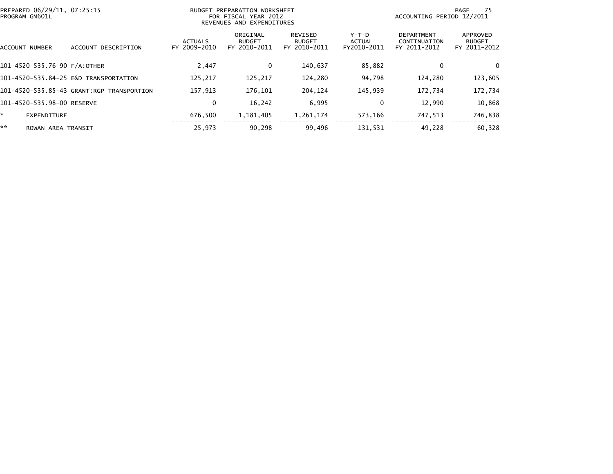| PROGRAM GM601L           | PREPARED 06/29/11, 07:25:15               |                                | BUDGET PREPARATION WORKSHEET<br>FOR FISCAL YEAR 2012<br>REVENUES AND EXPENDITURES |                                          |                                | ACCOUNTING PERIOD 12/2011                  | - 75<br>PAGE                              |
|--------------------------|-------------------------------------------|--------------------------------|-----------------------------------------------------------------------------------|------------------------------------------|--------------------------------|--------------------------------------------|-------------------------------------------|
| ACCOUNT NUMBER           | ACCOUNT DESCRIPTION                       | <b>ACTUALS</b><br>FY 2009-2010 | ORIGINAL<br><b>BUDGET</b><br>FY 2010-2011                                         | REVISED<br><b>BUDGET</b><br>FY 2010-2011 | Y-T-D<br>ACTUAL<br>FY2010-2011 | DEPARTMENT<br>CONTINUATION<br>FY 2011-2012 | APPROVED<br><b>BUDGET</b><br>FY 2011-2012 |
|                          | 101-4520-535.76-90 F/A:OTHER              | 2,447                          | 0                                                                                 | 140,637                                  | 85,882                         | 0                                          | $\Omega$                                  |
|                          | 101-4520-535.84-25 E&D TRANSPORTATION     | 125,217                        | 125,217                                                                           | 124,280                                  | 94,798                         | 124,280                                    | 123,605                                   |
|                          | 101-4520-535.85-43 GRANT:RGP TRANSPORTION | 157.913                        | 176,101                                                                           | 204,124                                  | 145,939                        | 172,734                                    | 172,734                                   |
|                          | 101-4520-535.98-00 RESERVE                | 0                              | 16,242                                                                            | 6,995                                    | 0                              | 12,990                                     | 10,868                                    |
| ×.<br><b>EXPENDITURE</b> |                                           | 676,500                        | 1,181,405                                                                         | 1,261,174                                | 573,166                        | 747,513                                    | 746,838                                   |
| **                       | ROWAN AREA TRANSIT                        | 25,973                         | 90,298                                                                            | 99,496                                   | 131,531                        | 49,228                                     | 60,328                                    |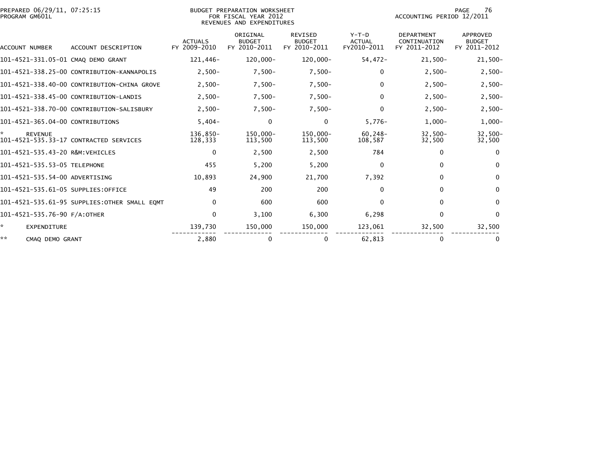| PREPARED 06/29/11, 07:25:15<br>PROGRAM GM601L |                                              |                                | BUDGET PREPARATION WORKSHEET<br>FOR FISCAL YEAR 2012<br>REVENUES AND EXPENDITURES |                                                 |                                         | PAGE<br>76<br>ACCOUNTING PERIOD 12/2011           |                                                  |  |
|-----------------------------------------------|----------------------------------------------|--------------------------------|-----------------------------------------------------------------------------------|-------------------------------------------------|-----------------------------------------|---------------------------------------------------|--------------------------------------------------|--|
| ACCOUNT NUMBER                                | ACCOUNT DESCRIPTION                          | <b>ACTUALS</b><br>FY 2009-2010 | ORIGINAL<br><b>BUDGET</b><br>FY 2010-2011                                         | <b>REVISED</b><br><b>BUDGET</b><br>FY 2010-2011 | $Y-T-D$<br><b>ACTUAL</b><br>FY2010-2011 | <b>DEPARTMENT</b><br>CONTINUATION<br>FY 2011-2012 | <b>APPROVED</b><br><b>BUDGET</b><br>FY 2011-2012 |  |
| 101-4521-331.05-01 CMAQ DEMO GRANT            |                                              | 121,446-                       | 120,000-                                                                          | 120,000-                                        | $54,472-$                               | $21,500-$                                         | $21,500-$                                        |  |
|                                               | 101-4521-338.25-00 CONTRIBUTION-KANNAPOLIS   | $2,500-$                       | $7,500-$                                                                          | $7,500-$                                        | 0                                       | $2,500-$                                          | $2,500-$                                         |  |
|                                               | 101-4521-338.40-00 CONTRIBUTION-CHINA GROVE  | $2,500-$                       | $7,500-$                                                                          | $7,500-$                                        | 0                                       | $2,500-$                                          | $2,500-$                                         |  |
|                                               | 101-4521-338.45-00 CONTRIBUTION-LANDIS       | $2,500-$                       | $7,500-$                                                                          | $7,500-$                                        | 0                                       | $2,500-$                                          | $2,500-$                                         |  |
|                                               | 101-4521-338.70-00 CONTRIBUTION-SALISBURY    | $2,500-$                       | $7,500-$                                                                          | $7,500-$                                        | $\Omega$                                | $2,500-$                                          | $2,500-$                                         |  |
| 101-4521-365.04-00 CONTRIBUTIONS              |                                              | $5,404-$                       | 0                                                                                 | 0                                               | $5,776-$                                | $1,000-$                                          | $1,000-$                                         |  |
| *<br><b>REVENUE</b>                           | 101-4521-535.33-17 CONTRACTED SERVICES       | 136.850-<br>128,333            | 150.000-<br>113,500                                                               | $150.000 -$<br>113,500                          | $60.248 -$<br>108,587                   | $32,500-$<br>32,500                               | $32,500 -$<br>32,500                             |  |
| 101-4521-535.43-20 R&M:VEHICLES               |                                              | $\bf{0}$                       | 2,500                                                                             | 2,500                                           | 784                                     | $\Omega$                                          | $\Omega$                                         |  |
| 101-4521-535.53-05 TELEPHONE                  |                                              | 455                            | 5,200                                                                             | 5,200                                           | $\Omega$                                | $\Omega$                                          | $\Omega$                                         |  |
| 101-4521-535.54-00 ADVERTISING                |                                              | 10,893                         | 24,900                                                                            | 21,700                                          | 7,392                                   | 0                                                 | $\Omega$                                         |  |
| 101-4521-535.61-05 SUPPLIES:OFFICE            |                                              | 49                             | 200                                                                               | 200                                             | $\Omega$                                | $\mathbf{0}$                                      | $\Omega$                                         |  |
|                                               | 101-4521-535.61-95 SUPPLIES:OTHER SMALL EQMT | $\mathbf{0}$                   | 600                                                                               | 600                                             | $\Omega$                                | $\mathbf{0}$                                      | $\mathbf{0}$                                     |  |
| 101-4521-535.76-90 F/A:OTHER                  |                                              | $\mathbf{0}$                   | 3,100                                                                             | 6,300                                           | 6,298                                   | $\Omega$                                          | $\mathbf{0}$                                     |  |
| ÷.<br>EXPENDITURE                             |                                              | 139,730                        | 150,000                                                                           | 150,000                                         | 123,061                                 | 32,500                                            | 32,500                                           |  |
| **<br>CMAQ DEMO GRANT                         |                                              | 2.880                          | 0                                                                                 | 0                                               | 62.813                                  | $\Omega$                                          | 0                                                |  |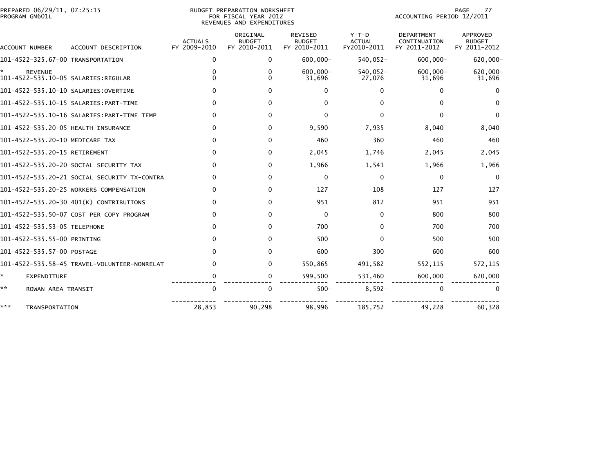| PREPARED 06/29/11, 07:25:15<br>PROGRAM GM601L |                                              |                                | BUDGET PREPARATION WORKSHEET<br>FOR FISCAL YEAR 2012<br>REVENUES AND EXPENDITURES |                                          |                                         | PAGE<br>77<br>ACCOUNTING PERIOD 12/2011           |                                                  |  |  |
|-----------------------------------------------|----------------------------------------------|--------------------------------|-----------------------------------------------------------------------------------|------------------------------------------|-----------------------------------------|---------------------------------------------------|--------------------------------------------------|--|--|
| ACCOUNT NUMBER                                | ACCOUNT DESCRIPTION                          | <b>ACTUALS</b><br>FY 2009-2010 | ORIGINAL<br><b>BUDGET</b><br>FY 2010-2011                                         | REVISED<br><b>BUDGET</b><br>FY 2010-2011 | $Y-T-D$<br><b>ACTUAL</b><br>FY2010-2011 | <b>DEPARTMENT</b><br>CONTINUATION<br>FY 2011-2012 | <b>APPROVED</b><br><b>BUDGET</b><br>FY 2011-2012 |  |  |
| 101-4522-325.67-00 TRANSPORTATION             |                                              | $\mathbf{0}$                   | $\Omega$                                                                          | $600,000 -$                              | $540,052 -$                             | $600,000 -$                                       | 620,000-                                         |  |  |
| <b>REVENUE</b>                                |                                              | 0<br>0                         | 0<br>0                                                                            | $600.000 -$<br>31,696                    | $540,052 -$<br>27,076                   | $600,000 -$<br>31,696                             | 620,000-<br>31,696                               |  |  |
|                                               | 101-4522-535.10-10 SALARIES: OVERTIME        | $\Omega$                       | $\Omega$                                                                          | $\mathbf{0}$                             | $\Omega$                                | $\Omega$                                          | 0                                                |  |  |
|                                               |                                              | $\Omega$                       | $\Omega$                                                                          | 0                                        | <sup>0</sup>                            | $\Omega$                                          | $\Omega$                                         |  |  |
|                                               |                                              | $\Omega$                       | $\Omega$                                                                          | 0                                        | <sup>0</sup>                            | $\Omega$                                          | $\mathbf{0}$                                     |  |  |
| 101-4522-535.20-05 HEALTH INSURANCE           |                                              | 0                              | $\Omega$                                                                          | 9,590                                    | 7,935                                   | 8,040                                             | 8,040                                            |  |  |
| 101-4522-535.20-10 MEDICARE TAX               |                                              | $\Omega$                       | $\Omega$                                                                          | 460                                      | 360                                     | 460                                               | 460                                              |  |  |
| 101-4522-535.20-15 RETIREMENT                 |                                              | $\Omega$                       | $\Omega$                                                                          | 2,045                                    | 1,746                                   | 2,045                                             | 2,045                                            |  |  |
|                                               | 101-4522-535.20-20 SOCIAL SECURITY TAX       | $\mathbf{0}$                   | 0                                                                                 | 1,966                                    | 1,541                                   | 1,966                                             | 1,966                                            |  |  |
|                                               | 101-4522-535.20-21 SOCIAL SECURITY TX-CONTRA | $\Omega$                       | $\Omega$                                                                          | 0                                        | $\Omega$                                | $\mathbf 0$                                       | 0                                                |  |  |
|                                               | 101-4522-535.20-25 WORKERS COMPENSATION      | $\Omega$                       | $\Omega$                                                                          | 127                                      | 108                                     | 127                                               | 127                                              |  |  |
|                                               | 101-4522-535.20-30 401(K) CONTRIBUTIONS      | $\mathbf{0}$                   | $\Omega$                                                                          | 951                                      | 812                                     | 951                                               | 951                                              |  |  |
|                                               | 101-4522-535.50-07 COST PER COPY PROGRAM     | $\mathbf{0}$                   | $\Omega$                                                                          | $\mathbf 0$                              | $\mathbf{0}$                            | 800                                               | 800                                              |  |  |
| 101-4522-535.53-05 TELEPHONE                  |                                              | $\mathbf{0}$                   | $\Omega$                                                                          | 700                                      | 0                                       | 700                                               | 700                                              |  |  |
| 101-4522-535.55-00 PRINTING                   |                                              | $\Omega$                       | $\Omega$                                                                          | 500                                      | $\Omega$                                | 500                                               | 500                                              |  |  |
| 101-4522-535.57-00 POSTAGE                    |                                              | $\Omega$                       | $\Omega$                                                                          | 600                                      | 300                                     | 600                                               | 600                                              |  |  |
|                                               | 101-4522-535.58-45 TRAVEL-VOLUNTEER-NONRELAT | $\Omega$                       | $\Omega$                                                                          | 550,865                                  | 491,582                                 | 552,115                                           | 572,115                                          |  |  |
| ÷.<br>EXPENDITURE                             |                                              | $\Omega$                       | 0                                                                                 | 599,500                                  | 531,460                                 | 600,000                                           | 620,000                                          |  |  |
| **<br>ROWAN AREA TRANSIT                      |                                              | $\mathbf{0}$                   | $\Omega$                                                                          | $500 -$                                  | $8,592-$                                | $\Omega$                                          | $\Omega$                                         |  |  |
| ***<br>TRANSPORTATION                         |                                              | 28,853                         | 90,298                                                                            | 98,996                                   | 185,752                                 | 49,228                                            | 60,328                                           |  |  |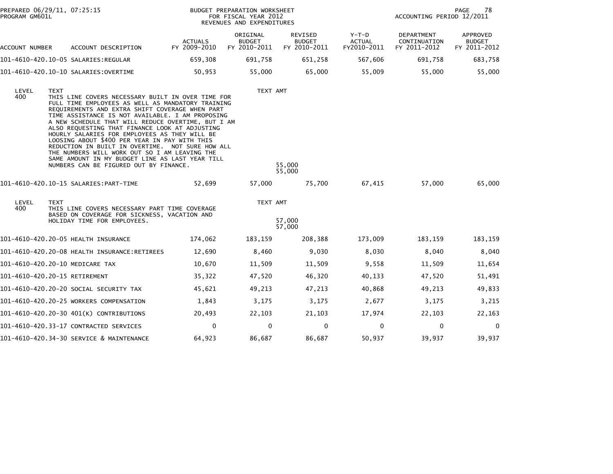| PROGRAM GM601L | PREPARED 06/29/11, 07:25:15                                                                                                                                                                                                                                                                                                                                                                                                                                                                                                                                                                                                              |                                | BUDGET PREPARATION WORKSHEET<br>FOR FISCAL YEAR 2012<br>REVENUES AND EXPENDITURES |                                          | 78<br>PAGE<br>ACCOUNTING PERIOD 12/2011 |                                            |                                           |
|----------------|------------------------------------------------------------------------------------------------------------------------------------------------------------------------------------------------------------------------------------------------------------------------------------------------------------------------------------------------------------------------------------------------------------------------------------------------------------------------------------------------------------------------------------------------------------------------------------------------------------------------------------------|--------------------------------|-----------------------------------------------------------------------------------|------------------------------------------|-----------------------------------------|--------------------------------------------|-------------------------------------------|
| ACCOUNT NUMBER | ACCOUNT DESCRIPTION                                                                                                                                                                                                                                                                                                                                                                                                                                                                                                                                                                                                                      | <b>ACTUALS</b><br>FY 2009-2010 | ORIGINAL<br><b>BUDGET</b><br>FY 2010-2011                                         | REVISED<br><b>BUDGET</b><br>FY 2010-2011 | $Y-T-D$<br><b>ACTUAL</b><br>FY2010-2011 | DEPARTMENT<br>CONTINUATION<br>FY 2011-2012 | APPROVED<br><b>BUDGET</b><br>FY 2011-2012 |
|                | 101-4610-420.10-05 SALARIES:REGULAR                                                                                                                                                                                                                                                                                                                                                                                                                                                                                                                                                                                                      | 659,308                        | 691,758                                                                           | 651,258                                  | 567,606                                 | 691,758                                    | 683,758                                   |
|                | 101-4610-420.10-10 SALARIES:OVERTIME                                                                                                                                                                                                                                                                                                                                                                                                                                                                                                                                                                                                     | 50,953                         | 55,000                                                                            | 65,000                                   | 55,009                                  | 55,000                                     | 55,000                                    |
| LEVEL<br>400   | <b>TEXT</b><br>THIS LINE COVERS NECESSARY BUILT IN OVER TIME FOR<br>FULL TIME EMPLOYEES AS WELL AS MANDATORY TRAINING<br>REQUIREMENTS AND EXTRA SHIFT COVERAGE WHEN PART<br>TIME ASSISTANCE IS NOT AVAILABLE. I AM PROPOSING<br>A NEW SCHEDULE THAT WILL REDUCE OVERTIME, BUT I AM<br>ALSO REQUESTING THAT FINANCE LOOK AT ADJUSTING<br>HOURLY SALARIES FOR EMPLOYEES AS THEY WILL BE<br>LOOSING ABOUT \$400 PER YEAR IN PAY WITH THIS<br>REDUCTION IN BUILT IN OVERTIME. NOT SURE HOW ALL<br>THE NUMBERS WILL WORK OUT SO I AM LEAVING THE<br>SAME AMOUNT IN MY BUDGET LINE AS LAST YEAR TILL<br>NUMBERS CAN BE FIGURED OUT BY FINANCE. |                                | TEXT AMT                                                                          | 55,000<br>55,000                         |                                         |                                            |                                           |
|                | 101-4610-420.10-15 SALARIES:PART-TIME                                                                                                                                                                                                                                                                                                                                                                                                                                                                                                                                                                                                    | 52,699                         | 57,000                                                                            | 75,700                                   | 67,415                                  | 57,000                                     | 65,000                                    |
| LEVEL<br>400   | <b>TEXT</b><br>THIS LINE COVERS NECESSARY PART TIME COVERAGE<br>BASED ON COVERAGE FOR SICKNESS, VACATION AND<br>HOLIDAY TIME FOR EMPLOYEES.                                                                                                                                                                                                                                                                                                                                                                                                                                                                                              |                                | TEXT AMT                                                                          | 57,000<br>57,000                         |                                         |                                            |                                           |
|                | 101-4610-420.20-05 HEALTH INSURANCE                                                                                                                                                                                                                                                                                                                                                                                                                                                                                                                                                                                                      | 174,062                        | 183,159                                                                           | 208,388                                  | 173,009                                 | 183,159                                    | 183,159                                   |
|                |                                                                                                                                                                                                                                                                                                                                                                                                                                                                                                                                                                                                                                          | 12,690                         | 8,460                                                                             | 9,030                                    | 8,030                                   | 8,040                                      | 8,040                                     |
|                | 101-4610-420.20-10 MEDICARE TAX                                                                                                                                                                                                                                                                                                                                                                                                                                                                                                                                                                                                          | 10,670                         | 11,509                                                                            | 11,509                                   | 9,558                                   | 11,509                                     | 11,654                                    |
|                | 101-4610-420.20-15 RETIREMENT                                                                                                                                                                                                                                                                                                                                                                                                                                                                                                                                                                                                            | 35,322                         | 47,520                                                                            | 46,320                                   | 40,133                                  | 47,520                                     | 51,491                                    |
|                | 101–4610–420.20–20 SOCIAL SECURITY TAX                                                                                                                                                                                                                                                                                                                                                                                                                                                                                                                                                                                                   | 45,621                         | 49,213                                                                            | 47,213                                   | 40,868                                  | 49,213                                     | 49,833                                    |
|                | 101-4610-420.20-25 WORKERS COMPENSATION                                                                                                                                                                                                                                                                                                                                                                                                                                                                                                                                                                                                  | 1,843                          | 3,175                                                                             | 3,175                                    | 2,677                                   | 3,175                                      | 3,215                                     |
|                | 101-4610-420.20-30 401(K) CONTRIBUTIONS                                                                                                                                                                                                                                                                                                                                                                                                                                                                                                                                                                                                  | 20,493                         | 22,103                                                                            | 21,103                                   | 17,974                                  | 22,103                                     | 22,163                                    |
|                | 101-4610-420.33-17 CONTRACTED SERVICES                                                                                                                                                                                                                                                                                                                                                                                                                                                                                                                                                                                                   | 0                              | 0                                                                                 | 0                                        | 0                                       | 0                                          | $\mathbf 0$                               |
|                | 101-4610-420.34-30 SERVICE & MAINTENANCE                                                                                                                                                                                                                                                                                                                                                                                                                                                                                                                                                                                                 | 64,923                         | 86,687                                                                            | 86,687                                   | 50,937                                  | 39,937                                     | 39,937                                    |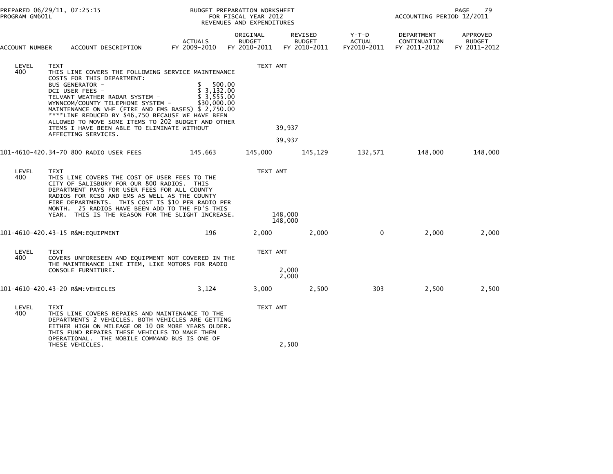| PROGRAM GM601L | PREPARED 06/29/11, 07:25:15                                                                                                                                                                                                                                                                                                                                                                                                                                 |                                               | BUDGET PREPARATION WORKSHEET<br>FOR FISCAL YEAR 2012<br>REVENUES AND EXPENDITURES | PAGE<br>79<br>ACCOUNTING PERIOD 12/2011  |                                       |                                            |                                           |
|----------------|-------------------------------------------------------------------------------------------------------------------------------------------------------------------------------------------------------------------------------------------------------------------------------------------------------------------------------------------------------------------------------------------------------------------------------------------------------------|-----------------------------------------------|-----------------------------------------------------------------------------------|------------------------------------------|---------------------------------------|--------------------------------------------|-------------------------------------------|
| ACCOUNT NUMBER | ACCOUNT DESCRIPTION                                                                                                                                                                                                                                                                                                                                                                                                                                         | <b>ACTUALS</b><br>FY 2009-2010                | ORIGINAL<br><b>BUDGET</b><br>FY 2010-2011                                         | REVISED<br><b>BUDGET</b><br>FY 2010-2011 | Y-T-D<br><b>ACTUAL</b><br>FY2010-2011 | DEPARTMENT<br>CONTINUATION<br>FY 2011-2012 | APPROVED<br><b>BUDGET</b><br>FY 2011-2012 |
| LEVEL<br>400   | <b>TEXT</b><br>THIS LINE COVERS THE FOLLOWING SERVICE MAINTENANCE<br>COSTS FOR THIS DEPARTMENT:<br><b>BUS GENERATOR -</b><br>DCI USER FEES -<br>TELVANT WEATHER RADAR SYSTEM -<br>WYNNCOM/COUNTY TELEPHONE SYSTEM -<br>MAINTENANCE ON VHF (FIRE AND EMS BASES) \$ 2,750.00<br>****LINE REDUCED BY \$46,750 BECAUSE WE HAVE BEEN<br>ALLOWED TO MOVE SOME ITEMS TO 202 BUDGET AND OTHER<br>ITEMS I HAVE BEEN ABLE TO ELIMINATE WITHOUT<br>AFFECTING SERVICES. | \$<br>\$3,132.00<br>\$3,555.00<br>\$30,000.00 | TEXT AMT<br>500.00                                                                | 39,937<br>39,937                         |                                       |                                            |                                           |
|                | 101-4610-420.34-70 800 RADIO USER FEES                                                                                                                                                                                                                                                                                                                                                                                                                      | 145,663                                       | 145,000                                                                           | 145,129                                  | 132,571                               | 148,000                                    | 148,000                                   |
| LEVEL<br>400   | <b>TEXT</b><br>THIS LINE COVERS THE COST OF USER FEES TO THE<br>CITY OF SALISBURY FOR OUR 800 RADIOS. THIS<br>DEPARTMENT PAYS FOR USER FEES FOR ALL COUNTY<br>RADIOS FOR RCSO AND EMS AS WELL AS THE COUNTY<br>FIRE DEPARTMENTS. THIS COST IS \$10 PER RADIO PER<br>MONTH. 25 RADIOS HAVE BEEN ADD TO THE FD'S THIS<br>YEAR. THIS IS THE REASON FOR THE SLIGHT INCREASE.                                                                                    |                                               | TEXT AMT                                                                          | 148,000<br>148,000                       |                                       |                                            |                                           |
|                | 101-4610-420.43-15 R&M:EQUIPMENT                                                                                                                                                                                                                                                                                                                                                                                                                            | 196                                           | 2,000                                                                             | 2,000                                    | 0                                     | 2,000                                      | 2,000                                     |
| LEVEL<br>400   | <b>TEXT</b><br>COVERS UNFORESEEN AND EQUIPMENT NOT COVERED IN THE<br>THE MAINTENANCE LINE ITEM, LIKE MOTORS FOR RADIO<br>CONSOLE FURNITURE.                                                                                                                                                                                                                                                                                                                 |                                               | TEXT AMT                                                                          | 2,000<br>2,000                           |                                       |                                            |                                           |
|                | 101-4610-420.43-20 R&M:VEHICLES                                                                                                                                                                                                                                                                                                                                                                                                                             | 3,124                                         | 3,000                                                                             | 2,500                                    | 303                                   | 2,500                                      | 2,500                                     |
| LEVEL<br>400   | <b>TEXT</b><br>THIS LINE COVERS REPAIRS AND MAINTENANCE TO THE<br>DEPARTMENTS 2 VEHICLES. BOTH VEHICLES ARE GETTING<br>EITHER HIGH ON MILEAGE OR 10 OR MORE YEARS OLDER.<br>THIS FUND REPAIRS THESE VEHICLES TO MAKE THEM                                                                                                                                                                                                                                   |                                               | TEXT AMT                                                                          |                                          |                                       |                                            |                                           |
|                | OPERATIONAL. THE MOBILE COMMAND BUS IS ONE OF<br>THESE VEHICLES.                                                                                                                                                                                                                                                                                                                                                                                            |                                               |                                                                                   | 2,500                                    |                                       |                                            |                                           |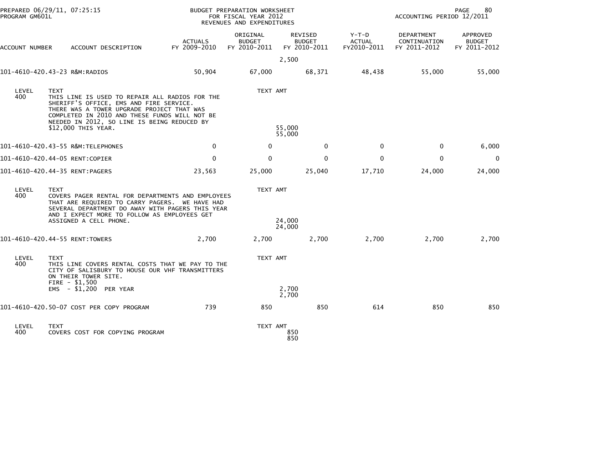| PROGRAM GM601L | PREPARED 06/29/11, 07:25:15                             |                                                                                                                                                                                                                                         |                                | BUDGET PREPARATION WORKSHEET<br>FOR FISCAL YEAR 2012<br>REVENUES AND EXPENDITURES |                                          |                                         | ACCOUNTING PERIOD 12/2011                  | PAGE<br>80                                |
|----------------|---------------------------------------------------------|-----------------------------------------------------------------------------------------------------------------------------------------------------------------------------------------------------------------------------------------|--------------------------------|-----------------------------------------------------------------------------------|------------------------------------------|-----------------------------------------|--------------------------------------------|-------------------------------------------|
| ACCOUNT NUMBER |                                                         | ACCOUNT DESCRIPTION                                                                                                                                                                                                                     | <b>ACTUALS</b><br>FY 2009-2010 | ORIGINAL<br><b>BUDGET</b><br>FY 2010-2011                                         | REVISED<br><b>BUDGET</b><br>FY 2010-2011 | $Y-T-D$<br><b>ACTUAL</b><br>FY2010-2011 | DEPARTMENT<br>CONTINUATION<br>FY 2011-2012 | APPROVED<br><b>BUDGET</b><br>FY 2011-2012 |
|                |                                                         |                                                                                                                                                                                                                                         |                                |                                                                                   | 2,500                                    |                                         |                                            |                                           |
|                | 101-4610-420.43-23 R&M:RADIOS                           |                                                                                                                                                                                                                                         | 50,904                         | 67,000                                                                            | 68,371                                   | 48,438                                  | 55,000                                     | 55,000                                    |
| LEVEL<br>400   | <b>TEXT</b><br>\$12,000 THIS YEAR.                      | THIS LINE IS USED TO REPAIR ALL RADIOS FOR THE<br>SHERIFF'S OFFICE, EMS AND FIRE SERVICE.<br>THERE WAS A TOWER UPGRADE PROJECT THAT WAS<br>COMPLETED IN 2010 AND THESE FUNDS WILL NOT BE<br>NEEDED IN 2012, SO LINE IS BEING REDUCED BY |                                | TEXT AMT                                                                          | 55,000                                   |                                         |                                            |                                           |
|                |                                                         |                                                                                                                                                                                                                                         |                                |                                                                                   | 55,000                                   |                                         |                                            |                                           |
|                | 101-4610-420.43-55 R&M:TELEPHONES                       |                                                                                                                                                                                                                                         | $\mathbf{0}$                   | 0                                                                                 | $\mathbf 0$                              | 0                                       | $\mathbf 0$                                | 6,000                                     |
|                | 101-4610-420.44-05 RENT:COPIER                          |                                                                                                                                                                                                                                         | 0                              | 0                                                                                 | 0                                        | 0                                       | $\mathbf 0$                                | $\mathbf{0}$                              |
|                | 101-4610-420.44-35 RENT:PAGERS                          |                                                                                                                                                                                                                                         | 23,563                         | 25,000                                                                            | 25,040                                   | 17,710                                  | 24,000                                     | 24,000                                    |
| LEVEL<br>400   | <b>TEXT</b>                                             | COVERS PAGER RENTAL FOR DEPARTMENTS AND EMPLOYEES<br>THAT ARE REQUIRED TO CARRY PAGERS. WE HAVE HAD<br>SEVERAL DEPARTMENT DO AWAY WITH PAGERS THIS YEAR<br>AND I EXPECT MORE TO FOLLOW AS EMPLOYEES GET                                 |                                | TEXT AMT                                                                          |                                          |                                         |                                            |                                           |
|                | ASSIGNED A CELL PHONE.                                  |                                                                                                                                                                                                                                         |                                |                                                                                   | 24,000<br>24,000                         |                                         |                                            |                                           |
|                | 101-4610-420.44-55 RENT:TOWERS                          |                                                                                                                                                                                                                                         | 2,700                          | 2,700                                                                             | 2,700                                    | 2,700                                   | 2,700                                      | 2,700                                     |
| LEVEL<br>400   | <b>TEXT</b><br>ON THEIR TOWER SITE.<br>FIRE $-$ \$1,500 | THIS LINE COVERS RENTAL COSTS THAT WE PAY TO THE<br>CITY OF SALISBURY TO HOUSE OUR VHF TRANSMITTERS                                                                                                                                     |                                | TEXT AMT                                                                          |                                          |                                         |                                            |                                           |
|                | EMS - \$1,200 PER YEAR                                  |                                                                                                                                                                                                                                         |                                |                                                                                   | 2,700<br>2,700                           |                                         |                                            |                                           |
|                |                                                         | 101-4610-420.50-07 COST PER COPY PROGRAM                                                                                                                                                                                                | 739                            | 850                                                                               | 850                                      | 614                                     | 850                                        | 850                                       |
| LEVEL<br>400   | <b>TEXT</b>                                             | COVERS COST FOR COPYING PROGRAM                                                                                                                                                                                                         |                                | TEXT AMT                                                                          | 850<br>850                               |                                         |                                            |                                           |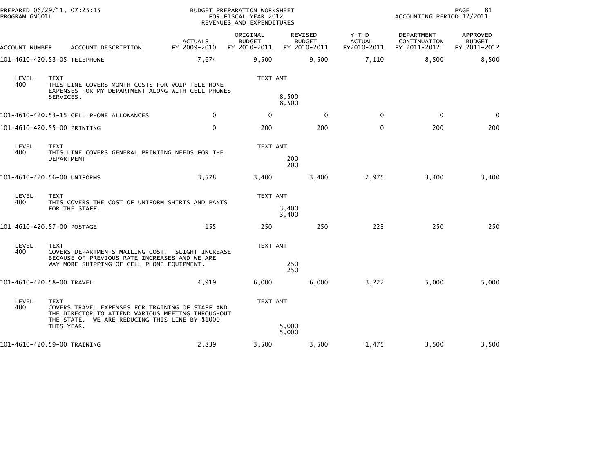| PREPARED 06/29/11, 07:25:15<br>PROGRAM GM601L |                                                                                                                                                                                      |                                | BUDGET PREPARATION WORKSHEET<br>FOR FISCAL YEAR 2012<br>REVENUES AND EXPENDITURES |                                          |                                         | ACCOUNTING PERIOD 12/2011                  | 81<br><b>PAGE</b>                         |
|-----------------------------------------------|--------------------------------------------------------------------------------------------------------------------------------------------------------------------------------------|--------------------------------|-----------------------------------------------------------------------------------|------------------------------------------|-----------------------------------------|--------------------------------------------|-------------------------------------------|
| ACCOUNT NUMBER                                | ACCOUNT DESCRIPTION                                                                                                                                                                  | <b>ACTUALS</b><br>FY 2009-2010 | ORIGINAL<br><b>BUDGET</b><br>FY 2010-2011                                         | REVISED<br><b>BUDGET</b><br>FY 2010-2011 | $Y-T-D$<br><b>ACTUAL</b><br>FY2010-2011 | DEPARTMENT<br>CONTINUATION<br>FY 2011-2012 | APPROVED<br><b>BUDGET</b><br>FY 2011-2012 |
|                                               | 101-4610-420.53-05 TELEPHONE                                                                                                                                                         | 7,674                          | 9,500                                                                             | 9,500                                    | 7,110                                   | 8,500                                      | 8,500                                     |
| LEVEL<br>400                                  | <b>TEXT</b><br>THIS LINE COVERS MONTH COSTS FOR VOIP TELEPHONE<br>EXPENSES FOR MY DEPARTMENT ALONG WITH CELL PHONES<br>SERVICES.                                                     |                                | TEXT AMT                                                                          | 8,500<br>8,500                           |                                         |                                            |                                           |
|                                               | 101-4610-420.53-15 CELL PHONE ALLOWANCES                                                                                                                                             | $\mathbf{0}$                   | 0                                                                                 | $\mathbf 0$                              | $\mathbf{0}$                            | $\mathbf 0$                                | $\Omega$                                  |
|                                               | 101-4610-420.55-00 PRINTING                                                                                                                                                          | $\mathbf 0$                    | 200                                                                               | 200                                      | $\Omega$                                | 200                                        | 200                                       |
| LEVEL<br>400                                  | <b>TEXT</b><br>THIS LINE COVERS GENERAL PRINTING NEEDS FOR THE<br><b>DEPARTMENT</b>                                                                                                  |                                | TEXT AMT                                                                          | 200<br>200                               |                                         |                                            |                                           |
|                                               | 101-4610-420.56-00 UNIFORMS                                                                                                                                                          | 3,578                          | 3,400                                                                             | 3,400                                    | 2,975                                   | 3,400                                      | 3,400                                     |
| LEVEL<br>400                                  | <b>TEXT</b><br>THIS COVERS THE COST OF UNIFORM SHIRTS AND PANTS<br>FOR THE STAFF.                                                                                                    |                                | TEXT AMT                                                                          | 3,400<br>3,400                           |                                         |                                            |                                           |
|                                               | 101-4610-420.57-00 POSTAGE                                                                                                                                                           | 155                            | 250                                                                               | 250                                      | 223                                     | 250                                        | 250                                       |
| LEVEL<br>400                                  | <b>TEXT</b><br>COVERS DEPARTMENTS MAILING COST. SLIGHT INCREASE<br>BECAUSE OF PREVIOUS RATE INCREASES AND WE ARE                                                                     |                                | TEXT AMT                                                                          |                                          |                                         |                                            |                                           |
|                                               | WAY MORE SHIPPING OF CELL PHONE EQUIPMENT.                                                                                                                                           |                                |                                                                                   | 250<br>250                               |                                         |                                            |                                           |
|                                               | 101-4610-420.58-00 TRAVEL                                                                                                                                                            | 4,919                          | 6,000                                                                             | 6,000                                    | 3,222                                   | 5,000                                      | 5,000                                     |
| LEVEL<br>400                                  | <b>TEXT</b><br>COVERS TRAVEL EXPENSES FOR TRAINING OF STAFF AND<br>THE DIRECTOR TO ATTEND VARIOUS MEETING THROUGHOUT<br>THE STATE. WE ARE REDUCING THIS LINE BY \$1000<br>THIS YEAR. |                                | TEXT AMT                                                                          | 5,000<br>5,000                           |                                         |                                            |                                           |
|                                               | 101-4610-420.59-00 TRAINING                                                                                                                                                          | 2,839                          | 3,500                                                                             | 3,500                                    | 1,475                                   | 3,500                                      | 3,500                                     |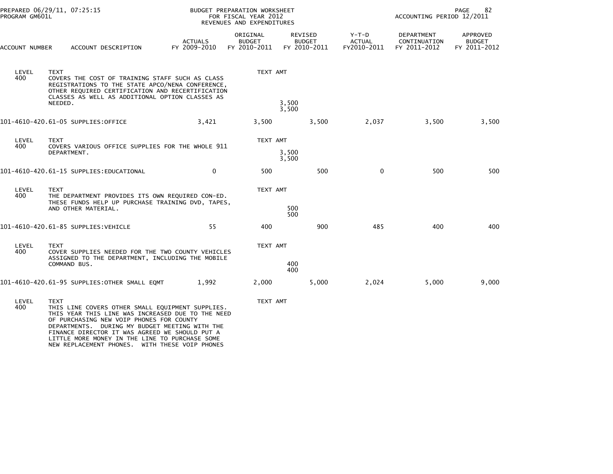| PROGRAM GM601L | PREPARED 06/29/11, 07:25:15                                                                                                                                                                                                                                                                                                                                              |                                | BUDGET PREPARATION WORKSHEET<br>FOR FISCAL YEAR 2012<br>REVENUES AND EXPENDITURES | 82<br>PAGE<br>ACCOUNTING PERIOD 12/2011  |                                       |                                            |                                           |
|----------------|--------------------------------------------------------------------------------------------------------------------------------------------------------------------------------------------------------------------------------------------------------------------------------------------------------------------------------------------------------------------------|--------------------------------|-----------------------------------------------------------------------------------|------------------------------------------|---------------------------------------|--------------------------------------------|-------------------------------------------|
| ACCOUNT NUMBER | ACCOUNT DESCRIPTION                                                                                                                                                                                                                                                                                                                                                      | <b>ACTUALS</b><br>FY 2009-2010 | ORIGINAL<br><b>BUDGET</b><br>FY 2010-2011                                         | REVISED<br><b>BUDGET</b><br>FY 2010-2011 | Y-T-D<br><b>ACTUAL</b><br>FY2010-2011 | DEPARTMENT<br>CONTINUATION<br>FY 2011-2012 | APPROVED<br><b>BUDGET</b><br>FY 2011-2012 |
| LEVEL<br>400   | <b>TEXT</b><br>COVERS THE COST OF TRAINING STAFF SUCH AS CLASS<br>REGISTRATIONS TO THE STATE APCO/NENA CONFERENCE,<br>OTHER REQUIRED CERTIFICATION AND RECERTIFICATION<br>CLASSES AS WELL AS ADDITIONAL OPTION CLASSES AS<br>NEEDED.                                                                                                                                     |                                | TEXT AMT                                                                          | 3,500                                    |                                       |                                            |                                           |
|                |                                                                                                                                                                                                                                                                                                                                                                          |                                |                                                                                   | 3,500                                    |                                       |                                            |                                           |
|                | 101-4610-420.61-05 SUPPLIES:OFFICE                                                                                                                                                                                                                                                                                                                                       | 3,421                          | 3,500                                                                             | 3,500                                    | 2,037                                 | 3,500                                      | 3,500                                     |
| LEVEL<br>400   | <b>TEXT</b><br>COVERS VARIOUS OFFICE SUPPLIES FOR THE WHOLE 911<br>DEPARTMENT.                                                                                                                                                                                                                                                                                           |                                | TEXT AMT                                                                          | 3,500<br>3,500                           |                                       |                                            |                                           |
|                | 101-4610-420.61-15 SUPPLIES:EDUCATIONAL                                                                                                                                                                                                                                                                                                                                  | $\mathbf{0}$                   | 500                                                                               | 500                                      | $\mathbf{0}$                          | 500                                        | 500                                       |
| LEVEL<br>400   | <b>TEXT</b><br>THE DEPARTMENT PROVIDES ITS OWN REQUIRED CON-ED.<br>THESE FUNDS HELP UP PURCHASE TRAINING DVD, TAPES,<br>AND OTHER MATERIAL.                                                                                                                                                                                                                              |                                | TEXT AMT                                                                          | 500                                      |                                       |                                            |                                           |
|                |                                                                                                                                                                                                                                                                                                                                                                          |                                |                                                                                   | 500                                      |                                       |                                            |                                           |
|                | 101-4610-420.61-85 SUPPLIES:VEHICLE                                                                                                                                                                                                                                                                                                                                      | 55                             | 400                                                                               | 900                                      | 485                                   | 400                                        | 400                                       |
| LEVEL<br>400   | <b>TEXT</b><br>COVER SUPPLIES NEEDED FOR THE TWO COUNTY VEHICLES                                                                                                                                                                                                                                                                                                         |                                | TEXT AMT                                                                          |                                          |                                       |                                            |                                           |
|                | ASSIGNED TO THE DEPARTMENT, INCLUDING THE MOBILE<br>COMMAND BUS.                                                                                                                                                                                                                                                                                                         |                                |                                                                                   | 400<br>400                               |                                       |                                            |                                           |
|                | 101-4610-420.61-95 SUPPLIES:OTHER SMALL EQMT                                                                                                                                                                                                                                                                                                                             | 1,992                          | 2,000                                                                             | 5,000                                    | 2,024                                 | 5,000                                      | 9,000                                     |
| LEVEL<br>400   | <b>TEXT</b><br>THIS LINE COVERS OTHER SMALL EQUIPMENT SUPPLIES.<br>THIS YEAR THIS LINE WAS INCREASED DUE TO THE NEED<br>OF PURCHASING NEW VOIP PHONES FOR COUNTY<br>DEPARTMENTS. DURING MY BUDGET MEETING WITH THE<br>FINANCE DIRECTOR IT WAS AGREED WE SHOULD PUT A<br>LITTLE MORE MONEY IN THE LINE TO PURCHASE SOME<br>NEW REPLACEMENT PHONES. WITH THESE VOIP PHONES |                                | TEXT AMT                                                                          |                                          |                                       |                                            |                                           |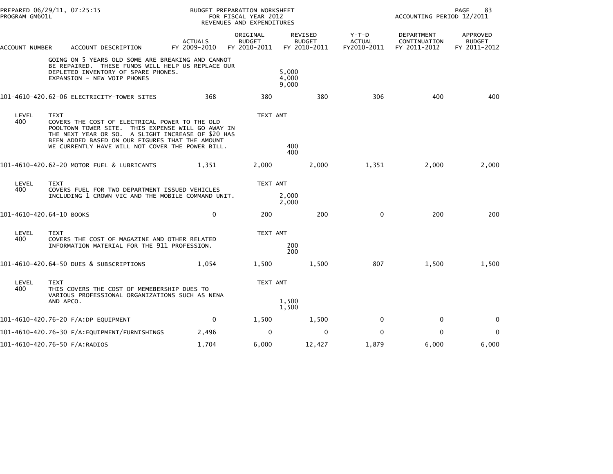| PROGRAM GM601L           | PREPARED 06/29/11, 07:25:15                                                                                                                                                                                                                                                     |                                | BUDGET PREPARATION WORKSHEET<br>FOR FISCAL YEAR 2012<br>REVENUES AND EXPENDITURES |                                                 |                                         | 83<br>PAGE<br>ACCOUNTING PERIOD 12/2011    |                                                  |  |
|--------------------------|---------------------------------------------------------------------------------------------------------------------------------------------------------------------------------------------------------------------------------------------------------------------------------|--------------------------------|-----------------------------------------------------------------------------------|-------------------------------------------------|-----------------------------------------|--------------------------------------------|--------------------------------------------------|--|
| ACCOUNT NUMBER           | ACCOUNT DESCRIPTION                                                                                                                                                                                                                                                             | <b>ACTUALS</b><br>FY 2009-2010 | ORIGINAL<br><b>BUDGET</b><br>FY 2010-2011                                         | <b>REVISED</b><br><b>BUDGET</b><br>FY 2010-2011 | $Y-T-D$<br><b>ACTUAL</b><br>FY2010-2011 | DEPARTMENT<br>CONTINUATION<br>FY 2011-2012 | <b>APPROVED</b><br><b>BUDGET</b><br>FY 2011-2012 |  |
|                          | GOING ON 5 YEARS OLD SOME ARE BREAKING AND CANNOT<br>BE REPAIRED. THESE FUNDS WILL HELP US REPLACE OUR<br>DEPLETED INVENTORY OF SPARE PHONES.<br>EXPANSION - NEW VOIP PHONES                                                                                                    |                                |                                                                                   | 5,000<br>4,000<br>9,000                         |                                         |                                            |                                                  |  |
|                          | 101-4610-420.62-06 ELECTRICITY-TOWER SITES                                                                                                                                                                                                                                      | 368                            | 380                                                                               | 380                                             | 306                                     | 400                                        | 400                                              |  |
| LEVEL<br>400             | <b>TEXT</b><br>COVERS THE COST OF ELECTRICAL POWER TO THE OLD<br>POOLTOWN TOWER SITE. THIS EXPENSE WILL GO AWAY IN<br>THE NEXT YEAR OR SO. A SLIGHT INCREASE OF \$20 HAS<br>BEEN ADDED BASED ON OUR FIGURES THAT THE AMOUNT<br>WE CURRENTLY HAVE WILL NOT COVER THE POWER BILL. |                                | TEXT AMT                                                                          | 400<br>400                                      |                                         |                                            |                                                  |  |
|                          | 101-4610-420.62-20 MOTOR FUEL & LUBRICANTS                                                                                                                                                                                                                                      | 1,351                          | 2,000                                                                             | 2,000                                           | 1,351                                   | 2,000                                      | 2,000                                            |  |
| LEVEL<br>400             | <b>TEXT</b><br>COVERS FUEL FOR TWO DEPARTMENT ISSUED VEHICLES<br>INCLUDING 1 CROWN VIC AND THE MOBILE COMMAND UNIT.                                                                                                                                                             |                                | TEXT AMT                                                                          | 2,000<br>2,000                                  |                                         |                                            |                                                  |  |
| 101-4610-420.64-10 BOOKS |                                                                                                                                                                                                                                                                                 | $\mathbf 0$                    | 200                                                                               | 200                                             | $\mathbf 0$                             | 200                                        | 200                                              |  |
| LEVEL<br>400             | <b>TEXT</b><br>COVERS THE COST OF MAGAZINE AND OTHER RELATED<br>INFORMATION MATERIAL FOR THE 911 PROFESSION.                                                                                                                                                                    |                                | TEXT AMT                                                                          | 200<br>200                                      |                                         |                                            |                                                  |  |
|                          | 101-4610-420.64-50 DUES & SUBSCRIPTIONS                                                                                                                                                                                                                                         | 1.054                          | 1,500                                                                             | 1,500                                           | 807                                     | 1.500                                      | 1,500                                            |  |
| LEVEL<br>400             | <b>TEXT</b><br>THIS COVERS THE COST OF MEMEBERSHIP DUES TO<br>VARIOUS PROFESSIONAL ORGANIZATIONS SUCH AS NENA<br>AND APCO.                                                                                                                                                      |                                | TEXT AMT                                                                          | 1,500<br>1,500                                  |                                         |                                            |                                                  |  |
|                          | 101-4610-420.76-20 F/A:DP EQUIPMENT                                                                                                                                                                                                                                             | 0                              | 1,500                                                                             | 1,500                                           | 0                                       | 0                                          | 0                                                |  |
|                          |                                                                                                                                                                                                                                                                                 | 2,496                          | $\Omega$                                                                          | 0                                               | $\Omega$                                | $\Omega$                                   | $\mathbf 0$                                      |  |
|                          | 101-4610-420.76-50 F/A:RADIOS                                                                                                                                                                                                                                                   | 1.704                          | 6,000                                                                             | 12,427                                          | 1,879                                   | 6,000                                      | 6,000                                            |  |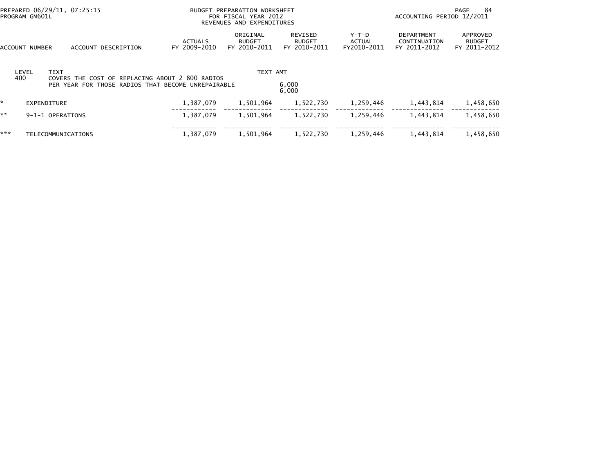| PREPARED 06/29/11, 07:25:15<br>PROGRAM GM601L |                           |                                                                                                       | BUDGET PREPARATION WORKSHEET<br>FOR FISCAL YEAR 2012<br>REVENUES AND EXPENDITURES |                                |                                           |                                          |                                       | 84<br>PAGE<br>ACCOUNTING PERIOD 12/2011           |                                           |
|-----------------------------------------------|---------------------------|-------------------------------------------------------------------------------------------------------|-----------------------------------------------------------------------------------|--------------------------------|-------------------------------------------|------------------------------------------|---------------------------------------|---------------------------------------------------|-------------------------------------------|
| ACCOUNT NUMBER                                |                           | ACCOUNT DESCRIPTION                                                                                   |                                                                                   | <b>ACTUALS</b><br>FY 2009-2010 | ORIGINAL<br><b>BUDGET</b><br>FY 2010-2011 | REVISED<br><b>BUDGET</b><br>FY 2010-2011 | Y-T-D<br><b>ACTUAL</b><br>FY2010-2011 | <b>DEPARTMENT</b><br>CONTINUATION<br>FY 2011-2012 | APPROVED<br><b>BUDGET</b><br>FY 2011-2012 |
| LEVEL<br>400                                  | <b>TEXT</b>               | COVERS THE COST OF REPLACING ABOUT 2 800 RADIOS<br>PER YEAR FOR THOSE RADIOS THAT BECOME UNREPAIRABLE |                                                                                   |                                | TEXT AMT                                  | 6,000<br>6,000                           |                                       |                                                   |                                           |
| $\mathbf{x}$                                  | EXPENDITURE               |                                                                                                       |                                                                                   | 1,387,079                      | 1,501,964                                 | 1,522,730                                | 1,259,446                             | 1,443,814                                         | 1,458,650                                 |
| **                                            | 9-1-1 OPERATIONS          |                                                                                                       |                                                                                   | 1,387,079                      | 1,501,964                                 | 1,522,730                                | 1,259,446                             | 1,443,814                                         | 1,458,650                                 |
| ***                                           | <b>TELECOMMUNICATIONS</b> |                                                                                                       |                                                                                   | 1,387,079                      | 1,501,964                                 | 1,522,730                                | 1,259,446                             | 1,443,814                                         | 1,458,650                                 |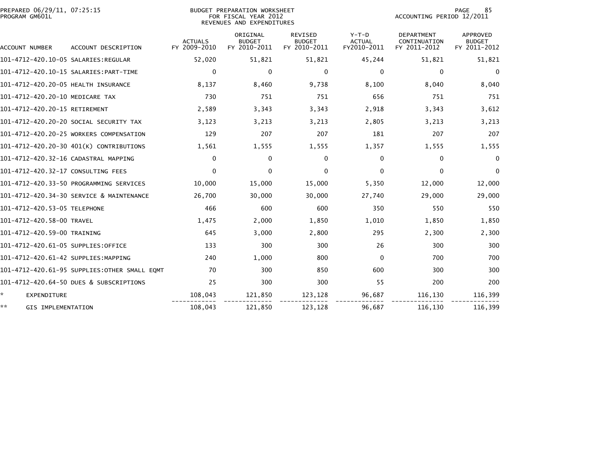| PREPARED 06/29/11, 07:25:15<br>PROGRAM GM601L |                                              |                                | BUDGET PREPARATION WORKSHEET<br>FOR FISCAL YEAR 2012<br>REVENUES AND EXPENDITURES |                                                 | 85<br><b>PAGE</b><br>ACCOUNTING PERIOD 12/2011 |                                                   |                                           |
|-----------------------------------------------|----------------------------------------------|--------------------------------|-----------------------------------------------------------------------------------|-------------------------------------------------|------------------------------------------------|---------------------------------------------------|-------------------------------------------|
| ACCOUNT NUMBER                                | ACCOUNT DESCRIPTION                          | <b>ACTUALS</b><br>FY 2009-2010 | ORIGINAL<br><b>BUDGET</b><br>FY 2010-2011                                         | <b>REVISED</b><br><b>BUDGET</b><br>FY 2010-2011 | $Y-T-D$<br><b>ACTUAL</b><br>FY2010-2011        | <b>DEPARTMENT</b><br>CONTINUATION<br>FY 2011-2012 | APPROVED<br><b>BUDGET</b><br>FY 2011-2012 |
|                                               |                                              | 52,020                         | 51,821                                                                            | 51,821                                          | 45,244                                         | 51,821                                            | 51,821                                    |
|                                               |                                              | $\bf{0}$                       | 0                                                                                 | 0                                               | 0                                              | 0                                                 | 0                                         |
| 101-4712-420.20-05 HEALTH INSURANCE           |                                              | 8,137                          | 8,460                                                                             | 9,738                                           | 8,100                                          | 8,040                                             | 8,040                                     |
| 101-4712-420.20-10 MEDICARE TAX               |                                              | 730                            | 751                                                                               | 751                                             | 656                                            | 751                                               | 751                                       |
| 101-4712-420.20-15 RETIREMENT                 |                                              | 2,589                          | 3,343                                                                             | 3,343                                           | 2,918                                          | 3,343                                             | 3,612                                     |
|                                               | 101-4712-420.20-20 SOCIAL SECURITY TAX       | 3,123                          | 3,213                                                                             | 3,213                                           | 2,805                                          | 3,213                                             | 3,213                                     |
|                                               | 101-4712-420.20-25 WORKERS COMPENSATION      | 129                            | 207                                                                               | 207                                             | 181                                            | 207                                               | 207                                       |
|                                               | 101-4712-420.20-30 401(K) CONTRIBUTIONS      | 1,561                          | 1,555                                                                             | 1,555                                           | 1,357                                          | 1,555                                             | 1,555                                     |
|                                               | 101-4712-420.32-16 CADASTRAL MAPPING         | $\mathbf{0}$                   | 0                                                                                 | 0                                               | $\mathbf{0}$                                   | $\Omega$                                          | $\bf{0}$                                  |
| 101-4712-420.32-17 CONSULTING FEES            |                                              | $\Omega$                       | $\Omega$                                                                          | $\Omega$                                        | $\Omega$                                       | $\Omega$                                          | $\Omega$                                  |
|                                               | 101-4712-420.33-50 PROGRAMMING SERVICES      | 10,000                         | 15,000                                                                            | 15,000                                          | 5,350                                          | 12,000                                            | 12,000                                    |
|                                               | 101-4712-420.34-30 SERVICE & MAINTENANCE     | 26.700                         | 30,000                                                                            | 30,000                                          | 27.740                                         | 29,000                                            | 29,000                                    |
| 101-4712-420.53-05 TELEPHONE                  |                                              | 466                            | 600                                                                               | 600                                             | 350                                            | 550                                               | 550                                       |
| 101-4712-420.58-00 TRAVEL                     |                                              | 1,475                          | 2,000                                                                             | 1,850                                           | 1,010                                          | 1,850                                             | 1,850                                     |
| 101-4712-420.59-00 TRAINING                   |                                              | 645                            | 3,000                                                                             | 2,800                                           | 295                                            | 2,300                                             | 2,300                                     |
| 101-4712-420.61-05 SUPPLIES:OFFICE            |                                              | 133                            | 300                                                                               | 300                                             | 26                                             | 300                                               | 300                                       |
| 101-4712-420.61-42 SUPPLIES:MAPPING           |                                              | 240                            | 1,000                                                                             | 800                                             | $\mathbf{0}$                                   | 700                                               | 700                                       |
|                                               | 101-4712-420.61-95 SUPPLIES:OTHER SMALL EOMT | 70                             | 300                                                                               | 850                                             | 600                                            | 300                                               | 300                                       |
|                                               | 101-4712-420.64-50 DUES & SUBSCRIPTIONS      | 25                             | 300                                                                               | 300                                             | 55                                             | 200                                               | 200                                       |
| ÷.<br>EXPENDITURE                             |                                              | 108,043                        | 121,850                                                                           | 123,128                                         | 96,687                                         | 116,130                                           | 116,399                                   |
| **<br>GIS IMPLEMENTATION                      |                                              | 108,043                        | 121,850                                                                           | 123,128                                         | 96,687                                         | 116,130                                           | 116,399                                   |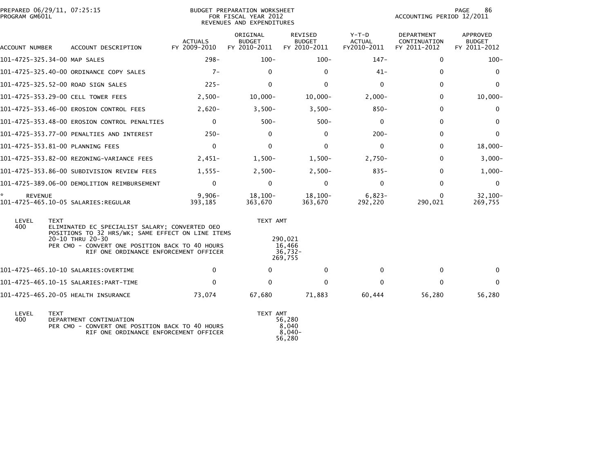| PROGRAM GM601L      | PREPARED 06/29/11, 07:25:15                                                                                                                                                               |                                | <b>BUDGET PREPARATION WORKSHEET</b><br>FOR FISCAL YEAR 2012<br>REVENUES AND EXPENDITURES |                                          |                                         | PAGE<br>86<br>ACCOUNTING PERIOD 12/2011    |                                           |  |
|---------------------|-------------------------------------------------------------------------------------------------------------------------------------------------------------------------------------------|--------------------------------|------------------------------------------------------------------------------------------|------------------------------------------|-----------------------------------------|--------------------------------------------|-------------------------------------------|--|
| ACCOUNT NUMBER      | ACCOUNT DESCRIPTION                                                                                                                                                                       | <b>ACTUALS</b><br>FY 2009-2010 | ORIGINAL<br><b>BUDGET</b><br>FY 2010-2011                                                | REVISED<br><b>BUDGET</b><br>FY 2010-2011 | $Y-T-D$<br><b>ACTUAL</b><br>FY2010-2011 | DEPARTMENT<br>CONTINUATION<br>FY 2011-2012 | APPROVED<br><b>BUDGET</b><br>FY 2011-2012 |  |
|                     | 101-4725-325.34-00 MAP SALES                                                                                                                                                              | $298 -$                        | $100 -$                                                                                  | $100 -$                                  | $147 -$                                 | $\Omega$                                   | $100 -$                                   |  |
|                     | 101-4725-325.40-00 ORDINANCE COPY SALES                                                                                                                                                   | $7 -$                          | $\Omega$                                                                                 | $\Omega$                                 | $41 -$                                  | 0                                          | 0                                         |  |
|                     | 101-4725-325.52-00 ROAD SIGN SALES                                                                                                                                                        | $225 -$                        | $\Omega$                                                                                 | $\Omega$                                 | $\Omega$                                | $\Omega$                                   | $\mathbf{0}$                              |  |
|                     | 101-4725-353.29-00 CELL TOWER FEES                                                                                                                                                        | $2,500-$                       | $10,000 -$                                                                               | $10,000-$                                | $2,000-$                                | 0                                          | $10,000 -$                                |  |
|                     | 101-4725-353.46-00 EROSION CONTROL FEES                                                                                                                                                   | $2,620-$                       | $3,500-$                                                                                 | $3,500-$                                 | $850 -$                                 | 0                                          | 0                                         |  |
|                     | 101-4725-353.48-00 EROSION CONTROL PENALTIES                                                                                                                                              | $\mathbf{0}$                   | $500 -$                                                                                  | $500 -$                                  | $\mathbf{0}$                            | 0                                          | $\Omega$                                  |  |
|                     | 101-4725-353.77-00 PENALTIES AND INTEREST                                                                                                                                                 | $250 -$                        | 0                                                                                        | 0                                        | $200 -$                                 | $\mathbf{0}$                               | $\Omega$                                  |  |
|                     | 101-4725-353.81-00 PLANNING FEES                                                                                                                                                          | $\Omega$                       | $\mathbf{0}$                                                                             | $\mathbf{0}$                             | $\mathbf{0}$                            | 0                                          | $18,000 -$                                |  |
|                     | 101-4725-353.82-00 REZONING-VARIANCE FEES                                                                                                                                                 | $2,451-$                       | $1,500-$                                                                                 | $1,500-$                                 | $2.750-$                                | 0                                          | $3,000-$                                  |  |
|                     | 101-4725-353.86-00 SUBDIVISION REVIEW FEES                                                                                                                                                | $1,555-$                       | $2,500-$                                                                                 | $2,500-$                                 | $835 -$                                 | 0                                          | $1,000-$                                  |  |
|                     | 101-4725-389.06-00 DEMOLITION REIMBURSEMENT                                                                                                                                               | $\mathbf{0}$                   | $\mathbf 0$                                                                              | $\mathbf 0$                              | $\mathbf 0$                             | $\mathbf 0$                                | 0                                         |  |
| *<br><b>REVENUE</b> | 101-4725-465.10-05 SALARIES:REGULAR                                                                                                                                                       | $9,906 -$<br>393,185           | $18,100-$<br>363,670                                                                     | $18,100-$<br>363,670                     | $6,823-$<br>292,220                     | $\Omega$<br>290,021                        | $32,100-$<br>269,755                      |  |
| LEVEL<br>400        | <b>TEXT</b><br>ELIMINATED EC SPECIALIST SALARY; CONVERTED OEO<br>POSITIONS TO 32 HRS/WK; SAME EFFECT ON LINE ITEMS<br>20-10 THRU 20-30<br>PER CMO - CONVERT ONE POSITION BACK TO 40 HOURS |                                | TEXT AMT                                                                                 | 290.021<br>16,466                        |                                         |                                            |                                           |  |
|                     | RIF ONE ORDINANCE ENFORCEMENT OFFICER                                                                                                                                                     |                                |                                                                                          | $36,732-$<br>269,755                     |                                         |                                            |                                           |  |
|                     |                                                                                                                                                                                           | $\bf{0}$                       | $\Omega$                                                                                 | 0                                        | 0                                       | 0                                          | $\Omega$                                  |  |
|                     |                                                                                                                                                                                           | $\Omega$                       | $\Omega$                                                                                 | $\Omega$                                 | $\Omega$                                | $\mathbf{0}$                               | $\mathbf{0}$                              |  |
|                     | 101-4725-465.20-05 HEALTH INSURANCE                                                                                                                                                       | 73,074                         | 67,680                                                                                   | 71,883                                   | 60,444                                  | 56,280                                     | 56,280                                    |  |
| LEVEL<br>400        | <b>TEXT</b><br>DEPARTMENT CONTINUATION<br>PER CMO - CONVERT ONE POSITION BACK TO 40 HOURS                                                                                                 |                                | TEXT AMT                                                                                 | 56,280<br>8,040                          |                                         |                                            |                                           |  |

RIF ONE ORDINANCE ENFORCEMENT OFFICER 56,280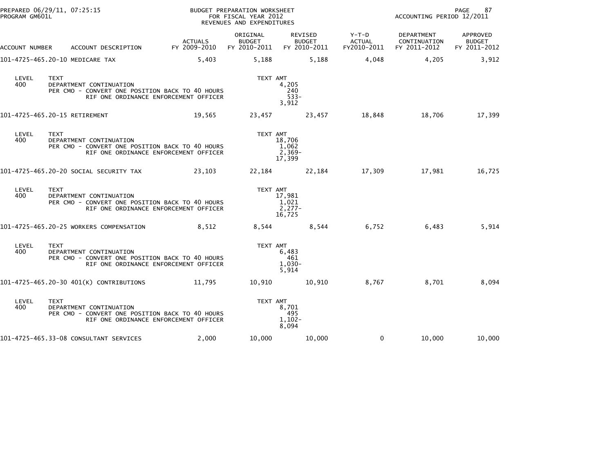| PREPARED 06/29/11, 07:25:15<br>PROGRAM GM601L |             |                                                                                                                     |                                | BUDGET PREPARATION WORKSHEET<br>FOR FISCAL YEAR 2012<br>REVENUES AND EXPENDITURES |                                          |                                       | ACCOUNTING PERIOD 12/2011                  | 87<br>PAGE                                |
|-----------------------------------------------|-------------|---------------------------------------------------------------------------------------------------------------------|--------------------------------|-----------------------------------------------------------------------------------|------------------------------------------|---------------------------------------|--------------------------------------------|-------------------------------------------|
| ACCOUNT NUMBER                                |             | ACCOUNT DESCRIPTION                                                                                                 | <b>ACTUALS</b><br>FY 2009-2010 | ORIGINAL<br><b>BUDGET</b><br>FY 2010-2011                                         | REVISED<br><b>BUDGET</b><br>FY 2010-2011 | Y-T-D<br><b>ACTUAL</b><br>FY2010-2011 | DEPARTMENT<br>CONTINUATION<br>FY 2011-2012 | APPROVED<br><b>BUDGET</b><br>FY 2011-2012 |
| 101-4725-465.20-10 MEDICARE TAX               |             |                                                                                                                     | 5,403                          | 5,188                                                                             | 5,188                                    | 4,048                                 | 4,205                                      | 3,912                                     |
| LEVEL<br>400                                  | <b>TEXT</b> | DEPARTMENT CONTINUATION<br>PER CMO - CONVERT ONE POSITION BACK TO 40 HOURS<br>RIF ONE ORDINANCE ENFORCEMENT OFFICER |                                | TEXT AMT                                                                          | 4,205<br>240<br>$533 -$<br>3,912         |                                       |                                            |                                           |
| 101-4725-465.20-15 RETIREMENT                 |             |                                                                                                                     | 19,565                         |                                                                                   | 23,457<br>23,457                         | 18,848                                | 18,706                                     | 17,399                                    |
| LEVEL<br>400                                  | <b>TEXT</b> | DEPARTMENT CONTINUATION<br>PER CMO - CONVERT ONE POSITION BACK TO 40 HOURS<br>RIF ONE ORDINANCE ENFORCEMENT OFFICER |                                | TEXT AMT                                                                          | 18,706<br>1,062<br>$2,369-$<br>17,399    |                                       |                                            |                                           |
|                                               |             | 101–4725–465.20–20 SOCIAL SECURITY TAX                                                                              | 23,103                         |                                                                                   | 22,184<br>22,184                         | 17,309                                | 17,981                                     | 16,725                                    |
| LEVEL<br>400                                  | <b>TEXT</b> | DEPARTMENT CONTINUATION<br>PER CMO - CONVERT ONE POSITION BACK TO 40 HOURS<br>RIF ONE ORDINANCE ENFORCEMENT OFFICER |                                | TEXT AMT                                                                          | 17,981<br>1,021<br>$2,277-$<br>16,725    |                                       |                                            |                                           |
|                                               |             | 101-4725-465.20-25 WORKERS COMPENSATION                                                                             | 8,512                          | 8,544                                                                             | 8,544                                    | 6,752                                 | 6,483                                      | 5,914                                     |
| LEVEL<br>400                                  | <b>TEXT</b> | DEPARTMENT CONTINUATION<br>PER CMO - CONVERT ONE POSITION BACK TO 40 HOURS<br>RIF ONE ORDINANCE ENFORCEMENT OFFICER |                                | TEXT AMT                                                                          | 6,483<br>461<br>$1,030-$<br>5,914        |                                       |                                            |                                           |
|                                               |             | 101-4725-465.20-30 401(K) CONTRIBUTIONS                                                                             | 11,795                         | 10,910                                                                            | 10,910                                   | 8,767                                 | 8,701                                      | 8,094                                     |
| LEVEL<br>400                                  | <b>TEXT</b> | DEPARTMENT CONTINUATION<br>PER CMO - CONVERT ONE POSITION BACK TO 40 HOURS<br>RIF ONE ORDINANCE ENFORCEMENT OFFICER |                                | TEXT AMT                                                                          | 8,701<br>495<br>$1,102-$<br>8,094        |                                       |                                            |                                           |
|                                               |             | 101-4725-465.33-08 CONSULTANT SERVICES                                                                              | 2,000                          | 10,000                                                                            | 10,000                                   | $\Omega$                              | 10,000                                     | 10,000                                    |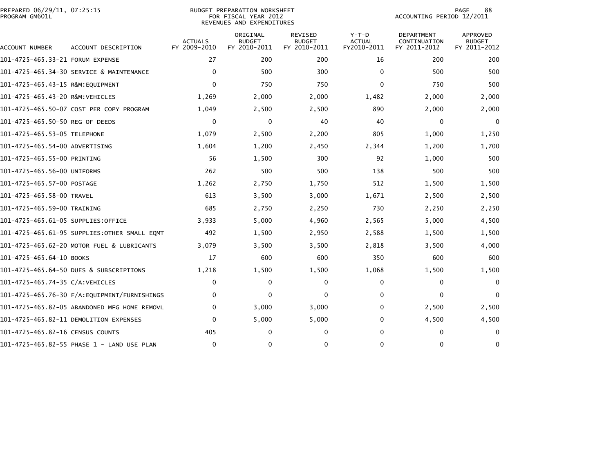| PREPARED 06/29/11, 07:25:15<br>PROGRAM GM601L |                                              | 88<br><b>PAGE</b><br>ACCOUNTING PERIOD 12/2011 |                                           |                                          |                                         |                                                   |                                           |
|-----------------------------------------------|----------------------------------------------|------------------------------------------------|-------------------------------------------|------------------------------------------|-----------------------------------------|---------------------------------------------------|-------------------------------------------|
| ACCOUNT NUMBER                                | ACCOUNT DESCRIPTION                          | <b>ACTUALS</b><br>FY 2009-2010                 | ORIGINAL<br><b>BUDGET</b><br>FY 2010-2011 | REVISED<br><b>BUDGET</b><br>FY 2010-2011 | $Y-T-D$<br><b>ACTUAL</b><br>FY2010-2011 | <b>DEPARTMENT</b><br>CONTINUATION<br>FY 2011-2012 | APPROVED<br><b>BUDGET</b><br>FY 2011-2012 |
| 101-4725-465.33-21 FORUM EXPENSE              |                                              | 27                                             | 200                                       | 200                                      | 16                                      | 200                                               | 200                                       |
|                                               | 101-4725-465.34-30 SERVICE & MAINTENANCE     | $\mathbf{0}$                                   | 500                                       | 300                                      | $\Omega$                                | 500                                               | 500                                       |
| 101-4725-465.43-15 R&M:EOUIPMENT              |                                              | $\Omega$                                       | 750                                       | 750                                      | $\Omega$                                | 750                                               | 500                                       |
| 101-4725-465.43-20 R&M:VEHICLES               |                                              | 1,269                                          | 2,000                                     | 2,000                                    | 1,482                                   | 2,000                                             | 2,000                                     |
|                                               | 101-4725-465.50-07 COST PER COPY PROGRAM     | 1,049                                          | 2,500                                     | 2,500                                    | 890                                     | 2,000                                             | 2,000                                     |
| 101–4725–465.50–50 REG OF DEEDS               |                                              | $\Omega$                                       | 0                                         | 40                                       | 40                                      | $\mathbf{0}$                                      | $\Omega$                                  |
| 101-4725-465.53-05 TELEPHONE                  |                                              | 1,079                                          | 2,500                                     | 2,200                                    | 805                                     | 1,000                                             | 1,250                                     |
| 101-4725-465.54-00 ADVERTISING                |                                              | 1,604                                          | 1,200                                     | 2,450                                    | 2,344                                   | 1,200                                             | 1,700                                     |
| 101-4725-465.55-00 PRINTING                   |                                              | 56                                             | 1,500                                     | 300                                      | 92                                      | 1,000                                             | 500                                       |
| 101-4725-465.56-00 UNIFORMS                   |                                              | 262                                            | 500                                       | 500                                      | 138                                     | 500                                               | 500                                       |
| 101-4725-465.57-00 POSTAGE                    |                                              | 1,262                                          | 2,750                                     | 1,750                                    | 512                                     | 1,500                                             | 1,500                                     |
| 101-4725-465.58-00 TRAVEL                     |                                              | 613                                            | 3,500                                     | 3,000                                    | 1,671                                   | 2,500                                             | 2,500                                     |
| 101-4725-465.59-00 TRAINING                   |                                              | 685                                            | 2,750                                     | 2,250                                    | 730                                     | 2,250                                             | 2,250                                     |
| 101-4725-465.61-05 SUPPLIES:OFFICE            |                                              | 3,933                                          | 5,000                                     | 4,960                                    | 2,565                                   | 5,000                                             | 4,500                                     |
|                                               | 101–4725–465.61–95 SUPPLIES:OTHER SMALL EOMT | 492                                            | 1,500                                     | 2,950                                    | 2,588                                   | 1,500                                             | 1,500                                     |
|                                               | 101-4725-465.62-20 MOTOR FUEL & LUBRICANTS   | 3,079                                          | 3,500                                     | 3,500                                    | 2,818                                   | 3,500                                             | 4,000                                     |
| 101-4725-465.64-10 BOOKS                      |                                              | 17                                             | 600                                       | 600                                      | 350                                     | 600                                               | 600                                       |
|                                               | 101-4725-465.64-50 DUES & SUBSCRIPTIONS      | 1,218                                          | 1,500                                     | 1,500                                    | 1,068                                   | 1,500                                             | 1,500                                     |
| 101-4725-465.74-35 C/A:VEHICLES               |                                              | $\mathbf{0}$                                   | 0                                         | 0                                        | 0                                       | 0                                                 | $\Omega$                                  |
|                                               |                                              | $\mathbf{0}$                                   | $\mathbf{0}$                              | $\Omega$                                 | 0                                       | $\mathbf{0}$                                      | $\Omega$                                  |
|                                               | 101-4725-465.82-05 ABANDONED MFG HOME REMOVL | 0                                              | 3,000                                     | 3,000                                    | 0                                       | 2,500                                             | 2,500                                     |
|                                               | 101-4725-465.82-11 DEMOLITION EXPENSES       | $\Omega$                                       | 5,000                                     | 5,000                                    | 0                                       | 4,500                                             | 4,500                                     |
| 101-4725-465.82-16 CENSUS COUNTS              |                                              | 405                                            | 0                                         | 0                                        | 0                                       | $\mathbf{0}$                                      | $\Omega$                                  |
|                                               | 101-4725-465.82-55 PHASE 1 - LAND USE PLAN   | $\Omega$                                       | $\mathbf{0}$                              | $\Omega$                                 | 0                                       | 0                                                 | $\bf{0}$                                  |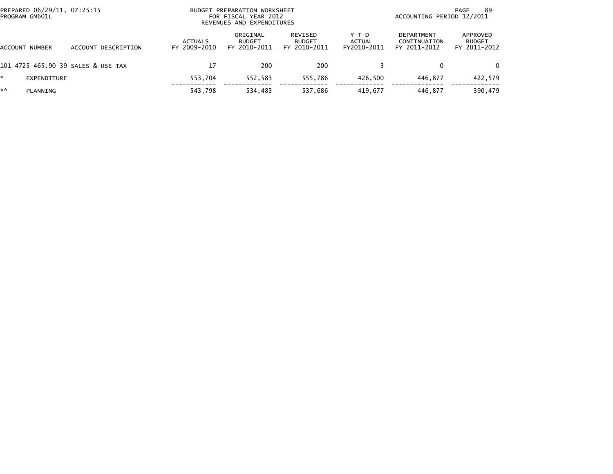| PROGRAM GM601L    | PREPARED 06/29/11, 07:25:15        |                         | BUDGET PREPARATION WORKSHEET<br>FOR FISCAL YEAR 2012<br>REVENUES AND EXPENDITURES | 89<br>PAGE<br>ACCOUNTING PERIOD 12/2011  |                                |                                            |                                           |
|-------------------|------------------------------------|-------------------------|-----------------------------------------------------------------------------------|------------------------------------------|--------------------------------|--------------------------------------------|-------------------------------------------|
| NUMBER<br>ACCOUNT | ACCOUNT DESCRIPTION                | ACTUALS<br>FY 2009-2010 | ORIGINAL<br><b>BUDGET</b><br>FY 2010-2011                                         | REVISED<br><b>BUDGET</b><br>FY 2010-2011 | Y-T-D<br>ACTUAL<br>FY2010-2011 | DEPARTMENT<br>CONTINUATION<br>FY 2011-2012 | APPROVED<br><b>BUDGET</b><br>FY 2011-2012 |
|                   | 101-4725-465.90-39 SALES & USE TAX | 17                      | 200                                                                               | 200                                      |                                | 0                                          | $\Omega$                                  |
| *.<br>EXPENDITURE |                                    | 553,704                 | 552,583                                                                           | 555.786                                  | 426.500                        | 446.877                                    | 422,579                                   |
| **<br>PLANNING    |                                    | 543,798                 | 534,483                                                                           | 537,686                                  | 419.677                        | 446.877                                    | 390,479                                   |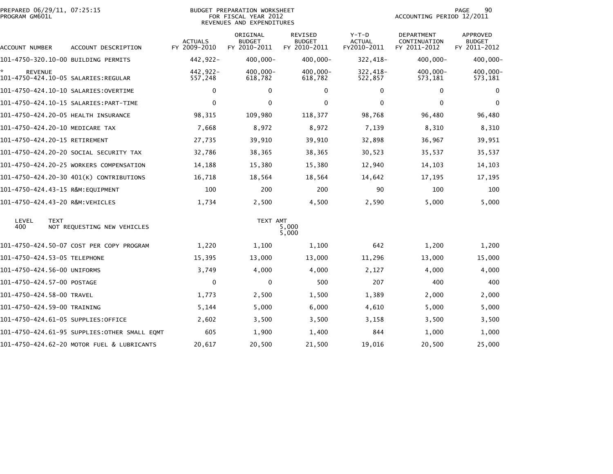| PREPARED 06/29/11, 07:25:15<br>PROGRAM GM601L |                                              |                                | <b>BUDGET PREPARATION WORKSHEET</b><br>FOR FISCAL YEAR 2012<br>REVENUES AND EXPENDITURES | 90<br>PAGE<br>ACCOUNTING PERIOD 12/2011  |                                         |                                            |                                                  |
|-----------------------------------------------|----------------------------------------------|--------------------------------|------------------------------------------------------------------------------------------|------------------------------------------|-----------------------------------------|--------------------------------------------|--------------------------------------------------|
| ACCOUNT NUMBER                                | ACCOUNT DESCRIPTION                          | <b>ACTUALS</b><br>FY 2009-2010 | ORIGINAL<br><b>BUDGET</b><br>FY 2010-2011                                                | REVISED<br><b>BUDGET</b><br>FY 2010-2011 | $Y-T-D$<br><b>ACTUAL</b><br>FY2010-2011 | DEPARTMENT<br>CONTINUATION<br>FY 2011-2012 | <b>APPROVED</b><br><b>BUDGET</b><br>FY 2011-2012 |
| 101-4750-320.10-00 BUILDING PERMITS           |                                              | 442,922-                       | 400,000-                                                                                 | 400,000-                                 | 322,418-                                | $400,000 -$                                | $400,000 -$                                      |
| <b>REVENUE</b>                                |                                              | 442,922-<br>557,248            | 400,000-<br>618,782                                                                      | $400.000 -$<br>618,782                   | 322,418-<br>522,857                     | $400,000 -$<br>573,181                     | 400,000-<br>573,181                              |
|                                               | 101-4750-424.10-10 SALARIES: OVERTIME        | $\mathbf{0}$                   | 0                                                                                        | 0                                        | $\mathbf{0}$                            | $\mathbf{0}$                               | $\mathbf{0}$                                     |
|                                               |                                              | $\Omega$                       | 0                                                                                        | $\Omega$                                 | 0                                       | $\Omega$                                   | $\Omega$                                         |
| 101-4750-424.20-05 HEALTH INSURANCE           |                                              | 98,315                         | 109,980                                                                                  | 118,377                                  | 98,768                                  | 96,480                                     | 96,480                                           |
| 101-4750-424.20-10 MEDICARE TAX               |                                              | 7,668                          | 8,972                                                                                    | 8,972                                    | 7,139                                   | 8,310                                      | 8,310                                            |
| 101-4750-424.20-15 RETIREMENT                 |                                              | 27,735                         | 39,910                                                                                   | 39,910                                   | 32,898                                  | 36,967                                     | 39,951                                           |
|                                               | 101-4750-424.20-20 SOCIAL SECURITY TAX       | 32,786                         | 38,365                                                                                   | 38,365                                   | 30,523                                  | 35,537                                     | 35,537                                           |
|                                               | 101-4750-424.20-25 WORKERS COMPENSATION      | 14,188                         | 15,380                                                                                   | 15,380                                   | 12,940                                  | 14,103                                     | 14,103                                           |
|                                               | 101-4750-424.20-30 401(K) CONTRIBUTIONS      | 16,718                         | 18,564                                                                                   | 18,564                                   | 14,642                                  | 17,195                                     | 17,195                                           |
| 101-4750-424.43-15 R&M:EQUIPMENT              |                                              | 100                            | 200                                                                                      | 200                                      | 90                                      | 100                                        | 100                                              |
| 101-4750-424.43-20 R&M:VEHICLES               |                                              | 1,734                          | 2,500                                                                                    | 4,500                                    | 2,590                                   | 5,000                                      | 5,000                                            |
| LEVEL<br><b>TEXT</b><br>400                   | NOT REQUESTING NEW VEHICLES                  |                                | TEXT AMT                                                                                 | 5,000<br>5,000                           |                                         |                                            |                                                  |
|                                               | 101-4750-424.50-07 COST PER COPY PROGRAM     | 1,220                          | 1,100                                                                                    | 1,100                                    | 642                                     | 1,200                                      | 1,200                                            |
| 101-4750-424.53-05 TELEPHONE                  |                                              | 15,395                         | 13,000                                                                                   | 13,000                                   | 11,296                                  | 13,000                                     | 15,000                                           |
| 101-4750-424.56-00 UNIFORMS                   |                                              | 3,749                          | 4,000                                                                                    | 4,000                                    | 2,127                                   | 4,000                                      | 4,000                                            |
| 101-4750-424.57-00 POSTAGE                    |                                              | $\Omega$                       | 0                                                                                        | 500                                      | 207                                     | 400                                        | 400                                              |
| 101-4750-424.58-00 TRAVEL                     |                                              | 1,773                          | 2,500                                                                                    | 1,500                                    | 1,389                                   | 2,000                                      | 2,000                                            |
| 101-4750-424.59-00 TRAINING                   |                                              | 5,144                          | 5,000                                                                                    | 6,000                                    | 4,610                                   | 5,000                                      | 5,000                                            |
| 101–4750–424.61–05 SUPPLIES:OFFICE            |                                              | 2,602                          | 3,500                                                                                    | 3,500                                    | 3,158                                   | 3,500                                      | 3,500                                            |
|                                               | 101-4750-424.61-95 SUPPLIES:OTHER SMALL EQMT | 605                            | 1,900                                                                                    | 1,400                                    | 844                                     | 1,000                                      | 1,000                                            |
|                                               | 101-4750-424.62-20 MOTOR FUEL & LUBRICANTS   | 20,617                         | 20,500                                                                                   | 21,500                                   | 19,016                                  | 20,500                                     | 25,000                                           |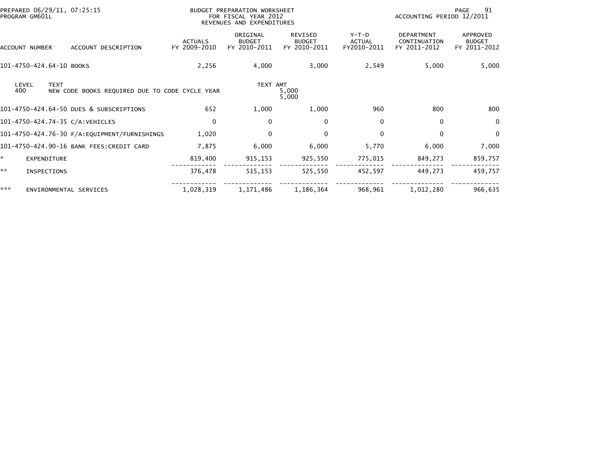| PREPARED 06/29/11, 07:25:15<br>PROGRAM GM601L                                 |                                | BUDGET PREPARATION WORKSHEET<br>FOR FISCAL YEAR 2012<br>REVENUES AND EXPENDITURES | 91<br>PAGE<br>ACCOUNTING PERIOD 12/2011         |                                         |                                                   |                                           |
|-------------------------------------------------------------------------------|--------------------------------|-----------------------------------------------------------------------------------|-------------------------------------------------|-----------------------------------------|---------------------------------------------------|-------------------------------------------|
| ACCOUNT DESCRIPTION<br>ACCOUNT NUMBER                                         | <b>ACTUALS</b><br>FY 2009-2010 | ORIGINAL<br><b>BUDGET</b><br>FY 2010-2011                                         | <b>REVISED</b><br><b>BUDGET</b><br>FY 2010-2011 | $Y-T-D$<br><b>ACTUAL</b><br>FY2010-2011 | <b>DEPARTMENT</b><br>CONTINUATION<br>FY 2011-2012 | APPROVED<br><b>BUDGET</b><br>FY 2011-2012 |
| 101-4750-424.64-10 BOOKS                                                      | 2,256                          | 4,000                                                                             | 3,000                                           | 2,549                                   | 5,000                                             | 5,000                                     |
| <b>TEXT</b><br>LEVEL<br>400<br>NEW CODE BOOKS REQUIRED DUE TO CODE CYCLE YEAR |                                | TEXT AMT                                                                          | 5,000<br>5,000                                  |                                         |                                                   |                                           |
| 101-4750-424.64-50 DUES & SUBSCRIPTIONS                                       | 652                            | 1,000                                                                             | 1,000                                           | 960                                     | 800                                               | 800                                       |
| 101-4750-424.74-35 C/A: VEHICLES                                              | $\mathbf{0}$                   | $\Omega$                                                                          | 0                                               | $\mathbf{0}$                            | $\Omega$                                          | 0                                         |
|                                                                               | 1,020                          | 0                                                                                 | 0                                               | 0                                       | $\Omega$                                          | 0                                         |
| 101-4750-424.90-16 BANK FEES: CREDIT CARD                                     | 7,875                          | 6,000                                                                             | 6,000                                           | 5,770                                   | 6,000                                             | 7,000                                     |
| *.<br><b>EXPENDITURE</b>                                                      | 819,400                        | 915,153                                                                           | 925,550                                         | 775,015                                 | 849,273                                           | 859,757                                   |
| **<br>INSPECTIONS                                                             | 376,478                        | 515,153                                                                           | 525,550                                         | 452,597                                 | 449,273                                           | 459,757                                   |
| ***<br>ENVIRONMENTAL SERVICES                                                 | 1,028,319                      | 1,171,486                                                                         | 1,186,364                                       | 968,961                                 | 1,012,280                                         | 966,635                                   |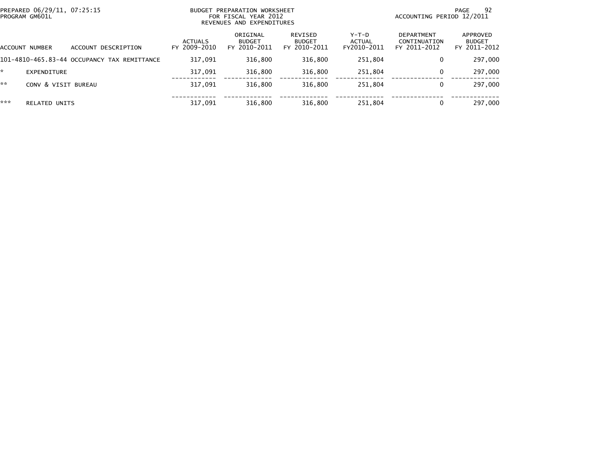| PREPARED 06/29/11, 07:25:15<br>PROGRAM GM601L |                                             | BUDGET PREPARATION WORKSHEET<br>FOR FISCAL YEAR 2012<br>REVENUES AND EXPENDITURES |                                           |                                          |                                | ACCOUNTING PERIOD 12/2011                         | 92<br>PAGE                                |
|-----------------------------------------------|---------------------------------------------|-----------------------------------------------------------------------------------|-------------------------------------------|------------------------------------------|--------------------------------|---------------------------------------------------|-------------------------------------------|
| ACCOUNT NUMBER                                | ACCOUNT DESCRIPTION                         | <b>ACTUALS</b><br>FY 2009-2010                                                    | ORIGINAL<br><b>BUDGET</b><br>FY 2010-2011 | REVISED<br><b>BUDGET</b><br>FY 2010-2011 | Y-T-D<br>ACTUAL<br>FY2010-2011 | <b>DEPARTMENT</b><br>CONTINUATION<br>FY 2011-2012 | APPROVED<br><b>BUDGET</b><br>FY 2011-2012 |
|                                               | 101-4810-465.83-44 OCCUPANCY TAX REMITTANCE | 317.091                                                                           | 316.800                                   | 316.800                                  | 251.804                        | 0                                                 | 297,000                                   |
| EXPENDITURE                                   |                                             | 317.091                                                                           | 316.800                                   | 316,800                                  | 251,804                        | $\Omega$                                          | 297,000                                   |
| **                                            | CONV & VISIT BUREAU                         | 317,091                                                                           | 316.800                                   | 316.800                                  | 251,804                        | 0                                                 | 297,000                                   |
| ***<br><b>RELATED UNITS</b>                   |                                             | 317,091                                                                           | 316,800                                   | 316,800                                  | 251,804                        | $\Omega$                                          | 297,000                                   |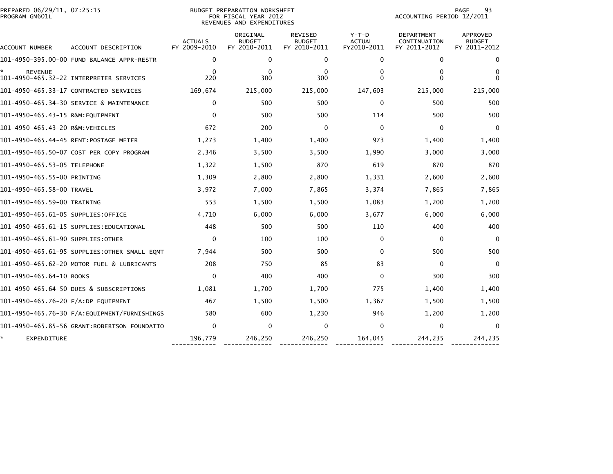| PREPARED 06/29/11, 07:25:15                  |                                |                                           | 93<br>PAGE<br>ACCOUNTING PERIOD 12/2011         |                                                                                   |                                                   |                                           |
|----------------------------------------------|--------------------------------|-------------------------------------------|-------------------------------------------------|-----------------------------------------------------------------------------------|---------------------------------------------------|-------------------------------------------|
| ACCOUNT DESCRIPTION                          | <b>ACTUALS</b><br>FY 2009-2010 | ORIGINAL<br><b>BUDGET</b><br>FY 2010-2011 | <b>REVISED</b><br><b>BUDGET</b><br>FY 2010-2011 | $Y-T-D$<br><b>ACTUAL</b><br>FY2010-2011                                           | <b>DEPARTMENT</b><br>CONTINUATION<br>FY 2011-2012 | APPROVED<br><b>BUDGET</b><br>FY 2011-2012 |
| 101-4950-395.00-00 FUND BALANCE APPR-RESTR   | 0                              | 0                                         | 0                                               | $\mathbf 0$                                                                       | $\mathbf 0$                                       | $\mathbf 0$                               |
| 101-4950-465.32-22 INTERPRETER SERVICES      | $\Omega$<br>220                | $\mathbf{0}$<br>300                       | $\Omega$<br>300                                 | 0<br>$\Omega$                                                                     | 0<br>$\Omega$                                     | 0<br>$\Omega$                             |
| 101-4950-465.33-17 CONTRACTED SERVICES       | 169,674                        | 215,000                                   | 215,000                                         | 147,603                                                                           | 215,000                                           | 215,000                                   |
| 101-4950-465.34-30 SERVICE & MAINTENANCE     | $\Omega$                       | 500                                       | 500                                             | $\Omega$                                                                          | 500                                               | 500                                       |
|                                              | $\Omega$                       | 500                                       | 500                                             | 114                                                                               | 500                                               | 500                                       |
| 101-4950-465.43-20 R&M:VEHICLES              | 672                            | 200                                       | $\mathbf 0$                                     | $\Omega$                                                                          | $\Omega$                                          | $\mathbf{0}$                              |
| 101-4950-465.44-45 RENT:POSTAGE METER        | 1,273                          | 1,400                                     | 1,400                                           | 973                                                                               | 1,400                                             | 1,400                                     |
| 101-4950-465.50-07 COST PER COPY PROGRAM     | 2,346                          | 3,500                                     | 3,500                                           | 1,990                                                                             | 3,000                                             | 3,000                                     |
| 101–4950–465.53–05 TELEPHONE                 | 1,322                          | 1,500                                     | 870                                             | 619                                                                               | 870                                               | 870                                       |
| 101-4950-465.55-00 PRINTING                  | 1,309                          | 2,800                                     | 2,800                                           | 1,331                                                                             | 2,600                                             | 2,600                                     |
| 101-4950-465.58-00 TRAVEL                    | 3,972                          | 7,000                                     | 7,865                                           | 3,374                                                                             | 7,865                                             | 7,865                                     |
| 101-4950-465.59-00 TRAINING                  | 553                            | 1,500                                     | 1,500                                           | 1,083                                                                             | 1,200                                             | 1,200                                     |
| 101-4950-465.61-05 SUPPLIES:OFFICE           | 4,710                          | 6,000                                     | 6,000                                           | 3,677                                                                             | 6,000                                             | 6,000                                     |
| 101–4950–465.61–15 SUPPLIES:EDUCATIONAL      | 448                            | 500                                       | 500                                             | 110                                                                               | 400                                               | 400                                       |
| 101-4950-465.61-90 SUPPLIES:OTHER            | $\Omega$                       | 100                                       | 100                                             | 0                                                                                 | 0                                                 | $\mathbf 0$                               |
| 101-4950-465.61-95 SUPPLIES:OTHER SMALL EOMT | 7,944                          | 500                                       | 500                                             | $\Omega$                                                                          | 500                                               | 500                                       |
| 101-4950-465.62-20 MOTOR FUEL & LUBRICANTS   | 208                            | 750                                       | 85                                              | 83                                                                                | $\mathbf{0}$                                      | $\Omega$                                  |
| 101-4950-465.64-10 BOOKS                     | $\mathbf{0}$                   | 400                                       | 400                                             | $\mathbf 0$                                                                       | 300                                               | 300                                       |
| 101-4950-465.64-50 DUES & SUBSCRIPTIONS      | 1,081                          | 1,700                                     | 1,700                                           | 775                                                                               | 1,400                                             | 1,400                                     |
| 101-4950-465.76-20 F/A:DP EQUIPMENT          | 467                            | 1,500                                     | 1,500                                           | 1,367                                                                             | 1,500                                             | 1,500                                     |
| 101–4950–465.76–30 F/A:EQUIPMENT/FURNISHINGS | 580                            | 600                                       | 1,230                                           | 946                                                                               | 1,200                                             | 1,200                                     |
| 101-4950-465.85-56 GRANT:ROBERTSON FOUNDATIO | $\Omega$                       | 0                                         | $\Omega$                                        | $\Omega$                                                                          | 0                                                 | $\mathbf{0}$                              |
|                                              | 196,779                        | 246,250                                   | 246,250                                         | 164,045                                                                           | 244,235                                           | 244,235                                   |
|                                              |                                |                                           |                                                 | BUDGET PREPARATION WORKSHEET<br>FOR FISCAL YEAR 2012<br>REVENUES AND EXPENDITURES |                                                   |                                           |

------------ ------------- ------------- ------------- -------------- -------------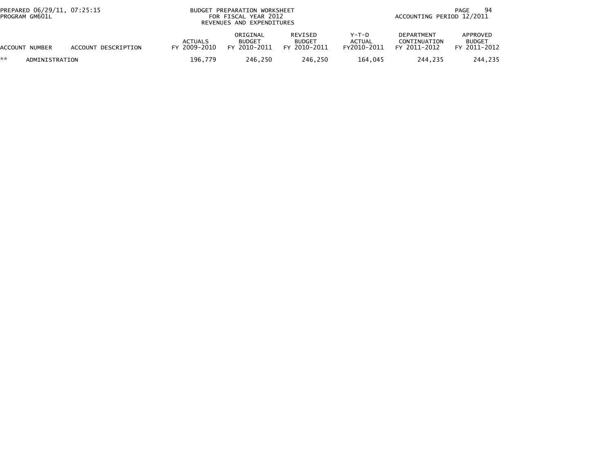| PREPARED 06/29/11, 07:25:15<br>PROGRAM GM601L |                     |                                | BUDGET PREPARATION WORKSHEET<br>FOR FISCAL YEAR 2012<br>REVENUES AND EXPENDITURES |                                          |                                       | 94<br>PAGE<br>ACCOUNTING PERIOD 12/2011           |                                           |  |
|-----------------------------------------------|---------------------|--------------------------------|-----------------------------------------------------------------------------------|------------------------------------------|---------------------------------------|---------------------------------------------------|-------------------------------------------|--|
| ACCOUNT NUMBER                                | ACCOUNT DESCRIPTION | <b>ACTUALS</b><br>FY 2009-2010 | ORIGINAL<br><b>BUDGET</b><br>FY 2010-2011                                         | REVISED<br><b>BUDGET</b><br>FY 2010-2011 | Y-T-D<br><b>ACTUAL</b><br>FY2010-2011 | <b>DEPARTMENT</b><br>CONTINUATION<br>FY 2011-2012 | APPROVED<br><b>BUDGET</b><br>FY 2011-2012 |  |
| **<br>ADMINISTRATION                          |                     | 196,779                        | 246.250                                                                           | 246.250                                  | 164.045                               | 244.235                                           | 244,235                                   |  |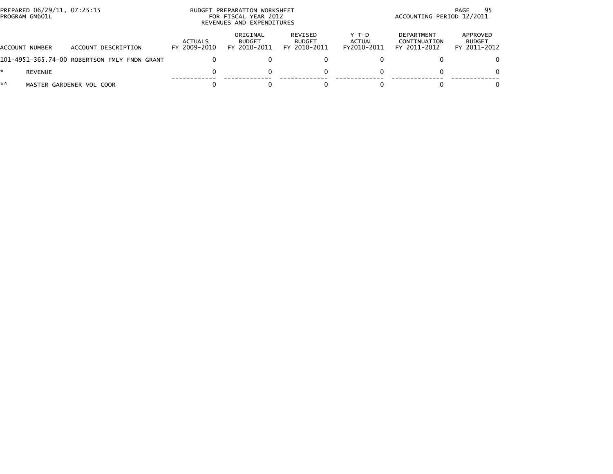| PREPARED 06/29/11, 07:25:15<br>PROGRAM GM601L |                                              |                         | BUDGET PREPARATION WORKSHEET<br>FOR FISCAL YEAR 2012<br>REVENUES AND EXPENDITURES |                                          |                                | 95<br>PAGE<br>ACCOUNTING PERIOD 12/2011    |                                           |  |
|-----------------------------------------------|----------------------------------------------|-------------------------|-----------------------------------------------------------------------------------|------------------------------------------|--------------------------------|--------------------------------------------|-------------------------------------------|--|
| ACCOUNT NUMBER                                | ACCOUNT DESCRIPTION                          | ACTUALS<br>FY 2009-2010 | ORIGINAL<br><b>BUDGET</b><br>FY 2010-2011                                         | REVISED<br><b>BUDGET</b><br>FY 2010-2011 | Y-T-D<br>ACTUAL<br>FY2010-2011 | DEPARTMENT<br>CONTINUATION<br>FY 2011-2012 | APPROVED<br><b>BUDGET</b><br>FY 2011-2012 |  |
|                                               | 101-4951-365.74-00 ROBERTSON FMLY FNDN GRANT |                         |                                                                                   |                                          |                                |                                            | $\Omega$                                  |  |
| REVENUE                                       |                                              |                         |                                                                                   |                                          |                                |                                            | $\Omega$                                  |  |
| **                                            | MASTER GARDENER VOL COOR                     |                         |                                                                                   |                                          |                                |                                            | $\Omega$                                  |  |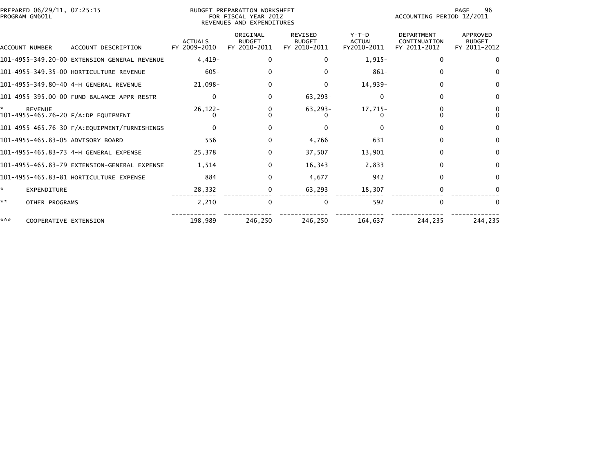| PREPARED 06/29/11, 07:25:15<br>PROGRAM GM601L |                                              |                                | BUDGET PREPARATION WORKSHEET<br>FOR FISCAL YEAR 2012<br>REVENUES AND EXPENDITURES |                                                 | 96<br>PAGE<br>ACCOUNTING PERIOD 12/2011 |                                                   |                                                  |
|-----------------------------------------------|----------------------------------------------|--------------------------------|-----------------------------------------------------------------------------------|-------------------------------------------------|-----------------------------------------|---------------------------------------------------|--------------------------------------------------|
| ACCOUNT NUMBER                                | ACCOUNT DESCRIPTION                          | <b>ACTUALS</b><br>FY 2009-2010 | ORIGINAL<br><b>BUDGET</b><br>FY 2010-2011                                         | <b>REVISED</b><br><b>BUDGET</b><br>FY 2010-2011 | $Y-T-D$<br><b>ACTUAL</b><br>FY2010-2011 | <b>DEPARTMENT</b><br>CONTINUATION<br>FY 2011-2012 | <b>APPROVED</b><br><b>BUDGET</b><br>FY 2011-2012 |
|                                               | 101-4955-349.20-00 EXTENSION GENERAL REVENUE | $4,419-$                       | 0                                                                                 | 0                                               | $1,915-$                                | $\mathbf{0}$                                      | $\Omega$                                         |
|                                               | 101-4955-349.35-00 HORTICULTURE REVENUE      | $605 -$                        | 0                                                                                 | $\Omega$                                        | $861 -$                                 | $\Omega$                                          | $\Omega$                                         |
|                                               |                                              | 21,098-                        | 0                                                                                 | $\Omega$                                        | 14,939-                                 | $\Omega$                                          | $\Omega$                                         |
|                                               | 101-4955-395.00-00 FUND BALANCE APPR-RESTR   | $\Omega$                       | 0                                                                                 | $63, 293 -$                                     | 0                                       | $\Omega$                                          | $\bf{0}$                                         |
| <b>REVENUE</b>                                | 101-4955-465.76-20 F/A:DP EQUIPMENT          | $26, 122 -$                    | 0                                                                                 | $63, 293 -$                                     | 17,715-                                 |                                                   | 0<br>$\Omega$                                    |
|                                               |                                              |                                | 0                                                                                 | $\Omega$                                        |                                         | 0                                                 | $\mathbf{0}$                                     |
| 101-4955-465.83-05 ADVISORY BOARD             |                                              | 556                            | 0                                                                                 | 4,766                                           | 631                                     | $\Omega$                                          | $\bf{0}$                                         |
|                                               |                                              | 25,378                         | $\mathbf{0}$                                                                      | 37,507                                          | 13,901                                  | $\Omega$                                          | $\mathbf{0}$                                     |
|                                               | 101-4955-465.83-79 EXTENSION-GENERAL EXPENSE | 1,514                          | 0                                                                                 | 16,343                                          | 2,833                                   | $\Omega$                                          | $\Omega$                                         |
|                                               | 101-4955-465.83-81 HORTICULTURE EXPENSE      | 884                            | 0                                                                                 | 4,677                                           | 942                                     | $\Omega$                                          | $\Omega$                                         |
| ÷.<br><b>EXPENDITURE</b>                      |                                              | 28,332                         | 0                                                                                 | 63,293                                          | 18,307                                  | 0                                                 |                                                  |
| **<br>OTHER PROGRAMS                          |                                              | 2,210                          | 0                                                                                 | 0                                               | 592                                     | $\Omega$                                          | $\Omega$                                         |
| ***                                           | COOPERATIVE EXTENSION                        | 198,989                        | 246,250                                                                           | 246,250                                         | 164,637                                 | 244,235                                           | 244,235                                          |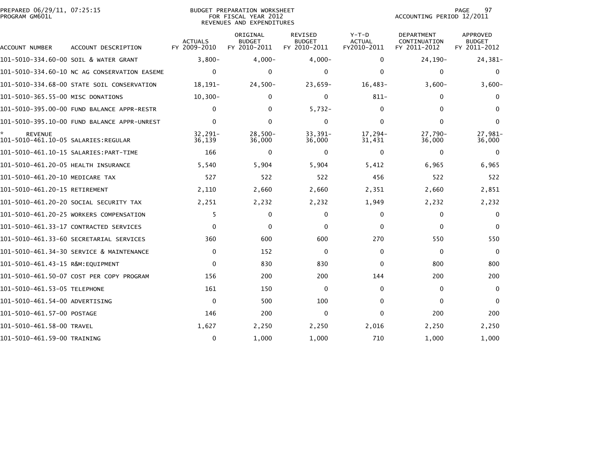| PREPARED 06/29/11, 07:25:15<br>PROGRAM GM601L         |                                              |                                | <b>BUDGET PREPARATION WORKSHEET</b><br>FOR FISCAL YEAR 2012<br>REVENUES AND EXPENDITURES |                                          | 97<br>PAGE<br>ACCOUNTING PERIOD 12/2011 |                                            |                                                  |
|-------------------------------------------------------|----------------------------------------------|--------------------------------|------------------------------------------------------------------------------------------|------------------------------------------|-----------------------------------------|--------------------------------------------|--------------------------------------------------|
| ACCOUNT NUMBER                                        | ACCOUNT DESCRIPTION                          | <b>ACTUALS</b><br>FY 2009-2010 | ORIGINAL<br><b>BUDGET</b><br>FY 2010-2011                                                | REVISED<br><b>BUDGET</b><br>FY 2010-2011 | $Y-T-D$<br><b>ACTUAL</b><br>FY2010-2011 | DEPARTMENT<br>CONTINUATION<br>FY 2011-2012 | <b>APPROVED</b><br><b>BUDGET</b><br>FY 2011-2012 |
|                                                       | 101-5010-334.60-00 SOIL & WATER GRANT        | $3.800 -$                      | $4,000-$                                                                                 | $4,000-$                                 | $\Omega$                                | 24, 190-                                   | 24,381-                                          |
|                                                       | 101-5010-334.60-10 NC AG CONSERVATION EASEME | $\Omega$                       | $\Omega$                                                                                 | 0                                        | $\Omega$                                | $\Omega$                                   | 0                                                |
|                                                       | 101-5010-334.68-00 STATE SOIL CONSERVATION   | $18.191 -$                     | $24,500-$                                                                                | $23,659-$                                | $16,483-$                               | $3,600-$                                   | $3,600-$                                         |
| 101-5010-365.55-00 MISC DONATIONS                     |                                              | $10, 300 -$                    | 0                                                                                        | 0                                        | $811 -$                                 | 0                                          | $\Omega$                                         |
|                                                       | 101-5010-395.00-00 FUND BALANCE APPR-RESTR   | $\mathbf{0}$                   | 0                                                                                        | $5,732-$                                 | $\Omega$                                | $\Omega$                                   | $\Omega$                                         |
|                                                       | 101-5010-395.10-00 FUND BALANCE APPR-UNREST  | $\Omega$                       | $\Omega$                                                                                 | $\mathbf{0}$                             | $\Omega$                                | $\Omega$                                   | $\mathbf{0}$                                     |
| <b>REVENUE</b><br>101–5010–461.10–05 SALARIES:REGULAR |                                              | 32,291-<br>36.139              | $28,500-$<br>36,000                                                                      | $33,391-$<br>36,000                      | 17,294-<br>31,431                       | 27,790-<br>36,000                          | 27,981-<br>36,000                                |
|                                                       |                                              | 166                            | 0                                                                                        | 0                                        | 0                                       | 0                                          | $\Omega$                                         |
| 101-5010-461.20-05 HEALTH INSURANCE                   |                                              | 5,540                          | 5,904                                                                                    | 5,904                                    | 5,412                                   | 6,965                                      | 6,965                                            |
| 101-5010-461.20-10 MEDICARE TAX                       |                                              | 527                            | 522                                                                                      | 522                                      | 456                                     | 522                                        | 522                                              |
| 101-5010-461.20-15 RETIREMENT                         |                                              | 2,110                          | 2,660                                                                                    | 2,660                                    | 2,351                                   | 2,660                                      | 2,851                                            |
|                                                       | 101–5010–461.20–20 SOCIAL SECURITY TAX       | 2,251                          | 2,232                                                                                    | 2,232                                    | 1,949                                   | 2,232                                      | 2,232                                            |
|                                                       | 101-5010-461.20-25 WORKERS COMPENSATION      | 5                              | $\Omega$                                                                                 | 0                                        | $\Omega$                                | $\Omega$                                   | $\mathbf{0}$                                     |
|                                                       | 101-5010-461.33-17 CONTRACTED SERVICES       | $\mathbf{0}$                   | $\Omega$                                                                                 | $\mathbf{0}$                             | $\mathbf{0}$                            | $\Omega$                                   | $\Omega$                                         |
|                                                       | 101-5010-461.33-60 SECRETARIAL SERVICES      | 360                            | 600                                                                                      | 600                                      | 270                                     | 550                                        | 550                                              |
|                                                       | 101-5010-461.34-30 SERVICE & MAINTENANCE     | $\Omega$                       | 152                                                                                      | $\mathbf{0}$                             | $\mathbf{0}$                            | $\mathbf{0}$                               | $\Omega$                                         |
| 101-5010-461.43-15 R&M:EQUIPMENT                      |                                              | $\mathbf{0}$                   | 830                                                                                      | 830                                      | $\mathbf{0}$                            | 800                                        | 800                                              |
|                                                       | 101-5010-461.50-07 COST PER COPY PROGRAM     | 156                            | 200                                                                                      | 200                                      | 144                                     | 200                                        | 200                                              |
| 101–5010–461.53–05 TELEPHONE                          |                                              | 161                            | 150                                                                                      | 0                                        | 0                                       | 0                                          | $\mathbf{0}$                                     |
| 101-5010-461.54-00 ADVERTISING                        |                                              | $\mathbf{0}$                   | 500                                                                                      | 100                                      | 0                                       | $\Omega$                                   | $\mathbf{0}$                                     |
| 101-5010-461.57-00 POSTAGE                            |                                              | 146                            | 200                                                                                      | 0                                        | 0                                       | 200                                        | 200                                              |
| 101-5010-461.58-00 TRAVEL                             |                                              | 1,627                          | 2,250                                                                                    | 2,250                                    | 2,016                                   | 2,250                                      | 2,250                                            |
| 101-5010-461.59-00 TRAINING                           |                                              | $\mathbf{0}$                   | 1,000                                                                                    | 1,000                                    | 710                                     | 1,000                                      | 1,000                                            |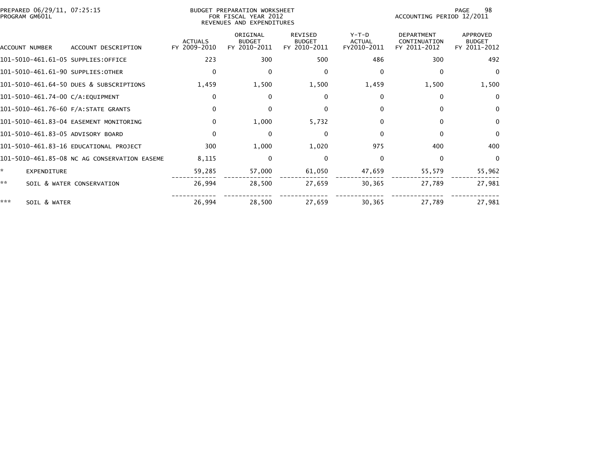| PREPARED 06/29/11, 07:25:15<br>PROGRAM GM601L |                                              |                                | <b>BUDGET PREPARATION WORKSHEET</b><br>FOR FISCAL YEAR 2012<br>REVENUES AND EXPENDITURES | 98<br>PAGE<br>ACCOUNTING PERIOD 12/2011         |                                         |                                                   |                                                  |
|-----------------------------------------------|----------------------------------------------|--------------------------------|------------------------------------------------------------------------------------------|-------------------------------------------------|-----------------------------------------|---------------------------------------------------|--------------------------------------------------|
| ACCOUNT NUMBER                                | ACCOUNT DESCRIPTION                          | <b>ACTUALS</b><br>FY 2009-2010 | ORIGINAL<br><b>BUDGET</b><br>FY 2010-2011                                                | <b>REVISED</b><br><b>BUDGET</b><br>FY 2010-2011 | $Y-T-D$<br><b>ACTUAL</b><br>FY2010-2011 | <b>DEPARTMENT</b><br>CONTINUATION<br>FY 2011-2012 | <b>APPROVED</b><br><b>BUDGET</b><br>FY 2011-2012 |
| 101-5010-461.61-05 SUPPLIES:OFFICE            |                                              | 223                            | 300                                                                                      | 500                                             | 486                                     | 300                                               | 492                                              |
| 101-5010-461.61-90 SUPPLIES:OTHER             |                                              | $\mathbf{0}$                   | $\mathbf{0}$                                                                             | 0                                               | $\Omega$                                | $\Omega$                                          | $\Omega$                                         |
|                                               | 101-5010-461.64-50 DUES & SUBSCRIPTIONS      | 1,459                          | 1,500                                                                                    | 1,500                                           | 1,459                                   | 1,500                                             | 1,500                                            |
| 101-5010-461.74-00 C/A:EQUIPMENT              |                                              | $\mathbf{0}$                   | 0                                                                                        | 0                                               | 0                                       | 0                                                 | $\Omega$                                         |
| 101-5010-461.76-60 F/A:STATE GRANTS           |                                              | $\Omega$                       | 0                                                                                        | $\mathbf{0}$                                    | $\Omega$                                | $\Omega$                                          | $\Omega$                                         |
|                                               | 101-5010-461.83-04 EASEMENT MONITORING       | $\Omega$                       | 1,000                                                                                    | 5,732                                           | $\Omega$                                | $\Omega$                                          | $\mathbf{0}$                                     |
| 101-5010-461.83-05 ADVISORY BOARD             |                                              | $\Omega$                       | 0                                                                                        | 0                                               | $\Omega$                                | 0                                                 | $\Omega$                                         |
|                                               | 101-5010-461.83-16 EDUCATIONAL PROJECT       | 300                            | 1,000                                                                                    | 1,020                                           | 975                                     | 400                                               | 400                                              |
|                                               | 101-5010-461.85-08 NC AG CONSERVATION EASEME | 8,115                          | 0                                                                                        | $\Omega$                                        | $\Omega$                                | $\Omega$                                          | $\Omega$                                         |
| ×.<br><b>EXPENDITURE</b>                      |                                              | 59,285                         | 57,000                                                                                   | 61,050                                          | 47,659                                  | 55,579                                            | 55,962                                           |
| **                                            | SOIL & WATER CONSERVATION                    | 26,994                         | 28,500                                                                                   | 27,659                                          | 30,365                                  | 27,789                                            | 27,981                                           |
| ***<br>SOIL & WATER                           |                                              | 26,994                         | 28,500                                                                                   | 27,659                                          | 30,365                                  | 27,789                                            | 27,981                                           |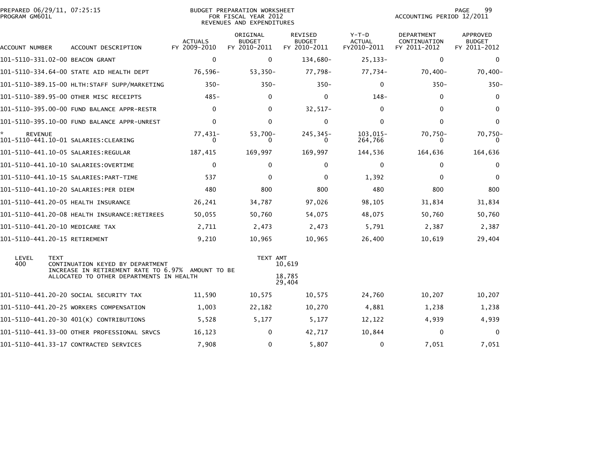| PREPARED 06/29/11, 07:25:15<br>PROGRAM GM601L |                                                                                  | BUDGET PREPARATION WORKSHEET<br>FOR FISCAL YEAR 2012<br>REVENUES AND EXPENDITURES |                                           |                                          |                                         | 99<br>PAGE<br>ACCOUNTING PERIOD 12/2011    |                                                  |  |
|-----------------------------------------------|----------------------------------------------------------------------------------|-----------------------------------------------------------------------------------|-------------------------------------------|------------------------------------------|-----------------------------------------|--------------------------------------------|--------------------------------------------------|--|
| ACCOUNT NUMBER                                | ACCOUNT DESCRIPTION                                                              | <b>ACTUALS</b><br>FY 2009-2010                                                    | ORIGINAL<br><b>BUDGET</b><br>FY 2010-2011 | REVISED<br><b>BUDGET</b><br>FY 2010-2011 | $Y-T-D$<br><b>ACTUAL</b><br>FY2010-2011 | DEPARTMENT<br>CONTINUATION<br>FY 2011-2012 | <b>APPROVED</b><br><b>BUDGET</b><br>FY 2011-2012 |  |
| 101-5110-331.02-00 BEACON GRANT               |                                                                                  | $\mathbf 0$                                                                       | $\mathbf 0$                               | 134,680-                                 | $25, 133 -$                             | $\mathbf 0$                                | $\mathbf{0}$                                     |  |
|                                               | 101-5110-334.64-00 STATE AID HEALTH DEPT                                         | 76,596-                                                                           | $53,350-$                                 | 77,798-                                  | 77,734-                                 | $70,400-$                                  | $70,400-$                                        |  |
|                                               |                                                                                  | $350 -$                                                                           | $350 -$                                   | $350 -$                                  | $\Omega$                                | $350 -$                                    | $350 -$                                          |  |
|                                               | 101-5110-389.95-00 OTHER MISC RECEIPTS                                           | $485 -$                                                                           | 0                                         | 0                                        | $148-$                                  | 0                                          | $\mathbf 0$                                      |  |
|                                               | 101-5110-395.00-00 FUND BALANCE APPR-RESTR                                       | $\Omega$                                                                          | $\mathbf{0}$                              | $32,517-$                                | $\Omega$                                | $\Omega$                                   | $\mathbf{0}$                                     |  |
|                                               | 101-5110-395.10-00 FUND BALANCE APPR-UNREST                                      | $\Omega$                                                                          | 0                                         | 0                                        | 0                                       | $\mathbf{0}$                               | 0                                                |  |
| <b>REVENUE</b>                                |                                                                                  | 77,431-<br>0                                                                      | $53,700-$<br>0                            | 245, 345-<br>0                           | $103.015 -$<br>264,766                  | $70,750-$<br>0                             | 70,750-<br>$\Omega$                              |  |
|                                               |                                                                                  | 187,415                                                                           | 169,997                                   | 169,997                                  | 144,536                                 | 164,636                                    | 164,636                                          |  |
|                                               |                                                                                  | $\mathbf 0$                                                                       | 0                                         | 0                                        | $\mathbf 0$                             | $\mathbf 0$                                | 0                                                |  |
|                                               |                                                                                  | 537                                                                               | $\mathbf{0}$                              | $\Omega$                                 | 1,392                                   | $\Omega$                                   | $\Omega$                                         |  |
|                                               | 101-5110-441.10-20 SALARIES:PER DIEM                                             | 480                                                                               | 800                                       | 800                                      | 480                                     | 800                                        | 800                                              |  |
|                                               |                                                                                  | 26,241                                                                            | 34,787                                    | 97,026                                   | 98,105                                  | 31,834                                     | 31,834                                           |  |
|                                               | 101-5110-441.20-08 HEALTH INSURANCE:RETIREES                                     | 50,055                                                                            | 50,760                                    | 54,075                                   | 48,075                                  | 50,760                                     | 50,760                                           |  |
| 101-5110-441.20-10 MEDICARE TAX               |                                                                                  | 2,711                                                                             | 2,473                                     | 2,473                                    | 5,791                                   | 2,387                                      | 2,387                                            |  |
| 101-5110-441.20-15 RETIREMENT                 |                                                                                  | 9,210                                                                             | 10,965                                    | 10,965                                   | 26,400                                  | 10,619                                     | 29,404                                           |  |
| LEVEL<br><b>TEXT</b><br>400                   | CONTINUATION KEYED BY DEPARTMENT                                                 |                                                                                   | TEXT AMT                                  | 10,619                                   |                                         |                                            |                                                  |  |
|                                               | INCREASE IN RETIREMENT RATE TO 6.97%<br>ALLOCATED TO OTHER DEPARTMENTS IN HEALTH | AMOUNT TO BE                                                                      |                                           | 18,785<br>29,404                         |                                         |                                            |                                                  |  |
|                                               | 101-5110-441.20-20 SOCIAL SECURITY TAX                                           | 11,590                                                                            | 10,575                                    | 10,575                                   | 24,760                                  | 10,207                                     | 10,207                                           |  |
|                                               | 101-5110-441.20-25 WORKERS COMPENSATION                                          | 1,003                                                                             | 22,182                                    | 10,270                                   | 4,881                                   | 1,238                                      | 1,238                                            |  |
|                                               | 101-5110-441.20-30 401(K) CONTRIBUTIONS                                          | 5,528                                                                             | 5,177                                     | 5,177                                    | 12,122                                  | 4,939                                      | 4,939                                            |  |
|                                               | 101-5110-441.33-00 OTHER PROFESSIONAL SRVCS                                      | 16,123                                                                            | 0                                         | 42,717                                   | 10,844                                  | 0                                          | $\Omega$                                         |  |
|                                               | 101-5110-441.33-17 CONTRACTED SERVICES                                           | 7,908                                                                             | 0                                         | 5,807                                    | 0                                       | 7,051                                      | 7,051                                            |  |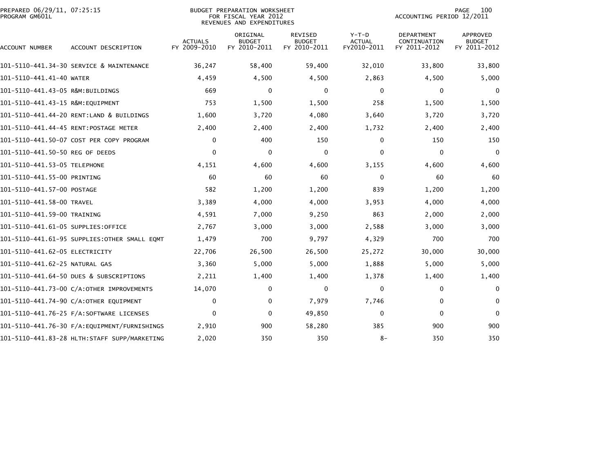| PREPARED 06/29/11, 07:25:15<br>PROGRAM GM601L |                                              | <b>BUDGET PREPARATION WORKSHEET</b><br>FOR FISCAL YEAR 2012<br>REVENUES AND EXPENDITURES | 100<br>PAGE<br>ACCOUNTING PERIOD 12/2011  |                                                 |                                         |                                                   |                                                  |
|-----------------------------------------------|----------------------------------------------|------------------------------------------------------------------------------------------|-------------------------------------------|-------------------------------------------------|-----------------------------------------|---------------------------------------------------|--------------------------------------------------|
| ACCOUNT NUMBER                                | ACCOUNT DESCRIPTION                          | <b>ACTUALS</b><br>FY 2009-2010                                                           | ORIGINAL<br><b>BUDGET</b><br>FY 2010-2011 | <b>REVISED</b><br><b>BUDGET</b><br>FY 2010-2011 | $Y-T-D$<br><b>ACTUAL</b><br>FY2010-2011 | <b>DEPARTMENT</b><br>CONTINUATION<br>FY 2011-2012 | <b>APPROVED</b><br><b>BUDGET</b><br>FY 2011-2012 |
|                                               | 101-5110-441.34-30 SERVICE & MAINTENANCE     | 36,247                                                                                   | 58,400                                    | 59,400                                          | 32,010                                  | 33,800                                            | 33,800                                           |
| 101-5110-441.41-40 WATER                      |                                              | 4,459                                                                                    | 4,500                                     | 4,500                                           | 2,863                                   | 4,500                                             | 5,000                                            |
| 101–5110–441.43–05 R&M:BUILDINGS              |                                              | 669                                                                                      | 0                                         | 0                                               | $\Omega$                                | 0                                                 | $\mathbf{0}$                                     |
| 101–5110–441.43–15 R&M:EOUIPMENT              |                                              | 753                                                                                      | 1,500                                     | 1,500                                           | 258                                     | 1,500                                             | 1,500                                            |
|                                               | 101-5110-441.44-20 RENT:LAND & BUILDINGS     | 1,600                                                                                    | 3,720                                     | 4,080                                           | 3,640                                   | 3,720                                             | 3,720                                            |
|                                               |                                              | 2,400                                                                                    | 2,400                                     | 2,400                                           | 1,732                                   | 2,400                                             | 2,400                                            |
|                                               | 101-5110-441.50-07 COST PER COPY PROGRAM     | $\Omega$                                                                                 | 400                                       | 150                                             | $\Omega$                                | 150                                               | 150                                              |
| 101-5110-441.50-50 REG OF DEEDS               |                                              | $\Omega$                                                                                 | 0                                         | $\mathbf 0$                                     | $\Omega$                                | 0                                                 | $\Omega$                                         |
| 101–5110–441.53–05 TELEPHONE                  |                                              | 4,151                                                                                    | 4,600                                     | 4,600                                           | 3,155                                   | 4,600                                             | 4,600                                            |
| 101-5110-441.55-00 PRINTING                   |                                              | 60                                                                                       | 60                                        | 60                                              | 0                                       | 60                                                | 60                                               |
| 101-5110-441.57-00 POSTAGE                    |                                              | 582                                                                                      | 1,200                                     | 1,200                                           | 839                                     | 1,200                                             | 1,200                                            |
| 101-5110-441.58-00 TRAVEL                     |                                              | 3,389                                                                                    | 4,000                                     | 4,000                                           | 3,953                                   | 4,000                                             | 4,000                                            |
| 101-5110-441.59-00 TRAINING                   |                                              | 4,591                                                                                    | 7,000                                     | 9,250                                           | 863                                     | 2,000                                             | 2,000                                            |
| 101-5110-441.61-05 SUPPLIES:OFFICE            |                                              | 2,767                                                                                    | 3,000                                     | 3,000                                           | 2,588                                   | 3,000                                             | 3,000                                            |
|                                               | 101–5110–441.61–95 SUPPLIES:OTHER SMALL EQMT | 1,479                                                                                    | 700                                       | 9,797                                           | 4,329                                   | 700                                               | 700                                              |
| 101-5110-441.62-05 ELECTRICITY                |                                              | 22,706                                                                                   | 26,500                                    | 26,500                                          | 25,272                                  | 30,000                                            | 30,000                                           |
| 101-5110-441.62-25 NATURAL GAS                |                                              | 3,360                                                                                    | 5,000                                     | 5,000                                           | 1,888                                   | 5,000                                             | 5,000                                            |
|                                               | 101-5110-441.64-50 DUES & SUBSCRIPTIONS      | 2,211                                                                                    | 1,400                                     | 1,400                                           | 1,378                                   | 1,400                                             | 1,400                                            |
|                                               | 101-5110-441.73-00 C/A:OTHER IMPROVEMENTS    | 14,070                                                                                   | 0                                         | $\mathbf 0$                                     | $\Omega$                                | $\mathbf{0}$                                      | $\mathbf{0}$                                     |
|                                               | 101-5110-441.74-90 C/A:OTHER EQUIPMENT       | $\mathbf{0}$                                                                             | 0                                         | 7,979                                           | 7,746                                   | $\mathbf{0}$                                      | $\mathbf{0}$                                     |
|                                               |                                              | $\Omega$                                                                                 | 0                                         | 49,850                                          | $\Omega$                                | $\Omega$                                          | $\Omega$                                         |
|                                               | 101–5110–441.76–30 F/A:EOUIPMENT/FURNISHINGS | 2,910                                                                                    | 900                                       | 58,280                                          | 385                                     | 900                                               | 900                                              |
|                                               | 101-5110-441.83-28 HLTH:STAFF SUPP/MARKETING | 2,020                                                                                    | 350                                       | 350                                             | $8-$                                    | 350                                               | 350                                              |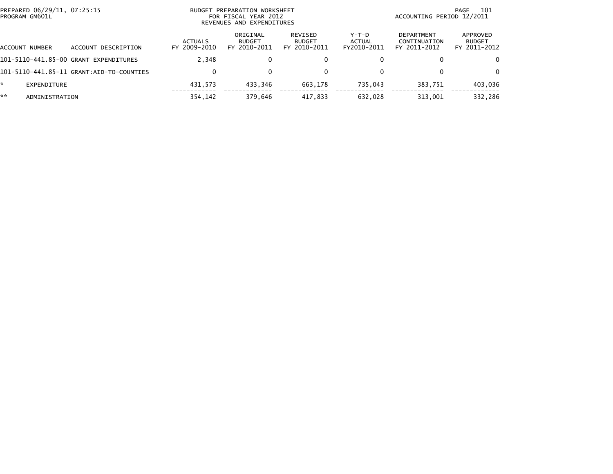| PREPARED 06/29/11, 07:25:15<br>PROGRAM GM601L |                     |                                | BUDGET PREPARATION WORKSHEET<br>FOR FISCAL YEAR 2012<br>REVENUES AND EXPENDITURES |                                          | 101<br>PAGE<br>ACCOUNTING PERIOD 12/2011 |                                                   |                                           |
|-----------------------------------------------|---------------------|--------------------------------|-----------------------------------------------------------------------------------|------------------------------------------|------------------------------------------|---------------------------------------------------|-------------------------------------------|
| ACCOUNT NUMBER                                | ACCOUNT DESCRIPTION | <b>ACTUALS</b><br>FY 2009-2010 | ORIGINAL<br><b>BUDGET</b><br>FY 2010-2011                                         | REVISED<br><b>BUDGET</b><br>FY 2010-2011 | Y-T-D<br>ACTUAL<br>FY2010-2011           | <b>DEPARTMENT</b><br>CONTINUATION<br>FY 2011-2012 | APPROVED<br><b>BUDGET</b><br>FY 2011-2012 |
| 101-5110-441.85-00 GRANT                      | EXPENDITURES        | 2.348                          | 0                                                                                 | 0                                        |                                          | 0                                                 | $\mathbf{0}$                              |
|                                               |                     | $\Omega$                       | $\Omega$                                                                          | 0                                        |                                          | 0                                                 | $\Omega$                                  |
| *<br>EXPENDITURE                              |                     | 431.573                        | 433.346                                                                           | 663.178                                  | 735.043                                  | 383.751                                           | 403,036                                   |
| **<br>ADMINISTRATION                          |                     | 354,142                        | 379,646                                                                           | 417,833                                  | 632,028                                  | 313,001                                           | 332,286                                   |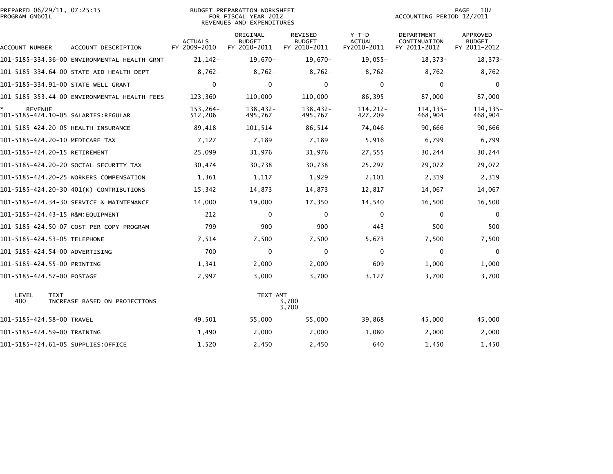| PROGRAM GM601L       | PREPARED 06/29/11, 07:25:15                  |                                | <b>BUDGET PREPARATION WORKSHEET</b><br>FOR FISCAL YEAR 2012<br>REVENUES AND EXPENDITURES | PAGE<br>102<br>ACCOUNTING PERIOD 12/2011 |                                         |                                            |                                                  |
|----------------------|----------------------------------------------|--------------------------------|------------------------------------------------------------------------------------------|------------------------------------------|-----------------------------------------|--------------------------------------------|--------------------------------------------------|
| ACCOUNT NUMBER       | ACCOUNT DESCRIPTION                          | <b>ACTUALS</b><br>FY 2009-2010 | ORIGINAL<br><b>BUDGET</b><br>FY 2010-2011                                                | REVISED<br><b>BUDGET</b><br>FY 2010-2011 | $Y-T-D$<br><b>ACTUAL</b><br>FY2010-2011 | DEPARTMENT<br>CONTINUATION<br>FY 2011-2012 | <b>APPROVED</b><br><b>BUDGET</b><br>FY 2011-2012 |
|                      | 101-5185-334.36-00 ENVIRONMENTAL HEALTH GRNT | $21, 142 -$                    | 19,670-                                                                                  | $19,670-$                                | $19,055-$                               | $18,373-$                                  | $18,373-$                                        |
|                      | 101-5185-334.64-00 STATE AID HEALTH DEPT     | $8.762 -$                      | $8,762-$                                                                                 | $8,762-$                                 | $8,762-$                                | $8.762 -$                                  | $8,762-$                                         |
|                      | 101-5185-334.91-00 STATE WELL GRANT          | $\mathbf{0}$                   | $\Omega$                                                                                 | $\mathbf{0}$                             | 0                                       | $\Omega$                                   | $\Omega$                                         |
|                      | 101-5185-353.44-00 ENVIRONMENTAL HEALTH FEES | 123,360-                       | 110,000-                                                                                 | 110,000-                                 | $86,395-$                               | 87,000-                                    | 87,000-                                          |
| *.<br><b>REVENUE</b> |                                              | 153,264-<br>512,206            | 138,432-<br>495,767                                                                      | 138,432-<br>495,767                      | 114,212-<br>427,209                     | 114.135-<br>468,904                        | 114, 135-<br>468,904                             |
|                      | 101-5185-424.20-05 HEALTH INSURANCE          | 89,418                         | 101,514                                                                                  | 86,514                                   | 74,046                                  | 90,666                                     | 90,666                                           |
|                      | 101-5185-424.20-10 MEDICARE TAX              | 7,127                          | 7,189                                                                                    | 7,189                                    | 5,916                                   | 6.799                                      | 6,799                                            |
|                      | 101-5185-424.20-15 RETIREMENT                | 25,099                         | 31,976                                                                                   | 31,976                                   | 27,555                                  | 30,244                                     | 30,244                                           |
|                      | 101-5185-424.20-20 SOCIAL SECURITY TAX       | 30,474                         | 30,738                                                                                   | 30,738                                   | 25,297                                  | 29,072                                     | 29,072                                           |
|                      | 101-5185-424.20-25 WORKERS COMPENSATION      | 1,361                          | 1,117                                                                                    | 1,929                                    | 2,101                                   | 2,319                                      | 2,319                                            |
|                      | 101-5185-424.20-30 401(K) CONTRIBUTIONS      | 15,342                         | 14,873                                                                                   | 14,873                                   | 12,817                                  | 14,067                                     | 14,067                                           |
|                      | 101-5185-424.34-30 SERVICE & MAINTENANCE     | 14,000                         | 19,000                                                                                   | 17,350                                   | 14,540                                  | 16,500                                     | 16,500                                           |
|                      | 101-5185-424.43-15 R&M:EQUIPMENT             | 212                            | $\Omega$                                                                                 | $\mathbf 0$                              | $\Omega$                                | 0                                          | $\mathbf 0$                                      |
|                      | 101-5185-424.50-07 COST PER COPY PROGRAM     | 799                            | 900                                                                                      | 900                                      | 443                                     | 500                                        | 500                                              |
|                      | 101-5185-424.53-05 TELEPHONE                 | 7,514                          | 7,500                                                                                    | 7,500                                    | 5,673                                   | 7,500                                      | 7,500                                            |
|                      | 101-5185-424.54-00 ADVERTISING               | 700                            | $\Omega$                                                                                 | $\mathbf 0$                              | $\Omega$                                | $\mathbf 0$                                | $\mathbf 0$                                      |
|                      | 101-5185-424.55-00 PRINTING                  | 1,341                          | 2,000                                                                                    | 2,000                                    | 609                                     | 1,000                                      | 1,000                                            |
|                      | 101-5185-424.57-00 POSTAGE                   | 2,997                          | 3,000                                                                                    | 3,700                                    | 3,127                                   | 3,700                                      | 3,700                                            |
| LEVEL<br>400         | <b>TEXT</b><br>INCREASE BASED ON PROJECTIONS |                                | TEXT AMT                                                                                 | 3,700<br>3,700                           |                                         |                                            |                                                  |
|                      | 101-5185-424.58-00 TRAVEL                    | 49,501                         | 55,000                                                                                   | 55,000                                   | 39,868                                  | 45,000                                     | 45,000                                           |
|                      | 101-5185-424.59-00 TRAINING                  | 1,490                          | 2,000                                                                                    | 2,000                                    | 1,080                                   | 2,000                                      | 2,000                                            |
|                      | 101-5185-424.61-05 SUPPLIES:OFFICE           | 1,520                          | 2,450                                                                                    | 2,450                                    | 640                                     | 1,450                                      | 1,450                                            |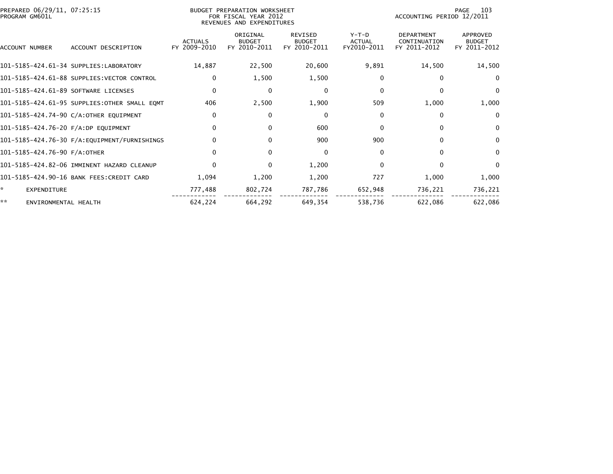| PREPARED 06/29/11, 07:25:15<br>PROGRAM GM601L |                                              | 103<br>PAGE<br>ACCOUNTING PERIOD 12/2011 |                                           |                                                 |                                         |                                                   |                                           |
|-----------------------------------------------|----------------------------------------------|------------------------------------------|-------------------------------------------|-------------------------------------------------|-----------------------------------------|---------------------------------------------------|-------------------------------------------|
| <b>ACCOUNT NUMBER</b>                         | ACCOUNT DESCRIPTION                          | <b>ACTUALS</b><br>FY 2009-2010           | ORIGINAL<br><b>BUDGET</b><br>FY 2010-2011 | <b>REVISED</b><br><b>BUDGET</b><br>FY 2010-2011 | $Y-T-D$<br><b>ACTUAL</b><br>FY2010-2011 | <b>DEPARTMENT</b><br>CONTINUATION<br>FY 2011-2012 | APPROVED<br><b>BUDGET</b><br>FY 2011-2012 |
|                                               | 101-5185-424.61-34 SUPPLIES:LABORATORY       | 14,887                                   | 22,500                                    | 20,600                                          | 9,891                                   | 14,500                                            | 14,500                                    |
|                                               | 101-5185-424.61-88 SUPPLIES: VECTOR CONTROL  | $\Omega$                                 | 1,500                                     | 1,500                                           | 0                                       | 0                                                 | $\bf{0}$                                  |
| 101-5185-424.61-89 SOFTWARE LICENSES          |                                              | $\Omega$                                 | 0                                         | 0                                               | $\Omega$                                |                                                   | $\bf{0}$                                  |
|                                               | 101-5185-424.61-95 SUPPLIES:OTHER SMALL EQMT | 406                                      | 2,500                                     | 1,900                                           | 509                                     | 1,000                                             | 1,000                                     |
|                                               | 101-5185-424.74-90 C/A:OTHER EQUIPMENT       | $\mathbf{0}$                             | 0                                         | 0                                               | $\mathbf{0}$                            | 0                                                 | $\mathbf{0}$                              |
| 101-5185-424.76-20 F/A:DP EQUIPMENT           |                                              | $\Omega$                                 | $\Omega$                                  | 600                                             | $\Omega$                                | $\Omega$                                          | 0                                         |
|                                               |                                              | 0                                        | $\Omega$                                  | 900                                             | 900                                     | <sup>0</sup>                                      | 0                                         |
| 101-5185-424.76-90 F/A:OTHER                  |                                              | 0                                        | 0                                         | 0                                               | $\Omega$                                | U                                                 | 0                                         |
|                                               | 101-5185-424.82-06 IMMINENT HAZARD CLEANUP   | $\Omega$                                 | 0                                         | 1,200                                           | $\mathbf{0}$                            | ∩                                                 | 0                                         |
|                                               | 101-5185-424.90-16 BANK FEES:CREDIT CARD     | 1,094                                    | 1,200                                     | 1,200                                           | 727                                     | 1,000                                             | 1,000                                     |
| $\mathbf{A}$<br><b>EXPENDITURE</b>            |                                              | 777,488                                  | 802,724                                   | 787,786                                         | 652,948                                 | 736,221                                           | 736,221                                   |
| **<br>ENVIRONMENTAL HEALTH                    |                                              | 624,224                                  | 664.292                                   | 649,354                                         | 538,736                                 | 622,086                                           | 622,086                                   |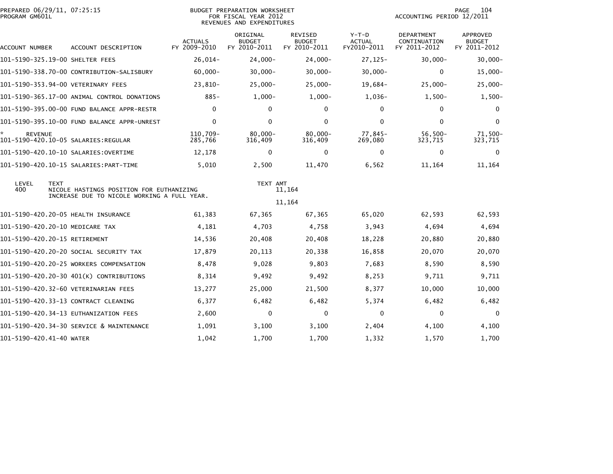| PREPARED 06/29/11, 07:25:15<br>PROGRAM GM601L               |                                             |                                | BUDGET PREPARATION WORKSHEET<br>FOR FISCAL YEAR 2012<br>REVENUES AND EXPENDITURES |                                                 |                                         | ACCOUNTING PERIOD 12/2011                         | 104<br>PAGE                                      |
|-------------------------------------------------------------|---------------------------------------------|--------------------------------|-----------------------------------------------------------------------------------|-------------------------------------------------|-----------------------------------------|---------------------------------------------------|--------------------------------------------------|
| ACCOUNT NUMBER                                              | ACCOUNT DESCRIPTION                         | <b>ACTUALS</b><br>FY 2009-2010 | ORIGINAL<br><b>BUDGET</b><br>FY 2010-2011                                         | <b>REVISED</b><br><b>BUDGET</b><br>FY 2010-2011 | $Y-T-D$<br><b>ACTUAL</b><br>FY2010-2011 | <b>DEPARTMENT</b><br>CONTINUATION<br>FY 2011-2012 | <b>APPROVED</b><br><b>BUDGET</b><br>FY 2011-2012 |
| 101-5190-325.19-00 SHELTER FEES                             |                                             | 26,014-                        | $24,000 -$                                                                        | $24,000 -$                                      | 27, 125-                                | $30,000 -$                                        | $30,000 -$                                       |
|                                                             | 101-5190-338.70-00 CONTRIBUTION-SALISBURY   | $60,000 -$                     | $30,000 -$                                                                        | $30,000 -$                                      | $30,000 -$                              | $\mathbf{0}$                                      | $15,000 -$                                       |
| 101-5190-353.94-00 VETERINARY FEES                          |                                             | $23,810-$                      | $25,000-$                                                                         | $25,000-$                                       | 19,684-                                 | $25,000 -$                                        | $25,000-$                                        |
|                                                             | 101-5190-365.17-00 ANIMAL CONTROL DONATIONS | $885 -$                        | $1,000-$                                                                          | $1,000-$                                        | $1,036-$                                | $1,500-$                                          | $1,500-$                                         |
|                                                             | 101-5190-395.00-00 FUND BALANCE APPR-RESTR  | $\mathbf{0}$                   | 0                                                                                 | 0                                               | $\Omega$                                | 0                                                 | $\bf{0}$                                         |
|                                                             | 101-5190-395.10-00 FUND BALANCE APPR-UNREST | $\mathbf{0}$                   | 0                                                                                 | $\mathbf{0}$                                    | $\Omega$                                | $\mathbf{0}$                                      | $\mathbf{0}$                                     |
| *.<br><b>REVENUE</b><br>101-5190-420.10-05 SALARIES:REGULAR |                                             | 110,709-<br>285,766            | $80,000 -$<br>316,409                                                             | $80.000 -$<br>316,409                           | 77,845-<br>269,080                      | $56,500-$<br>323,715                              | 71,500-<br>323,715                               |
|                                                             | 101–5190–420.10–10 SALARIES:OVERTIME        | 12,178                         | $\Omega$                                                                          | $\Omega$                                        | $\mathbf{0}$                            | $\Omega$                                          | $\mathbf{0}$                                     |
|                                                             |                                             | 5,010                          | 2,500                                                                             | 11,470                                          | 6,562                                   | 11,164                                            | 11,164                                           |
| LEVEL<br><b>TEXT</b><br>400                                 | NICOLE HASTINGS POSITION FOR EUTHANIZING    |                                | TEXT AMT                                                                          | 11,164                                          |                                         |                                                   |                                                  |
|                                                             | INCREASE DUE TO NICOLE WORKING A FULL YEAR. |                                |                                                                                   | 11,164                                          |                                         |                                                   |                                                  |
| 101-5190-420.20-05 HEALTH INSURANCE                         |                                             | 61,383                         | 67,365                                                                            | 67,365                                          | 65,020                                  | 62,593                                            | 62,593                                           |
| 101-5190-420.20-10 MEDICARE TAX                             |                                             | 4,181                          | 4,703                                                                             | 4,758                                           | 3,943                                   | 4,694                                             | 4,694                                            |
| 101-5190-420.20-15 RETIREMENT                               |                                             | 14,536                         | 20,408                                                                            | 20,408                                          | 18,228                                  | 20,880                                            | 20,880                                           |
|                                                             | 101–5190–420.20–20 SOCIAL SECURITY TAX      | 17,879                         | 20,113                                                                            | 20,338                                          | 16,858                                  | 20,070                                            | 20,070                                           |
|                                                             | 101-5190-420.20-25 WORKERS COMPENSATION     | 8,478                          | 9,028                                                                             | 9,803                                           | 7,683                                   | 8,590                                             | 8,590                                            |
|                                                             | 101-5190-420.20-30 401(K) CONTRIBUTIONS     | 8,314                          | 9,492                                                                             | 9,492                                           | 8,253                                   | 9,711                                             | 9,711                                            |
|                                                             | 101-5190-420.32-60 VETERINARIAN FEES        | 13,277                         | 25,000                                                                            | 21,500                                          | 8,377                                   | 10,000                                            | 10,000                                           |
|                                                             | 101-5190-420.33-13 CONTRACT CLEANING        | 6,377                          | 6,482                                                                             | 6,482                                           | 5,374                                   | 6,482                                             | 6,482                                            |
|                                                             | 101-5190-420.34-13 EUTHANIZATION FEES       | 2,600                          | $\mathbf{0}$                                                                      | 0                                               | $\mathbf{0}$                            | $\mathbf{0}$                                      | 0                                                |
|                                                             | 101-5190-420.34-30 SERVICE & MAINTENANCE    | 1,091                          | 3,100                                                                             | 3,100                                           | 2,404                                   | 4,100                                             | 4,100                                            |
| 101-5190-420.41-40 WATER                                    |                                             | 1,042                          | 1,700                                                                             | 1,700                                           | 1,332                                   | 1,570                                             | 1,700                                            |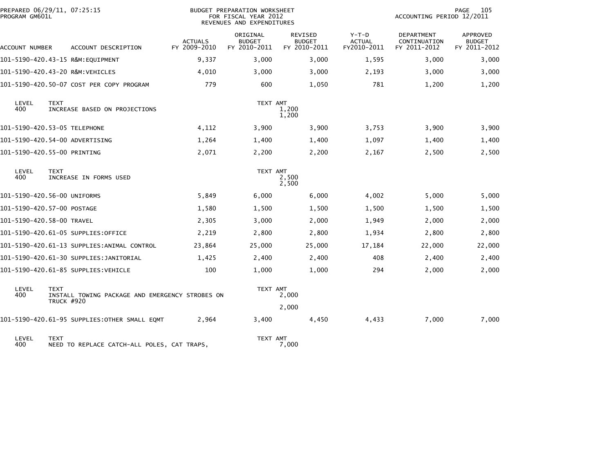| PREPARED 06/29/11, 07:25:15<br>PROGRAM GM601L |                                                                                     |                                | <b>BUDGET PREPARATION WORKSHEET</b><br>FOR FISCAL YEAR 2012<br>REVENUES AND EXPENDITURES |                                          |                                         |                                            | PAGE<br>105<br>ACCOUNTING PERIOD 12/2011  |  |  |
|-----------------------------------------------|-------------------------------------------------------------------------------------|--------------------------------|------------------------------------------------------------------------------------------|------------------------------------------|-----------------------------------------|--------------------------------------------|-------------------------------------------|--|--|
| ACCOUNT NUMBER                                | ACCOUNT DESCRIPTION                                                                 | <b>ACTUALS</b><br>FY 2009-2010 | ORIGINAL<br><b>BUDGET</b><br>FY 2010-2011                                                | REVISED<br><b>BUDGET</b><br>FY 2010-2011 | $Y-T-D$<br><b>ACTUAL</b><br>FY2010-2011 | DEPARTMENT<br>CONTINUATION<br>FY 2011-2012 | APPROVED<br><b>BUDGET</b><br>FY 2011-2012 |  |  |
|                                               | 101-5190-420.43-15 R&M:EQUIPMENT                                                    | 9,337                          | 3,000                                                                                    | 3,000                                    | 1,595                                   | 3,000                                      | 3,000                                     |  |  |
|                                               | 101-5190-420.43-20 R&M:VEHICLES                                                     | 4,010                          | 3,000                                                                                    | 3,000                                    | 2,193                                   | 3,000                                      | 3,000                                     |  |  |
|                                               | 101-5190-420.50-07 COST PER COPY PROGRAM                                            | 779                            | 600                                                                                      | 1,050                                    | 781                                     | 1,200                                      | 1,200                                     |  |  |
| LEVEL<br>400                                  | <b>TEXT</b><br>INCREASE BASED ON PROJECTIONS                                        |                                | TEXT AMT                                                                                 | 1,200<br>1,200                           |                                         |                                            |                                           |  |  |
|                                               |                                                                                     | 4,112                          | 3,900                                                                                    | 3,900                                    | 3,753                                   | 3,900                                      | 3,900                                     |  |  |
|                                               | 101-5190-420.54-00 ADVERTISING                                                      | 1,264                          | 1,400                                                                                    | 1,400                                    | 1,097                                   | 1,400                                      | 1,400                                     |  |  |
|                                               | 101-5190-420.55-00 PRINTING                                                         | 2,071                          | 2,200                                                                                    | 2,200                                    | 2,167                                   | 2,500                                      | 2,500                                     |  |  |
| LEVEL<br>400                                  | <b>TEXT</b><br>INCREASE IN FORMS USED                                               |                                | TEXT AMT                                                                                 | 2,500<br>2,500                           |                                         |                                            |                                           |  |  |
|                                               | 101-5190-420.56-00 UNIFORMS                                                         | 5,849                          | 6,000                                                                                    | 6,000                                    | 4,002                                   | 5,000                                      | 5,000                                     |  |  |
|                                               | 101-5190-420.57-00 POSTAGE                                                          | 1,580                          | 1,500                                                                                    | 1,500                                    | 1,500                                   | 1,500                                      | 1,500                                     |  |  |
|                                               | 101-5190-420.58-00 TRAVEL                                                           | 2,305                          | 3,000                                                                                    | 2,000                                    | 1,949                                   | 2,000                                      | 2,000                                     |  |  |
|                                               | 101-5190-420.61-05 SUPPLIES:OFFICE                                                  | 2,219                          | 2,800                                                                                    | 2,800                                    | 1,934                                   | 2,800                                      | 2,800                                     |  |  |
|                                               | 101-5190-420.61-13 SUPPLIES:ANIMAL CONTROL                                          | 23,864                         | 25,000                                                                                   | 25,000                                   | 17,184                                  | 22,000                                     | 22,000                                    |  |  |
|                                               |                                                                                     | 1,425                          | 2,400                                                                                    | 2,400                                    | 408                                     | 2,400                                      | 2,400                                     |  |  |
|                                               | 101-5190-420.61-85 SUPPLIES: VEHICLE                                                | 100                            | 1,000                                                                                    | 1,000                                    | 294                                     | 2,000                                      | 2,000                                     |  |  |
| LEVEL<br>400                                  | <b>TEXT</b><br>INSTALL TOWING PACKAGE AND EMERGENCY STROBES ON<br><b>TRUCK #920</b> |                                | TEXT AMT                                                                                 | 2,000                                    |                                         |                                            |                                           |  |  |
|                                               |                                                                                     |                                |                                                                                          | 2,000                                    |                                         |                                            |                                           |  |  |
|                                               | 101-5190-420.61-95 SUPPLIES:OTHER SMALL EQMT                                        | 2,964                          | 3,400                                                                                    | 4,450                                    | 4,433                                   | 7,000                                      | 7,000                                     |  |  |
| LEVEL<br>400                                  | <b>TEXT</b><br>NEED TO REPLACE CATCH-ALL POLES, CAT TRAPS,                          |                                | TEXT AMT                                                                                 | 7,000                                    |                                         |                                            |                                           |  |  |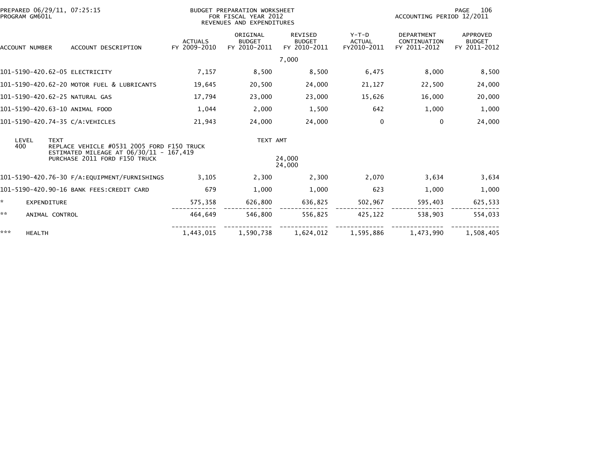| PREPARED 06/29/11, 07:25:15<br>PROGRAM GM601L |                                                                          | <b>BUDGET PREPARATION WORKSHEET</b><br>FOR FISCAL YEAR 2012<br>REVENUES AND EXPENDITURES |                                           |                                                 |                                         | 106<br><b>PAGE</b><br>ACCOUNTING PERIOD 12/2011   |                                           |
|-----------------------------------------------|--------------------------------------------------------------------------|------------------------------------------------------------------------------------------|-------------------------------------------|-------------------------------------------------|-----------------------------------------|---------------------------------------------------|-------------------------------------------|
| ACCOUNT NUMBER                                | ACCOUNT DESCRIPTION                                                      | <b>ACTUALS</b><br>FY 2009-2010                                                           | ORIGINAL<br><b>BUDGET</b><br>FY 2010-2011 | <b>REVISED</b><br><b>BUDGET</b><br>FY 2010-2011 | $Y-T-D$<br><b>ACTUAL</b><br>FY2010-2011 | <b>DEPARTMENT</b><br>CONTINUATION<br>FY 2011-2012 | APPROVED<br><b>BUDGET</b><br>FY 2011-2012 |
|                                               |                                                                          |                                                                                          |                                           | 7,000                                           |                                         |                                                   |                                           |
| 101-5190-420.62-05 ELECTRICITY                |                                                                          | 7,157                                                                                    | 8,500                                     | 8,500                                           | 6,475                                   | 8,000                                             | 8,500                                     |
|                                               | 101-5190-420.62-20 MOTOR FUEL & LUBRICANTS                               | 19,645                                                                                   | 20,500                                    | 24,000                                          | 21,127                                  | 22,500                                            | 24,000                                    |
| 101-5190-420.62-25 NATURAL GAS                |                                                                          | 17,794                                                                                   | 23,000                                    | 23,000                                          | 15,626                                  | 16,000                                            | 20,000                                    |
| 101-5190-420.63-10 ANIMAL FOOD                |                                                                          | 1,044                                                                                    | 2,000                                     | 1,500                                           | 642                                     | 1,000                                             | 1,000                                     |
| 101-5190-420.74-35 C/A:VEHICLES               |                                                                          | 21,943                                                                                   | 24,000                                    | 24,000                                          | 0                                       | 0                                                 | 24,000                                    |
| LEVEL<br><b>TEXT</b><br>400                   | REPLACE VEHICLE #0531 2005 FORD F150 TRUCK                               |                                                                                          | TEXT AMT                                  |                                                 |                                         |                                                   |                                           |
|                                               | ESTIMATED MILEAGE AT 06/30/11 - 167,419<br>PURCHASE 2011 FORD F150 TRUCK |                                                                                          |                                           | 24,000<br>24,000                                |                                         |                                                   |                                           |
|                                               |                                                                          | 3,105                                                                                    | 2,300                                     | 2,300                                           | 2,070                                   | 3,634                                             | 3,634                                     |
|                                               | 101-5190-420.90-16 BANK FEES:CREDIT CARD                                 | 679                                                                                      | 1,000                                     | 1,000                                           | 623                                     | 1,000                                             | 1,000                                     |
| ÷.<br><b>EXPENDITURE</b>                      |                                                                          | 575,358                                                                                  | 626,800                                   | 636,825                                         | 502,967                                 | 595,403                                           | 625,533                                   |
| **<br>ANIMAL CONTROL                          |                                                                          | 464,649                                                                                  | 546,800                                   | 556,825                                         | 425,122                                 | 538,903                                           | 554,033                                   |
| ***<br><b>HEALTH</b>                          |                                                                          | 1,443,015                                                                                | 1,590,738                                 | 1,624,012                                       | 1,595,886                               | 1,473,990                                         | 1,508,405                                 |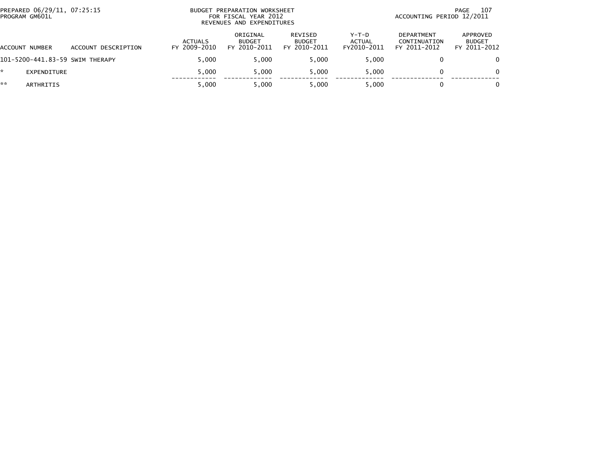|    | PREPARED 06/29/11, 07:25:15<br>PROGRAM GM601L |                                 |                                | BUDGET PREPARATION WORKSHEET<br>FOR FISCAL YEAR 2012<br>REVENUES AND EXPENDITURES | 107<br>PAGE<br>ACCOUNTING PERIOD 12/2011 |                                  |                                            |                                           |
|----|-----------------------------------------------|---------------------------------|--------------------------------|-----------------------------------------------------------------------------------|------------------------------------------|----------------------------------|--------------------------------------------|-------------------------------------------|
|    | ACCOUNT NUMBER                                | ACCOUNT DESCRIPTION             | <b>ACTUALS</b><br>FY 2009-2010 | ORIGINAL<br><b>BUDGET</b><br>FY 2010-2011                                         | REVISED<br><b>BUDGET</b><br>FY 2010-2011 | $Y-T-D$<br>ACTUAL<br>FY2010-2011 | DEPARTMENT<br>CONTINUATION<br>FY 2011-2012 | APPROVED<br><b>BUDGET</b><br>FY 2011-2012 |
|    |                                               | 101-5200-441.83-59 SWIM THERAPY | 5.000                          | 5.000                                                                             | 5.000                                    | 5.000                            |                                            | $\Omega$                                  |
|    | EXPENDITURE                                   |                                 | 5.000                          | 5.000                                                                             | 5.000                                    | 5.000                            |                                            | $\Omega$                                  |
| ** | ARTHRITIS                                     |                                 | 5.000                          | 5.000                                                                             | 5.000                                    | 5.000                            |                                            | 0                                         |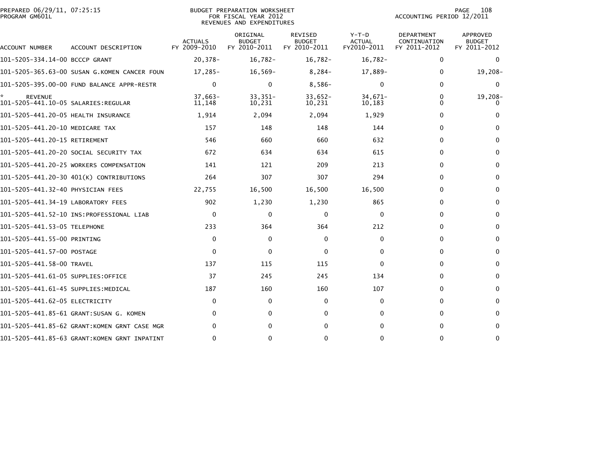| PREPARED 06/29/11, 07:25:15<br>PROGRAM GM601L |                                              |                                | BUDGET PREPARATION WORKSHEET<br>FOR FISCAL YEAR 2012<br>REVENUES AND EXPENDITURES | 108<br><b>PAGE</b><br>ACCOUNTING PERIOD 12/2011 |                                         |                                            |                                                  |
|-----------------------------------------------|----------------------------------------------|--------------------------------|-----------------------------------------------------------------------------------|-------------------------------------------------|-----------------------------------------|--------------------------------------------|--------------------------------------------------|
| ACCOUNT NUMBER                                | ACCOUNT DESCRIPTION                          | <b>ACTUALS</b><br>FY 2009-2010 | ORIGINAL<br><b>BUDGET</b><br>FY 2010-2011                                         | <b>REVISED</b><br><b>BUDGET</b><br>FY 2010-2011 | $Y-T-D$<br><b>ACTUAL</b><br>FY2010-2011 | DEPARTMENT<br>CONTINUATION<br>FY 2011-2012 | <b>APPROVED</b><br><b>BUDGET</b><br>FY 2011-2012 |
| 101-5205-334.14-00 BCCCP GRANT                |                                              | $20,378-$                      | $16,782-$                                                                         | $16,782-$                                       | $16,782-$                               | 0                                          | $\mathbf 0$                                      |
|                                               | 101-5205-365.63-00 SUSAN G.KOMEN CANCER FOUN | $17,285-$                      | $16,569-$                                                                         | $8,284-$                                        | 17,889-                                 | 0                                          | $19,208-$                                        |
|                                               |                                              | $\Omega$                       | $\Omega$                                                                          | $8,586-$                                        | $\Omega$                                | 0                                          | $\mathbf{0}$                                     |
| <b>REVENUE</b>                                |                                              | $37,663-$<br>11,148            | $33,351-$<br>10,231                                                               | $33,652-$<br>10,231                             | $34,671-$<br>10,183                     | 0<br>$\Omega$                              | 19,208-<br>0                                     |
| 101-5205-441.20-05 HEALTH INSURANCE           |                                              | 1,914                          | 2,094                                                                             | 2,094                                           | 1,929                                   | 0                                          |                                                  |
| 101-5205-441.20-10 MEDICARE TAX               |                                              | 157                            | 148                                                                               | 148                                             | 144                                     | 0                                          | $\Omega$                                         |
| 101-5205-441.20-15 RETIREMENT                 |                                              | 546                            | 660                                                                               | 660                                             | 632                                     | 0                                          | 0                                                |
|                                               | 101–5205–441.20–20 SOCIAL SECURITY TAX       | 672                            | 634                                                                               | 634                                             | 615                                     | 0                                          | $\mathbf{0}$                                     |
|                                               | 101-5205-441.20-25 WORKERS COMPENSATION      | 141                            | 121                                                                               | 209                                             | 213                                     | 0                                          | 0                                                |
|                                               | 101-5205-441.20-30 401(K) CONTRIBUTIONS      | 264                            | 307                                                                               | 307                                             | 294                                     | 0                                          | $\mathbf{0}$                                     |
| 101-5205-441.32-40 PHYSICIAN FEES             |                                              | 22,755                         | 16,500                                                                            | 16,500                                          | 16,500                                  | 0                                          | $\mathbf 0$                                      |
| 101-5205-441.34-19 LABORATORY FEES            |                                              | 902                            | 1,230                                                                             | 1,230                                           | 865                                     | 0                                          | $\mathbf{0}$                                     |
|                                               |                                              | 0                              | $\mathbf{0}$                                                                      | 0                                               | 0                                       | 0                                          | 0                                                |
| 101-5205-441.53-05 TELEPHONE                  |                                              | 233                            | 364                                                                               | 364                                             | 212                                     | 0                                          | 0                                                |
| 101-5205-441.55-00 PRINTING                   |                                              | $\mathbf{0}$                   | 0                                                                                 | 0                                               | 0                                       | 0                                          | $\mathbf{0}$                                     |
| 101-5205-441.57-00 POSTAGE                    |                                              | $\mathbf{0}$                   | $\mathbf{0}$                                                                      | 0                                               | $\mathbf{0}$                            | 0                                          | $\mathbf{0}$                                     |
| 101-5205-441.58-00 TRAVEL                     |                                              | 137                            | 115                                                                               | 115                                             | $\Omega$                                | 0                                          | $\mathbf{0}$                                     |
| 101-5205-441.61-05 SUPPLIES:OFFICE            |                                              | 37                             | 245                                                                               | 245                                             | 134                                     | 0                                          | $\mathbf{0}$                                     |
| 101–5205–441.61–45 SUPPLIES:MEDICAL           |                                              | 187                            | 160                                                                               | 160                                             | 107                                     | 0                                          | $\mathbf{0}$                                     |
| 101-5205-441.62-05 ELECTRICITY                |                                              | $\Omega$                       | 0                                                                                 | 0                                               | 0                                       | 0                                          | 0                                                |
|                                               | 101-5205-441.85-61 GRANT:SUSAN G. KOMEN      | $\mathbf{0}$                   | 0                                                                                 | 0                                               | 0                                       | 0                                          | $\mathbf{0}$                                     |
|                                               | 101-5205-441.85-62 GRANT:KOMEN GRNT CASE MGR | 0                              | 0                                                                                 | $\Omega$                                        | 0                                       | 0                                          | 0                                                |
|                                               | 101-5205-441.85-63 GRANT:KOMEN GRNT INPATINT | $\mathbf{0}$                   | $\Omega$                                                                          | $\Omega$                                        | 0                                       | 0                                          | $\mathbf{0}$                                     |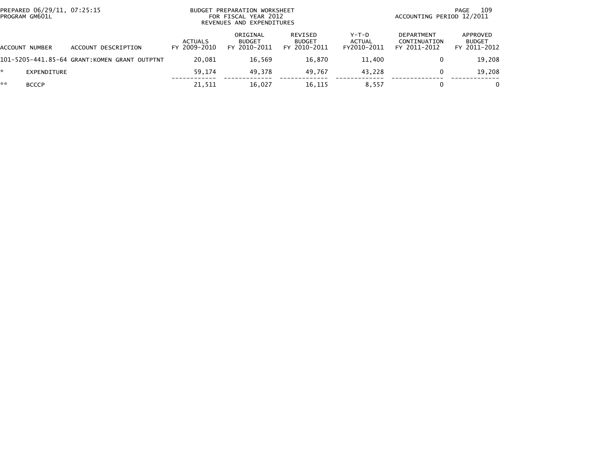| PREPARED 06/29/11, 07:25:15<br>PROGRAM GM601L |                                              | BUDGET PREPARATION WORKSHEET<br>FOR FISCAL YEAR 2012<br>REVENUES AND EXPENDITURES |                                           |                                          |                                  | 109<br>PAGE<br>ACCOUNTING PERIOD 12/2011          |                                           |
|-----------------------------------------------|----------------------------------------------|-----------------------------------------------------------------------------------|-------------------------------------------|------------------------------------------|----------------------------------|---------------------------------------------------|-------------------------------------------|
| ACCOUNT NUMBER                                | ACCOUNT DESCRIPTION                          | ACTUALS<br>FY 2009-2010                                                           | ORIGINAL<br><b>BUDGET</b><br>FY 2010-2011 | REVISED<br><b>BUDGET</b><br>FY 2010-2011 | $Y-T-D$<br>ACTUAL<br>FY2010-2011 | <b>DEPARTMENT</b><br>CONTINUATION<br>FY 2011-2012 | APPROVED<br><b>BUDGET</b><br>FY 2011-2012 |
|                                               | 101-5205-441.85-64 GRANT:KOMEN GRANT OUTPTNT | 20.081                                                                            | 16.569                                    | 16,870                                   | 11,400                           | 0                                                 | 19,208                                    |
| EXPENDITURE                                   |                                              | 59.174                                                                            | 49.378                                    | 49,767                                   | 43.228                           | 0                                                 | 19,208                                    |
| **<br><b>BCCCP</b>                            |                                              | 21,511                                                                            | 16,027                                    | 16,115                                   | 8.557                            |                                                   |                                           |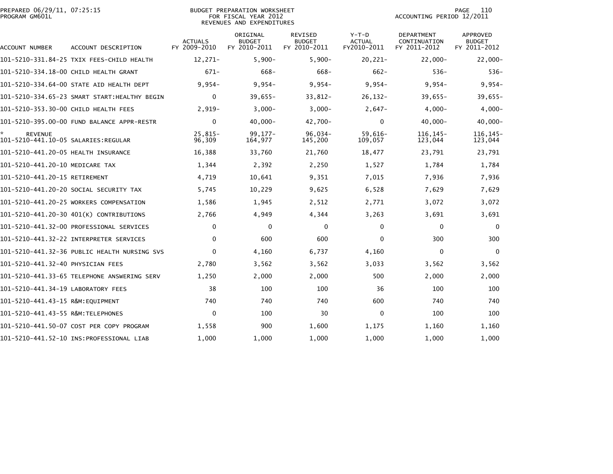| PREPARED 06/29/11, 07:25:15<br>PROGRAM GM601L |                                              |                                | <b>BUDGET PREPARATION WORKSHEET</b><br>FOR FISCAL YEAR 2012<br>REVENUES AND EXPENDITURES |                                                 |                                         | ACCOUNTING PERIOD 12/2011                  | 110<br>PAGE                                      |
|-----------------------------------------------|----------------------------------------------|--------------------------------|------------------------------------------------------------------------------------------|-------------------------------------------------|-----------------------------------------|--------------------------------------------|--------------------------------------------------|
| ACCOUNT NUMBER                                | ACCOUNT DESCRIPTION                          | <b>ACTUALS</b><br>FY 2009-2010 | ORIGINAL<br><b>BUDGET</b><br>FY 2010-2011                                                | <b>REVISED</b><br><b>BUDGET</b><br>FY 2010-2011 | $Y-T-D$<br><b>ACTUAL</b><br>FY2010-2011 | DEPARTMENT<br>CONTINUATION<br>FY 2011-2012 | <b>APPROVED</b><br><b>BUDGET</b><br>FY 2011-2012 |
|                                               | 101-5210-331.84-25 TXIX FEES-CHILD HEALTH    | $12,271-$                      | $5,900-$                                                                                 | $5,900-$                                        | $20,221-$                               | $22,000 -$                                 | $22,000-$                                        |
|                                               | 101-5210-334.18-00 CHILD HEALTH GRANT        | $671-$                         | 668-                                                                                     | 668-                                            | $662 -$                                 | $536-$                                     | $536-$                                           |
|                                               | 101-5210-334.64-00 STATE AID HEALTH DEPT     | $9,954-$                       | $9,954-$                                                                                 | $9,954-$                                        | $9,954-$                                | $9,954-$                                   | $9,954-$                                         |
|                                               | 101-5210-334.65-23 SMART START:HEALTHY BEGIN | $\bf{0}$                       | 39,655-                                                                                  | 33,812-                                         | $26, 132 -$                             | 39.655-                                    | $39,655 -$                                       |
| 101-5210-353.30-00 CHILD HEALTH FEES          |                                              | $2,919-$                       | $3,000-$                                                                                 | $3,000-$                                        | $2,647-$                                | $4,000-$                                   | $4,000 -$                                        |
|                                               | 101-5210-395.00-00 FUND BALANCE APPR-RESTR   | $\mathbf{0}$                   | $40,000 -$                                                                               | 42,700-                                         | $\mathbf{0}$                            | $40,000 -$                                 | $40,000 -$                                       |
| *.<br><b>REVENUE</b>                          |                                              | $25,815-$<br>96,309            | $99,177-$<br>164,977                                                                     | $96,034-$<br>145,200                            | $59,616-$<br>109,057                    | 116, 145-<br>123,044                       | 116, 145-<br>123,044                             |
| 101-5210-441.20-05 HEALTH INSURANCE           |                                              | 16,388                         | 33,760                                                                                   | 21,760                                          | 18,477                                  | 23,791                                     | 23,791                                           |
| 101-5210-441.20-10 MEDICARE TAX               |                                              | 1,344                          | 2,392                                                                                    | 2,250                                           | 1,527                                   | 1,784                                      | 1,784                                            |
| 101-5210-441.20-15 RETIREMENT                 |                                              | 4,719                          | 10,641                                                                                   | 9,351                                           | 7,015                                   | 7,936                                      | 7,936                                            |
|                                               | 101-5210-441.20-20 SOCIAL SECURITY TAX       | 5,745                          | 10,229                                                                                   | 9,625                                           | 6,528                                   | 7,629                                      | 7,629                                            |
|                                               | 101-5210-441.20-25 WORKERS COMPENSATION      | 1,586                          | 1,945                                                                                    | 2,512                                           | 2,771                                   | 3,072                                      | 3,072                                            |
|                                               | 101-5210-441.20-30 401(K) CONTRIBUTIONS      | 2,766                          | 4,949                                                                                    | 4,344                                           | 3,263                                   | 3,691                                      | 3,691                                            |
|                                               | 101-5210-441.32-00 PROFESSIONAL SERVICES     | $\Omega$                       | 0                                                                                        | 0                                               | $\mathbf{0}$                            | $\Omega$                                   | $\Omega$                                         |
|                                               | 101-5210-441.32-22 INTERPRETER SERVICES      | $\mathbf{0}$                   | 600                                                                                      | 600                                             | $\mathbf{0}$                            | 300                                        | 300                                              |
|                                               |                                              | $\Omega$                       | 4,160                                                                                    | 6,737                                           | 4,160                                   | $\Omega$                                   | $\mathbf{0}$                                     |
| 101-5210-441.32-40 PHYSICIAN FEES             |                                              | 2,780                          | 3,562                                                                                    | 3,562                                           | 3,033                                   | 3,562                                      | 3,562                                            |
|                                               |                                              | 1,250                          | 2,000                                                                                    | 2,000                                           | 500                                     | 2,000                                      | 2,000                                            |
| 101-5210-441.34-19 LABORATORY FEES            |                                              | 38                             | 100                                                                                      | 100                                             | 36                                      | 100                                        | 100                                              |
| 101-5210-441.43-15 R&M:EQUIPMENT              |                                              | 740                            | 740                                                                                      | 740                                             | 600                                     | 740                                        | 740                                              |
| 101-5210-441.43-55 R&M:TELEPHONES             |                                              | $\mathbf{0}$                   | 100                                                                                      | 30                                              | $\mathbf 0$                             | 100                                        | 100                                              |
|                                               | 101-5210-441.50-07 COST PER COPY PROGRAM     | 1,558                          | 900                                                                                      | 1,600                                           | 1,175                                   | 1,160                                      | 1,160                                            |
|                                               | 101-5210-441.52-10 INS:PROFESSIONAL LIAB     | 1,000                          | 1,000                                                                                    | 1,000                                           | 1,000                                   | 1,000                                      | 1,000                                            |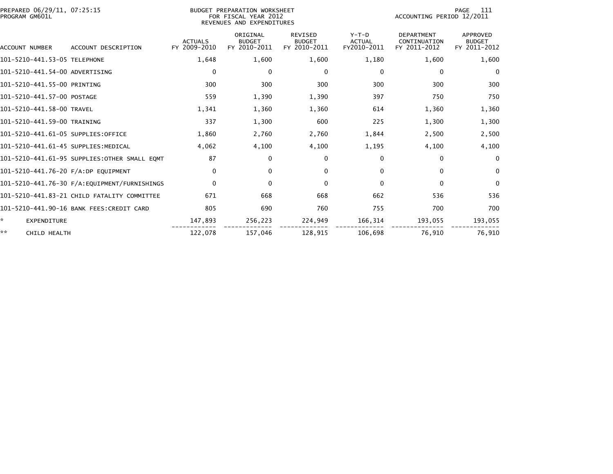| PREPARED 06/29/11, 07:25:15<br>PROGRAM GM601L |                                              |                                | BUDGET PREPARATION WORKSHEET<br>FOR FISCAL YEAR 2012<br>REVENUES AND EXPENDITURES |                                                 |                                         | ACCOUNTING PERIOD 12/2011                         | PAGE<br>111                               |
|-----------------------------------------------|----------------------------------------------|--------------------------------|-----------------------------------------------------------------------------------|-------------------------------------------------|-----------------------------------------|---------------------------------------------------|-------------------------------------------|
| ACCOUNT NUMBER                                | ACCOUNT DESCRIPTION                          | <b>ACTUALS</b><br>FY 2009-2010 | ORIGINAL<br><b>BUDGET</b><br>FY 2010-2011                                         | <b>REVISED</b><br><b>BUDGET</b><br>FY 2010-2011 | $Y-T-D$<br><b>ACTUAL</b><br>FY2010-2011 | <b>DEPARTMENT</b><br>CONTINUATION<br>FY 2011-2012 | APPROVED<br><b>BUDGET</b><br>FY 2011-2012 |
| 101-5210-441.53-05 TELEPHONE                  |                                              | 1,648                          | 1,600                                                                             | 1,600                                           | 1,180                                   | 1,600                                             | 1,600                                     |
| 101-5210-441.54-00 ADVERTISING                |                                              | 0                              | 0                                                                                 | 0                                               | 0                                       | 0                                                 | 0                                         |
| 101-5210-441.55-00 PRINTING                   |                                              | 300                            | 300                                                                               | 300                                             | 300                                     | 300                                               | 300                                       |
| 101-5210-441.57-00 POSTAGE                    |                                              | 559                            | 1,390                                                                             | 1,390                                           | 397                                     | 750                                               | 750                                       |
| 101-5210-441.58-00 TRAVEL                     |                                              | 1,341                          | 1,360                                                                             | 1,360                                           | 614                                     | 1,360                                             | 1,360                                     |
| 101-5210-441.59-00 TRAINING                   |                                              | 337                            | 1,300                                                                             | 600                                             | 225                                     | 1,300                                             | 1,300                                     |
| 101-5210-441.61-05 SUPPLIES:OFFICE            |                                              | 1,860                          | 2,760                                                                             | 2,760                                           | 1,844                                   | 2,500                                             | 2,500                                     |
| 101-5210-441.61-45 SUPPLIES:MEDICAL           |                                              | 4,062                          | 4,100                                                                             | 4,100                                           | 1,195                                   | 4,100                                             | 4,100                                     |
|                                               | 101-5210-441.61-95 SUPPLIES:OTHER SMALL EOMT | 87                             | 0                                                                                 | 0                                               | $\mathbf{0}$                            | 0                                                 | 0                                         |
| 101-5210-441.76-20 F/A:DP EQUIPMENT           |                                              | 0                              | 0                                                                                 | 0                                               | 0                                       | $\mathbf{0}$                                      | $\mathbf 0$                               |
|                                               | 101-5210-441.76-30 F/A:EQUIPMENT/FURNISHINGS | $\mathbf 0$                    | 0                                                                                 | 0                                               | $\Omega$                                | $\mathbf 0$                                       | 0                                         |
|                                               | 101–5210–441.83–21 CHILD FATALITY COMMITTEE  | 671                            | 668                                                                               | 668                                             | 662                                     | 536                                               | 536                                       |
|                                               | 101-5210-441.90-16 BANK FEES:CREDIT CARD     | 805                            | 690                                                                               | 760                                             | 755                                     | 700                                               | 700                                       |
| *<br><b>EXPENDITURE</b>                       |                                              | 147,893                        | 256,223                                                                           | 224,949                                         | 166,314                                 | 193,055                                           | 193,055                                   |
| **<br>CHILD HEALTH                            |                                              | 122,078                        | 157,046                                                                           | 128,915                                         | 106,698                                 | 76,910                                            | 76,910                                    |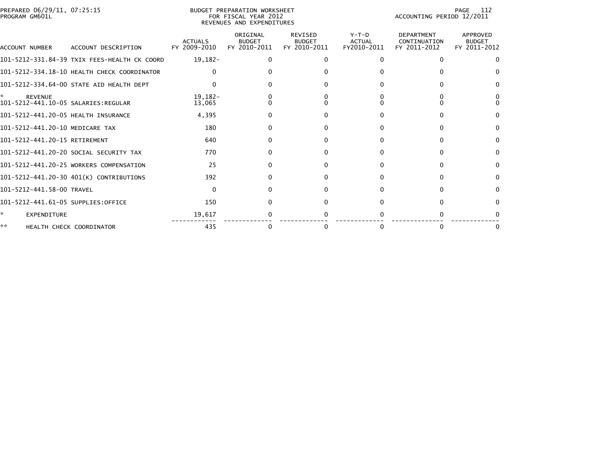|                | PREPARED 06/29/11, 07:25:15 |  |
|----------------|-----------------------------|--|
| PROGRAM GM601L |                             |  |

### BUDGET PREPARATION WORKSHEET PROGRAM GM601L FOR FISCAL YEAR 2012 ACCOUNTING PERIOD 12/2011 REVENUES AND EXPENDITURES

PAGE 112<br>ACCOUNTING PERIOD 12/2011

| ACCOUNT NUMBER                                        | ACCOUNT DESCRIPTION                          | <b>ACTUALS</b><br>FY 2009-2010 | ORIGINAL<br><b>BUDGET</b><br>FY 2010-2011 | <b>REVISED</b><br><b>BUDGET</b><br>FY 2010-2011 | $Y-T-D$<br><b>ACTUAL</b><br>FY2010-2011 | <b>DEPARTMENT</b><br>CONTINUATION<br>FY 2011-2012 | <b>APPROVED</b><br><b>BUDGET</b><br>FY 2011-2012 |
|-------------------------------------------------------|----------------------------------------------|--------------------------------|-------------------------------------------|-------------------------------------------------|-----------------------------------------|---------------------------------------------------|--------------------------------------------------|
|                                                       | 101-5212-331.84-39 TXIX FEES-HEALTH CK COORD | $19,182-$                      |                                           | 0                                               | 0                                       |                                                   | $\Omega$                                         |
|                                                       | 101-5212-334.18-10 HEALTH CHECK COORDINATOR  |                                |                                           |                                                 |                                         |                                                   |                                                  |
|                                                       | 101-5212-334.64-00 STATE AID HEALTH DEPT     |                                |                                           |                                                 |                                         |                                                   |                                                  |
| <b>REVENUE</b><br>101-5212-441.10-05 SALARIES:REGULAR |                                              | $19, 182 -$<br>13,065          |                                           |                                                 |                                         |                                                   |                                                  |
| 101-5212-441.20-05 HEALTH INSURANCE                   |                                              | 4,395                          |                                           |                                                 |                                         |                                                   |                                                  |
| 101-5212-441.20-10 MEDICARE TAX                       |                                              | 180                            |                                           | 0                                               |                                         |                                                   | $\Omega$                                         |
| 101-5212-441.20-15 RETIREMENT                         |                                              | 640                            |                                           |                                                 |                                         |                                                   |                                                  |
|                                                       | 101-5212-441.20-20 SOCIAL SECURITY TAX       | 770                            |                                           |                                                 |                                         |                                                   | $\Omega$                                         |
|                                                       | 101-5212-441.20-25 WORKERS COMPENSATION      | 25                             |                                           | 0                                               |                                         |                                                   |                                                  |
|                                                       | 101-5212-441.20-30 401(K) CONTRIBUTIONS      | 392                            |                                           |                                                 |                                         |                                                   | $\Omega$                                         |
| 101-5212-441.58-00 TRAVEL                             |                                              | <sup>0</sup>                   |                                           | 0                                               |                                         |                                                   | <sup>0</sup>                                     |
| 101-5212-441.61-05 SUPPLIES:OFFICE                    |                                              | 150                            |                                           |                                                 |                                         |                                                   |                                                  |
| *<br><b>EXPENDITURE</b>                               |                                              | 19,617                         |                                           |                                                 |                                         |                                                   |                                                  |
| **                                                    | HEALTH CHECK COORDINATOR                     | 435                            |                                           | 0                                               | 0                                       |                                                   |                                                  |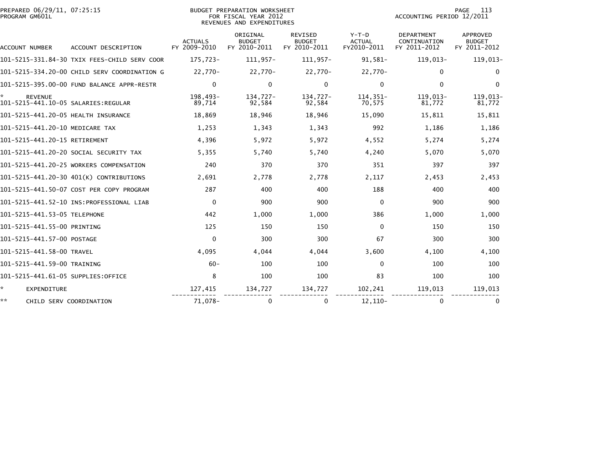| PREPARED 06/29/11, 07:25:15<br>PROGRAM GM601L         |                                              |                                | BUDGET PREPARATION WORKSHEET<br>FOR FISCAL YEAR 2012<br>REVENUES AND EXPENDITURES |                                          |                                       | ACCOUNTING PERIOD 12/2011                         | 113<br><b>PAGE</b>                        |
|-------------------------------------------------------|----------------------------------------------|--------------------------------|-----------------------------------------------------------------------------------|------------------------------------------|---------------------------------------|---------------------------------------------------|-------------------------------------------|
| ACCOUNT NUMBER                                        | ACCOUNT DESCRIPTION                          | <b>ACTUALS</b><br>FY 2009-2010 | ORIGINAL<br><b>BUDGET</b><br>FY 2010-2011                                         | REVISED<br><b>BUDGET</b><br>FY 2010-2011 | Y-T-D<br><b>ACTUAL</b><br>FY2010-2011 | <b>DEPARTMENT</b><br>CONTINUATION<br>FY 2011-2012 | APPROVED<br><b>BUDGET</b><br>FY 2011-2012 |
|                                                       | 101–5215–331.84–30 TXIX FEES-CHILD SERV COOR | 175,723-                       | 111,957-                                                                          | 111,957-                                 | 91,581-                               | $119,013-$                                        | 119,013-                                  |
|                                                       | 101-5215-334.20-00 CHILD SERV COORDINATION G | 22,770-                        | 22,770-                                                                           | 22,770-                                  | 22,770-                               | $\mathbf{0}$                                      | $\Omega$                                  |
|                                                       | 101-5215-395.00-00 FUND BALANCE APPR-RESTR   | $\mathbf{0}$                   | $\mathbf{0}$                                                                      | $\mathbf 0$                              | $\mathbf 0$                           | $\mathbf{0}$                                      | $\mathbf{0}$                              |
| <b>REVENUE</b><br>101-5215-441.10-05 SALARIES:REGULAR |                                              | 198,493-<br>89,714             | 134,727-<br>92,584                                                                | 134,727-<br>92,584                       | 114,351-<br>70,575                    | 119,013-<br>81,772                                | 119,013-<br>81,772                        |
| 101-5215-441.20-05 HEALTH INSURANCE                   |                                              | 18,869                         | 18,946                                                                            | 18,946                                   | 15,090                                | 15,811                                            | 15,811                                    |
| 101-5215-441.20-10 MEDICARE TAX                       |                                              | 1,253                          | 1,343                                                                             | 1,343                                    | 992                                   | 1,186                                             | 1,186                                     |
| 101-5215-441.20-15 RETIREMENT                         |                                              | 4,396                          | 5,972                                                                             | 5,972                                    | 4,552                                 | 5,274                                             | 5,274                                     |
|                                                       | 101–5215–441.20–20 SOCIAL SECURITY TAX       | 5,355                          | 5,740                                                                             | 5,740                                    | 4,240                                 | 5,070                                             | 5,070                                     |
|                                                       | 101-5215-441.20-25 WORKERS COMPENSATION      | 240                            | 370                                                                               | 370                                      | 351                                   | 397                                               | 397                                       |
|                                                       | 101-5215-441.20-30 401(K) CONTRIBUTIONS      | 2,691                          | 2,778                                                                             | 2,778                                    | 2,117                                 | 2,453                                             | 2,453                                     |
|                                                       | 101-5215-441.50-07 COST PER COPY PROGRAM     | 287                            | 400                                                                               | 400                                      | 188                                   | 400                                               | 400                                       |
|                                                       |                                              | $\Omega$                       | 900                                                                               | 900                                      | $\Omega$                              | 900                                               | 900                                       |
| 101-5215-441.53-05 TELEPHONE                          |                                              | 442                            | 1,000                                                                             | 1,000                                    | 386                                   | 1,000                                             | 1,000                                     |
| 101-5215-441.55-00 PRINTING                           |                                              | 125                            | 150                                                                               | 150                                      | $\Omega$                              | 150                                               | 150                                       |
| 101-5215-441.57-00 POSTAGE                            |                                              | $\mathbf{0}$                   | 300                                                                               | 300                                      | 67                                    | 300                                               | 300                                       |
| 101-5215-441.58-00 TRAVEL                             |                                              | 4,095                          | 4,044                                                                             | 4,044                                    | 3,600                                 | 4,100                                             | 4,100                                     |
| 101-5215-441.59-00 TRAINING                           |                                              | $60 -$                         | 100                                                                               | 100                                      | $\Omega$                              | 100                                               | 100                                       |
| 101-5215-441.61-05 SUPPLIES:OFFICE                    |                                              | 8                              | 100                                                                               | 100                                      | 83                                    | 100                                               | 100                                       |
| ÷.<br><b>EXPENDITURE</b>                              |                                              | 127,415                        | 134,727                                                                           | 134,727                                  | 102,241                               | 119,013                                           | 119,013                                   |
| **                                                    | CHILD SERV COORDINATION                      | 71,078-                        | 0                                                                                 | 0                                        | $12, 110-$                            | $\mathbf{0}$                                      | $\bf{0}$                                  |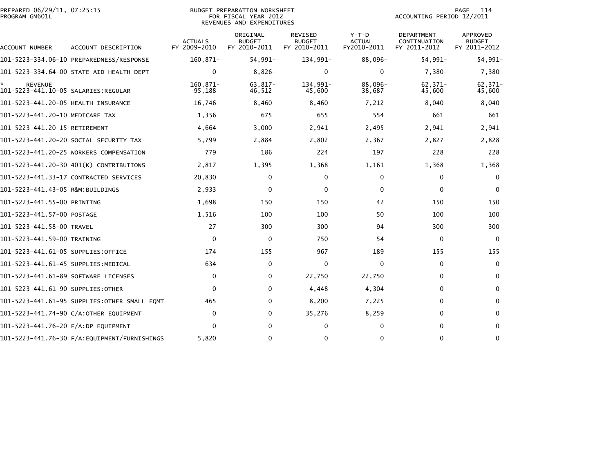| PREPARED 06/29/11, 07:25:15<br>PROGRAM GM601L |                                          |                                | <b>BUDGET PREPARATION WORKSHEET</b><br>FOR FISCAL YEAR 2012<br>REVENUES AND EXPENDITURES |                                                 |                                         | ACCOUNTING PERIOD 12/2011                  | 114<br><b>PAGE</b>                               |
|-----------------------------------------------|------------------------------------------|--------------------------------|------------------------------------------------------------------------------------------|-------------------------------------------------|-----------------------------------------|--------------------------------------------|--------------------------------------------------|
| ACCOUNT NUMBER                                | ACCOUNT DESCRIPTION                      | <b>ACTUALS</b><br>FY 2009-2010 | ORIGINAL<br><b>BUDGET</b><br>FY 2010-2011                                                | <b>REVISED</b><br><b>BUDGET</b><br>FY 2010-2011 | $Y-T-D$<br><b>ACTUAL</b><br>FY2010-2011 | DEPARTMENT<br>CONTINUATION<br>FY 2011-2012 | <b>APPROVED</b><br><b>BUDGET</b><br>FY 2011-2012 |
|                                               |                                          | $160, 871 -$                   | 54,991-                                                                                  | 134,991-                                        | 88,096-                                 | 54,991-                                    | 54,991-                                          |
|                                               | 101-5223-334.64-00 STATE AID HEALTH DEPT | $\mathbf{0}$                   | $8,826-$                                                                                 | $\Omega$                                        | 0                                       | $7.380 -$                                  | $7,380-$                                         |
| <b>REVENUE</b>                                |                                          | 160,871-<br>95,188             | 63,817-<br>46,512                                                                        | 134,991-<br>45,600                              | 88,096-<br>38,687                       | 62,371-<br>45,600                          | 62,371-<br>45,600                                |
| 101-5223-441.20-05 HEALTH INSURANCE           |                                          | 16,746                         | 8,460                                                                                    | 8,460                                           | 7,212                                   | 8,040                                      | 8,040                                            |
| 101-5223-441.20-10 MEDICARE TAX               |                                          | 1,356                          | 675                                                                                      | 655                                             | 554                                     | 661                                        | 661                                              |
| 101-5223-441.20-15 RETIREMENT                 |                                          | 4,664                          | 3,000                                                                                    | 2,941                                           | 2,495                                   | 2,941                                      | 2,941                                            |
|                                               | 101-5223-441.20-20 SOCIAL SECURITY TAX   | 5,799                          | 2,884                                                                                    | 2,802                                           | 2,367                                   | 2,827                                      | 2,828                                            |
|                                               | 101-5223-441.20-25 WORKERS COMPENSATION  | 779                            | 186                                                                                      | 224                                             | 197                                     | 228                                        | 228                                              |
|                                               | 101-5223-441.20-30 401(K) CONTRIBUTIONS  | 2,817                          | 1,395                                                                                    | 1,368                                           | 1,161                                   | 1,368                                      | 1,368                                            |
|                                               | 101-5223-441.33-17 CONTRACTED SERVICES   | 20,830                         | 0                                                                                        | 0                                               | 0                                       | 0                                          | $\mathbf 0$                                      |
| 101-5223-441.43-05 R&M:BUILDINGS              |                                          | 2,933                          | $\mathbf{0}$                                                                             | 0                                               | $\Omega$                                | $\mathbf{0}$                               | $\Omega$                                         |
| 101-5223-441.55-00 PRINTING                   |                                          | 1,698                          | 150                                                                                      | 150                                             | 42                                      | 150                                        | 150                                              |
| 101-5223-441.57-00 POSTAGE                    |                                          | 1,516                          | 100                                                                                      | 100                                             | 50                                      | 100                                        | 100                                              |
| 101-5223-441.58-00 TRAVEL                     |                                          | 27                             | 300                                                                                      | 300                                             | 94                                      | 300                                        | 300                                              |
| 101-5223-441.59-00 TRAINING                   |                                          | $\mathbf{0}$                   | 0                                                                                        | 750                                             | 54                                      | 0                                          | $\Omega$                                         |
| 101-5223-441.61-05 SUPPLIES:OFFICE            |                                          | 174                            | 155                                                                                      | 967                                             | 189                                     | 155                                        | 155                                              |
| 101–5223–441.61–45 SUPPLIES:MEDICAL           |                                          | 634                            | 0                                                                                        | 0                                               | 0                                       | 0                                          | $\mathbf 0$                                      |
| 101-5223-441.61-89 SOFTWARE LICENSES          |                                          | $\mathbf{0}$                   | 0                                                                                        | 22,750                                          | 22,750                                  | $\bf{0}$                                   | $\bf{0}$                                         |
| 101-5223-441.61-90 SUPPLIES:OTHER             |                                          | $\Omega$                       | 0                                                                                        | 4,448                                           | 4,304                                   | 0                                          | 0                                                |
|                                               |                                          | 465                            | 0                                                                                        | 8,200                                           | 7,225                                   | $\Omega$                                   | $\mathbf{0}$                                     |
|                                               | 101-5223-441.74-90 C/A:OTHER EQUIPMENT   | $\mathbf{0}$                   | 0                                                                                        | 35,276                                          | 8,259                                   | $\mathbf{0}$                               | 0                                                |
| 101-5223-441.76-20 F/A:DP EQUIPMENT           |                                          | $\Omega$                       | $\mathbf{0}$                                                                             | 0                                               | 0                                       | $\mathbf{0}$                               | $\mathbf{0}$                                     |
|                                               |                                          | 5,820                          | 0                                                                                        | $\Omega$                                        | 0                                       | $\mathbf{0}$                               | $\mathbf{0}$                                     |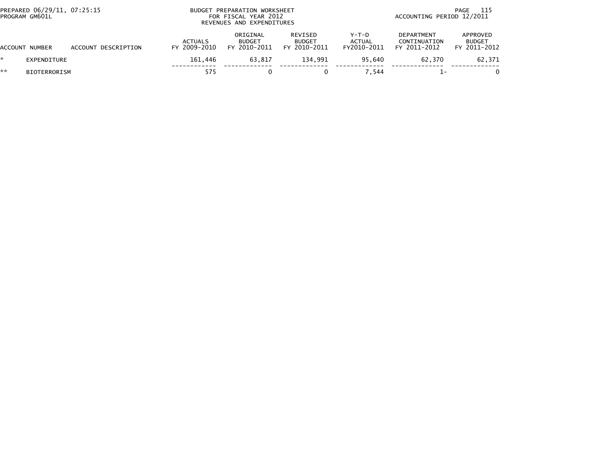| PREPARED 06/29/11, 07:25:15<br>PROGRAM GM601L |                     |                     | BUDGET PREPARATION WORKSHEET<br>FOR FISCAL YEAR 2012<br>REVENUES AND EXPENDITURES |                                           |                                          |                                  | 115<br>PAGE<br>ACCOUNTING PERIOD 12/2011          |                                           |  |
|-----------------------------------------------|---------------------|---------------------|-----------------------------------------------------------------------------------|-------------------------------------------|------------------------------------------|----------------------------------|---------------------------------------------------|-------------------------------------------|--|
|                                               | ACCOUNT NUMBER      | ACCOUNT DESCRIPTION | <b>ACTUALS</b><br>FY 2009-2010                                                    | ORIGINAL<br><b>BUDGET</b><br>FY 2010-2011 | REVISED<br><b>BUDGET</b><br>FY 2010-2011 | $Y-T-D$<br>ACTUAL<br>FY2010-2011 | <b>DEPARTMENT</b><br>CONTINUATION<br>FY 2011-2012 | APPROVED<br><b>BUDGET</b><br>FY 2011-2012 |  |
|                                               | EXPENDITURE         |                     | 161.446                                                                           | 63.817                                    | 134.991                                  | 95.640                           | 62.370                                            | 62,371                                    |  |
| **                                            | <b>BIOTERRORISM</b> |                     | 575                                                                               |                                           |                                          | 7.544                            |                                                   |                                           |  |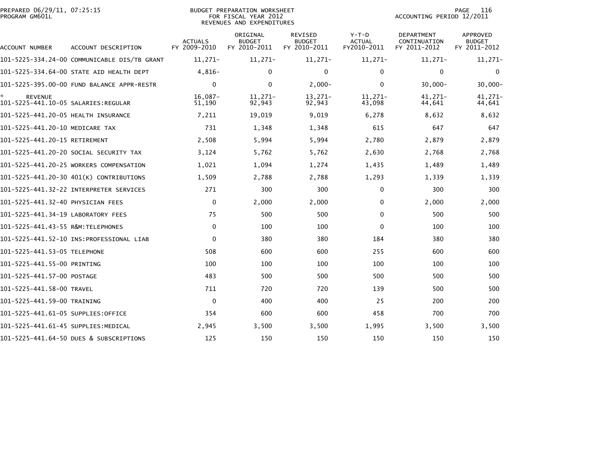| PREPARED 06/29/11, 07:25:15<br>PROGRAM GM601L |                                              |                                | <b>BUDGET PREPARATION WORKSHEET</b><br>FOR FISCAL YEAR 2012<br>REVENUES AND EXPENDITURES |                                          |                                         | ACCOUNTING PERIOD 12/2011                  | 116<br>PAGE                                      |
|-----------------------------------------------|----------------------------------------------|--------------------------------|------------------------------------------------------------------------------------------|------------------------------------------|-----------------------------------------|--------------------------------------------|--------------------------------------------------|
| ACCOUNT NUMBER                                | ACCOUNT DESCRIPTION                          | <b>ACTUALS</b><br>FY 2009-2010 | ORIGINAL<br><b>BUDGET</b><br>FY 2010-2011                                                | REVISED<br><b>BUDGET</b><br>FY 2010-2011 | $Y-T-D$<br><b>ACTUAL</b><br>FY2010-2011 | DEPARTMENT<br>CONTINUATION<br>FY 2011-2012 | <b>APPROVED</b><br><b>BUDGET</b><br>FY 2011-2012 |
|                                               | 101-5225-334.24-00 COMMUNICABLE DIS/TB GRANT | $11,271-$                      | 11,271-                                                                                  | $11,271-$                                | $11,271-$                               | $11,271-$                                  | $11,271-$                                        |
|                                               | 101-5225-334.64-00 STATE AID HEALTH DEPT     | $4.816-$                       | $\Omega$                                                                                 | $\mathbf{0}$                             | $\Omega$                                | $\mathbf{0}$                               | $\Omega$                                         |
|                                               | 101-5225-395.00-00 FUND BALANCE APPR-RESTR   | $\mathbf{0}$                   | $\mathbf{0}$                                                                             | $2,000-$                                 | $\Omega$                                | $30,000 -$                                 | $30,000 -$                                       |
| ☆<br><b>REVENUE</b>                           |                                              | $16.087 -$<br>51,190           | $11.271-$<br>92,943                                                                      | 13,271-<br>92,943                        | 11.271-<br>43,098                       | $41.271 -$<br>44,641                       | 41,271-<br>44,641                                |
| 101-5225-441.20-05 HEALTH INSURANCE           |                                              | 7,211                          | 19,019                                                                                   | 9,019                                    | 6,278                                   | 8,632                                      | 8,632                                            |
| 101-5225-441.20-10 MEDICARE TAX               |                                              | 731                            | 1,348                                                                                    | 1,348                                    | 615                                     | 647                                        | 647                                              |
| 101-5225-441.20-15 RETIREMENT                 |                                              | 2,508                          | 5,994                                                                                    | 5,994                                    | 2,780                                   | 2,879                                      | 2,879                                            |
|                                               | 101–5225–441.20–20 SOCIAL SECURITY TAX       | 3,124                          | 5,762                                                                                    | 5,762                                    | 2,630                                   | 2,768                                      | 2,768                                            |
|                                               | 101-5225-441.20-25 WORKERS COMPENSATION      | 1,021                          | 1,094                                                                                    | 1,274                                    | 1,435                                   | 1,489                                      | 1,489                                            |
|                                               | 101-5225-441.20-30 401(K) CONTRIBUTIONS      | 1,509                          | 2,788                                                                                    | 2,788                                    | 1,293                                   | 1,339                                      | 1,339                                            |
|                                               | 101-5225-441.32-22 INTERPRETER SERVICES      | 271                            | 300                                                                                      | 300                                      | 0                                       | 300                                        | 300                                              |
| 101-5225-441.32-40 PHYSICIAN FEES             |                                              | $\mathbf 0$                    | 2,000                                                                                    | 2,000                                    | $\Omega$                                | 2,000                                      | 2,000                                            |
| 101-5225-441.34-19 LABORATORY FEES            |                                              | 75                             | 500                                                                                      | 500                                      | $\Omega$                                | 500                                        | 500                                              |
| 101-5225-441.43-55 R&M:TELEPHONES             |                                              | $\mathbf{0}$                   | 100                                                                                      | 100                                      | $\Omega$                                | 100                                        | 100                                              |
|                                               |                                              | $\mathbf{0}$                   | 380                                                                                      | 380                                      | 184                                     | 380                                        | 380                                              |
| 101-5225-441.53-05 TELEPHONE                  |                                              | 508                            | 600                                                                                      | 600                                      | 255                                     | 600                                        | 600                                              |
| 101-5225-441.55-00 PRINTING                   |                                              | 100                            | 100                                                                                      | 100                                      | 100                                     | 100                                        | 100                                              |
| 101-5225-441.57-00 POSTAGE                    |                                              | 483                            | 500                                                                                      | 500                                      | 500                                     | 500                                        | 500                                              |
| 101-5225-441.58-00 TRAVEL                     |                                              | 711                            | 720                                                                                      | 720                                      | 139                                     | 500                                        | 500                                              |
| 101-5225-441.59-00 TRAINING                   |                                              | $\mathbf 0$                    | 400                                                                                      | 400                                      | 25                                      | 200                                        | 200                                              |
| 101-5225-441.61-05 SUPPLIES:OFFICE            |                                              | 354                            | 600                                                                                      | 600                                      | 458                                     | 700                                        | 700                                              |
| 101–5225–441.61–45 SUPPLIES:MEDICAL           |                                              | 2,945                          | 3,500                                                                                    | 3,500                                    | 1,995                                   | 3,500                                      | 3,500                                            |
|                                               | 101-5225-441.64-50 DUES & SUBSCRIPTIONS      | 125                            | 150                                                                                      | 150                                      | 150                                     | 150                                        | 150                                              |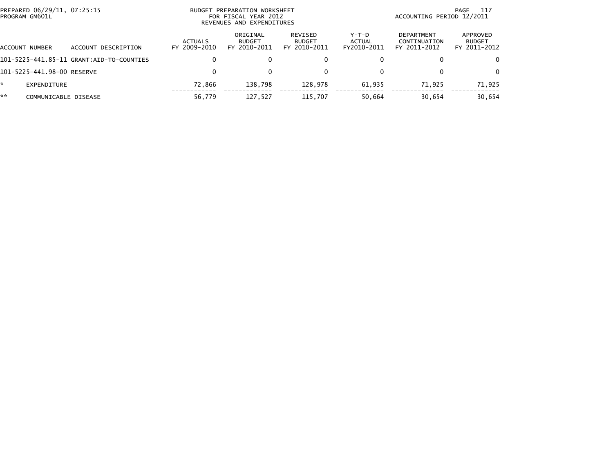| PROGRAM GM601L             | PREPARED 06/29/11, 07:25:15<br>BUDGET PREPARATION WORKSHEET<br>FOR FISCAL YEAR 2012<br>REVENUES AND EXPENDITURES |                         |                                           |                                          |                                | 117<br>PAGE<br>ACCOUNTING PERIOD 12/2011   |                                           |  |
|----------------------------|------------------------------------------------------------------------------------------------------------------|-------------------------|-------------------------------------------|------------------------------------------|--------------------------------|--------------------------------------------|-------------------------------------------|--|
| ACCOUNT NUMBER             | ACCOUNT DESCRIPTION                                                                                              | ACTUALS<br>FY 2009-2010 | ORIGINAL<br><b>BUDGET</b><br>FY 2010-2011 | REVISED<br><b>BUDGET</b><br>FY 2010-2011 | Y-T-D<br>ACTUAL<br>FY2010-2011 | DEPARTMENT<br>CONTINUATION<br>FY 2011-2012 | APPROVED<br><b>BUDGET</b><br>FY 2011-2012 |  |
|                            | 101-5225-441.85-11 GRANT:AID-TO-COUNTIES                                                                         |                         | 0                                         | 0                                        |                                | 0                                          | $\Omega$                                  |  |
| 101-5225-441.98-00 RESERVE |                                                                                                                  | 0                       | $\mathbf{0}$                              | 0                                        |                                | 0                                          | $\Omega$                                  |  |
| EXPENDITURE                |                                                                                                                  | 72,866                  | 138.798                                   | 128.978                                  | 61.935                         | 71.925                                     | 71,925                                    |  |
| **<br>COMMUNICABLE DISEASE |                                                                                                                  | 56,779                  | 127,527                                   | 115.707                                  | 50,664                         | 30,654                                     | 30,654                                    |  |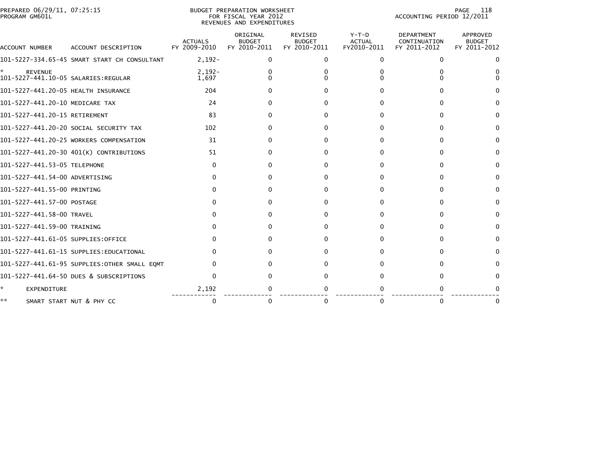| PREPARED 06/29/11, | PREPARATION WORKSHEET | -11                       |
|--------------------|-----------------------|---------------------------|
| . 07:25:15         | <b>BUDGET</b>         | PAGE                      |
| PROGRAM GM601L     | FOR FISCAL YEAR 2012  | ACCOUNTING PERIOD 12/2011 |

#### BUDGET PREPARATION WORKSHEET<br>FOR FISCAL YEAR 2012 REVENUES AND EXPENDITURES

| <b>ACCOUNT NUMBER</b>                                  | ACCOUNT DESCRIPTION                           | <b>ACTUALS</b><br>FY 2009-2010 | ORIGINAL<br><b>BUDGET</b><br>FY 2010-2011 | <b>REVISED</b><br><b>BUDGET</b><br>FY 2010-2011 | $Y-T-D$<br><b>ACTUAL</b><br>FY2010-2011 | <b>DEPARTMENT</b><br>CONTINUATION<br>FY 2011-2012 | <b>APPROVED</b><br><b>BUDGET</b><br>FY 2011-2012 |
|--------------------------------------------------------|-----------------------------------------------|--------------------------------|-------------------------------------------|-------------------------------------------------|-----------------------------------------|---------------------------------------------------|--------------------------------------------------|
|                                                        | 101-5227-334.65-45 SMART START CH CONSULTANT  | $2,192-$                       | 0                                         | $\mathbf{0}$                                    | $\Omega$                                | $\Omega$                                          |                                                  |
| <b>REVENUE</b><br>101-5227-441.10-05 SALARIES: REGULAR |                                               | $2,192-$<br>1,697              |                                           |                                                 |                                         |                                                   |                                                  |
| 101-5227-441.20-05 HEALTH INSURANCE                    |                                               | 204                            |                                           |                                                 |                                         |                                                   |                                                  |
| 101-5227-441.20-10 MEDICARE TAX                        |                                               | 24                             |                                           |                                                 |                                         |                                                   |                                                  |
| 101-5227-441.20-15 RETIREMENT                          |                                               | 83                             |                                           | 0                                               |                                         | 0                                                 | 0                                                |
|                                                        | 101-5227-441.20-20 SOCIAL SECURITY TAX        | 102                            |                                           | 0                                               |                                         |                                                   |                                                  |
|                                                        | 101-5227-441.20-25 WORKERS COMPENSATION       | 31                             |                                           | 0                                               |                                         |                                                   |                                                  |
|                                                        | 101-5227-441.20-30 401(K) CONTRIBUTIONS       | 51                             | Ω                                         | 0                                               |                                         | <sup>n</sup>                                      | 0                                                |
| 101-5227-441.53-05 TELEPHONE                           |                                               | 0                              |                                           | 0                                               |                                         | <sup>n</sup>                                      | 0                                                |
| 101-5227-441.54-00 ADVERTISING                         |                                               |                                |                                           |                                                 |                                         |                                                   |                                                  |
| 101-5227-441.55-00 PRINTING                            |                                               |                                |                                           | 0                                               |                                         |                                                   |                                                  |
| 101-5227-441.57-00 POSTAGE                             |                                               |                                |                                           | 0                                               |                                         | 0                                                 | 0                                                |
| 101-5227-441.58-00 TRAVEL                              |                                               |                                |                                           | 0                                               |                                         | <sup>0</sup>                                      |                                                  |
| 101-5227-441.59-00 TRAINING                            |                                               |                                |                                           |                                                 |                                         |                                                   |                                                  |
| 101-5227-441.61-05 SUPPLIES:OFFICE                     |                                               |                                |                                           |                                                 |                                         | $^{\circ}$                                        |                                                  |
|                                                        | 101-5227-441.61-15 SUPPLIES:EDUCATIONAL       |                                |                                           | 0                                               |                                         |                                                   | $\Omega$                                         |
|                                                        | 101-5227-441.61-95 SUPPLIES: OTHER SMALL EQMT |                                |                                           |                                                 |                                         |                                                   |                                                  |
|                                                        | 101-5227-441.64-50 DUES & SUBSCRIPTIONS       |                                |                                           | 0                                               |                                         | $^{\circ}$                                        |                                                  |
| <b>EXPENDITURE</b>                                     |                                               | 2,192                          |                                           |                                                 |                                         |                                                   |                                                  |
| **                                                     | SMART START NUT & PHY CC                      |                                | 0                                         | 0                                               | $\Omega$                                | 0                                                 |                                                  |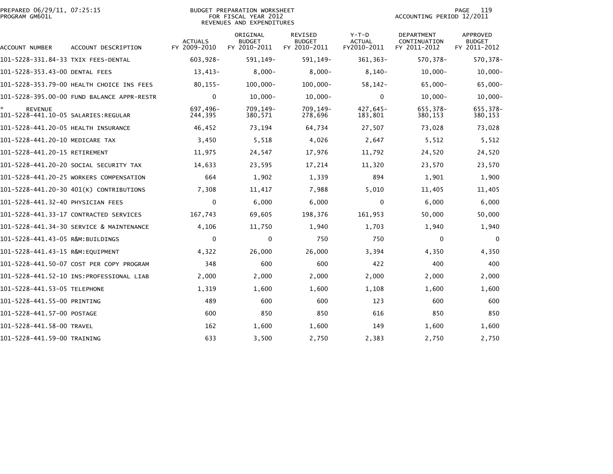|                | PREPARED 06/29/11, 07:25:15 |  |
|----------------|-----------------------------|--|
| PROGRAM GM601L |                             |  |

# PREPARED 06/29/11, 07:25:15 BUDGET PREPARATION WORKSHEET PAGE 119PROGRAM GM601L FOR FISCAL YEAR 2012 ACCOUNTING PERIOD 12/2011 REVENUES AND EXPENDITURES

| ACCOUNT NUMBER                                        | ACCOUNT DESCRIPTION                        | <b>ACTUALS</b><br>FY 2009-2010 | ORIGINAL<br><b>BUDGET</b><br>FY 2010-2011 | <b>REVISED</b><br><b>BUDGET</b><br>FY 2010-2011 | $Y-T-D$<br><b>ACTUAL</b><br>FY2010-2011 | <b>DEPARTMENT</b><br>CONTINUATION<br>FY 2011-2012 | <b>APPROVED</b><br><b>BUDGET</b><br>FY 2011-2012 |
|-------------------------------------------------------|--------------------------------------------|--------------------------------|-------------------------------------------|-------------------------------------------------|-----------------------------------------|---------------------------------------------------|--------------------------------------------------|
| 101-5228-331.84-33 TXIX FEES-DENTAL                   |                                            | 603,928-                       | 591, 149-                                 | 591, 149-                                       | $361, 363 -$                            | 570,378-                                          | 570, 378-                                        |
| 101-5228-353.43-00 DENTAL FEES                        |                                            | 13,413-                        | $8,000 -$                                 | $8,000 -$                                       | $8,140-$                                | $10,000-$                                         | $10,000 -$                                       |
|                                                       | 101-5228-353.79-00 HEALTH CHOICE INS FEES  | $80, 155 -$                    | $100,000 -$                               | $100,000 -$                                     | $58, 142 -$                             | 65,000-                                           | 65,000-                                          |
|                                                       | 101-5228-395.00-00 FUND BALANCE APPR-RESTR | $\mathbf{0}$                   | $10,000 -$                                | $10,000 -$                                      | $\Omega$                                | $10,000 -$                                        | $10,000 -$                                       |
| <b>REVENUE</b><br>101-5228-441.10-05 SALARIES:REGULAR |                                            | 697,496-<br>244,395            | 709,149-<br>380,571                       | 709.149-<br>278,696                             | 427,645-<br>183,801                     | 655,378-<br>380,153                               | 655,378-<br>380,153                              |
| 101-5228-441.20-05 HEALTH INSURANCE                   |                                            | 46,452                         | 73,194                                    | 64,734                                          | 27,507                                  | 73,028                                            | 73,028                                           |
| 101-5228-441.20-10 MEDICARE TAX                       |                                            | 3,450                          | 5,518                                     | 4,026                                           | 2,647                                   | 5,512                                             | 5,512                                            |
| 101-5228-441.20-15 RETIREMENT                         |                                            | 11,975                         | 24,547                                    | 17,976                                          | 11,792                                  | 24,520                                            | 24,520                                           |
|                                                       | 101-5228-441.20-20 SOCIAL SECURITY TAX     | 14,633                         | 23,595                                    | 17,214                                          | 11,320                                  | 23,570                                            | 23,570                                           |
|                                                       | 101-5228-441.20-25 WORKERS COMPENSATION    | 664                            | 1,902                                     | 1,339                                           | 894                                     | 1,901                                             | 1,900                                            |
|                                                       | 101-5228-441.20-30 401(K) CONTRIBUTIONS    | 7,308                          | 11,417                                    | 7,988                                           | 5,010                                   | 11,405                                            | 11,405                                           |
| 101-5228-441.32-40 PHYSICIAN FEES                     |                                            | $\mathbf{0}$                   | 6,000                                     | 6,000                                           | $\Omega$                                | 6,000                                             | 6,000                                            |
|                                                       | 101-5228-441.33-17 CONTRACTED SERVICES     | 167,743                        | 69,605                                    | 198,376                                         | 161,953                                 | 50,000                                            | 50,000                                           |
|                                                       | 101-5228-441.34-30 SERVICE & MAINTENANCE   | 4,106                          | 11,750                                    | 1,940                                           | 1,703                                   | 1,940                                             | 1,940                                            |
| 101-5228-441.43-05 R&M:BUILDINGS                      |                                            | 0                              | $\mathbf 0$                               | 750                                             | 750                                     | 0                                                 | $\mathbf 0$                                      |
| 101-5228-441.43-15 R&M:EQUIPMENT                      |                                            | 4,322                          | 26,000                                    | 26,000                                          | 3,394                                   | 4,350                                             | 4,350                                            |
|                                                       | 101-5228-441.50-07 COST PER COPY PROGRAM   | 348                            | 600                                       | 600                                             | 422                                     | 400                                               | 400                                              |
|                                                       |                                            | 2,000                          | 2,000                                     | 2,000                                           | 2,000                                   | 2,000                                             | 2,000                                            |
| 101-5228-441.53-05 TELEPHONE                          |                                            | 1,319                          | 1,600                                     | 1,600                                           | 1,108                                   | 1,600                                             | 1,600                                            |
| 101-5228-441.55-00 PRINTING                           |                                            | 489                            | 600                                       | 600                                             | 123                                     | 600                                               | 600                                              |
| 101-5228-441.57-00 POSTAGE                            |                                            | 600                            | 850                                       | 850                                             | 616                                     | 850                                               | 850                                              |
| 101-5228-441.58-00 TRAVEL                             |                                            | 162                            | 1,600                                     | 1,600                                           | 149                                     | 1,600                                             | 1,600                                            |
| 101-5228-441.59-00 TRAINING                           |                                            | 633                            | 3,500                                     | 2,750                                           | 2,383                                   | 2,750                                             | 2,750                                            |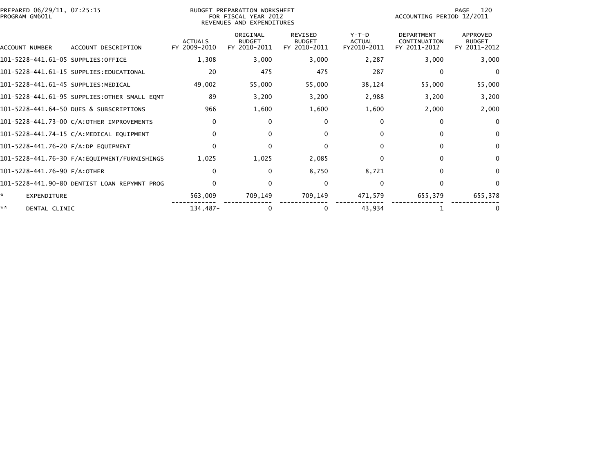| PREPARED 06/29/11, 07:25:15<br>PROGRAM GM601L |                                               |                                | BUDGET PREPARATION WORKSHEET<br>FOR FISCAL YEAR 2012<br>REVENUES AND EXPENDITURES |                                                 | 120<br>PAGE<br>ACCOUNTING PERIOD 12/2011 |                                                   |                                                  |
|-----------------------------------------------|-----------------------------------------------|--------------------------------|-----------------------------------------------------------------------------------|-------------------------------------------------|------------------------------------------|---------------------------------------------------|--------------------------------------------------|
| ACCOUNT NUMBER                                | ACCOUNT DESCRIPTION                           | <b>ACTUALS</b><br>FY 2009-2010 | ORIGINAL<br><b>BUDGET</b><br>FY 2010-2011                                         | <b>REVISED</b><br><b>BUDGET</b><br>FY 2010-2011 | $Y-T-D$<br><b>ACTUAL</b><br>FY2010-2011  | <b>DEPARTMENT</b><br>CONTINUATION<br>FY 2011-2012 | <b>APPROVED</b><br><b>BUDGET</b><br>FY 2011-2012 |
| 101-5228-441.61-05 SUPPLIES:OFFICE            |                                               | 1,308                          | 3,000                                                                             | 3,000                                           | 2,287                                    | 3,000                                             | 3,000                                            |
|                                               | 101-5228-441.61-15 SUPPLIES:EDUCATIONAL       | 20                             | 475                                                                               | 475                                             | 287                                      | $\Omega$                                          | $\Omega$                                         |
| 101-5228-441.61-45 SUPPLIES:MEDICAL           |                                               | 49,002                         | 55,000                                                                            | 55,000                                          | 38,124                                   | 55,000                                            | 55,000                                           |
|                                               | 101-5228-441.61-95 SUPPLIES: OTHER SMALL EQMT | 89                             | 3,200                                                                             | 3,200                                           | 2,988                                    | 3,200                                             | 3,200                                            |
|                                               | 101-5228-441.64-50 DUES & SUBSCRIPTIONS       | 966                            | 1,600                                                                             | 1,600                                           | 1,600                                    | 2,000                                             | 2,000                                            |
|                                               | 101-5228-441.73-00 C/A:OTHER IMPROVEMENTS     | $\Omega$                       | $\Omega$                                                                          | $\Omega$                                        | $\Omega$                                 | 0                                                 | $\Omega$                                         |
|                                               | 101-5228-441.74-15 C/A:MEDICAL EQUIPMENT      | <sup>0</sup>                   |                                                                                   | 0                                               | $\Omega$                                 |                                                   | 0                                                |
| 101-5228-441.76-20 F/A:DP EQUIPMENT           |                                               | $\Omega$                       | <sup>0</sup>                                                                      | $\mathbf{0}$                                    | $\Omega$                                 | 0                                                 | $\Omega$                                         |
|                                               | 101-5228-441.76-30 F/A:EQUIPMENT/FURNISHINGS  | 1,025                          | 1,025                                                                             | 2,085                                           | 0                                        | 0                                                 | $\Omega$                                         |
| 101-5228-441.76-90 F/A:OTHER                  |                                               | $\Omega$                       | $\Omega$                                                                          | 8,750                                           | 8,721                                    | $\Omega$                                          | 0                                                |
|                                               | 101-5228-441.90-80 DENTIST LOAN REPYMNT PROG  | <sup>0</sup>                   | <sup>0</sup>                                                                      | $\Omega$                                        | $\Omega$                                 | ∩                                                 | $\Omega$                                         |
| $\mathbf{A}$<br>EXPENDITURE                   |                                               | 563,009                        | 709,149                                                                           | 709,149                                         | 471,579                                  | 655,379                                           | 655,378                                          |
| **<br>DENTAL CLINIC                           |                                               | 134,487-                       |                                                                                   | 0                                               | 43,934                                   |                                                   |                                                  |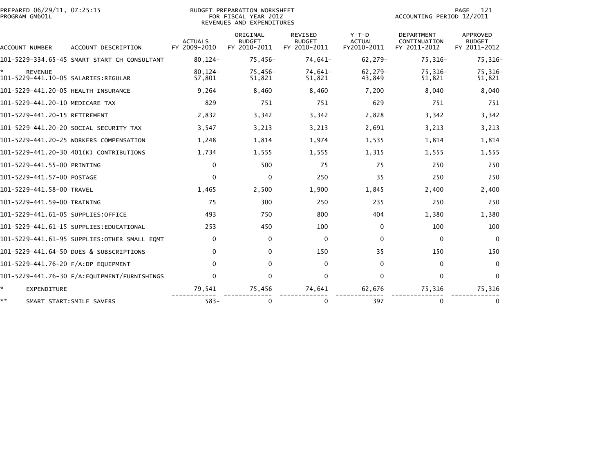| PREPARED 06/29/11, 07:25:15<br>PROGRAM GM601L |                                              |                                | BUDGET PREPARATION WORKSHEET<br>FOR FISCAL YEAR 2012<br>REVENUES AND EXPENDITURES |                                          | 121<br><b>PAGE</b><br>ACCOUNTING PERIOD 12/2011 |                                                   |                                           |  |
|-----------------------------------------------|----------------------------------------------|--------------------------------|-----------------------------------------------------------------------------------|------------------------------------------|-------------------------------------------------|---------------------------------------------------|-------------------------------------------|--|
| ACCOUNT NUMBER                                | ACCOUNT DESCRIPTION                          | <b>ACTUALS</b><br>FY 2009-2010 | ORIGINAL<br><b>BUDGET</b><br>FY 2010-2011                                         | REVISED<br><b>BUDGET</b><br>FY 2010-2011 | Y-T-D<br><b>ACTUAL</b><br>FY2010-2011           | <b>DEPARTMENT</b><br>CONTINUATION<br>FY 2011-2012 | APPROVED<br><b>BUDGET</b><br>FY 2011-2012 |  |
|                                               | 101-5229-334.65-45 SMART START CH CONSULTANT | $80, 124 -$                    | $75.456 -$                                                                        | 74,641-                                  | $62.279-$                                       | $75,316-$                                         | 75,316-                                   |  |
| <b>REVENUE</b>                                |                                              | $80.124 -$<br>57,801           | 75,456-<br>51.821                                                                 | 74,641-<br>51,821                        | $62,279-$<br>43,849                             | $75,316-$<br>51,821                               | 75,316-<br>51,821                         |  |
| 101-5229-441.20-05 HEALTH INSURANCE           |                                              | 9,264                          | 8,460                                                                             | 8,460                                    | 7,200                                           | 8,040                                             | 8,040                                     |  |
| 101-5229-441.20-10 MEDICARE TAX               |                                              | 829                            | 751                                                                               | 751                                      | 629                                             | 751                                               | 751                                       |  |
| 101-5229-441.20-15 RETIREMENT                 |                                              | 2,832                          | 3,342                                                                             | 3,342                                    | 2,828                                           | 3,342                                             | 3,342                                     |  |
|                                               | 101-5229-441.20-20 SOCIAL SECURITY TAX       | 3,547                          | 3,213                                                                             | 3,213                                    | 2,691                                           | 3,213                                             | 3,213                                     |  |
|                                               | 101-5229-441.20-25 WORKERS COMPENSATION      | 1,248                          | 1,814                                                                             | 1,974                                    | 1,535                                           | 1,814                                             | 1,814                                     |  |
|                                               | 101-5229-441.20-30 401(K) CONTRIBUTIONS      | 1,734                          | 1,555                                                                             | 1,555                                    | 1,315                                           | 1,555                                             | 1,555                                     |  |
| 101-5229-441.55-00 PRINTING                   |                                              | $\mathbf{0}$                   | 500                                                                               | 75                                       | 75                                              | 250                                               | 250                                       |  |
| 101-5229-441.57-00 POSTAGE                    |                                              | $\Omega$                       | $\mathbf{0}$                                                                      | 250                                      | 35                                              | 250                                               | 250                                       |  |
| 101-5229-441.58-00 TRAVEL                     |                                              | 1,465                          | 2,500                                                                             | 1,900                                    | 1,845                                           | 2,400                                             | 2,400                                     |  |
| 101-5229-441.59-00 TRAINING                   |                                              | 75                             | 300                                                                               | 250                                      | 235                                             | 250                                               | 250                                       |  |
| 101-5229-441.61-05 SUPPLIES:OFFICE            |                                              | 493                            | 750                                                                               | 800                                      | 404                                             | 1,380                                             | 1,380                                     |  |
|                                               | 101-5229-441.61-15 SUPPLIES:EDUCATIONAL      | 253                            | 450                                                                               | 100                                      | 0                                               | 100                                               | 100                                       |  |
|                                               | 101-5229-441.61-95 SUPPLIES:OTHER SMALL EQMT | $\mathbf{0}$                   | $\mathbf{0}$                                                                      | $\mathbf 0$                              | $\Omega$                                        | 0                                                 | $\Omega$                                  |  |
|                                               | 101-5229-441.64-50 DUES & SUBSCRIPTIONS      | $\mathbf{0}$                   | 0                                                                                 | 150                                      | 35                                              | 150                                               | 150                                       |  |
| 101-5229-441.76-20 F/A:DP EQUIPMENT           |                                              | $\Omega$                       | 0                                                                                 | 0                                        | $\Omega$                                        | $\mathbf{0}$                                      | $\Omega$                                  |  |
|                                               | 101-5229-441.76-30 F/A:EQUIPMENT/FURNISHINGS | $\Omega$                       | $\mathbf{0}$                                                                      | 0                                        | $\Omega$                                        | $\mathbf{0}$                                      | $\mathbf{0}$                              |  |
| ☆.<br>EXPENDITURE                             |                                              | 79,541                         | 75,456                                                                            | 74,641                                   | 62,676                                          | 75,316                                            | 75,316                                    |  |
| **                                            | SMART START: SMILE SAVERS                    | $583-$                         | 0                                                                                 | 0                                        | 397                                             | $\bf{0}$                                          | 0                                         |  |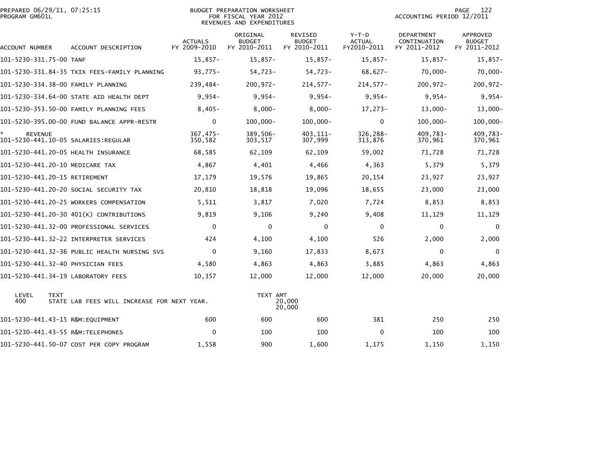| PREPARED 06/29/11, 07:25:15<br>PROGRAM GM601L              |                                              | <b>BUDGET PREPARATION WORKSHEET</b><br>FOR FISCAL YEAR 2012<br>REVENUES AND EXPENDITURES |                                           |                                                 |                                         | 122<br>PAGE<br>ACCOUNTING PERIOD 12/2011   |                                                  |  |
|------------------------------------------------------------|----------------------------------------------|------------------------------------------------------------------------------------------|-------------------------------------------|-------------------------------------------------|-----------------------------------------|--------------------------------------------|--------------------------------------------------|--|
| ACCOUNT NUMBER                                             | ACCOUNT DESCRIPTION                          | <b>ACTUALS</b><br>FY 2009-2010                                                           | ORIGINAL<br><b>BUDGET</b><br>FY 2010-2011 | <b>REVISED</b><br><b>BUDGET</b><br>FY 2010-2011 | $Y-T-D$<br><b>ACTUAL</b><br>FY2010-2011 | DEPARTMENT<br>CONTINUATION<br>FY 2011-2012 | <b>APPROVED</b><br><b>BUDGET</b><br>FY 2011-2012 |  |
| 101-5230-331.75-00 TANF                                    |                                              | $15,857-$                                                                                | $15,857-$                                 | $15,857-$                                       | $15,857-$                               | $15,857-$                                  | $15,857-$                                        |  |
|                                                            | 101-5230-331.84-35 TXIX FEES-FAMILY PLANNING | $93,775-$                                                                                | 54,723-                                   | 54,723-                                         | $68,627-$                               | $70,000 -$                                 | $70,000 -$                                       |  |
| 101-5230-334.38-00 FAMILY PLANNING                         |                                              | 239,484-                                                                                 | $200, 972 -$                              | $214,577-$                                      | $214,577-$                              | $200, 972 -$                               | 200,972-                                         |  |
|                                                            | 101-5230-334.64-00 STATE AID HEALTH DEPT     | $9,954-$                                                                                 | $9,954-$                                  | $9,954-$                                        | $9,954-$                                | $9,954-$                                   | $9,954-$                                         |  |
|                                                            | 101-5230-353.50-00 FAMILY PLANNING FEES      | $8,405-$                                                                                 | $8,000-$                                  | $8,000 -$                                       | $17,273-$                               | $13,000-$                                  | $13,000-$                                        |  |
|                                                            | 101-5230-395.00-00 FUND BALANCE APPR-RESTR   | $\mathbf{0}$                                                                             | $100,000 -$                               | $100,000 -$                                     | $\Omega$                                | $100.000 -$                                | $100,000 -$                                      |  |
| *<br><b>REVENUE</b><br>101-5230-441.10-05 SALARIES:REGULAR |                                              | $367,475-$<br>350,582                                                                    | 389,506-<br>303,517                       | 403, 111-<br>307,999                            | 326,288-<br>313,876                     | 409,783-<br>370,961                        | 409,783-<br>370,961                              |  |
| 101-5230-441.20-05 HEALTH INSURANCE                        |                                              | 68,585                                                                                   | 62,109                                    | 62,109                                          | 59,002                                  | 71,728                                     | 71,728                                           |  |
| 101-5230-441.20-10 MEDICARE TAX                            |                                              | 4,867                                                                                    | 4,401                                     | 4,466                                           | 4,363                                   | 5,379                                      | 5,379                                            |  |
| 101-5230-441.20-15 RETIREMENT                              |                                              | 17,179                                                                                   | 19,576                                    | 19,865                                          | 20,154                                  | 23,927                                     | 23,927                                           |  |
|                                                            | 101–5230–441.20–20 SOCIAL SECURITY TAX       | 20,810                                                                                   | 18,818                                    | 19,096                                          | 18,655                                  | 23,000                                     | 23,000                                           |  |
|                                                            | 101-5230-441.20-25 WORKERS COMPENSATION      | 5,511                                                                                    | 3,817                                     | 7,020                                           | 7,724                                   | 8,853                                      | 8,853                                            |  |
|                                                            | 101-5230-441.20-30 401(K) CONTRIBUTIONS      | 9,819                                                                                    | 9,106                                     | 9,240                                           | 9,408                                   | 11,129                                     | 11,129                                           |  |
|                                                            | 101-5230-441.32-00 PROFESSIONAL SERVICES     | 0                                                                                        | 0                                         | 0                                               | $\mathbf 0$                             | $\mathbf 0$                                | $\mathbf 0$                                      |  |
|                                                            | 101-5230-441.32-22 INTERPRETER SERVICES      | 424                                                                                      | 4,100                                     | 4,100                                           | 526                                     | 2,000                                      | 2,000                                            |  |
|                                                            | 101-5230-441.32-36 PUBLIC HEALTH NURSING SVS | $\mathbf{0}$                                                                             | 9,160                                     | 17,833                                          | 8,673                                   | $\mathbf 0$                                | $\mathbf 0$                                      |  |
| 101-5230-441.32-40 PHYSICIAN FEES                          |                                              | 4,580                                                                                    | 4,863                                     | 4,863                                           | 3,885                                   | 4,863                                      | 4,863                                            |  |
| 101-5230-441.34-19 LABORATORY FEES                         |                                              | 10,357                                                                                   | 12,000                                    | 12,000                                          | 12,000                                  | 20,000                                     | 20,000                                           |  |
| LEVEL<br><b>TEXT</b><br>400                                | STATE LAB FEES WILL INCREASE FOR NEXT YEAR.  |                                                                                          | TEXT AMT                                  | 20,000<br>20,000                                |                                         |                                            |                                                  |  |
| 101-5230-441.43-15 R&M:EQUIPMENT                           |                                              | 600                                                                                      | 600                                       | 600                                             | 381                                     | 250                                        | 250                                              |  |
| 101-5230-441.43-55 R&M:TELEPHONES                          |                                              | $\Omega$                                                                                 | 100                                       | 100                                             | $\Omega$                                | 100                                        | 100                                              |  |
|                                                            | 101-5230-441.50-07 COST PER COPY PROGRAM     | 1,558                                                                                    | 900                                       | 1,600                                           | 1,175                                   | 1,150                                      | 1,150                                            |  |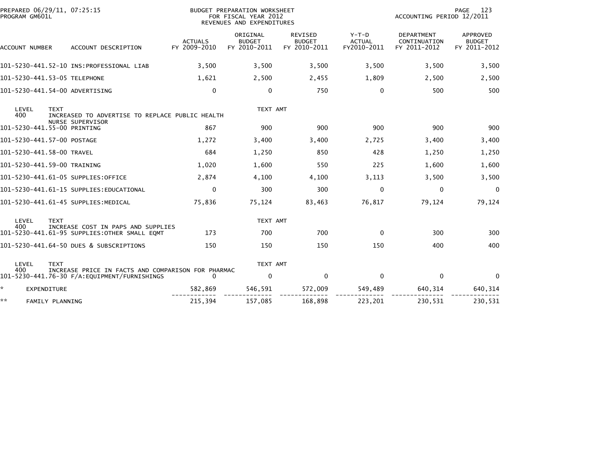|    | PROGRAM GM601L            |                    | PREPARED 06/29/11, 07:25:15                                                        |                                | BUDGET PREPARATION WORKSHEET<br>FOR FISCAL YEAR 2012<br>REVENUES AND EXPENDITURES |                                          |                                       | ACCOUNTING PERIOD 12/2011                         | PAGE<br>123                               |
|----|---------------------------|--------------------|------------------------------------------------------------------------------------|--------------------------------|-----------------------------------------------------------------------------------|------------------------------------------|---------------------------------------|---------------------------------------------------|-------------------------------------------|
|    | ACCOUNT NUMBER            |                    | ACCOUNT DESCRIPTION                                                                | <b>ACTUALS</b><br>FY 2009-2010 | ORIGINAL<br><b>BUDGET</b><br>FY 2010-2011                                         | REVISED<br><b>BUDGET</b><br>FY 2010-2011 | Y-T-D<br><b>ACTUAL</b><br>FY2010-2011 | <b>DEPARTMENT</b><br>CONTINUATION<br>FY 2011-2012 | APPROVED<br><b>BUDGET</b><br>FY 2011-2012 |
|    |                           |                    |                                                                                    | 3,500                          | 3,500                                                                             | 3,500                                    | 3,500                                 | 3,500                                             | 3,500                                     |
|    |                           |                    | 101-5230-441.53-05 TELEPHONE                                                       | 1,621                          | 2,500                                                                             | 2,455                                    | 1,809                                 | 2,500                                             | 2,500                                     |
|    |                           |                    | 101-5230-441.54-00 ADVERTISING                                                     | $\mathbf{0}$                   | 0                                                                                 | 750                                      | $\Omega$                              | 500                                               | 500                                       |
|    | LEVEL<br>400              | <b>TEXT</b>        | INCREASED TO ADVERTISE TO REPLACE PUBLIC HEALTH                                    |                                | TEXT AMT                                                                          |                                          |                                       |                                                   |                                           |
|    |                           |                    | NURSE SUPERVISOR<br>101-5230-441.55-00 PRINTING                                    | 867                            | 900                                                                               | 900                                      | 900                                   | 900                                               | 900                                       |
|    |                           |                    | 101-5230-441.57-00 POSTAGE                                                         | 1.272                          | 3,400                                                                             | 3,400                                    | 2,725                                 | 3,400                                             | 3,400                                     |
|    | 101-5230-441.58-00 TRAVEL |                    |                                                                                    | 684                            | 1,250                                                                             | 850                                      | 428                                   | 1,250                                             | 1,250                                     |
|    |                           |                    | 101-5230-441.59-00 TRAINING                                                        | 1,020                          | 1,600                                                                             | 550                                      | 225                                   | 1,600                                             | 1,600                                     |
|    |                           |                    | 101-5230-441.61-05 SUPPLIES:OFFICE                                                 | 2,874                          | 4,100                                                                             | 4,100                                    | 3,113                                 | 3,500                                             | 3,500                                     |
|    |                           |                    | 101-5230-441.61-15 SUPPLIES:EDUCATIONAL                                            | $\mathbf{0}$                   | 300                                                                               | 300                                      | 0                                     | $\mathbf{0}$                                      | $\Omega$                                  |
|    |                           |                    | 101-5230-441.61-45 SUPPLIES: MEDICAL                                               | 75,836                         | 75,124                                                                            | 83,463                                   | 76,817                                | 79,124                                            | 79,124                                    |
|    | LEVEL                     | <b>TEXT</b>        |                                                                                    |                                | TEXT AMT                                                                          |                                          |                                       |                                                   |                                           |
|    | 400                       |                    | INCREASE COST IN PAPS AND SUPPLIES<br>101-5230-441.61-95 SUPPLIES:OTHER SMALL EQMT | 173                            | 700                                                                               | 700                                      | $\mathbf{0}$                          | 300                                               | 300                                       |
|    |                           |                    | 101-5230-441.64-50 DUES & SUBSCRIPTIONS                                            | 150                            | 150                                                                               | 150                                      | 150                                   | 400                                               | 400                                       |
|    | LEVEL                     | <b>TEXT</b>        |                                                                                    |                                | TEXT AMT                                                                          |                                          |                                       |                                                   |                                           |
|    | 400                       |                    | INCREASE PRICE IN FACTS AND COMPARISON FOR PHARMAC                                 | $\Omega$                       | $\mathbf 0$                                                                       | 0                                        | $\mathbf 0$                           | $\mathbf 0$                                       | 0                                         |
|    |                           | <b>EXPENDITURE</b> |                                                                                    | 582,869                        | 546,591                                                                           | 572,009                                  | 549,489                               | 640, 314                                          | 640, 314                                  |
| ** |                           | FAMILY PLANNING    |                                                                                    | 215,394                        | 157,085                                                                           | 168,898                                  | 223,201                               | 230,531                                           | 230,531                                   |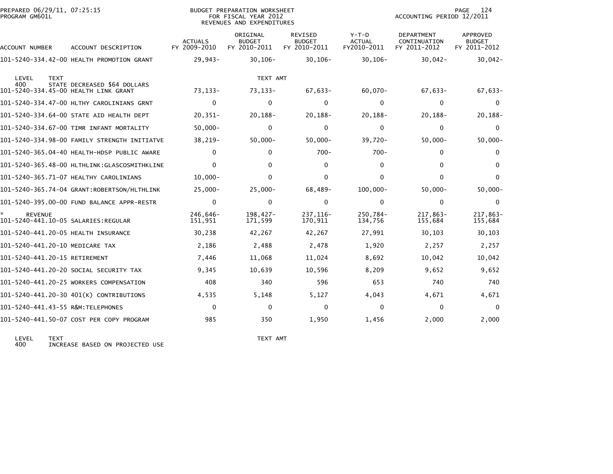| PREPARED 06/29/11, 07:25:15<br>PROGRAM GM601L                       |                                              |                                | BUDGET PREPARATION WORKSHEET<br>FOR FISCAL YEAR 2012<br>REVENUES AND EXPENDITURES | 124<br>PAGE<br>ACCOUNTING PERIOD 12/2011 |                                         |                                            |                                           |
|---------------------------------------------------------------------|----------------------------------------------|--------------------------------|-----------------------------------------------------------------------------------|------------------------------------------|-----------------------------------------|--------------------------------------------|-------------------------------------------|
| ACCOUNT NUMBER                                                      | ACCOUNT DESCRIPTION                          | <b>ACTUALS</b><br>FY 2009-2010 | ORIGINAL<br><b>BUDGET</b><br>FY 2010-2011                                         | REVISED<br><b>BUDGET</b><br>FY 2010-2011 | $Y-T-D$<br><b>ACTUAL</b><br>FY2010-2011 | DEPARTMENT<br>CONTINUATION<br>FY 2011-2012 | APPROVED<br><b>BUDGET</b><br>FY 2011-2012 |
|                                                                     | 101-5240-334.42-00 HEALTH PROMOTION GRANT    | $29,943-$                      | $30, 106 -$                                                                       | $30, 106 -$                              | $30, 106 -$                             | $30,042 -$                                 | $30,042 -$                                |
| LEVEL<br><b>TEXT</b><br>400<br>101-5240-334.45-00 HEALTH LINK GRANT | STATE DECREASED \$64 DOLLARS                 | $73, 133 -$                    | TEXT AMT<br>73, 133-                                                              | $67,633-$                                | $60,070 -$                              | $67,633-$                                  | $67,633-$                                 |
|                                                                     | 101-5240-334.47-00 HLTHY CAROLINIANS GRNT    | $\mathbf{0}$                   | $\mathbf{0}$                                                                      | 0                                        | $\Omega$                                | $\mathbf{0}$                               | $\Omega$                                  |
|                                                                     | 101-5240-334.64-00 STATE AID HEALTH DEPT     | $20, 351 -$                    | $20, 188 -$                                                                       | $20,188-$                                | $20, 188 -$                             | $20, 188 -$                                | 20,188-                                   |
|                                                                     | 101-5240-334.67-00 TIMR INFANT MORTALITY     | $50,000 -$                     | 0                                                                                 | 0                                        | $\Omega$                                | $\mathbf{0}$                               | $\Omega$                                  |
|                                                                     | 101–5240–334.98–00 FAMILY STRENGTH INITIATVE | 38,219-                        | $50,000 -$                                                                        | $50,000 -$                               | $39,720 -$                              | $50,000 -$                                 | $50,000 -$                                |
|                                                                     |                                              | 0                              | 0                                                                                 | $700 -$                                  | $700 -$                                 | 0                                          | 0                                         |
|                                                                     | 101-5240-365.48-00 HLTHLINK:GLASCOSMITHKLINE | $\Omega$                       | $\mathbf{0}$                                                                      | 0                                        | $\Omega$                                | $\mathbf{0}$                               | $\Omega$                                  |
|                                                                     | 101-5240-365.71-07 HEALTHY CAROLINIANS       | $10,000 -$                     | 0                                                                                 | $\mathbf 0$                              | 0                                       | $\mathbf{0}$                               | $\mathbf{0}$                              |
|                                                                     | 101-5240-365.74-04 GRANT:ROBERTSON/HLTHLINK  | $25,000 -$                     | $25,000 -$                                                                        | $68,489-$                                | $100,000 -$                             | $50,000 -$                                 | $50,000 -$                                |
|                                                                     | 101-5240-395.00-00 FUND BALANCE APPR-RESTR   | $\mathbf{0}$                   | $\mathbf{0}$                                                                      | $\mathbf 0$                              | $\Omega$                                | 0                                          | $\Omega$                                  |
| <b>REVENUE</b><br>101-5240-441.10-05 SALARIES:REGULAR               |                                              | 246,646-<br>151,951            | $198,427-$<br>171,599                                                             | 237, 116-<br>170,911                     | 250,784-<br>134,756                     | 217,863-<br>155,684                        | 217,863-<br>155,684                       |
| 101-5240-441.20-05 HEALTH INSURANCE                                 |                                              | 30,238                         | 42,267                                                                            | 42,267                                   | 27,991                                  | 30,103                                     | 30,103                                    |
| 101-5240-441.20-10 MEDICARE TAX                                     |                                              | 2,186                          | 2,488                                                                             | 2,478                                    | 1,920                                   | 2,257                                      | 2,257                                     |
| 101-5240-441.20-15 RETIREMENT                                       |                                              | 7,446                          | 11,068                                                                            | 11,024                                   | 8,692                                   | 10,042                                     | 10,042                                    |
|                                                                     | 101-5240-441.20-20 SOCIAL SECURITY TAX       | 9,345                          | 10,639                                                                            | 10,596                                   | 8,209                                   | 9,652                                      | 9,652                                     |
|                                                                     | 101-5240-441.20-25 WORKERS COMPENSATION      | 408                            | 340                                                                               | 596                                      | 653                                     | 740                                        | 740                                       |
|                                                                     | 101-5240-441.20-30 401(K) CONTRIBUTIONS      | 4,535                          | 5,148                                                                             | 5,127                                    | 4,043                                   | 4,671                                      | 4,671                                     |
| 101-5240-441.43-55 R&M:TELEPHONES                                   |                                              | $\Omega$                       | $\mathbf{0}$                                                                      | 0                                        | $\Omega$                                | $\mathbf{0}$                               | $\Omega$                                  |
|                                                                     | 101-5240-441.50-07 COST PER COPY PROGRAM     | 985                            | 350                                                                               | 1,950                                    | 1,456                                   | 2,000                                      | 2,000                                     |
|                                                                     |                                              |                                |                                                                                   |                                          |                                         |                                            |                                           |

LEVEL TEXT TEXT AMT 400 INCREASE BASED ON PROJECTED USE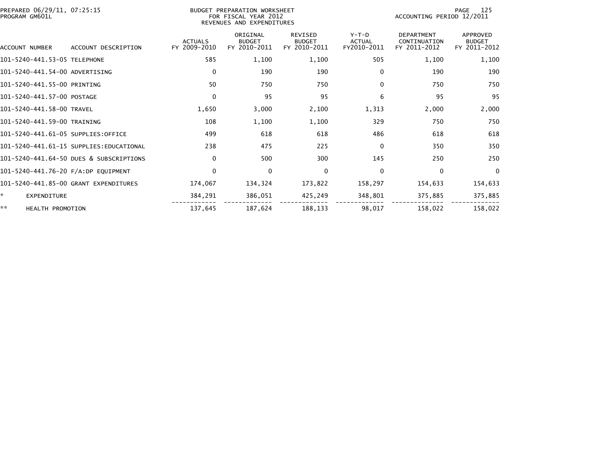| PREPARED 06/29/11, 07:25:15<br>PROGRAM GM601L |                                         |                                | BUDGET PREPARATION WORKSHEET<br>FOR FISCAL YEAR 2012<br>REVENUES AND EXPENDITURES | 125<br>PAGE<br>ACCOUNTING PERIOD 12/2011        |                                         |                                                   |                                           |
|-----------------------------------------------|-----------------------------------------|--------------------------------|-----------------------------------------------------------------------------------|-------------------------------------------------|-----------------------------------------|---------------------------------------------------|-------------------------------------------|
| ACCOUNT NUMBER                                | ACCOUNT DESCRIPTION                     | <b>ACTUALS</b><br>FY 2009-2010 | ORIGINAL<br><b>BUDGET</b><br>FY 2010-2011                                         | <b>REVISED</b><br><b>BUDGET</b><br>FY 2010-2011 | $Y-T-D$<br><b>ACTUAL</b><br>FY2010-2011 | <b>DEPARTMENT</b><br>CONTINUATION<br>FY 2011-2012 | APPROVED<br><b>BUDGET</b><br>FY 2011-2012 |
| 101-5240-441.53-05 TELEPHONE                  |                                         | 585                            | 1,100                                                                             | 1,100                                           | 505                                     | 1,100                                             | 1,100                                     |
| 101-5240-441.54-00 ADVERTISING                |                                         | $\mathbf{0}$                   | 190                                                                               | 190                                             | $\mathbf{0}$                            | 190                                               | 190                                       |
| 101-5240-441.55-00 PRINTING                   |                                         | 50                             | 750                                                                               | 750                                             | $\Omega$                                | 750                                               | 750                                       |
| 101-5240-441.57-00 POSTAGE                    |                                         | $\mathbf{0}$                   | 95                                                                                | 95                                              | 6                                       | 95                                                | 95                                        |
| 101-5240-441.58-00 TRAVEL                     |                                         | 1,650                          | 3,000                                                                             | 2,100                                           | 1,313                                   | 2,000                                             | 2,000                                     |
| 101-5240-441.59-00 TRAINING                   |                                         | 108                            | 1,100                                                                             | 1,100                                           | 329                                     | 750                                               | 750                                       |
| 101-5240-441.61-05 SUPPLIES:OFFICE            |                                         | 499                            | 618                                                                               | 618                                             | 486                                     | 618                                               | 618                                       |
|                                               | 101-5240-441.61-15 SUPPLIES:EDUCATIONAL | 238                            | 475                                                                               | 225                                             | $\mathbf{0}$                            | 350                                               | 350                                       |
|                                               | 101-5240-441.64-50 DUES & SUBSCRIPTIONS | $\Omega$                       | 500                                                                               | 300                                             | 145                                     | 250                                               | 250                                       |
| 101-5240-441.76-20 F/A:DP EQUIPMENT           |                                         | $\mathbf{0}$                   | $\mathbf 0$                                                                       | 0                                               | $\mathbf 0$                             | $\Omega$                                          | $\mathbf{0}$                              |
|                                               | 101-5240-441.85-00 GRANT EXPENDITURES   | 174,067                        | 134,324                                                                           | 173,822                                         | 158,297                                 | 154,633                                           | 154,633                                   |
| <b>EXPENDITURE</b>                            |                                         | 384,291                        | 386,051                                                                           | 425,249                                         | 348,801                                 | 375,885                                           | 375,885                                   |
| **<br><b>HEALTH PROMOTION</b>                 |                                         | 137,645                        | 187,624                                                                           | 188,133                                         | 98,017                                  | 158,022                                           | 158,022                                   |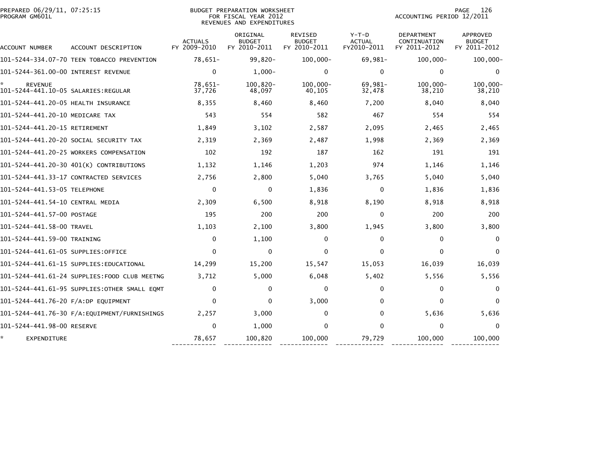| PREPARED 06/29/11, 07:25:15<br>PROGRAM GM601L |                                              |                                | BUDGET PREPARATION WORKSHEET<br>FOR FISCAL YEAR 2012<br>REVENUES AND EXPENDITURES |                                          | PAGE<br>126<br>ACCOUNTING PERIOD 12/2011 |                                            |                                           |
|-----------------------------------------------|----------------------------------------------|--------------------------------|-----------------------------------------------------------------------------------|------------------------------------------|------------------------------------------|--------------------------------------------|-------------------------------------------|
| ACCOUNT NUMBER                                | ACCOUNT DESCRIPTION                          | <b>ACTUALS</b><br>FY 2009-2010 | ORIGINAL<br><b>BUDGET</b><br>FY 2010-2011                                         | REVISED<br><b>BUDGET</b><br>FY 2010-2011 | $Y-T-D$<br><b>ACTUAL</b><br>FY2010-2011  | DEPARTMENT<br>CONTINUATION<br>FY 2011-2012 | APPROVED<br><b>BUDGET</b><br>FY 2011-2012 |
|                                               | 101-5244-334.07-70 TEEN TOBACCO PREVENTION   | 78,651-                        | $99,820 -$                                                                        | $100,000 -$                              | 69,981-                                  | $100,000 -$                                | $100,000 -$                               |
|                                               |                                              | $\Omega$                       | $1,000-$                                                                          | 0                                        | $\mathbf{0}$                             | $\Omega$                                   | $\Omega$                                  |
| <b>REVENUE</b>                                |                                              | 78,651-<br>37,726              | $100.820 -$<br>48,097                                                             | $100.000 -$<br>40,105                    | 69,981-<br>32,478                        | $100.000 -$<br>38,210                      | $100,000 -$<br>38,210                     |
| 101-5244-441.20-05 HEALTH INSURANCE           |                                              | 8,355                          | 8,460                                                                             | 8,460                                    | 7,200                                    | 8,040                                      | 8,040                                     |
| 101-5244-441.20-10 MEDICARE TAX               |                                              | 543                            | 554                                                                               | 582                                      | 467                                      | 554                                        | 554                                       |
| 101-5244-441.20-15 RETIREMENT                 |                                              | 1,849                          | 3,102                                                                             | 2,587                                    | 2,095                                    | 2,465                                      | 2,465                                     |
|                                               | 101–5244–441.20–20 SOCIAL SECURITY TAX       | 2,319                          | 2,369                                                                             | 2,487                                    | 1,998                                    | 2,369                                      | 2,369                                     |
|                                               | 101-5244-441.20-25 WORKERS COMPENSATION      | 102                            | 192                                                                               | 187                                      | 162                                      | 191                                        | 191                                       |
|                                               | 101-5244-441.20-30 401(K) CONTRIBUTIONS      | 1,132                          | 1,146                                                                             | 1,203                                    | 974                                      | 1,146                                      | 1,146                                     |
|                                               | 101-5244-441.33-17 CONTRACTED SERVICES       | 2,756                          | 2,800                                                                             | 5,040                                    | 3,765                                    | 5,040                                      | 5,040                                     |
| 101-5244-441.53-05 TELEPHONE                  |                                              | $\mathbf{0}$                   | $\Omega$                                                                          | 1,836                                    | $\Omega$                                 | 1,836                                      | 1,836                                     |
| 101-5244-441.54-10 CENTRAL MEDIA              |                                              | 2,309                          | 6,500                                                                             | 8,918                                    | 8,190                                    | 8,918                                      | 8,918                                     |
| 101-5244-441.57-00 POSTAGE                    |                                              | 195                            | 200                                                                               | 200                                      | $\Omega$                                 | 200                                        | 200                                       |
| 101-5244-441.58-00 TRAVEL                     |                                              | 1,103                          | 2,100                                                                             | 3,800                                    | 1,945                                    | 3,800                                      | 3,800                                     |
| 101-5244-441.59-00 TRAINING                   |                                              | 0                              | 1,100                                                                             | 0                                        | 0                                        | $\Omega$                                   | $\bf{0}$                                  |
| 101-5244-441.61-05 SUPPLIES:OFFICE            |                                              | $\Omega$                       | 0                                                                                 | $\Omega$                                 | $\Omega$                                 | $\Omega$                                   | $\Omega$                                  |
|                                               | 101–5244–441.61–15 SUPPLIES:EDUCATIONAL      | 14,299                         | 15,200                                                                            | 15,547                                   | 15,053                                   | 16,039                                     | 16,039                                    |
|                                               | 101-5244-441.61-24 SUPPLIES:FOOD CLUB MEETNG | 3,712                          | 5,000                                                                             | 6,048                                    | 5,402                                    | 5,556                                      | 5,556                                     |
|                                               | 101–5244–441.61–95 SUPPLIES:OTHER SMALL EOMT | $\Omega$                       | 0                                                                                 | $\mathbf{0}$                             | $\Omega$                                 | $\Omega$                                   | $\bf{0}$                                  |
| 101-5244-441.76-20 F/A:DP EQUIPMENT           |                                              | $\Omega$                       | 0                                                                                 | 3,000                                    | $\Omega$                                 | $\Omega$                                   | $\mathbf{0}$                              |
|                                               | 101-5244-441.76-30 F/A:EQUIPMENT/FURNISHINGS | 2,257                          | 3,000                                                                             | 0                                        | $\mathbf{0}$                             | 5,636                                      | 5,636                                     |
| 101-5244-441.98-00 RESERVE                    |                                              | $\Omega$                       | 1,000                                                                             | $\mathbf{0}$                             | $\Omega$                                 | $\Omega$                                   | $\mathbf{0}$                              |
| EXPENDITURE                                   |                                              | 78,657                         | 100,820                                                                           | 100,000                                  | 79,729                                   | 100,000                                    | 100,000                                   |

------------ ------------- ------------- ------------- -------------- -------------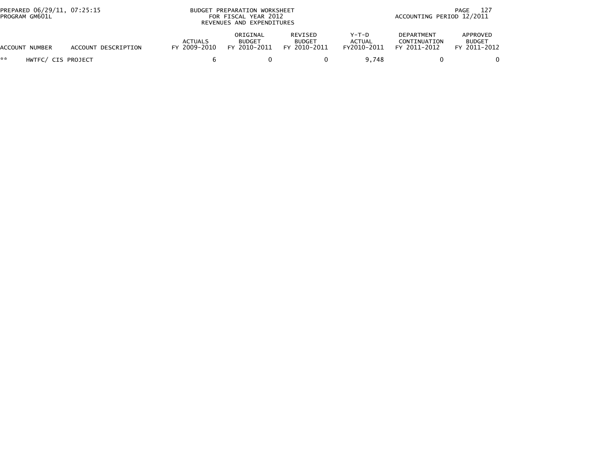| PREPARED 06/29/11, 07:25:15<br>PROGRAM GM601L |                     |                                | BUDGET PREPARATION WORKSHEET<br>FOR FISCAL YEAR 2012<br>REVENUES AND EXPENDITURES |                                          | 127<br>PAGE<br>ACCOUNTING PERIOD 12/2011 |                                                   |                                           |
|-----------------------------------------------|---------------------|--------------------------------|-----------------------------------------------------------------------------------|------------------------------------------|------------------------------------------|---------------------------------------------------|-------------------------------------------|
| ACCOUNT NUMBER                                | ACCOUNT DESCRIPTION | <b>ACTUALS</b><br>FY 2009-2010 | ORIGINAL<br><b>BUDGET</b><br>FY 2010-2011                                         | REVISED<br><b>BUDGET</b><br>FY 2010-2011 | Y-T-D<br><b>ACTUAL</b><br>FY2010-2011    | <b>DEPARTMENT</b><br>CONTINUATION<br>FY 2011-2012 | APPROVED<br><b>BUDGET</b><br>FY 2011-2012 |
| **<br>HWTFC/ CIS PROJECT                      |                     |                                |                                                                                   |                                          | 9.748                                    |                                                   |                                           |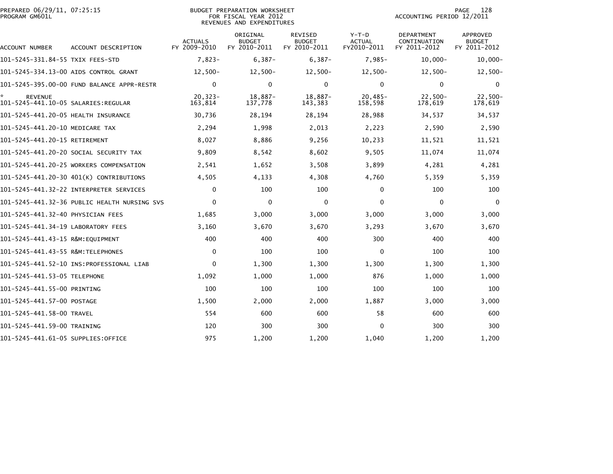| PREPARED 06/29/11, 07:25:15<br>PROGRAM GM601L |                                              |                                | <b>BUDGET PREPARATION WORKSHEET</b><br>FOR FISCAL YEAR 2012<br>REVENUES AND EXPENDITURES | 128<br>PAGE<br>ACCOUNTING PERIOD 12/2011        |                                         |                                                   |                                           |
|-----------------------------------------------|----------------------------------------------|--------------------------------|------------------------------------------------------------------------------------------|-------------------------------------------------|-----------------------------------------|---------------------------------------------------|-------------------------------------------|
| ACCOUNT NUMBER                                | ACCOUNT DESCRIPTION                          | <b>ACTUALS</b><br>FY 2009-2010 | ORIGINAL<br><b>BUDGET</b><br>FY 2010-2011                                                | <b>REVISED</b><br><b>BUDGET</b><br>FY 2010-2011 | $Y-T-D$<br><b>ACTUAL</b><br>FY2010-2011 | <b>DEPARTMENT</b><br>CONTINUATION<br>FY 2011-2012 | APPROVED<br><b>BUDGET</b><br>FY 2011-2012 |
| 101–5245–331.84–55 TXIX FEES–STD              |                                              | $7,823-$                       | $6,387-$                                                                                 | $6,387-$                                        | $7,985-$                                | $10,000 -$                                        | $10,000 -$                                |
|                                               | 101-5245-334.13-00 AIDS CONTROL GRANT        | $12,500-$                      | $12,500-$                                                                                | $12,500-$                                       | $12,500-$                               | $12,500-$                                         | $12,500-$                                 |
|                                               | 101-5245-395.00-00 FUND BALANCE APPR-RESTR   | $\mathbf{0}$                   | $\mathbf{0}$                                                                             | $\mathbf{0}$                                    | $\Omega$                                | 0                                                 | $\mathbf{0}$                              |
| <b>REVENUE</b>                                |                                              | $20, 323 -$<br>163,814         | 18,887-<br>137,778                                                                       | 18,887-<br>143,383                              | $20,485-$<br>158,598                    | $22,500-$<br>178,619                              | $22,500-$<br>178,619                      |
| 101-5245-441.20-05 HEALTH INSURANCE           |                                              | 30,736                         | 28,194                                                                                   | 28,194                                          | 28,988                                  | 34,537                                            | 34,537                                    |
| 101-5245-441.20-10 MEDICARE TAX               |                                              | 2,294                          | 1,998                                                                                    | 2,013                                           | 2,223                                   | 2,590                                             | 2,590                                     |
| 101-5245-441.20-15 RETIREMENT                 |                                              | 8,027                          | 8,886                                                                                    | 9,256                                           | 10,233                                  | 11,521                                            | 11,521                                    |
|                                               | 101–5245–441.20–20 SOCIAL SECURITY TAX       | 9,809                          | 8,542                                                                                    | 8,602                                           | 9,505                                   | 11,074                                            | 11,074                                    |
|                                               | 101-5245-441.20-25 WORKERS COMPENSATION      | 2,541                          | 1,652                                                                                    | 3,508                                           | 3,899                                   | 4,281                                             | 4,281                                     |
|                                               | 101-5245-441.20-30 401(K) CONTRIBUTIONS      | 4,505                          | 4,133                                                                                    | 4,308                                           | 4,760                                   | 5,359                                             | 5,359                                     |
|                                               |                                              | $\mathbf 0$                    | 100                                                                                      | 100                                             | 0                                       | 100                                               | 100                                       |
|                                               | 101-5245-441.32-36 PUBLIC HEALTH NURSING SVS | $\mathbf{0}$                   | 0                                                                                        | 0                                               | $\Omega$                                | $\Omega$                                          | $\Omega$                                  |
| 101-5245-441.32-40 PHYSICIAN FEES             |                                              | 1,685                          | 3,000                                                                                    | 3,000                                           | 3,000                                   | 3,000                                             | 3,000                                     |
| 101-5245-441.34-19 LABORATORY FEES            |                                              | 3,160                          | 3,670                                                                                    | 3,670                                           | 3,293                                   | 3,670                                             | 3,670                                     |
| 101-5245-441.43-15 R&M:EQUIPMENT              |                                              | 400                            | 400                                                                                      | 400                                             | 300                                     | 400                                               | 400                                       |
| 101-5245-441.43-55 R&M:TELEPHONES             |                                              | $\mathbf{0}$                   | 100                                                                                      | 100                                             | $\Omega$                                | 100                                               | 100                                       |
|                                               |                                              | $\mathbf{0}$                   | 1,300                                                                                    | 1,300                                           | 1,300                                   | 1,300                                             | 1,300                                     |
| 101-5245-441.53-05 TELEPHONE                  |                                              | 1,092                          | 1,000                                                                                    | 1,000                                           | 876                                     | 1,000                                             | 1,000                                     |
| 101-5245-441.55-00 PRINTING                   |                                              | 100                            | 100                                                                                      | 100                                             | 100                                     | 100                                               | 100                                       |
| 101-5245-441.57-00 POSTAGE                    |                                              | 1,500                          | 2,000                                                                                    | 2,000                                           | 1,887                                   | 3,000                                             | 3,000                                     |
| 101-5245-441.58-00 TRAVEL                     |                                              | 554                            | 600                                                                                      | 600                                             | 58                                      | 600                                               | 600                                       |
| 101-5245-441.59-00 TRAINING                   |                                              | 120                            | 300                                                                                      | 300                                             | $\Omega$                                | 300                                               | 300                                       |
| 101-5245-441.61-05 SUPPLIES:OFFICE            |                                              | 975                            | 1,200                                                                                    | 1,200                                           | 1,040                                   | 1,200                                             | 1,200                                     |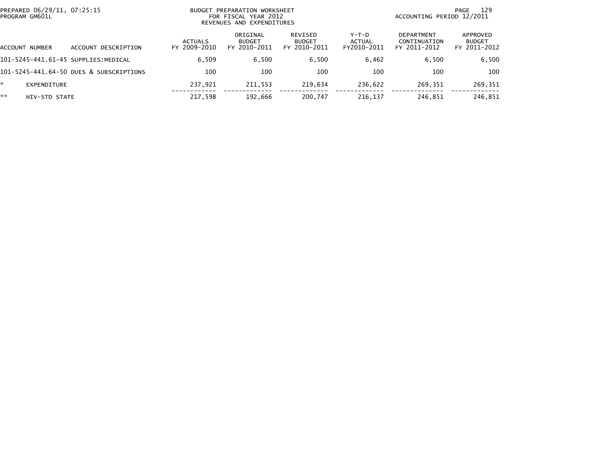|    | PREPARED 06/29/11, 07:25:15<br>PROGRAM GM601L |                                         |                                | BUDGET PREPARATION WORKSHEET<br>FOR FISCAL YEAR 2012<br>REVENUES AND EXPENDITURES |                                          | 129<br>PAGE<br>ACCOUNTING PERIOD 12/2011 |                                                   |                                           |  |
|----|-----------------------------------------------|-----------------------------------------|--------------------------------|-----------------------------------------------------------------------------------|------------------------------------------|------------------------------------------|---------------------------------------------------|-------------------------------------------|--|
|    | ACCOUNT NUMBER                                | ACCOUNT DESCRIPTION                     | <b>ACTUALS</b><br>FY 2009-2010 | ORIGINAL<br><b>BUDGET</b><br>FY 2010-2011                                         | REVISED<br><b>BUDGET</b><br>FY 2010-2011 | Y-T-D<br>ACTUAL<br>FY2010-2011           | <b>DEPARTMENT</b><br>CONTINUATION<br>FY 2011-2012 | APPROVED<br><b>BUDGET</b><br>FY 2011-2012 |  |
|    |                                               | 101-5245-441.61-45 SUPPLIES:MEDICAL     | 6.509                          | 6,500                                                                             | 6.500                                    | 6,462                                    | 6,500                                             | 6,500                                     |  |
|    |                                               | 101-5245-441.64-50 DUES & SUBSCRIPTIONS | 100                            | 100                                                                               | 100                                      | 100                                      | 100                                               | 100                                       |  |
| *  | EXPENDITURE                                   |                                         | 237.921                        | 211,553                                                                           | 219.634                                  | 236.622                                  | 269.351                                           | 269,351                                   |  |
| ** | HIV-STD STATE                                 |                                         | 217,598                        | 192,666                                                                           | 200,747                                  | 216,137                                  | 246,851                                           | 246,851                                   |  |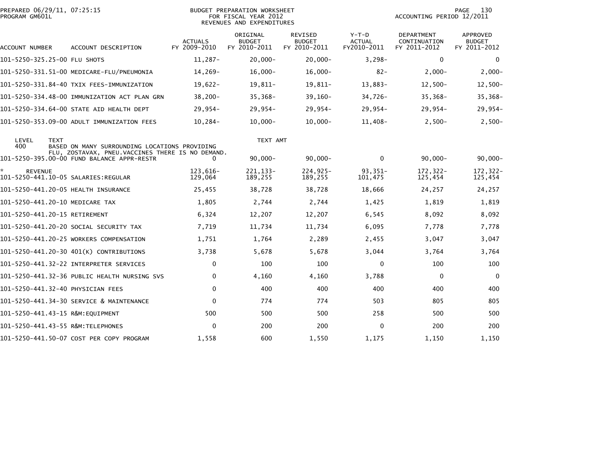| PREPARED 06/29/11, 07:25:15<br>PROGRAM GM601L |                                                                                                   | <b>BUDGET PREPARATION WORKSHEET</b><br>FOR FISCAL YEAR 2012<br>REVENUES AND EXPENDITURES |                                           |                                          |                                         | PAGE<br>130<br>ACCOUNTING PERIOD 12/2011          |                                    |  |
|-----------------------------------------------|---------------------------------------------------------------------------------------------------|------------------------------------------------------------------------------------------|-------------------------------------------|------------------------------------------|-----------------------------------------|---------------------------------------------------|------------------------------------|--|
| ACCOUNT NUMBER                                | ACCOUNT DESCRIPTION                                                                               | <b>ACTUALS</b><br>FY 2009-2010                                                           | ORIGINAL<br><b>BUDGET</b><br>FY 2010-2011 | REVISED<br><b>BUDGET</b><br>FY 2010-2011 | $Y-T-D$<br><b>ACTUAL</b><br>FY2010-2011 | <b>DEPARTMENT</b><br>CONTINUATION<br>FY 2011-2012 | APPROVED<br>BUDGET<br>FY 2011-2012 |  |
| 101-5250-325.25-00 FLU SHOTS                  |                                                                                                   | $11,287-$                                                                                | $20,000-$                                 | $20,000 -$                               | $3,298-$                                | $\mathbf 0$                                       | $\mathbf 0$                        |  |
|                                               | 101-5250-331.51-00 MEDICARE-FLU/PNEUMONIA                                                         | 14,269-                                                                                  | $16,000 -$                                | $16,000-$                                | $82 -$                                  | $2,000 -$                                         | $2,000-$                           |  |
|                                               | 101-5250-331.84-40 TXIX FEES-IMMUNIZATION                                                         | $19,622-$                                                                                | 19,811-                                   | 19,811-                                  | 13,883-                                 | $12,500-$                                         | $12,500-$                          |  |
|                                               | 101-5250-334.48-00 IMMUNIZATION ACT PLAN GRN                                                      | $38,200 -$                                                                               | $35,368-$                                 | $39,160-$                                | 34,726-                                 | $35,368-$                                         | $35,368-$                          |  |
|                                               | 101-5250-334.64-00 STATE AID HEALTH DEPT                                                          | $29,954-$                                                                                | $29,954-$                                 | $29,954-$                                | $29,954-$                               | $29,954-$                                         | $29,954-$                          |  |
|                                               | 101-5250-353.09-00 ADULT IMMUNIZATION FEES                                                        | $10,284-$                                                                                | $10,000 -$                                | $10,000 -$                               | $11,408-$                               | $2,500-$                                          | $2,500-$                           |  |
| LEVEL<br><b>TEXT</b><br>400                   | BASED ON MANY SURROUNDING LOCATIONS PROVIDING<br>FLU, ZOSTAVAX, PNEU.VACCINES THERE IS NO DEMAND. |                                                                                          | TEXT AMT                                  |                                          |                                         |                                                   |                                    |  |
|                                               | 101-5250-395.00-00 FUND BALANCE APPR-RESTR                                                        | 0                                                                                        | $90,000 -$                                | $90,000 -$                               | $\mathbf{0}$                            | $90,000 -$                                        | $90,000 -$                         |  |
| *<br><b>REVENUE</b>                           |                                                                                                   | 123,616-<br>129,064                                                                      | 221, 133-<br>189,255                      | $224,925-$<br>189,255                    | $93,351-$<br>101,475                    | 172,322-<br>125,454                               | 172, 322-<br>125,454               |  |
| 101-5250-441.20-05 HEALTH INSURANCE           |                                                                                                   | 25,455                                                                                   | 38,728                                    | 38,728                                   | 18,666                                  | 24,257                                            | 24,257                             |  |
| 101-5250-441.20-10 MEDICARE TAX               |                                                                                                   | 1,805                                                                                    | 2,744                                     | 2,744                                    | 1,425                                   | 1,819                                             | 1,819                              |  |
| 101-5250-441.20-15 RETIREMENT                 |                                                                                                   | 6,324                                                                                    | 12,207                                    | 12,207                                   | 6,545                                   | 8,092                                             | 8,092                              |  |
|                                               | 101-5250-441.20-20 SOCIAL SECURITY TAX                                                            | 7,719                                                                                    | 11,734                                    | 11,734                                   | 6,095                                   | 7,778                                             | 7,778                              |  |
|                                               | 101-5250-441.20-25 WORKERS COMPENSATION                                                           | 1,751                                                                                    | 1,764                                     | 2,289                                    | 2,455                                   | 3,047                                             | 3,047                              |  |
|                                               | 101-5250-441.20-30 401(K) CONTRIBUTIONS                                                           | 3,738                                                                                    | 5,678                                     | 5,678                                    | 3,044                                   | 3,764                                             | 3,764                              |  |
|                                               | 101-5250-441.32-22 INTERPRETER SERVICES                                                           | $\Omega$                                                                                 | 100                                       | 100                                      | $\mathbf{0}$                            | 100                                               | 100                                |  |
|                                               | 101-5250-441.32-36 PUBLIC HEALTH NURSING SVS                                                      | $\mathbf{0}$                                                                             | 4,160                                     | 4,160                                    | 3,788                                   | 0                                                 | $\overline{0}$                     |  |
| 101-5250-441.32-40 PHYSICIAN FEES             |                                                                                                   | $\mathbf{0}$                                                                             | 400                                       | 400                                      | 400                                     | 400                                               | 400                                |  |
|                                               | 101-5250-441.34-30 SERVICE & MAINTENANCE                                                          | $\mathbf{0}$                                                                             | 774                                       | 774                                      | 503                                     | 805                                               | 805                                |  |
| 101-5250-441.43-15 R&M:EQUIPMENT              |                                                                                                   | 500                                                                                      | 500                                       | 500                                      | 258                                     | 500                                               | 500                                |  |
| 101-5250-441.43-55 R&M:TELEPHONES             |                                                                                                   | $\mathbf{0}$                                                                             | 200                                       | 200                                      | $\mathbf{0}$                            | 200                                               | 200                                |  |
|                                               | 101-5250-441.50-07 COST PER COPY PROGRAM                                                          | 1,558                                                                                    | 600                                       | 1,550                                    | 1,175                                   | 1,150                                             | 1,150                              |  |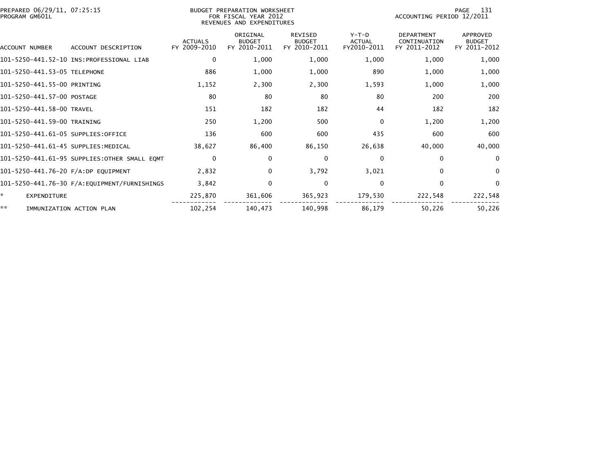| PREPARED 06/29/11, 07:25:15<br>PROGRAM GM601L |                                               | BUDGET PREPARATION WORKSHEET<br>FOR FISCAL YEAR 2012<br>REVENUES AND EXPENDITURES |                                           |                                                 |                                         | 131<br>PAGE<br>ACCOUNTING PERIOD 12/2011          |                                           |
|-----------------------------------------------|-----------------------------------------------|-----------------------------------------------------------------------------------|-------------------------------------------|-------------------------------------------------|-----------------------------------------|---------------------------------------------------|-------------------------------------------|
| <b>ACCOUNT NUMBER</b>                         | ACCOUNT DESCRIPTION                           | <b>ACTUALS</b><br>FY 2009-2010                                                    | ORIGINAL<br><b>BUDGET</b><br>FY 2010-2011 | <b>REVISED</b><br><b>BUDGET</b><br>FY 2010-2011 | $Y-T-D$<br><b>ACTUAL</b><br>FY2010-2011 | <b>DEPARTMENT</b><br>CONTINUATION<br>FY 2011-2012 | APPROVED<br><b>BUDGET</b><br>FY 2011-2012 |
|                                               |                                               | $\mathbf{0}$                                                                      | 1,000                                     | 1,000                                           | 1,000                                   | 1,000                                             | 1,000                                     |
| 101-5250-441.53-05 TELEPHONE                  |                                               | 886                                                                               | 1,000                                     | 1,000                                           | 890                                     | 1,000                                             | 1,000                                     |
| 101-5250-441.55-00 PRINTING                   |                                               | 1,152                                                                             | 2,300                                     | 2,300                                           | 1,593                                   | 1,000                                             | 1,000                                     |
| 101-5250-441.57-00 POSTAGE                    |                                               | 80                                                                                | 80                                        | 80                                              | 80                                      | 200                                               | 200                                       |
| 101-5250-441.58-00 TRAVEL                     |                                               | 151                                                                               | 182                                       | 182                                             | 44                                      | 182                                               | 182                                       |
| 101-5250-441.59-00 TRAINING                   |                                               | 250                                                                               | 1,200                                     | 500                                             | 0                                       | 1,200                                             | 1,200                                     |
| 101-5250-441.61-05 SUPPLIES:OFFICE            |                                               | 136                                                                               | 600                                       | 600                                             | 435                                     | 600                                               | 600                                       |
| 101-5250-441.61-45 SUPPLIES:MEDICAL           |                                               | 38,627                                                                            | 86,400                                    | 86,150                                          | 26,638                                  | 40,000                                            | 40,000                                    |
|                                               | 101-5250-441.61-95 SUPPLIES:OTHER SMALL EQMT  | $\mathbf{0}$                                                                      | $\Omega$                                  | 0                                               | 0                                       | $\Omega$                                          | $\Omega$                                  |
| 101-5250-441.76-20 F/A:DP EQUIPMENT           |                                               | 2,832                                                                             | 0                                         | 3,792                                           | 3,021                                   | $\mathbf{0}$                                      | $\mathbf{0}$                              |
|                                               | 101-5250-441.76-30 F/A: EQUIPMENT/FURNISHINGS | 3,842                                                                             | $\Omega$                                  | $\Omega$                                        | $\Omega$                                | $\Omega$                                          | $\Omega$                                  |
| *.<br><b>EXPENDITURE</b>                      |                                               | 225,870                                                                           | 361,606                                   | 365,923                                         | 179,530                                 | 222,548                                           | 222,548                                   |
| **                                            | IMMUNIZATION ACTION PLAN                      | 102,254                                                                           | 140,473                                   | 140,998                                         | 86,179                                  | 50,226                                            | 50,226                                    |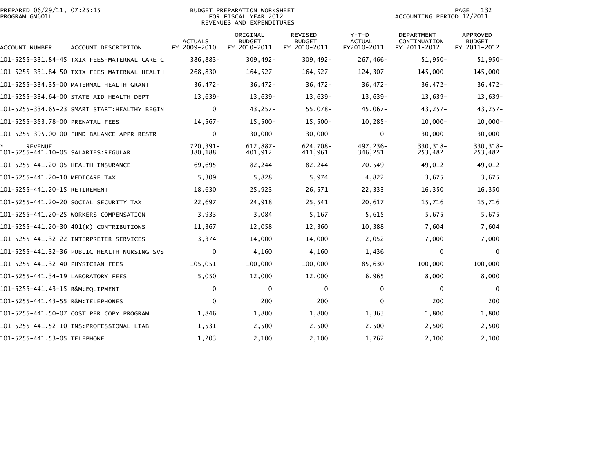| PREPARED 06/29/11, 07:25:15<br>PROGRAM GM601L |                                              |                                | BUDGET PREPARATION WORKSHEET<br>FOR FISCAL YEAR 2012<br>REVENUES AND EXPENDITURES | 132<br>PAGE<br>ACCOUNTING PERIOD 12/2011        |                                         |                                            |                                                  |
|-----------------------------------------------|----------------------------------------------|--------------------------------|-----------------------------------------------------------------------------------|-------------------------------------------------|-----------------------------------------|--------------------------------------------|--------------------------------------------------|
| ACCOUNT NUMBER                                | ACCOUNT DESCRIPTION                          | <b>ACTUALS</b><br>FY 2009-2010 | ORIGINAL<br><b>BUDGET</b><br>FY 2010-2011                                         | <b>REVISED</b><br><b>BUDGET</b><br>FY 2010-2011 | $Y-T-D$<br><b>ACTUAL</b><br>FY2010-2011 | DEPARTMENT<br>CONTINUATION<br>FY 2011-2012 | <b>APPROVED</b><br><b>BUDGET</b><br>FY 2011-2012 |
|                                               | 101-5255-331.84-45 TXIX FEES-MATERNAL CARE C | 386,883-                       | $309,492 -$                                                                       | $309,492 -$                                     | 267,466-                                | $51,950-$                                  | $51,950-$                                        |
|                                               | 101-5255-331.84-50 TXIX FEES-MATERNAL HEALTH | 268,830-                       | $164, 527 -$                                                                      | $164, 527 -$                                    | $124, 307 -$                            | 145,000-                                   | 145,000-                                         |
|                                               | 101-5255-334.35-00 MATERNAL HEALTH GRANT     | $36,472-$                      | $36,472-$                                                                         | $36,472-$                                       | $36,472-$                               | $36,472-$                                  | $36,472-$                                        |
|                                               | 101-5255-334.64-00 STATE AID HEALTH DEPT     | 13,639-                        | 13,639-                                                                           | $13,639-$                                       | 13,639-                                 | 13,639-                                    | $13,639-$                                        |
|                                               | 101-5255-334.65-23 SMART START:HEALTHY BEGIN | $\mathbf 0$                    | $43,257-$                                                                         | 55,078-                                         | $45,067 -$                              | $43,257-$                                  | $43,257-$                                        |
| 101-5255-353.78-00 PRENATAL FEES              |                                              | $14,567-$                      | $15,500-$                                                                         | $15,500-$                                       | $10, 285 -$                             | $10,000 -$                                 | $10,000 -$                                       |
|                                               | 101-5255-395.00-00 FUND BALANCE APPR-RESTR   | $\mathbf 0$                    | $30,000 -$                                                                        | $30,000 -$                                      | $\mathbf 0$                             | $30,000 -$                                 | $30,000 -$                                       |
| <b>REVENUE</b>                                |                                              | 720,391-<br>380,188            | $612,887-$<br>401,912                                                             | 624,708-<br>411,961                             | 497,236-<br>346,251                     | 330, 318-<br>253,482                       | 330, 318-<br>253,482                             |
| 101-5255-441.20-05 HEALTH INSURANCE           |                                              | 69,695                         | 82,244                                                                            | 82,244                                          | 70,549                                  | 49,012                                     | 49,012                                           |
| 101-5255-441.20-10 MEDICARE TAX               |                                              | 5,309                          | 5,828                                                                             | 5,974                                           | 4,822                                   | 3,675                                      | 3,675                                            |
| 101-5255-441.20-15 RETIREMENT                 |                                              | 18,630                         | 25,923                                                                            | 26,571                                          | 22,333                                  | 16,350                                     | 16,350                                           |
|                                               | 101-5255-441.20-20 SOCIAL SECURITY TAX       | 22,697                         | 24,918                                                                            | 25,541                                          | 20,617                                  | 15,716                                     | 15,716                                           |
|                                               | 101-5255-441.20-25 WORKERS COMPENSATION      | 3,933                          | 3,084                                                                             | 5,167                                           | 5,615                                   | 5,675                                      | 5,675                                            |
|                                               | 101-5255-441.20-30 401(K) CONTRIBUTIONS      | 11,367                         | 12,058                                                                            | 12,360                                          | 10,388                                  | 7,604                                      | 7,604                                            |
|                                               | 101-5255-441.32-22 INTERPRETER SERVICES      | 3,374                          | 14,000                                                                            | 14,000                                          | 2,052                                   | 7,000                                      | 7,000                                            |
|                                               |                                              | $\Omega$                       | 4,160                                                                             | 4,160                                           | 1,436                                   | $\mathbf{0}$                               | $\Omega$                                         |
| 101-5255-441.32-40 PHYSICIAN FEES             |                                              | 105,051                        | 100,000                                                                           | 100,000                                         | 85,630                                  | 100,000                                    | 100,000                                          |
| 101-5255-441.34-19 LABORATORY FEES            |                                              | 5,050                          | 12,000                                                                            | 12,000                                          | 6,965                                   | 8,000                                      | 8,000                                            |
| 101-5255-441.43-15 R&M:EQUIPMENT              |                                              | 0                              | 0                                                                                 | 0                                               | 0                                       | 0                                          | $\Omega$                                         |
| 101-5255-441.43-55 R&M:TELEPHONES             |                                              | $\mathbf{0}$                   | 200                                                                               | 200                                             | $\Omega$                                | 200                                        | 200                                              |
|                                               | 101-5255-441.50-07 COST PER COPY PROGRAM     | 1,846                          | 1,800                                                                             | 1,800                                           | 1,363                                   | 1,800                                      | 1,800                                            |
|                                               |                                              | 1,531                          | 2,500                                                                             | 2,500                                           | 2,500                                   | 2,500                                      | 2,500                                            |
| 101-5255-441.53-05 TELEPHONE                  |                                              | 1,203                          | 2,100                                                                             | 2,100                                           | 1,762                                   | 2,100                                      | 2,100                                            |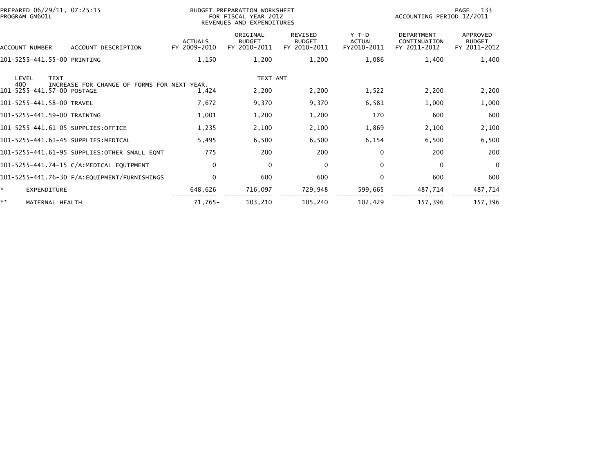| PREPARED 06/29/11, 07:25:15<br>PROGRAM GM601L |                                                      | BUDGET PREPARATION WORKSHEET<br>FOR FISCAL YEAR 2012<br>REVENUES AND EXPENDITURES |                                                 |                                         | 133<br>PAGE<br>ACCOUNTING PERIOD 12/2011          |                                           |  |
|-----------------------------------------------|------------------------------------------------------|-----------------------------------------------------------------------------------|-------------------------------------------------|-----------------------------------------|---------------------------------------------------|-------------------------------------------|--|
| ACCOUNT DESCRIPTION<br><b>ACCOUNT NUMBER</b>  | <b>ACTUALS</b><br>FY 2009-2010                       | ORIGINAL<br><b>BUDGET</b><br>FY 2010-2011                                         | <b>REVISED</b><br><b>BUDGET</b><br>FY 2010-2011 | $Y-T-D$<br><b>ACTUAL</b><br>FY2010-2011 | <b>DEPARTMENT</b><br>CONTINUATION<br>FY 2011-2012 | APPROVED<br><b>BUDGET</b><br>FY 2011-2012 |  |
| 101-5255-441.55-00 PRINTING                   | 1,150                                                | 1,200                                                                             | 1,200                                           | 1,086                                   | 1,400                                             | 1,400                                     |  |
| <b>TEXT</b><br>LEVEL                          |                                                      | TEXT AMT                                                                          |                                                 |                                         |                                                   |                                           |  |
| 400<br>101-5255-441.57-00 POSTAGE             | INCREASE FOR CHANGE OF FORMS FOR NEXT YEAR.<br>1,424 | 2,200                                                                             | 2,200                                           | 1,522                                   | 2,200                                             | 2,200                                     |  |
| 101-5255-441.58-00 TRAVEL                     | 7,672                                                | 9,370                                                                             | 9,370                                           | 6,581                                   | 1,000                                             | 1,000                                     |  |
| 101-5255-441.59-00 TRAINING                   | 1,001                                                | 1,200                                                                             | 1,200                                           | 170                                     | 600                                               | 600                                       |  |
| 101-5255-441.61-05 SUPPLIES:OFFICE            | 1,235                                                | 2,100                                                                             | 2,100                                           | 1,869                                   | 2,100                                             | 2,100                                     |  |
| 101-5255-441.61-45 SUPPLIES:MEDICAL           | 5,495                                                | 6,500                                                                             | 6,500                                           | 6,154                                   | 6,500                                             | 6,500                                     |  |
| 101-5255-441.61-95 SUPPLIES: OTHER SMALL EQMT | 775                                                  | 200                                                                               | 200                                             | $\Omega$                                | 200                                               | 200                                       |  |
| 101-5255-441.74-15 C/A:MEDICAL EQUIPMENT      | $\mathbf{0}$                                         | 0                                                                                 | 0                                               | $\mathbf{0}$                            | $\mathbf{0}$                                      | 0                                         |  |
|                                               | $\Omega$                                             | 600                                                                               | 600                                             | $\Omega$                                | 600                                               | 600                                       |  |
| $\mathbb{R}^n$<br><b>EXPENDITURE</b>          | 648,626                                              | 716,097                                                                           | 729,948                                         | 599,665                                 | 487,714                                           | 487,714                                   |  |
| **<br>MATERNAL HEALTH                         | 71,765-                                              | 103,210                                                                           | 105,240                                         | 102,429                                 | 157,396                                           | 157,396                                   |  |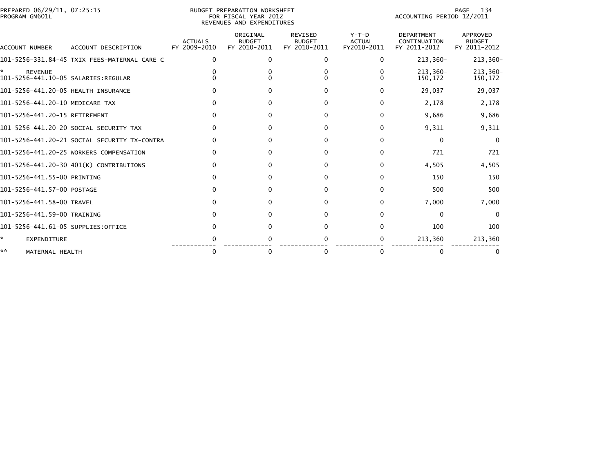|                | PREPARED 06/29/11, 07:25:15 |  |
|----------------|-----------------------------|--|
| PROGRAM GM601L |                             |  |

## PREPARED 06/29/11, 07:25:15 BUDGET PREPARATION WORKSHEET PAGE 134PROGRAM GM601L FOR FISCAL YEAR 2012 ACCOUNTING PERIOD 12/2011 REVENUES AND EXPENDITURES

PAGE 134<br>ACCOUNTING PERIOD 12/2011

| ACCOUNT NUMBER                      | ACCOUNT DESCRIPTION                          | <b>ACTUALS</b><br>FY 2009-2010 | ORIGINAL<br><b>BUDGET</b><br>FY 2010-2011 | <b>REVISED</b><br><b>BUDGET</b><br>FY 2010-2011 | $Y-T-D$<br><b>ACTUAL</b><br>FY2010-2011 | <b>DEPARTMENT</b><br>CONTINUATION<br>FY 2011-2012 | <b>APPROVED</b><br><b>BUDGET</b><br>FY 2011-2012 |
|-------------------------------------|----------------------------------------------|--------------------------------|-------------------------------------------|-------------------------------------------------|-----------------------------------------|---------------------------------------------------|--------------------------------------------------|
|                                     | 101-5256-331.84-45 TXIX FEES-MATERNAL CARE C | <sup>0</sup>                   |                                           | 0                                               | 0                                       | 213,360-                                          | 213,360-                                         |
| *<br><b>REVENUE</b>                 |                                              |                                |                                           |                                                 |                                         | $213,360-$<br>150,172                             | 213,360-<br>150,172                              |
| 101-5256-441.20-05 HEALTH INSURANCE |                                              |                                |                                           |                                                 |                                         | 29,037                                            | 29,037                                           |
| 101-5256-441.20-10 MEDICARE TAX     |                                              |                                |                                           |                                                 | $\Omega$                                | 2,178                                             | 2,178                                            |
| 101-5256-441.20-15 RETIREMENT       |                                              |                                |                                           | o                                               | <sup>0</sup>                            | 9,686                                             | 9,686                                            |
|                                     | 101-5256-441.20-20 SOCIAL SECURITY TAX       |                                |                                           | <sup>0</sup>                                    | <sup>0</sup>                            | 9,311                                             | 9,311                                            |
|                                     | 101-5256-441.20-21 SOCIAL SECURITY TX-CONTRA |                                |                                           |                                                 |                                         | $\Omega$                                          | $\Omega$                                         |
|                                     | 101-5256-441.20-25 WORKERS COMPENSATION      |                                |                                           |                                                 |                                         | 721                                               | 721                                              |
|                                     | 101-5256-441.20-30 401(K) CONTRIBUTIONS      |                                |                                           |                                                 | <sup>0</sup>                            | 4,505                                             | 4,505                                            |
| 101-5256-441.55-00 PRINTING         |                                              |                                |                                           |                                                 |                                         | 150                                               | 150                                              |
| 101-5256-441.57-00 POSTAGE          |                                              |                                |                                           |                                                 |                                         | 500                                               | 500                                              |
| 101-5256-441.58-00 TRAVEL           |                                              |                                | 0                                         | 0                                               | 0                                       | 7,000                                             | 7,000                                            |
| 101-5256-441.59-00 TRAINING         |                                              |                                |                                           |                                                 |                                         | $\Omega$                                          | $\Omega$                                         |
| 101-5256-441.61-05 SUPPLIES:OFFICE  |                                              |                                |                                           |                                                 |                                         | 100                                               | 100                                              |
| ÷.<br><b>EXPENDITURE</b>            |                                              |                                |                                           |                                                 |                                         | 213,360                                           | 213,360                                          |
| **<br>MATERNAL HEALTH               |                                              |                                |                                           |                                                 | 0                                       |                                                   |                                                  |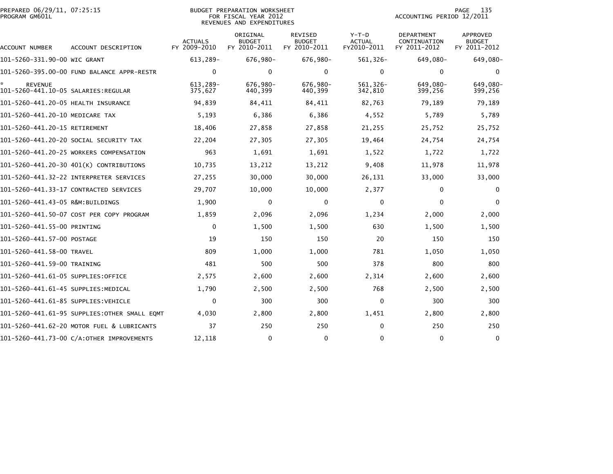| PREPARED 06/29/11, 07:25:15<br>PROGRAM GM601L | <b>BUDGET PREPARATION WORKSHEET</b><br>FOR FISCAL YEAR 2012<br>REVENUES AND EXPENDITURES |                                |                                           |                                                 |                                         | 135<br>PAGE<br>ACCOUNTING PERIOD 12/2011   |                                                  |  |
|-----------------------------------------------|------------------------------------------------------------------------------------------|--------------------------------|-------------------------------------------|-------------------------------------------------|-----------------------------------------|--------------------------------------------|--------------------------------------------------|--|
| ACCOUNT NUMBER                                | ACCOUNT DESCRIPTION                                                                      | <b>ACTUALS</b><br>FY 2009-2010 | ORIGINAL<br><b>BUDGET</b><br>FY 2010-2011 | <b>REVISED</b><br><b>BUDGET</b><br>FY 2010-2011 | $Y-T-D$<br><b>ACTUAL</b><br>FY2010-2011 | DEPARTMENT<br>CONTINUATION<br>FY 2011-2012 | <b>APPROVED</b><br><b>BUDGET</b><br>FY 2011-2012 |  |
| 101-5260-331.90-00 WIC GRANT                  |                                                                                          | 613,289-                       | 676,980-                                  | 676,980-                                        | $561, 326 -$                            | 649,080-                                   | 649,080-                                         |  |
|                                               | 101-5260-395.00-00 FUND BALANCE APPR-RESTR                                               | $\mathbf{0}$                   | $\mathbf{0}$                              | $\mathbf{0}$                                    | $\mathbf 0$                             | $\mathbf 0$                                | $\Omega$                                         |  |
| <b>REVENUE</b>                                |                                                                                          | 613.289-<br>375,627            | 676.980-<br>440,399                       | 676,980-<br>440,399                             | 561.326-<br>342,810                     | 649,080-<br>399,256                        | 649.080-<br>399,256                              |  |
| 101-5260-441.20-05 HEALTH INSURANCE           |                                                                                          | 94,839                         | 84,411                                    | 84,411                                          | 82,763                                  | 79,189                                     | 79,189                                           |  |
| 101-5260-441.20-10 MEDICARE TAX               |                                                                                          | 5,193                          | 6,386                                     | 6,386                                           | 4,552                                   | 5,789                                      | 5,789                                            |  |
| 101-5260-441.20-15 RETIREMENT                 |                                                                                          | 18,406                         | 27,858                                    | 27,858                                          | 21,255                                  | 25,752                                     | 25,752                                           |  |
|                                               | 101–5260–441.20–20 SOCIAL SECURITY TAX                                                   | 22,204                         | 27,305                                    | 27,305                                          | 19,464                                  | 24,754                                     | 24,754                                           |  |
|                                               | 101-5260-441.20-25 WORKERS COMPENSATION                                                  | 963                            | 1,691                                     | 1,691                                           | 1,522                                   | 1,722                                      | 1,722                                            |  |
|                                               | 101-5260-441.20-30 401(K) CONTRIBUTIONS                                                  | 10,735                         | 13,212                                    | 13,212                                          | 9,408                                   | 11,978                                     | 11,978                                           |  |
|                                               |                                                                                          | 27,255                         | 30,000                                    | 30,000                                          | 26,131                                  | 33,000                                     | 33,000                                           |  |
|                                               | 101-5260-441.33-17 CONTRACTED SERVICES                                                   | 29,707                         | 10,000                                    | 10,000                                          | 2,377                                   | $\mathbf 0$                                | $\mathbf{0}$                                     |  |
| 101-5260-441.43-05 R&M:BUILDINGS              |                                                                                          | 1,900                          | 0                                         | 0                                               | 0                                       | $\mathbf 0$                                | $\mathbf{0}$                                     |  |
|                                               | 101-5260-441.50-07 COST PER COPY PROGRAM                                                 | 1,859                          | 2,096                                     | 2,096                                           | 1,234                                   | 2,000                                      | 2,000                                            |  |
| 101-5260-441.55-00 PRINTING                   |                                                                                          | $\Omega$                       | 1,500                                     | 1,500                                           | 630                                     | 1,500                                      | 1,500                                            |  |
| 101-5260-441.57-00 POSTAGE                    |                                                                                          | 19                             | 150                                       | 150                                             | 20                                      | 150                                        | 150                                              |  |
| 101-5260-441.58-00 TRAVEL                     |                                                                                          | 809                            | 1,000                                     | 1,000                                           | 781                                     | 1,050                                      | 1,050                                            |  |
| 101-5260-441.59-00 TRAINING                   |                                                                                          | 481                            | 500                                       | 500                                             | 378                                     | 800                                        | 800                                              |  |
| 101–5260–441.61–05 SUPPLIES:OFFICE            |                                                                                          | 2,575                          | 2,600                                     | 2,600                                           | 2,314                                   | 2,600                                      | 2,600                                            |  |
| 101–5260–441.61–45 SUPPLIES:MEDICAL           |                                                                                          | 1,790                          | 2,500                                     | 2,500                                           | 768                                     | 2,500                                      | 2,500                                            |  |
| 101-5260-441.61-85 SUPPLIES:VEHICLE           |                                                                                          | $\mathbf 0$                    | 300                                       | 300                                             | 0                                       | 300                                        | 300                                              |  |
|                                               | 101–5260–441.61–95 SUPPLIES:OTHER SMALL EOMT                                             | 4,030                          | 2,800                                     | 2,800                                           | 1,451                                   | 2,800                                      | 2,800                                            |  |
|                                               | 101-5260-441.62-20 MOTOR FUEL & LUBRICANTS                                               | 37                             | 250                                       | 250                                             | $\mathbf 0$                             | 250                                        | 250                                              |  |
|                                               | 101-5260-441.73-00 C/A:OTHER IMPROVEMENTS                                                | 12,118                         | $\mathbf{0}$                              | $\mathbf{0}$                                    | $\Omega$                                | $\mathbf{0}$                               | 0                                                |  |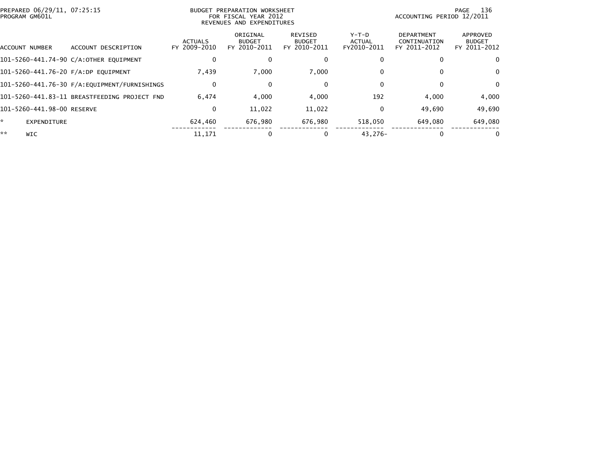| PREPARED 06/29/11, 07:25:15<br>PROGRAM GM601L |                                              |                                | BUDGET PREPARATION WORKSHEET<br>FOR FISCAL YEAR 2012<br>REVENUES AND EXPENDITURES | 136<br>PAGE<br>ACCOUNTING PERIOD 12/2011 |                                         |                                                   |                                           |
|-----------------------------------------------|----------------------------------------------|--------------------------------|-----------------------------------------------------------------------------------|------------------------------------------|-----------------------------------------|---------------------------------------------------|-------------------------------------------|
| ACCOUNT NUMBER                                | ACCOUNT DESCRIPTION                          | <b>ACTUALS</b><br>FY 2009-2010 | ORIGINAL<br><b>BUDGET</b><br>FY 2010-2011                                         | REVISED<br><b>BUDGET</b><br>FY 2010-2011 | $Y-T-D$<br><b>ACTUAL</b><br>FY2010-2011 | <b>DEPARTMENT</b><br>CONTINUATION<br>FY 2011-2012 | APPROVED<br><b>BUDGET</b><br>FY 2011-2012 |
|                                               | 101-5260-441.74-90 C/A:OTHER EQUIPMENT       | 0                              |                                                                                   |                                          | $\Omega$                                |                                                   | 0                                         |
| 101-5260-441.76-20 F/A:DP EOUIPMENT           |                                              | 7,439                          | 7,000                                                                             | 7,000                                    | $\mathbf{0}$                            |                                                   | 0                                         |
|                                               |                                              | $\bf{0}$                       | 0                                                                                 | 0                                        | $\Omega$                                | $\Omega$                                          | $\Omega$                                  |
|                                               | 101-5260-441.83-11 BREASTFEEDING PROJECT FND | 6.474                          | 4,000                                                                             | 4,000                                    | 192                                     | 4.000                                             | 4,000                                     |
| 101-5260-441.98-00 RESERVE                    |                                              | $\bf{0}$                       | 11,022                                                                            | 11,022                                   | $\Omega$                                | 49.690                                            | 49,690                                    |
| *.<br><b>EXPENDITURE</b>                      |                                              | 624,460                        | 676,980                                                                           | 676.980                                  | 518,050                                 | 649.080                                           | 649,080                                   |
| **<br><b>WIC</b>                              |                                              | 11,171                         | 0                                                                                 |                                          | $43.276 -$                              | $\Omega$                                          | $\Omega$                                  |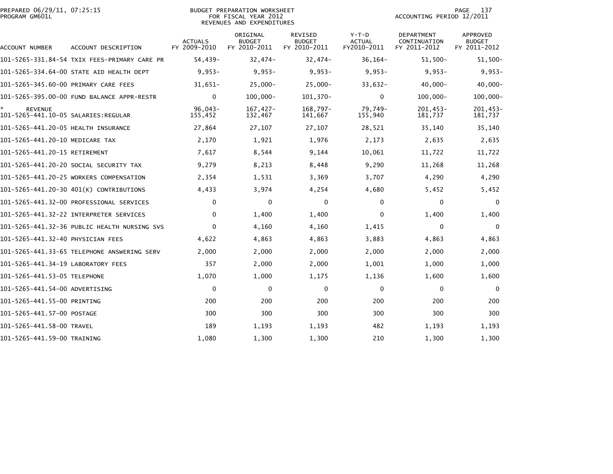|                | PREPARED 06/29/11, 07:25:15 |  |
|----------------|-----------------------------|--|
| PROGRAM GM601L |                             |  |

### BUDGET PREPARATION WORKSHEET PROGRAM GM601L FOR FISCAL YEAR 2012 ACCOUNTING PERIOD 12/2011 REVENUES AND EXPENDITURES

| ACCOUNT NUMBER                                         | ACCOUNT DESCRIPTION                          | <b>ACTUALS</b><br>FY 2009-2010 | ORIGINAL<br><b>BUDGET</b><br>FY 2010-2011 | <b>REVISED</b><br><b>BUDGET</b><br>FY 2010-2011 | $Y-T-D$<br><b>ACTUAL</b><br>FY2010-2011 | <b>DEPARTMENT</b><br>CONTINUATION<br>FY 2011-2012 | <b>APPROVED</b><br><b>BUDGET</b><br>FY 2011-2012 |
|--------------------------------------------------------|----------------------------------------------|--------------------------------|-------------------------------------------|-------------------------------------------------|-----------------------------------------|---------------------------------------------------|--------------------------------------------------|
|                                                        | 101-5265-331.84-54 TXIX FEES-PRIMARY CARE PR | 54,439-                        | $32,474-$                                 | $32,474-$                                       | $36, 164 -$                             | $51,500-$                                         | $51,500-$                                        |
|                                                        | 101-5265-334.64-00 STATE AID HEALTH DEPT     | $9,953-$                       | $9,953-$                                  | $9,953-$                                        | $9,953-$                                | $9,953-$                                          | $9,953-$                                         |
| 101-5265-345.60-00 PRIMARY CARE FEES                   |                                              | $31,651-$                      | $25,000 -$                                | $25,000 -$                                      | $33,632-$                               | $40,000 -$                                        | $40,000 -$                                       |
|                                                        | 101-5265-395.00-00 FUND BALANCE APPR-RESTR   | $\mathbf{0}$                   | $100,000 -$                               | 101,370-                                        | $\mathbf{0}$                            | $100,000 -$                                       | $100,000 -$                                      |
| <b>REVENUE</b><br>101-5265-441.10-05 SALARIES: REGULAR |                                              | $96,043-$<br>155,452           | $167,427-$<br>132,467                     | 168,797-<br>141,667                             | 79,749-<br>155,940                      | $201,453-$<br>181,737                             | 201,453-<br>181,737                              |
| 101-5265-441.20-05 HEALTH INSURANCE                    |                                              | 27,864                         | 27,107                                    | 27,107                                          | 28,521                                  | 35,140                                            | 35,140                                           |
| 101-5265-441.20-10 MEDICARE TAX                        |                                              | 2,170                          | 1,921                                     | 1,976                                           | 2,173                                   | 2,635                                             | 2,635                                            |
| 101-5265-441.20-15 RETIREMENT                          |                                              | 7,617                          | 8,544                                     | 9,144                                           | 10,061                                  | 11,722                                            | 11,722                                           |
|                                                        | 101-5265-441.20-20 SOCIAL SECURITY TAX       | 9,279                          | 8,213                                     | 8,448                                           | 9,290                                   | 11,268                                            | 11,268                                           |
|                                                        | 101-5265-441.20-25 WORKERS COMPENSATION      | 2,354                          | 1,531                                     | 3,369                                           | 3,707                                   | 4,290                                             | 4,290                                            |
|                                                        | 101-5265-441.20-30 401(K) CONTRIBUTIONS      | 4,433                          | 3,974                                     | 4,254                                           | 4,680                                   | 5,452                                             | 5,452                                            |
|                                                        | 101-5265-441.32-00 PROFESSIONAL SERVICES     | $\Omega$                       | $\mathbf 0$                               | $\mathbf 0$                                     | $\mathbf{0}$                            | $\bf{0}$                                          | 0                                                |
|                                                        | 101-5265-441.32-22 INTERPRETER SERVICES      | $\mathbf{0}$                   | 1,400                                     | 1,400                                           | 0                                       | 1,400                                             | 1,400                                            |
|                                                        | 101-5265-441.32-36 PUBLIC HEALTH NURSING SVS | $\Omega$                       | 4,160                                     | 4,160                                           | 1,415                                   | $\Omega$                                          | 0                                                |
| 101-5265-441.32-40 PHYSICIAN FEES                      |                                              | 4,622                          | 4,863                                     | 4,863                                           | 3,883                                   | 4,863                                             | 4,863                                            |
|                                                        |                                              | 2,000                          | 2,000                                     | 2,000                                           | 2,000                                   | 2,000                                             | 2,000                                            |
| 101-5265-441.34-19 LABORATORY FEES                     |                                              | 357                            | 2,000                                     | 2,000                                           | 1,001                                   | 1,000                                             | 1,000                                            |
| 101-5265-441.53-05 TELEPHONE                           |                                              | 1,070                          | 1,000                                     | 1,175                                           | 1,136                                   | 1,600                                             | 1,600                                            |
| 101-5265-441.54-00 ADVERTISING                         |                                              | $\mathbf{0}$                   | 0                                         | 0                                               | $\mathbf{0}$                            | $\mathbf{0}$                                      | 0                                                |
| 101-5265-441.55-00 PRINTING                            |                                              | 200                            | 200                                       | 200                                             | 200                                     | 200                                               | 200                                              |
| 101-5265-441.57-00 POSTAGE                             |                                              | 300                            | 300                                       | 300                                             | 300                                     | 300                                               | 300                                              |
| 101-5265-441.58-00 TRAVEL                              |                                              | 189                            | 1,193                                     | 1,193                                           | 482                                     | 1,193                                             | 1,193                                            |
| 101-5265-441.59-00 TRAINING                            |                                              | 1.080                          | 1.300                                     | 1.300                                           | 210                                     | 1.300                                             | 1,300                                            |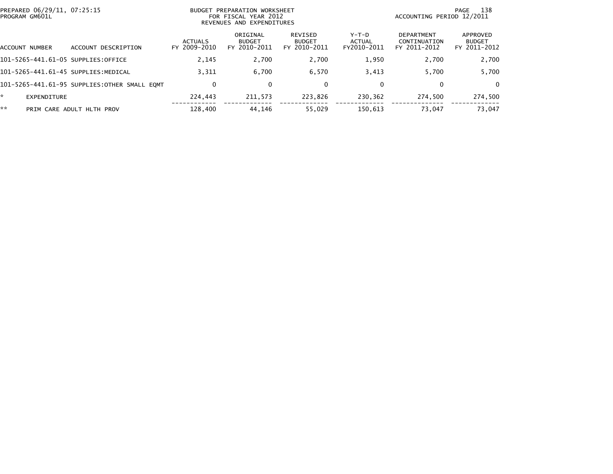| PREPARED 06/29/11, 07:25:15<br>PROGRAM GM601L |                                              | BUDGET PREPARATION WORKSHEET<br>FOR FISCAL YEAR 2012<br>REVENUES AND EXPENDITURES |                                           |                                          |                                  | 138<br>PAGE<br>ACCOUNTING PERIOD 12/2011   |                                           |  |
|-----------------------------------------------|----------------------------------------------|-----------------------------------------------------------------------------------|-------------------------------------------|------------------------------------------|----------------------------------|--------------------------------------------|-------------------------------------------|--|
| ACCOUNT NUMBER                                | ACCOUNT DESCRIPTION                          | <b>ACTUALS</b><br>FY 2009-2010                                                    | ORIGINAL<br><b>BUDGET</b><br>FY 2010-2011 | REVISED<br><b>BUDGET</b><br>FY 2010-2011 | $Y-T-D$<br>ACTUAL<br>FY2010-2011 | DEPARTMENT<br>CONTINUATION<br>FY 2011-2012 | APPROVED<br><b>BUDGET</b><br>FY 2011-2012 |  |
| 101-5265-441.61-05 SUPPLIES:OFFICE            |                                              | 2,145                                                                             | 2,700                                     | 2,700                                    | 1,950                            | 2,700                                      | 2,700                                     |  |
|                                               | 101-5265-441.61-45 SUPPLIES:MEDICAL          | 3,311                                                                             | 6,700                                     | 6.570                                    | 3,413                            | 5.700                                      | 5,700                                     |  |
|                                               | 101-5265-441.61-95 SUPPLIES:OTHER SMALL EOMT |                                                                                   | 0                                         | $\mathbf 0$                              |                                  | 0                                          | $\Omega$                                  |  |
| *<br>EXPENDITURE                              |                                              | 224,443                                                                           | 211,573                                   | 223,826                                  | 230,362                          | 274.500                                    | 274,500                                   |  |
| **                                            | PRIM CARE ADULT HLTH PROV                    | 128,400                                                                           | 44.146                                    | 55.029                                   | 150.613                          | 73.047                                     | 73,047                                    |  |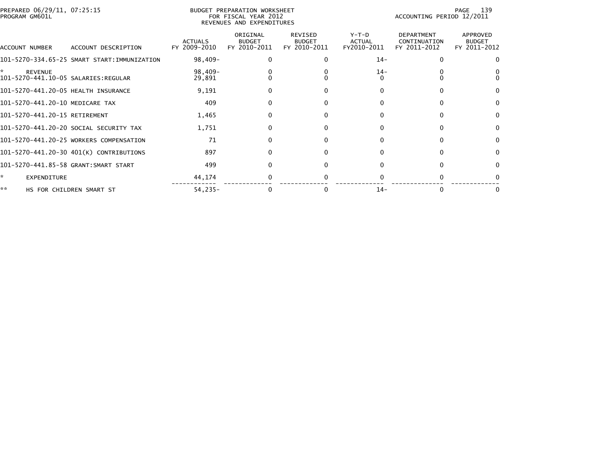| PROGRAM GM601L                       | PREPARED 06/29/11, 07:25:15<br>BUDGET PREPARATION WORKSHEET<br>FOR FISCAL YEAR 2012<br>REVENUES AND EXPENDITURES |                                |                                           |                                                 |                                         | 139<br>PAGE<br>ACCOUNTING PERIOD 12/2011          |                                           |  |  |
|--------------------------------------|------------------------------------------------------------------------------------------------------------------|--------------------------------|-------------------------------------------|-------------------------------------------------|-----------------------------------------|---------------------------------------------------|-------------------------------------------|--|--|
| ACCOUNT NUMBER                       | ACCOUNT DESCRIPTION                                                                                              | <b>ACTUALS</b><br>FY 2009-2010 | ORIGINAL<br><b>BUDGET</b><br>FY 2010-2011 | <b>REVISED</b><br><b>BUDGET</b><br>FY 2010-2011 | $Y-T-D$<br><b>ACTUAL</b><br>FY2010-2011 | <b>DEPARTMENT</b><br>CONTINUATION<br>FY 2011-2012 | APPROVED<br><b>BUDGET</b><br>FY 2011-2012 |  |  |
|                                      | 101-5270-334.65-25 SMART START:IMMUNIZATION                                                                      | 98,409-                        |                                           |                                                 | $14-$                                   |                                                   |                                           |  |  |
| <b>REVENUE</b>                       |                                                                                                                  | $98,409-$<br>29,891            |                                           |                                                 | $14-$                                   |                                                   |                                           |  |  |
| 101-5270-441.20-05 HEALTH INSURANCE  |                                                                                                                  | 9,191                          |                                           |                                                 | $\Omega$                                |                                                   | $\Omega$                                  |  |  |
| 101-5270-441.20-10 MEDICARE TAX      |                                                                                                                  | 409                            |                                           |                                                 |                                         |                                                   | $\Omega$                                  |  |  |
| 101-5270-441.20-15 RETIREMENT        |                                                                                                                  | 1,465                          |                                           |                                                 |                                         |                                                   | $\bf{0}$                                  |  |  |
|                                      | 101-5270-441.20-20 SOCIAL SECURITY TAX                                                                           | 1,751                          |                                           |                                                 |                                         |                                                   |                                           |  |  |
|                                      | 101-5270-441.20-25 WORKERS COMPENSATION                                                                          | 71                             |                                           |                                                 | 0                                       |                                                   | $\bf{0}$                                  |  |  |
|                                      | 101-5270-441.20-30 401(K) CONTRIBUTIONS                                                                          | 897                            |                                           |                                                 |                                         |                                                   | $\Omega$                                  |  |  |
| 101-5270-441.85-58 GRANT:SMART START |                                                                                                                  | 499                            | 0                                         |                                                 |                                         |                                                   | 0                                         |  |  |
| ÷.<br>EXPENDITURE                    |                                                                                                                  | 44,174                         |                                           |                                                 |                                         |                                                   |                                           |  |  |
| **                                   | HS FOR CHILDREN SMART ST                                                                                         | $54,235-$                      |                                           |                                                 | $14-$                                   |                                                   |                                           |  |  |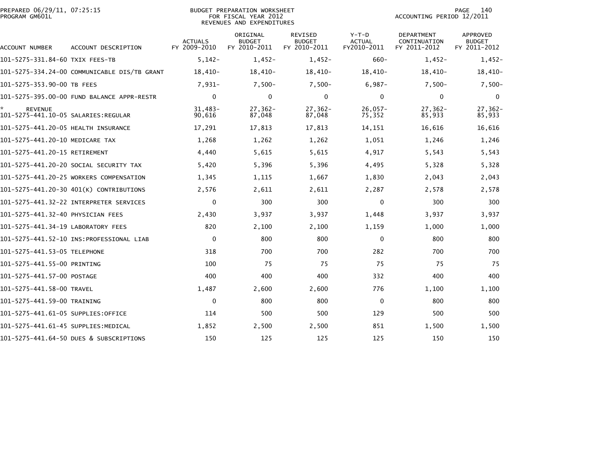| PREPARED 06/29/11, 07:25:15<br>PROGRAM GM601L         |                                              |                                | <b>BUDGET PREPARATION WORKSHEET</b><br>FOR FISCAL YEAR 2012<br>REVENUES AND EXPENDITURES | 140<br><b>PAGE</b><br>ACCOUNTING PERIOD 12/2011 |                                         |                                            |                                                  |
|-------------------------------------------------------|----------------------------------------------|--------------------------------|------------------------------------------------------------------------------------------|-------------------------------------------------|-----------------------------------------|--------------------------------------------|--------------------------------------------------|
| ACCOUNT NUMBER                                        | ACCOUNT DESCRIPTION                          | <b>ACTUALS</b><br>FY 2009-2010 | ORIGINAL<br><b>BUDGET</b><br>FY 2010-2011                                                | <b>REVISED</b><br><b>BUDGET</b><br>FY 2010-2011 | $Y-T-D$<br><b>ACTUAL</b><br>FY2010-2011 | DEPARTMENT<br>CONTINUATION<br>FY 2011-2012 | <b>APPROVED</b><br><b>BUDGET</b><br>FY 2011-2012 |
| 101-5275-331.84-60 TXIX FEES-TB                       |                                              | $5,142-$                       | $1,452-$                                                                                 | $1,452-$                                        | $660 -$                                 | $1,452-$                                   | $1,452-$                                         |
|                                                       | 101-5275-334.24-00 COMMUNICABLE DIS/TB GRANT | 18,410-                        | 18,410-                                                                                  | 18,410-                                         | 18,410-                                 | 18,410-                                    | $18,410-$                                        |
| 101-5275-353.90-00 TB FEES                            |                                              | $7,931-$                       | $7,500-$                                                                                 | $7,500-$                                        | $6,987-$                                | $7,500-$                                   | $7,500-$                                         |
|                                                       | 101-5275-395.00-00 FUND BALANCE APPR-RESTR   | $\mathbf{0}$                   | 0                                                                                        | $\Omega$                                        | $\Omega$                                | $\mathbf{0}$                               | $\Omega$                                         |
| <b>REVENUE</b><br>101-5275-441.10-05 SALARIES:REGULAR |                                              | $31,483-$<br>90,616            | $27,362-$<br>87,048                                                                      | $27,362-$<br>87,048                             | $26,057-$<br>75,352                     | $27,362-$<br>85,933                        | $27, 362 -$<br>85,933                            |
| 101-5275-441.20-05 HEALTH INSURANCE                   |                                              | 17,291                         | 17,813                                                                                   | 17,813                                          | 14,151                                  | 16,616                                     | 16,616                                           |
| 101-5275-441.20-10 MEDICARE TAX                       |                                              | 1,268                          | 1,262                                                                                    | 1,262                                           | 1,051                                   | 1,246                                      | 1,246                                            |
| 101-5275-441.20-15 RETIREMENT                         |                                              | 4,440                          | 5,615                                                                                    | 5,615                                           | 4,917                                   | 5,543                                      | 5,543                                            |
|                                                       | 101-5275-441.20-20 SOCIAL SECURITY TAX       | 5,420                          | 5,396                                                                                    | 5,396                                           | 4,495                                   | 5,328                                      | 5,328                                            |
|                                                       | 101-5275-441.20-25 WORKERS COMPENSATION      | 1,345                          | 1,115                                                                                    | 1,667                                           | 1,830                                   | 2,043                                      | 2,043                                            |
|                                                       | 101-5275-441.20-30 401(K) CONTRIBUTIONS      | 2,576                          | 2,611                                                                                    | 2,611                                           | 2,287                                   | 2,578                                      | 2,578                                            |
|                                                       | 101-5275-441.32-22 INTERPRETER SERVICES      | $\mathbf{0}$                   | 300                                                                                      | 300                                             | $\Omega$                                | 300                                        | 300                                              |
| 101-5275-441.32-40 PHYSICIAN FEES                     |                                              | 2,430                          | 3,937                                                                                    | 3,937                                           | 1,448                                   | 3,937                                      | 3,937                                            |
| 101-5275-441.34-19 LABORATORY FEES                    |                                              | 820                            | 2,100                                                                                    | 2,100                                           | 1,159                                   | 1,000                                      | 1,000                                            |
|                                                       |                                              | $\mathbf 0$                    | 800                                                                                      | 800                                             | $\mathbf 0$                             | 800                                        | 800                                              |
| 101–5275–441.53–05 TELEPHONE                          |                                              | 318                            | 700                                                                                      | 700                                             | 282                                     | 700                                        | 700                                              |
| 101-5275-441.55-00 PRINTING                           |                                              | 100                            | 75                                                                                       | 75                                              | 75                                      | 75                                         | 75                                               |
| 101-5275-441.57-00 POSTAGE                            |                                              | 400                            | 400                                                                                      | 400                                             | 332                                     | 400                                        | 400                                              |
| 101-5275-441.58-00 TRAVEL                             |                                              | 1,487                          | 2,600                                                                                    | 2,600                                           | 776                                     | 1,100                                      | 1,100                                            |
| 101-5275-441.59-00 TRAINING                           |                                              | 0                              | 800                                                                                      | 800                                             | 0                                       | 800                                        | 800                                              |
| 101-5275-441.61-05 SUPPLIES:OFFICE                    |                                              | 114                            | 500                                                                                      | 500                                             | 129                                     | 500                                        | 500                                              |
| 101–5275–441.61–45 SUPPLIES:MEDICAL                   |                                              | 1,852                          | 2,500                                                                                    | 2,500                                           | 851                                     | 1,500                                      | 1,500                                            |
|                                                       | 101-5275-441.64-50 DUES & SUBSCRIPTIONS      | 150                            | 125                                                                                      | 125                                             | 125                                     | 150                                        | 150                                              |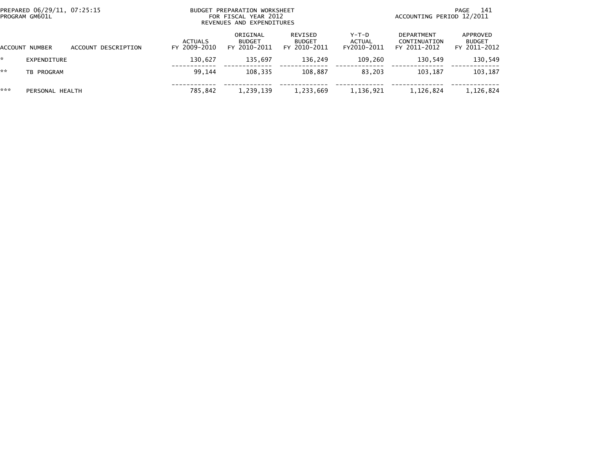| PREPARED 06/29/11, 07:25:15<br>PROGRAM GM601L |                 |                     | BUDGET PREPARATION WORKSHEET<br>FOR FISCAL YEAR 2012<br>REVENUES AND EXPENDITURES |                                           |                                          |                                  | 141<br>PAGE<br>ACCOUNTING PERIOD 12/2011   |                                           |  |
|-----------------------------------------------|-----------------|---------------------|-----------------------------------------------------------------------------------|-------------------------------------------|------------------------------------------|----------------------------------|--------------------------------------------|-------------------------------------------|--|
|                                               | ACCOUNT NUMBER  | ACCOUNT DESCRIPTION | <b>ACTUALS</b><br>FY 2009-2010                                                    | ORIGINAL<br><b>BUDGET</b><br>FY 2010-2011 | REVISED<br><b>BUDGET</b><br>FY 2010-2011 | $Y-T-D$<br>ACTUAL<br>FY2010-2011 | DEPARTMENT<br>CONTINUATION<br>FY 2011-2012 | APPROVED<br><b>BUDGET</b><br>FY 2011-2012 |  |
|                                               | EXPENDITURE     |                     | 130,627                                                                           | 135.697                                   | 136,249                                  | 109,260                          | 130,549                                    | 130,549                                   |  |
| **                                            | TB PROGRAM      |                     | 99.144                                                                            | 108.335                                   | 108.887                                  | 83.203                           | 103.187                                    | 103,187                                   |  |
| ***                                           | PERSONAL HEALTH |                     | 785,842                                                                           | 1,239,139                                 | 1,233,669                                | 1,136,921                        | 1,126,824                                  | 1,126,824                                 |  |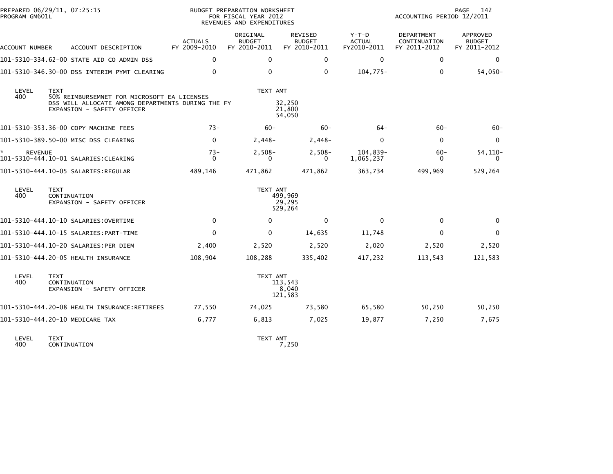| PREPARED 06/29/11, 07:25:15<br>PROGRAM GM601L |                                                                                                                                               |                                          | BUDGET PREPARATION WORKSHEET<br>FOR FISCAL YEAR 2012<br>REVENUES AND EXPENDITURES |                                          | PAGE<br>142<br>ACCOUNTING PERIOD 12/2011 |                                            |                                           |  |
|-----------------------------------------------|-----------------------------------------------------------------------------------------------------------------------------------------------|------------------------------------------|-----------------------------------------------------------------------------------|------------------------------------------|------------------------------------------|--------------------------------------------|-------------------------------------------|--|
| ACCOUNT NUMBER                                | ACCOUNT DESCRIPTION                                                                                                                           | <b>ACTUALS</b><br>FY 2009-2010           | ORIGINAL<br><b>BUDGET</b><br>FY 2010-2011                                         | REVISED<br><b>BUDGET</b><br>FY 2010-2011 | $Y-T-D$<br>ACTUAL<br>FY2010-2011         | DEPARTMENT<br>CONTINUATION<br>FY 2011-2012 | APPROVED<br><b>BUDGET</b><br>FY 2011-2012 |  |
|                                               | 101-5310-334.62-00 STATE AID CO ADMIN DSS                                                                                                     | $\Omega$                                 | 0                                                                                 | 0                                        | $\mathbf{0}$                             | $\mathbf{0}$                               | 0                                         |  |
|                                               | 101-5310-346.30-00 DSS INTERIM PYMT CLEARING                                                                                                  | $\Omega$                                 | 0                                                                                 | 0                                        | 104,775-                                 | 0                                          | $54,050-$                                 |  |
| LEVEL<br>400                                  | <b>TEXT</b><br>50% REIMBURSEMNET FOR MICROSOFT EA LICENSES<br>DSS WILL ALLOCATE AMONG DEPARTMENTS DURING THE FY<br>EXPANSION - SAFETY OFFICER |                                          | TEXT AMT                                                                          | 32,250<br>21,800<br>54,050               |                                          |                                            |                                           |  |
|                                               | 101-5310-353.36-00 COPY MACHINE FEES                                                                                                          | $73-$                                    | $60 -$                                                                            | $60 -$                                   | 64-                                      | $60 -$                                     | $60 -$                                    |  |
|                                               | 101-5310-389.50-00 MISC DSS CLEARING                                                                                                          | $\mathbf{0}$                             | 2,448-                                                                            | $2,448-$                                 | $\mathbf{0}$                             | $\mathbf{0}$                               | 0                                         |  |
| *<br><b>REVENUE</b>                           |                                                                                                                                               | $73-$<br>$\Omega$                        | $2,508-$<br>0                                                                     | $2,508-$<br>0                            | 104,839-<br>1,065,237                    | $60 -$<br>0                                | $54, 110 -$<br>0                          |  |
|                                               | 101-5310-444.10-05 SALARIES:REGULAR                                                                                                           | 489,146                                  | 471,862                                                                           | 471,862                                  | 363,734                                  | 499,969                                    | 529,264                                   |  |
| LEVEL<br>400                                  | <b>TEXT</b><br>CONTINUATION<br>EXPANSION - SAFETY OFFICER                                                                                     | TEXT AMT<br>499,969<br>29,295<br>529,264 |                                                                                   |                                          |                                          |                                            |                                           |  |
|                                               |                                                                                                                                               | $\mathbf{0}$                             | 0                                                                                 | $\mathbf 0$                              | $\mathbf{0}$                             | $\Omega$                                   | 0                                         |  |
|                                               |                                                                                                                                               | $\mathbf{0}$                             | 0                                                                                 | 14,635                                   | 11,748                                   | $\Omega$                                   | 0                                         |  |
|                                               | 101-5310-444.10-20 SALARIES:PER DIEM                                                                                                          | 2,400                                    | 2,520                                                                             | 2,520                                    | 2,020                                    | 2,520                                      | 2,520                                     |  |
|                                               | 101-5310-444.20-05 HEALTH INSURANCE                                                                                                           | 108,904                                  | 108,288                                                                           | 335,402                                  | 417,232                                  | 113,543                                    | 121,583                                   |  |
| LEVEL<br>400                                  | <b>TEXT</b><br>CONTINUATION<br>EXPANSION - SAFETY OFFICER                                                                                     | TEXT AMT<br>113,543<br>8,040<br>121,583  |                                                                                   |                                          |                                          |                                            |                                           |  |
|                                               | 101-5310-444.20-08 HEALTH INSURANCE:RETIREES                                                                                                  | 77,550                                   | 74,025                                                                            | 73,580                                   | 65,580                                   | 50,250                                     | 50,250                                    |  |
|                                               | 101-5310-444.20-10 MEDICARE TAX                                                                                                               | 6,777                                    | 6,813                                                                             | 7,025                                    | 19,877                                   | 7,250                                      | 7,675                                     |  |
| LEVEL<br>400                                  | <b>TEXT</b><br>CONTINUATION                                                                                                                   | TEXT AMT<br>7,250                        |                                                                                   |                                          |                                          |                                            |                                           |  |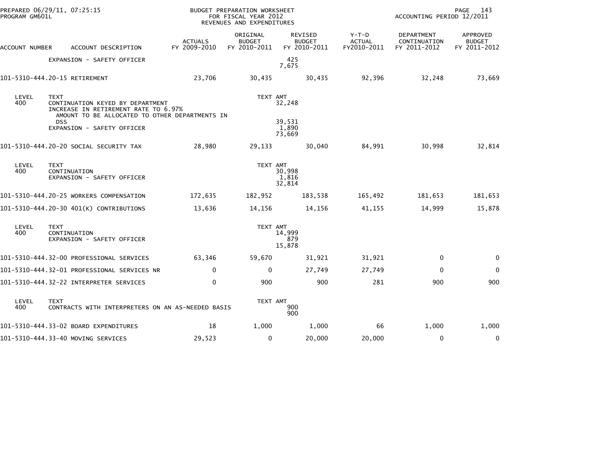| PREPARED 06/29/11, 07:25:15<br>PROGRAM GM601L |                                                                                                                                                                                       |                                | BUDGET PREPARATION WORKSHEET<br>FOR FISCAL YEAR 2012<br>REVENUES AND EXPENDITURES |                                                 |                                         | PAGE<br>143<br>ACCOUNTING PERIOD 12/2011          |                                           |  |  |
|-----------------------------------------------|---------------------------------------------------------------------------------------------------------------------------------------------------------------------------------------|--------------------------------|-----------------------------------------------------------------------------------|-------------------------------------------------|-----------------------------------------|---------------------------------------------------|-------------------------------------------|--|--|
| ACCOUNT NUMBER                                | ACCOUNT DESCRIPTION                                                                                                                                                                   | <b>ACTUALS</b><br>FY 2009-2010 | ORIGINAL<br><b>BUDGET</b><br>FY 2010-2011                                         | <b>REVISED</b><br><b>BUDGET</b><br>FY 2010-2011 | $Y-T-D$<br><b>ACTUAL</b><br>FY2010-2011 | <b>DEPARTMENT</b><br>CONTINUATION<br>FY 2011-2012 | APPROVED<br><b>BUDGET</b><br>FY 2011-2012 |  |  |
|                                               | EXPANSION - SAFETY OFFICER                                                                                                                                                            |                                |                                                                                   | 425<br>7,675                                    |                                         |                                                   |                                           |  |  |
|                                               | 101-5310-444.20-15 RETIREMENT                                                                                                                                                         | 23,706                         | 30,435                                                                            | 30,435                                          | 92,396                                  | 32,248                                            | 73,669                                    |  |  |
| LEVEL<br>400                                  | <b>TEXT</b><br>CONTINUATION KEYED BY DEPARTMENT<br>INCREASE IN RETIREMENT RATE TO 6.97%<br>AMOUNT TO BE ALLOCATED TO OTHER DEPARTMENTS IN<br><b>DSS</b><br>EXPANSION - SAFETY OFFICER |                                | TEXT AMT                                                                          | 32,248<br>39,531<br>1,890                       |                                         |                                                   |                                           |  |  |
|                                               |                                                                                                                                                                                       |                                |                                                                                   | 73,669                                          |                                         |                                                   |                                           |  |  |
|                                               | 101-5310-444.20-20 SOCIAL SECURITY TAX                                                                                                                                                | 28,980                         | 29,133                                                                            | 30,040                                          | 84,991                                  | 30,998                                            | 32,814                                    |  |  |
| LEVEL<br>400                                  | <b>TEXT</b><br>CONTINUATION<br>EXPANSION - SAFETY OFFICER                                                                                                                             |                                | TEXT AMT                                                                          | 30,998<br>1,816<br>32,814                       |                                         |                                                   |                                           |  |  |
|                                               | 101-5310-444.20-25 WORKERS COMPENSATION                                                                                                                                               | 172,635                        | 182,952                                                                           | 183,538                                         | 165,492                                 | 181,653                                           | 181,653                                   |  |  |
|                                               | 101-5310-444.20-30 401(K) CONTRIBUTIONS                                                                                                                                               | 13,636                         | 14,156                                                                            | 14,156                                          | 41,155                                  | 14,999                                            | 15,878                                    |  |  |
| LEVEL<br>400                                  | <b>TEXT</b><br>CONTINUATION<br>EXPANSION - SAFETY OFFICER                                                                                                                             |                                | TEXT AMT                                                                          | 14,999<br>879<br>15,878                         |                                         |                                                   |                                           |  |  |
|                                               | 101-5310-444.32-00 PROFESSIONAL SERVICES                                                                                                                                              | 63,346                         | 59,670                                                                            | 31,921                                          | 31,921                                  | $\mathbf 0$                                       | 0                                         |  |  |
|                                               | 101-5310-444.32-01 PROFESSIONAL SERVICES NR                                                                                                                                           | $\mathbf 0$                    | 0                                                                                 | 27,749                                          | 27,749                                  | $\Omega$                                          | $\mathbf 0$                               |  |  |
|                                               | 101-5310-444.32-22 INTERPRETER SERVICES                                                                                                                                               | $\mathbf 0$                    | 900                                                                               | 900                                             | 281                                     | 900                                               | 900                                       |  |  |
| LEVEL<br>400                                  | <b>TEXT</b><br>CONTRACTS WITH INTERPRETERS ON AN AS-NEEDED BASIS                                                                                                                      |                                | TEXT AMT                                                                          | 900<br>900                                      |                                         |                                                   |                                           |  |  |
|                                               | 101-5310-444.33-02 BOARD EXPENDITURES                                                                                                                                                 | 18                             | 1,000                                                                             | 1,000                                           | 66                                      | 1,000                                             | 1,000                                     |  |  |
|                                               | 101-5310-444.33-40 MOVING SERVICES                                                                                                                                                    | 29,523                         | 0                                                                                 | 20,000                                          | 20,000                                  | $\mathbf 0$                                       | 0                                         |  |  |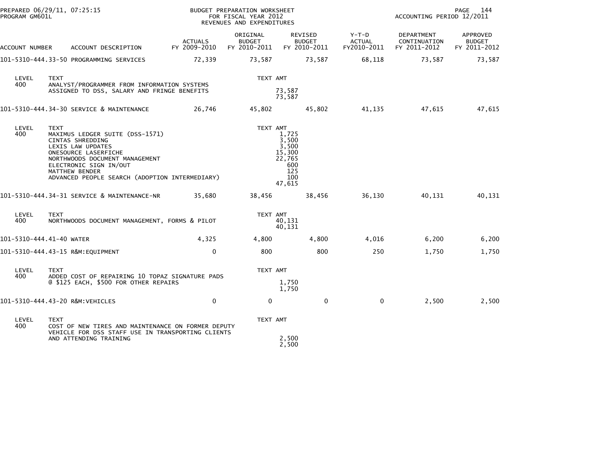| PREPARED 06/29/11, 07:25:15<br>PROGRAM GM601L |                                                                                                                                                                                                                                                        | BUDGET PREPARATION WORKSHEET<br>FOR FISCAL YEAR 2012<br>REVENUES AND EXPENDITURES |                                           |                                                                            |                                       | PAGE<br>144<br>ACCOUNTING PERIOD 12/2011   |                                           |  |
|-----------------------------------------------|--------------------------------------------------------------------------------------------------------------------------------------------------------------------------------------------------------------------------------------------------------|-----------------------------------------------------------------------------------|-------------------------------------------|----------------------------------------------------------------------------|---------------------------------------|--------------------------------------------|-------------------------------------------|--|
| ACCOUNT NUMBER                                | ACCOUNT DESCRIPTION                                                                                                                                                                                                                                    | <b>ACTUALS</b><br>FY 2009-2010                                                    | ORIGINAL<br><b>BUDGET</b><br>FY 2010-2011 | REVISED<br><b>BUDGET</b><br>FY 2010-2011                                   | Y-T-D<br><b>ACTUAL</b><br>FY2010-2011 | DEPARTMENT<br>CONTINUATION<br>FY 2011-2012 | APPROVED<br><b>BUDGET</b><br>FY 2011-2012 |  |
|                                               | 101-5310-444.33-50 PROGRAMMING SERVICES                                                                                                                                                                                                                | 72,339                                                                            | 73,587                                    | 73,587                                                                     | 68,118                                | 73,587                                     | 73,587                                    |  |
| LEVEL<br>400                                  | <b>TEXT</b><br>ANALYST/PROGRAMMER FROM INFORMATION SYSTEMS                                                                                                                                                                                             |                                                                                   | TEXT AMT                                  |                                                                            |                                       |                                            |                                           |  |
|                                               | ASSIGNED TO DSS, SALARY AND FRINGE BENEFITS                                                                                                                                                                                                            |                                                                                   |                                           | 73,587<br>73,587                                                           |                                       |                                            |                                           |  |
|                                               | 101-5310-444.34-30 SERVICE & MAINTENANCE                                                                                                                                                                                                               | 26,746                                                                            | 45,802                                    | 45,802                                                                     | 41,135                                | 47,615                                     | 47,615                                    |  |
| LEVEL<br>400                                  | <b>TEXT</b><br>MAXIMUS LEDGER SUITE (DSS-1571)<br>CINTAS SHREDDING<br>LEXIS LAW UPDATES<br>ONESOURCE LASERFICHE<br>NORTHWOODS DOCUMENT MANAGEMENT<br>ELECTRONIC SIGN IN/OUT<br><b>MATTHEW BENDER</b><br>ADVANCED PEOPLE SEARCH (ADOPTION INTERMEDIARY) |                                                                                   | TEXT AMT                                  | 1,725<br>3,500<br>3,500<br>15,300<br>22,765<br>600<br>125<br>100<br>47,615 |                                       |                                            |                                           |  |
|                                               | 101-5310-444.34-31 SERVICE & MAINTENANCE-NR                                                                                                                                                                                                            | 35,680                                                                            | 38,456                                    | 38,456                                                                     | 36,130                                | 40,131                                     | 40,131                                    |  |
| LEVEL<br>400                                  | <b>TEXT</b><br>NORTHWOODS DOCUMENT MANAGEMENT, FORMS & PILOT                                                                                                                                                                                           |                                                                                   | TEXT AMT                                  | 40.131<br>40,131                                                           |                                       |                                            |                                           |  |
|                                               | 101-5310-444.41-40 WATER                                                                                                                                                                                                                               | 4,325                                                                             | 4,800                                     | 4,800                                                                      | 4,016                                 | 6,200                                      | 6,200                                     |  |
|                                               | 101-5310-444.43-15 R&M:EQUIPMENT                                                                                                                                                                                                                       | $\mathbf{0}$                                                                      | 800                                       | 800                                                                        | 250                                   | 1,750                                      | 1,750                                     |  |
| LEVEL<br>400                                  | <b>TEXT</b><br>ADDED COST OF REPAIRING 10 TOPAZ SIGNATURE PADS<br>@ \$125 EACH, \$500 FOR OTHER REPAIRS                                                                                                                                                |                                                                                   | TEXT AMT                                  | 1,750<br>1,750                                                             |                                       |                                            |                                           |  |
|                                               | 101-5310-444.43-20 R&M:VEHICLES                                                                                                                                                                                                                        | $\mathbf{0}$                                                                      | $\mathbf{0}$                              | $\mathbf 0$                                                                | $\mathbf 0$                           | 2,500                                      | 2,500                                     |  |
| LEVEL<br>400                                  | <b>TEXT</b><br>COST OF NEW TIRES AND MAINTENANCE ON FORMER DEPUTY<br>VEHICLE FOR DSS STAFF USE IN TRANSPORTING CLIENTS<br>AND ATTENDING TRAINING                                                                                                       |                                                                                   | TEXT AMT                                  | 2,500<br>2,500                                                             |                                       |                                            |                                           |  |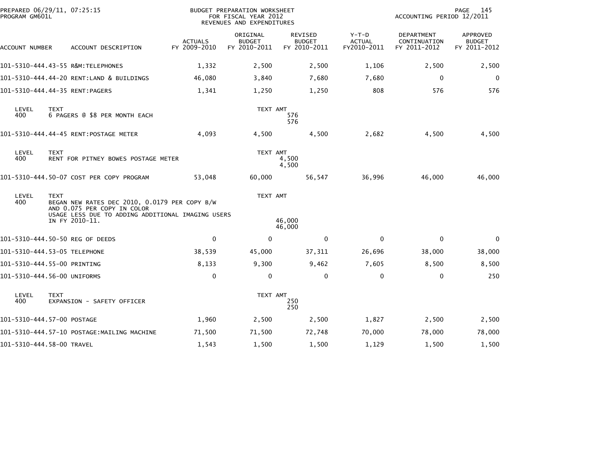| PROGRAM GM601L            | PREPARED 06/29/11, 07:25:15                                                                                                                                        |                                | BUDGET PREPARATION WORKSHEET<br>FOR FISCAL YEAR 2012<br>REVENUES AND EXPENDITURES |                                          |                                         | ACCOUNTING PERIOD 12/2011                         | PAGE<br>145                               |
|---------------------------|--------------------------------------------------------------------------------------------------------------------------------------------------------------------|--------------------------------|-----------------------------------------------------------------------------------|------------------------------------------|-----------------------------------------|---------------------------------------------------|-------------------------------------------|
| ACCOUNT NUMBER            | ACCOUNT DESCRIPTION                                                                                                                                                | <b>ACTUALS</b><br>FY 2009-2010 | ORIGINAL<br><b>BUDGET</b><br>FY 2010-2011                                         | REVISED<br><b>BUDGET</b><br>FY 2010-2011 | $Y-T-D$<br><b>ACTUAL</b><br>FY2010-2011 | <b>DEPARTMENT</b><br>CONTINUATION<br>FY 2011-2012 | APPROVED<br><b>BUDGET</b><br>FY 2011-2012 |
|                           | 101-5310-444.43-55 R&M:TELEPHONES                                                                                                                                  | 1,332                          | 2,500                                                                             | 2,500                                    | 1,106                                   | 2,500                                             | 2,500                                     |
|                           | 101-5310-444.44-20 RENT:LAND & BUILDINGS                                                                                                                           | 46,080                         | 3,840                                                                             | 7,680                                    | 7,680                                   | 0                                                 | $\mathbf 0$                               |
|                           | 101-5310-444.44-35 RENT:PAGERS                                                                                                                                     | 1,341                          | 1,250                                                                             | 1,250                                    | 808                                     | 576                                               | 576                                       |
| LEVEL<br>400              | <b>TEXT</b><br>6 PAGERS @ \$8 PER MONTH EACH                                                                                                                       |                                | TEXT AMT                                                                          | 576<br>576                               |                                         |                                                   |                                           |
|                           | 101-5310-444.44-45 RENT:POSTAGE METER                                                                                                                              | 4,093                          | 4,500                                                                             | 4,500                                    | 2,682                                   | 4,500                                             | 4,500                                     |
| LEVEL<br>400              | <b>TEXT</b><br>RENT FOR PITNEY BOWES POSTAGE METER                                                                                                                 |                                | TEXT AMT                                                                          | 4,500<br>4,500                           |                                         |                                                   |                                           |
|                           | 101-5310-444.50-07 COST PER COPY PROGRAM                                                                                                                           | 53,048                         | 60,000                                                                            | 56,547                                   | 36,996                                  | 46,000                                            | 46,000                                    |
| LEVEL<br>400              | <b>TEXT</b><br>BEGAN NEW RATES DEC 2010, 0.0179 PER COPY B/W<br>AND 0.075 PER COPY IN COLOR<br>USAGE LESS DUE TO ADDING ADDITIONAL IMAGING USERS<br>IN FY 2010-11. |                                | TEXT AMT                                                                          | 46,000                                   |                                         |                                                   |                                           |
|                           |                                                                                                                                                                    |                                |                                                                                   | 46,000                                   |                                         |                                                   |                                           |
|                           | 101-5310-444.50-50 REG OF DEEDS                                                                                                                                    | 0                              | 0                                                                                 | 0                                        | 0                                       | 0                                                 | 0                                         |
|                           | 101-5310-444.53-05 TELEPHONE                                                                                                                                       | 38,539                         | 45,000                                                                            | 37,311                                   | 26,696                                  | 38,000                                            | 38,000                                    |
|                           | 101-5310-444.55-00 PRINTING                                                                                                                                        | 8,133                          | 9,300                                                                             | 9,462                                    | 7,605                                   | 8,500                                             | 8,500                                     |
|                           | 101-5310-444.56-00 UNIFORMS                                                                                                                                        | $\mathbf 0$                    | 0                                                                                 | 0                                        | 0                                       | 0                                                 | 250                                       |
| LEVEL<br>400              | <b>TEXT</b><br>EXPANSION - SAFETY OFFICER                                                                                                                          |                                | TEXT AMT                                                                          | 250<br>250                               |                                         |                                                   |                                           |
|                           | 101-5310-444.57-00 POSTAGE                                                                                                                                         | 1,960                          | 2,500                                                                             | 2,500                                    | 1,827                                   | 2,500                                             | 2,500                                     |
|                           | 101-5310-444.57-10 POSTAGE:MAILING MACHINE                                                                                                                         | 71,500                         | 71,500                                                                            | 72,748                                   | 70,000                                  | 78,000                                            | 78,000                                    |
| 101-5310-444.58-00 TRAVEL |                                                                                                                                                                    | 1,543                          | 1,500                                                                             | 1,500                                    | 1,129                                   | 1,500                                             | 1,500                                     |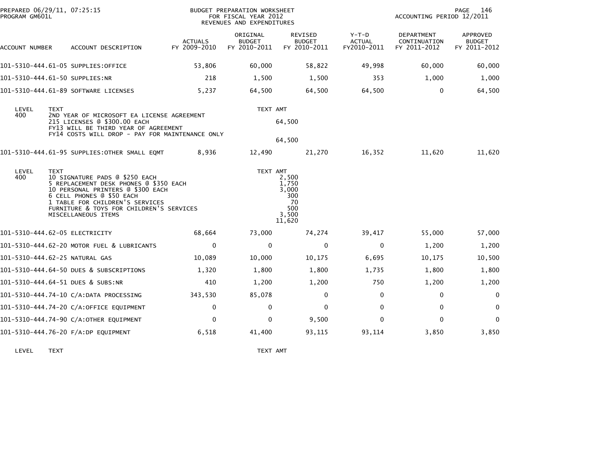| PROGRAM GM601L |             | PREPARED 06/29/11, 07:25:15                                                                                                                                                                                                                      |                                | BUDGET PREPARATION WORKSHEET<br>FOR FISCAL YEAR 2012<br>REVENUES AND EXPENDITURES |                                                                |                                         | ACCOUNTING PERIOD 12/2011                  | PAGE<br>146                               |
|----------------|-------------|--------------------------------------------------------------------------------------------------------------------------------------------------------------------------------------------------------------------------------------------------|--------------------------------|-----------------------------------------------------------------------------------|----------------------------------------------------------------|-----------------------------------------|--------------------------------------------|-------------------------------------------|
| ACCOUNT NUMBER |             | ACCOUNT DESCRIPTION                                                                                                                                                                                                                              | <b>ACTUALS</b><br>FY 2009-2010 | ORIGINAL<br><b>BUDGET</b><br>FY 2010-2011                                         | REVISED<br><b>BUDGET</b><br>FY 2010-2011                       | $Y-T-D$<br><b>ACTUAL</b><br>FY2010-2011 | DEPARTMENT<br>CONTINUATION<br>FY 2011-2012 | APPROVED<br><b>BUDGET</b><br>FY 2011-2012 |
|                |             | 101-5310-444.61-05 SUPPLIES:OFFICE                                                                                                                                                                                                               | 53,806                         | 60,000                                                                            | 58,822                                                         | 49,998                                  | 60,000                                     | 60,000                                    |
|                |             | 101-5310-444.61-50 SUPPLIES:NR                                                                                                                                                                                                                   | 218                            | 1,500                                                                             | 1,500                                                          | 353                                     | 1,000                                      | 1,000                                     |
|                |             | 101-5310-444.61-89 SOFTWARE LICENSES                                                                                                                                                                                                             | 5,237                          | 64,500                                                                            | 64,500                                                         | 64,500                                  | $\Omega$                                   | 64,500                                    |
| LEVEL<br>400   | <b>TEXT</b> | 2ND YEAR OF MICROSOFT EA LICENSE AGREEMENT<br>215 LICENSES @ \$300.00 EACH<br>FY13 WILL BE THIRD YEAR OF AGREEMENT<br>FY14 COSTS WILL DROP - PAY FOR MAINTENANCE ONLY                                                                            |                                | TEXT AMT                                                                          | 64,500<br>64,500                                               |                                         |                                            |                                           |
|                |             | 101-5310-444.61-95 SUPPLIES:OTHER SMALL EQMT                                                                                                                                                                                                     | 8,936                          | 12,490                                                                            | 21,270                                                         | 16,352                                  | 11,620                                     | 11,620                                    |
| LEVEL<br>400   | <b>TEXT</b> | 10 SIGNATURE PADS @ \$250 EACH<br>5 REPLACEMENT DESK PHONES @ \$350 EACH<br>10 PERSONAL PRINTERS @ \$300 EACH<br>6 CELL PHONES @ \$50 EACH<br>1 TABLE FOR CHILDREN'S SERVICES<br>FURNITURE & TOYS FOR CHILDREN'S SERVICES<br>MISCELLANEOUS ITEMS |                                | TEXT AMT                                                                          | 2,500<br>1.750<br>3,000<br>300<br>70<br>500<br>3,500<br>11,620 |                                         |                                            |                                           |
|                |             | 101-5310-444.62-05 ELECTRICITY                                                                                                                                                                                                                   | 68,664                         | 73,000                                                                            | 74,274                                                         | 39,417                                  | 55,000                                     | 57,000                                    |
|                |             | 101-5310-444.62-20 MOTOR FUEL & LUBRICANTS                                                                                                                                                                                                       | 0                              | 0                                                                                 | 0                                                              | $\mathbf 0$                             | 1,200                                      | 1,200                                     |
|                |             | 101-5310-444.62-25 NATURAL GAS                                                                                                                                                                                                                   | 10,089                         | 10,000                                                                            | 10,175                                                         | 6,695                                   | 10,175                                     | 10,500                                    |
|                |             | 101-5310-444.64-50 DUES & SUBSCRIPTIONS                                                                                                                                                                                                          | 1,320                          | 1,800                                                                             | 1,800                                                          | 1,735                                   | 1,800                                      | 1,800                                     |
|                |             | 101-5310-444.64-51 DUES & SUBS:NR                                                                                                                                                                                                                | 410                            | 1,200                                                                             | 1,200                                                          | 750                                     | 1,200                                      | 1,200                                     |
|                |             | 101-5310-444.74-10 C/A:DATA PROCESSING                                                                                                                                                                                                           | 343.530                        | 85,078                                                                            | $\mathbf 0$                                                    | 0                                       | 0                                          | 0                                         |
|                |             | 101-5310-444.74-20 C/A:OFFICE EQUIPMENT                                                                                                                                                                                                          | $\mathbf{0}$                   | 0                                                                                 | $\mathbf{0}$                                                   | $\Omega$                                | $\Omega$                                   | $\mathbf 0$                               |
|                |             | 101-5310-444.74-90 C/A:OTHER EQUIPMENT                                                                                                                                                                                                           | $\mathbf{0}$                   | 0                                                                                 | 9,500                                                          | $\Omega$                                | $\Omega$                                   | $\mathbf 0$                               |
|                |             | 101-5310-444.76-20 F/A:DP EQUIPMENT                                                                                                                                                                                                              | 6,518                          | 41,400                                                                            | 93,115                                                         | 93,114                                  | 3,850                                      | 3,850                                     |
|                |             |                                                                                                                                                                                                                                                  |                                |                                                                                   |                                                                |                                         |                                            |                                           |

LEVEL TEXT TEXT AMT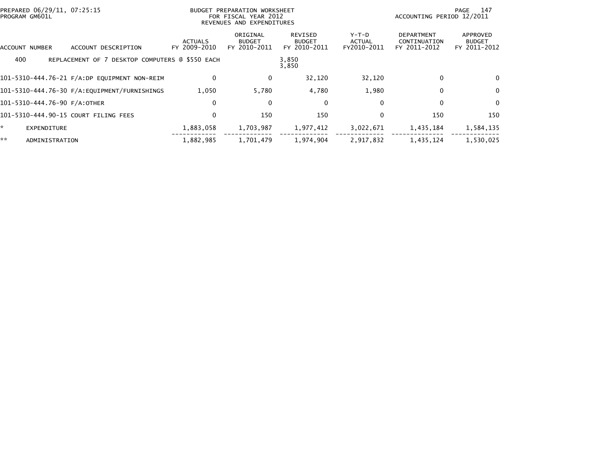| PREPARED 06/29/11, 07:25:15<br>PROGRAM GM601L |                                                 |                                | BUDGET PREPARATION WORKSHEET<br>FOR FISCAL YEAR 2012<br>REVENUES AND EXPENDITURES |                                          |                                         | ACCOUNTING PERIOD 12/2011                         | - 147<br>PAGE                             |
|-----------------------------------------------|-------------------------------------------------|--------------------------------|-----------------------------------------------------------------------------------|------------------------------------------|-----------------------------------------|---------------------------------------------------|-------------------------------------------|
| ACCOUNT NUMBER                                | ACCOUNT DESCRIPTION                             | <b>ACTUALS</b><br>FY 2009-2010 | ORIGINAL<br><b>BUDGET</b><br>FY 2010-2011                                         | REVISED<br><b>BUDGET</b><br>FY 2010-2011 | $Y-T-D$<br><b>ACTUAL</b><br>FY2010-2011 | <b>DEPARTMENT</b><br>CONTINUATION<br>FY 2011-2012 | APPROVED<br><b>BUDGET</b><br>FY 2011-2012 |
| 400                                           | REPLACEMENT OF 7 DESKTOP COMPUTERS @ \$550 EACH |                                |                                                                                   | 3,850<br>3,850                           |                                         |                                                   |                                           |
|                                               | 101-5310-444.76-21 F/A:DP EQUIPMENT NON-REIM    | $\mathbf{0}$                   | 0                                                                                 | 32,120                                   | 32,120                                  | $\Omega$                                          | 0                                         |
|                                               |                                                 | 1,050                          | 5,780                                                                             | 4,780                                    | 1,980                                   | $\mathbf{0}$                                      | 0                                         |
| 101-5310-444.76-90 F/A:OTHER                  |                                                 | $\Omega$                       | 0                                                                                 | 0                                        | 0                                       | 0                                                 | 0                                         |
|                                               | 101-5310-444.90-15 COURT FILING FEES            | $\mathbf{0}$                   | 150                                                                               | 150                                      | $\mathbf{0}$                            | 150                                               | 150                                       |
| *.<br><b>EXPENDITURE</b>                      |                                                 | 1,883,058                      | 1,703,987                                                                         | 1,977,412                                | 3,022,671                               | 1,435,184                                         | 1,584,135                                 |
| **<br>ADMINISTRATION                          |                                                 | 1,882,985                      | 1,701,479                                                                         | 1.974.904                                | 2,917,832                               | 1.435.124                                         | 1,530,025                                 |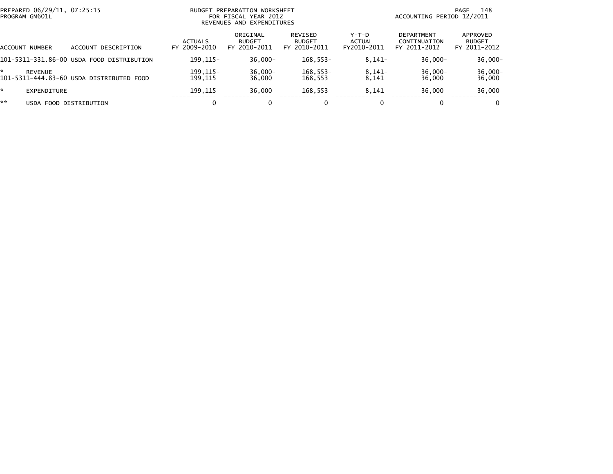| PREPARED 06/29/11, 07:25:15<br>PROGRAM GM601L |                                           | BUDGET PREPARATION WORKSHEET<br>FOR FISCAL YEAR 2012<br>REVENUES AND EXPENDITURES |                                           |                                                 |                                         | 148<br>PAGE<br>ACCOUNTING PERIOD 12/2011          |                                           |  |
|-----------------------------------------------|-------------------------------------------|-----------------------------------------------------------------------------------|-------------------------------------------|-------------------------------------------------|-----------------------------------------|---------------------------------------------------|-------------------------------------------|--|
| ACCOUNT NUMBER                                | DESCRIPTION<br>ACCOUNT                    | <b>ACTUALS</b><br>FY 2009-2010                                                    | ORIGINAL<br><b>BUDGET</b><br>FY 2010-2011 | <b>REVISED</b><br><b>BUDGET</b><br>FY 2010-2011 | $Y-T-D$<br><b>ACTUAL</b><br>FY2010-2011 | <b>DEPARTMENT</b><br>CONTINUATION<br>FY 2011-2012 | APPROVED<br><b>BUDGET</b><br>FY 2011-2012 |  |
|                                               | 101-5311-331.86-00 USDA FOOD DISTRIBUTION | 199.115-                                                                          | $36,000 -$                                | $168.553-$                                      | $8,141-$                                | $36,000 -$                                        | $36,000 -$                                |  |
| ÷<br><b>REVENUE</b>                           | 101-5311-444.83-60 USDA DISTRIBUTED FOOD  | 199, 115-<br>199.115                                                              | $36,000 -$<br>36,000                      | $168,553-$<br>168.553                           | $8,141-$<br>8.141                       | 36,000-<br>36,000                                 | $36,000 -$<br>36,000                      |  |
| *<br>EXPENDITURE                              |                                           | 199,115                                                                           | 36,000                                    | 168,553                                         | 8.141                                   | 36,000                                            | 36,000                                    |  |
| **                                            | USDA FOOD DISTRIBUTION                    |                                                                                   | 0                                         | $\Omega$                                        |                                         | 0                                                 | 0                                         |  |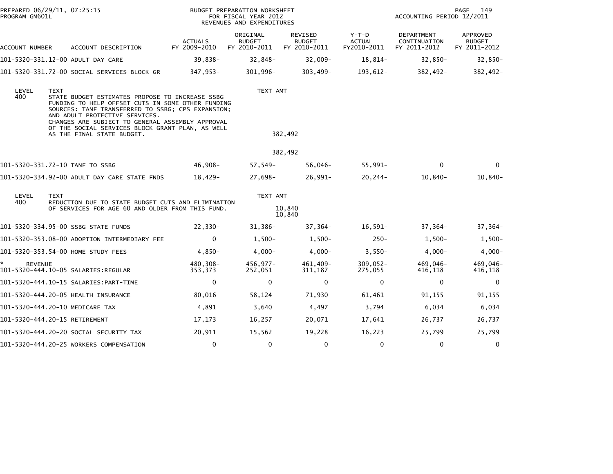| PROGRAM GM601L       | PREPARED 06/29/11, 07:25:15                                                                                                                                                                                                                                                                                                                      |                                | BUDGET PREPARATION WORKSHEET<br>FOR FISCAL YEAR 2012<br>REVENUES AND EXPENDITURES | 149<br>PAGE<br>ACCOUNTING PERIOD 12/2011        |                                         |                                            |                                                  |
|----------------------|--------------------------------------------------------------------------------------------------------------------------------------------------------------------------------------------------------------------------------------------------------------------------------------------------------------------------------------------------|--------------------------------|-----------------------------------------------------------------------------------|-------------------------------------------------|-----------------------------------------|--------------------------------------------|--------------------------------------------------|
| ACCOUNT NUMBER       | ACCOUNT DESCRIPTION                                                                                                                                                                                                                                                                                                                              | <b>ACTUALS</b><br>FY 2009-2010 | ORIGINAL<br><b>BUDGET</b><br>FY 2010-2011                                         | <b>REVISED</b><br><b>BUDGET</b><br>FY 2010-2011 | $Y-T-D$<br><b>ACTUAL</b><br>FY2010-2011 | DEPARTMENT<br>CONTINUATION<br>FY 2011-2012 | <b>APPROVED</b><br><b>BUDGET</b><br>FY 2011-2012 |
|                      | 101-5320-331.12-00 ADULT DAY CARE                                                                                                                                                                                                                                                                                                                | 39,838-                        | 32,848-                                                                           | $32,009-$                                       | 18,814-                                 | 32,850-                                    | 32,850-                                          |
|                      | 101-5320-331.72-00 SOCIAL SERVICES BLOCK GR                                                                                                                                                                                                                                                                                                      | 347,953-                       | $301,996 -$                                                                       | 303,499-                                        | 193,612-                                | 382,492-                                   | 382,492-                                         |
| LEVEL<br>400         | <b>TEXT</b><br>STATE BUDGET ESTIMATES PROPOSE TO INCREASE SSBG<br>FUNDING TO HELP OFFSET CUTS IN SOME OTHER FUNDING<br>SOURCES: TANF TRANSFERRED TO SSBG; CPS EXPANSION;<br>AND ADULT PROTECTIVE SERVICES.<br>CHANGES ARE SUBJECT TO GENERAL ASSEMBLY APPROVAL<br>OF THE SOCIAL SERVICES BLOCK GRANT PLAN, AS WELL<br>AS THE FINAL STATE BUDGET. |                                | TEXT AMT                                                                          | 382,492                                         |                                         |                                            |                                                  |
|                      |                                                                                                                                                                                                                                                                                                                                                  |                                |                                                                                   | 382,492                                         |                                         |                                            |                                                  |
|                      | 101-5320-331.72-10 TANF TO SSBG                                                                                                                                                                                                                                                                                                                  | 46,908-                        | 57,549-                                                                           | $56,046 -$                                      | $55,991 -$                              | $\mathbf{0}$                               | $\Omega$                                         |
|                      | 101-5320-334.92-00 ADULT DAY CARE STATE FNDS                                                                                                                                                                                                                                                                                                     | 18,429-                        | 27,698-                                                                           | $26,991 -$                                      | $20, 244 -$                             | $10,840-$                                  | $10,840-$                                        |
| LEVEL                | <b>TEXT</b>                                                                                                                                                                                                                                                                                                                                      |                                | TEXT AMT                                                                          |                                                 |                                         |                                            |                                                  |
| 400                  | REDUCTION DUE TO STATE BUDGET CUTS AND ELIMINATION<br>OF SERVICES FOR AGE 60 AND OLDER FROM THIS FUND.                                                                                                                                                                                                                                           |                                |                                                                                   | 10,840<br>10,840                                |                                         |                                            |                                                  |
|                      | 101-5320-334.95-00 SSBG STATE FUNDS                                                                                                                                                                                                                                                                                                              | $22,330-$                      | 31,386-                                                                           | $37,364-$                                       | $16,591-$                               | $37,364-$                                  | 37,364-                                          |
|                      | 101-5320-353.08-00 ADOPTION INTERMEDIARY FEE                                                                                                                                                                                                                                                                                                     | $\mathbf 0$                    | $1,500-$                                                                          | $1,500-$                                        | $250 -$                                 | $1,500-$                                   | $1,500-$                                         |
|                      | 101-5320-353.54-00 HOME STUDY FEES                                                                                                                                                                                                                                                                                                               | $4,850-$                       | $4,000-$                                                                          | $4,000-$                                        | $3,550-$                                | $4,000-$                                   | $4,000-$                                         |
| ŵ.<br><b>REVENUE</b> | 101–5320–444.10–05 SALARIES:REGULAR                                                                                                                                                                                                                                                                                                              | 480,308-<br>353,373            | $456,977-$<br>252,051                                                             | 461,409-<br>311,187                             | $309,052 -$<br>275,055                  | 469,046-<br>416,118                        | 469,046-<br>416,118                              |
|                      | 101-5320-444.10-15 SALARIES: PART-TIME                                                                                                                                                                                                                                                                                                           | $\mathbf 0$                    | 0                                                                                 | 0                                               | $\mathbf 0$                             | 0                                          | 0                                                |
|                      | 101-5320-444.20-05 HEALTH INSURANCE                                                                                                                                                                                                                                                                                                              | 80,016                         | 58,124                                                                            | 71,930                                          | 61,461                                  | 91,155                                     | 91,155                                           |
|                      | 101-5320-444.20-10 MEDICARE TAX                                                                                                                                                                                                                                                                                                                  | 4,891                          | 3,640                                                                             | 4,497                                           | 3,794                                   | 6,034                                      | 6,034                                            |
|                      | 101-5320-444.20-15 RETIREMENT                                                                                                                                                                                                                                                                                                                    | 17,173                         | 16,257                                                                            | 20,071                                          | 17,641                                  | 26,737                                     | 26,737                                           |
|                      | 101-5320-444.20-20 SOCIAL SECURITY TAX                                                                                                                                                                                                                                                                                                           | 20,911                         | 15,562                                                                            | 19,228                                          | 16,223                                  | 25,799                                     | 25,799                                           |
|                      | 101-5320-444.20-25 WORKERS COMPENSATION                                                                                                                                                                                                                                                                                                          | 0                              | 0                                                                                 | 0                                               | 0                                       | 0                                          | 0                                                |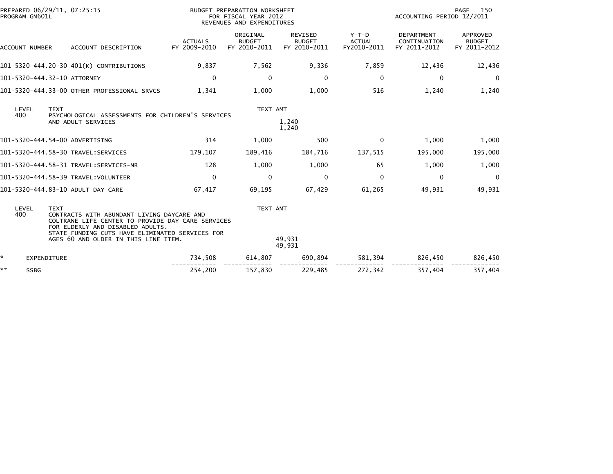| PROGRAM GM601L        | PREPARED 06/29/11, 07:25:15                                                                                                                                                                                                                   |                                | BUDGET PREPARATION WORKSHEET<br>FOR FISCAL YEAR 2012<br>REVENUES AND EXPENDITURES |                                                 |                                         | ACCOUNTING PERIOD 12/2011                         | 150<br>PAGE                               |
|-----------------------|-----------------------------------------------------------------------------------------------------------------------------------------------------------------------------------------------------------------------------------------------|--------------------------------|-----------------------------------------------------------------------------------|-------------------------------------------------|-----------------------------------------|---------------------------------------------------|-------------------------------------------|
| <b>ACCOUNT NUMBER</b> | ACCOUNT DESCRIPTION                                                                                                                                                                                                                           | <b>ACTUALS</b><br>FY 2009-2010 | ORIGINAL<br><b>BUDGET</b><br>FY 2010-2011                                         | <b>REVISED</b><br><b>BUDGET</b><br>FY 2010-2011 | $Y-T-D$<br><b>ACTUAL</b><br>FY2010-2011 | <b>DEPARTMENT</b><br>CONTINUATION<br>FY 2011-2012 | APPROVED<br><b>BUDGET</b><br>FY 2011-2012 |
|                       | 101-5320-444.20-30 401(K) CONTRIBUTIONS                                                                                                                                                                                                       | 9,837                          | 7,562                                                                             | 9,336                                           | 7,859                                   | 12,436                                            | 12,436                                    |
|                       | 101-5320-444.32-10 ATTORNEY                                                                                                                                                                                                                   | $\Omega$                       | 0                                                                                 | $\mathbf 0$                                     | $\mathbf{0}$                            | $\mathbf{0}$                                      | $\overline{0}$                            |
|                       | 101-5320-444.33-00 OTHER PROFESSIONAL SRVCS                                                                                                                                                                                                   | 1,341                          | 1,000                                                                             | 1,000                                           | 516                                     | 1,240                                             | 1,240                                     |
| LEVEL<br>400          | <b>TEXT</b><br>PSYCHOLOGICAL ASSESSMENTS FOR CHILDREN'S SERVICES<br>AND ADULT SERVICES                                                                                                                                                        |                                | TEXT AMT                                                                          | 1,240<br>1,240                                  |                                         |                                                   |                                           |
|                       | 101-5320-444.54-00 ADVERTISING                                                                                                                                                                                                                | 314                            | 1,000                                                                             | 500                                             | $\mathbf{0}$                            | 1,000                                             | 1,000                                     |
|                       | 101-5320-444.58-30 TRAVEL:SERVICES                                                                                                                                                                                                            | 179,107                        | 189,416                                                                           | 184,716                                         | 137,515                                 | 195,000                                           | 195,000                                   |
|                       | 101-5320-444.58-31 TRAVEL:SERVICES-NR                                                                                                                                                                                                         | 128                            | 1,000                                                                             | 1,000                                           | 65                                      | 1,000                                             | 1,000                                     |
|                       | 101-5320-444.58-39 TRAVEL:VOLUNTEER                                                                                                                                                                                                           | $\Omega$                       | 0                                                                                 | 0                                               | $\Omega$                                | $\Omega$                                          | $\Omega$                                  |
|                       | 101-5320-444.83-10 ADULT DAY CARE                                                                                                                                                                                                             | 67,417                         | 69,195                                                                            | 67,429                                          | 61,265                                  | 49,931                                            | 49,931                                    |
| LEVEL<br>400          | <b>TEXT</b><br>CONTRACTS WITH ABUNDANT LIVING DAYCARE AND<br>COLTRANE LIFE CENTER TO PROVIDE DAY CARE SERVICES<br>FOR ELDERLY AND DISABLED ADULTS.<br>STATE FUNDING CUTS HAVE ELIMINATED SERVICES FOR<br>AGES 60 AND OLDER IN THIS LINE ITEM. |                                | TEXT AMT                                                                          | 49,931<br>49,931                                |                                         |                                                   |                                           |
| *<br>EXPENDITURE      |                                                                                                                                                                                                                                               | 734,508                        | 614,807                                                                           | 690,894                                         | 581,394                                 | 826,450                                           | 826,450                                   |
| **<br><b>SSBG</b>     |                                                                                                                                                                                                                                               | 254,200                        | 157,830                                                                           | 229,485                                         | 272.342                                 | 357,404                                           | 357,404                                   |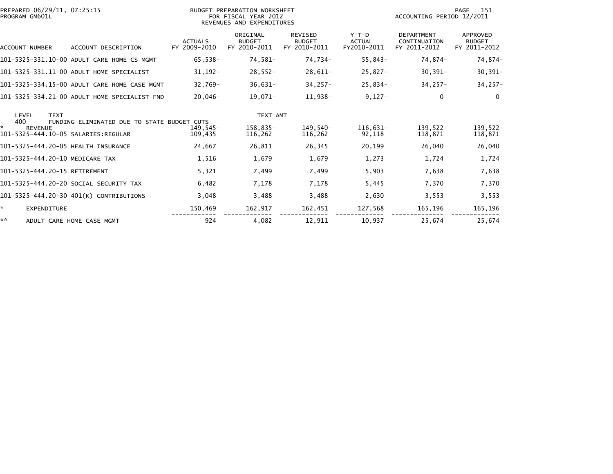| PREPARED 06/29/11, 07:25:15<br>PROGRAM GM601L |                                              |                                | BUDGET PREPARATION WORKSHEET<br>FOR FISCAL YEAR 2012<br>REVENUES AND EXPENDITURES | 151<br>PAGE<br>ACCOUNTING PERIOD 12/2011        |                                         |                                                   |                                           |
|-----------------------------------------------|----------------------------------------------|--------------------------------|-----------------------------------------------------------------------------------|-------------------------------------------------|-----------------------------------------|---------------------------------------------------|-------------------------------------------|
| ACCOUNT NUMBER                                | ACCOUNT DESCRIPTION                          | <b>ACTUALS</b><br>FY 2009-2010 | ORIGINAL<br><b>BUDGET</b><br>FY 2010-2011                                         | <b>REVISED</b><br><b>BUDGET</b><br>FY 2010-2011 | $Y-T-D$<br><b>ACTUAL</b><br>FY2010-2011 | <b>DEPARTMENT</b><br>CONTINUATION<br>FY 2011-2012 | APPROVED<br><b>BUDGET</b><br>FY 2011-2012 |
|                                               | 101-5325-331.10-00 ADULT CARE HOME CS MGMT   | 65,538-                        | 74,581-                                                                           | 74,734-                                         | 55,843-                                 | 74,874-                                           | 74,874-                                   |
|                                               | 101-5325-331.11-00 ADULT HOME SPECIALIST     | $31,192-$                      | $28,552-$                                                                         | $28,611-$                                       | $25,827-$                               | $30,391 -$                                        | $30,391-$                                 |
|                                               | 101-5325-334.15-00 ADULT CARE HOME CASE MGMT | $32.769 -$                     | $36,631-$                                                                         | $34,257-$                                       | 25,834-                                 | $34,257-$                                         | $34,257-$                                 |
|                                               | 101-5325-334.21-00 ADULT HOME SPECIALIST FND | $20,046-$                      | 19,071-                                                                           | 11,938-                                         | $9,127-$                                | $\mathbf{0}$                                      | $\Omega$                                  |
| <b>TEXT</b><br>LEVEL<br>400                   | FUNDING ELIMINATED DUE TO STATE BUDGET CUTS  |                                | TEXT AMT                                                                          |                                                 |                                         |                                                   |                                           |
| ×.<br><b>REVENUE</b>                          |                                              | 149,545-<br>109.435            | 158,835-<br>116,262                                                               | 149.540-<br>116,262                             | $116,631-$<br>92,118                    | $139.522 -$<br>118,871                            | 139,522-<br>118,871                       |
| 101-5325-444.20-05 HEALTH INSURANCE           |                                              | 24,667                         | 26,811                                                                            | 26,345                                          | 20,199                                  | 26,040                                            | 26,040                                    |
| 101-5325-444.20-10 MEDICARE TAX               |                                              | 1,516                          | 1,679                                                                             | 1,679                                           | 1,273                                   | 1,724                                             | 1,724                                     |
| 101-5325-444.20-15 RETIREMENT                 |                                              | 5,321                          | 7,499                                                                             | 7,499                                           | 5,903                                   | 7,638                                             | 7,638                                     |
|                                               | 101-5325-444.20-20 SOCIAL SECURITY TAX       | 6,482                          | 7,178                                                                             | 7,178                                           | 5,445                                   | 7,370                                             | 7,370                                     |
|                                               | 101-5325-444.20-30 401(K) CONTRIBUTIONS      | 3,048                          | 3,488                                                                             | 3,488                                           | 2,630                                   | 3,553                                             | 3,553                                     |
| ÷.<br><b>EXPENDITURE</b>                      |                                              | 150,469                        | 162,917                                                                           | 162,451                                         | 127,568                                 | 165,196                                           | 165,196                                   |
| **                                            | ADULT CARE HOME CASE MGMT                    | 924                            | 4,082                                                                             | 12,911                                          | 10,937                                  | 25,674                                            | 25,674                                    |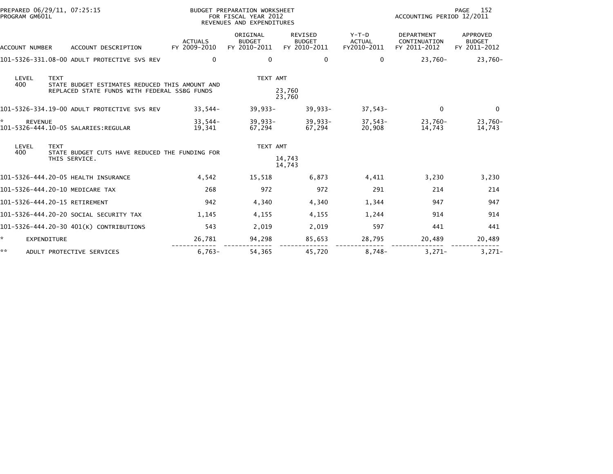| PREPARED 06/29/11, 07:25:15<br>PROGRAM GM601L          |                                                                 |                                | BUDGET PREPARATION WORKSHEET<br>FOR FISCAL YEAR 2012<br>REVENUES AND EXPENDITURES |                                                 | 152<br>PAGE<br>ACCOUNTING PERIOD 12/2011 |                                                   |                                           |
|--------------------------------------------------------|-----------------------------------------------------------------|--------------------------------|-----------------------------------------------------------------------------------|-------------------------------------------------|------------------------------------------|---------------------------------------------------|-------------------------------------------|
| ACCOUNT NUMBER                                         | ACCOUNT DESCRIPTION                                             | <b>ACTUALS</b><br>FY 2009-2010 | ORIGINAL<br><b>BUDGET</b><br>FY 2010-2011                                         | <b>REVISED</b><br><b>BUDGET</b><br>FY 2010-2011 | $Y-T-D$<br><b>ACTUAL</b><br>FY2010-2011  | <b>DEPARTMENT</b><br>CONTINUATION<br>FY 2011-2012 | APPROVED<br><b>BUDGET</b><br>FY 2011-2012 |
|                                                        | 101-5326-331.08-00 ADULT PROTECTIVE SVS REV                     | $\Omega$                       | $\mathbf{0}$                                                                      | 0                                               | 0                                        | $23.760 -$                                        | 23,760-                                   |
| <b>TEXT</b><br>LEVEL<br>400                            | STATE BUDGET ESTIMATES REDUCED THIS AMOUNT AND                  |                                | TEXT AMT                                                                          |                                                 |                                          |                                                   |                                           |
|                                                        | REPLACED STATE FUNDS WITH FEDERAL SSBG FUNDS                    |                                |                                                                                   | 23,760<br>23,760                                |                                          |                                                   |                                           |
|                                                        | 101-5326-334.19-00 ADULT PROTECTIVE SVS REV                     | $33,544-$                      | $39,933-$                                                                         | $39,933 -$                                      | $37,543-$                                | $\Omega$                                          | 0                                         |
| <b>REVENUE</b><br>101-5326-444.10-05 SALARIES: REGULAR |                                                                 | $33,544-$<br>19,341            | $39,933 -$<br>67,294                                                              | $39,933 -$<br>67,294                            | $37,543-$<br>20,908                      | 23,760-<br>14,743                                 | 23,760-<br>14,743                         |
| LEVEL<br><b>TEXT</b><br>400                            |                                                                 |                                | TEXT AMT                                                                          |                                                 |                                          |                                                   |                                           |
|                                                        | STATE BUDGET CUTS HAVE REDUCED THE FUNDING FOR<br>THIS SERVICE. |                                |                                                                                   | 14,743<br>14,743                                |                                          |                                                   |                                           |
| 101-5326-444.20-05 HEALTH INSURANCE                    |                                                                 | 4,542                          | 15,518                                                                            | 6,873                                           | 4,411                                    | 3,230                                             | 3,230                                     |
| 101-5326-444.20-10 MEDICARE TAX                        |                                                                 | 268                            | 972                                                                               | 972                                             | 291                                      | 214                                               | 214                                       |
| 101-5326-444.20-15 RETIREMENT                          |                                                                 | 942                            | 4,340                                                                             | 4,340                                           | 1,344                                    | 947                                               | 947                                       |
|                                                        | 101-5326-444.20-20 SOCIAL SECURITY TAX                          | 1,145                          | 4,155                                                                             | 4,155                                           | 1,244                                    | 914                                               | 914                                       |
|                                                        | 101-5326-444.20-30 401(K) CONTRIBUTIONS                         | 543                            | 2,019                                                                             | 2,019                                           | 597                                      | 441                                               | 441                                       |
| EXPENDITURE                                            |                                                                 | 26,781                         | 94,298                                                                            | 85,653                                          | 28,795                                   | 20,489                                            | 20,489                                    |
| **                                                     | ADULT PROTECTIVE SERVICES                                       | $6,763-$                       | 54.365                                                                            | 45.720                                          | $8.748 -$                                | $3,271-$                                          | $3.271-$                                  |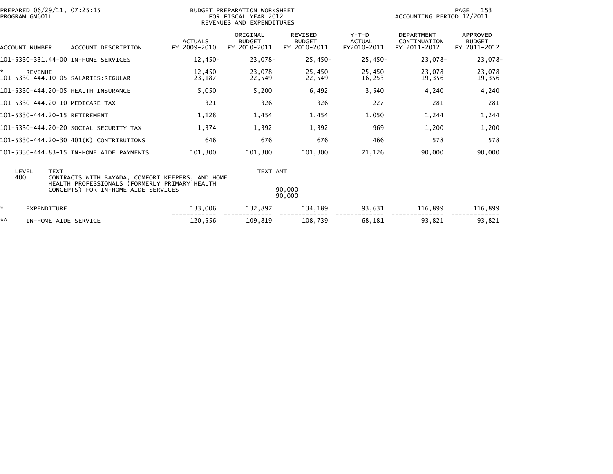|    | PREPARED 06/29/11, 07:25:15<br>PROGRAM GM601L |                                                                                      |                                | BUDGET PREPARATION WORKSHEET<br>FOR FISCAL YEAR 2012<br>REVENUES AND EXPENDITURES |                                                 |                                         | ACCOUNTING PERIOD 12/2011                         | 153<br>PAGE                               |
|----|-----------------------------------------------|--------------------------------------------------------------------------------------|--------------------------------|-----------------------------------------------------------------------------------|-------------------------------------------------|-----------------------------------------|---------------------------------------------------|-------------------------------------------|
|    | ACCOUNT NUMBER                                | ACCOUNT DESCRIPTION                                                                  | <b>ACTUALS</b><br>FY 2009-2010 | ORIGINAL<br><b>BUDGET</b><br>FY 2010-2011                                         | <b>REVISED</b><br><b>BUDGET</b><br>FY 2010-2011 | $Y-T-D$<br><b>ACTUAL</b><br>FY2010-2011 | <b>DEPARTMENT</b><br>CONTINUATION<br>FY 2011-2012 | APPROVED<br><b>BUDGET</b><br>FY 2011-2012 |
|    |                                               | 101-5330-331.44-00 IN-HOME SERVICES                                                  | 12,450-                        | 23,078-                                                                           | 25,450-                                         | 25,450-                                 | 23,078-                                           | 23,078-                                   |
| *. | <b>REVENUE</b>                                |                                                                                      | $12,450-$<br>23,187            | 23,078-<br>22,549                                                                 | $25.450 -$<br>22,549                            | $25,450-$<br>16,253                     | 23.078-<br>19,356                                 | 23,078-<br>19,356                         |
|    |                                               | 101-5330-444.20-05 HEALTH INSURANCE                                                  | 5,050                          | 5,200                                                                             | 6,492                                           | 3,540                                   | 4,240                                             | 4,240                                     |
|    |                                               | 101-5330-444.20-10 MEDICARE TAX                                                      | 321                            | 326                                                                               | 326                                             | 227                                     | 281                                               | 281                                       |
|    | 101-5330-444.20-15 RETIREMENT                 |                                                                                      | 1,128                          | 1,454                                                                             | 1,454                                           | 1,050                                   | 1,244                                             | 1,244                                     |
|    |                                               | 101-5330-444.20-20 SOCIAL SECURITY TAX                                               | 1,374                          | 1,392                                                                             | 1,392                                           | 969                                     | 1,200                                             | 1,200                                     |
|    |                                               | 101-5330-444.20-30 401(K) CONTRIBUTIONS                                              | 646                            | 676                                                                               | 676                                             | 466                                     | 578                                               | 578                                       |
|    |                                               | 101-5330-444.83-15 IN-HOME AIDE PAYMENTS                                             | 101.300                        | 101.300                                                                           | 101.300                                         | 71,126                                  | 90.000                                            | 90,000                                    |
|    | LEVEL<br><b>TEXT</b><br>400                   | CONTRACTS WITH BAYADA, COMFORT KEEPERS, AND HOME                                     |                                | TEXT AMT                                                                          |                                                 |                                         |                                                   |                                           |
|    |                                               | HEALTH PROFESSIONALS (FORMERLY PRIMARY HEALTH<br>CONCEPTS) FOR IN-HOME AIDE SERVICES |                                |                                                                                   | 90,000<br>90,000                                |                                         |                                                   |                                           |
| ☆. | EXPENDITURE                                   |                                                                                      | 133,006                        | 132,897                                                                           | 134,189                                         | 93,631                                  | 116,899                                           | 116,899                                   |
| ** | IN-HOME AIDE SERVICE                          |                                                                                      | 120,556                        | 109,819                                                                           | 108.739                                         | 68,181                                  | 93.821                                            | 93,821                                    |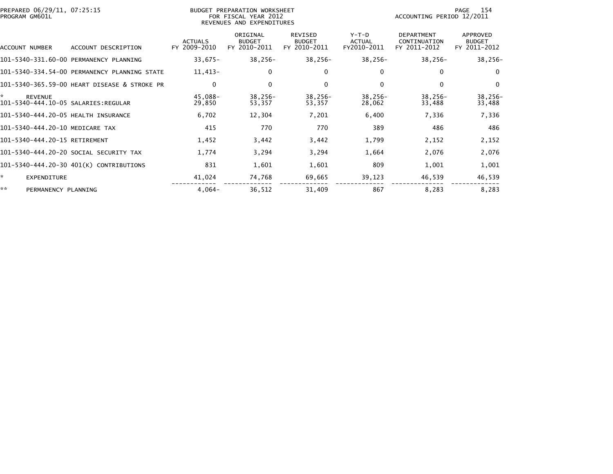| PREPARED 06/29/11, 07:25:15<br>PROGRAM GM601L |                                              |                                | BUDGET PREPARATION WORKSHEET<br>FOR FISCAL YEAR 2012<br>REVENUES AND EXPENDITURES |                                                 |                                         | ACCOUNTING PERIOD 12/2011                         | 154<br>PAGE                                      |
|-----------------------------------------------|----------------------------------------------|--------------------------------|-----------------------------------------------------------------------------------|-------------------------------------------------|-----------------------------------------|---------------------------------------------------|--------------------------------------------------|
| ACCOUNT NUMBER                                | ACCOUNT DESCRIPTION                          | <b>ACTUALS</b><br>FY 2009-2010 | ORIGINAL<br><b>BUDGET</b><br>FY 2010-2011                                         | <b>REVISED</b><br><b>BUDGET</b><br>FY 2010-2011 | $Y-T-D$<br><b>ACTUAL</b><br>FY2010-2011 | <b>DEPARTMENT</b><br>CONTINUATION<br>FY 2011-2012 | <b>APPROVED</b><br><b>BUDGET</b><br>FY 2011-2012 |
|                                               | 101-5340-331.60-00 PERMANENCY PLANNING       | $33,675-$                      | $38,256-$                                                                         | $38,256-$                                       | $38,256-$                               | $38,256-$                                         | $38,256-$                                        |
|                                               | 101-5340-334.54-00 PERMANENCY PLANNING STATE | $11,413-$                      | 0                                                                                 | 0                                               | $\mathbf{0}$                            | $\Omega$                                          | $\Omega$                                         |
|                                               | 101-5340-365.59-00 HEART DISEASE & STROKE PR | $\mathbf{0}$                   | 0                                                                                 | $\mathbf{0}$                                    | $\Omega$                                | $\Omega$                                          | $\Omega$                                         |
| *<br><b>REVENUE</b>                           |                                              | 45,088-<br>29,850              | $38,256-$<br>53,357                                                               | $38,256-$<br>53,357                             | 38,256-<br>28,062                       | $38,256-$<br>33,488                               | $38,256-$<br>33,488                              |
| 101-5340-444.20-05 HEALTH INSURANCE           |                                              | 6,702                          | 12,304                                                                            | 7,201                                           | 6,400                                   | 7,336                                             | 7,336                                            |
| 101-5340-444.20-10 MEDICARE TAX               |                                              | 415                            | 770                                                                               | 770                                             | 389                                     | 486                                               | 486                                              |
| 101-5340-444.20-15 RETIREMENT                 |                                              | 1,452                          | 3,442                                                                             | 3,442                                           | 1,799                                   | 2,152                                             | 2,152                                            |
|                                               | 101-5340-444.20-20 SOCIAL SECURITY TAX       | 1,774                          | 3,294                                                                             | 3,294                                           | 1,664                                   | 2,076                                             | 2,076                                            |
|                                               | 101-5340-444.20-30 401(K) CONTRIBUTIONS      | 831                            | 1,601                                                                             | 1,601                                           | 809                                     | 1,001                                             | 1,001                                            |
| ÷.<br><b>EXPENDITURE</b>                      |                                              | 41,024                         | 74,768                                                                            | 69,665                                          | 39,123                                  | 46,539                                            | 46,539                                           |
| **<br>PERMANENCY PLANNING                     |                                              | $4,064-$                       | 36,512                                                                            | 31,409                                          | 867                                     | 8,283                                             | 8,283                                            |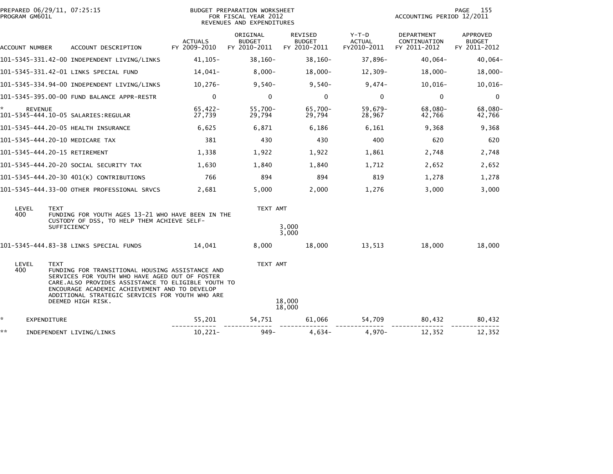| PREPARED 06/29/11, 07:25:15<br>PROGRAM GM601L |                                                                                                                                                                                                                                                                                  |                                | BUDGET PREPARATION WORKSHEET<br>FOR FISCAL YEAR 2012<br>REVENUES AND EXPENDITURES |                                          |                                         | ACCOUNTING PERIOD 12/2011                  | 155<br>PAGE                               |
|-----------------------------------------------|----------------------------------------------------------------------------------------------------------------------------------------------------------------------------------------------------------------------------------------------------------------------------------|--------------------------------|-----------------------------------------------------------------------------------|------------------------------------------|-----------------------------------------|--------------------------------------------|-------------------------------------------|
| ACCOUNT NUMBER                                | ACCOUNT DESCRIPTION                                                                                                                                                                                                                                                              | <b>ACTUALS</b><br>FY 2009-2010 | ORIGINAL<br><b>BUDGET</b><br>FY 2010-2011                                         | REVISED<br><b>BUDGET</b><br>FY 2010-2011 | $Y-T-D$<br><b>ACTUAL</b><br>FY2010-2011 | DEPARTMENT<br>CONTINUATION<br>FY 2011-2012 | APPROVED<br><b>BUDGET</b><br>FY 2011-2012 |
|                                               | 101-5345-331.42-00 INDEPENDENT LIVING/LINKS                                                                                                                                                                                                                                      | $41, 105 -$                    | $38,160-$                                                                         | $38,160-$                                | 37,896-                                 | $40,064-$                                  | $40,064-$                                 |
|                                               | 101-5345-331.42-01 LINKS SPECIAL FUND                                                                                                                                                                                                                                            | 14,041-                        | $8,000-$                                                                          | $18,000 -$                               | $12,309-$                               | $18,000 -$                                 | $18,000 -$                                |
|                                               | 101-5345-334.94-00 INDEPENDENT LIVING/LINKS                                                                                                                                                                                                                                      | $10,276-$                      | $9,540-$                                                                          | $9,540-$                                 | $9,474-$                                | $10,016-$                                  | $10,016-$                                 |
|                                               | 101-5345-395.00-00 FUND BALANCE APPR-RESTR                                                                                                                                                                                                                                       | $\mathbf{0}$                   | $\mathbf{0}$                                                                      | $\mathbf 0$                              | $\mathbf{0}$                            | $\Omega$                                   | $\mathbf{0}$                              |
| <b>REVENUE</b>                                | 101-5345-444.10-05 SALARIES:REGULAR                                                                                                                                                                                                                                              | $65,422-$<br>27,739            | 55,700-<br>29,794                                                                 | 65,700-<br>29,794                        | 59,679-<br>28,967                       | 68,080-<br>42,766                          | 68,080-<br>42,766                         |
|                                               | 101-5345-444.20-05 HEALTH INSURANCE                                                                                                                                                                                                                                              | 6,625                          | 6,871                                                                             | 6,186                                    | 6,161                                   | 9,368                                      | 9,368                                     |
| 101-5345-444.20-10 MEDICARE TAX               |                                                                                                                                                                                                                                                                                  | 381                            | 430                                                                               | 430                                      | 400                                     | 620                                        | 620                                       |
| 101-5345-444.20-15 RETIREMENT                 |                                                                                                                                                                                                                                                                                  | 1,338                          | 1,922                                                                             | 1,922                                    | 1,861                                   | 2,748                                      | 2,748                                     |
|                                               | 101-5345-444.20-20 SOCIAL SECURITY TAX                                                                                                                                                                                                                                           | 1,630                          | 1,840                                                                             | 1,840                                    | 1,712                                   | 2,652                                      | 2,652                                     |
|                                               | 101-5345-444.20-30 401(K) CONTRIBUTIONS                                                                                                                                                                                                                                          | 766                            | 894                                                                               | 894                                      | 819                                     | 1.278                                      | 1,278                                     |
|                                               | 101-5345-444.33-00 OTHER PROFESSIONAL SRVCS                                                                                                                                                                                                                                      | 2,681                          | 5,000                                                                             | 2,000                                    | 1,276                                   | 3,000                                      | 3,000                                     |
| LEVEL<br><b>TEXT</b><br>400                   | FUNDING FOR YOUTH AGES 13-21 WHO HAVE BEEN IN THE<br>CUSTODY OF DSS, TO HELP THEM ACHIEVE SELF-                                                                                                                                                                                  |                                | TEXT AMT                                                                          |                                          |                                         |                                            |                                           |
|                                               | SUFFICIENCY                                                                                                                                                                                                                                                                      |                                |                                                                                   | 3,000<br>3,000                           |                                         |                                            |                                           |
|                                               | 101-5345-444.83-38 LINKS SPECIAL FUNDS                                                                                                                                                                                                                                           | 14,041                         | 8,000                                                                             | 18,000                                   | 13,513                                  | 18,000                                     | 18,000                                    |
| LEVEL<br><b>TEXT</b><br>400                   | FUNDING FOR TRANSITIONAL HOUSING ASSISTANCE AND<br>SERVICES FOR YOUTH WHO HAVE AGED OUT OF FOSTER<br>CARE.ALSO PROVIDES ASSISTANCE TO ELIGIBLE YOUTH TO<br>ENCOURAGE ACADEMIC ACHIEVEMENT AND TO DEVELOP<br>ADDITIONAL STRATEGIC SERVICES FOR YOUTH WHO ARE<br>DEEMED HIGH RISK. |                                | TEXT AMT                                                                          | 18,000                                   |                                         |                                            |                                           |
| ÷.                                            |                                                                                                                                                                                                                                                                                  |                                |                                                                                   | 18,000                                   |                                         |                                            |                                           |
| EXPENDITURE<br>**                             |                                                                                                                                                                                                                                                                                  | 55,201                         | 54,751                                                                            | 61,066                                   | 54,709                                  | 80,432                                     | 80,432                                    |
|                                               | INDEPENDENT LIVING/LINKS                                                                                                                                                                                                                                                         | $10,221-$                      | $949 -$                                                                           | $4,634-$                                 | $4,970-$                                | 12,352                                     | 12,352                                    |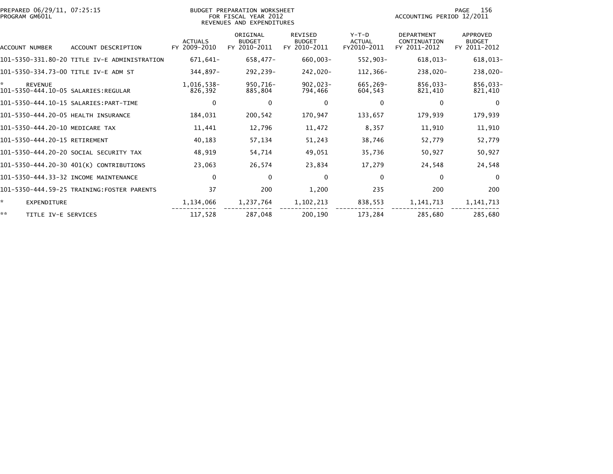| PREPARED 06/29/11, 07:25:15<br>PROGRAM GM601L               |                                              |                                | BUDGET PREPARATION WORKSHEET<br>FOR FISCAL YEAR 2012<br>REVENUES AND EXPENDITURES |                                                 | 156<br>PAGE<br>ACCOUNTING PERIOD 12/2011 |                                                   |                                                  |
|-------------------------------------------------------------|----------------------------------------------|--------------------------------|-----------------------------------------------------------------------------------|-------------------------------------------------|------------------------------------------|---------------------------------------------------|--------------------------------------------------|
| ACCOUNT NUMBER                                              | ACCOUNT DESCRIPTION                          | <b>ACTUALS</b><br>FY 2009-2010 | ORIGINAL<br><b>BUDGET</b><br>FY 2010-2011                                         | <b>REVISED</b><br><b>BUDGET</b><br>FY 2010-2011 | $Y-T-D$<br><b>ACTUAL</b><br>FY2010-2011  | <b>DEPARTMENT</b><br>CONTINUATION<br>FY 2011-2012 | <b>APPROVED</b><br><b>BUDGET</b><br>FY 2011-2012 |
|                                                             | 101-5350-331.80-20 TITLE IV-E ADMINISTRATION | 671,641-                       | 658,477-                                                                          | $660,003 -$                                     | $552,903 -$                              | $618,013-$                                        | 618,013-                                         |
| 101–5350–334.73–00 TITLE IV-E ADM ST                        |                                              | 344,897-                       | 292,239-                                                                          | -020, 242                                       | 112,366-                                 | 238,020-                                          | 238,020-                                         |
| ÷.<br><b>REVENUE</b><br>101-5350-444.10-05 SALARIES:REGULAR |                                              | 1,016,538-<br>826,392          | 950,716-<br>885,804                                                               | $902,023-$<br>794,466                           | 665,269-<br>604,543                      | 856,033-<br>821,410                               | 856,033-<br>821,410                              |
|                                                             |                                              | $\Omega$                       | 0                                                                                 | 0                                               | $\Omega$                                 | $\Omega$                                          | $\Omega$                                         |
| 101-5350-444.20-05 HEALTH INSURANCE                         |                                              | 184,031                        | 200,542                                                                           | 170,947                                         | 133,657                                  | 179,939                                           | 179,939                                          |
| 101-5350-444.20-10 MEDICARE TAX                             |                                              | 11,441                         | 12,796                                                                            | 11,472                                          | 8,357                                    | 11,910                                            | 11,910                                           |
| 101-5350-444.20-15 RETIREMENT                               |                                              | 40,183                         | 57,134                                                                            | 51,243                                          | 38,746                                   | 52,779                                            | 52,779                                           |
|                                                             | 101-5350-444.20-20 SOCIAL SECURITY TAX       | 48,919                         | 54,714                                                                            | 49,051                                          | 35,736                                   | 50,927                                            | 50,927                                           |
|                                                             | 101-5350-444.20-30 401(K) CONTRIBUTIONS      | 23,063                         | 26,574                                                                            | 23,834                                          | 17,279                                   | 24,548                                            | 24,548                                           |
|                                                             | 101-5350-444.33-32 INCOME MAINTENANCE        | $\Omega$                       | $\Omega$                                                                          | $\mathbf 0$                                     | $\mathbf{0}$                             | $\mathbf{0}$                                      | $\Omega$                                         |
|                                                             | 101-5350-444.59-25 TRAINING:FOSTER PARENTS   | 37                             | 200                                                                               | 1,200                                           | 235                                      | 200                                               | 200                                              |
| *.<br><b>EXPENDITURE</b>                                    |                                              | 1,134,066                      | 1,237,764                                                                         | 1,102,213                                       | 838,553                                  | 1, 141, 713                                       | 1, 141, 713                                      |
| **<br>TITLE IV-E SERVICES                                   |                                              | 117,528                        | 287,048                                                                           | 200.190                                         | 173,284                                  | 285,680                                           | 285,680                                          |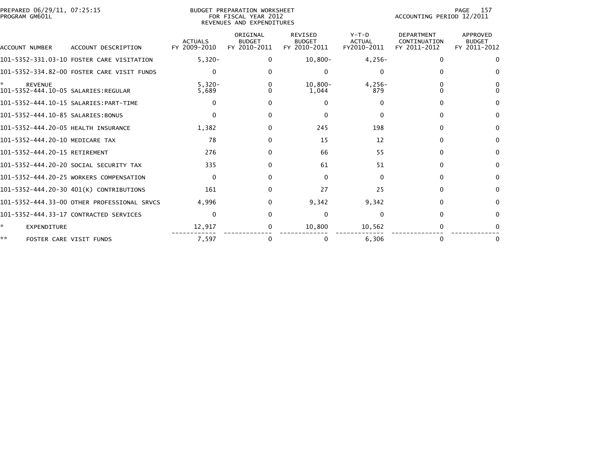| PREPARED 06/29/11, 07:25:15<br>PROGRAM GM601L              |                                             |                                | <b>BUDGET PREPARATION WORKSHEET</b><br>FOR FISCAL YEAR 2012<br>REVENUES AND EXPENDITURES | 157<br>PAGE<br>ACCOUNTING PERIOD 12/2011        |                                         |                                                   |                                           |
|------------------------------------------------------------|---------------------------------------------|--------------------------------|------------------------------------------------------------------------------------------|-------------------------------------------------|-----------------------------------------|---------------------------------------------------|-------------------------------------------|
| <b>ACCOUNT NUMBER</b>                                      | ACCOUNT DESCRIPTION                         | <b>ACTUALS</b><br>FY 2009-2010 | ORIGINAL<br><b>BUDGET</b><br>FY 2010-2011                                                | <b>REVISED</b><br><b>BUDGET</b><br>FY 2010-2011 | $Y-T-D$<br><b>ACTUAL</b><br>FY2010-2011 | <b>DEPARTMENT</b><br>CONTINUATION<br>FY 2011-2012 | APPROVED<br><b>BUDGET</b><br>FY 2011-2012 |
|                                                            | 101-5352-331.03-10 FOSTER CARE VISITATION   | $5,320-$                       | 0                                                                                        | $10,800 -$                                      | $4,256-$                                | $\Omega$                                          | $\Omega$                                  |
|                                                            | 101-5352-334.82-00 FOSTER CARE VISIT FUNDS  | $\Omega$                       | 0                                                                                        | 0                                               | $\Omega$                                |                                                   | $\Omega$                                  |
| *<br><b>REVENUE</b><br>101-5352-444.10-05 SALARIES:REGULAR |                                             | $5,320-$<br>5,689              | 0                                                                                        | $10.800 -$<br>1,044                             | $4,256-$<br>879                         |                                                   | 0<br>$\Omega$                             |
|                                                            |                                             | $\Omega$                       |                                                                                          | 0                                               | $\Omega$                                |                                                   | $\Omega$                                  |
| 101-5352-444.10-85 SALARIES:BONUS                          |                                             | $\Omega$                       | 0                                                                                        | $\Omega$                                        | $\Omega$                                |                                                   | $\Omega$                                  |
| 101-5352-444.20-05 HEALTH INSURANCE                        |                                             | 1,382                          | 0                                                                                        | 245                                             | 198                                     | U                                                 | $\Omega$                                  |
| 101-5352-444.20-10 MEDICARE TAX                            |                                             | 78                             | 0                                                                                        | 15                                              | 12                                      | U                                                 | $\Omega$                                  |
| 101-5352-444.20-15 RETIREMENT                              |                                             | 276                            | 0                                                                                        | 66                                              | 55                                      | 0                                                 | $\Omega$                                  |
|                                                            | 101-5352-444.20-20 SOCIAL SECURITY TAX      | 335                            | 0                                                                                        | 61                                              | 51                                      | 0                                                 | $\Omega$                                  |
|                                                            | 101-5352-444.20-25 WORKERS COMPENSATION     | $\Omega$                       | 0                                                                                        | $\Omega$                                        | $\Omega$                                | 0                                                 | $\Omega$                                  |
|                                                            | 101-5352-444.20-30 401(K) CONTRIBUTIONS     | 161                            | 0                                                                                        | 27                                              | 25                                      | 0                                                 | $\Omega$                                  |
|                                                            | 101-5352-444.33-00 OTHER PROFESSIONAL SRVCS | 4.996                          | 0                                                                                        | 9,342                                           | 9,342                                   | $\Omega$                                          | $\Omega$                                  |
|                                                            | 101-5352-444.33-17 CONTRACTED SERVICES      | $\Omega$                       | 0                                                                                        | 0                                               | $\Omega$                                | O                                                 | $\Omega$                                  |
| *<br><b>EXPENDITURE</b>                                    |                                             | 12,917                         | 0                                                                                        | 10,800                                          | 10,562                                  |                                                   |                                           |
| **<br>FOSTER CARE VISIT FUNDS                              |                                             | 7.597                          | 0                                                                                        | 0                                               | 6.306                                   | $\Omega$                                          | 0                                         |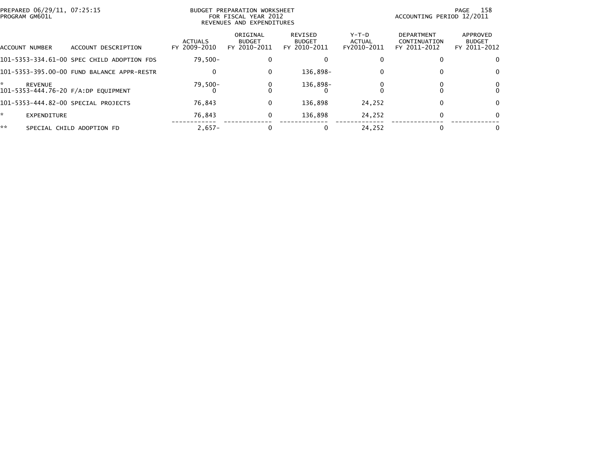|    | PREPARED 06/29/11, 07:25:15<br>BUDGET PREPARATION WORKSHEET<br>PROGRAM GM601L<br>FOR FISCAL YEAR 2012<br>REVENUES AND EXPENDITURES |                                            |                                |                                           |                                          |                                  | 158<br>PAGE<br>ACCOUNTING PERIOD 12/2011          |                                           |  |  |
|----|------------------------------------------------------------------------------------------------------------------------------------|--------------------------------------------|--------------------------------|-------------------------------------------|------------------------------------------|----------------------------------|---------------------------------------------------|-------------------------------------------|--|--|
|    | ACCOUNT NUMBER                                                                                                                     | ACCOUNT DESCRIPTION                        | <b>ACTUALS</b><br>FY 2009-2010 | ORIGINAL<br><b>BUDGET</b><br>FY 2010-2011 | REVISED<br><b>BUDGET</b><br>FY 2010-2011 | $Y-T-D$<br>ACTUAL<br>FY2010-2011 | <b>DEPARTMENT</b><br>CONTINUATION<br>FY 2011-2012 | APPROVED<br><b>BUDGET</b><br>FY 2011-2012 |  |  |
|    |                                                                                                                                    | 101-5353-334.61-00 SPEC CHILD ADOPTION FDS | $79.500 -$                     |                                           |                                          |                                  |                                                   |                                           |  |  |
|    |                                                                                                                                    | 101-5353-395.00-00 FUND BALANCE APPR-RESTR | 0                              | 0                                         | 136.898-                                 | $\mathbf{0}$                     |                                                   | 0                                         |  |  |
| ÷  | <b>REVENUE</b>                                                                                                                     | 101-5353-444.76-20 F/A:DP EOUIPMENT        | $79,500-$                      |                                           | 136,898-                                 |                                  |                                                   | 0.                                        |  |  |
|    |                                                                                                                                    | 101-5353-444.82-00 SPECIAL PROJECTS        | 76.843                         | 0                                         | 136.898                                  | 24,252                           |                                                   | 0                                         |  |  |
| ÷. | EXPENDITURE                                                                                                                        |                                            | 76.843                         | 0                                         | 136.898                                  | 24,252                           |                                                   | 0                                         |  |  |
| ** |                                                                                                                                    | SPECIAL CHILD ADOPTION FD                  | $2.657-$                       | 0                                         |                                          | 24.252                           |                                                   | 0                                         |  |  |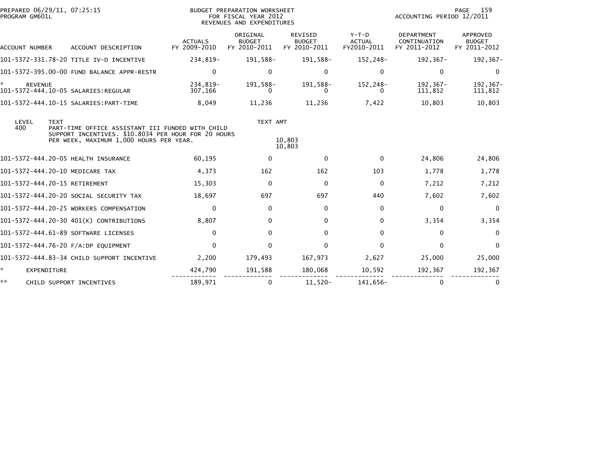| PREPARED 06/29/11, 07:25:15<br>PROGRAM GM601L |                                                                                                                                                    |                                | BUDGET PREPARATION WORKSHEET<br>FOR FISCAL YEAR 2012<br>REVENUES AND EXPENDITURES | 159<br>PAGE<br>ACCOUNTING PERIOD 12/2011        |                                         |                                                   |                                           |
|-----------------------------------------------|----------------------------------------------------------------------------------------------------------------------------------------------------|--------------------------------|-----------------------------------------------------------------------------------|-------------------------------------------------|-----------------------------------------|---------------------------------------------------|-------------------------------------------|
| ACCOUNT NUMBER                                | ACCOUNT DESCRIPTION                                                                                                                                | <b>ACTUALS</b><br>FY 2009-2010 | ORIGINAL<br><b>BUDGET</b><br>FY 2010-2011                                         | <b>REVISED</b><br><b>BUDGET</b><br>FY 2010-2011 | $Y-T-D$<br><b>ACTUAL</b><br>FY2010-2011 | <b>DEPARTMENT</b><br>CONTINUATION<br>FY 2011-2012 | APPROVED<br><b>BUDGET</b><br>FY 2011-2012 |
|                                               | 101-5372-331.78-20 TITLE IV-D INCENTIVE                                                                                                            | 234,819-                       | 191,588-                                                                          | 191,588-                                        | 152,248-                                | 192,367-                                          | 192,367-                                  |
|                                               | 101-5372-395.00-00 FUND BALANCE APPR-RESTR                                                                                                         | $\Omega$                       | 0                                                                                 | 0                                               | $\Omega$                                | $\mathbf{0}$                                      | 0                                         |
| <b>REVENUE</b>                                | 101-5372-444.10-05 SALARIES:REGULAR                                                                                                                | 234,819-<br>307,166            | 191,588-                                                                          | 191,588-                                        | 152,248-                                | 192,367-<br>111,812                               | 192,367-<br>111,812                       |
|                                               | 101-5372-444.10-15 SALARIES:PART-TIME                                                                                                              | 8,049                          | 11,236                                                                            | 11,236                                          | 7,422                                   | 10,803                                            | 10,803                                    |
| LEVEL<br><b>TEXT</b><br>400                   | PART-TIME OFFICE ASSISTANT III FUNDED WITH CHILD<br>SUPPORT INCENTIVES. \$10.8034 PER HOUR FOR 20 HOURS<br>PER WEEK, MAXIMUM 1,000 HOURS PER YEAR. |                                | TEXT AMT                                                                          | 10,803<br>10,803                                |                                         |                                                   |                                           |
|                                               | 101-5372-444.20-05 HEALTH INSURANCE                                                                                                                | 60,195                         | 0                                                                                 | $\Omega$                                        | $\Omega$                                | 24,806                                            | 24,806                                    |
| 101-5372-444.20-10 MEDICARE TAX               |                                                                                                                                                    | 4,373                          | 162                                                                               | 162                                             | 103                                     | 1,778                                             | 1,778                                     |
| 101-5372-444.20-15 RETIREMENT                 |                                                                                                                                                    | 15,303                         | $\mathbf{0}$                                                                      | $\mathbf 0$                                     | $\mathbf{0}$                            | 7,212                                             | 7,212                                     |
|                                               | 101-5372-444.20-20 SOCIAL SECURITY TAX                                                                                                             | 18,697                         | 697                                                                               | 697                                             | 440                                     | 7,602                                             | 7,602                                     |
|                                               | 101-5372-444.20-25 WORKERS COMPENSATION                                                                                                            | $\mathbf{0}$                   | 0                                                                                 | 0                                               | $\mathbf{0}$                            | $\Omega$                                          | 0                                         |
|                                               | 101-5372-444.20-30 401(K) CONTRIBUTIONS                                                                                                            | 8,807                          | 0                                                                                 | $\Omega$                                        | $\mathbf{0}$                            | 3,354                                             | 3,354                                     |
|                                               | 101-5372-444.61-89 SOFTWARE LICENSES                                                                                                               | $\Omega$                       | 0                                                                                 | 0                                               | 0                                       | $\Omega$                                          | $\Omega$                                  |
|                                               | 101-5372-444.76-20 F/A:DP EQUIPMENT                                                                                                                | $\mathbf{0}$                   | 0                                                                                 | $\Omega$                                        | $\Omega$                                | $\mathbf{0}$                                      | $\mathbf{0}$                              |
|                                               | 101-5372-444.83-34 CHILD SUPPORT INCENTIVE                                                                                                         | 2,200                          | 179,493                                                                           | 167,973                                         | 2,627                                   | 25,000                                            | 25,000                                    |
| ÷.<br>EXPENDITURE                             |                                                                                                                                                    | 424,790                        | 191,588                                                                           | 180,068                                         | 10,592                                  | 192,367                                           | 192,367                                   |
| **                                            | CHILD SUPPORT INCENTIVES                                                                                                                           | 189,971                        | 0                                                                                 | $11,520-$                                       | 141,656-                                | $\mathbf{0}$                                      |                                           |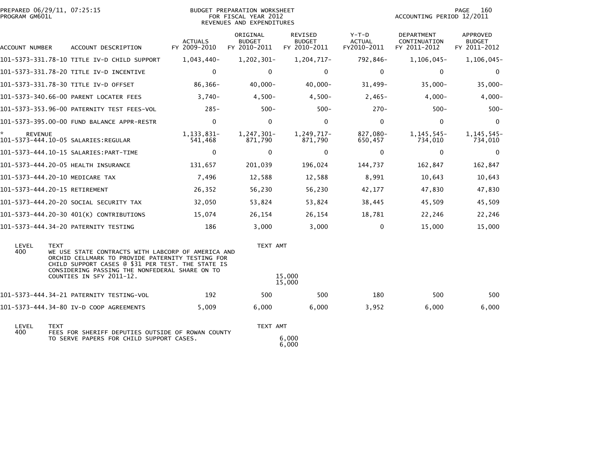| PREPARED 06/29/11, 07:25:15<br>PROGRAM GM601L |                                                                                                                                                                                                                                           |                                | BUDGET PREPARATION WORKSHEET<br>FOR FISCAL YEAR 2012<br>REVENUES AND EXPENDITURES |                                          |                                         | 160<br>PAGE<br>ACCOUNTING PERIOD 12/2011          |                                           |  |
|-----------------------------------------------|-------------------------------------------------------------------------------------------------------------------------------------------------------------------------------------------------------------------------------------------|--------------------------------|-----------------------------------------------------------------------------------|------------------------------------------|-----------------------------------------|---------------------------------------------------|-------------------------------------------|--|
| ACCOUNT NUMBER                                | ACCOUNT DESCRIPTION                                                                                                                                                                                                                       | <b>ACTUALS</b><br>FY 2009-2010 | ORIGINAL<br><b>BUDGET</b><br>FY 2010-2011                                         | REVISED<br><b>BUDGET</b><br>FY 2010-2011 | $Y-T-D$<br><b>ACTUAL</b><br>FY2010-2011 | <b>DEPARTMENT</b><br>CONTINUATION<br>FY 2011-2012 | APPROVED<br><b>BUDGET</b><br>FY 2011-2012 |  |
|                                               | 101-5373-331.78-10 TITLE IV-D CHILD SUPPORT                                                                                                                                                                                               | 1,043,440-                     | 1,202,301-                                                                        | 1,204,717-                               | 792,846-                                | 1,106,045-                                        | 1,106,045-                                |  |
|                                               | 101-5373-331.78-20 TITLE IV-D INCENTIVE                                                                                                                                                                                                   | $\mathbf{0}$                   | $\Omega$                                                                          | 0                                        | $\mathbf{0}$                            | $\mathbf{0}$                                      | $\mathbf 0$                               |  |
|                                               | 101-5373-331.78-30 TITLE IV-D OFFSET                                                                                                                                                                                                      | 86,366-                        | 40,000-                                                                           | $40,000 -$                               | $31,499-$                               | $35,000 -$                                        | $35,000 -$                                |  |
|                                               | 101-5373-340.66-00 PARENT LOCATER FEES                                                                                                                                                                                                    | $3.740 -$                      | $4,500-$                                                                          | $4,500-$                                 | $2,465-$                                | $4,000-$                                          | $4,000-$                                  |  |
|                                               | 101-5373-353.96-00 PATERNITY TEST FEES-VOL                                                                                                                                                                                                | $285 -$                        | $500 -$                                                                           | $500 -$                                  | $270-$                                  | $500 -$                                           | $500 -$                                   |  |
|                                               | 101-5373-395.00-00 FUND BALANCE APPR-RESTR                                                                                                                                                                                                | $\mathbf{0}$                   | $\mathbf 0$                                                                       | $\mathbf 0$                              | $\mathbf{0}$                            | $\Omega$                                          | $\mathbf 0$                               |  |
| ×.<br><b>REVENUE</b>                          |                                                                                                                                                                                                                                           | 1, 133, 831-<br>541,468        | 1,247,301-<br>871,790                                                             | 1,249,717-<br>871,790                    | 827,080-<br>650,457                     | 1, 145, 545-<br>734,010                           | 1, 145, 545-<br>734,010                   |  |
|                                               | 101-5373-444.10-15 SALARIES:PART-TIME                                                                                                                                                                                                     | $\mathbf 0$                    | 0                                                                                 | 0                                        | 0                                       | 0                                                 | $\mathbf 0$                               |  |
|                                               | 101-5373-444.20-05 HEALTH INSURANCE                                                                                                                                                                                                       | 131,657                        | 201,039                                                                           | 196,024                                  | 144,737                                 | 162,847                                           | 162,847                                   |  |
| 101-5373-444.20-10 MEDICARE TAX               |                                                                                                                                                                                                                                           | 7,496                          | 12,588                                                                            | 12,588                                   | 8,991                                   | 10,643                                            | 10,643                                    |  |
| 101-5373-444.20-15 RETIREMENT                 |                                                                                                                                                                                                                                           | 26,352                         | 56,230                                                                            | 56,230                                   | 42,177                                  | 47,830                                            | 47,830                                    |  |
|                                               | 101-5373-444.20-20 SOCIAL SECURITY TAX                                                                                                                                                                                                    | 32,050                         | 53,824                                                                            | 53,824                                   | 38,445                                  | 45,509                                            | 45,509                                    |  |
|                                               | 101-5373-444.20-30 401(K) CONTRIBUTIONS                                                                                                                                                                                                   | 15.074                         | 26,154                                                                            | 26,154                                   | 18,781                                  | 22,246                                            | 22,246                                    |  |
|                                               | 101-5373-444.34-20 PATERNITY TESTING                                                                                                                                                                                                      | 186                            | 3,000                                                                             | 3,000                                    | 0                                       | 15,000                                            | 15,000                                    |  |
| LEVEL<br><b>TEXT</b><br>400                   | WE USE STATE CONTRACTS WITH LABCORP OF AMERICA AND<br>ORCHID CELLMARK TO PROVIDE PATERNITY TESTING FOR<br>CHILD SUPPORT CASES @ \$31 PER TEST. THE STATE IS<br>CONSIDERING PASSING THE NONFEDERAL SHARE ON TO<br>COUNTIES IN SFY 2011-12. |                                | TEXT AMT                                                                          | 15,000                                   |                                         |                                                   |                                           |  |
|                                               |                                                                                                                                                                                                                                           |                                |                                                                                   | 15,000                                   |                                         |                                                   |                                           |  |
|                                               | 101-5373-444.34-21 PATERNITY TESTING-VOL                                                                                                                                                                                                  | 192                            | 500                                                                               | 500                                      | 180                                     | 500                                               | 500                                       |  |
|                                               | 101-5373-444.34-80 IV-D COOP AGREEMENTS                                                                                                                                                                                                   | 5,009                          | 6,000                                                                             | 6,000                                    | 3,952                                   | 6,000                                             | 6,000                                     |  |
| LEVEL<br><b>TEXT</b>                          |                                                                                                                                                                                                                                           |                                | TEXT AMT                                                                          |                                          |                                         |                                                   |                                           |  |
| 400                                           | FEES FOR SHERIFF DEPUTIES OUTSIDE OF ROWAN COUNTY<br>TO SERVE PAPERS FOR CHILD SUPPORT CASES.                                                                                                                                             |                                |                                                                                   | 6,000<br>6,000                           |                                         |                                                   |                                           |  |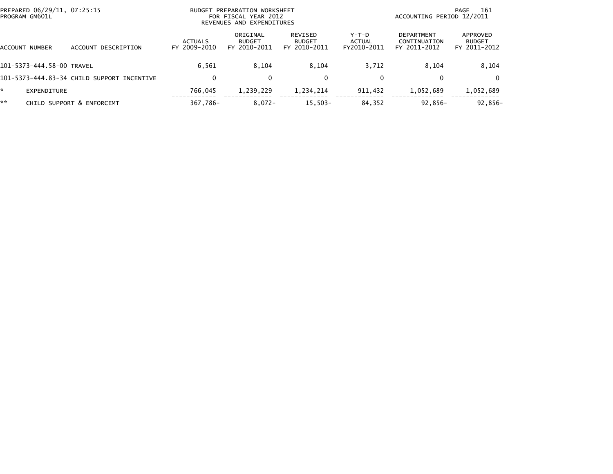| PREPARED 06/29/11, 07:25:15<br>PROGRAM GM601L |                                            |                                | BUDGET PREPARATION WORKSHEET<br>FOR FISCAL YEAR 2012<br>REVENUES AND EXPENDITURES |                                          | -161<br>PAGE<br>ACCOUNTING PERIOD 12/2011 |                                            |                                           |
|-----------------------------------------------|--------------------------------------------|--------------------------------|-----------------------------------------------------------------------------------|------------------------------------------|-------------------------------------------|--------------------------------------------|-------------------------------------------|
| ACCOUNT NUMBER                                | ACCOUNT DESCRIPTION                        | <b>ACTUALS</b><br>FY 2009-2010 | ORIGINAL<br><b>BUDGET</b><br>FY 2010-2011                                         | REVISED<br><b>BUDGET</b><br>FY 2010-2011 | $Y-T-D$<br>ACTUAL<br>FY2010-2011          | DEPARTMENT<br>CONTINUATION<br>FY 2011-2012 | APPROVED<br><b>BUDGET</b><br>FY 2011-2012 |
| 101-5373-444.58-00 TRAVEL                     |                                            | 6.561                          | 8.104                                                                             | 8,104                                    | 3.712                                     | 8.104                                      | 8,104                                     |
|                                               | 101-5373-444.83-34 CHILD SUPPORT INCENTIVE | 0                              | 0                                                                                 | 0                                        | $\mathbf{0}$                              | 0                                          | $\Omega$                                  |
| EXPENDITURE                                   |                                            | 766.045                        | 1,239,229                                                                         | 1,234,214                                | 911,432                                   | 1,052,689                                  | 1,052,689                                 |
| **                                            | CHILD SUPPORT & ENFORCEMT                  | 367,786-                       | $8,072-$                                                                          | $15,503-$                                | 84,352                                    | $92,856-$                                  | 92,856-                                   |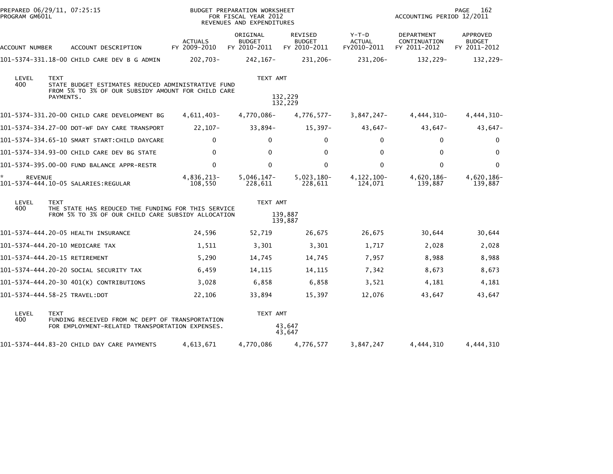| PROGRAM GM601L       | PREPARED 06/29/11, 07:25:15                                                                                                          |                                | BUDGET PREPARATION WORKSHEET<br>FOR FISCAL YEAR 2012<br>REVENUES AND EXPENDITURES |                                          |                                  | ACCOUNTING PERIOD 12/2011                  | 162<br>PAGE                               |
|----------------------|--------------------------------------------------------------------------------------------------------------------------------------|--------------------------------|-----------------------------------------------------------------------------------|------------------------------------------|----------------------------------|--------------------------------------------|-------------------------------------------|
| ACCOUNT NUMBER       | ACCOUNT DESCRIPTION                                                                                                                  | <b>ACTUALS</b><br>FY 2009-2010 | ORIGINAL<br><b>BUDGET</b><br>FY 2010-2011                                         | REVISED<br><b>BUDGET</b><br>FY 2010-2011 | $Y-T-D$<br>ACTUAL<br>FY2010-2011 | DEPARTMENT<br>CONTINUATION<br>FY 2011-2012 | APPROVED<br><b>BUDGET</b><br>FY 2011-2012 |
|                      | 101-5374-331.18-00 CHILD CARE DEV B G ADMIN                                                                                          | 202,703-                       | 242,167-                                                                          | 231,206-                                 | 231,206-                         | 132,229-                                   | 132,229-                                  |
| LEVEL<br>400         | <b>TEXT</b><br>STATE BUDGET ESTIMATES REDUCED ADMINISTRATIVE FUND<br>FROM 5% TO 3% OF OUR SUBSIDY AMOUNT FOR CHILD CARE<br>PAYMENTS. |                                | TEXT AMT                                                                          | 132,229<br>132,229                       |                                  |                                            |                                           |
|                      | 101-5374-331.20-00 CHILD CARE DEVELOPMENT BG                                                                                         | 4,611,403-                     | 4,770,086-                                                                        | 4,776,577-                               | $3,847,247-$                     | 4,444,310-                                 | 4, 444, 310-                              |
|                      | 101-5374-334.27-00 DOT-WF DAY CARE TRANSPORT                                                                                         | 22,107-                        | $33,894-$                                                                         | 15,397-                                  | 43,647-                          | 43,647-                                    | 43,647-                                   |
|                      | 101-5374-334.65-10 SMART START:CHILD DAYCARE                                                                                         | $\Omega$                       | $\Omega$                                                                          | 0                                        | 0                                | 0                                          | 0                                         |
|                      | 101-5374-334.93-00 CHILD CARE DEV BG STATE                                                                                           | $\mathbf{0}$                   | $\Omega$                                                                          | 0                                        | $\Omega$                         | $\mathbf{0}$                               | $\mathbf{0}$                              |
|                      | 101-5374-395.00-00 FUND BALANCE APPR-RESTR                                                                                           | $\mathbf{0}$                   | $\mathbf{0}$                                                                      | 0                                        | 0                                | $\mathbf{0}$                               | 0                                         |
| ÷,<br><b>REVENUE</b> | 101-5374-444.10-05 SALARIES:REGULAR                                                                                                  | 4,836,213-<br>108,550          | $5,046,147-$<br>228,611                                                           | $5,023,180-$<br>228,611                  | $4,122,100-$<br>124,071          | 4,620,186-<br>139,887                      | 4,620,186-<br>139,887                     |
| LEVEL<br>400         | <b>TEXT</b><br>THE STATE HAS REDUCED THE FUNDING FOR THIS SERVICE<br>FROM 5% TO 3% OF OUR CHILD CARE SUBSIDY ALLOCATION              |                                | TEXT AMT                                                                          | 139,887<br>139,887                       |                                  |                                            |                                           |
|                      | 101-5374-444.20-05 HEALTH INSURANCE                                                                                                  | 24,596                         | 52,719                                                                            | 26,675                                   | 26,675                           | 30,644                                     | 30,644                                    |
|                      | 101-5374-444.20-10 MEDICARE TAX                                                                                                      | 1,511                          | 3,301                                                                             | 3,301                                    | 1,717                            | 2,028                                      | 2,028                                     |
|                      | 101-5374-444.20-15 RETIREMENT                                                                                                        | 5,290                          | 14,745                                                                            | 14,745                                   | 7,957                            | 8,988                                      | 8,988                                     |
|                      | 101-5374-444.20-20 SOCIAL SECURITY TAX                                                                                               | 6,459                          | 14,115                                                                            | 14,115                                   | 7,342                            | 8,673                                      | 8,673                                     |
|                      | 101-5374-444.20-30 401(K) CONTRIBUTIONS                                                                                              | 3,028                          | 6,858                                                                             | 6,858                                    | 3,521                            | 4,181                                      | 4,181                                     |
|                      | 101-5374-444.58-25 TRAVEL:DOT                                                                                                        | 22,106                         | 33,894                                                                            | 15,397                                   | 12,076                           | 43,647                                     | 43,647                                    |
| LEVEL<br>400         | <b>TEXT</b><br>FUNDING RECEIVED FROM NC DEPT OF TRANSPORTATION<br>FOR EMPLOYMENT-RELATED TRANSPORTATION EXPENSES.                    |                                | TEXT AMT                                                                          | 43,647<br>43,647                         |                                  |                                            |                                           |
|                      | 101-5374-444.83-20 CHILD DAY CARE PAYMENTS                                                                                           | 4,613,671                      | 4,770,086                                                                         | 4,776,577                                | 3,847,247                        | 4,444,310                                  | 4,444,310                                 |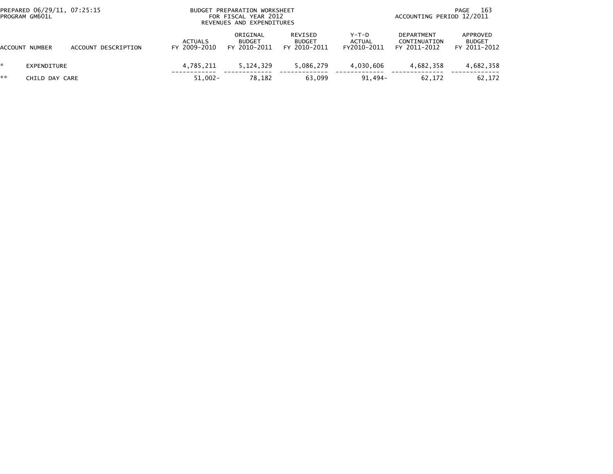| PREPARED 06/29/11, 07:25:15<br>PROGRAM GM601L |                |                     | BUDGET PREPARATION WORKSHEET<br>FOR FISCAL YEAR 2012<br>REVENUES AND EXPENDITURES |                                |  |                                           |  |                                          | 163<br>PAGE<br>ACCOUNTING PERIOD 12/2011 |  |                                                   |  |                                           |
|-----------------------------------------------|----------------|---------------------|-----------------------------------------------------------------------------------|--------------------------------|--|-------------------------------------------|--|------------------------------------------|------------------------------------------|--|---------------------------------------------------|--|-------------------------------------------|
| ACCOUNT                                       | NUMBER         | ACCOUNT DESCRIPTION |                                                                                   | <b>ACTUALS</b><br>FY 2009-2010 |  | ORIGINAL<br><b>BUDGET</b><br>FY 2010-2011 |  | REVISED<br><b>BUDGET</b><br>FY 2010-2011 | Y-T-D<br>ACTUAL<br>FY2010-2011           |  | <b>DEPARTMENT</b><br>CONTINUATION<br>FY 2011-2012 |  | APPROVED<br><b>BUDGET</b><br>FY 2011-2012 |
| ×.                                            | EXPENDITURE    |                     |                                                                                   | 4.785.211                      |  | 5.124.329                                 |  | 5,086,279                                | 4.030.606                                |  | 4,682,358                                         |  | 4,682,358                                 |
| **                                            | CHILD DAY CARE |                     |                                                                                   | $51,002 -$                     |  | 78.182                                    |  | 63,099                                   | $91.494 -$                               |  | 62.172                                            |  | 62,172                                    |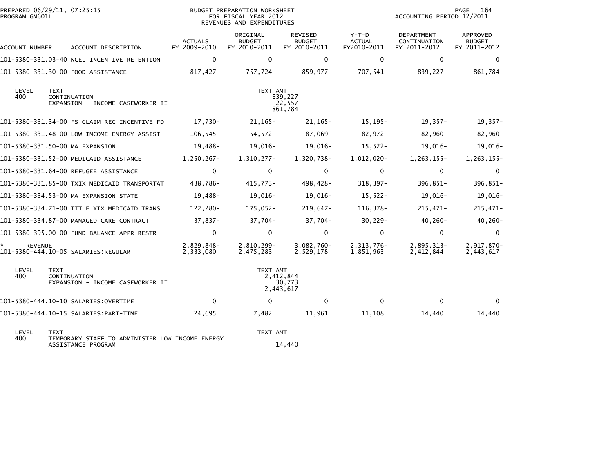|                      | PREPARED 06/29/11, 07:25:15<br>BUDGET PREPARATION WORKSHEET<br>PROGRAM GM601L<br>FOR FISCAL YEAR 2012<br>REVENUES AND EXPENDITURES |                                |                                           |                                          |                                         | 164<br>PAGE<br>ACCOUNTING PERIOD 12/2011   |                                           |  |
|----------------------|------------------------------------------------------------------------------------------------------------------------------------|--------------------------------|-------------------------------------------|------------------------------------------|-----------------------------------------|--------------------------------------------|-------------------------------------------|--|
| ACCOUNT NUMBER       | ACCOUNT DESCRIPTION                                                                                                                | <b>ACTUALS</b><br>FY 2009-2010 | ORIGINAL<br><b>BUDGET</b><br>FY 2010-2011 | REVISED<br><b>BUDGET</b><br>FY 2010-2011 | $Y-T-D$<br><b>ACTUAL</b><br>FY2010-2011 | DEPARTMENT<br>CONTINUATION<br>FY 2011-2012 | APPROVED<br><b>BUDGET</b><br>FY 2011-2012 |  |
|                      | 101-5380-331.03-40 NCEL INCENTIVE RETENTION                                                                                        | $\mathbf 0$                    | 0                                         | $\mathbf 0$                              | $\mathbf 0$                             | $\mathbf{0}$                               | 0                                         |  |
|                      | 101-5380-331.30-00 FOOD ASSISTANCE                                                                                                 | 817,427-                       | 757,724-                                  | 859,977-                                 | 707,541-                                | 839,227-                                   | 861,784-                                  |  |
| LEVEL<br>400         | <b>TEXT</b><br>CONTINUATION<br>EXPANSION - INCOME CASEWORKER II                                                                    |                                | TEXT AMT                                  | 839,227<br>22,557<br>861,784             |                                         |                                            |                                           |  |
|                      | 101-5380-331.34-00 FS CLAIM REC INCENTIVE FD                                                                                       | 17,730-                        | $21,165-$                                 | $21,165-$                                | 15,195-                                 | 19,357-                                    | $19,357-$                                 |  |
|                      | 101-5380-331.48-00 LOW INCOME ENERGY ASSIST                                                                                        | $106, 545 -$                   | $54,572-$                                 | 87,069-                                  | 82,972-                                 | 82,960-                                    | 82,960-                                   |  |
|                      | 101-5380-331.50-00 MA EXPANSION                                                                                                    | 19,488-                        | $19,016-$                                 | 19,016-                                  | $15,522-$                               | 19,016-                                    | $19,016-$                                 |  |
|                      | 101-5380-331.52-00 MEDICAID ASSISTANCE                                                                                             | 1,250,267-                     | 1,310,277-                                | 1,320,738-                               | 1,012,020-                              | $1,263,155-$                               | 1,263,155-                                |  |
|                      | 101-5380-331.64-00 REFUGEE ASSISTANCE                                                                                              | 0                              | $\mathbf 0$                               | 0                                        | 0                                       | $\mathbf 0$                                | $\mathbf 0$                               |  |
|                      | 101-5380-331.85-00 TXIX MEDICAID TRANSPORTAT                                                                                       | 438,786-                       | 415,773-                                  | 498,428-                                 | $318,397-$                              | 396,851-                                   | 396,851-                                  |  |
|                      | 101-5380-334.53-00 MA EXPANSION STATE                                                                                              | 19,488-                        | 19,016-                                   | 19,016-                                  | $15,522-$                               | 19,016-                                    | 19,016-                                   |  |
|                      | 101-5380-334.71-00 TITLE XIX MEDICAID TRANS                                                                                        | 122,280-                       | 175,052-                                  | $219,647-$                               | 116,378-                                | $215,471-$                                 | $215,471-$                                |  |
|                      | 101-5380-334.87-00 MANAGED CARE CONTRACT                                                                                           | 37,837-                        | 37,704-                                   | 37,704-                                  | $30,229-$                               | $40,260 -$                                 | $40, 260 -$                               |  |
|                      | 101-5380-395.00-00 FUND BALANCE APPR-RESTR                                                                                         | $\mathbf{0}$                   | $\mathbf 0$                               | $\mathbf 0$                              | $\mathbf{0}$                            | $\mathbf 0$                                | $\Omega$                                  |  |
| ŵ.<br><b>REVENUE</b> |                                                                                                                                    | 2,829,848-<br>2,333,080        | 2,810,299-<br>2,475,283                   | $3,082,760-$<br>2,529,178                | 2,313,776-<br>1,851,963                 | 2,895,313-<br>2,412,844                    | 2,917,870-<br>2,443,617                   |  |
| LEVEL<br>400         | <b>TEXT</b><br>CONTINUATION<br>EXPANSION - INCOME CASEWORKER II                                                                    |                                | TEXT AMT                                  | 2,412,844<br>30,773<br>2,443,617         |                                         |                                            |                                           |  |
|                      |                                                                                                                                    | $\mathbf{0}$                   | $\Omega$                                  | $\mathbf{0}$                             | $\mathbf{0}$                            | $\mathbf{0}$                               | $\Omega$                                  |  |
|                      | 101-5380-444.10-15 SALARIES: PART-TIME                                                                                             | 24,695                         | 7,482                                     | 11,961                                   | 11,108                                  | 14,440                                     | 14,440                                    |  |
| LEVEL<br>400         | <b>TEXT</b><br>TEMPORARY STAFF TO ADMINISTER LOW INCOME ENERGY                                                                     |                                | TEXT AMT                                  |                                          |                                         |                                            |                                           |  |
|                      | ASSISTANCE PROGRAM                                                                                                                 |                                |                                           | 14,440                                   |                                         |                                            |                                           |  |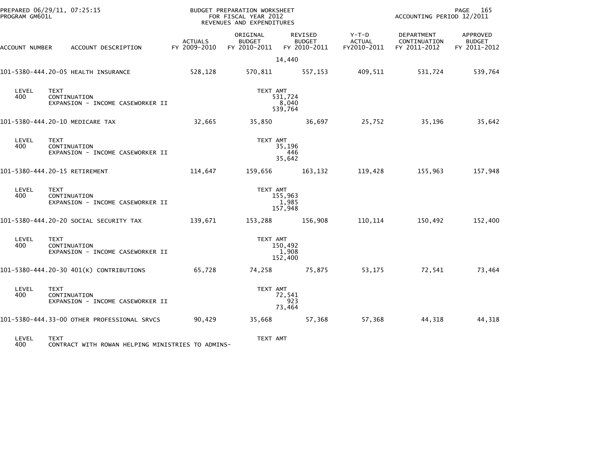| PROGRAM GM601L | PREPARED 06/29/11, 07:25:15                                      |                                | BUDGET PREPARATION WORKSHEET<br>FOR FISCAL YEAR 2012<br>REVENUES AND EXPENDITURES |                                                       |                                | ACCOUNTING PERIOD 12/2011                  | 165<br>PAGE                               |
|----------------|------------------------------------------------------------------|--------------------------------|-----------------------------------------------------------------------------------|-------------------------------------------------------|--------------------------------|--------------------------------------------|-------------------------------------------|
| ACCOUNT NUMBER | ACCOUNT DESCRIPTION                                              | <b>ACTUALS</b><br>FY 2009-2010 | ORIGINAL<br><b>BUDGET</b>                                                         | REVISED<br><b>BUDGET</b><br>FY 2010-2011 FY 2010-2011 | Y-T-D<br>ACTUAL<br>FY2010-2011 | DEPARTMENT<br>CONTINUATION<br>FY 2011-2012 | APPROVED<br><b>BUDGET</b><br>FY 2011-2012 |
|                |                                                                  |                                |                                                                                   | 14,440                                                |                                |                                            |                                           |
|                | 101-5380-444.20-05 HEALTH INSURANCE                              | 528,128                        | 570,811                                                                           | 557,153                                               | 409,511                        | 531,724                                    | 539,764                                   |
| LEVEL<br>400   | <b>TEXT</b><br>CONTINUATION<br>EXPANSION - INCOME CASEWORKER II  |                                | TEXT AMT                                                                          | 531,724<br>8,040<br>539,764                           |                                |                                            |                                           |
|                | 101-5380-444.20-10 MEDICARE TAX                                  | 32,665                         | 35,850                                                                            | 36,697                                                | 25,752                         | 35,196                                     | 35,642                                    |
| LEVEL<br>400   | <b>TEXT</b><br>CONTINUATION<br>EXPANSION - INCOME CASEWORKER II  |                                | TEXT AMT                                                                          | 35,196<br>446<br>35,642                               |                                |                                            |                                           |
|                | 101-5380-444.20-15 RETIREMENT                                    | 114,647                        | 159,656                                                                           | 163,132                                               | 119,428                        | 155,963                                    | 157,948                                   |
| LEVEL<br>400   | <b>TEXT</b><br>CONTINUATION<br>EXPANSION - INCOME CASEWORKER II  |                                | TEXT AMT                                                                          | 155,963<br>1,985<br>157,948                           |                                |                                            |                                           |
|                | 101-5380-444.20-20 SOCIAL SECURITY TAX                           | 139,671                        | 153,288                                                                           | 156,908                                               | 110, 114                       | 150,492                                    | 152,400                                   |
| LEVEL<br>400   | <b>TEXT</b><br>CONTINUATION<br>EXPANSION - INCOME CASEWORKER II  |                                | TEXT AMT                                                                          | 150,492<br>1,908<br>152,400                           |                                |                                            |                                           |
|                | 101-5380-444.20-30 401(K) CONTRIBUTIONS                          | 65,728                         | 74,258                                                                            | 75,875                                                | 53,175                         | 72,541                                     | 73,464                                    |
| LEVEL<br>400   | TEXT<br>CONTINUATION<br>EXPANSION - INCOME CASEWORKER II         |                                | TEXT AMT                                                                          | 72,541<br>923<br>73,464                               |                                |                                            |                                           |
|                | 101-5380-444.33-00 OTHER PROFESSIONAL SRVCS                      | 90,429                         | 35,668                                                                            | 57,368                                                | 57,368                         | 44,318                                     | 44,318                                    |
| LEVEL<br>400   | <b>TEXT</b><br>CONTRACT WITH ROWAN HELPING MINISTRIES TO ADMINS- |                                | TEXT AMT                                                                          |                                                       |                                |                                            |                                           |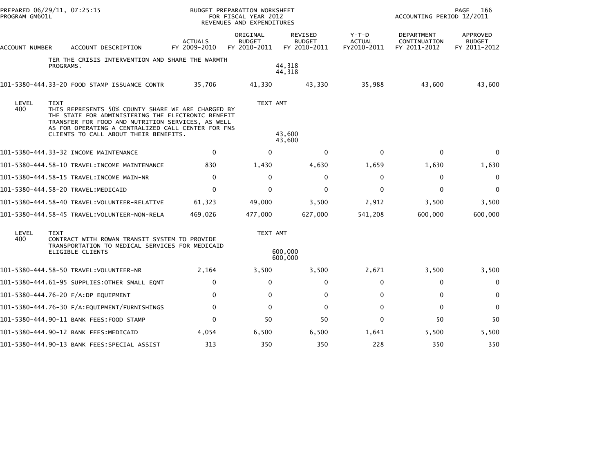| PREPARED 06/29/11, 07:25:15<br>PROGRAM GM601L |             |                                                                                                                                                                                                                                                              |                                | <b>BUDGET PREPARATION WORKSHEET</b><br>FOR FISCAL YEAR 2012<br>REVENUES AND EXPENDITURES |                                          |                                         | ACCOUNTING PERIOD 12/2011                  | PAGE<br>166                               |
|-----------------------------------------------|-------------|--------------------------------------------------------------------------------------------------------------------------------------------------------------------------------------------------------------------------------------------------------------|--------------------------------|------------------------------------------------------------------------------------------|------------------------------------------|-----------------------------------------|--------------------------------------------|-------------------------------------------|
| ACCOUNT NUMBER                                |             | ACCOUNT DESCRIPTION                                                                                                                                                                                                                                          | <b>ACTUALS</b><br>FY 2009-2010 | ORIGINAL<br><b>BUDGET</b><br>FY 2010-2011                                                | REVISED<br><b>BUDGET</b><br>FY 2010-2011 | $Y-T-D$<br><b>ACTUAL</b><br>FY2010-2011 | DEPARTMENT<br>CONTINUATION<br>FY 2011-2012 | APPROVED<br><b>BUDGET</b><br>FY 2011-2012 |
|                                               | PROGRAMS.   | TER THE CRISIS INTERVENTION AND SHARE THE WARMTH                                                                                                                                                                                                             |                                |                                                                                          | 44,318<br>44,318                         |                                         |                                            |                                           |
|                                               |             | 101-5380-444.33-20 FOOD STAMP ISSUANCE CONTR                                                                                                                                                                                                                 | 35,706                         | 41,330                                                                                   | 43,330                                   | 35,988                                  | 43,600                                     | 43,600                                    |
| LEVEL<br>400                                  | <b>TEXT</b> | THIS REPRESENTS 50% COUNTY SHARE WE ARE CHARGED BY<br>THE STATE FOR ADMINISTERING THE ELECTRONIC BENEFIT<br>TRANSFER FOR FOOD AND NUTRITION SERVICES, AS WELL<br>AS FOR OPERATING A CENTRALIZED CALL CENTER FOR FNS<br>CLIENTS TO CALL ABOUT THEIR BENEFITS. |                                | TEXT AMT                                                                                 | 43,600<br>43,600                         |                                         |                                            |                                           |
|                                               |             | 101-5380-444.33-32 INCOME MAINTENANCE                                                                                                                                                                                                                        | $\mathbf{0}$                   | 0                                                                                        | $\Omega$                                 | $\Omega$                                | $\mathbf{0}$                               | $\Omega$                                  |
|                                               |             | 101-5380-444.58-10 TRAVEL:INCOME MAINTENANCE                                                                                                                                                                                                                 | 830                            | 1,430                                                                                    | 4,630                                    | 1,659                                   | 1,630                                      | 1,630                                     |
|                                               |             |                                                                                                                                                                                                                                                              | $\Omega$                       | $\mathbf{0}$                                                                             | 0                                        | $\Omega$                                | $\mathbf{0}$                               | $\Omega$                                  |
|                                               |             |                                                                                                                                                                                                                                                              | $\Omega$                       | $\mathbf{0}$                                                                             | $\Omega$                                 | $\Omega$                                | $\mathbf{0}$                               | $\Omega$                                  |
|                                               |             | 101–5380–444.58–40 TRAVEL:VOLUNTEER-RELATIVE                                                                                                                                                                                                                 | 61,323                         | 49,000                                                                                   | 3,500                                    | 2,912                                   | 3,500                                      | 3,500                                     |
|                                               |             |                                                                                                                                                                                                                                                              | 469,026                        | 477,000                                                                                  | 627,000                                  | 541,208                                 | 600,000                                    | 600,000                                   |
| LEVEL<br>400                                  | <b>TEXT</b> | CONTRACT WITH ROWAN TRANSIT SYSTEM TO PROVIDE<br>TRANSPORTATION TO MEDICAL SERVICES FOR MEDICAID<br>ELIGIBLE CLIENTS                                                                                                                                         |                                | TEXT AMT                                                                                 | 600,000<br>600,000                       |                                         |                                            |                                           |
|                                               |             |                                                                                                                                                                                                                                                              | 2,164                          | 3,500                                                                                    | 3,500                                    | 2,671                                   | 3,500                                      | 3,500                                     |
|                                               |             | 101–5380–444.61–95 SUPPLIES:OTHER SMALL EQMT                                                                                                                                                                                                                 | $\mathbf{0}$                   | $\mathbf{0}$                                                                             | $\Omega$                                 | $\Omega$                                | $\mathbf 0$                                | $\Omega$                                  |
|                                               |             | 101-5380-444.76-20 F/A:DP EQUIPMENT                                                                                                                                                                                                                          | $\mathbf{0}$                   | 0                                                                                        | 0                                        | 0                                       | 0                                          | 0                                         |
|                                               |             | 101–5380–444.76–30 F/A:EQUIPMENT/FURNISHINGS                                                                                                                                                                                                                 | $\mathbf{0}$                   | 0                                                                                        | $\mathbf 0$                              | 0                                       | $\mathbf 0$                                | 0                                         |
|                                               |             | 101-5380-444.90-11 BANK FEES:FOOD STAMP                                                                                                                                                                                                                      | $\Omega$                       | 50                                                                                       | 50                                       | $\Omega$                                | 50                                         | 50                                        |
|                                               |             | 101-5380-444.90-12 BANK FEES:MEDICAID                                                                                                                                                                                                                        | 4,054                          | 6,500                                                                                    | 6,500                                    | 1,641                                   | 5,500                                      | 5,500                                     |
|                                               |             | 101-5380-444.90-13 BANK FEES:SPECIAL ASSIST                                                                                                                                                                                                                  | 313                            | 350                                                                                      | 350                                      | 228                                     | 350                                        | 350                                       |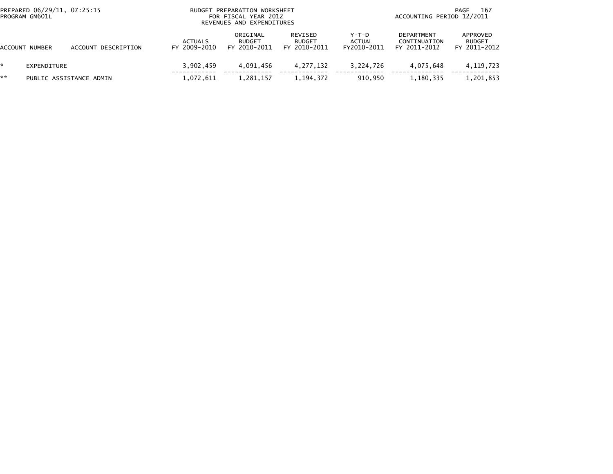|                | PREPARED 06/29/11, 07:25:15<br>PROGRAM GM601L |                         | <b>BUDGET</b>           | PREPARATION WORKSHEET<br>FOR FISCAL YEAR 2012<br>REVENUES AND EXPENDITURES |                                          | 167<br>PAGE<br>ACCOUNTING PERIOD 12/2011 |                                                   |                                           |
|----------------|-----------------------------------------------|-------------------------|-------------------------|----------------------------------------------------------------------------|------------------------------------------|------------------------------------------|---------------------------------------------------|-------------------------------------------|
| ACCOUNT NUMBER |                                               | ACCOUNT DESCRIPTION     | ACTUALS<br>FY 2009-2010 | ORIGINAL<br><b>BUDGET</b><br>FY 2010-2011                                  | REVISED<br><b>BUDGET</b><br>FY 2010-2011 | $Y-T-D$<br><b>ACTUAL</b><br>FY2010-2011  | <b>DEPARTMENT</b><br>CONTINUATION<br>FY 2011-2012 | APPROVED<br><b>BUDGET</b><br>FY 2011-2012 |
|                | EXPENDITURE                                   |                         | 3,902,459               | 4.091.456                                                                  | 4.277.132                                | 3,224,726                                | 4.075.648                                         | 4, 119, 723                               |
| **             |                                               | PUBLIC ASSISTANCE ADMIN | 1,072,611               | 1,281,157                                                                  | 1,194,372                                | 910.950                                  | 1,180,335                                         | 1,201,853                                 |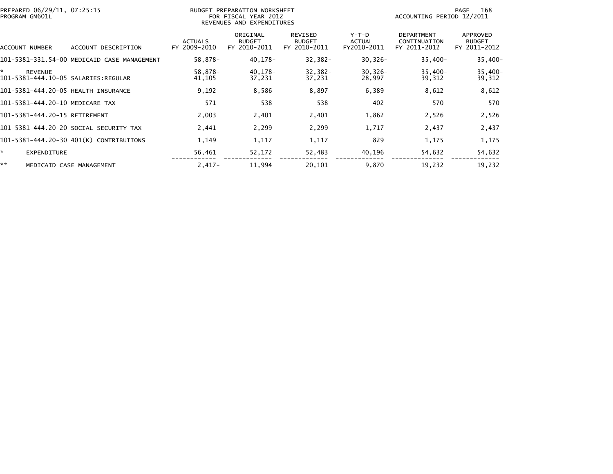| PREPARED 06/29/11, 07:25:15<br>PROGRAM GM601L               |                                | BUDGET PREPARATION WORKSHEET<br>FOR FISCAL YEAR 2012<br>REVENUES AND EXPENDITURES | 168<br>PAGE<br>ACCOUNTING PERIOD 12/2011        |                                  |                                                   |                                           |
|-------------------------------------------------------------|--------------------------------|-----------------------------------------------------------------------------------|-------------------------------------------------|----------------------------------|---------------------------------------------------|-------------------------------------------|
| ACCOUNT NUMBER<br>ACCOUNT DESCRIPTION                       | <b>ACTUALS</b><br>FY 2009-2010 | ORIGINAL<br><b>BUDGET</b><br>FY 2010-2011                                         | <b>REVISED</b><br><b>BUDGET</b><br>FY 2010-2011 | $Y-T-D$<br>ACTUAL<br>FY2010-2011 | <b>DEPARTMENT</b><br>CONTINUATION<br>FY 2011-2012 | APPROVED<br><b>BUDGET</b><br>FY 2011-2012 |
| 101-5381-331.54-00 MEDICAID CASE MANAGEMENT                 | 58,878-                        | 40,178-                                                                           | $32,382-$                                       | $30,326 -$                       | $35,400-$                                         | $35,400-$                                 |
| ×.<br><b>REVENUE</b><br>101-5381-444.10-05 SALARIES:REGULAR | 58,878-<br>41,105              | 40,178-<br>37,231                                                                 | $32,382-$<br>37,231                             | $30,326 -$<br>28,997             | $35,400-$<br>39,312                               | $35,400-$<br>39,312                       |
| 101-5381-444.20-05 HEALTH INSURANCE                         | 9,192                          | 8,586                                                                             | 8,897                                           | 6,389                            | 8,612                                             | 8,612                                     |
| 101-5381-444.20-10 MEDICARE TAX                             | 571                            | 538                                                                               | 538                                             | 402                              | 570                                               | 570                                       |
| 101-5381-444.20-15 RETIREMENT                               | 2,003                          | 2,401                                                                             | 2,401                                           | 1,862                            | 2,526                                             | 2,526                                     |
| 101-5381-444.20-20 SOCIAL SECURITY TAX                      | 2,441                          | 2,299                                                                             | 2,299                                           | 1,717                            | 2,437                                             | 2,437                                     |
| 101-5381-444.20-30 401(K) CONTRIBUTIONS                     | 1,149                          | 1,117                                                                             | 1,117                                           | 829                              | 1,175                                             | 1,175                                     |
| ☆.<br><b>EXPENDITURE</b>                                    | 56,461                         | 52,172                                                                            | 52,483                                          | 40,196                           | 54,632                                            | 54,632                                    |
| **<br>MEDICAID CASE MANAGEMENT                              | $2,417-$                       | 11,994                                                                            | 20,101                                          | 9,870                            | 19,232                                            | 19,232                                    |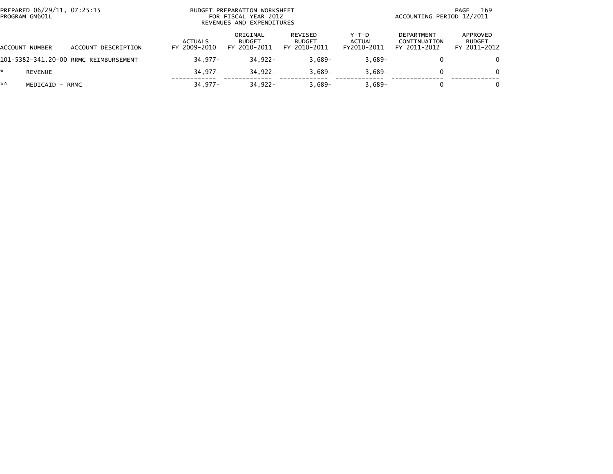| PREPARED 06/29/11, 07:25:15<br>PROGRAM GM601L |                                       | BUDGET PREPARATION WORKSHEET<br>FOR FISCAL YEAR 2012<br>REVENUES AND EXPENDITURES |                                           |                                          |                                  |                                                   | 169<br>PAGE<br>ACCOUNTING PERIOD 12/2011  |  |  |
|-----------------------------------------------|---------------------------------------|-----------------------------------------------------------------------------------|-------------------------------------------|------------------------------------------|----------------------------------|---------------------------------------------------|-------------------------------------------|--|--|
| ACCOUNT NUMBER                                | DESCRIPTION<br>ACCOUNT                | <b>ACTUALS</b><br>FY 2009-2010                                                    | ORIGINAL<br><b>BUDGET</b><br>FY 2010-2011 | REVISED<br><b>BUDGET</b><br>FY 2010-2011 | $Y-T-D$<br>ACTUAL<br>FY2010-2011 | <b>DEPARTMENT</b><br>CONTINUATION<br>FY 2011-2012 | APPROVED<br><b>BUDGET</b><br>FY 2011-2012 |  |  |
|                                               | 101-5382-341.20-00 RRMC REIMBURSEMENT | $34.977 -$                                                                        | $34.922 -$                                | $3.689 -$                                | $3,689-$                         | 0                                                 | $\Omega$                                  |  |  |
| <b>REVENUE</b>                                |                                       | $34.977 -$                                                                        | $34.922 -$                                | $3.689 -$                                | $3.689 -$                        |                                                   | $\Omega$                                  |  |  |
| **<br>MEDICAID - RRMC                         |                                       | 34,977-                                                                           | $34.922 -$                                | $3.689-$                                 | $3,689-$                         | 0                                                 | $\Omega$                                  |  |  |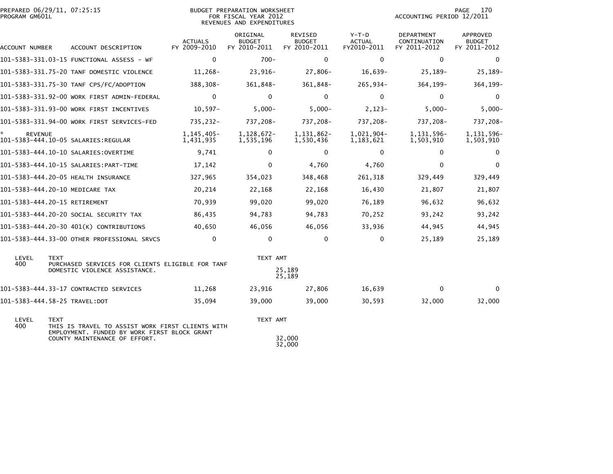| PROGRAM GM601L       | PREPARED 06/29/11, 07:25:15                                                   |                                | BUDGET PREPARATION WORKSHEET<br>FOR FISCAL YEAR 2012<br>REVENUES AND EXPENDITURES |                                          |                                         | ACCOUNTING PERIOD 12/2011                  | 170<br><b>PAGE</b>                               |
|----------------------|-------------------------------------------------------------------------------|--------------------------------|-----------------------------------------------------------------------------------|------------------------------------------|-----------------------------------------|--------------------------------------------|--------------------------------------------------|
| ACCOUNT NUMBER       | ACCOUNT DESCRIPTION                                                           | <b>ACTUALS</b><br>FY 2009-2010 | ORIGINAL<br><b>BUDGET</b><br>FY 2010-2011                                         | REVISED<br><b>BUDGET</b><br>FY 2010-2011 | $Y-T-D$<br><b>ACTUAL</b><br>FY2010-2011 | DEPARTMENT<br>CONTINUATION<br>FY 2011-2012 | <b>APPROVED</b><br><b>BUDGET</b><br>FY 2011-2012 |
|                      |                                                                               | $\mathbf 0$                    | $700 -$                                                                           | $\mathbf{0}$                             | $\mathbf 0$                             | $\mathbf 0$                                | $\mathbf 0$                                      |
|                      | 101-5383-331.75-20 TANF DOMESTIC VIOLENCE                                     | 11,268-                        | 23,916-                                                                           | 27,806-                                  | $16,639-$                               | 25,189-                                    | 25,189-                                          |
|                      | 101-5383-331.75-30 TANF CPS/FC/ADOPTION                                       | 388,308-                       | 361,848-                                                                          | 361,848-                                 | 265,934-                                | 364, 199-                                  | 364, 199-                                        |
|                      | 101-5383-331.92-00 WORK FIRST ADMIN-FEDERAL                                   | $\mathbf 0$                    | 0                                                                                 | $\mathbf 0$                              | 0                                       | 0                                          | 0                                                |
|                      | 101-5383-331.93-00 WORK FIRST INCENTIVES                                      | $10,597-$                      | $5,000-$                                                                          | $5,000 -$                                | $2,123-$                                | $5,000-$                                   | $5,000-$                                         |
|                      | 101-5383-331.94-00 WORK FIRST SERVICES-FED                                    | 735,232-                       | 737,208-                                                                          | 737,208-                                 | 737,208-                                | 737,208-                                   | 737,208-                                         |
| ×.<br><b>REVENUE</b> |                                                                               | $1,145,405-$<br>1,431,935      | 1,128,672-<br>1,535,196                                                           | 1,131,862-<br>1,530,436                  | 1,021,904-<br>1,183,621                 | 1, 131, 596-<br>1,503,910                  | 1, 131, 596-<br>1,503,910                        |
|                      | 101-5383-444.10-10 SALARIES: OVERTIME                                         | 9,741                          | 0                                                                                 | $\Omega$                                 | $\Omega$                                | 0                                          | $\Omega$                                         |
|                      |                                                                               | 17,142                         | 0                                                                                 | 4,760                                    | 4,760                                   | $\mathbf 0$                                | $\mathbf{0}$                                     |
|                      | 101-5383-444.20-05 HEALTH INSURANCE                                           | 327,965                        | 354,023                                                                           | 348,468                                  | 261,318                                 | 329,449                                    | 329,449                                          |
|                      | 101-5383-444.20-10 MEDICARE TAX                                               | 20,214                         | 22,168                                                                            | 22,168                                   | 16,430                                  | 21,807                                     | 21,807                                           |
|                      | 101-5383-444.20-15 RETIREMENT                                                 | 70,939                         | 99,020                                                                            | 99,020                                   | 76,189                                  | 96,632                                     | 96,632                                           |
|                      | 101-5383-444.20-20 SOCIAL SECURITY TAX                                        | 86,435                         | 94,783                                                                            | 94,783                                   | 70,252                                  | 93,242                                     | 93,242                                           |
|                      | 101-5383-444.20-30 401(K) CONTRIBUTIONS                                       | 40,650                         | 46,056                                                                            | 46,056                                   | 33,936                                  | 44,945                                     | 44,945                                           |
|                      | 101-5383-444.33-00 OTHER PROFESSIONAL SRVCS                                   | $\mathbf{0}$                   | 0                                                                                 | $\mathbf 0$                              | $\mathbf 0$                             | 25,189                                     | 25,189                                           |
| LEVEL<br>400         | <b>TEXT</b><br>PURCHASED SERVICES FOR CLIENTS ELIGIBLE FOR TANF               |                                | TEXT AMT                                                                          |                                          |                                         |                                            |                                                  |
|                      | DOMESTIC VIOLENCE ASSISTANCE.                                                 |                                |                                                                                   | 25,189<br>25,189                         |                                         |                                            |                                                  |
|                      | 101-5383-444.33-17 CONTRACTED SERVICES                                        | 11,268                         | 23,916                                                                            | 27,806                                   | 16,639                                  | $\mathbf 0$                                | $\bf{0}$                                         |
|                      |                                                                               | 35,094                         | 39,000                                                                            | 39,000                                   | 30,593                                  | 32,000                                     | 32,000                                           |
| LEVEL<br>400         | <b>TEXT</b><br>THIS IS TRAVEL TO ASSIST WORK FIRST CLIENTS WITH               |                                | TEXT AMT                                                                          |                                          |                                         |                                            |                                                  |
|                      | EMPLOYMENT. FUNDED BY WORK FIRST BLOCK GRANT<br>COUNTY MAINTENANCE OF EFFORT. |                                |                                                                                   | 32,000<br>32,000                         |                                         |                                            |                                                  |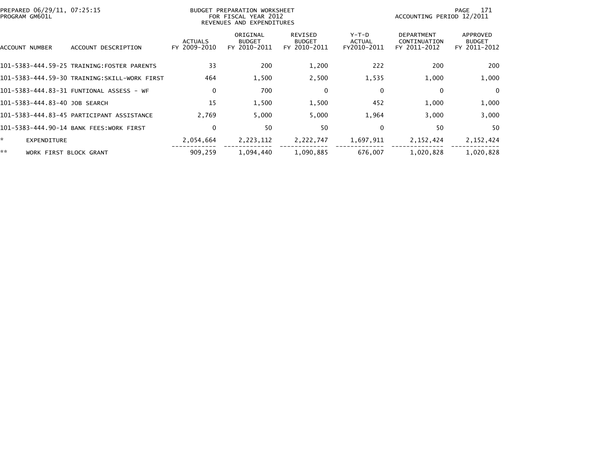| PREPARED 06/29/11, 07:25:15<br>PROGRAM GM601L |                                              |                                | BUDGET PREPARATION WORKSHEET<br>FOR FISCAL YEAR 2012<br>REVENUES AND EXPENDITURES |                                          |                                       | ACCOUNTING PERIOD 12/2011                         | 171<br>PAGE                               |
|-----------------------------------------------|----------------------------------------------|--------------------------------|-----------------------------------------------------------------------------------|------------------------------------------|---------------------------------------|---------------------------------------------------|-------------------------------------------|
| ACCOUNT NUMBER                                | ACCOUNT DESCRIPTION                          | <b>ACTUALS</b><br>FY 2009-2010 | ORIGINAL<br><b>BUDGET</b><br>FY 2010-2011                                         | REVISED<br><b>BUDGET</b><br>FY 2010-2011 | Y-T-D<br><b>ACTUAL</b><br>FY2010-2011 | <b>DEPARTMENT</b><br>CONTINUATION<br>FY 2011-2012 | APPROVED<br><b>BUDGET</b><br>FY 2011-2012 |
|                                               | 101-5383-444.59-25 TRAINING:FOSTER PARENTS   | 33                             | 200                                                                               | 1,200                                    | 222                                   | 200                                               | 200                                       |
|                                               | 101-5383-444.59-30 TRAINING:SKILL-WORK FIRST | 464                            | 1,500                                                                             | 2,500                                    | 1,535                                 | 1,000                                             | 1,000                                     |
|                                               |                                              | 0                              | 700                                                                               | 0                                        | $\Omega$                              | 0                                                 | $\mathbf{0}$                              |
| 101-5383-444.83-40 JOB SEARCH                 |                                              | 15                             | 1,500                                                                             | 1,500                                    | 452                                   | 1,000                                             | 1,000                                     |
|                                               | 101-5383-444.83-45 PARTICIPANT ASSISTANCE    | 2,769                          | 5,000                                                                             | 5,000                                    | 1,964                                 | 3,000                                             | 3,000                                     |
|                                               | 101-5383-444.90-14 BANK FEES:WORK FIRST      | 0                              | 50                                                                                | 50                                       | $\mathbf{0}$                          | 50                                                | 50                                        |
| *.<br>EXPENDITURE                             |                                              | 2,054,664                      | 2,223,112                                                                         | 2,222,747                                | 1,697,911                             | 2, 152, 424                                       | 2, 152, 424                               |
| **<br>WORK FIRST BLOCK GRANT                  |                                              | 909,259                        | 1,094,440                                                                         | 1,090,885                                | 676,007                               | 1,020,828                                         | 1,020,828                                 |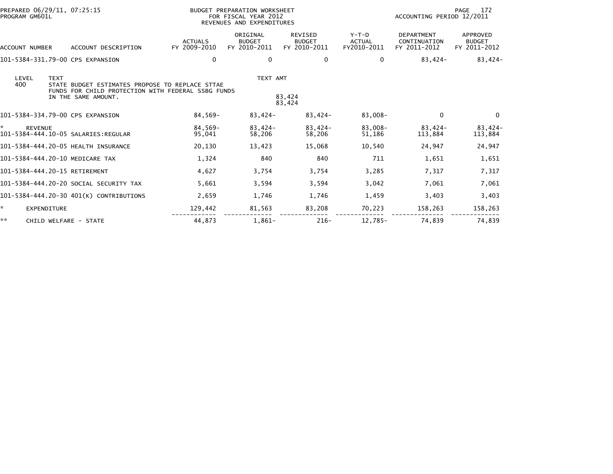| PREPARED 06/29/11, 07:25:15<br>PROGRAM GM601L          |                                                                                                                              |                                | BUDGET PREPARATION WORKSHEET<br>FOR FISCAL YEAR 2012<br>REVENUES AND EXPENDITURES |                                                 |                                         | ACCOUNTING PERIOD 12/2011                         | 172<br>PAGE                                      |
|--------------------------------------------------------|------------------------------------------------------------------------------------------------------------------------------|--------------------------------|-----------------------------------------------------------------------------------|-------------------------------------------------|-----------------------------------------|---------------------------------------------------|--------------------------------------------------|
| ACCOUNT NUMBER                                         | ACCOUNT DESCRIPTION                                                                                                          | <b>ACTUALS</b><br>FY 2009-2010 | ORIGINAL<br><b>BUDGET</b><br>FY 2010-2011                                         | <b>REVISED</b><br><b>BUDGET</b><br>FY 2010-2011 | $Y-T-D$<br><b>ACTUAL</b><br>FY2010-2011 | <b>DEPARTMENT</b><br>CONTINUATION<br>FY 2011-2012 | <b>APPROVED</b><br><b>BUDGET</b><br>FY 2011-2012 |
| 101-5384-331.79-00 CPS EXPANSION                       |                                                                                                                              | $\mathbf{0}$                   | 0                                                                                 | 0                                               | 0                                       | 83,424-                                           | 83,424-                                          |
| LEVEL<br><b>TEXT</b><br>400                            | STATE BUDGET ESTIMATES PROPOSE TO REPLACE STTAE<br>FUNDS FOR CHILD PROTECTION WITH FEDERAL SSBG FUNDS<br>IN THE SAME AMOUNT. |                                | TEXT AMT                                                                          | 83,424<br>83,424                                |                                         |                                                   |                                                  |
| 101-5384-334.79-00 CPS EXPANSION                       |                                                                                                                              | 84,569-                        | 83,424-                                                                           | $83,424-$                                       | 83,008-                                 | $\mathbf{0}$                                      | $\Omega$                                         |
| <b>REVENUE</b><br>101-5384-444.10-05 SALARIES: REGULAR |                                                                                                                              | 84,569-<br>95,041              | 83,424-<br>58,206                                                                 | $83,424-$<br>58,206                             | $83,008-$<br>51,186                     | 83,424-<br>113,884                                | 83,424-<br>113,884                               |
| 101-5384-444.20-05 HEALTH INSURANCE                    |                                                                                                                              | 20,130                         | 13,423                                                                            | 15,068                                          | 10,540                                  | 24,947                                            | 24,947                                           |
| 101-5384-444.20-10 MEDICARE TAX                        |                                                                                                                              | 1,324                          | 840                                                                               | 840                                             | 711                                     | 1,651                                             | 1,651                                            |
| 101-5384-444.20-15 RETIREMENT                          |                                                                                                                              | 4,627                          | 3,754                                                                             | 3,754                                           | 3,285                                   | 7,317                                             | 7,317                                            |
|                                                        | 101-5384-444.20-20 SOCIAL SECURITY TAX                                                                                       | 5,661                          | 3,594                                                                             | 3,594                                           | 3,042                                   | 7,061                                             | 7,061                                            |
|                                                        | 101-5384-444.20-30 401(K) CONTRIBUTIONS                                                                                      | 2,659                          | 1,746                                                                             | 1,746                                           | 1,459                                   | 3,403                                             | 3,403                                            |
| *.<br><b>EXPENDITURE</b>                               |                                                                                                                              | 129,442                        | 81,563                                                                            | 83,208                                          | 70,223                                  | 158,263                                           | 158,263                                          |
| **<br>CHILD WELFARE - STATE                            |                                                                                                                              | 44,873                         | $1,861-$                                                                          | $216-$                                          | 12,785-                                 | 74,839                                            | 74,839                                           |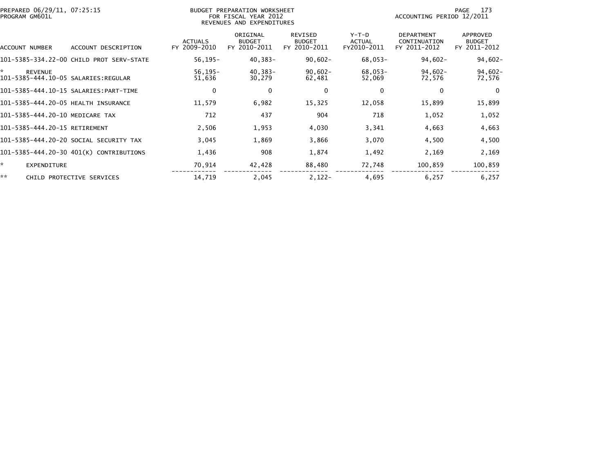| PREPARED 06/29/11, 07:25:15<br>PROGRAM GM601L |                                          |                                | BUDGET PREPARATION WORKSHEET<br>FOR FISCAL YEAR 2012<br>REVENUES AND EXPENDITURES | 173<br>PAGE<br>ACCOUNTING PERIOD 12/2011 |                                |                                            |                                           |
|-----------------------------------------------|------------------------------------------|--------------------------------|-----------------------------------------------------------------------------------|------------------------------------------|--------------------------------|--------------------------------------------|-------------------------------------------|
| ACCOUNT NUMBER                                | ACCOUNT DESCRIPTION                      | <b>ACTUALS</b><br>FY 2009-2010 | ORIGINAL<br><b>BUDGET</b><br>FY 2010-2011                                         | REVISED<br><b>BUDGET</b><br>FY 2010-2011 | Y-T-D<br>ACTUAL<br>FY2010-2011 | DEPARTMENT<br>CONTINUATION<br>FY 2011-2012 | APPROVED<br><b>BUDGET</b><br>FY 2011-2012 |
|                                               | 101-5385-334.22-00 CHILD PROT SERV-STATE | $56, 195 -$                    | $40,383-$                                                                         | $90,602 -$                               | 68,053-                        | $94,602-$                                  | $94,602 -$                                |
| ×.<br><b>REVENUE</b>                          |                                          | $56, 195 -$<br>51,636          | 40,383-<br>30,279                                                                 | $90,602 -$<br>62,481                     | 68,053-<br>52,069              | $94,602 -$<br>72,576                       | $94,602-$<br>72,576                       |
|                                               |                                          | 0                              | 0                                                                                 | 0                                        | 0                              | 0                                          | - 0                                       |
|                                               | 101-5385-444.20-05 HEALTH INSURANCE      | 11,579                         | 6,982                                                                             | 15,325                                   | 12,058                         | 15,899                                     | 15,899                                    |
|                                               | 101-5385-444.20-10 MEDICARE TAX          | 712                            | 437                                                                               | 904                                      | 718                            | 1,052                                      | 1,052                                     |
| 101-5385-444.20-15 RETIREMENT                 |                                          | 2,506                          | 1,953                                                                             | 4,030                                    | 3,341                          | 4,663                                      | 4,663                                     |
|                                               | 101-5385-444.20-20 SOCIAL SECURITY TAX   | 3,045                          | 1,869                                                                             | 3,866                                    | 3,070                          | 4,500                                      | 4,500                                     |
|                                               | 101-5385-444.20-30 401(K) CONTRIBUTIONS  | 1,436                          | 908                                                                               | 1,874                                    | 1,492                          | 2,169                                      | 2,169                                     |
| ×.<br><b>EXPENDITURE</b>                      |                                          | 70,914                         | 42,428                                                                            | 88,480                                   | 72,748                         | 100,859                                    | 100,859                                   |
| **                                            | CHILD PROTECTIVE SERVICES                | 14,719                         | 2,045                                                                             | $2,122-$                                 | 4,695                          | 6,257                                      | 6,257                                     |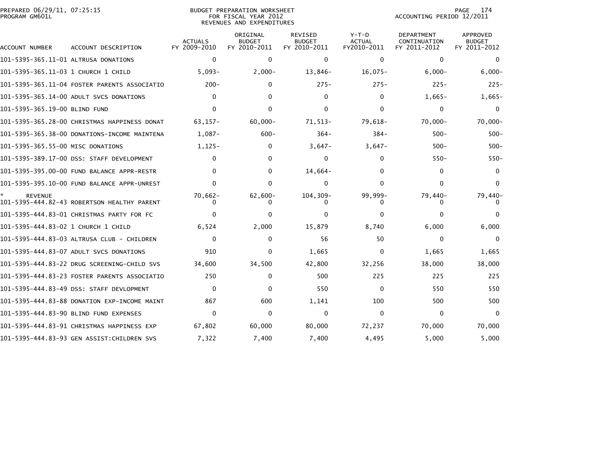| PREPARED 06/29/11, 07:25:15<br>PROGRAM GM601L |                                              |                                | BUDGET PREPARATION WORKSHEET<br>FOR FISCAL YEAR 2012<br>REVENUES AND EXPENDITURES |                                                 |                                         | 174<br>PAGE<br>ACCOUNTING PERIOD 12/2011          |                                           |  |
|-----------------------------------------------|----------------------------------------------|--------------------------------|-----------------------------------------------------------------------------------|-------------------------------------------------|-----------------------------------------|---------------------------------------------------|-------------------------------------------|--|
| ACCOUNT NUMBER                                | ACCOUNT DESCRIPTION                          | <b>ACTUALS</b><br>FY 2009-2010 | ORIGINAL<br><b>BUDGET</b><br>FY 2010-2011                                         | <b>REVISED</b><br><b>BUDGET</b><br>FY 2010-2011 | $Y-T-D$<br><b>ACTUAL</b><br>FY2010-2011 | <b>DEPARTMENT</b><br>CONTINUATION<br>FY 2011-2012 | APPROVED<br><b>BUDGET</b><br>FY 2011-2012 |  |
| 101-5395-365.11-01 ALTRUSA DONATIONS          |                                              | $\mathbf 0$                    | $\Omega$                                                                          | $\mathbf{0}$                                    | 0                                       | $\Omega$                                          | $\mathbf{0}$                              |  |
|                                               |                                              | $5,093-$                       | $2,000-$                                                                          | 13,846-                                         | $16,075-$                               | $6,000-$                                          | $6,000 -$                                 |  |
|                                               | 101-5395-365.11-04 FOSTER PARENTS ASSOCIATIO | $200 -$                        | $\Omega$                                                                          | $275 -$                                         | $275 -$                                 | $225 -$                                           | $225 -$                                   |  |
|                                               | 101-5395-365.14-00 ADULT SVCS DONATIONS      | $\Omega$                       | 0                                                                                 | $\mathbf{0}$                                    | $\mathbf{0}$                            | $1,665-$                                          | $1,665-$                                  |  |
| 101-5395-365.19-00 BLIND FUND                 |                                              | $\Omega$                       | $\Omega$                                                                          | 0                                               | 0                                       | $\mathbf{0}$                                      | 0                                         |  |
|                                               | 101-5395-365.28-00 CHRISTMAS HAPPINESS DONAT | $63, 157 -$                    | $60,000 -$                                                                        | 71,513-                                         | 79,618-                                 | 70,000-                                           | 70,000-                                   |  |
|                                               | 101-5395-365.38-00 DONATIONS-INCOME MAINTENA | $1.087 -$                      | $600 -$                                                                           | $364 -$                                         | $384 -$                                 | $500 -$                                           | $500 -$                                   |  |
| 101-5395-365.55-00 MISC DONATIONS             |                                              | $1,125-$                       | 0                                                                                 | $3,647-$                                        | $3,647-$                                | $500 -$                                           | $500 -$                                   |  |
|                                               | 101-5395-389.17-00 DSS: STAFF DEVELOPMENT    | $\Omega$                       | 0                                                                                 | 0                                               | 0                                       | $550 -$                                           | $550-$                                    |  |
|                                               | 101-5395-395.00-00 FUND BALANCE APPR-RESTR   | $\mathbf{0}$                   | 0                                                                                 | 14,664-                                         | 0                                       | $\Omega$                                          | 0                                         |  |
|                                               |                                              | $\Omega$                       | 0                                                                                 | 0                                               | 0                                       | 0                                                 | $\Omega$                                  |  |
| <b>REVENUE</b>                                | 101-5395-444.82-43 ROBERTSON HEALTHY PARENT  | $70,662-$                      | $62,600 -$                                                                        | 104,309-                                        | 99,999-                                 | 79,440-                                           | 79,440-                                   |  |
|                                               | 101-5395-444.83-01 CHRISTMAS PARTY FOR FC    | $\mathbf{0}$                   | $\Omega$                                                                          | 0                                               | 0                                       | $\Omega$                                          |                                           |  |
|                                               |                                              | 6,524                          | 2,000                                                                             | 15,879                                          | 8,740                                   | 6,000                                             | 6,000                                     |  |
|                                               | 101-5395-444.83-03 ALTRUSA CLUB - CHILDREN   | $\mathbf{0}$                   | $\Omega$                                                                          | 56                                              | 50                                      | $\Omega$                                          | $\mathbf{0}$                              |  |
|                                               | 101-5395-444.83-07 ADULT SVCS DONATIONS      | 910                            | $\Omega$                                                                          | 1,665                                           | $\mathbf{0}$                            | 1,665                                             | 1,665                                     |  |
|                                               | 101-5395-444.83-22 DRUG SCREENING-CHILD SVS  | 34.600                         | 34,500                                                                            | 42,800                                          | 32,256                                  | 38,000                                            | 38,000                                    |  |
|                                               | 101-5395-444.83-23 FOSTER PARENTS ASSOCIATIO | 250                            | $\mathbf 0$                                                                       | 500                                             | 225                                     | 225                                               | 225                                       |  |
|                                               | 101-5395-444.83-49 DSS: STAFF DEVLOPMENT     | $\mathbf{0}$                   | 0                                                                                 | 550                                             | $\Omega$                                | 550                                               | 550                                       |  |
|                                               | 101-5395-444.83-88 DONATION EXP-INCOME MAINT | 867                            | 600                                                                               | 1,141                                           | 100                                     | 500                                               | 500                                       |  |
|                                               | 101-5395-444.83-90 BLIND FUND EXPENSES       | $\mathbf{0}$                   | $\Omega$                                                                          | $\Omega$                                        | $\mathbf{0}$                            | $\Omega$                                          | $\Omega$                                  |  |
|                                               | 101-5395-444.83-91 CHRISTMAS HAPPINESS EXP   | 67.802                         | 60.000                                                                            | 80,000                                          | 72.237                                  | 70,000                                            | 70,000                                    |  |
|                                               | 101-5395-444.83-93 GEN ASSIST:CHILDREN SVS   | 7,322                          | 7,400                                                                             | 7,400                                           | 4,495                                   | 5,000                                             | 5,000                                     |  |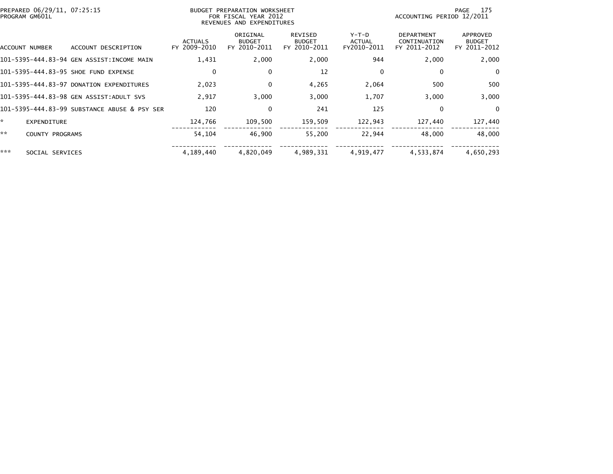| PREPARED 06/29/11, 07:25:15<br>PROGRAM GM601L |                                              |                                | BUDGET PREPARATION WORKSHEET<br>FOR FISCAL YEAR 2012<br>REVENUES AND EXPENDITURES | -175<br>PAGE<br>ACCOUNTING PERIOD 12/2011       |                                  |                                                   |                                           |
|-----------------------------------------------|----------------------------------------------|--------------------------------|-----------------------------------------------------------------------------------|-------------------------------------------------|----------------------------------|---------------------------------------------------|-------------------------------------------|
| ACCOUNT NUMBER                                | ACCOUNT DESCRIPTION                          | <b>ACTUALS</b><br>FY 2009-2010 | ORIGINAL<br><b>BUDGET</b><br>FY 2010-2011                                         | <b>REVISED</b><br><b>BUDGET</b><br>FY 2010-2011 | $Y-T-D$<br>ACTUAL<br>FY2010-2011 | <b>DEPARTMENT</b><br>CONTINUATION<br>FY 2011-2012 | APPROVED<br><b>BUDGET</b><br>FY 2011-2012 |
|                                               | 101-5395-444.83-94 GEN ASSIST:INCOME MAIN    | 1,431                          | 2,000                                                                             | 2,000                                           | 944                              | 2,000                                             | 2,000                                     |
|                                               | 101-5395-444.83-95 SHOE FUND EXPENSE         | $\mathbf{0}$                   | 0                                                                                 | 12                                              | $\Omega$                         | $\mathbf 0$                                       | 0                                         |
|                                               | 101-5395-444.83-97 DONATION EXPENDITURES     | 2,023                          | 0                                                                                 | 4,265                                           | 2,064                            | 500                                               | 500                                       |
|                                               | 101-5395-444.83-98 GEN ASSIST:ADULT SVS      | 2,917                          | 3,000                                                                             | 3,000                                           | 1,707                            | 3,000                                             | 3,000                                     |
|                                               | 101-5395-444.83-99 SUBSTANCE ABUSE & PSY SER | 120                            | 0                                                                                 | 241                                             | 125                              | $\bf{0}$                                          | $\bf{0}$                                  |
| *.<br><b>EXPENDITURE</b>                      |                                              | 124,766                        | 109,500                                                                           | 159,509                                         | 122,943                          | 127,440                                           | 127,440                                   |
| **<br>COUNTY PROGRAMS                         |                                              | 54,104                         | 46,900                                                                            | 55,200                                          | 22,944                           | 48,000                                            | 48,000                                    |
| ***<br>SOCIAL SERVICES                        |                                              | 4.189.440                      | 4,820,049                                                                         | 4.989.331                                       | 4,919,477                        | 4.533.874                                         | 4,650,293                                 |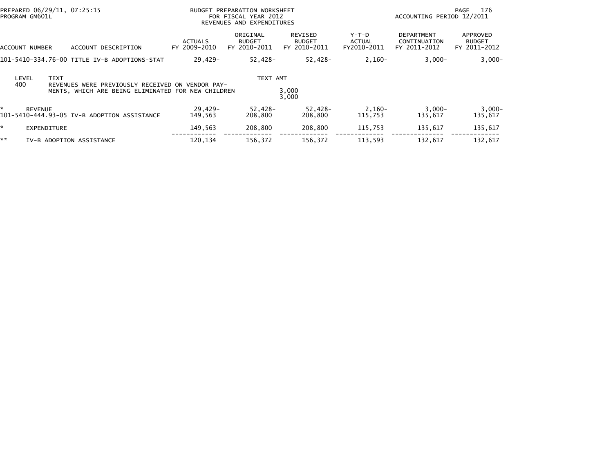| PREPARED 06/29/11, 07:25:15<br>PROGRAM GM601L                                                                                         | BUDGET PREPARATION WORKSHEET<br>FOR FISCAL YEAR 2012<br>REVENUES AND EXPENDITURES |                                           |                                          |                                | ACCOUNTING PERIOD 12/2011                         | 176<br>PAGE                               |
|---------------------------------------------------------------------------------------------------------------------------------------|-----------------------------------------------------------------------------------|-------------------------------------------|------------------------------------------|--------------------------------|---------------------------------------------------|-------------------------------------------|
| ACCOUNT DESCRIPTION<br>ACCOUNT NUMBER                                                                                                 | <b>ACTUALS</b><br>FY 2009-2010                                                    | ORIGINAL<br><b>BUDGET</b><br>FY 2010-2011 | REVISED<br><b>BUDGET</b><br>FY 2010-2011 | Y-T-D<br>ACTUAL<br>FY2010-2011 | <b>DEPARTMENT</b><br>CONTINUATION<br>FY 2011-2012 | APPROVED<br><b>BUDGET</b><br>FY 2011-2012 |
| 101-5410-334.76-00 TITLE IV-B ADOPTIONS-STAT                                                                                          | 29,429-                                                                           | $52,428-$                                 | 52,428-                                  | $2,160-$                       | $3,000-$                                          | $3,000-$                                  |
| <b>TEXT</b><br>LEVEL<br>400<br>REVENUES WERE PREVIOUSLY RECEIVED ON VENDOR PAY-<br>MENTS, WHICH ARE BEING ELIMINATED FOR NEW CHILDREN |                                                                                   | TEXT AMT                                  | 3,000<br>3,000                           |                                |                                                   |                                           |
| <b>REVENUE</b><br>101-5410-444.93-05 IV-B ADOPTION ASSISTANCE                                                                         | 29,429-<br>149.563                                                                | 52,428-<br>208,800                        | 52,428-<br>208,800                       | 2,160-<br>115,753              | $3,000-$<br>135,617                               | $3,000-$<br>135,617                       |
| $\mathbf{x}$<br>EXPENDITURE                                                                                                           | 149,563                                                                           | 208,800                                   | 208,800                                  | 115,753                        | 135,617                                           | 135,617                                   |
| **<br>IV-B ADOPTION ASSISTANCE                                                                                                        | 120.134                                                                           | 156,372                                   | 156.372                                  | 113,593                        | 132.617                                           | 132,617                                   |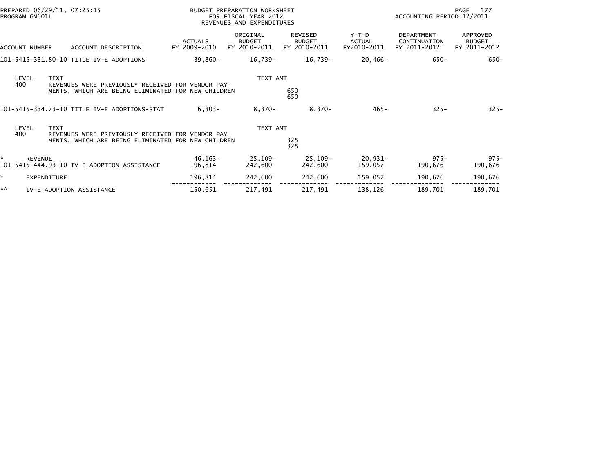| PREPARED 06/29/11, 07:25:15<br>PROGRAM GM601L                                                                                          |                                | BUDGET PREPARATION WORKSHEET<br>FOR FISCAL YEAR 2012<br>REVENUES AND EXPENDITURES | 177<br>PAGE<br>ACCOUNTING PERIOD 12/2011        |                                         |                                                   |                                           |
|----------------------------------------------------------------------------------------------------------------------------------------|--------------------------------|-----------------------------------------------------------------------------------|-------------------------------------------------|-----------------------------------------|---------------------------------------------------|-------------------------------------------|
| ACCOUNT DESCRIPTION<br><b>ACCOUNT NUMBER</b>                                                                                           | <b>ACTUALS</b><br>FY 2009-2010 | ORIGINAL<br><b>BUDGET</b><br>FY 2010-2011                                         | <b>REVISED</b><br><b>BUDGET</b><br>FY 2010-2011 | $Y-T-D$<br><b>ACTUAL</b><br>FY2010-2011 | <b>DEPARTMENT</b><br>CONTINUATION<br>FY 2011-2012 | APPROVED<br><b>BUDGET</b><br>FY 2011-2012 |
| 101-5415-331.80-10 TITLE IV-E ADOPTIONS                                                                                                | 39,860-                        | 16,739-                                                                           | 16,739-                                         | 20,466-                                 | $650 -$                                           | $650 -$                                   |
| <b>TEXT</b><br>LEVEL<br>400<br>REVENUES WERE PREVIOUSLY RECEIVED FOR VENDOR PAY-<br>MENTS, WHICH ARE BEING ELIMINATED FOR NEW CHILDREN |                                | TEXT AMT                                                                          | 650<br>650                                      |                                         |                                                   |                                           |
| 101-5415-334.73-10 TITLE IV-E ADOPTIONS-STAT                                                                                           | $6,303-$                       | $8,370-$                                                                          | $8,370-$                                        | $465 -$                                 | $325 -$                                           | $325 -$                                   |
| LEVEL<br><b>TEXT</b><br>400<br>REVENUES WERE PREVIOUSLY RECEIVED FOR VENDOR PAY-<br>MENTS, WHICH ARE BEING ELIMINATED FOR NEW CHILDREN |                                | TEXT AMT                                                                          | 325<br>325                                      |                                         |                                                   |                                           |
| <b>REVENUE</b><br>101–5415–444.93–10 IV–E ADOPTION ASSISTANCE                                                                          | 46,163-<br>196,814             | 25,109-<br>242,600                                                                | 25,109-<br>242,600                              | 20,931-<br>159,057                      | $975 -$<br>190,676                                | $975 -$<br>190,676                        |
| *.<br>EXPENDITURE                                                                                                                      | 196,814                        | 242,600                                                                           | 242,600                                         | 159,057                                 | 190,676                                           | 190,676                                   |
| **<br>IV-E ADOPTION ASSISTANCE                                                                                                         | 150,651                        | 217,491                                                                           | 217,491                                         | 138,126                                 | 189,701                                           | 189,701                                   |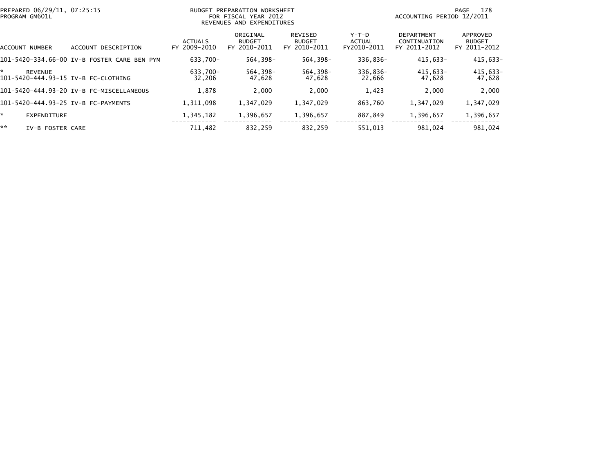| PREPARED 06/29/11, 07:25:15<br>BUDGET PREPARATION WORKSHEET<br>PROGRAM GM601L<br>FOR FISCAL YEAR 2012<br>REVENUES AND EXPENDITURES |                                             |                                |                                           |                                                 | 178<br>PAGE<br>ACCOUNTING PERIOD 12/2011 |                                                   |                                           |
|------------------------------------------------------------------------------------------------------------------------------------|---------------------------------------------|--------------------------------|-------------------------------------------|-------------------------------------------------|------------------------------------------|---------------------------------------------------|-------------------------------------------|
| ACCOUNT NUMBER                                                                                                                     | DESCRIPTION<br>ACCOUNT                      | <b>ACTUALS</b><br>FY 2009-2010 | ORIGINAL<br><b>BUDGET</b><br>FY 2010-2011 | <b>REVISED</b><br><b>BUDGET</b><br>FY 2010-2011 | Y-T-D<br>ACTUAL<br>FY2010-2011           | <b>DEPARTMENT</b><br>CONTINUATION<br>FY 2011-2012 | APPROVED<br><b>BUDGET</b><br>FY 2011-2012 |
|                                                                                                                                    | 101-5420-334.66-00 IV-B FOSTER CARE BEN PYM | 633.700-                       | 564,398-                                  | 564,398-                                        | 336,836-                                 | $415,633-$                                        | 415,633-                                  |
| *<br><b>REVENUE</b><br>101-5420-444.93-15 IV-B FC-CLOTHING                                                                         |                                             | 633.700-<br>32,206             | 564.398-<br>47,628                        | 564.398-<br>47,628                              | 336,836-<br>22,666                       | 415.633-<br>47,628                                | 415,633-<br>47,628                        |
|                                                                                                                                    | 101-5420-444.93-20 IV-B FC-MISCELLANEOUS    | 1,878                          | 2,000                                     | 2.000                                           | 1,423                                    | 2,000                                             | 2,000                                     |
| 101-5420-444.93-25 IV-B FC-PAYMENTS                                                                                                |                                             | 1,311,098                      | 1,347,029                                 | 1,347,029                                       | 863,760                                  | 1,347,029                                         | 1,347,029                                 |
| *.<br><b>EXPENDITURE</b>                                                                                                           |                                             | 1,345,182                      | 1,396,657                                 | 1,396,657                                       | 887,849                                  | 1,396,657                                         | 1,396,657                                 |
| **<br>IV-B FOSTER CARE                                                                                                             |                                             | 711,482                        | 832,259                                   | 832,259                                         | 551,013                                  | 981,024                                           | 981,024                                   |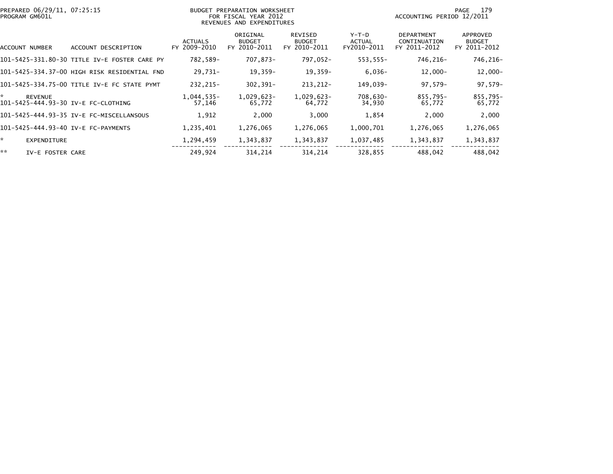| PROGRAM GM601L | PREPARED 06/29/11, 07:25:15 |                                              |                                | BUDGET PREPARATION WORKSHEET<br>FOR FISCAL YEAR 2012<br>REVENUES AND EXPENDITURES | 179<br>PAGE<br>ACCOUNTING PERIOD 12/2011        |                                |                                                   |                                           |
|----------------|-----------------------------|----------------------------------------------|--------------------------------|-----------------------------------------------------------------------------------|-------------------------------------------------|--------------------------------|---------------------------------------------------|-------------------------------------------|
|                | ACCOUNT NUMBER              | DESCRIPTION<br>ACCOUNT                       | <b>ACTUALS</b><br>FY 2009-2010 | ORIGINAL<br><b>BUDGET</b><br>FY 2010-2011                                         | <b>REVISED</b><br><b>BUDGET</b><br>FY 2010-2011 | Y-T-D<br>ACTUAL<br>FY2010-2011 | <b>DEPARTMENT</b><br>CONTINUATION<br>FY 2011-2012 | APPROVED<br><b>BUDGET</b><br>FY 2011-2012 |
|                |                             | 101-5425-331.80-30 TITLE IV-E FOSTER CARE PY | 782,589-                       | 707,873-                                                                          | 797,052-                                        | 553,555-                       | 746,216-                                          | 746,216-                                  |
|                |                             | 101–5425–334.37–00 HIGH RISK RESIDENTIAL FND | 29,731-                        | $19,359-$                                                                         | $19,359-$                                       | $6,036-$                       | $12,000-$                                         | $12,000 -$                                |
|                |                             | 101-5425-334.75-00 TITLE IV-E FC STATE PYMT  | 232,215-                       | $302, 391 -$                                                                      | 213, 212-                                       | 149,039-                       | 97,579-                                           | 97,579-                                   |
| *              | <b>REVENUE</b>              | 101-5425-444.93-30 IV-E FC-CLOTHING          | $1,044,535-$<br>57,146         | 1,029,623-<br>65,772                                                              | 1,029,623-<br>64,772                            | 708,630-<br>34,930             | 855,795-<br>65,772                                | 855,795-<br>65,772                        |
|                |                             | 101-5425-444.93-35 IV-E FC-MISCELLANSOUS     | 1,912                          | 2,000                                                                             | 3,000                                           | 1,854                          | 2,000                                             | 2,000                                     |
|                |                             | 101-5425-444.93-40 IV-E FC-PAYMENTS          | 1,235,401                      | 1,276,065                                                                         | 1,276,065                                       | 1,000,701                      | 1,276,065                                         | 1,276,065                                 |
| ÷.             | EXPENDITURE                 |                                              | 1,294,459                      | 1,343,837                                                                         | 1,343,837                                       | 1,037,485                      | 1,343,837                                         | 1,343,837                                 |
| **             | IV-E FOSTER CARE            |                                              | 249,924                        | 314,214                                                                           | 314,214                                         | 328,855                        | 488,042                                           | 488,042                                   |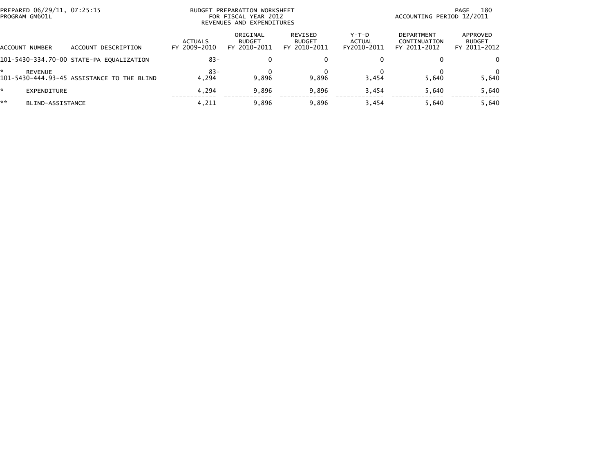| PREPARED 06/29/11, 07:25:15<br>PROGRAM GM601L |                                            |                                | BUDGET PREPARATION WORKSHEET<br>FOR FISCAL YEAR 2012<br>REVENUES AND EXPENDITURES | 180<br>PAGE<br>ACCOUNTING PERIOD 12/2011 |                                |                                                   |                                           |
|-----------------------------------------------|--------------------------------------------|--------------------------------|-----------------------------------------------------------------------------------|------------------------------------------|--------------------------------|---------------------------------------------------|-------------------------------------------|
| ACCOUNT NUMBER                                | ACCOUNT DESCRIPTION                        | <b>ACTUALS</b><br>FY 2009-2010 | ORIGINAL<br><b>BUDGET</b><br>FY 2010-2011                                         | REVISED<br><b>BUDGET</b><br>FY 2010-2011 | Y-T-D<br>ACTUAL<br>FY2010-2011 | <b>DEPARTMENT</b><br>CONTINUATION<br>FY 2011-2012 | APPROVED<br><b>BUDGET</b><br>FY 2011-2012 |
|                                               | 101-5430-334.70-00 STATE-PA EQUALIZATION   | $83 -$                         |                                                                                   | 0                                        | 0                              |                                                   | 0                                         |
| REVENUE                                       | 101-5430-444.93-45 ASSISTANCE TO THE BLIND | $83-$<br>4.294                 | 9.896                                                                             | 9.896                                    | 3.454                          | 5.640                                             | 5,640                                     |
| EXPENDITURE                                   |                                            | 4.294                          | 9,896                                                                             | 9,896                                    | 3,454                          | 5.640                                             | 5,640                                     |
| **<br>BLIND-ASSISTANCE                        |                                            | 4,211                          | 9,896                                                                             | 9,896                                    | 3.454                          | 5.640                                             | 5,640                                     |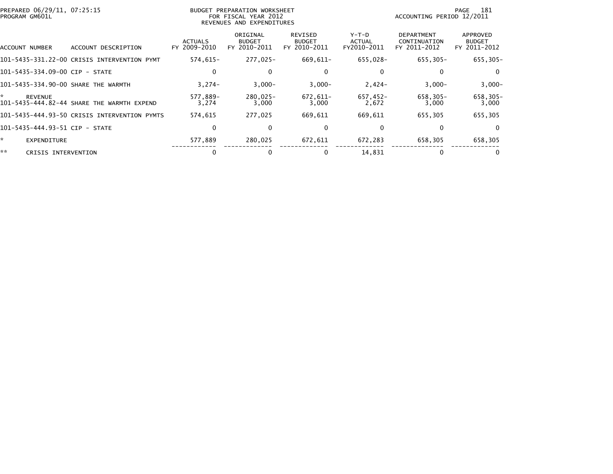|    | PREPARED 06/29/11, 07:25:15<br>PROGRAM GM601L |                                              |                                | BUDGET PREPARATION WORKSHEET<br>FOR FISCAL YEAR 2012<br>REVENUES AND EXPENDITURES | 181<br>PAGE<br>ACCOUNTING PERIOD 12/2011        |                                |                                            |                                           |
|----|-----------------------------------------------|----------------------------------------------|--------------------------------|-----------------------------------------------------------------------------------|-------------------------------------------------|--------------------------------|--------------------------------------------|-------------------------------------------|
|    | ACCOUNT NUMBER                                | ACCOUNT DESCRIPTION                          | <b>ACTUALS</b><br>FY 2009-2010 | ORIGINAL<br><b>BUDGET</b><br>FY 2010-2011                                         | <b>REVISED</b><br><b>BUDGET</b><br>FY 2010-2011 | Y-T-D<br>ACTUAL<br>FY2010-2011 | DEPARTMENT<br>CONTINUATION<br>FY 2011-2012 | APPROVED<br><b>BUDGET</b><br>FY 2011-2012 |
|    |                                               | 101-5435-331.22-00 CRISIS INTERVENTION PYMT  | 574,615-                       | 277,025-                                                                          | 669,611-                                        | 655,028-                       | 655,305-                                   | 655,305-                                  |
|    |                                               | 101-5435-334.09-00 CIP - STATE               | $\Omega$                       | 0                                                                                 | 0                                               | $\Omega$                       |                                            | $\Omega$                                  |
|    |                                               | 101-5435-334.90-00 SHARE THE WARMTH          | $3,274-$                       | $3,000-$                                                                          | $3,000-$                                        | $2,424-$                       | $3,000-$                                   | $3,000-$                                  |
| *. | <b>REVENUE</b>                                | 101-5435-444.82-44 SHARE THE WARMTH EXPEND   | 577,889-<br>3,274              | 280,025-<br>3,000                                                                 | 672,611-<br>3,000                               | 657,452-<br>2,672              | 658,305-<br>3,000                          | 658,305-<br>3,000                         |
|    |                                               | 101-5435-444.93-50 CRISIS INTERVENTION PYMTS | 574,615                        | 277,025                                                                           | 669,611                                         | 669,611                        | 655,305                                    | 655,305                                   |
|    |                                               | 101-5435-444.93-51 CIP - STATE               | $\Omega$                       |                                                                                   | 0                                               | 0                              |                                            | $\overline{0}$                            |
| *. | EXPENDITURE                                   |                                              | 577,889                        | 280,025                                                                           | 672,611                                         | 672,283                        | 658,305                                    | 658,305                                   |
| ** | CRISIS INTERVENTION                           |                                              |                                |                                                                                   |                                                 | 14,831                         |                                            | 0                                         |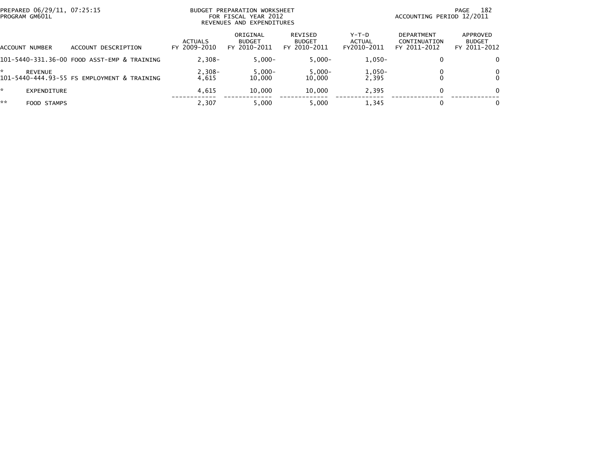| PREPARED 06/29/11, 07:25:15<br>BUDGET PREPARATION WORKSHEET<br>PROGRAM GM601L<br>FOR FISCAL YEAR 2012<br>REVENUES AND EXPENDITURES |                                             |                                |                                           |                                                 | 182<br>PAGE<br>ACCOUNTING PERIOD 12/2011 |                                                   |                                           |
|------------------------------------------------------------------------------------------------------------------------------------|---------------------------------------------|--------------------------------|-------------------------------------------|-------------------------------------------------|------------------------------------------|---------------------------------------------------|-------------------------------------------|
| ACCOUNT NUMBER                                                                                                                     | DESCRIPTION<br>ACCOUNT                      | <b>ACTUALS</b><br>FY 2009-2010 | ORIGINAL<br><b>BUDGET</b><br>FY 2010-2011 | <b>REVISED</b><br><b>BUDGET</b><br>FY 2010-2011 | Y-T-D<br>ACTUAL<br>FY2010-2011           | <b>DEPARTMENT</b><br>CONTINUATION<br>FY 2011-2012 | APPROVED<br><b>BUDGET</b><br>FY 2011-2012 |
|                                                                                                                                    | 101-5440-331.36-00 FOOD ASST-EMP & TRAINING | $2,308-$                       | $5,000-$                                  | $5.000 -$                                       | $1,050-$                                 | $\bf{0}$                                          | 0                                         |
| ÷<br><b>REVENUE</b>                                                                                                                | 101-5440-444.93-55 FS EMPLOYMENT & TRAINING | $2,308-$<br>4.615              | $5,000-$<br>10,000                        | $5,000 -$<br>10.000                             | $1,050-$<br>2,395                        |                                                   | 0<br>$\Omega$                             |
| *<br>EXPENDITURE                                                                                                                   |                                             | 4.615                          | 10.000                                    | 10.000                                          | 2,395                                    | 0                                                 | 0                                         |
| **<br>FOOD STAMPS                                                                                                                  |                                             | 2.307                          | 5,000                                     | 5.000                                           | 1,345                                    | 0                                                 |                                           |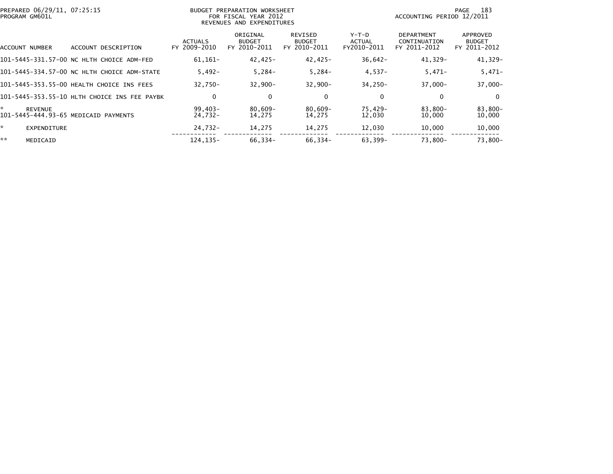| PREPARED 06/29/11, 07:25:15<br>PROGRAM GM601L               |                                              | BUDGET PREPARATION WORKSHEET<br>FOR FISCAL YEAR 2012<br>REVENUES AND EXPENDITURES |                                           |                                          |                                | 183<br>PAGE<br>ACCOUNTING PERIOD 12/2011          |                                           |  |
|-------------------------------------------------------------|----------------------------------------------|-----------------------------------------------------------------------------------|-------------------------------------------|------------------------------------------|--------------------------------|---------------------------------------------------|-------------------------------------------|--|
| ACCOUNT NUMBER                                              | DESCRIPTION<br><b>ACCOUNT</b>                | <b>ACTUALS</b><br>FY 2009-2010                                                    | ORIGINAL<br><b>BUDGET</b><br>FY 2010-2011 | REVISED<br><b>BUDGET</b><br>FY 2010-2011 | Y-T-D<br>ACTUAL<br>FY2010-2011 | <b>DEPARTMENT</b><br>CONTINUATION<br>FY 2011-2012 | APPROVED<br><b>BUDGET</b><br>FY 2011-2012 |  |
|                                                             | 101-5445-331.57-00 NC HLTH CHOICE ADM-FED    | $61.161 -$                                                                        | 42,425-                                   | 42,425-                                  | $36,642-$                      | 41,329-                                           | 41,329-                                   |  |
|                                                             | 101-5445-334.57-00 NC HLTH CHOICE ADM-STATE  | $5.492 -$                                                                         | $5,284-$                                  | $5,284-$                                 | $4,537-$                       | $5,471-$                                          | $5,471-$                                  |  |
|                                                             | 101-5445-353.55-00 HEALTH CHOICE INS FEES    | $32.750 -$                                                                        | $32.900 -$                                | $32.900 -$                               | 34,250-                        | $37,000 -$                                        | $37,000 -$                                |  |
|                                                             | 101–5445–353.55–10 HLTH CHOICE INS FEE PAYBK | 0                                                                                 | 0                                         | $\mathbf 0$                              | 0                              | 0                                                 | $\Omega$                                  |  |
| *<br><b>REVENUE</b><br>101-5445-444.93-65 MEDICAID PAYMENTS |                                              | $99,403-$<br>24,732-                                                              | 80,609-<br>14,275                         | $80,609 -$<br>14,275                     | 75,429-<br>12,030              | 83,800-<br>10,000                                 | 83,800-<br>10,000                         |  |
| *.<br><b>EXPENDITURE</b>                                    |                                              | 24,732-                                                                           | 14,275                                    | 14,275                                   | 12,030                         | 10,000                                            | 10,000                                    |  |
| **<br>MEDICAID                                              |                                              | 124.135-                                                                          | 66,334-                                   | 66,334-                                  | 63,399-                        | 73,800-                                           | 73.800-                                   |  |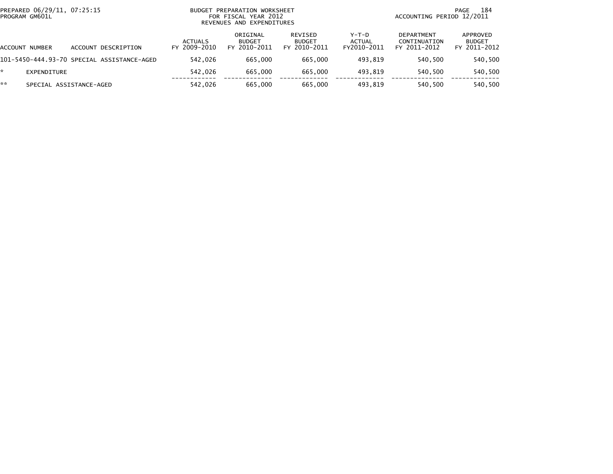| PREPARED 06/29/11, 07:25:15<br>PROGRAM GM601L |                                            | <b>BUDGET</b>                  | PREPARATION WORKSHEET<br>FOR FISCAL YEAR 2012<br>REVENUES AND EXPENDITURES | 184<br>PAGE<br>ACCOUNTING PERIOD 12/2011 |                                  |                                                   |                                           |
|-----------------------------------------------|--------------------------------------------|--------------------------------|----------------------------------------------------------------------------|------------------------------------------|----------------------------------|---------------------------------------------------|-------------------------------------------|
| <b>ACCOUNT NUMBER</b>                         | ACCOUNT DESCRIPTION                        | <b>ACTUALS</b><br>FY 2009-2010 | ORIGINAL<br><b>BUDGET</b><br>FY 2010-2011                                  | REVISED<br><b>BUDGET</b><br>FY 2010-2011 | $Y-T-D$<br>ACTUAL<br>FY2010-2011 | <b>DEPARTMENT</b><br>CONTINUATION<br>FY 2011-2012 | APPROVED<br><b>BUDGET</b><br>FY 2011-2012 |
|                                               | 101-5450-444.93-70 SPECIAL ASSISTANCE-AGED | 542.026                        | 665,000                                                                    | 665,000                                  | 493.819                          | 540.500                                           | 540,500                                   |
| *<br>EXPENDITURE                              |                                            | 542.026                        | 665,000                                                                    | 665,000                                  | 493.819                          | 540.500                                           | 540,500                                   |
| **                                            | SPECIAL ASSISTANCE-AGED                    | 542,026                        | 665,000                                                                    | 665,000                                  | 493.819                          | 540,500                                           | 540,500                                   |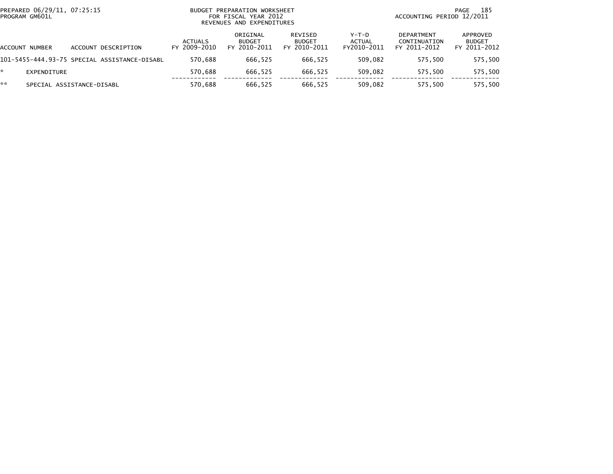| PREPARED 06/29/11, 07:25:15<br>PROGRAM GM601L |             |                           |                                              | BUDGET PREPARATION WORKSHEET<br>FOR FISCAL YEAR 2012<br>REVENUES AND EXPENDITURES |                                           |                                          |                                       | 185<br>PAGE<br>ACCOUNTING PERIOD 12/2011          |                                           |  |  |
|-----------------------------------------------|-------------|---------------------------|----------------------------------------------|-----------------------------------------------------------------------------------|-------------------------------------------|------------------------------------------|---------------------------------------|---------------------------------------------------|-------------------------------------------|--|--|
| ACCOUNT                                       | NUMBER      | ACCOUNT DESCRIPTION       |                                              | ACTUALS<br>FY 2009-2010                                                           | ORIGINAL<br><b>BUDGET</b><br>FY 2010-2011 | REVISED<br><b>BUDGET</b><br>FY 2010-2011 | Y-T-D<br><b>ACTUAL</b><br>FY2010-2011 | <b>DEPARTMENT</b><br>CONTINUATION<br>FY 2011-2012 | APPROVED<br><b>BUDGET</b><br>FY 2011-2012 |  |  |
|                                               |             |                           | 101-5455-444.93-75 SPECIAL ASSISTANCE-DISABL | 570.688                                                                           | 666.525                                   | 666.525                                  | 509.082                               | 575.500                                           | 575,500                                   |  |  |
| *.                                            | EXPENDITURE |                           |                                              | 570.688                                                                           | 666.525                                   | 666.525                                  | 509.082                               | 575.500                                           | 575,500                                   |  |  |
| **                                            |             | SPECIAL ASSISTANCE-DISABL |                                              | 570.688                                                                           | 666.525                                   | 666.525                                  | 509,082                               | 575.500                                           | 575,500                                   |  |  |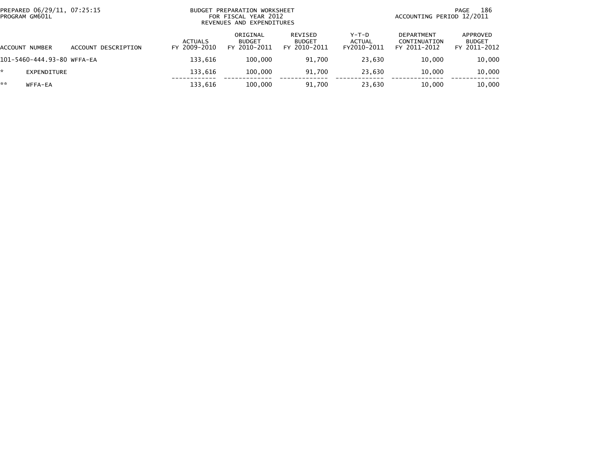| PREPARED 06/29/11, 07:25:15<br>PROGRAM GM601L |                            |                     |                                | BUDGET PREPARATION WORKSHEET<br>FOR FISCAL YEAR 2012<br>REVENUES AND EXPENDITURES |                                          |                                  |                                            |                                           |
|-----------------------------------------------|----------------------------|---------------------|--------------------------------|-----------------------------------------------------------------------------------|------------------------------------------|----------------------------------|--------------------------------------------|-------------------------------------------|
| ACCOUNT NUMBER                                |                            | ACCOUNT DESCRIPTION | <b>ACTUALS</b><br>FY 2009-2010 | ORIGINAL<br><b>BUDGET</b><br>FY 2010-2011                                         | REVISED<br><b>BUDGET</b><br>FY 2010-2011 | $Y-T-D$<br>ACTUAL<br>FY2010-2011 | DEPARTMENT<br>CONTINUATION<br>FY 2011-2012 | APPROVED<br><b>BUDGET</b><br>FY 2011-2012 |
|                                               | 101-5460-444.93-80 WFFA-EA |                     | 133.616                        | 100,000                                                                           | 91.700                                   | 23.630                           | 10.000                                     | 10,000                                    |
|                                               | EXPENDITURE                |                     | 133,616                        | 100,000                                                                           | 91.700                                   | 23.630                           | 10,000                                     | 10,000                                    |
| **                                            | WFFA-EA                    |                     | 133,616                        | 100,000                                                                           | 91.700                                   | 23.630                           | 10,000                                     | 10,000                                    |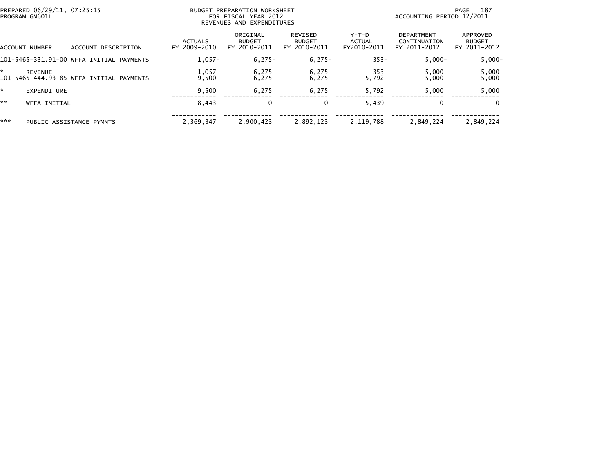|     | PREPARED 06/29/11, 07:25:15<br>PROGRAM GM601L |                                          |                                | BUDGET PREPARATION WORKSHEET<br>FOR FISCAL YEAR 2012<br>REVENUES AND EXPENDITURES | 187<br>PAGE<br>ACCOUNTING PERIOD 12/2011 |                                  |                                            |                                           |
|-----|-----------------------------------------------|------------------------------------------|--------------------------------|-----------------------------------------------------------------------------------|------------------------------------------|----------------------------------|--------------------------------------------|-------------------------------------------|
|     | ACCOUNT NUMBER                                | ACCOUNT DESCRIPTION                      | <b>ACTUALS</b><br>FY 2009-2010 | ORIGINAL<br><b>BUDGET</b><br>FY 2010-2011                                         | REVISED<br><b>BUDGET</b><br>FY 2010-2011 | $Y-T-D$<br>ACTUAL<br>FY2010-2011 | DEPARTMENT<br>CONTINUATION<br>FY 2011-2012 | APPROVED<br><b>BUDGET</b><br>FY 2011-2012 |
|     |                                               | 101-5465-331.91-00 WFFA INITIAL PAYMENTS | $1.057-$                       | $6,275-$                                                                          | $6,275-$                                 | $353 -$                          | $5.000 -$                                  | $5,000 -$                                 |
| ÷   | <b>REVENUE</b>                                | 101-5465-444.93-85 WFFA-INITIAL PAYMENTS | $1,057-$<br>9.500              | $6,275-$<br>6,275                                                                 | $6,275-$<br>6.275                        | $353-$<br>5,792                  | $5,000-$<br>5.000                          | 5,000-<br>5,000                           |
| *   | <b>EXPENDITURE</b>                            |                                          | 9.500                          | 6,275                                                                             | 6,275                                    | 5,792                            | 5.000                                      | 5,000                                     |
| **  | WFFA-INITIAL                                  |                                          | 8.443                          | 0                                                                                 | 0                                        | 5.439                            | $\mathbf{0}$                               | $\Omega$                                  |
| *** |                                               | PUBLIC ASSISTANCE PYMNTS                 | 2.369.347                      | 2,900,423                                                                         | 2,892,123                                | 2,119,788                        | 2.849.224                                  | 2,849,224                                 |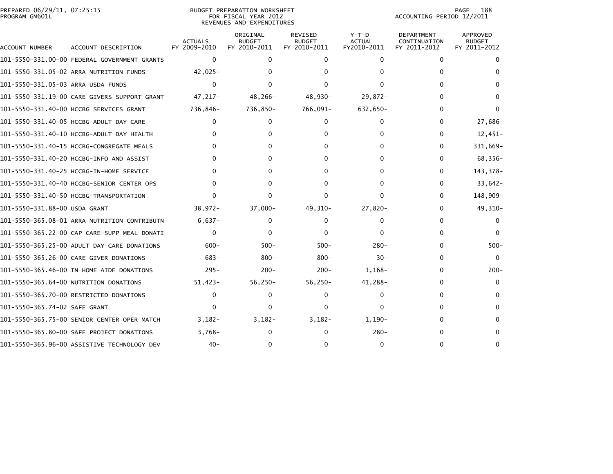| PREPARED 06/29/11, 07:25:15<br>PROGRAM GM601L |                                              |                                | <b>BUDGET PREPARATION WORKSHEET</b><br>FOR FISCAL YEAR 2012<br>REVENUES AND EXPENDITURES | 188<br>PAGE<br>ACCOUNTING PERIOD 12/2011 |                                         |                                            |                                                  |
|-----------------------------------------------|----------------------------------------------|--------------------------------|------------------------------------------------------------------------------------------|------------------------------------------|-----------------------------------------|--------------------------------------------|--------------------------------------------------|
| ACCOUNT NUMBER                                | ACCOUNT DESCRIPTION                          | <b>ACTUALS</b><br>FY 2009-2010 | ORIGINAL<br><b>BUDGET</b><br>FY 2010-2011                                                | REVISED<br><b>BUDGET</b><br>FY 2010-2011 | $Y-T-D$<br><b>ACTUAL</b><br>FY2010-2011 | DEPARTMENT<br>CONTINUATION<br>FY 2011-2012 | <b>APPROVED</b><br><b>BUDGET</b><br>FY 2011-2012 |
|                                               | 101-5550-331.00-00 FEDERAL GOVERNMENT GRANTS | $\Omega$                       | 0                                                                                        | 0                                        | $\Omega$                                | $\mathbf{0}$                               |                                                  |
|                                               | 101-5550-331.05-02 ARRA NUTRITION FUNDS      | 42,025-                        |                                                                                          |                                          |                                         | 0                                          |                                                  |
| 101-5550-331.05-03 ARRA USDA FUNDS            |                                              | $\Omega$                       | 0                                                                                        |                                          |                                         | 0                                          |                                                  |
|                                               | 101-5550-331.19-00 CARE GIVERS SUPPORT GRANT | 47,217-                        | 48,266-                                                                                  | 48,930-                                  | $29,872-$                               | 0                                          |                                                  |
|                                               | 101-5550-331.40-00 HCCBG SERVICES GRANT      | 736,846-                       | 736,850-                                                                                 | 766,091-                                 | 632,650-                                | 0                                          |                                                  |
|                                               | 101-5550-331.40-05 HCCBG-ADULT DAY CARE      | 0                              | 0                                                                                        | 0                                        | $\Omega$                                | 0                                          | 27,686-                                          |
|                                               | 101-5550-331.40-10 HCCBG-ADULT DAY HEALTH    |                                | U                                                                                        |                                          |                                         | $\Omega$                                   | $12,451-$                                        |
|                                               | 101-5550-331.40-15 HCCBG-CONGREGATE MEALS    | 0                              | 0                                                                                        | 0                                        |                                         | 0                                          | 331,669–                                         |
|                                               | 101-5550-331.40-20 HCCBG-INFO AND ASSIST     |                                | ŋ                                                                                        |                                          |                                         | $\Omega$                                   | 68,356-                                          |
|                                               | 101-5550-331.40-25 HCCBG-IN-HOME SERVICE     |                                | 0                                                                                        | $\Omega$                                 |                                         | 0                                          | 143,378-                                         |
|                                               |                                              | O                              | 0                                                                                        | 0                                        |                                         | $\Omega$                                   | $33,642-$                                        |
|                                               | 101-5550-331.40-50 HCCBG-TRANSPORTATION      | $\Omega$                       | 0                                                                                        | 0                                        | <sup>0</sup>                            | $\Omega$                                   | 148,909-                                         |
| 101-5550-331.88-00 USDA GRANT                 |                                              | $38,972-$                      | $37,000-$                                                                                | $49,310-$                                | $27,820-$                               | $\Omega$                                   | 49,310-                                          |
|                                               | 101-5550-365.08-01 ARRA NUTRITION CONTRIBUTN | $6.637 -$                      | 0                                                                                        | 0                                        | 0                                       | $\Omega$                                   | 0                                                |
|                                               | 101-5550-365.22-00 CAP CARE-SUPP MEAL DONATI | $\Omega$                       | 0                                                                                        | 0                                        | $\Omega$                                | $\Omega$                                   | 0                                                |
|                                               | 101-5550-365.25-00 ADULT DAY CARE DONATIONS  | $600 -$                        | $500 -$                                                                                  | $500 -$                                  | $280 -$                                 | 0                                          | $500 -$                                          |
|                                               | 101-5550-365.26-00 CARE GIVER DONATIONS      | $683 -$                        | $800 -$                                                                                  | $800 -$                                  | $30 -$                                  | 0                                          | $\Omega$                                         |
|                                               | 101-5550-365.46-00 IN HOME AIDE DONATIONS    | $295 -$                        | $200 -$                                                                                  | $200 -$                                  | 1,168-                                  | 0                                          | $200 -$                                          |
|                                               | 101-5550-365.64-00 NUTRITION DONATIONS       | $51,423-$                      | 56,250-                                                                                  | $56,250-$                                | 41,288-                                 | 0                                          | 0                                                |
|                                               | 101-5550-365.70-00 RESTRICTED DONATIONS      | $\Omega$                       | 0                                                                                        | 0                                        | $\Omega$                                | 0                                          |                                                  |
| 101-5550-365.74-02 SAFE GRANT                 |                                              | $\Omega$                       | U                                                                                        |                                          | 0                                       |                                            |                                                  |
|                                               | 101-5550-365.75-00 SENIOR CENTER OPER MATCH  | $3,182-$                       | $3,182-$                                                                                 | $3,182-$                                 | 1,190-                                  |                                            |                                                  |
|                                               | 101-5550-365.80-00 SAFE PROJECT DONATIONS    | $3,768-$                       | U                                                                                        | 0                                        | $280 -$                                 |                                            |                                                  |
|                                               | 101-5550-365.96-00 ASSISTIVE TECHNOLOGY DEV  | $40 -$                         | 0                                                                                        | 0                                        | 0                                       | n                                          |                                                  |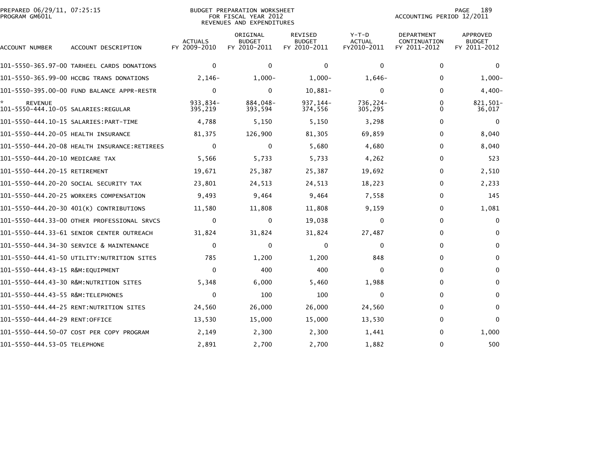| PREPARED 06/29/11, 07:25:15<br>PROGRAM GM601L         |                                              |                                | <b>BUDGET PREPARATION WORKSHEET</b><br>FOR FISCAL YEAR 2012<br>REVENUES AND EXPENDITURES | PAGE<br>189<br>ACCOUNTING PERIOD 12/2011        |                                       |                                                   |                                           |
|-------------------------------------------------------|----------------------------------------------|--------------------------------|------------------------------------------------------------------------------------------|-------------------------------------------------|---------------------------------------|---------------------------------------------------|-------------------------------------------|
| ACCOUNT NUMBER                                        | ACCOUNT DESCRIPTION                          | <b>ACTUALS</b><br>FY 2009-2010 | ORIGINAL<br><b>BUDGET</b><br>FY 2010-2011                                                | <b>REVISED</b><br><b>BUDGET</b><br>FY 2010-2011 | Y-T-D<br><b>ACTUAL</b><br>FY2010-2011 | <b>DEPARTMENT</b><br>CONTINUATION<br>FY 2011-2012 | APPROVED<br><b>BUDGET</b><br>FY 2011-2012 |
|                                                       | 101-5550-365.97-00 TARHEEL CARDS DONATIONS   | $\mathbf{0}$                   | 0                                                                                        | $\mathbf 0$                                     | $\mathbf 0$                           | $\mathbf 0$                                       | $\Omega$                                  |
|                                                       | 101-5550-365.99-00 HCCBG TRANS DONATIONS     | $2,146-$                       | $1,000-$                                                                                 | $1,000-$                                        | $1,646-$                              | $\mathbf{0}$                                      | $1,000-$                                  |
|                                                       | 101-5550-395.00-00 FUND BALANCE APPR-RESTR   | $\Omega$                       | $\Omega$                                                                                 | 10,881-                                         | $\mathbf{0}$                          | 0                                                 | 4,400-                                    |
| <b>REVENUE</b><br>101-5550-444.10-05 SALARIES:REGULAR |                                              | 933,834-<br>395,219            | 884,048-<br>393,594                                                                      | 937, 144-<br>374,556                            | 736,224-<br>305,295                   | $\mathbf{0}$<br>$\mathbf{0}$                      | 821,501-<br>36,017                        |
|                                                       |                                              | 4,788                          | 5,150                                                                                    | 5,150                                           | 3,298                                 | $\mathbf 0$                                       | $\Omega$                                  |
| 101-5550-444.20-05 HEALTH INSURANCE                   |                                              | 81,375                         | 126,900                                                                                  | 81,305                                          | 69,859                                | $\mathbf{0}$                                      | 8,040                                     |
|                                                       | 101-5550-444.20-08 HEALTH INSURANCE:RETIREES | $\Omega$                       | $\mathbf{0}$                                                                             | 5,680                                           | 4,680                                 | $\mathbf{0}$                                      | 8,040                                     |
| 101-5550-444.20-10 MEDICARE TAX                       |                                              | 5,566                          | 5,733                                                                                    | 5,733                                           | 4,262                                 | 0                                                 | 523                                       |
| 101-5550-444.20-15 RETIREMENT                         |                                              | 19,671                         | 25,387                                                                                   | 25,387                                          | 19,692                                | $\mathbf{0}$                                      | 2,510                                     |
|                                                       | 101–5550–444.20–20 SOCIAL SECURITY TAX       | 23,801                         | 24,513                                                                                   | 24,513                                          | 18,223                                | $\Omega$                                          | 2,233                                     |
|                                                       | 101-5550-444.20-25 WORKERS COMPENSATION      | 9,493                          | 9,464                                                                                    | 9,464                                           | 7,558                                 | $\mathbf{0}$                                      | 145                                       |
|                                                       | 101-5550-444.20-30 401(K) CONTRIBUTIONS      | 11,580                         | 11,808                                                                                   | 11,808                                          | 9,159                                 | 0                                                 | 1,081                                     |
|                                                       | 101-5550-444.33-00 OTHER PROFESSIONAL SRVCS  | $\Omega$                       | $\mathbf{0}$                                                                             | 19,038                                          | 0                                     | $\mathbf{0}$                                      | $\mathbf{0}$                              |
|                                                       | 101-5550-444.33-61 SENIOR CENTER OUTREACH    | 31,824                         | 31,824                                                                                   | 31,824                                          | 27,487                                | $\mathbf{0}$                                      | $\Omega$                                  |
|                                                       | 101-5550-444.34-30 SERVICE & MAINTENANCE     | $\Omega$                       | 0                                                                                        | 0                                               | 0                                     | $\mathbf{0}$                                      | $\mathbf{0}$                              |
|                                                       | 101-5550-444.41-50 UTILITY:NUTRITION SITES   | 785                            | 1,200                                                                                    | 1,200                                           | 848                                   | $\mathbf{0}$                                      | $\mathbf{0}$                              |
| 101-5550-444.43-15 R&M:EQUIPMENT                      |                                              | $\Omega$                       | 400                                                                                      | 400                                             | 0                                     | $\mathbf{0}$                                      | $\mathbf{0}$                              |
|                                                       |                                              | 5,348                          | 6,000                                                                                    | 5,460                                           | 1,988                                 | 0                                                 | $\Omega$                                  |
|                                                       |                                              | $\Omega$                       | 100                                                                                      | 100                                             | $\mathbf{0}$                          | $\mathbf{0}$                                      | $\Omega$                                  |
|                                                       | 101-5550-444.44-25 RENT:NUTRITION SITES      | 24,560                         | 26,000                                                                                   | 26,000                                          | 24,560                                | $\Omega$                                          | $\Omega$                                  |
|                                                       |                                              | 13,530                         | 15,000                                                                                   | 15,000                                          | 13,530                                | $\Omega$                                          | $\Omega$                                  |
|                                                       | 101-5550-444.50-07 COST PER COPY PROGRAM     | 2,149                          | 2,300                                                                                    | 2,300                                           | 1,441                                 | 0                                                 | 1,000                                     |
| 101-5550-444.53-05 TELEPHONE                          |                                              | 2,891                          | 2,700                                                                                    | 2,700                                           | 1,882                                 | $\mathbf{0}$                                      | 500                                       |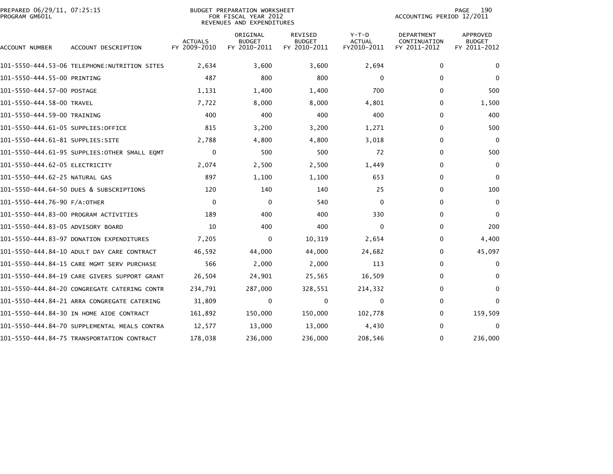| PREPARED 06/29/11, 07:25:15<br>PROGRAM GM601L |                                              | <b>BUDGET PREPARATION WORKSHEET</b><br>FOR FISCAL YEAR 2012<br>REVENUES AND EXPENDITURES |                                           |                                                 |                                         | 190<br>PAGE<br>ACCOUNTING PERIOD 12/2011          |                                           |  |
|-----------------------------------------------|----------------------------------------------|------------------------------------------------------------------------------------------|-------------------------------------------|-------------------------------------------------|-----------------------------------------|---------------------------------------------------|-------------------------------------------|--|
| ACCOUNT NUMBER                                | ACCOUNT DESCRIPTION                          | <b>ACTUALS</b><br>FY 2009-2010                                                           | ORIGINAL<br><b>BUDGET</b><br>FY 2010-2011 | <b>REVISED</b><br><b>BUDGET</b><br>FY 2010-2011 | $Y-T-D$<br><b>ACTUAL</b><br>FY2010-2011 | <b>DEPARTMENT</b><br>CONTINUATION<br>FY 2011-2012 | APPROVED<br><b>BUDGET</b><br>FY 2011-2012 |  |
|                                               | 101–5550–444.53–06 TELEPHONE:NUTRITION SITES | 2,634                                                                                    | 3,600                                     | 3,600                                           | 2,694                                   | 0                                                 | $\mathbf{0}$                              |  |
| 101-5550-444.55-00 PRINTING                   |                                              | 487                                                                                      | 800                                       | 800                                             | 0                                       | $\mathbf{0}$                                      | $\mathbf{0}$                              |  |
| 101-5550-444.57-00 POSTAGE                    |                                              | 1,131                                                                                    | 1,400                                     | 1,400                                           | 700                                     | $\mathbf{0}$                                      | 500                                       |  |
| 101-5550-444.58-00 TRAVEL                     |                                              | 7,722                                                                                    | 8,000                                     | 8,000                                           | 4,801                                   | $\mathbf{0}$                                      | 1,500                                     |  |
| 101-5550-444.59-00 TRAINING                   |                                              | 400                                                                                      | 400                                       | 400                                             | 400                                     | 0                                                 | 400                                       |  |
| 101–5550–444.61–05 SUPPLIES:OFFICE            |                                              | 815                                                                                      | 3,200                                     | 3,200                                           | 1,271                                   | $\mathbf{0}$                                      | 500                                       |  |
| 101–5550–444.61–81 SUPPLIES:SITE              |                                              | 2,788                                                                                    | 4,800                                     | 4,800                                           | 3,018                                   | $\Omega$                                          | $\Omega$                                  |  |
|                                               | 101-5550-444.61-95 SUPPLIES:OTHER SMALL EQMT | $\Omega$                                                                                 | 500                                       | 500                                             | 72                                      | $\mathbf{0}$                                      | 500                                       |  |
| 101–5550–444.62–05 ELECTRICITY                |                                              | 2,074                                                                                    | 2,500                                     | 2,500                                           | 1,449                                   | 0                                                 | $\Omega$                                  |  |
| 101-5550-444.62-25 NATURAL GAS                |                                              | 897                                                                                      | 1,100                                     | 1,100                                           | 653                                     | $\mathbf{0}$                                      | $\mathbf{0}$                              |  |
|                                               | 101-5550-444.64-50 DUES & SUBSCRIPTIONS      | 120                                                                                      | 140                                       | 140                                             | 25                                      | $\mathbf{0}$                                      | 100                                       |  |
| 101-5550-444.76-90 F/A:OTHER                  |                                              | $\Omega$                                                                                 | 0                                         | 540                                             | $\Omega$                                | $\mathbf{0}$                                      | $\Omega$                                  |  |
|                                               | 101-5550-444.83-00 PROGRAM ACTIVITIES        | 189                                                                                      | 400                                       | 400                                             | 330                                     | $\mathbf{0}$                                      | $\Omega$                                  |  |
| 101-5550-444.83-05 ADVISORY BOARD             |                                              | 10                                                                                       | 400                                       | 400                                             | $\mathbf 0$                             | $\mathbf 0$                                       | 200                                       |  |
|                                               | 101-5550-444.83-97 DONATION EXPENDITURES     | 7,205                                                                                    | 0                                         | 10,319                                          | 2,654                                   | $\mathbf{0}$                                      | 4,400                                     |  |
|                                               | 101-5550-444.84-10 ADULT DAY CARE CONTRACT   | 46.592                                                                                   | 44,000                                    | 44,000                                          | 24,682                                  | $\mathbf{0}$                                      | 45,097                                    |  |
|                                               | 101-5550-444.84-15 CARE MGMT SERV PURCHASE   | 566                                                                                      | 2,000                                     | 2,000                                           | 113                                     | 0                                                 | $\mathbf{0}$                              |  |
|                                               | 101-5550-444.84-19 CARE GIVERS SUPPORT GRANT | 26,504                                                                                   | 24,901                                    | 25,565                                          | 16,509                                  | 0                                                 | $\bf{0}$                                  |  |
|                                               | 101-5550-444.84-20 CONGREGATE CATERING CONTR | 234.791                                                                                  | 287,000                                   | 328,551                                         | 214,332                                 | $\Omega$                                          | $\Omega$                                  |  |
|                                               | 101-5550-444.84-21 ARRA CONGREGATE CATERING  | 31,809                                                                                   | 0                                         | 0                                               | $\mathbf 0$                             | $\mathbf{0}$                                      | $\mathbf{0}$                              |  |
|                                               | 101-5550-444.84-30 IN HOME AIDE CONTRACT     | 161,892                                                                                  | 150,000                                   | 150,000                                         | 102,778                                 | $\bf{0}$                                          | 159,509                                   |  |
|                                               | 101–5550–444.84–70 SUPPLEMENTAL MEALS CONTRA | 12,577                                                                                   | 13,000                                    | 13,000                                          | 4,430                                   | $\mathbf{0}$                                      | $\Omega$                                  |  |
|                                               | 101-5550-444.84-75 TRANSPORTATION CONTRACT   | 178,038                                                                                  | 236,000                                   | 236,000                                         | 208,546                                 | $\mathbf{0}$                                      | 236,000                                   |  |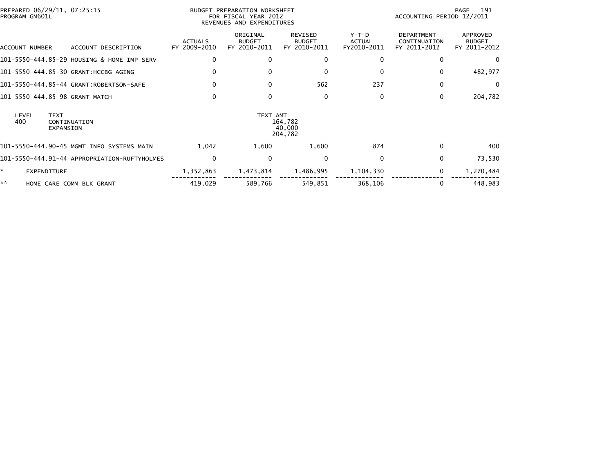| PREPARED 06/29/11, 07:25:15<br>PROGRAM GM601L |                                              |                                | BUDGET PREPARATION WORKSHEET<br>FOR FISCAL YEAR 2012<br>REVENUES AND EXPENDITURES | 191<br>PAGE<br>ACCOUNTING PERIOD 12/2011        |                                         |                                                   |                                           |
|-----------------------------------------------|----------------------------------------------|--------------------------------|-----------------------------------------------------------------------------------|-------------------------------------------------|-----------------------------------------|---------------------------------------------------|-------------------------------------------|
| ACCOUNT NUMBER                                | ACCOUNT DESCRIPTION                          | <b>ACTUALS</b><br>FY 2009-2010 | ORIGINAL<br><b>BUDGET</b><br>FY 2010-2011                                         | <b>REVISED</b><br><b>BUDGET</b><br>FY 2010-2011 | $Y-T-D$<br><b>ACTUAL</b><br>FY2010-2011 | <b>DEPARTMENT</b><br>CONTINUATION<br>FY 2011-2012 | APPROVED<br><b>BUDGET</b><br>FY 2011-2012 |
|                                               | 101-5550-444.85-29 HOUSING & HOME IMP SERV   | $\mathbf{0}$                   | 0                                                                                 | 0                                               | $\bf{0}$                                | 0                                                 |                                           |
|                                               | 101-5550-444.85-30 GRANT: HCCBG AGING        | $\Omega$                       |                                                                                   | 0                                               | $\mathbf{0}$                            | 0                                                 | 482,977                                   |
|                                               | 101-5550-444.85-44 GRANT:ROBERTSON-SAFE      | $\Omega$                       | $\Omega$                                                                          | 562                                             | 237                                     | $\mathbf{0}$                                      | $\Omega$                                  |
| 101-5550-444.85-98 GRANT MATCH                |                                              | $\Omega$                       | $\Omega$                                                                          | 0                                               | 0                                       | 0                                                 | 204,782                                   |
| LEVEL<br><b>TEXT</b><br>400<br>EXPANSION      | CONTINUATION                                 |                                | TEXT AMT                                                                          | 164,782<br>40,000<br>204,782                    |                                         |                                                   |                                           |
|                                               | 101-5550-444.90-45 MGMT INFO SYSTEMS MAIN    | 1.042                          | 1,600                                                                             | 1,600                                           | 874                                     | 0                                                 | 400                                       |
|                                               | 101-5550-444.91-44 APPROPRIATION-RUFTYHOLMES | $\mathbf{0}$                   | $\Omega$                                                                          | $\Omega$                                        | $\mathbf{0}$                            | $\mathbf{0}$                                      | 73,530                                    |
| ×.<br>EXPENDITURE                             |                                              | 1,352,863                      | 1,473,814                                                                         | 1,486,995                                       | 1,104,330                               | $\mathbf 0$                                       | 1,270,484                                 |
| **                                            | HOME CARE COMM BLK GRANT                     | 419,029                        | 589,766                                                                           | 549,851                                         | 368,106                                 | 0                                                 | 448,983                                   |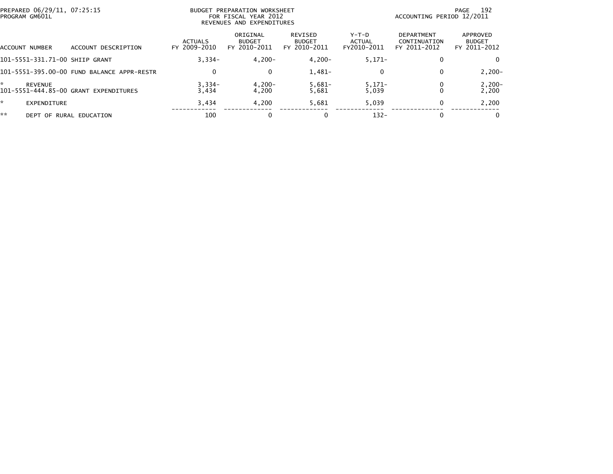| PREPARED 06/29/11, 07:25:15<br>PROGRAM GM601L |                |                                            |                                | BUDGET PREPARATION WORKSHEET<br>FOR FISCAL YEAR 2012<br>REVENUES AND EXPENDITURES | ACCOUNTING PERIOD 12/2011                | 192<br>PAGE                    |                                                   |                                           |
|-----------------------------------------------|----------------|--------------------------------------------|--------------------------------|-----------------------------------------------------------------------------------|------------------------------------------|--------------------------------|---------------------------------------------------|-------------------------------------------|
| ACCOUNT NUMBER                                |                | ACCOUNT DESCRIPTION                        | <b>ACTUALS</b><br>FY 2009-2010 | ORIGINAL<br><b>BUDGET</b><br>FY 2010-2011                                         | REVISED<br><b>BUDGET</b><br>FY 2010-2011 | Y-T-D<br>ACTUAL<br>FY2010-2011 | <b>DEPARTMENT</b><br>CONTINUATION<br>FY 2011-2012 | APPROVED<br><b>BUDGET</b><br>FY 2011-2012 |
|                                               |                | 101-5551-331.71-00 SHIIP GRANT             | $3,334-$                       | $4,200-$                                                                          | $4,200-$                                 | $5,171-$                       | $\bf{0}$                                          | 0                                         |
|                                               |                | 101-5551-395.00-00 FUND BALANCE APPR-RESTR | $\Omega$                       | 0                                                                                 | $1,481-$                                 | 0                              | $\Omega$                                          | $2,200-$                                  |
| *                                             | <b>REVENUE</b> | 101-5551-444.85-00 GRANT EXPENDITURES      | $3,334-$<br>3,434              | $4,200-$<br>4,200                                                                 | $5,681-$<br>5,681                        | $5,171-$<br>5,039              | 0                                                 | $2,200-$<br>2,200                         |
| *.                                            | EXPENDITURE    |                                            | 3,434                          | 4,200                                                                             | 5,681                                    | 5,039                          | $\Omega$                                          | 2,200                                     |
| **                                            |                | DEPT OF RURAL EDUCATION                    | 100                            |                                                                                   | 0                                        | $132 -$                        | $\bf{0}$                                          | $\mathbf{0}$                              |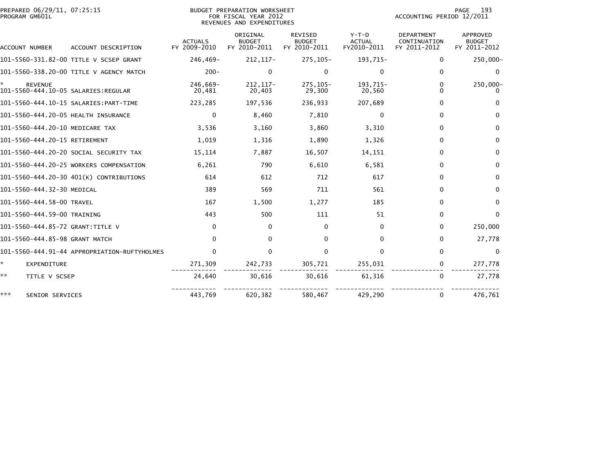| PREPARED 06/29/11, 07:25:15<br>PROGRAM GM601L |                                              | BUDGET PREPARATION WORKSHEET<br>FOR FISCAL YEAR 2012<br>REVENUES AND EXPENDITURES |                                           |                                          |                                         | 193<br>PAGE<br>ACCOUNTING PERIOD 12/2011          |                                                  |  |
|-----------------------------------------------|----------------------------------------------|-----------------------------------------------------------------------------------|-------------------------------------------|------------------------------------------|-----------------------------------------|---------------------------------------------------|--------------------------------------------------|--|
| ACCOUNT NUMBER                                | ACCOUNT DESCRIPTION                          | <b>ACTUALS</b><br>FY 2009-2010                                                    | ORIGINAL<br><b>BUDGET</b><br>FY 2010-2011 | REVISED<br><b>BUDGET</b><br>FY 2010-2011 | $Y-T-D$<br><b>ACTUAL</b><br>FY2010-2011 | <b>DEPARTMENT</b><br>CONTINUATION<br>FY 2011-2012 | <b>APPROVED</b><br><b>BUDGET</b><br>FY 2011-2012 |  |
|                                               | 101-5560-331.82-00 TITLE V SCSEP GRANT       | 246.469-                                                                          | 212, 117-                                 | 275, 105-                                | 193,715-                                | 0                                                 | 250,000-                                         |  |
|                                               | 101-5560-338.20-00 TITLE V AGENCY MATCH      | $200 -$                                                                           | $\mathbf{0}$                              | $\mathbf 0$                              | $\Omega$                                | 0                                                 | $\mathbf 0$                                      |  |
| <b>REVENUE</b>                                |                                              | 246.669-<br>20,481                                                                | 212, 117-<br>20.403                       | 275.105-<br>29,300                       | 193.715-<br>20,560                      | $\mathbf{0}$<br>$\Omega$                          | 250,000-<br>$\Omega$                             |  |
|                                               |                                              | 223,285                                                                           | 197,536                                   | 236,933                                  | 207,689                                 | 0                                                 | $\Omega$                                         |  |
| 101-5560-444.20-05 HEALTH INSURANCE           |                                              | 0                                                                                 | 8,460                                     | 7,810                                    | 0                                       | $\bf{0}$                                          | $\Omega$                                         |  |
| 101-5560-444.20-10 MEDICARE TAX               |                                              | 3,536                                                                             | 3,160                                     | 3,860                                    | 3,310                                   | $\mathbf{0}$                                      | $\bf{0}$                                         |  |
| 101-5560-444.20-15 RETIREMENT                 |                                              | 1,019                                                                             | 1,316                                     | 1,890                                    | 1,326                                   | $\bf{0}$                                          | $\Omega$                                         |  |
|                                               | 101-5560-444.20-20 SOCIAL SECURITY TAX       | 15,114                                                                            | 7,887                                     | 16,507                                   | 14,151                                  | $\mathbf{0}$                                      | 0                                                |  |
|                                               | 101-5560-444.20-25 WORKERS COMPENSATION      | 6,261                                                                             | 790                                       | 6,610                                    | 6,581                                   | $\mathbf{0}$                                      | 0                                                |  |
|                                               | 101-5560-444.20-30 401(K) CONTRIBUTIONS      | 614                                                                               | 612                                       | 712                                      | 617                                     | 0                                                 | $\mathbf{0}$                                     |  |
| 101-5560-444.32-30 MEDICAL                    |                                              | 389                                                                               | 569                                       | 711                                      | 561                                     | $\mathbf{0}$                                      | $\bf{0}$                                         |  |
| 101-5560-444.58-00 TRAVEL                     |                                              | 167                                                                               | 1,500                                     | 1,277                                    | 185                                     | $\bf{0}$                                          | $\Omega$                                         |  |
| 101-5560-444.59-00 TRAINING                   |                                              | 443                                                                               | 500                                       | 111                                      | 51                                      | $\mathbf{0}$                                      | $\Omega$                                         |  |
| 101-5560-444.85-72 GRANT:TITLE V              |                                              | $\mathbf{0}$                                                                      | 0                                         | 0                                        | $\Omega$                                | $\bf{0}$                                          | 250,000                                          |  |
| 101-5560-444.85-98 GRANT MATCH                |                                              | $\Omega$                                                                          | $\mathbf{0}$                              | 0                                        | 0                                       | $\mathbf{0}$                                      | 27,778                                           |  |
|                                               | 101-5560-444.91-44 APPROPRIATION-RUFTYHOLMES | $\Omega$                                                                          | $\mathbf{0}$                              | $\Omega$                                 | $\Omega$                                | $\mathbf{0}$                                      | $\Omega$                                         |  |
| *.<br>EXPENDITURE                             |                                              | 271,309                                                                           | 242,733                                   | 305,721                                  | 255,031                                 | $\bf{0}$                                          | 277,778                                          |  |
| **<br>TITLE V SCSEP                           |                                              | 24,640                                                                            | 30,616                                    | 30,616                                   | 61,316                                  | $\bf{0}$                                          | 27,778                                           |  |
| ***<br>SENIOR SERVICES                        |                                              | 443,769                                                                           | 620,382                                   | 580,467                                  | 429,290                                 | 0                                                 | 476,761                                          |  |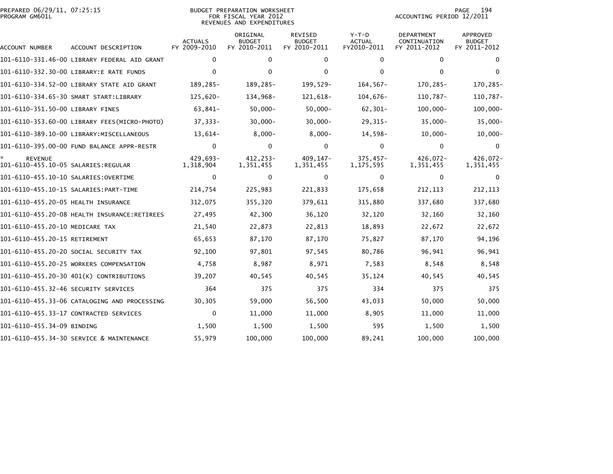| PREPARED 06/29/11, 07:25:15<br>PROGRAM GM601L |                                              | <b>BUDGET PREPARATION WORKSHEET</b><br>FOR FISCAL YEAR 2012<br>REVENUES AND EXPENDITURES |                                           |                                                 |                                         | 194<br>PAGE<br>ACCOUNTING PERIOD 12/2011   |                                                  |  |
|-----------------------------------------------|----------------------------------------------|------------------------------------------------------------------------------------------|-------------------------------------------|-------------------------------------------------|-----------------------------------------|--------------------------------------------|--------------------------------------------------|--|
| ACCOUNT NUMBER                                | ACCOUNT DESCRIPTION                          | <b>ACTUALS</b><br>FY 2009-2010                                                           | ORIGINAL<br><b>BUDGET</b><br>FY 2010-2011 | <b>REVISED</b><br><b>BUDGET</b><br>FY 2010-2011 | $Y-T-D$<br><b>ACTUAL</b><br>FY2010-2011 | DEPARTMENT<br>CONTINUATION<br>FY 2011-2012 | <b>APPROVED</b><br><b>BUDGET</b><br>FY 2011-2012 |  |
|                                               | 101-6110-331.46-00 LIBRARY FEDERAL AID GRANT | 0                                                                                        | 0                                         | 0                                               | 0                                       | 0                                          | 0                                                |  |
|                                               | 101-6110-332.30-00 LIBRARY:E RATE FUNDS      | $\mathbf{0}$                                                                             | $\Omega$                                  | 0                                               | $\Omega$                                | $\mathbf{0}$                               | $\mathbf{0}$                                     |  |
|                                               | 101-6110-334.52-00 LIBRARY STATE AID GRANT   | 189,285-                                                                                 | 189,285-                                  | 199,529-                                        | $164, 567 -$                            | 170,285-                                   | 170,285-                                         |  |
|                                               | 101-6110-334.65-30 SMART START:LIBRARY       | $125,620-$                                                                               | 134,968-                                  | 121,618-                                        | $104,676-$                              | 110,787-                                   | 110,787-                                         |  |
| 101-6110-351.50-00 LIBRARY FINES              |                                              | 63,841-                                                                                  | $50,000 -$                                | $50,000 -$                                      | $62, 301 -$                             | $100,000 -$                                | $100,000 -$                                      |  |
|                                               | 101-6110-353.60-00 LIBRARY FEES(MICRO-PHOTO) | $37,333 -$                                                                               | 30,000-                                   | $30,000 -$                                      | $29,315-$                               | $35,000 -$                                 | $35,000 -$                                       |  |
|                                               | 101-6110-389.10-00 LIBRARY: MISCELLANEOUS    | $13,614-$                                                                                | $8,000 -$                                 | $8,000 -$                                       | 14,598-                                 | $10,000 -$                                 | $10,000 -$                                       |  |
|                                               | 101-6110-395.00-00 FUND BALANCE APPR-RESTR   | $\Omega$                                                                                 | 0                                         | 0                                               | $\Omega$                                | $\mathbf{0}$                               | $\Omega$                                         |  |
| <b>REVENUE</b>                                |                                              | 429,693-<br>1,318,904                                                                    | 412.253-<br>1,351,455                     | 409.147-<br>1,351,455                           | $375,457-$<br>1,175,595                 | 426,072-<br>1,351,455                      | 426,072-<br>1,351,455                            |  |
| 101-6110-455.10-10 SALARIES: OVERTIME         |                                              | 0                                                                                        | 0                                         | 0                                               | $\Omega$                                | $\mathbf{0}$                               | $\Omega$                                         |  |
|                                               |                                              | 214,754                                                                                  | 225,983                                   | 221,833                                         | 175,658                                 | 212, 113                                   | 212, 113                                         |  |
| 101-6110-455.20-05 HEALTH INSURANCE           |                                              | 312,075                                                                                  | 355,320                                   | 379,611                                         | 315,880                                 | 337,680                                    | 337,680                                          |  |
|                                               |                                              | 27,495                                                                                   | 42,300                                    | 36,120                                          | 32,120                                  | 32,160                                     | 32,160                                           |  |
| 101-6110-455.20-10 MEDICARE TAX               |                                              | 21,540                                                                                   | 22,873                                    | 22,813                                          | 18,893                                  | 22,672                                     | 22,672                                           |  |
| 101-6110-455.20-15 RETIREMENT                 |                                              | 65,653                                                                                   | 87,170                                    | 87,170                                          | 75,827                                  | 87,170                                     | 94,196                                           |  |
|                                               | 101-6110-455.20-20 SOCIAL SECURITY TAX       | 92,100                                                                                   | 97,801                                    | 97,545                                          | 80,786                                  | 96,941                                     | 96,941                                           |  |
|                                               | 101-6110-455.20-25 WORKERS COMPENSATION      | 4,758                                                                                    | 8,987                                     | 8,971                                           | 7,583                                   | 8,548                                      | 8,548                                            |  |
|                                               | 101-6110-455.20-30 401(K) CONTRIBUTIONS      | 39,207                                                                                   | 40,545                                    | 40,545                                          | 35,124                                  | 40,545                                     | 40,545                                           |  |
|                                               |                                              | 364                                                                                      | 375                                       | 375                                             | 334                                     | 375                                        | 375                                              |  |
|                                               | 101-6110-455.33-06 CATALOGING AND PROCESSING | 30,305                                                                                   | 59,000                                    | 56,500                                          | 43,033                                  | 50,000                                     | 50,000                                           |  |
|                                               | 101-6110-455.33-17 CONTRACTED SERVICES       | 0                                                                                        | 11,000                                    | 11,000                                          | 8,905                                   | 11,000                                     | 11,000                                           |  |
| 101-6110-455.34-09 BINDING                    |                                              | 1,500                                                                                    | 1,500                                     | 1,500                                           | 595                                     | 1,500                                      | 1,500                                            |  |
|                                               | 101-6110-455.34-30 SERVICE & MAINTENANCE     | 55,979                                                                                   | 100,000                                   | 100,000                                         | 89,241                                  | 100,000                                    | 100,000                                          |  |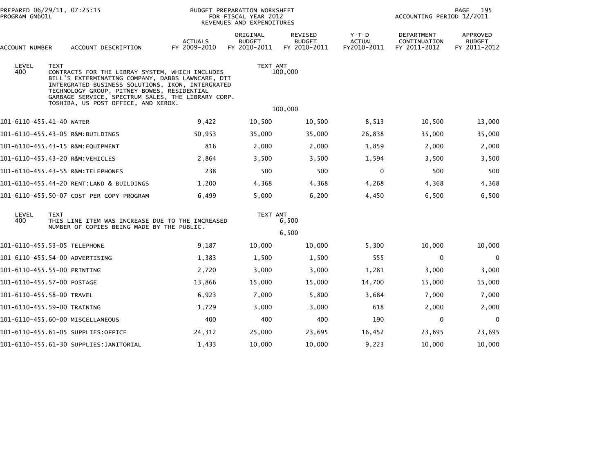| PREPARED 06/29/11, 07:25:15<br>PROGRAM GM601L |                                                                                                                                                                                                                                                                                                                      | BUDGET PREPARATION WORKSHEET<br>FOR FISCAL YEAR 2012<br>REVENUES AND EXPENDITURES |                                           |                                          |                                         | 195<br>PAGE<br>ACCOUNTING PERIOD 12/2011   |                                           |  |
|-----------------------------------------------|----------------------------------------------------------------------------------------------------------------------------------------------------------------------------------------------------------------------------------------------------------------------------------------------------------------------|-----------------------------------------------------------------------------------|-------------------------------------------|------------------------------------------|-----------------------------------------|--------------------------------------------|-------------------------------------------|--|
| ACCOUNT NUMBER                                | ACCOUNT DESCRIPTION                                                                                                                                                                                                                                                                                                  | <b>ACTUALS</b><br>FY 2009-2010                                                    | ORIGINAL<br><b>BUDGET</b><br>FY 2010-2011 | REVISED<br><b>BUDGET</b><br>FY 2010-2011 | $Y-T-D$<br><b>ACTUAL</b><br>FY2010-2011 | DEPARTMENT<br>CONTINUATION<br>FY 2011-2012 | APPROVED<br><b>BUDGET</b><br>FY 2011-2012 |  |
| LEVEL<br>400                                  | <b>TEXT</b><br>CONTRACTS FOR THE LIBRAY SYSTEM, WHICH INCLUDES<br>BILL'S EXTERMINATING COMPANY, DABBS LAWNCARE, DTI<br>INTERGRATED BUSINESS SOLUTIONS, IKON, INTERGRATED<br>TECHNOLOGY GROUP, PITNEY BOWES, RESIDENTIAL<br>GARBAGE SERVICE, SPECTRUM SALES, THE LIBRARY CORP.<br>TOSHIBA, US POST OFFICE, AND XEROX. |                                                                                   | TEXT AMT<br>100,000<br>100,000            |                                          |                                         |                                            |                                           |  |
| 101-6110-455.41-40 WATER                      |                                                                                                                                                                                                                                                                                                                      | 9,422                                                                             | 10,500                                    | 10,500                                   | 8,513                                   | 10,500                                     | 13,000                                    |  |
|                                               | 101-6110-455.43-05 R&M:BUILDINGS                                                                                                                                                                                                                                                                                     | 50,953                                                                            | 35,000                                    | 35,000                                   | 26,838                                  | 35,000                                     | 35,000                                    |  |
|                                               | 101-6110-455.43-15 R&M:EQUIPMENT                                                                                                                                                                                                                                                                                     | 816                                                                               | 2,000                                     | 2,000                                    | 1,859                                   | 2,000                                      | 2,000                                     |  |
|                                               | 101-6110-455.43-20 R&M:VEHICLES                                                                                                                                                                                                                                                                                      | 2,864                                                                             | 3,500                                     | 3,500                                    | 1,594                                   | 3,500                                      | 3,500                                     |  |
|                                               |                                                                                                                                                                                                                                                                                                                      | 238                                                                               | 500                                       | 500                                      | $\mathbf 0$                             | 500                                        | 500                                       |  |
|                                               | 101-6110-455.44-20 RENT:LAND & BUILDINGS                                                                                                                                                                                                                                                                             | 1,200                                                                             | 4,368                                     | 4,368                                    | 4,268                                   | 4,368                                      | 4,368                                     |  |
|                                               | 101-6110-455.50-07 COST PER COPY PROGRAM                                                                                                                                                                                                                                                                             | 6,499                                                                             | 5,000                                     | 6,200                                    | 4,450                                   | 6,500                                      | 6,500                                     |  |
| LEVEL<br>400                                  | <b>TEXT</b><br>THIS LINE ITEM WAS INCREASE DUE TO THE INCREASED<br>NUMBER OF COPIES BEING MADE BY THE PUBLIC.                                                                                                                                                                                                        |                                                                                   |                                           | TEXT AMT<br>6,500                        |                                         |                                            |                                           |  |
|                                               |                                                                                                                                                                                                                                                                                                                      |                                                                                   |                                           | 6,500                                    |                                         |                                            |                                           |  |
| 101-6110-455.53-05 TELEPHONE                  |                                                                                                                                                                                                                                                                                                                      | 9,187                                                                             | 10,000                                    | 10,000                                   | 5,300                                   | 10,000                                     | 10,000                                    |  |
|                                               | 101-6110-455.54-00 ADVERTISING                                                                                                                                                                                                                                                                                       | 1,383                                                                             | 1,500                                     | 1,500                                    | 555                                     | 0                                          | $\mathbf 0$                               |  |
| 101-6110-455.55-00 PRINTING                   |                                                                                                                                                                                                                                                                                                                      | 2,720                                                                             | 3,000                                     | 3,000                                    | 1,281                                   | 3,000                                      | 3,000                                     |  |
| 101-6110-455.57-00 POSTAGE                    |                                                                                                                                                                                                                                                                                                                      | 13,866                                                                            | 15,000                                    | 15,000                                   | 14,700                                  | 15,000                                     | 15,000                                    |  |
| 101-6110-455.58-00 TRAVEL                     |                                                                                                                                                                                                                                                                                                                      | 6,923                                                                             | 7,000                                     | 5,800                                    | 3,684                                   | 7,000                                      | 7,000                                     |  |
| 101-6110-455.59-00 TRAINING                   |                                                                                                                                                                                                                                                                                                                      | 1,729                                                                             | 3,000                                     | 3,000                                    | 618                                     | 2,000                                      | 2,000                                     |  |
|                                               | 101-6110-455.60-00 MISCELLANEOUS                                                                                                                                                                                                                                                                                     | 400                                                                               | 400                                       | 400                                      | 190                                     | 0                                          | $\Omega$                                  |  |
|                                               | 101-6110-455.61-05 SUPPLIES:OFFICE                                                                                                                                                                                                                                                                                   | 24,312                                                                            | 25,000                                    | 23,695                                   | 16,452                                  | 23,695                                     | 23,695                                    |  |
|                                               | 101-6110-455.61-30 SUPPLIES:JANITORIAL                                                                                                                                                                                                                                                                               | 1,433                                                                             | 10,000                                    | 10,000                                   | 9,223                                   | 10,000                                     | 10,000                                    |  |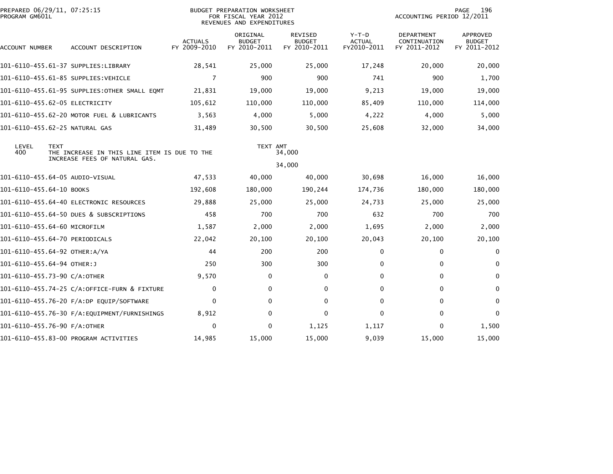| PROGRAM GM601L                  | PREPARED 06/29/11, 07:25:15<br><b>BUDGET PREPARATION WORKSHEET</b><br>FOR FISCAL YEAR 2012<br>REVENUES AND EXPENDITURES |                                |                                           |                                                 | 196<br>PAGE<br>ACCOUNTING PERIOD 12/2011 |                                            |                                                  |
|---------------------------------|-------------------------------------------------------------------------------------------------------------------------|--------------------------------|-------------------------------------------|-------------------------------------------------|------------------------------------------|--------------------------------------------|--------------------------------------------------|
| ACCOUNT NUMBER                  | ACCOUNT DESCRIPTION                                                                                                     | <b>ACTUALS</b><br>FY 2009-2010 | ORIGINAL<br><b>BUDGET</b><br>FY 2010-2011 | <b>REVISED</b><br><b>BUDGET</b><br>FY 2010-2011 | $Y-T-D$<br><b>ACTUAL</b><br>FY2010-2011  | DEPARTMENT<br>CONTINUATION<br>FY 2011-2012 | <b>APPROVED</b><br><b>BUDGET</b><br>FY 2011-2012 |
|                                 | 101-6110-455.61-37 SUPPLIES:LIBRARY                                                                                     | 28,541                         | 25,000                                    | 25,000                                          | 17,248                                   | 20,000                                     | 20,000                                           |
|                                 | 101-6110-455.61-85 SUPPLIES:VEHICLE                                                                                     | 7                              | 900                                       | 900                                             | 741                                      | 900                                        | 1,700                                            |
|                                 | 101-6110-455.61-95 SUPPLIES:OTHER SMALL EQMT                                                                            | 21,831                         | 19,000                                    | 19,000                                          | 9,213                                    | 19,000                                     | 19,000                                           |
| 101-6110-455.62-05 ELECTRICITY  |                                                                                                                         | 105,612                        | 110,000                                   | 110,000                                         | 85,409                                   | 110,000                                    | 114,000                                          |
|                                 | 101-6110-455.62-20 MOTOR FUEL & LUBRICANTS                                                                              | 3,563                          | 4,000                                     | 5,000                                           | 4,222                                    | 4,000                                      | 5,000                                            |
| 101-6110-455.62-25 NATURAL GAS  |                                                                                                                         | 31,489                         | 30,500                                    | 30,500                                          | 25,608                                   | 32,000                                     | 34,000                                           |
| LEVEL<br><b>TEXT</b><br>400     | THE INCREASE IN THIS LINE ITEM IS DUE TO THE<br>INCREASE FEES OF NATURAL GAS.                                           |                                | TEXT AMT                                  | 34,000<br>34,000                                |                                          |                                            |                                                  |
| 101-6110-455.64-05 AUDIO-VISUAL |                                                                                                                         | 47,533                         | 40,000                                    | 40,000                                          | 30,698                                   | 16,000                                     | 16,000                                           |
| 101-6110-455.64-10 BOOKS        |                                                                                                                         | 192,608                        | 180,000                                   | 190,244                                         | 174,736                                  | 180,000                                    | 180,000                                          |
|                                 | 101-6110-455.64-40 ELECTRONIC RESOURCES                                                                                 | 29,888                         | 25,000                                    | 25,000                                          | 24,733                                   | 25,000                                     | 25,000                                           |
|                                 | 101-6110-455.64-50 DUES & SUBSCRIPTIONS                                                                                 | 458                            | 700                                       | 700                                             | 632                                      | 700                                        | 700                                              |
| 101-6110-455.64-60 MICROFILM    |                                                                                                                         | 1,587                          | 2,000                                     | 2,000                                           | 1,695                                    | 2,000                                      | 2,000                                            |
| 101-6110-455.64-70 PERIODICALS  |                                                                                                                         | 22,042                         | 20,100                                    | 20,100                                          | 20,043                                   | 20,100                                     | 20,100                                           |
| 101-6110-455.64-92 OTHER:A/YA   |                                                                                                                         | 44                             | 200                                       | 200                                             | 0                                        | 0                                          | $\mathbf 0$                                      |
| 101-6110-455.64-94 OTHER:J      |                                                                                                                         | 250                            | 300                                       | 300                                             | 0                                        | $\bf{0}$                                   | $\Omega$                                         |
| 101-6110-455.73-90 C/A:OTHER    |                                                                                                                         | 9,570                          | 0                                         | 0                                               | 0                                        | $\mathbf 0$                                | $\mathbf 0$                                      |
|                                 | 101-6110-455.74-25 C/A:OFFICE-FURN & FIXTURE                                                                            | $\mathbf{0}$                   | $\mathbf{0}$                              | $\mathbf 0$                                     | $\Omega$                                 | $\mathbf{0}$                               | $\mathbf{0}$                                     |
|                                 |                                                                                                                         | $\mathbf{0}$                   | 0                                         | 0                                               | $\Omega$                                 | 0                                          | 0                                                |
|                                 |                                                                                                                         | 8,912                          | 0                                         | 0                                               | 0                                        | 0                                          | $\mathbf{0}$                                     |
| 101-6110-455.76-90 F/A:OTHER    |                                                                                                                         | $\Omega$                       | 0                                         | 1,125                                           | 1,117                                    | 0                                          | 1,500                                            |
|                                 | 101-6110-455.83-00 PROGRAM ACTIVITIES                                                                                   | 14,985                         | 15,000                                    | 15,000                                          | 9,039                                    | 15,000                                     | 15,000                                           |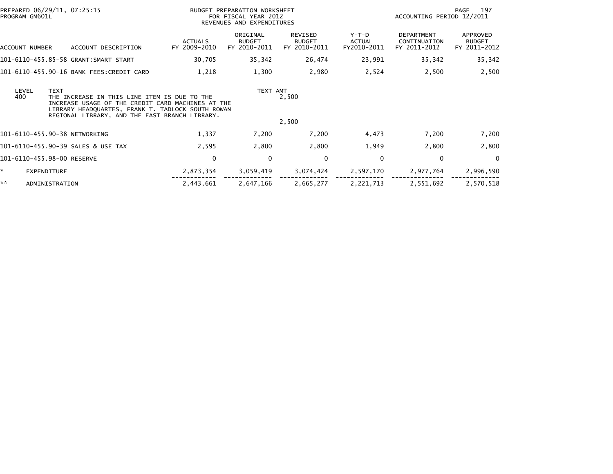| PREPARED 06/29/11, 07:25:15<br>PROGRAM GM601L |                                                                                                                                                                                                          |                                | BUDGET PREPARATION WORKSHEET<br>FOR FISCAL YEAR 2012<br>REVENUES AND EXPENDITURES |                                                 |                                       |                                                   | -197<br>PAGE<br>ACCOUNTING PERIOD 12/2011 |  |  |
|-----------------------------------------------|----------------------------------------------------------------------------------------------------------------------------------------------------------------------------------------------------------|--------------------------------|-----------------------------------------------------------------------------------|-------------------------------------------------|---------------------------------------|---------------------------------------------------|-------------------------------------------|--|--|
| ACCOUNT NUMBER                                | ACCOUNT DESCRIPTION                                                                                                                                                                                      | <b>ACTUALS</b><br>FY 2009-2010 | ORIGINAL<br><b>BUDGET</b><br>FY 2010-2011                                         | <b>REVISED</b><br><b>BUDGET</b><br>FY 2010-2011 | Y-T-D<br><b>ACTUAL</b><br>FY2010-2011 | <b>DEPARTMENT</b><br>CONTINUATION<br>FY 2011-2012 | APPROVED<br><b>BUDGET</b><br>FY 2011-2012 |  |  |
|                                               | 101-6110-455.85-58 GRANT:SMART START                                                                                                                                                                     | 30,705                         | 35,342                                                                            | 26,474                                          | 23,991                                | 35,342                                            | 35,342                                    |  |  |
|                                               | 101-6110-455.90-16 BANK FEES:CREDIT CARD                                                                                                                                                                 | 1,218                          | 1,300                                                                             | 2,980                                           | 2,524                                 | 2,500                                             | 2,500                                     |  |  |
| <b>TEXT</b><br>LEVEL<br>400                   | THE INCREASE IN THIS LINE ITEM IS DUE TO THE<br>INCREASE USAGE OF THE CREDIT CARD MACHINES AT THE<br>LIBRARY HEADQUARTES, FRANK T. TADLOCK SOUTH ROWAN<br>REGIONAL LIBRARY, AND THE EAST BRANCH LIBRARY. |                                | TEXT AMT                                                                          | 2,500<br>2,500                                  |                                       |                                                   |                                           |  |  |
| 101-6110-455.90-38 NETWORKING                 |                                                                                                                                                                                                          | 1,337                          | 7,200                                                                             | 7,200                                           | 4,473                                 | 7,200                                             | 7,200                                     |  |  |
|                                               | 101-6110-455.90-39 SALES & USE TAX                                                                                                                                                                       | 2,595                          | 2,800                                                                             | 2,800                                           | 1,949                                 | 2,800                                             | 2,800                                     |  |  |
| 101-6110-455.98-00 RESERVE                    |                                                                                                                                                                                                          | 0                              | 0                                                                                 | $\mathbf 0$                                     | $\Omega$                              | $\mathbf 0$                                       | $\Omega$                                  |  |  |
| ÷.<br>EXPENDITURE                             |                                                                                                                                                                                                          | 2,873,354                      | 3,059,419                                                                         | 3,074,424                                       | 2,597,170                             | 2,977,764                                         | 2,996,590                                 |  |  |
| **<br>ADMINISTRATION                          |                                                                                                                                                                                                          | 2,443,661                      | 2,647,166                                                                         | 2,665,277                                       | 2,221,713                             | 2,551,692                                         | 2,570,518                                 |  |  |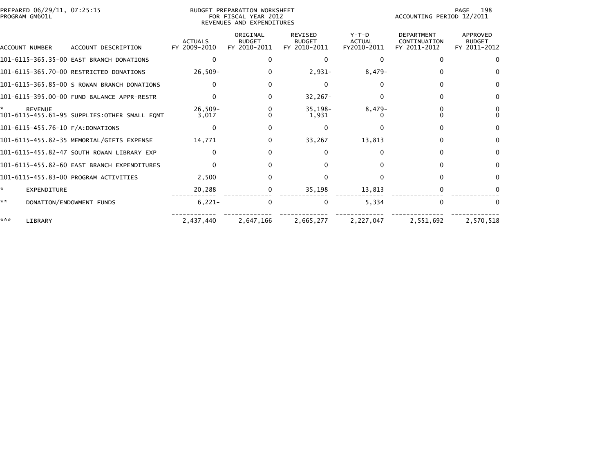| PREPARED 06/29/11, 07:25:15<br>PROGRAM GM601L |                    |                                               | BUDGET PREPARATION WORKSHEET<br>FOR FISCAL YEAR 2012<br>REVENUES AND EXPENDITURES |                                           |                                                 |                                         | 198<br>PAGE<br>ACCOUNTING PERIOD 12/2011          |                                                  |  |
|-----------------------------------------------|--------------------|-----------------------------------------------|-----------------------------------------------------------------------------------|-------------------------------------------|-------------------------------------------------|-----------------------------------------|---------------------------------------------------|--------------------------------------------------|--|
|                                               | ACCOUNT NUMBER     | ACCOUNT DESCRIPTION                           | <b>ACTUALS</b><br>FY 2009-2010                                                    | ORIGINAL<br><b>BUDGET</b><br>FY 2010-2011 | <b>REVISED</b><br><b>BUDGET</b><br>FY 2010-2011 | $Y-T-D$<br><b>ACTUAL</b><br>FY2010-2011 | <b>DEPARTMENT</b><br>CONTINUATION<br>FY 2011-2012 | <b>APPROVED</b><br><b>BUDGET</b><br>FY 2011-2012 |  |
|                                               |                    | 101-6115-365.35-00 EAST BRANCH DONATIONS      |                                                                                   |                                           | 0                                               |                                         | $\Omega$                                          |                                                  |  |
|                                               |                    | 101-6115-365.70-00 RESTRICTED DONATIONS       | $26,509-$                                                                         | 0                                         | $2,931-$                                        | $8,479-$                                | 0                                                 |                                                  |  |
|                                               |                    | 101-6115-365.85-00 S ROWAN BRANCH DONATIONS   |                                                                                   | 0                                         | 0                                               |                                         |                                                   | 0                                                |  |
|                                               |                    | 101-6115-395.00-00 FUND BALANCE APPR-RESTR    |                                                                                   | 0                                         | $32,267-$                                       |                                         |                                                   | 0                                                |  |
|                                               | <b>REVENUE</b>     | 101-6115-455.61-95 SUPPLIES: OTHER SMALL EQMT | $26,509-$<br>3,017                                                                | 0<br>0                                    | $35,198-$<br>1,931                              | $8,479-$                                |                                                   | 0<br>$\Omega$                                    |  |
|                                               |                    | 101-6115-455.76-10 F/A:DONATIONS              |                                                                                   | 0                                         | 0                                               |                                         |                                                   | $\mathbf{0}$                                     |  |
|                                               |                    | 101-6115-455.82-35 MEMORIAL/GIFTS EXPENSE     | 14,771                                                                            | 0                                         | 33,267                                          | 13,813                                  | 0                                                 | $\Omega$                                         |  |
|                                               |                    | 101-6115-455.82-47 SOUTH ROWAN LIBRARY EXP    |                                                                                   | O.                                        | 0                                               | n                                       | <sup>n</sup>                                      | $\Omega$                                         |  |
|                                               |                    | 101-6115-455.82-60 EAST BRANCH EXPENDITURES   |                                                                                   |                                           |                                                 |                                         | $\Omega$                                          | 0                                                |  |
|                                               |                    | 101-6115-455.83-00 PROGRAM ACTIVITIES         | 2,500                                                                             | 0                                         |                                                 |                                         | <sup>0</sup>                                      | $\Omega$                                         |  |
| *                                             | <b>EXPENDITURE</b> |                                               | 20,288                                                                            | 0                                         | 35,198                                          | 13,813                                  |                                                   |                                                  |  |
| **                                            |                    | DONATION/ENDOWMENT FUNDS                      | $6,221-$                                                                          | 0                                         | 0                                               | 5.334                                   | $\Omega$                                          | $\Omega$                                         |  |
| ***                                           | LIBRARY            |                                               | 2,437,440                                                                         | 2,647,166                                 | 2,665,277                                       | 2,227,047                               | 2,551,692                                         | 2,570,518                                        |  |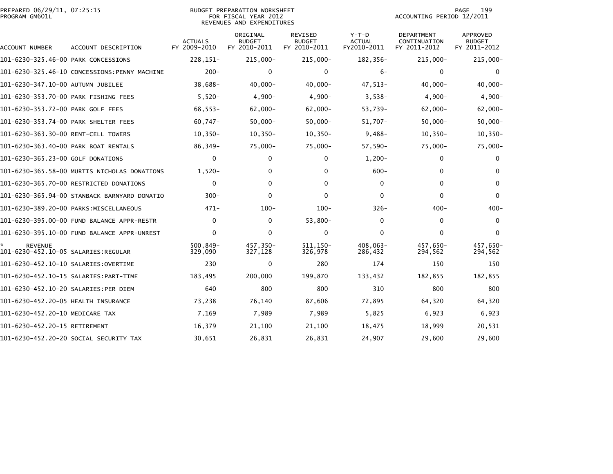| PREPARED 06/29/11, 07:25:15<br>PROGRAM GM601L         |                                              | <b>BUDGET PREPARATION WORKSHEET</b><br>FOR FISCAL YEAR 2012<br>REVENUES AND EXPENDITURES |                                           |                                                 |                                         | 199<br><b>PAGE</b><br>ACCOUNTING PERIOD 12/2011 |                                                  |  |
|-------------------------------------------------------|----------------------------------------------|------------------------------------------------------------------------------------------|-------------------------------------------|-------------------------------------------------|-----------------------------------------|-------------------------------------------------|--------------------------------------------------|--|
| ACCOUNT NUMBER                                        | ACCOUNT DESCRIPTION                          | <b>ACTUALS</b><br>FY 2009-2010                                                           | ORIGINAL<br><b>BUDGET</b><br>FY 2010-2011 | <b>REVISED</b><br><b>BUDGET</b><br>FY 2010-2011 | $Y-T-D$<br><b>ACTUAL</b><br>FY2010-2011 | DEPARTMENT<br>CONTINUATION<br>FY 2011-2012      | <b>APPROVED</b><br><b>BUDGET</b><br>FY 2011-2012 |  |
| 101-6230-325.46-00 PARK CONCESSIONS                   |                                              | $228, 151 -$                                                                             | $215,000 -$                               | $215,000 -$                                     | 182,356-                                | $215,000 -$                                     | $215,000 -$                                      |  |
|                                                       | 101-6230-325.46-10 CONCESSIONS:PENNY MACHINE | $200 -$                                                                                  | $\mathbf{0}$                              | $\mathbf 0$                                     | $6-$                                    | $\mathbf{0}$                                    | $\Omega$                                         |  |
| 101-6230-347.10-00 AUTUMN JUBILEE                     |                                              | 38,688-                                                                                  | $40,000 -$                                | $40,000 -$                                      | 47,513-                                 | $40,000 -$                                      | $40,000 -$                                       |  |
| 101-6230-353.70-00 PARK FISHING FEES                  |                                              | $5,520-$                                                                                 | $4,900-$                                  | $4,900-$                                        | $3,538-$                                | $4,900-$                                        | $4,900-$                                         |  |
| 101-6230-353.72-00 PARK GOLF FEES                     |                                              | $68,553-$                                                                                | $62,000 -$                                | $62,000 -$                                      | 53,739-                                 | $62,000 -$                                      | $62,000 -$                                       |  |
| 101-6230-353.74-00 PARK SHELTER FEES                  |                                              | $60,747-$                                                                                | $50,000 -$                                | $50,000 -$                                      | $51,707 -$                              | $50,000 -$                                      | $50,000 -$                                       |  |
| 101-6230-363.30-00 RENT-CELL TOWERS                   |                                              | $10, 350 -$                                                                              | $10, 350 -$                               | $10, 350 -$                                     | $9,488-$                                | $10,350-$                                       | $10, 350 -$                                      |  |
| 101-6230-363.40-00 PARK BOAT RENTALS                  |                                              | 86,349-                                                                                  | $75,000-$                                 | $75,000-$                                       | $57,590-$                               | $75,000 -$                                      | 75,000-                                          |  |
| 101-6230-365.23-00 GOLF DONATIONS                     |                                              | 0                                                                                        | 0                                         | 0                                               | $1,200-$                                | 0                                               | 0                                                |  |
|                                                       | 101-6230-365.58-00 MURTIS NICHOLAS DONATIONS | $1,520-$                                                                                 | 0                                         | 0                                               | $600 -$                                 | $\mathbf{0}$                                    | $\Omega$                                         |  |
|                                                       | 101-6230-365.70-00 RESTRICTED DONATIONS      | $\mathbf{0}$                                                                             | $\mathbf{0}$                              | $\mathbf{0}$                                    | $\Omega$                                | $\mathbf{0}$                                    | $\mathbf{0}$                                     |  |
|                                                       | 101-6230-365.94-00 STANBACK BARNYARD DONATIO | $300 -$                                                                                  | 0                                         | $\Omega$                                        | $\Omega$                                | $\mathbf{0}$                                    | $\Omega$                                         |  |
|                                                       | 101-6230-389.20-00 PARKS:MISCELLANEOUS       | $471-$                                                                                   | $100 -$                                   | $100 -$                                         | $326-$                                  | $400 -$                                         | $400 -$                                          |  |
|                                                       | 101-6230-395.00-00 FUND BALANCE APPR-RESTR   | $\mathbf{0}$                                                                             | 0                                         | $53,800-$                                       | 0                                       | 0                                               | $\mathbf{0}$                                     |  |
|                                                       |                                              | $\Omega$                                                                                 | $\mathbf{0}$                              | $\Omega$                                        | $\Omega$                                | $\mathbf{0}$                                    | $\Omega$                                         |  |
| <b>REVENUE</b><br>101-6230-452.10-05 SALARIES:REGULAR |                                              | $500, 849 -$<br>329,090                                                                  | 457,350-<br>327,128                       | 511, 150-<br>326,978                            | 408,063-<br>286,432                     | 457,650-<br>294,562                             | 457,650-<br>294,562                              |  |
|                                                       |                                              | 230                                                                                      | 0                                         | 280                                             | 174                                     | 150                                             | 150                                              |  |
|                                                       | 101-6230-452.10-15 SALARIES:PART-TIME        | 183,495                                                                                  | 200,000                                   | 199,870                                         | 133,432                                 | 182,855                                         | 182,855                                          |  |
| 101-6230-452.10-20 SALARIES:PER DIEM                  |                                              | 640                                                                                      | 800                                       | 800                                             | 310                                     | 800                                             | 800                                              |  |
| 101-6230-452.20-05 HEALTH INSURANCE                   |                                              | 73,238                                                                                   | 76,140                                    | 87,606                                          | 72,895                                  | 64,320                                          | 64,320                                           |  |
| 101-6230-452.20-10 MEDICARE TAX                       |                                              | 7,169                                                                                    | 7,989                                     | 7,989                                           | 5,825                                   | 6,923                                           | 6,923                                            |  |
| 101-6230-452.20-15 RETIREMENT                         |                                              | 16,379                                                                                   | 21,100                                    | 21,100                                          | 18,475                                  | 18,999                                          | 20,531                                           |  |
|                                                       | 101-6230-452.20-20 SOCIAL SECURITY TAX       | 30,651                                                                                   | 26,831                                    | 26,831                                          | 24,907                                  | 29,600                                          | 29,600                                           |  |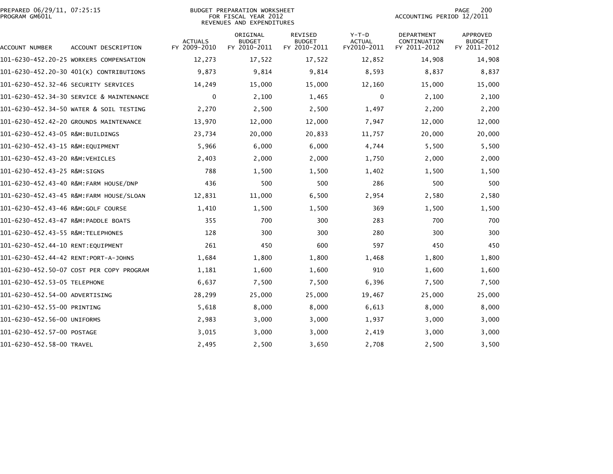|                | PREPARED 06/29/11, 07:25:15 |  |
|----------------|-----------------------------|--|
| PROGRAM GM601L |                             |  |

| PREPARED 06/29/11, 07:25:15 | BUDGET PREPARATION WORKSHEET | 200<br>PAGE               |
|-----------------------------|------------------------------|---------------------------|
| PROGRAM GM601L              | FOR FISCAL YEAR 2012         | ACCOUNTING PERIOD 12/2011 |
|                             | REVENUES AND EXPENDITURES    |                           |
|                             |                              |                           |

| ACCOUNT NUMBER                       | ACCOUNT DESCRIPTION                      | <b>ACTUALS</b><br>FY 2009-2010 | ORIGINAL<br><b>BUDGET</b><br>FY 2010-2011 | <b>REVISED</b><br><b>BUDGET</b><br>FY 2010-2011 | $Y-T-D$<br><b>ACTUAL</b><br>FY2010-2011 | <b>DEPARTMENT</b><br>CONTINUATION<br>FY 2011-2012 | <b>APPROVED</b><br><b>BUDGET</b><br>FY 2011-2012 |
|--------------------------------------|------------------------------------------|--------------------------------|-------------------------------------------|-------------------------------------------------|-----------------------------------------|---------------------------------------------------|--------------------------------------------------|
|                                      | 101-6230-452.20-25 WORKERS COMPENSATION  | 12,273                         | 17,522                                    | 17,522                                          | 12,852                                  | 14,908                                            | 14,908                                           |
|                                      | 101-6230-452.20-30 401(K) CONTRIBUTIONS  | 9,873                          | 9,814                                     | 9,814                                           | 8,593                                   | 8,837                                             | 8,837                                            |
|                                      |                                          | 14,249                         | 15,000                                    | 15,000                                          | 12,160                                  | 15,000                                            | 15,000                                           |
|                                      | 101-6230-452.34-30 SERVICE & MAINTENANCE | 0                              | 2,100                                     | 1,465                                           | 0                                       | 2,100                                             | 2,100                                            |
|                                      | 101-6230-452.34-50 WATER & SOIL TESTING  | 2,270                          | 2,500                                     | 2,500                                           | 1,497                                   | 2,200                                             | 2,200                                            |
|                                      | 101-6230-452.42-20 GROUNDS MAINTENANCE   | 13,970                         | 12,000                                    | 12,000                                          | 7,947                                   | 12,000                                            | 12,000                                           |
| 101-6230-452.43-05 R&M:BUILDINGS     |                                          | 23,734                         | 20,000                                    | 20,833                                          | 11,757                                  | 20,000                                            | 20,000                                           |
| 101-6230-452.43-15 R&M:EQUIPMENT     |                                          | 5,966                          | 6,000                                     | 6,000                                           | 4,744                                   | 5,500                                             | 5,500                                            |
| 101-6230-452.43-20 R&M:VEHICLES      |                                          | 2,403                          | 2,000                                     | 2,000                                           | 1,750                                   | 2,000                                             | 2,000                                            |
| 101-6230-452.43-25 R&M:SIGNS         |                                          | 788                            | 1,500                                     | 1,500                                           | 1,402                                   | 1,500                                             | 1,500                                            |
|                                      | 101-6230-452.43-40 R&M:FARM HOUSE/DNP    | 436                            | 500                                       | 500                                             | 286                                     | 500                                               | 500                                              |
|                                      | 101-6230-452.43-45 R&M:FARM HOUSE/SLOAN  | 12,831                         | 11,000                                    | 6,500                                           | 2,954                                   | 2,580                                             | 2,580                                            |
| 101-6230-452.43-46 R&M:GOLF COURSE   |                                          | 1,410                          | 1,500                                     | 1,500                                           | 369                                     | 1,500                                             | 1,500                                            |
| 101-6230-452.43-47 R&M:PADDLE BOATS  |                                          | 355                            | 700                                       | 300                                             | 283                                     | 700                                               | 700                                              |
| 101-6230-452.43-55 R&M:TELEPHONES    |                                          | 128                            | 300                                       | 300                                             | 280                                     | 300                                               | 300                                              |
| 101-6230-452.44-10 RENT:EQUIPMENT    |                                          | 261                            | 450                                       | 600                                             | 597                                     | 450                                               | 450                                              |
| 101-6230-452.44-42 RENT:PORT-A-JOHNS |                                          | 1,684                          | 1,800                                     | 1,800                                           | 1,468                                   | 1,800                                             | 1,800                                            |
|                                      | 101-6230-452.50-07 COST PER COPY PROGRAM | 1,181                          | 1,600                                     | 1,600                                           | 910                                     | 1,600                                             | 1,600                                            |
| 101-6230-452.53-05 TELEPHONE         |                                          | 6,637                          | 7,500                                     | 7,500                                           | 6,396                                   | 7,500                                             | 7,500                                            |
| 101-6230-452.54-00 ADVERTISING       |                                          | 28,299                         | 25,000                                    | 25,000                                          | 19,467                                  | 25,000                                            | 25,000                                           |
| 101-6230-452.55-00 PRINTING          |                                          | 5,618                          | 8,000                                     | 8,000                                           | 6,613                                   | 8,000                                             | 8,000                                            |
| 101-6230-452.56-00 UNIFORMS          |                                          | 2,983                          | 3,000                                     | 3,000                                           | 1,937                                   | 3,000                                             | 3,000                                            |
| 101-6230-452.57-00 POSTAGE           |                                          | 3,015                          | 3,000                                     | 3,000                                           | 2,419                                   | 3,000                                             | 3,000                                            |
| 101-6230-452.58-00 TRAVEL            |                                          | 2,495                          | 2,500                                     | 3,650                                           | 2,708                                   | 2,500                                             | 3,500                                            |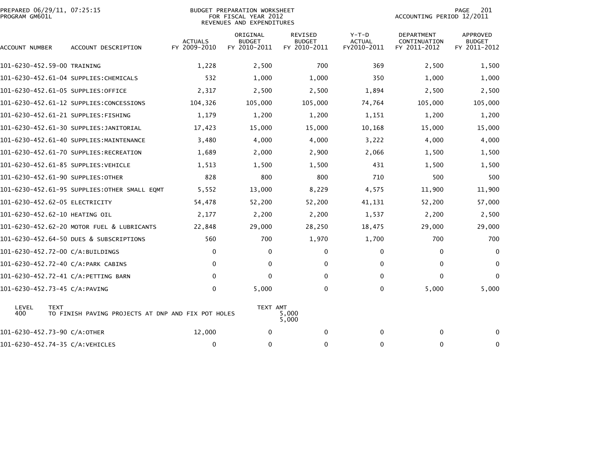| PROGRAM GM601L | PREPARED 06/29/11, 07:25:15                                       |                                | <b>BUDGET PREPARATION WORKSHEET</b><br>FOR FISCAL YEAR 2012<br>REVENUES AND EXPENDITURES |                                                 |                                         |                                            | 201<br>PAGE<br>ACCOUNTING PERIOD 12/2011         |  |
|----------------|-------------------------------------------------------------------|--------------------------------|------------------------------------------------------------------------------------------|-------------------------------------------------|-----------------------------------------|--------------------------------------------|--------------------------------------------------|--|
| ACCOUNT NUMBER | ACCOUNT DESCRIPTION                                               | <b>ACTUALS</b><br>FY 2009-2010 | ORIGINAL<br><b>BUDGET</b><br>FY 2010-2011                                                | <b>REVISED</b><br><b>BUDGET</b><br>FY 2010-2011 | $Y-T-D$<br><b>ACTUAL</b><br>FY2010-2011 | DEPARTMENT<br>CONTINUATION<br>FY 2011-2012 | <b>APPROVED</b><br><b>BUDGET</b><br>FY 2011-2012 |  |
|                | 101-6230-452.59-00 TRAINING                                       | 1,228                          | 2,500                                                                                    | 700                                             | 369                                     | 2,500                                      | 1,500                                            |  |
|                | 101-6230-452.61-04 SUPPLIES: CHEMICALS                            | 532                            | 1,000                                                                                    | 1,000                                           | 350                                     | 1,000                                      | 1,000                                            |  |
|                | 101-6230-452.61-05 SUPPLIES:OFFICE                                | 2,317                          | 2,500                                                                                    | 2,500                                           | 1,894                                   | 2,500                                      | 2,500                                            |  |
|                | 101-6230-452.61-12 SUPPLIES:CONCESSIONS                           | 104,326                        | 105,000                                                                                  | 105,000                                         | 74,764                                  | 105,000                                    | 105,000                                          |  |
|                | 101-6230-452.61-21 SUPPLIES:FISHING                               | 1,179                          | 1,200                                                                                    | 1,200                                           | 1,151                                   | 1,200                                      | 1,200                                            |  |
|                | 101-6230-452.61-30 SUPPLIES:JANITORIAL                            | 17,423                         | 15,000                                                                                   | 15,000                                          | 10,168                                  | 15,000                                     | 15,000                                           |  |
|                | 101-6230-452.61-40 SUPPLIES:MAINTENANCE                           | 3,480                          | 4,000                                                                                    | 4,000                                           | 3,222                                   | 4,000                                      | 4,000                                            |  |
|                | 101-6230-452.61-70 SUPPLIES:RECREATION                            | 1,689                          | 2,000                                                                                    | 2,900                                           | 2,066                                   | 1,500                                      | 1,500                                            |  |
|                | 101-6230-452.61-85 SUPPLIES:VEHICLE                               | 1,513                          | 1,500                                                                                    | 1,500                                           | 431                                     | 1,500                                      | 1,500                                            |  |
|                | 101-6230-452.61-90 SUPPLIES:OTHER                                 | 828                            | 800                                                                                      | 800                                             | 710                                     | 500                                        | 500                                              |  |
|                | 101-6230-452.61-95 SUPPLIES:OTHER SMALL EQMT                      | 5,552                          | 13,000                                                                                   | 8,229                                           | 4,575                                   | 11,900                                     | 11,900                                           |  |
|                | 101-6230-452.62-05 ELECTRICITY                                    | 54,478                         | 52,200                                                                                   | 52,200                                          | 41,131                                  | 52,200                                     | 57,000                                           |  |
|                | 101-6230-452.62-10 HEATING OIL                                    | 2,177                          | 2,200                                                                                    | 2,200                                           | 1,537                                   | 2,200                                      | 2,500                                            |  |
|                | 101-6230-452.62-20 MOTOR FUEL & LUBRICANTS                        | 22,848                         | 29,000                                                                                   | 28,250                                          | 18,475                                  | 29,000                                     | 29,000                                           |  |
|                | 101-6230-452.64-50 DUES & SUBSCRIPTIONS                           | 560                            | 700                                                                                      | 1,970                                           | 1,700                                   | 700                                        | 700                                              |  |
|                | 101-6230-452.72-00 C/A:BUILDINGS                                  | $\mathbf{0}$                   | $\Omega$                                                                                 | 0                                               | 0                                       | $\mathbf{0}$                               | $\mathbf{0}$                                     |  |
|                | 101-6230-452.72-40 C/A:PARK CABINS                                | $\mathbf{0}$                   | 0                                                                                        | 0                                               | $\Omega$                                | $\mathbf{0}$                               | $\mathbf{0}$                                     |  |
|                | 101-6230-452.72-41 C/A:PETTING BARN                               | $\mathbf{0}$                   | 0                                                                                        | 0                                               | 0                                       | $\Omega$                                   | $\Omega$                                         |  |
|                | 101-6230-452.73-45 C/A:PAVING                                     | $\mathbf{0}$                   | 5,000                                                                                    | 0                                               | 0                                       | 5,000                                      | 5,000                                            |  |
| LEVEL<br>400   | <b>TEXT</b><br>TO FINISH PAVING PROJECTS AT DNP AND FIX POT HOLES |                                | TEXT AMT                                                                                 | 5,000<br>5,000                                  |                                         |                                            |                                                  |  |
|                | 101-6230-452.73-90 C/A:OTHER                                      | 12,000                         | 0                                                                                        | $\mathbf 0$                                     | $\Omega$                                | $\mathbf{0}$                               | $\mathbf{0}$                                     |  |
|                | 101-6230-452.74-35 C/A:VEHICLES                                   | 0                              | 0                                                                                        | $\mathbf 0$                                     | $\Omega$                                | 0                                          | 0                                                |  |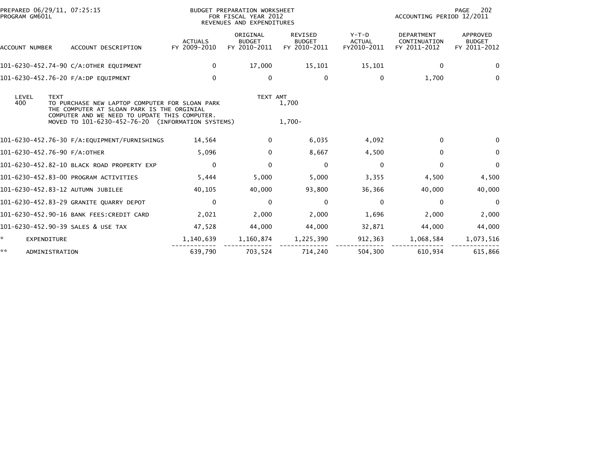| PREPARED 06/29/11, 07:25:15<br>BUDGET PREPARATION WORKSHEET<br>FOR FISCAL YEAR 2012<br>PROGRAM GM601L<br>REVENUES AND EXPENDITURES |                      |                                                                                                                                                                                                    |                                | 202<br>PAGE<br>ACCOUNTING PERIOD 12/2011  |                                                 |                                         |                                                   |                                           |
|------------------------------------------------------------------------------------------------------------------------------------|----------------------|----------------------------------------------------------------------------------------------------------------------------------------------------------------------------------------------------|--------------------------------|-------------------------------------------|-------------------------------------------------|-----------------------------------------|---------------------------------------------------|-------------------------------------------|
|                                                                                                                                    | ACCOUNT NUMBER       | ACCOUNT DESCRIPTION                                                                                                                                                                                | <b>ACTUALS</b><br>FY 2009-2010 | ORIGINAL<br><b>BUDGET</b><br>FY 2010-2011 | <b>REVISED</b><br><b>BUDGET</b><br>FY 2010-2011 | $Y-T-D$<br><b>ACTUAL</b><br>FY2010-2011 | <b>DEPARTMENT</b><br>CONTINUATION<br>FY 2011-2012 | APPROVED<br><b>BUDGET</b><br>FY 2011-2012 |
|                                                                                                                                    |                      | 101-6230-452.74-90 C/A:OTHER EQUIPMENT                                                                                                                                                             | 0                              | 17,000                                    | 15,101                                          | 15,101                                  | $\Omega$                                          | 0                                         |
|                                                                                                                                    |                      | 101-6230-452.76-20 F/A:DP EQUIPMENT                                                                                                                                                                | $\mathbf{0}$                   | 0                                         | 0                                               | $\Omega$                                | 1,700                                             | $\Omega$                                  |
| 400                                                                                                                                | LEVEL<br><b>TEXT</b> | TO PURCHASE NEW LAPTOP COMPUTER FOR SLOAN PARK<br>THE COMPUTER AT SLOAN PARK IS THE ORGINIAL<br>COMPUTER AND WE NEED TO UPDATE THIS COMPUTER.<br>MOVED TO 101-6230-452-76-20 (INFORMATION SYSTEMS) |                                | TEXT AMT                                  | 1,700<br>$1.700 -$                              |                                         |                                                   |                                           |
|                                                                                                                                    |                      | 101-6230-452.76-30 F/A:EQUIPMENT/FURNISHINGS                                                                                                                                                       | 14,564                         | 0                                         | 6,035                                           | 4,092                                   | $\Omega$                                          |                                           |
|                                                                                                                                    |                      | 101-6230-452.76-90 F/A:OTHER                                                                                                                                                                       | 5,096                          | 0                                         | 8,667                                           | 4,500                                   | $\Omega$                                          | 0                                         |
|                                                                                                                                    |                      | 101-6230-452.82-10 BLACK ROAD PROPERTY EXP                                                                                                                                                         | 0                              | 0                                         | $\mathbf 0$                                     | 0                                       | $\Omega$                                          | 0                                         |
|                                                                                                                                    |                      | 101-6230-452.83-00 PROGRAM ACTIVITIES                                                                                                                                                              | 5,444                          | 5,000                                     | 5,000                                           | 3,355                                   | 4,500                                             | 4,500                                     |
|                                                                                                                                    |                      | 101-6230-452.83-12 AUTUMN JUBILEE                                                                                                                                                                  | 40,105                         | 40,000                                    | 93,800                                          | 36,366                                  | 40,000                                            | 40,000                                    |
|                                                                                                                                    |                      | 101-6230-452.83-29 GRANITE QUARRY DEPOT                                                                                                                                                            | $\mathbf{0}$                   | $\Omega$                                  | 0                                               | $\Omega$                                | $\mathbf{0}$                                      | $\Omega$                                  |
|                                                                                                                                    |                      | 101-6230-452.90-16 BANK FEES:CREDIT CARD                                                                                                                                                           | 2,021                          | 2,000                                     | 2,000                                           | 1,696                                   | 2,000                                             | 2,000                                     |
|                                                                                                                                    |                      | 101-6230-452.90-39 SALES & USE TAX                                                                                                                                                                 | 47,528                         | 44,000                                    | 44,000                                          | 32,871                                  | 44,000                                            | 44,000                                    |
| *.                                                                                                                                 | <b>EXPENDITURE</b>   |                                                                                                                                                                                                    | 1,140,639                      | 1,160,874                                 | 1,225,390                                       | 912,363                                 | 1,068,584                                         | 1,073,516                                 |
| **                                                                                                                                 | ADMINISTRATION       |                                                                                                                                                                                                    | 639,790                        | 703,524                                   | 714.240                                         | 504,300                                 | 610,934                                           | 615,866                                   |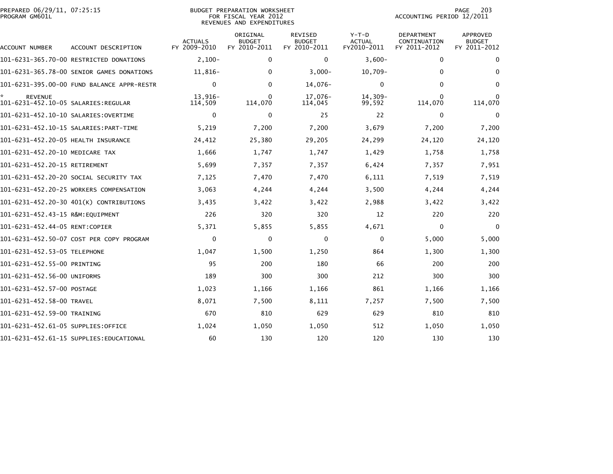| PREPARED 06/29/11, 07:25:15<br>PROGRAM GM601L |                                            |                                | BUDGET PREPARATION WORKSHEET<br>FOR FISCAL YEAR 2012<br>REVENUES AND EXPENDITURES | PAGE<br>203<br>ACCOUNTING PERIOD 12/2011        |                                         |                                                   |                                                  |
|-----------------------------------------------|--------------------------------------------|--------------------------------|-----------------------------------------------------------------------------------|-------------------------------------------------|-----------------------------------------|---------------------------------------------------|--------------------------------------------------|
| ACCOUNT NUMBER                                | ACCOUNT DESCRIPTION                        | <b>ACTUALS</b><br>FY 2009-2010 | ORIGINAL<br><b>BUDGET</b><br>FY 2010-2011                                         | <b>REVISED</b><br><b>BUDGET</b><br>FY 2010-2011 | $Y-T-D$<br><b>ACTUAL</b><br>FY2010-2011 | <b>DEPARTMENT</b><br>CONTINUATION<br>FY 2011-2012 | <b>APPROVED</b><br><b>BUDGET</b><br>FY 2011-2012 |
|                                               | 101-6231-365.70-00 RESTRICTED DONATIONS    | $2,100-$                       | $\mathbf{0}$                                                                      | 0                                               | $3,600-$                                | 0                                                 | $\bf{0}$                                         |
|                                               | 101-6231-365.78-00 SENIOR GAMES DONATIONS  | $11,816-$                      | $\mathbf{0}$                                                                      | $3,000-$                                        | $10,709-$                               | $\mathbf{0}$                                      | $\Omega$                                         |
|                                               | 101-6231-395.00-00 FUND BALANCE APPR-RESTR | $\mathbf{0}$                   | $\mathbf{0}$                                                                      | 14,076-                                         | 0                                       | $\mathbf{0}$                                      | $\Omega$                                         |
| <b>REVENUE</b>                                |                                            | 13,916-<br>114,509             | 0<br>114,070                                                                      | 17,076-<br>114,045                              | $14,309-$<br>99,592                     | $\Omega$<br>114,070                               | 114,070                                          |
|                                               |                                            | 0                              | 0                                                                                 | 25                                              | 22                                      | 0                                                 | 0                                                |
|                                               |                                            | 5,219                          | 7,200                                                                             | 7,200                                           | 3,679                                   | 7,200                                             | 7,200                                            |
| 101-6231-452.20-05 HEALTH INSURANCE           |                                            | 24,412                         | 25,380                                                                            | 29,205                                          | 24,299                                  | 24,120                                            | 24,120                                           |
| 101-6231-452.20-10 MEDICARE TAX               |                                            | 1,666                          | 1,747                                                                             | 1,747                                           | 1,429                                   | 1,758                                             | 1,758                                            |
| 101-6231-452.20-15 RETIREMENT                 |                                            | 5,699                          | 7,357                                                                             | 7,357                                           | 6,424                                   | 7,357                                             | 7,951                                            |
|                                               | 101-6231-452.20-20 SOCIAL SECURITY TAX     | 7,125                          | 7,470                                                                             | 7,470                                           | 6,111                                   | 7,519                                             | 7,519                                            |
|                                               | 101-6231-452.20-25 WORKERS COMPENSATION    | 3,063                          | 4,244                                                                             | 4,244                                           | 3,500                                   | 4,244                                             | 4,244                                            |
|                                               | 101-6231-452.20-30 401(K) CONTRIBUTIONS    | 3,435                          | 3,422                                                                             | 3,422                                           | 2,988                                   | 3,422                                             | 3,422                                            |
| 101-6231-452.43-15 R&M:EOUIPMENT              |                                            | 226                            | 320                                                                               | 320                                             | 12                                      | 220                                               | 220                                              |
| 101-6231-452.44-05 RENT:COPIER                |                                            | 5,371                          | 5,855                                                                             | 5,855                                           | 4,671                                   | $\mathbf 0$                                       | $\Omega$                                         |
|                                               | 101-6231-452.50-07 COST PER COPY PROGRAM   | $\Omega$                       | 0                                                                                 | 0                                               | 0                                       | 5,000                                             | 5,000                                            |
| 101-6231-452.53-05 TELEPHONE                  |                                            | 1,047                          | 1,500                                                                             | 1,250                                           | 864                                     | 1,300                                             | 1,300                                            |
| 101-6231-452.55-00 PRINTING                   |                                            | 95                             | 200                                                                               | 180                                             | 66                                      | 200                                               | 200                                              |
| 101-6231-452.56-00 UNIFORMS                   |                                            | 189                            | 300                                                                               | 300                                             | 212                                     | 300                                               | 300                                              |
| 101-6231-452.57-00 POSTAGE                    |                                            | 1,023                          | 1,166                                                                             | 1,166                                           | 861                                     | 1,166                                             | 1,166                                            |
| 101-6231-452.58-00 TRAVEL                     |                                            | 8,071                          | 7,500                                                                             | 8,111                                           | 7,257                                   | 7,500                                             | 7,500                                            |
| 101-6231-452.59-00 TRAINING                   |                                            | 670                            | 810                                                                               | 629                                             | 629                                     | 810                                               | 810                                              |
| 101-6231-452.61-05 SUPPLIES:OFFICE            |                                            | 1,024                          | 1,050                                                                             | 1,050                                           | 512                                     | 1,050                                             | 1,050                                            |
|                                               | 101-6231-452.61-15 SUPPLIES:EDUCATIONAL    | 60                             | 130                                                                               | 120                                             | 120                                     | 130                                               | 130                                              |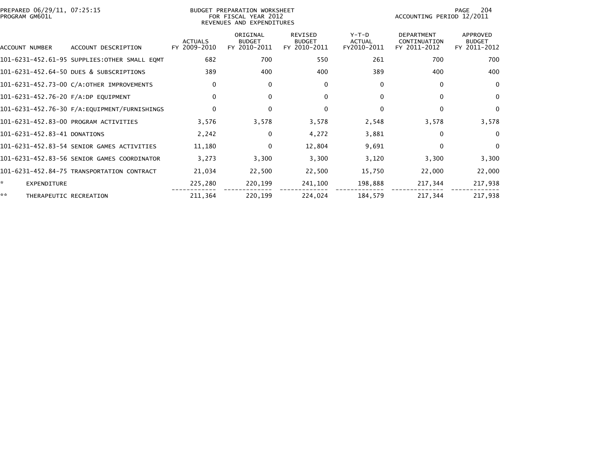| PREPARED 06/29/11, 07:25:15<br>PROGRAM GM601L |                                              | BUDGET PREPARATION WORKSHEET<br>FOR FISCAL YEAR 2012<br>REVENUES AND EXPENDITURES |                                           |                                                 |                                         |                                                   |                                           |
|-----------------------------------------------|----------------------------------------------|-----------------------------------------------------------------------------------|-------------------------------------------|-------------------------------------------------|-----------------------------------------|---------------------------------------------------|-------------------------------------------|
| ACCOUNT NUMBER                                | ACCOUNT DESCRIPTION                          | <b>ACTUALS</b><br>FY 2009-2010                                                    | ORIGINAL<br><b>BUDGET</b><br>FY 2010-2011 | <b>REVISED</b><br><b>BUDGET</b><br>FY 2010-2011 | $Y-T-D$<br><b>ACTUAL</b><br>FY2010-2011 | <b>DEPARTMENT</b><br>CONTINUATION<br>FY 2011-2012 | APPROVED<br><b>BUDGET</b><br>FY 2011-2012 |
|                                               | 101-6231-452.61-95 SUPPLIES:OTHER SMALL EQMT | 682                                                                               | 700                                       | 550                                             | 261                                     | 700                                               | 700                                       |
|                                               | 101-6231-452.64-50 DUES & SUBSCRIPTIONS      | 389                                                                               | 400                                       | 400                                             | 389                                     | 400                                               | 400                                       |
|                                               | 101-6231-452.73-00 C/A:OTHER IMPROVEMENTS    | $\mathbf{0}$                                                                      | 0                                         | 0                                               | $\mathbf{0}$                            | $\Omega$                                          | $\Omega$                                  |
| 101-6231-452.76-20 F/A:DP EQUIPMENT           |                                              | $\Omega$                                                                          | 0                                         | 0                                               | $\mathbf{0}$                            | $\Omega$                                          | $\mathbf{0}$                              |
|                                               |                                              | $\mathbf{0}$                                                                      | 0                                         | $\mathbf 0$                                     | $\Omega$                                | $\Omega$                                          | $\Omega$                                  |
|                                               | 101-6231-452.83-00 PROGRAM ACTIVITIES        | 3,576                                                                             | 3,578                                     | 3,578                                           | 2,548                                   | 3,578                                             | 3,578                                     |
| 101-6231-452.83-41 DONATIONS                  |                                              | 2,242                                                                             | $\Omega$                                  | 4,272                                           | 3,881                                   | 0                                                 | $\Omega$                                  |
|                                               | 101-6231-452.83-54 SENIOR GAMES ACTIVITIES   | 11,180                                                                            | 0                                         | 12,804                                          | 9,691                                   | $\mathbf{0}$                                      | $\mathbf{0}$                              |
|                                               | 101-6231-452.83-56 SENIOR GAMES COORDINATOR  | 3,273                                                                             | 3,300                                     | 3,300                                           | 3,120                                   | 3,300                                             | 3,300                                     |
|                                               | 101-6231-452.84-75 TRANSPORTATION CONTRACT   | 21,034                                                                            | 22,500                                    | 22,500                                          | 15,750                                  | 22,000                                            | 22,000                                    |
| ÷.<br><b>EXPENDITURE</b>                      |                                              | 225,280                                                                           | 220,199                                   | 241,100                                         | 198,888                                 | 217,344                                           | 217,938                                   |
| **<br>THERAPEUTIC RECREATION                  |                                              | 211,364                                                                           | 220,199                                   | 224,024                                         | 184,579                                 | 217,344                                           | 217,938                                   |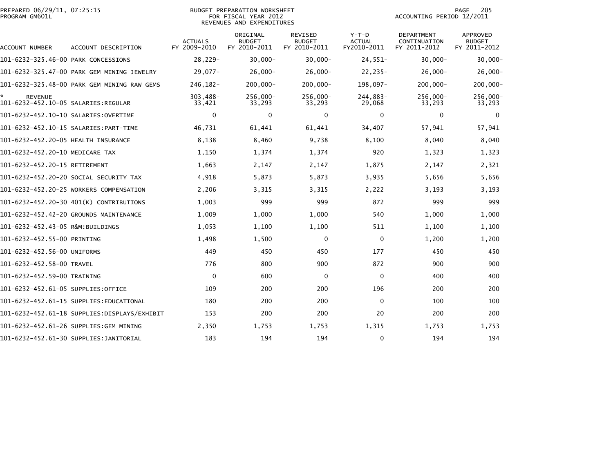| PREPARED 06/29/11, 07:25:15<br>PROGRAM GM601L |                                             |                                | <b>BUDGET PREPARATION WORKSHEET</b><br>FOR FISCAL YEAR 2012<br>REVENUES AND EXPENDITURES |                                                 |                                         | ACCOUNTING PERIOD 12/2011                  | PAGE<br>205                                      |
|-----------------------------------------------|---------------------------------------------|--------------------------------|------------------------------------------------------------------------------------------|-------------------------------------------------|-----------------------------------------|--------------------------------------------|--------------------------------------------------|
| ACCOUNT NUMBER                                | ACCOUNT DESCRIPTION                         | <b>ACTUALS</b><br>FY 2009-2010 | ORIGINAL<br><b>BUDGET</b><br>FY 2010-2011                                                | <b>REVISED</b><br><b>BUDGET</b><br>FY 2010-2011 | $Y-T-D$<br><b>ACTUAL</b><br>FY2010-2011 | DEPARTMENT<br>CONTINUATION<br>FY 2011-2012 | <b>APPROVED</b><br><b>BUDGET</b><br>FY 2011-2012 |
| 101-6232-325.46-00 PARK CONCESSIONS           |                                             | 28,229-                        | $30,000 -$                                                                               | $30,000 -$                                      | $24,551-$                               | $30,000 -$                                 | $30,000 -$                                       |
|                                               | 101-6232-325.47-00 PARK GEM MINING JEWELRY  | $29.077 -$                     | $26,000 -$                                                                               | $26,000 -$                                      | $22, 235 -$                             | $26,000 -$                                 | $26,000 -$                                       |
|                                               | 101-6232-325.48-00 PARK GEM MINING RAW GEMS | 246,182-                       | $200,000 -$                                                                              | 200,000-                                        | 198,097-                                | 200,000-                                   | 200,000-                                         |
| <b>REVENUE</b>                                |                                             | 303,488-<br>33,421             | 256,000-<br>33,293                                                                       | 256,000-<br>33,293                              | 244,883-<br>29,068                      | 256,000-<br>33,293                         | $256,000 -$<br>33,293                            |
| 101-6232-452.10-10 SALARIES:OVERTIME          |                                             | $\mathbf{0}$                   | 0                                                                                        | 0                                               | 0                                       | 0                                          | $\Omega$                                         |
|                                               |                                             | 46,731                         | 61,441                                                                                   | 61,441                                          | 34,407                                  | 57,941                                     | 57,941                                           |
| 101-6232-452.20-05 HEALTH INSURANCE           |                                             | 8,138                          | 8,460                                                                                    | 9,738                                           | 8,100                                   | 8,040                                      | 8,040                                            |
| 101-6232-452.20-10 MEDICARE TAX               |                                             | 1,150                          | 1,374                                                                                    | 1,374                                           | 920                                     | 1,323                                      | 1,323                                            |
| 101-6232-452.20-15 RETIREMENT                 |                                             | 1,663                          | 2,147                                                                                    | 2,147                                           | 1,875                                   | 2,147                                      | 2,321                                            |
|                                               | 101-6232-452.20-20 SOCIAL SECURITY TAX      | 4,918                          | 5,873                                                                                    | 5,873                                           | 3,935                                   | 5,656                                      | 5,656                                            |
|                                               | 101-6232-452.20-25 WORKERS COMPENSATION     | 2,206                          | 3,315                                                                                    | 3,315                                           | 2,222                                   | 3,193                                      | 3,193                                            |
|                                               | 101-6232-452.20-30 401(K) CONTRIBUTIONS     | 1,003                          | 999                                                                                      | 999                                             | 872                                     | 999                                        | 999                                              |
|                                               | 101-6232-452.42-20 GROUNDS MAINTENANCE      | 1,009                          | 1,000                                                                                    | 1,000                                           | 540                                     | 1,000                                      | 1,000                                            |
| 101-6232-452.43-05 R&M:BUILDINGS              |                                             | 1,053                          | 1,100                                                                                    | 1,100                                           | 511                                     | 1,100                                      | 1,100                                            |
| 101-6232-452.55-00 PRINTING                   |                                             | 1,498                          | 1,500                                                                                    | 0                                               | $\mathbf 0$                             | 1,200                                      | 1,200                                            |
| 101-6232-452.56-00 UNIFORMS                   |                                             | 449                            | 450                                                                                      | 450                                             | 177                                     | 450                                        | 450                                              |
| 101-6232-452.58-00 TRAVEL                     |                                             | 776                            | 800                                                                                      | 900                                             | 872                                     | 900                                        | 900                                              |
| 101-6232-452.59-00 TRAINING                   |                                             | $\mathbf{0}$                   | 600                                                                                      | 0                                               | $\mathbf 0$                             | 400                                        | 400                                              |
| 101-6232-452.61-05 SUPPLIES:OFFICE            |                                             | 109                            | 200                                                                                      | 200                                             | 196                                     | 200                                        | 200                                              |
|                                               | 101-6232-452.61-15 SUPPLIES:EDUCATIONAL     | 180                            | 200                                                                                      | 200                                             | $\mathbf 0$                             | 100                                        | 100                                              |
|                                               |                                             | 153                            | 200                                                                                      | 200                                             | 20                                      | 200                                        | 200                                              |
|                                               | 101-6232-452.61-26 SUPPLIES:GEM MINING      | 2,350                          | 1,753                                                                                    | 1,753                                           | 1,315                                   | 1,753                                      | 1,753                                            |
|                                               | 101-6232-452.61-30 SUPPLIES:JANITORIAL      | 183                            | 194                                                                                      | 194                                             | 0                                       | 194                                        | 194                                              |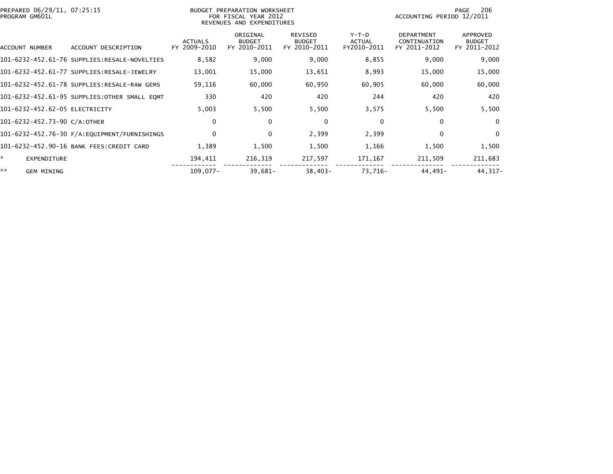| PREPARED 06/29/11, 07:25:15<br>PROGRAM GM601L |                                              | BUDGET PREPARATION WORKSHEET<br>FOR FISCAL YEAR 2012<br>REVENUES AND EXPENDITURES | 206<br>PAGE<br>ACCOUNTING PERIOD 12/2011  |                                                 |                                       |                                                   |                                           |
|-----------------------------------------------|----------------------------------------------|-----------------------------------------------------------------------------------|-------------------------------------------|-------------------------------------------------|---------------------------------------|---------------------------------------------------|-------------------------------------------|
| ACCOUNT NUMBER                                | ACCOUNT DESCRIPTION                          | <b>ACTUALS</b><br>FY 2009-2010                                                    | ORIGINAL<br><b>BUDGET</b><br>FY 2010-2011 | <b>REVISED</b><br><b>BUDGET</b><br>FY 2010-2011 | Y-T-D<br><b>ACTUAL</b><br>FY2010-2011 | <b>DEPARTMENT</b><br>CONTINUATION<br>FY 2011-2012 | APPROVED<br><b>BUDGET</b><br>FY 2011-2012 |
|                                               | 101-6232-452.61-76 SUPPLIES:RESALE-NOVELTIES | 8,582                                                                             | 9,000                                     | 9,000                                           | 8,855                                 | 9,000                                             | 9,000                                     |
|                                               | 101-6232-452.61-77 SUPPLIES:RESALE-JEWELRY   | 13,001                                                                            | 15,000                                    | 13,651                                          | 8,993                                 | 15,000                                            | 15,000                                    |
|                                               | 101-6232-452.61-78 SUPPLIES:RESALE-RAW GEMS  | 59,116                                                                            | 60,000                                    | 60,950                                          | 60,905                                | 60,000                                            | 60,000                                    |
|                                               | 101-6232-452.61-95 SUPPLIES:OTHER SMALL EQMT | 330                                                                               | 420                                       | 420                                             | 244                                   | 420                                               | 420                                       |
| 101-6232-452.62-05 ELECTRICITY                |                                              | 5,003                                                                             | 5,500                                     | 5,500                                           | 3,575                                 | 5,500                                             | 5,500                                     |
| 101-6232-452.73-90 C/A:OTHER                  |                                              | $\mathbf{0}$                                                                      | 0                                         | $\mathbf 0$                                     | $\mathbf 0$                           | $\Omega$                                          | $\mathbf{0}$                              |
|                                               | 101-6232-452.76-30 F/A:EQUIPMENT/FURNISHINGS | $\Omega$                                                                          | 0                                         | 2,399                                           | 2,399                                 | $\Omega$                                          | $\mathbf{0}$                              |
|                                               | 101-6232-452.90-16 BANK FEES:CREDIT CARD     | 1,389                                                                             | 1,500                                     | 1,500                                           | 1,166                                 | 1,500                                             | 1,500                                     |
| ☆.<br>EXPENDITURE                             |                                              | 194,411                                                                           | 216,319                                   | 217,597                                         | 171,167                               | 211,509                                           | 211,683                                   |
| **<br><b>GEM MINING</b>                       |                                              | $109,077-$                                                                        | $39,681-$                                 | $38,403-$                                       | 73,716-                               | 44,491-                                           | 44, 317-                                  |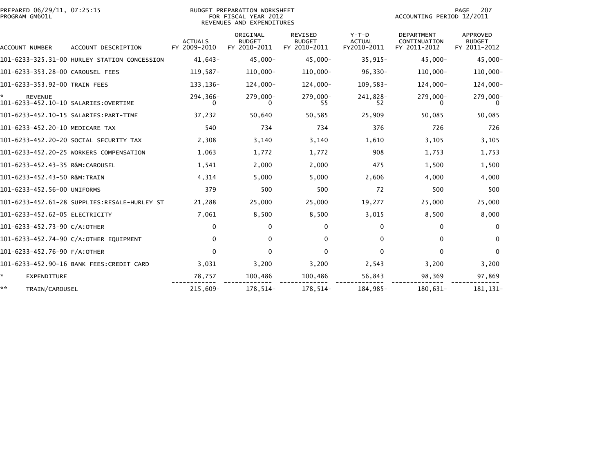| PREPARED 06/29/11, 07:25:15<br>PROGRAM GM601L          |                                              |                                | BUDGET PREPARATION WORKSHEET<br>FOR FISCAL YEAR 2012<br>REVENUES AND EXPENDITURES | PAGE<br>207<br>ACCOUNTING PERIOD 12/2011 |                                         |                                                   |                                                  |
|--------------------------------------------------------|----------------------------------------------|--------------------------------|-----------------------------------------------------------------------------------|------------------------------------------|-----------------------------------------|---------------------------------------------------|--------------------------------------------------|
| <b>ACCOUNT NUMBER</b>                                  | ACCOUNT DESCRIPTION                          | <b>ACTUALS</b><br>FY 2009-2010 | ORIGINAL<br><b>BUDGET</b><br>FY 2010-2011                                         | REVISED<br><b>BUDGET</b><br>FY 2010-2011 | $Y-T-D$<br><b>ACTUAL</b><br>FY2010-2011 | <b>DEPARTMENT</b><br>CONTINUATION<br>FY 2011-2012 | <b>APPROVED</b><br><b>BUDGET</b><br>FY 2011-2012 |
|                                                        | 101-6233-325.31-00 HURLEY STATION CONCESSION | $41,643-$                      | $45,000 -$                                                                        | $45,000 -$                               | $35,915-$                               | $45,000 -$                                        | $45,000 -$                                       |
| 101-6233-353.28-00 CAROUSEL FEES                       |                                              | $119,587-$                     | $110,000 -$                                                                       | 110,000-                                 | $96,330-$                               | $110,000 -$                                       | $110,000 -$                                      |
| 101-6233-353.92-00 TRAIN FEES                          |                                              | 133, 136-                      | 124,000-                                                                          | 124,000-                                 | $109,583-$                              | 124,000-                                          | $124,000-$                                       |
| <b>REVENUE</b><br>101-6233-452.10-10 SALARIES:OVERTIME |                                              | 294,366-                       | 279,000-                                                                          | 279,000-<br>55                           | 241,828-<br>52                          | 279,000-                                          | 279,000-                                         |
|                                                        |                                              | 37,232                         | 50,640                                                                            | 50,585                                   | 25,909                                  | 50,085                                            | 50,085                                           |
| 101-6233-452.20-10 MEDICARE TAX                        |                                              | 540                            | 734                                                                               | 734                                      | 376                                     | 726                                               | 726                                              |
|                                                        | 101-6233-452.20-20 SOCIAL SECURITY TAX       | 2,308                          | 3,140                                                                             | 3,140                                    | 1,610                                   | 3,105                                             | 3,105                                            |
|                                                        | 101-6233-452.20-25 WORKERS COMPENSATION      | 1,063                          | 1,772                                                                             | 1,772                                    | 908                                     | 1,753                                             | 1,753                                            |
| 101-6233-452.43-35 R&M:CAROUSEL                        |                                              | 1,541                          | 2,000                                                                             | 2,000                                    | 475                                     | 1,500                                             | 1,500                                            |
| 101-6233-452.43-50 R&M:TRAIN                           |                                              | 4,314                          | 5,000                                                                             | 5,000                                    | 2,606                                   | 4,000                                             | 4,000                                            |
| 101-6233-452.56-00 UNIFORMS                            |                                              | 379                            | 500                                                                               | 500                                      | 72                                      | 500                                               | 500                                              |
|                                                        |                                              | 21,288                         | 25,000                                                                            | 25,000                                   | 19,277                                  | 25,000                                            | 25,000                                           |
| 101-6233-452.62-05 ELECTRICITY                         |                                              | 7,061                          | 8,500                                                                             | 8,500                                    | 3,015                                   | 8,500                                             | 8,000                                            |
| 101-6233-452.73-90 C/A:OTHER                           |                                              | $\Omega$                       | 0                                                                                 | 0                                        | $\Omega$                                | $\bf{0}$                                          | $\bf{0}$                                         |
|                                                        | 101-6233-452.74-90 C/A:OTHER EQUIPMENT       | 0                              | 0                                                                                 | 0                                        | 0                                       | 0                                                 | $\Omega$                                         |
| 101-6233-452.76-90 F/A:OTHER                           |                                              | $\Omega$                       | $\Omega$                                                                          | $\Omega$                                 | $\Omega$                                | $\Omega$                                          | $\Omega$                                         |
|                                                        | 101-6233-452.90-16 BANK FEES:CREDIT CARD     | 3,031                          | 3,200                                                                             | 3,200                                    | 2,543                                   | 3,200                                             | 3,200                                            |
| ÷.<br>EXPENDITURE                                      |                                              | 78,757                         | 100,486                                                                           | 100,486                                  | 56,843                                  | 98,369                                            | 97,869                                           |
| **<br>TRAIN/CAROUSEL                                   |                                              | 215,609-                       | 178,514-                                                                          | 178,514-                                 | 184,985-                                | 180,631-                                          | 181, 131-                                        |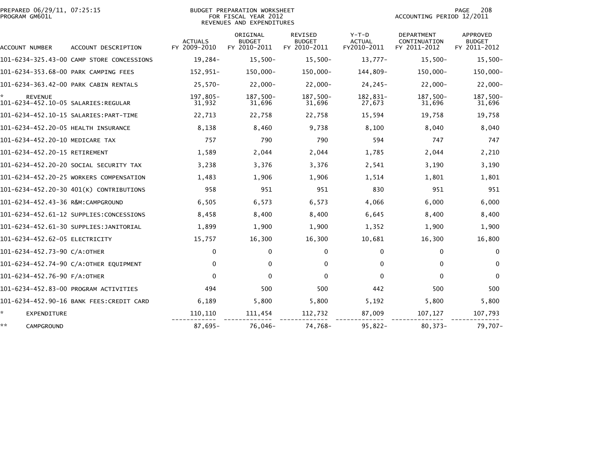| PREPARED 06/29/11, 07:25:15 | BUDGET PREPARATION WORKSHEET | 208<br>PAGE               |
|-----------------------------|------------------------------|---------------------------|
| PROGRAM GM601L              | FOR FISCAL YEAR 2012         | ACCOUNTING PERIOD 12/2011 |
|                             | REVENUES AND EXPENDITURES    |                           |

| ACCOUNT NUMBER                                        | ACCOUNT DESCRIPTION                       | <b>ACTUALS</b><br>FY 2009-2010 | ORIGINAL<br><b>BUDGET</b><br>FY 2010-2011 | <b>REVISED</b><br><b>BUDGET</b><br>FY 2010-2011 | $Y-T-D$<br><b>ACTUAL</b><br>FY2010-2011 | <b>DEPARTMENT</b><br>CONTINUATION<br>FY 2011-2012 | APPROVED<br><b>BUDGET</b><br>FY 2011-2012 |
|-------------------------------------------------------|-------------------------------------------|--------------------------------|-------------------------------------------|-------------------------------------------------|-----------------------------------------|---------------------------------------------------|-------------------------------------------|
|                                                       | 101-6234-325.43-00 CAMP STORE CONCESSIONS | 19,284-                        | $15,500-$                                 | $15,500-$                                       | $13,777-$                               | $15,500-$                                         | $15,500-$                                 |
| 101-6234-353.68-00 PARK CAMPING FEES                  |                                           | 152,951-                       | 150,000-                                  | 150,000-                                        | 144,809-                                | 150,000-                                          | 150,000-                                  |
|                                                       | 101-6234-363.42-00 PARK CABIN RENTALS     | $25,570-$                      | $22,000 -$                                | $22,000 -$                                      | $24, 245 -$                             | $22,000 -$                                        | $22,000 -$                                |
| <b>REVENUE</b><br>101-6234-452.10-05 SALARIES:REGULAR |                                           | 197,805-<br>31,932             | 187,500-<br>31,696                        | 187,500-<br>31,696                              | 182,831-<br>27,673                      | 187,500-<br>31,696                                | 187,500-<br>31,696                        |
|                                                       | 101-6234-452.10-15 SALARIES: PART-TIME    | 22,713                         | 22,758                                    | 22,758                                          | 15,594                                  | 19,758                                            | 19,758                                    |
| 101-6234-452.20-05 HEALTH INSURANCE                   |                                           | 8,138                          | 8,460                                     | 9,738                                           | 8,100                                   | 8,040                                             | 8,040                                     |
| 101-6234-452.20-10 MEDICARE TAX                       |                                           | 757                            | 790                                       | 790                                             | 594                                     | 747                                               | 747                                       |
| 101-6234-452.20-15 RETIREMENT                         |                                           | 1,589                          | 2,044                                     | 2,044                                           | 1,785                                   | 2,044                                             | 2,210                                     |
|                                                       | 101-6234-452.20-20 SOCIAL SECURITY TAX    | 3,238                          | 3,376                                     | 3,376                                           | 2,541                                   | 3,190                                             | 3,190                                     |
|                                                       | 101-6234-452.20-25 WORKERS COMPENSATION   | 1,483                          | 1,906                                     | 1,906                                           | 1,514                                   | 1,801                                             | 1,801                                     |
|                                                       | 101-6234-452.20-30 401(K) CONTRIBUTIONS   | 958                            | 951                                       | 951                                             | 830                                     | 951                                               | 951                                       |
| 101-6234-452.43-36 R&M:CAMPGROUND                     |                                           | 6,505                          | 6,573                                     | 6,573                                           | 4,066                                   | 6,000                                             | 6,000                                     |
|                                                       | 101-6234-452.61-12 SUPPLIES:CONCESSIONS   | 8,458                          | 8,400                                     | 8,400                                           | 6,645                                   | 8,400                                             | 8,400                                     |
|                                                       | 101-6234-452.61-30 SUPPLIES:JANITORIAL    | 1,899                          | 1,900                                     | 1,900                                           | 1,352                                   | 1,900                                             | 1,900                                     |
| 101-6234-452.62-05 ELECTRICITY                        |                                           | 15,757                         | 16,300                                    | 16,300                                          | 10,681                                  | 16,300                                            | 16,800                                    |
| 101-6234-452.73-90 C/A:OTHER                          |                                           | $\mathbf{0}$                   | 0                                         | 0                                               | $\mathbf{0}$                            | $\Omega$                                          | $\bf{0}$                                  |
|                                                       | 101-6234-452.74-90 C/A:OTHER EQUIPMENT    | $\mathbf{0}$                   | 0                                         | $\mathbf{0}$                                    | $\Omega$                                | $\Omega$                                          | $\Omega$                                  |
| 101-6234-452.76-90 F/A:OTHER                          |                                           | $\Omega$                       | 0                                         | 0                                               | $\Omega$                                | $\Omega$                                          | $\Omega$                                  |
|                                                       | 101-6234-452.83-00 PROGRAM ACTIVITIES     | 494                            | 500                                       | 500                                             | 442                                     | 500                                               | 500                                       |
|                                                       | 101-6234-452.90-16 BANK FEES:CREDIT CARD  | 6,189                          | 5,800                                     | 5,800                                           | 5,192                                   | 5,800                                             | 5,800                                     |
| $\mathbf{x}$<br>EXPENDITURE                           |                                           | 110,110                        | 111,454                                   | 112,732                                         | 87,009                                  | 107,127                                           | 107,793                                   |
| **<br>CAMPGROUND                                      |                                           | $87,695-$                      | 76,046-                                   | 74,768-                                         | $95,822 -$                              | $80,373-$                                         | 79,707-                                   |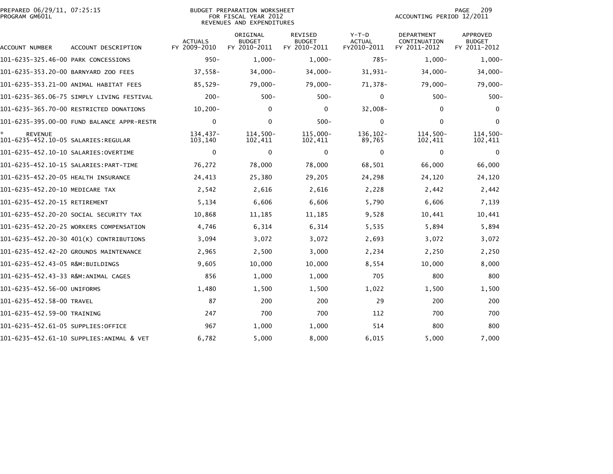| PREPARED 06/29/11, 07:25:15<br>PROGRAM GM601L         |                                            |                                | <b>BUDGET PREPARATION WORKSHEET</b><br>FOR FISCAL YEAR 2012<br>REVENUES AND EXPENDITURES |                                                 |                                         | ACCOUNTING PERIOD 12/2011                  | 209<br>PAGE                                      |
|-------------------------------------------------------|--------------------------------------------|--------------------------------|------------------------------------------------------------------------------------------|-------------------------------------------------|-----------------------------------------|--------------------------------------------|--------------------------------------------------|
| ACCOUNT NUMBER                                        | ACCOUNT DESCRIPTION                        | <b>ACTUALS</b><br>FY 2009-2010 | ORIGINAL<br><b>BUDGET</b><br>FY 2010-2011                                                | <b>REVISED</b><br><b>BUDGET</b><br>FY 2010-2011 | $Y-T-D$<br><b>ACTUAL</b><br>FY2010-2011 | DEPARTMENT<br>CONTINUATION<br>FY 2011-2012 | <b>APPROVED</b><br><b>BUDGET</b><br>FY 2011-2012 |
| 101-6235-325.46-00 PARK CONCESSIONS                   |                                            | $950 -$                        | $1,000-$                                                                                 | $1,000-$                                        | $785 -$                                 | $1,000-$                                   | $1,000-$                                         |
| 101-6235-353.20-00 BARNYARD ZOO FEES                  |                                            | $37,558-$                      | $34,000 -$                                                                               | 34,000-                                         | $31,931-$                               | $34,000 -$                                 | 34,000-                                          |
|                                                       | 101-6235-353.21-00 ANIMAL HABITAT FEES     | 85,529-                        | 79,000-                                                                                  | $79,000-$                                       | 71,378-                                 | $79,000-$                                  | 79,000-                                          |
|                                                       | 101-6235-365.06-75 SIMPLY LIVING FESTIVAL  | $200 -$                        | $500 -$                                                                                  | $500 -$                                         | $\mathbf 0$                             | $500 -$                                    | $500 -$                                          |
|                                                       | 101-6235-365.70-00 RESTRICTED DONATIONS    | $10, 200 -$                    | $\mathbf{0}$                                                                             | $\mathbf{0}$                                    | $32,008 -$                              | $\mathbf{0}$                               | $\Omega$                                         |
|                                                       | 101-6235-395.00-00 FUND BALANCE APPR-RESTR | 0                              | 0                                                                                        | $500 -$                                         | 0                                       | $\mathbf 0$                                | $\Omega$                                         |
| <b>REVENUE</b><br>101-6235-452.10-05 SALARIES:REGULAR |                                            | 134,437-<br>103,140            | $114,500-$<br>102,411                                                                    | 115,000-<br>102,411                             | 136,102-<br>89,765                      | 114,500-<br>102,411                        | $114,500-$<br>102,411                            |
|                                                       |                                            | $\mathbf{0}$                   | 0                                                                                        | 0                                               | 0                                       | $\mathbf 0$                                | $\mathbf 0$                                      |
|                                                       |                                            | 76,272                         | 78,000                                                                                   | 78,000                                          | 68,501                                  | 66,000                                     | 66,000                                           |
| 101-6235-452.20-05 HEALTH INSURANCE                   |                                            | 24,413                         | 25,380                                                                                   | 29,205                                          | 24,298                                  | 24,120                                     | 24,120                                           |
| 101-6235-452.20-10 MEDICARE TAX                       |                                            | 2,542                          | 2,616                                                                                    | 2,616                                           | 2,228                                   | 2,442                                      | 2,442                                            |
| 101-6235-452.20-15 RETIREMENT                         |                                            | 5,134                          | 6,606                                                                                    | 6,606                                           | 5,790                                   | 6,606                                      | 7,139                                            |
|                                                       | 101-6235-452.20-20 SOCIAL SECURITY TAX     | 10,868                         | 11,185                                                                                   | 11,185                                          | 9,528                                   | 10,441                                     | 10,441                                           |
|                                                       | 101-6235-452.20-25 WORKERS COMPENSATION    | 4,746                          | 6,314                                                                                    | 6,314                                           | 5,535                                   | 5,894                                      | 5,894                                            |
|                                                       | 101-6235-452.20-30 401(K) CONTRIBUTIONS    | 3,094                          | 3,072                                                                                    | 3,072                                           | 2,693                                   | 3,072                                      | 3,072                                            |
|                                                       | 101-6235-452.42-20 GROUNDS MAINTENANCE     | 2,965                          | 2,500                                                                                    | 3,000                                           | 2,234                                   | 2,250                                      | 2,250                                            |
| 101-6235-452.43-05 R&M:BUILDINGS                      |                                            | 9,605                          | 10,000                                                                                   | 10,000                                          | 8,554                                   | 10,000                                     | 8,000                                            |
|                                                       |                                            | 856                            | 1,000                                                                                    | 1,000                                           | 705                                     | 800                                        | 800                                              |
| 101-6235-452.56-00 UNIFORMS                           |                                            | 1,480                          | 1,500                                                                                    | 1,500                                           | 1,022                                   | 1,500                                      | 1,500                                            |
| 101-6235-452.58-00 TRAVEL                             |                                            | 87                             | 200                                                                                      | 200                                             | 29                                      | 200                                        | 200                                              |
| 101-6235-452.59-00 TRAINING                           |                                            | 247                            | 700                                                                                      | 700                                             | 112                                     | 700                                        | 700                                              |
| 101-6235-452.61-05 SUPPLIES:OFFICE                    |                                            | 967                            | 1,000                                                                                    | 1,000                                           | 514                                     | 800                                        | 800                                              |
|                                                       | 101-6235-452.61-10 SUPPLIES:ANIMAL & VET   | 6,782                          | 5,000                                                                                    | 8,000                                           | 6,015                                   | 5,000                                      | 7,000                                            |
|                                                       |                                            |                                |                                                                                          |                                                 |                                         |                                            |                                                  |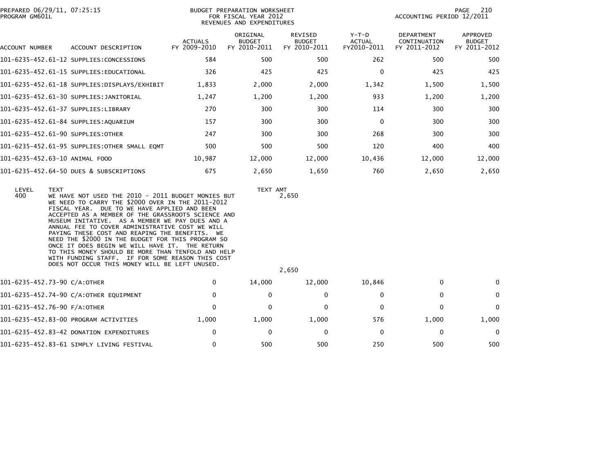| PROGRAM GM601L | PREPARED 06/29/11, 07:25:15                                                                                                                                                                                                                                                                                                                                                                                                                                                                                                                                                                                                                             |                                | <b>BUDGET PREPARATION WORKSHEET</b><br>FOR FISCAL YEAR 2012<br>REVENUES AND EXPENDITURES |                                          |                                       | ACCOUNTING PERIOD 12/2011                  | 210<br>PAGE                               |
|----------------|---------------------------------------------------------------------------------------------------------------------------------------------------------------------------------------------------------------------------------------------------------------------------------------------------------------------------------------------------------------------------------------------------------------------------------------------------------------------------------------------------------------------------------------------------------------------------------------------------------------------------------------------------------|--------------------------------|------------------------------------------------------------------------------------------|------------------------------------------|---------------------------------------|--------------------------------------------|-------------------------------------------|
| ACCOUNT NUMBER | ACCOUNT DESCRIPTION                                                                                                                                                                                                                                                                                                                                                                                                                                                                                                                                                                                                                                     | <b>ACTUALS</b><br>FY 2009-2010 | ORIGINAL<br><b>BUDGET</b><br>FY 2010-2011                                                | REVISED<br><b>BUDGET</b><br>FY 2010-2011 | Y-T-D<br><b>ACTUAL</b><br>FY2010-2011 | DEPARTMENT<br>CONTINUATION<br>FY 2011-2012 | APPROVED<br><b>BUDGET</b><br>FY 2011-2012 |
|                | 101-6235-452.61-12 SUPPLIES:CONCESSIONS                                                                                                                                                                                                                                                                                                                                                                                                                                                                                                                                                                                                                 | 584                            | 500                                                                                      | 500                                      | 262                                   | 500                                        | 500                                       |
|                | 101-6235-452.61-15 SUPPLIES:EDUCATIONAL                                                                                                                                                                                                                                                                                                                                                                                                                                                                                                                                                                                                                 | 326                            | 425                                                                                      | 425                                      | 0                                     | 425                                        | 425                                       |
|                |                                                                                                                                                                                                                                                                                                                                                                                                                                                                                                                                                                                                                                                         | 1,833                          | 2,000                                                                                    | 2,000                                    | 1,342                                 | 1,500                                      | 1,500                                     |
|                | 101-6235-452.61-30 SUPPLIES:JANITORIAL                                                                                                                                                                                                                                                                                                                                                                                                                                                                                                                                                                                                                  | 1,247                          | 1,200                                                                                    | 1,200                                    | 933                                   | 1,200                                      | 1,200                                     |
|                | 101-6235-452.61-37 SUPPLIES:LIBRARY                                                                                                                                                                                                                                                                                                                                                                                                                                                                                                                                                                                                                     | 270                            | 300                                                                                      | 300                                      | 114                                   | 300                                        | 300                                       |
|                | 101-6235-452.61-84 SUPPLIES:AQUARIUM                                                                                                                                                                                                                                                                                                                                                                                                                                                                                                                                                                                                                    | 157                            | 300                                                                                      | 300                                      | 0                                     | 300                                        | 300                                       |
|                | 101-6235-452.61-90 SUPPLIES:OTHER                                                                                                                                                                                                                                                                                                                                                                                                                                                                                                                                                                                                                       | 247                            | 300                                                                                      | 300                                      | 268                                   | 300                                        | 300                                       |
|                | 101-6235-452.61-95 SUPPLIES:OTHER SMALL EQMT                                                                                                                                                                                                                                                                                                                                                                                                                                                                                                                                                                                                            | 500                            | 500                                                                                      | 500                                      | 120                                   | 400                                        | 400                                       |
|                | 101-6235-452.63-10 ANIMAL FOOD                                                                                                                                                                                                                                                                                                                                                                                                                                                                                                                                                                                                                          | 10,987                         | 12,000                                                                                   | 12,000                                   | 10,436                                | 12,000                                     | 12,000                                    |
|                | 101-6235-452.64-50 DUES & SUBSCRIPTIONS                                                                                                                                                                                                                                                                                                                                                                                                                                                                                                                                                                                                                 | 675                            | 2,650                                                                                    | 1,650                                    | 760                                   | 2,650                                      | 2,650                                     |
| LEVEL<br>400   | <b>TEXT</b><br>WE HAVE NOT USED THE 2010 - 2011 BUDGET MONIES BUT<br>WE NEED TO CARRY THE \$2000 OVER IN THE 2011-2012<br>FISCAL YEAR. DUE TO WE HAVE APPLIED AND BEEN<br>ACCEPTED AS A MEMBER OF THE GRASSROOTS SCIENCE AND<br>MUSEUM INITATIVE. AS A MEMBER WE PAY DUES AND A<br>ANNUAL FEE TO COVER ADMINISTRATIVE COST WE WILL<br>PAYING THESE COST AND REAPING THE BENEFITS. WE<br>NEED THE \$2000 IN THE BUDGET FOR THIS PROGRAM SO<br>ONCE IT DOES BEGIN WE WILL HAVE IT. THE RETURN<br>TO THIS MONEY SHOULD BE MORE THAN TENFOLD AND HELP<br>WITH FUNDING STAFF. IF FOR SOME REASON THIS COST<br>DOES NOT OCCUR THIS MONEY WILL BE LEFT UNUSED. |                                | TEXT AMT                                                                                 | 2,650<br>2,650                           |                                       |                                            |                                           |
|                | 101-6235-452.73-90 C/A:OTHER                                                                                                                                                                                                                                                                                                                                                                                                                                                                                                                                                                                                                            | 0                              | 14,000                                                                                   | 12,000                                   | 10,846                                | $\mathbf{0}$                               | 0                                         |
|                | 101-6235-452.74-90 C/A:OTHER EQUIPMENT                                                                                                                                                                                                                                                                                                                                                                                                                                                                                                                                                                                                                  | 0                              | 0                                                                                        | 0                                        | $\mathbf{0}$                          | $\mathbf{0}$                               | 0                                         |
|                | 101-6235-452.76-90 F/A:OTHER                                                                                                                                                                                                                                                                                                                                                                                                                                                                                                                                                                                                                            | $\Omega$                       | 0                                                                                        | $\mathbf 0$                              | $\Omega$                              | $\Omega$                                   | $\mathbf 0$                               |
|                | 101-6235-452.83-00 PROGRAM ACTIVITIES                                                                                                                                                                                                                                                                                                                                                                                                                                                                                                                                                                                                                   | 1,000                          | 1,000                                                                                    | 1,000                                    | 576                                   | 1,000                                      | 1,000                                     |
|                | 101-6235-452.83-42 DONATION EXPENDITURES                                                                                                                                                                                                                                                                                                                                                                                                                                                                                                                                                                                                                | 0                              | 0                                                                                        | 0                                        | $\mathbf{0}$                          | 0                                          | $\mathbf 0$                               |
|                | 101-6235-452.83-61 SIMPLY LIVING FESTIVAL                                                                                                                                                                                                                                                                                                                                                                                                                                                                                                                                                                                                               | 0                              | 500                                                                                      | 500                                      | 250                                   | 500                                        | 500                                       |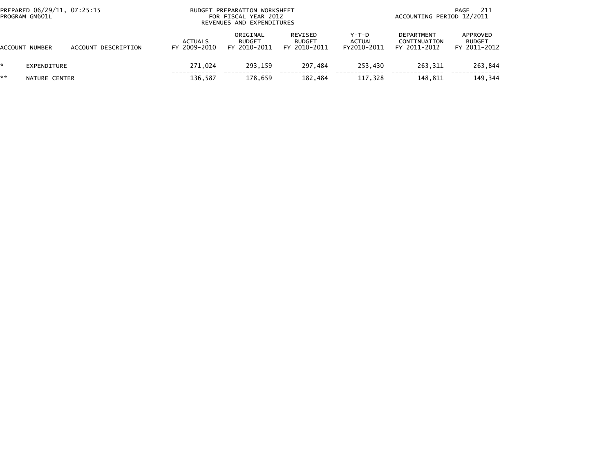|    | PREPARED 06/29/11, 07:25:15<br>PROGRAM GM601L |                     |                                | BUDGET PREPARATION WORKSHEET<br>FOR FISCAL YEAR 2012<br>REVENUES AND EXPENDITURES |                                          | -211<br>PAGE<br>ACCOUNTING PERIOD 12/2011 |                                            |                                           |
|----|-----------------------------------------------|---------------------|--------------------------------|-----------------------------------------------------------------------------------|------------------------------------------|-------------------------------------------|--------------------------------------------|-------------------------------------------|
|    | ACCOUNT NUMBER                                | ACCOUNT DESCRIPTION | <b>ACTUALS</b><br>FY 2009-2010 | ORIGINAL<br><b>BUDGET</b><br>FY 2010-2011                                         | REVISED<br><b>BUDGET</b><br>FY 2010-2011 | Y-T-D<br><b>ACTUAL</b><br>FY2010-2011     | DEPARTMENT<br>CONTINUATION<br>FY 2011-2012 | APPROVED<br><b>BUDGET</b><br>FY 2011-2012 |
|    | EXPENDITURE                                   |                     | 271.024                        | 293.159                                                                           | 297.484                                  | 253.430                                   | 263.311                                    | 263,844                                   |
| ** | NATURE CENTER                                 |                     | 136,587                        | 178.659                                                                           | 182.484                                  | 117,328                                   | 148.811                                    | 149,344                                   |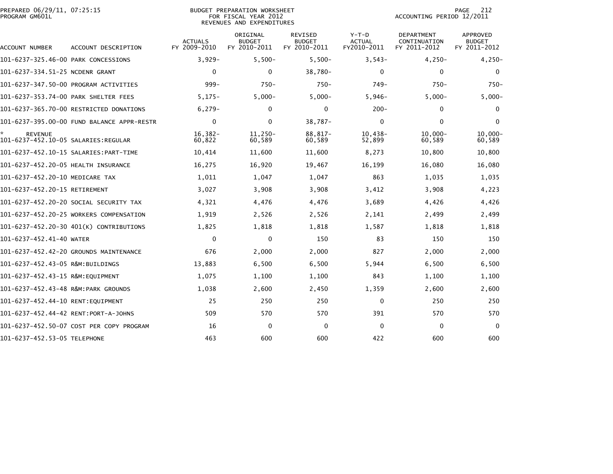| PROGRAM GM601L                       | PREPARED 06/29/11, 07:25:15<br>BUDGET PREPARATION WORKSHEET<br>FOR FISCAL YEAR 2012<br>REVENUES AND EXPENDITURES |                                |                                           |                                                 |                                         |                                                   | 212<br>PAGE<br>ACCOUNTING PERIOD 12/2011         |  |  |
|--------------------------------------|------------------------------------------------------------------------------------------------------------------|--------------------------------|-------------------------------------------|-------------------------------------------------|-----------------------------------------|---------------------------------------------------|--------------------------------------------------|--|--|
| ACCOUNT NUMBER                       | ACCOUNT DESCRIPTION                                                                                              | <b>ACTUALS</b><br>FY 2009-2010 | ORIGINAL<br><b>BUDGET</b><br>FY 2010-2011 | <b>REVISED</b><br><b>BUDGET</b><br>FY 2010-2011 | $Y-T-D$<br><b>ACTUAL</b><br>FY2010-2011 | <b>DEPARTMENT</b><br>CONTINUATION<br>FY 2011-2012 | <b>APPROVED</b><br><b>BUDGET</b><br>FY 2011-2012 |  |  |
| 101-6237-325.46-00 PARK CONCESSIONS  |                                                                                                                  | $3,929-$                       | $5,500-$                                  | $5,500-$                                        | $3,543-$                                | $4,250-$                                          | $4,250-$                                         |  |  |
| 101-6237-334.51-25 NCDENR GRANT      |                                                                                                                  | $\Omega$                       | $\Omega$                                  | $38,780 -$                                      | $\mathbf{0}$                            | $\Omega$                                          | $\Omega$                                         |  |  |
|                                      | 101-6237-347.50-00 PROGRAM ACTIVITIES                                                                            | $999 -$                        | $750-$                                    | $750 -$                                         | $749-$                                  | $750-$                                            | $750-$                                           |  |  |
| 101-6237-353.74-00 PARK SHELTER FEES |                                                                                                                  | $5,175-$                       | $5,000 -$                                 | $5,000-$                                        | $5,946-$                                | $5,000-$                                          | $5,000-$                                         |  |  |
|                                      | 101-6237-365.70-00 RESTRICTED DONATIONS                                                                          | $6,279-$                       | 0                                         | 0                                               | $200 -$                                 | 0                                                 | $\mathbf{0}$                                     |  |  |
|                                      | 101-6237-395.00-00 FUND BALANCE APPR-RESTR                                                                       | 0                              | 0                                         | $38,787-$                                       | $\mathbf 0$                             | $\Omega$                                          | $\Omega$                                         |  |  |
| *.<br><b>REVENUE</b>                 |                                                                                                                  | $16,382-$<br>60,822            | 11,250-<br>60,589                         | $88,817-$<br>60,589                             | $10,438-$<br>52,899                     | $10,000 -$<br>60,589                              | $10,000 -$<br>60,589                             |  |  |
|                                      |                                                                                                                  | 10,414                         | 11,600                                    | 11,600                                          | 8,273                                   | 10,800                                            | 10,800                                           |  |  |
| 101-6237-452.20-05 HEALTH INSURANCE  |                                                                                                                  | 16,275                         | 16,920                                    | 19,467                                          | 16,199                                  | 16,080                                            | 16,080                                           |  |  |
| 101-6237-452.20-10 MEDICARE TAX      |                                                                                                                  | 1,011                          | 1,047                                     | 1,047                                           | 863                                     | 1,035                                             | 1,035                                            |  |  |
| 101-6237-452.20-15 RETIREMENT        |                                                                                                                  | 3,027                          | 3,908                                     | 3,908                                           | 3,412                                   | 3,908                                             | 4,223                                            |  |  |
|                                      | 101-6237-452.20-20 SOCIAL SECURITY TAX                                                                           | 4,321                          | 4,476                                     | 4,476                                           | 3,689                                   | 4,426                                             | 4,426                                            |  |  |
|                                      | 101-6237-452.20-25 WORKERS COMPENSATION                                                                          | 1,919                          | 2,526                                     | 2,526                                           | 2,141                                   | 2,499                                             | 2,499                                            |  |  |
|                                      | 101-6237-452.20-30 401(K) CONTRIBUTIONS                                                                          | 1,825                          | 1,818                                     | 1,818                                           | 1,587                                   | 1,818                                             | 1,818                                            |  |  |
| 101-6237-452.41-40 WATER             |                                                                                                                  | 0                              | 0                                         | 150                                             | 83                                      | 150                                               | 150                                              |  |  |
|                                      | 101-6237-452.42-20 GROUNDS MAINTENANCE                                                                           | 676                            | 2,000                                     | 2,000                                           | 827                                     | 2,000                                             | 2,000                                            |  |  |
| 101-6237-452.43-05 R&M:BUILDINGS     |                                                                                                                  | 13,883                         | 6,500                                     | 6,500                                           | 5,944                                   | 6,500                                             | 6,500                                            |  |  |
| 101-6237-452.43-15 R&M:EQUIPMENT     |                                                                                                                  | 1,075                          | 1,100                                     | 1,100                                           | 843                                     | 1,100                                             | 1,100                                            |  |  |
| 101-6237-452.43-48 R&M:PARK GROUNDS  |                                                                                                                  | 1,038                          | 2,600                                     | 2,450                                           | 1,359                                   | 2,600                                             | 2,600                                            |  |  |
| 101-6237-452.44-10 RENT: EQUIPMENT   |                                                                                                                  | 25                             | 250                                       | 250                                             | 0                                       | 250                                               | 250                                              |  |  |
| 101-6237-452.44-42 RENT:PORT-A-JOHNS |                                                                                                                  | 509                            | 570                                       | 570                                             | 391                                     | 570                                               | 570                                              |  |  |
|                                      | 101-6237-452.50-07 COST PER COPY PROGRAM                                                                         | 16                             | $\Omega$                                  | 0                                               | 0                                       | $\mathbf{0}$                                      | $\mathbf{0}$                                     |  |  |
| 101-6237-452.53-05 TELEPHONE         |                                                                                                                  | 463                            | 600                                       | 600                                             | 422                                     | 600                                               | 600                                              |  |  |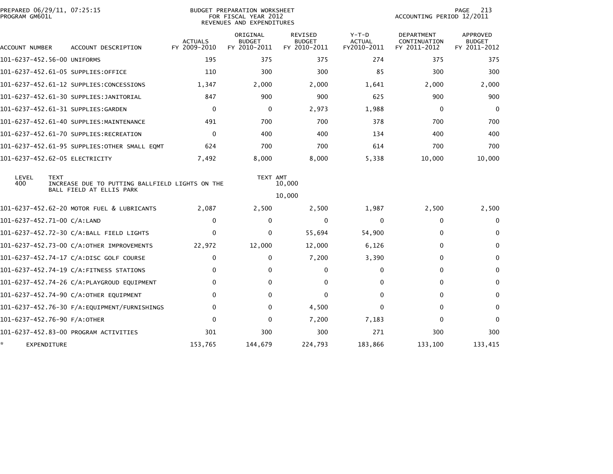| PREPARED 06/29/11, 07:25:15<br>PROGRAM GM601L |             |                                                 |                                | <b>BUDGET PREPARATION WORKSHEET</b><br>FOR FISCAL YEAR 2012<br>REVENUES AND EXPENDITURES |                                          |                                       | ACCOUNTING PERIOD 12/2011                  | 213<br>PAGE                               |
|-----------------------------------------------|-------------|-------------------------------------------------|--------------------------------|------------------------------------------------------------------------------------------|------------------------------------------|---------------------------------------|--------------------------------------------|-------------------------------------------|
| ACCOUNT NUMBER                                |             | ACCOUNT DESCRIPTION                             | <b>ACTUALS</b><br>FY 2009-2010 | ORIGINAL<br><b>BUDGET</b><br>FY 2010-2011                                                | REVISED<br><b>BUDGET</b><br>FY 2010-2011 | Y-T-D<br><b>ACTUAL</b><br>FY2010-2011 | DEPARTMENT<br>CONTINUATION<br>FY 2011-2012 | APPROVED<br><b>BUDGET</b><br>FY 2011-2012 |
| 101-6237-452.56-00 UNIFORMS                   |             |                                                 | 195                            | 375                                                                                      | 375                                      | 274                                   | 375                                        | 375                                       |
|                                               |             | 101-6237-452.61-05 SUPPLIES:OFFICE              | 110                            | 300                                                                                      | 300                                      | 85                                    | 300                                        | 300                                       |
|                                               |             | 101-6237-452.61-12 SUPPLIES:CONCESSIONS         | 1,347                          | 2,000                                                                                    | 2,000                                    | 1,641                                 | 2,000                                      | 2,000                                     |
|                                               |             | 101-6237-452.61-30 SUPPLIES:JANITORIAL          | 847                            | 900                                                                                      | 900                                      | 625                                   | 900                                        | 900                                       |
|                                               |             | 101-6237-452.61-31 SUPPLIES:GARDEN              | 0                              | 0                                                                                        | 2,973                                    | 1,988                                 | 0                                          | $\mathbf 0$                               |
|                                               |             | 101-6237-452.61-40 SUPPLIES:MAINTENANCE         | 491                            | 700                                                                                      | 700                                      | 378                                   | 700                                        | 700                                       |
|                                               |             | 101-6237-452.61-70 SUPPLIES:RECREATION          | $\mathbf{0}$                   | 400                                                                                      | 400                                      | 134                                   | 400                                        | 400                                       |
|                                               |             | 101-6237-452.61-95 SUPPLIES:OTHER SMALL EQMT    | 624                            | 700                                                                                      | 700                                      | 614                                   | 700                                        | 700                                       |
| 101-6237-452.62-05 ELECTRICITY                |             |                                                 | 7,492                          | 8,000                                                                                    | 8,000                                    | 5,338                                 | 10,000                                     | 10,000                                    |
| LEVEL<br>400                                  | <b>TEXT</b> | INCREASE DUE TO PUTTING BALLFIELD LIGHTS ON THE |                                | TEXT AMT                                                                                 | 10,000                                   |                                       |                                            |                                           |
|                                               |             | BALL FIELD AT ELLIS PARK                        |                                |                                                                                          | 10,000                                   |                                       |                                            |                                           |
|                                               |             | 101-6237-452.62-20 MOTOR FUEL & LUBRICANTS      | 2,087                          | 2,500                                                                                    | 2,500                                    | 1,987                                 | 2,500                                      | 2,500                                     |
| 101-6237-452.71-00 C/A:LAND                   |             |                                                 | $\Omega$                       | 0                                                                                        | 0                                        | $\Omega$                              | $\mathbf{0}$                               | $\Omega$                                  |
|                                               |             | 101-6237-452.72-30 C/A:BALL FIELD LIGHTS        | $\Omega$                       | $\Omega$                                                                                 | 55,694                                   | 54,900                                | $\mathbf{0}$                               | 0                                         |
|                                               |             | 101-6237-452.73-00 C/A:OTHER IMPROVEMENTS       | 22,972                         | 12,000                                                                                   | 12,000                                   | 6,126                                 | 0                                          | 0                                         |
|                                               |             |                                                 | $\Omega$                       | 0                                                                                        | 7,200                                    | 3,390                                 | $\mathbf{0}$                               | $\mathbf{0}$                              |
|                                               |             | 101-6237-452.74-19 C/A:FITNESS STATIONS         | $\Omega$                       | 0                                                                                        | 0                                        | 0                                     | 0                                          | 0                                         |
|                                               |             | 101-6237-452.74-26 C/A:PLAYGROUD EQUIPMENT      | $\bf{0}$                       | 0                                                                                        | 0                                        | 0                                     | $\mathbf{0}$                               | 0                                         |
|                                               |             | 101-6237-452.74-90 C/A:OTHER EQUIPMENT          | $\Omega$                       | 0                                                                                        | $\mathbf 0$                              | 0                                     | $\mathbf{0}$                               | $\mathbf{0}$                              |
|                                               |             | 101-6237-452.76-30 F/A:EQUIPMENT/FURNISHINGS    | $\mathbf{0}$                   | 0                                                                                        | 4,500                                    | $\Omega$                              | $\Omega$                                   | 0                                         |
| 101-6237-452.76-90 F/A:OTHER                  |             |                                                 | $\Omega$                       | 0                                                                                        | 7,200                                    | 7,183                                 | $\Omega$                                   | $\Omega$                                  |
|                                               |             | 101-6237-452.83-00 PROGRAM ACTIVITIES           | 301                            | 300                                                                                      | 300                                      | 271                                   | 300                                        | 300                                       |
| *                                             | EXPENDITURE |                                                 | 153,765                        | 144,679                                                                                  | 224,793                                  | 183,866                               | 133,100                                    | 133,415                                   |
|                                               |             |                                                 |                                |                                                                                          |                                          |                                       |                                            |                                           |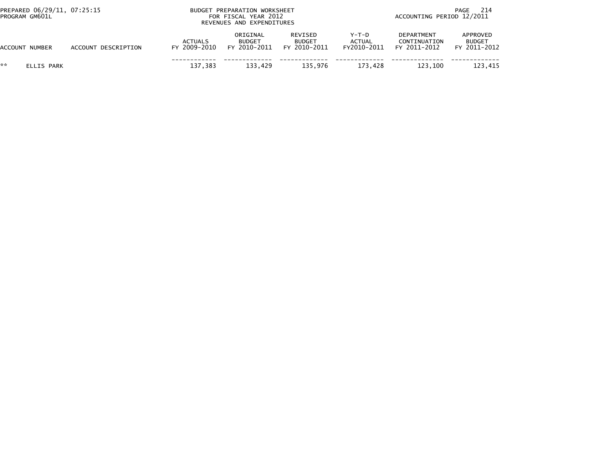| PREPARED 06/29/11, 07:25:15<br>PROGRAM GM601L |                     | BUDGET PREPARATION WORKSHEET<br>FOR FISCAL YEAR 2012<br>REVENUES AND EXPENDITURES |                                           |                                          |                                       | -214<br>PAGE<br>ACCOUNTING PERIOD 12/2011  |                                           |  |
|-----------------------------------------------|---------------------|-----------------------------------------------------------------------------------|-------------------------------------------|------------------------------------------|---------------------------------------|--------------------------------------------|-------------------------------------------|--|
| ACCOUNT NUMBER                                | ACCOUNT DESCRIPTION | <b>ACTUALS</b><br>FY 2009-2010                                                    | ORIGINAL<br><b>BUDGET</b><br>FY 2010-2011 | REVISED<br><b>BUDGET</b><br>FY 2010-2011 | Y-T-D<br><b>ACTUAL</b><br>FY2010-2011 | DEPARTMENT<br>CONTINUATION<br>FY 2011-2012 | APPROVED<br><b>BUDGET</b><br>FY 2011-2012 |  |
| **<br>ELLIS PARK                              |                     | 137.383                                                                           | 133,429                                   | 135.976                                  | 173.428                               | 123.100                                    | 123.415                                   |  |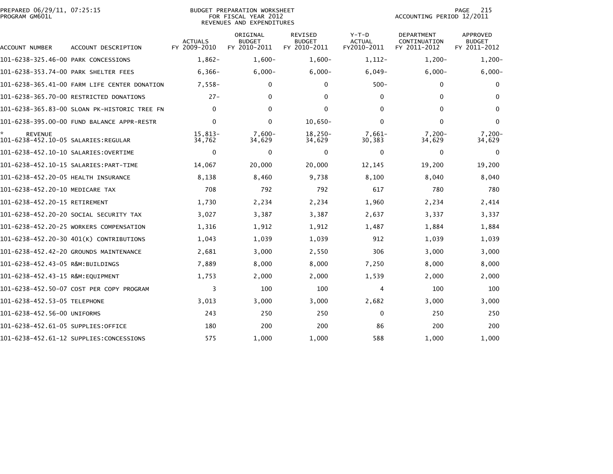| PREPARED 06/29/11, 07:25:15<br>PROGRAM GM601L |                                              | <b>BUDGET PREPARATION WORKSHEET</b><br>FOR FISCAL YEAR 2012<br>REVENUES AND EXPENDITURES |                                           |                                                 |                                         | 215<br>PAGE<br>ACCOUNTING PERIOD 12/2011          |                                           |  |
|-----------------------------------------------|----------------------------------------------|------------------------------------------------------------------------------------------|-------------------------------------------|-------------------------------------------------|-----------------------------------------|---------------------------------------------------|-------------------------------------------|--|
| ACCOUNT NUMBER                                | ACCOUNT DESCRIPTION                          | ACTUALS<br>FY 2009-2010                                                                  | ORIGINAL<br><b>BUDGET</b><br>FY 2010-2011 | <b>REVISED</b><br><b>BUDGET</b><br>FY 2010-2011 | $Y-T-D$<br><b>ACTUAL</b><br>FY2010-2011 | <b>DEPARTMENT</b><br>CONTINUATION<br>FY 2011-2012 | APPROVED<br><b>BUDGET</b><br>FY 2011-2012 |  |
| 101-6238-325.46-00 PARK CONCESSIONS           |                                              | $1.862 -$                                                                                | $1.600 -$                                 | $1.600 -$                                       | 1,112-                                  | $1,200-$                                          | $1,200-$                                  |  |
| 101-6238-353.74-00 PARK SHELTER FEES          |                                              | $6,366-$                                                                                 | $6,000 -$                                 | $6,000 -$                                       | $6,049-$                                | $6,000-$                                          | $6,000 -$                                 |  |
|                                               | 101-6238-365.41-00 FARM LIFE CENTER DONATION | $7,558-$                                                                                 | 0                                         | 0                                               | $500 -$                                 | $\mathbf 0$                                       | $\mathbf 0$                               |  |
|                                               | 101-6238-365.70-00 RESTRICTED DONATIONS      | $27 -$                                                                                   | $\mathbf{0}$                              | $\mathbf{0}$                                    | $\mathbf{0}$                            | 0                                                 | 0                                         |  |
|                                               | 101-6238-365.83-00 SLOAN PK-HISTORIC TREE FN | $\mathbf{0}$                                                                             | $\Omega$                                  | $\mathbf{0}$                                    | $\Omega$                                | 0                                                 | $\mathbf{0}$                              |  |
|                                               | 101-6238-395.00-00 FUND BALANCE APPR-RESTR   | $\Omega$                                                                                 | $\Omega$                                  | $10,650 -$                                      | $\Omega$                                | $\Omega$                                          | $\Omega$                                  |  |
| <b>REVENUE</b>                                |                                              | 15,813-<br>34,762                                                                        | $7,600-$<br>34,629                        | $18,250-$<br>34,629                             | $7,661-$<br>30,383                      | $7,200-$<br>34,629                                | $7,200-$<br>34,629                        |  |
| 101-6238-452.10-10 SALARIES: OVERTIME         |                                              | $\mathbf 0$                                                                              | $\mathbf 0$                               | $\mathbf 0$                                     | 0                                       | 0                                                 | $\mathbf 0$                               |  |
|                                               |                                              | 14.067                                                                                   | 20,000                                    | 20,000                                          | 12,145                                  | 19,200                                            | 19,200                                    |  |
| 101-6238-452.20-05 HEALTH INSURANCE           |                                              | 8,138                                                                                    | 8,460                                     | 9,738                                           | 8,100                                   | 8,040                                             | 8,040                                     |  |
| 101-6238-452.20-10 MEDICARE TAX               |                                              | 708                                                                                      | 792                                       | 792                                             | 617                                     | 780                                               | 780                                       |  |
| 101-6238-452.20-15 RETIREMENT                 |                                              | 1,730                                                                                    | 2,234                                     | 2,234                                           | 1,960                                   | 2,234                                             | 2,414                                     |  |
|                                               | 101-6238-452.20-20 SOCIAL SECURITY TAX       | 3,027                                                                                    | 3,387                                     | 3,387                                           | 2,637                                   | 3,337                                             | 3,337                                     |  |
|                                               | 101-6238-452.20-25 WORKERS COMPENSATION      | 1,316                                                                                    | 1,912                                     | 1,912                                           | 1,487                                   | 1,884                                             | 1,884                                     |  |
|                                               | 101-6238-452.20-30 401(K) CONTRIBUTIONS      | 1,043                                                                                    | 1,039                                     | 1,039                                           | 912                                     | 1,039                                             | 1,039                                     |  |
|                                               | 101-6238-452.42-20 GROUNDS MAINTENANCE       | 2,681                                                                                    | 3,000                                     | 2,550                                           | 306                                     | 3,000                                             | 3,000                                     |  |
| 101-6238-452.43-05 R&M:BUILDINGS              |                                              | 7,889                                                                                    | 8,000                                     | 8,000                                           | 7,250                                   | 8,000                                             | 8,000                                     |  |
| 101-6238-452.43-15 R&M:EQUIPMENT              |                                              | 1,753                                                                                    | 2,000                                     | 2,000                                           | 1,539                                   | 2,000                                             | 2,000                                     |  |
|                                               | 101-6238-452.50-07 COST PER COPY PROGRAM     | 3                                                                                        | 100                                       | 100                                             | 4                                       | 100                                               | 100                                       |  |
| 101-6238-452.53-05 TELEPHONE                  |                                              | 3,013                                                                                    | 3,000                                     | 3,000                                           | 2,682                                   | 3,000                                             | 3,000                                     |  |
| 101-6238-452.56-00 UNIFORMS                   |                                              | 243                                                                                      | 250                                       | 250                                             | $\mathbf 0$                             | 250                                               | 250                                       |  |
| 101-6238-452.61-05 SUPPLIES:OFFICE            |                                              | 180                                                                                      | 200                                       | 200                                             | 86                                      | 200                                               | 200                                       |  |
|                                               | 101-6238-452.61-12 SUPPLIES:CONCESSIONS      | 575                                                                                      | 1,000                                     | 1,000                                           | 588                                     | 1,000                                             | 1,000                                     |  |
|                                               |                                              |                                                                                          |                                           |                                                 |                                         |                                                   |                                           |  |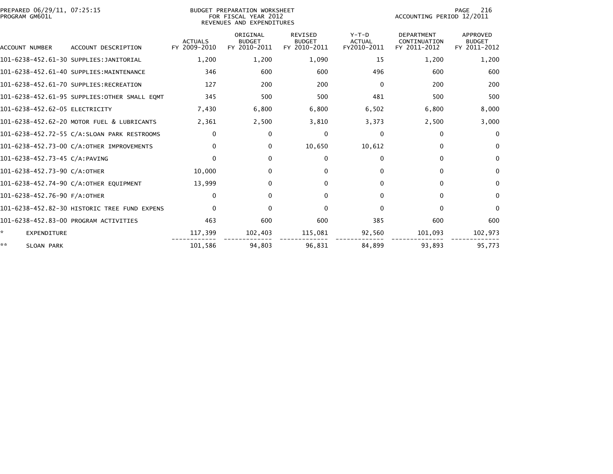| PREPARED 06/29/11, 07:25:15<br>PROGRAM GM601L |                                              | BUDGET PREPARATION WORKSHEET<br>FOR FISCAL YEAR 2012<br>REVENUES AND EXPENDITURES |                                           |                                                 |                                         | 216<br>PAGE<br>ACCOUNTING PERIOD 12/2011          |                                           |  |
|-----------------------------------------------|----------------------------------------------|-----------------------------------------------------------------------------------|-------------------------------------------|-------------------------------------------------|-----------------------------------------|---------------------------------------------------|-------------------------------------------|--|
| ACCOUNT NUMBER                                | ACCOUNT DESCRIPTION                          | <b>ACTUALS</b><br>FY 2009-2010                                                    | ORIGINAL<br><b>BUDGET</b><br>FY 2010-2011 | <b>REVISED</b><br><b>BUDGET</b><br>FY 2010-2011 | $Y-T-D$<br><b>ACTUAL</b><br>FY2010-2011 | <b>DEPARTMENT</b><br>CONTINUATION<br>FY 2011-2012 | APPROVED<br><b>BUDGET</b><br>FY 2011-2012 |  |
|                                               | 101-6238-452.61-30 SUPPLIES:JANITORIAL       | 1,200                                                                             | 1,200                                     | 1,090                                           | 15                                      | 1,200                                             | 1,200                                     |  |
|                                               | 101-6238-452.61-40 SUPPLIES:MAINTENANCE      | 346                                                                               | 600                                       | 600                                             | 496                                     | 600                                               | 600                                       |  |
|                                               | 101-6238-452.61-70 SUPPLIES:RECREATION       | 127                                                                               | 200                                       | 200                                             | $\Omega$                                | 200                                               | 200                                       |  |
|                                               | 101-6238-452.61-95 SUPPLIES:OTHER SMALL EOMT | 345                                                                               | 500                                       | 500                                             | 481                                     | 500                                               | 500                                       |  |
| 101-6238-452.62-05 ELECTRICITY                |                                              | 7,430                                                                             | 6,800                                     | 6,800                                           | 6,502                                   | 6,800                                             | 8,000                                     |  |
|                                               | 101-6238-452.62-20 MOTOR FUEL & LUBRICANTS   | 2,361                                                                             | 2,500                                     | 3,810                                           | 3,373                                   | 2,500                                             | 3,000                                     |  |
|                                               | 101-6238-452.72-55 C/A:SLOAN PARK RESTROOMS  | $\Omega$                                                                          | 0                                         | 0                                               | 0                                       | $\Omega$                                          | $\mathbf{0}$                              |  |
|                                               | 101-6238-452.73-00 C/A:OTHER IMPROVEMENTS    | 0                                                                                 | $\Omega$                                  | 10,650                                          | 10,612                                  | 0                                                 | 0                                         |  |
| 101-6238-452.73-45 C/A:PAVING                 |                                              | $\Omega$                                                                          | $\Omega$                                  | $\mathbf{0}$                                    | $\Omega$                                | 0                                                 | $\bf{0}$                                  |  |
| 101-6238-452.73-90 C/A:OTHER                  |                                              | 10,000                                                                            | 0                                         | 0                                               | $\Omega$                                | 0                                                 | 0                                         |  |
|                                               | 101-6238-452.74-90 C/A:OTHER EQUIPMENT       | 13.999                                                                            | 0                                         | $\Omega$                                        | $\Omega$                                | $\Omega$                                          | 0                                         |  |
| 101-6238-452.76-90 F/A:OTHER                  |                                              | $\Omega$                                                                          | 0                                         | $\bf{0}$                                        | $\Omega$                                | $\Omega$                                          | 0                                         |  |
|                                               | 101-6238-452.82-30 HISTORIC TREE FUND EXPENS | $\Omega$                                                                          | 0                                         | $\mathbf{0}$                                    | $\Omega$                                | $\Omega$                                          | $\Omega$                                  |  |
|                                               | 101-6238-452.83-00 PROGRAM ACTIVITIES        | 463                                                                               | 600                                       | 600                                             | 385                                     | 600                                               | 600                                       |  |
| *<br><b>EXPENDITURE</b>                       |                                              | 117,399                                                                           | 102,403                                   | 115,081                                         | 92,560                                  | 101,093                                           | 102,973                                   |  |
| **<br>SLOAN PARK                              |                                              | 101,586                                                                           | 94.803                                    | 96.831                                          | 84.899                                  | 93.893                                            | 95.773                                    |  |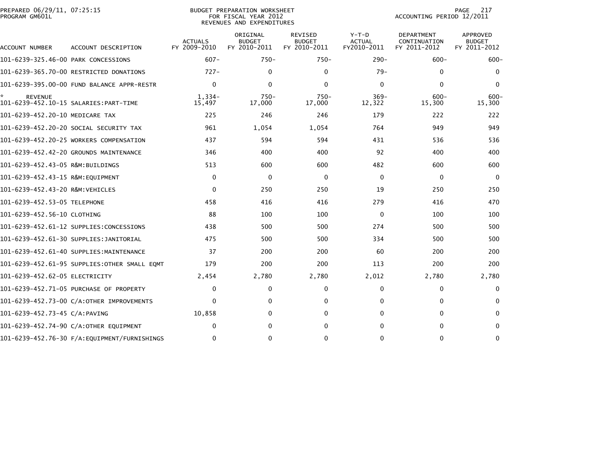| PREPARED 06/29/11, 07:25:15<br>PROGRAM GM601L |                                              |                                | BUDGET PREPARATION WORKSHEET<br>FOR FISCAL YEAR 2012<br>REVENUES AND EXPENDITURES |                                                 |                                         | ACCOUNTING PERIOD 12/2011                  | PAGE<br>217                                      |
|-----------------------------------------------|----------------------------------------------|--------------------------------|-----------------------------------------------------------------------------------|-------------------------------------------------|-----------------------------------------|--------------------------------------------|--------------------------------------------------|
| ACCOUNT NUMBER                                | ACCOUNT DESCRIPTION                          | <b>ACTUALS</b><br>FY 2009-2010 | ORIGINAL<br><b>BUDGET</b><br>FY 2010-2011                                         | <b>REVISED</b><br><b>BUDGET</b><br>FY 2010-2011 | $Y-T-D$<br><b>ACTUAL</b><br>FY2010-2011 | DEPARTMENT<br>CONTINUATION<br>FY 2011-2012 | <b>APPROVED</b><br><b>BUDGET</b><br>FY 2011-2012 |
| 101-6239-325.46-00 PARK CONCESSIONS           |                                              | $607 -$                        | $750 -$                                                                           | $750 -$                                         | $290 -$                                 | $600 -$                                    | $600 -$                                          |
|                                               | 101-6239-365.70-00 RESTRICTED DONATIONS      | $727-$                         | 0                                                                                 | 0                                               | $79-$                                   | 0                                          | $\mathbf{0}$                                     |
|                                               | 101-6239-395.00-00 FUND BALANCE APPR-RESTR   | $\mathbf{0}$                   | $\mathbf{0}$                                                                      | $\mathbf{0}$                                    | $\mathbf{0}$                            | $\mathbf{0}$                               | 0                                                |
| <b>REVENUE</b>                                |                                              | $1,334-$<br>15,497             | $750 -$<br>17,000                                                                 | $750 -$<br>17,000                               | $369 -$<br>12,322                       | $600 -$<br>15,300                          | $600 -$<br>15,300                                |
| 101-6239-452.20-10 MEDICARE TAX               |                                              | 225                            | 246                                                                               | 246                                             | 179                                     | 222                                        | 222                                              |
|                                               | 101–6239–452.20–20 SOCIAL SECURITY TAX       | 961                            | 1,054                                                                             | 1,054                                           | 764                                     | 949                                        | 949                                              |
|                                               | 101-6239-452.20-25 WORKERS COMPENSATION      | 437                            | 594                                                                               | 594                                             | 431                                     | 536                                        | 536                                              |
|                                               | 101-6239-452.42-20 GROUNDS MAINTENANCE       | 346                            | 400                                                                               | 400                                             | 92                                      | 400                                        | 400                                              |
| 101-6239-452.43-05 R&M:BUILDINGS              |                                              | 513                            | 600                                                                               | 600                                             | 482                                     | 600                                        | 600                                              |
| 101-6239-452.43-15 R&M:EOUIPMENT              |                                              | $\mathbf{0}$                   | $\mathbf 0$                                                                       | 0                                               | 0                                       | $\Omega$                                   | $\Omega$                                         |
| 101-6239-452.43-20 R&M:VEHICLES               |                                              | $\Omega$                       | 250                                                                               | 250                                             | 19                                      | 250                                        | 250                                              |
| 101-6239-452.53-05 TELEPHONE                  |                                              | 458                            | 416                                                                               | 416                                             | 279                                     | 416                                        | 470                                              |
| 101-6239-452.56-10 CLOTHING                   |                                              | 88                             | 100                                                                               | 100                                             | $\mathbf 0$                             | 100                                        | 100                                              |
|                                               | 101-6239-452.61-12 SUPPLIES:CONCESSIONS      | 438                            | 500                                                                               | 500                                             | 274                                     | 500                                        | 500                                              |
|                                               | 101-6239-452.61-30 SUPPLIES:JANITORIAL       | 475                            | 500                                                                               | 500                                             | 334                                     | 500                                        | 500                                              |
|                                               | 101-6239-452.61-40 SUPPLIES:MAINTENANCE      | 37                             | 200                                                                               | 200                                             | 60                                      | 200                                        | 200                                              |
|                                               | 101-6239-452.61-95 SUPPLIES:OTHER SMALL EQMT | 179                            | 200                                                                               | 200                                             | 113                                     | 200                                        | 200                                              |
| 101-6239-452.62-05 ELECTRICITY                |                                              | 2,454                          | 2,780                                                                             | 2,780                                           | 2,012                                   | 2,780                                      | 2,780                                            |
|                                               | 101-6239-452.71-05 PURCHASE OF PROPERTY      | $\mathbf{0}$                   | $\mathbf{0}$                                                                      | $\mathbf 0$                                     | 0                                       | 0                                          | $\Omega$                                         |
|                                               | 101-6239-452.73-00 C/A:OTHER IMPROVEMENTS    | $\mathbf{0}$                   | 0                                                                                 | $\mathbf 0$                                     | $\Omega$                                | 0                                          | $\mathbf{0}$                                     |
| 101-6239-452.73-45 C/A:PAVING                 |                                              | 10,858                         | 0                                                                                 | $\mathbf 0$                                     | $\Omega$                                | $\mathbf{0}$                               | $\mathbf{0}$                                     |
|                                               | 101-6239-452.74-90 C/A:OTHER EQUIPMENT       | $\Omega$                       | 0                                                                                 | $\Omega$                                        | 0                                       | 0                                          | 0                                                |
|                                               |                                              | $\mathbf{0}$                   | $\Omega$                                                                          | $\mathbf{0}$                                    | 0                                       | $\Omega$                                   | 0                                                |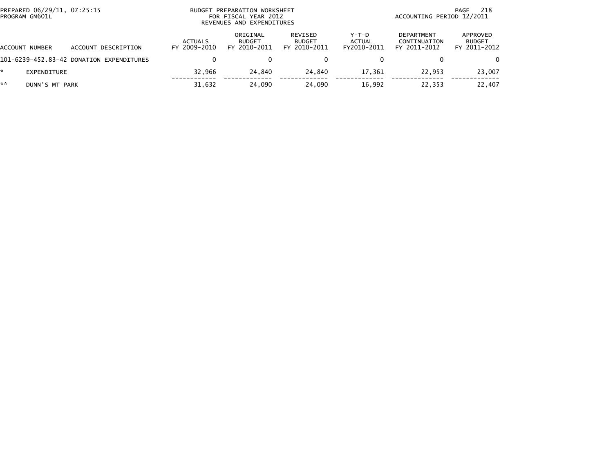| PREPARED 06/29/11, 07:25:15<br>PROGRAM GM601L |                                          | PREPARATION WORKSHEET<br><b>BUDGET</b><br>FOR FISCAL YEAR 2012<br>REVENUES AND EXPENDITURES |                                           |                                          |                                  | 218<br>PAGE<br>ACCOUNTING PERIOD 12/2011          |                                           |  |
|-----------------------------------------------|------------------------------------------|---------------------------------------------------------------------------------------------|-------------------------------------------|------------------------------------------|----------------------------------|---------------------------------------------------|-------------------------------------------|--|
| ACCOUNT NUMBER                                | ACCOUNT DESCRIPTION                      | <b>ACTUALS</b><br>FY 2009-2010                                                              | ORIGINAL<br><b>BUDGET</b><br>FY 2010-2011 | REVISED<br><b>BUDGET</b><br>FY 2010-2011 | $Y-T-D$<br>ACTUAL<br>FY2010-2011 | <b>DEPARTMENT</b><br>CONTINUATION<br>FY 2011-2012 | APPROVED<br><b>BUDGET</b><br>FY 2011-2012 |  |
|                                               | 101-6239-452.83-42 DONATION EXPENDITURES |                                                                                             |                                           |                                          |                                  |                                                   | $\Omega$                                  |  |
| $\mathcal{R}$<br>EXPENDITURE                  |                                          | 32,966                                                                                      | 24.840                                    | 24,840                                   | 17,361                           | 22,953                                            | 23,007                                    |  |
| **<br>DUNN'S MT PARK                          |                                          | 31,632                                                                                      | 24.090                                    | 24,090                                   | 16.992                           | 22,353                                            | 22,407                                    |  |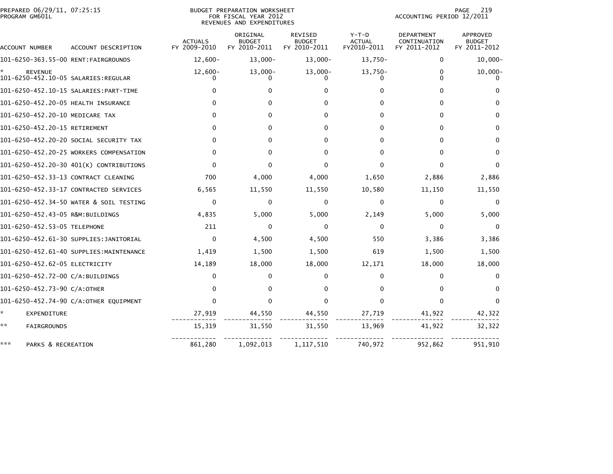|                | PREPARED 06/29/11, 07:25:15 |  |
|----------------|-----------------------------|--|
| PROGRAM GM601L |                             |  |

PREPARED 06/29/11, 07:25:15 BUDGET PREPARATION WORKSHEET PAGE 219PROGRAM GM601L FOR FISCAL YEAR 2012 ACCOUNTING PERIOD 12/2011 REVENUES AND EXPENDITURES

PAGE 219<br>ACCOUNTING PERIOD 12/2011

| ACCOUNT NUMBER                                        | ACCOUNT DESCRIPTION                     | <b>ACTUALS</b><br>FY 2009-2010 | ORIGINAL<br><b>BUDGET</b><br>FY 2010-2011 | REVISED<br><b>BUDGET</b><br>FY 2010-2011 | $Y-T-D$<br><b>ACTUAL</b><br>FY2010-2011 | DEPARTMENT<br>CONTINUATION<br>FY 2011-2012 | <b>APPROVED</b><br><b>BUDGET</b><br>FY 2011-2012 |
|-------------------------------------------------------|-----------------------------------------|--------------------------------|-------------------------------------------|------------------------------------------|-----------------------------------------|--------------------------------------------|--------------------------------------------------|
|                                                       |                                         | $12,600-$                      | $13,000-$                                 | $13,000 -$                               | 13,750-                                 | $\mathbf 0$                                | $10,000 -$                                       |
| <b>REVENUE</b><br>101-6250-452.10-05 SALARIES:REGULAR |                                         | $12,600-$                      | $13,000-$                                 | $13,000-$                                | $13,750-$                               | 0<br>U                                     | $10,000 -$                                       |
|                                                       | 101-6250-452.10-15 SALARIES:PART-TIME   |                                |                                           |                                          |                                         | 0                                          |                                                  |
| 101-6250-452.20-05 HEALTH INSURANCE                   |                                         | <sup>0</sup>                   | O                                         | o                                        |                                         | 0                                          |                                                  |
| 101-6250-452.20-10 MEDICARE TAX                       |                                         | 0                              | 0                                         | 0                                        |                                         | 0                                          |                                                  |
| 101-6250-452.20-15 RETIREMENT                         |                                         | 0                              | 0                                         | 0                                        | 0                                       | 0                                          | 0                                                |
|                                                       | 101-6250-452.20-20 SOCIAL SECURITY TAX  | 0                              | 0                                         | 0                                        | 0                                       | 0                                          | 0                                                |
|                                                       | 101-6250-452.20-25 WORKERS COMPENSATION | 0                              | 0                                         | 0                                        |                                         | 0                                          |                                                  |
|                                                       | 101-6250-452.20-30 401(K) CONTRIBUTIONS | $\Omega$                       | <sup>0</sup>                              |                                          |                                         |                                            |                                                  |
| 101-6250-452.33-13 CONTRACT CLEANING                  |                                         | 700                            | 4,000                                     | 4,000                                    | 1,650                                   | 2,886                                      | 2,886                                            |
|                                                       | 101-6250-452.33-17 CONTRACTED SERVICES  | 6,565                          | 11,550                                    | 11,550                                   | 10,580                                  | 11,150                                     | 11,550                                           |
|                                                       | 101-6250-452.34-50 WATER & SOIL TESTING | $\Omega$                       | 0                                         | $\Omega$                                 | $\Omega$                                | $\Omega$                                   | $\Omega$                                         |
| 101-6250-452.43-05 R&M:BUILDINGS                      |                                         | 4,835                          | 5,000                                     | 5,000                                    | 2,149                                   | 5,000                                      | 5,000                                            |
| 101-6250-452.53-05 TELEPHONE                          |                                         | 211                            | 0                                         | 0                                        | 0                                       | $\Omega$                                   | 0                                                |
|                                                       | 101-6250-452.61-30 SUPPLIES:JANITORIAL  | $\Omega$                       | 4,500                                     | 4,500                                    | 550                                     | 3,386                                      | 3,386                                            |
|                                                       | 101-6250-452.61-40 SUPPLIES:MAINTENANCE | 1,419                          | 1,500                                     | 1,500                                    | 619                                     | 1,500                                      | 1,500                                            |
| 101-6250-452.62-05 ELECTRICITY                        |                                         | 14,189                         | 18,000                                    | 18,000                                   | 12,171                                  | 18,000                                     | 18,000                                           |
| 101-6250-452.72-00 C/A:BUILDINGS                      |                                         | 0                              | o                                         | 0                                        | 0                                       | 0                                          |                                                  |
| 101-6250-452.73-90 C/A:OTHER                          |                                         | 0                              | 0                                         |                                          |                                         | 0                                          |                                                  |
|                                                       | 101-6250-452.74-90 C/A:OTHER EQUIPMENT  | $\Omega$                       |                                           |                                          | <sup>0</sup>                            | 0                                          |                                                  |
| *.<br>EXPENDITURE                                     |                                         | 27,919                         | 44,550                                    | 44,550                                   | 27,719                                  | 41,922                                     | 42,322                                           |
| **<br><b>FAIRGROUNDS</b>                              |                                         | 15,319                         | 31,550                                    | 31,550                                   | 13,969                                  | 41,922                                     | 32,322                                           |
| ***<br>PARKS & RECREATION                             |                                         | 861,280                        | 1,092,013                                 | 1,117,510                                | 740,972                                 | 952,862                                    | 951,910                                          |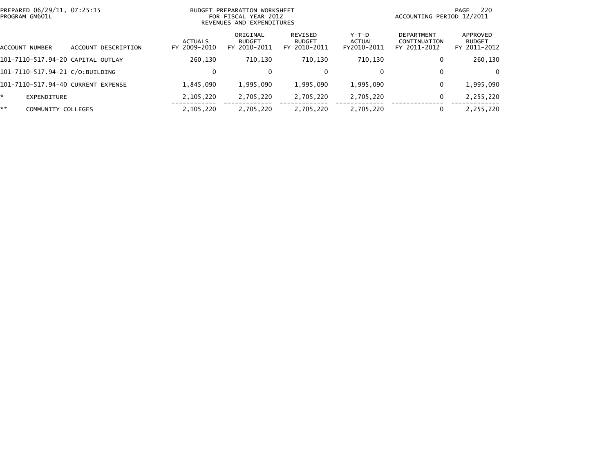| PREPARED 06/29/11, 07:25:15<br>PROGRAM GM601L |                                    |                |             | BUDGET PREPARATION WORKSHEET<br>FOR FISCAL YEAR 2012<br>REVENUES AND EXPENDITURES |                                           |                                          |                                         | 220<br>PAGE<br>ACCOUNTING PERIOD 12/2011          |                                           |  |
|-----------------------------------------------|------------------------------------|----------------|-------------|-----------------------------------------------------------------------------------|-------------------------------------------|------------------------------------------|-----------------------------------------|---------------------------------------------------|-------------------------------------------|--|
|                                               | ACCOUNT NUMBER                     | <b>ACCOUNT</b> | DESCRIPTION | ACTUALS<br>FY 2009-2010                                                           | ORIGINAL<br><b>BUDGET</b><br>FY 2010-2011 | REVISED<br><b>BUDGET</b><br>FY 2010-2011 | $Y-T-D$<br><b>ACTUAL</b><br>FY2010-2011 | <b>DEPARTMENT</b><br>CONTINUATION<br>FY 2011-2012 | APPROVED<br><b>BUDGET</b><br>FY 2011-2012 |  |
|                                               | 101-7110-517.94-20 CAPITAL OUTLAY  |                |             | 260,130                                                                           | 710,130                                   | 710.130                                  | 710,130                                 | 0                                                 | 260,130                                   |  |
|                                               | 101-7110-517.94-21 C/O:BUILDING    |                |             |                                                                                   | 0                                         | $\mathbf{0}$                             | 0                                       | $\mathbf{0}$                                      | $\Omega$                                  |  |
|                                               | 101-7110-517.94-40 CURRENT EXPENSE |                |             | 1,845,090                                                                         | 1,995,090                                 | 1,995,090                                | 1,995,090                               | 0                                                 | 1,995,090                                 |  |
| ×.                                            | EXPENDITURE                        |                |             | 2,105,220                                                                         | 2,705,220                                 | 2,705,220                                | 2,705,220                               | 0                                                 | 2,255,220                                 |  |
| **                                            | COMMUNITY COLLEGES                 |                |             | 2,105,220                                                                         | 2,705,220                                 | 2,705,220                                | 2,705,220                               |                                                   | 2,255,220                                 |  |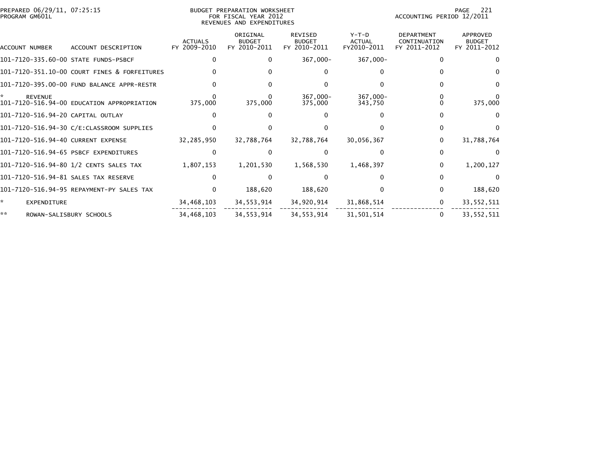| PREPARED 06/29/11, 07:25:15<br>PROGRAM GM601L |                                              |                                | <b>BUDGET PREPARATION WORKSHEET</b><br>FOR FISCAL YEAR 2012<br>REVENUES AND EXPENDITURES |                                                 |                                         | 221<br>PAGE<br>ACCOUNTING PERIOD 12/2011          |                                                  |  |
|-----------------------------------------------|----------------------------------------------|--------------------------------|------------------------------------------------------------------------------------------|-------------------------------------------------|-----------------------------------------|---------------------------------------------------|--------------------------------------------------|--|
| ACCOUNT NUMBER                                | ACCOUNT DESCRIPTION                          | <b>ACTUALS</b><br>FY 2009-2010 | ORIGINAL<br><b>BUDGET</b><br>FY 2010-2011                                                | <b>REVISED</b><br><b>BUDGET</b><br>FY 2010-2011 | $Y-T-D$<br><b>ACTUAL</b><br>FY2010-2011 | <b>DEPARTMENT</b><br>CONTINUATION<br>FY 2011-2012 | <b>APPROVED</b><br><b>BUDGET</b><br>FY 2011-2012 |  |
|                                               | 101-7120-335.60-00 STATE FUNDS-PSBCF         |                                | 0                                                                                        | 367,000-                                        | $367,000 -$                             | $\Omega$                                          |                                                  |  |
|                                               | 101-7120-351.10-00 COURT FINES & FORFEITURES |                                |                                                                                          |                                                 |                                         |                                                   |                                                  |  |
|                                               | 101-7120-395.00-00 FUND BALANCE APPR-RESTR   |                                |                                                                                          |                                                 |                                         |                                                   |                                                  |  |
| ÷.<br><b>REVENUE</b>                          | 101-7120-516.94-00 EDUCATION APPROPRIATION   | 375,000                        | 375,000                                                                                  | 367,000-<br>375,000                             | $367.000 -$<br>343,750                  |                                                   | 375,000                                          |  |
| 101-7120-516.94-20 CAPITAL OUTLAY             |                                              |                                |                                                                                          |                                                 |                                         |                                                   |                                                  |  |
|                                               |                                              |                                |                                                                                          |                                                 |                                         |                                                   |                                                  |  |
| 101-7120-516.94-40 CURRENT EXPENSE            |                                              | 32,285,950                     | 32,788,764                                                                               | 32,788,764                                      | 30,056,367                              | 0                                                 | 31,788,764                                       |  |
|                                               | 101-7120-516.94-65 PSBCF EXPENDITURES        |                                |                                                                                          |                                                 |                                         | 0                                                 |                                                  |  |
|                                               | 101-7120-516.94-80 1/2 CENTS SALES TAX       | 1,807,153                      | 1,201,530                                                                                | 1,568,530                                       | 1,468,397                               | $\bf{0}$                                          | 1,200,127                                        |  |
|                                               | 101-7120-516.94-81 SALES TAX RESERVE         |                                |                                                                                          |                                                 |                                         | 0                                                 | $\Omega$                                         |  |
|                                               | 101–7120–516.94–95 REPAYMENT-PY SALES TAX    |                                | 188,620                                                                                  | 188,620                                         |                                         |                                                   | 188,620                                          |  |
| ÷.<br>EXPENDITURE                             |                                              | 34,468,103                     | 34,553,914                                                                               | 34,920,914                                      | 31,868,514                              | 0                                                 | 33, 552, 511                                     |  |
| **                                            | ROWAN-SALISBURY SCHOOLS                      | 34,468,103                     | 34.553.914                                                                               | 34, 553, 914                                    | 31,501,514                              | $\bf{0}$                                          | 33.552.511                                       |  |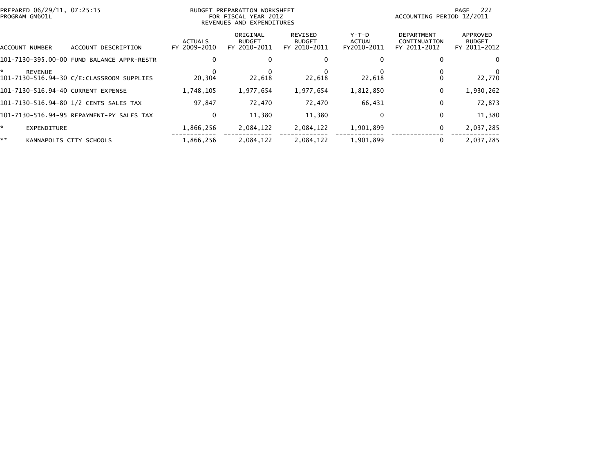| PREPARED 06/29/11, 07:25:15<br>PROGRAM GM601L |                                            | BUDGET PREPARATION WORKSHEET<br>FOR FISCAL YEAR 2012<br>REVENUES AND EXPENDITURES |                                           |                                          |                                  | -222<br>PAGE<br>ACCOUNTING PERIOD 12/2011         |                                           |  |
|-----------------------------------------------|--------------------------------------------|-----------------------------------------------------------------------------------|-------------------------------------------|------------------------------------------|----------------------------------|---------------------------------------------------|-------------------------------------------|--|
| ACCOUNT NUMBER                                | ACCOUNT DESCRIPTION                        | <b>ACTUALS</b><br>FY 2009-2010                                                    | ORIGINAL<br><b>BUDGET</b><br>FY 2010-2011 | REVISED<br><b>BUDGET</b><br>FY 2010-2011 | $Y-T-D$<br>ACTUAL<br>FY2010-2011 | <b>DEPARTMENT</b><br>CONTINUATION<br>FY 2011-2012 | APPROVED<br><b>BUDGET</b><br>FY 2011-2012 |  |
|                                               | 101-7130-395.00-00 FUND BALANCE APPR-RESTR |                                                                                   |                                           | 0                                        | $\Omega$                         |                                                   |                                           |  |
| *<br><b>REVENUE</b>                           | 101-7130-516.94-30 C/E:CLASSROOM SUPPLIES  | 20,304                                                                            | 22,618                                    | 22.618                                   | 22,618                           |                                                   | 22,770                                    |  |
| 101-7130-516.94-40 CURRENT EXPENSE            |                                            | 1,748,105                                                                         | 1,977,654                                 | 1,977,654                                | 1,812,850                        | 0                                                 | 1,930,262                                 |  |
|                                               | 101-7130-516.94-80 1/2 CENTS SALES TAX     | 97,847                                                                            | 72,470                                    | 72,470                                   | 66,431                           | 0                                                 | 72,873                                    |  |
|                                               | 101-7130-516.94-95 REPAYMENT-PY SALES TAX  | 0                                                                                 | 11,380                                    | 11,380                                   | 0                                | 0                                                 | 11,380                                    |  |
| *.<br><b>EXPENDITURE</b>                      |                                            | 1,866,256                                                                         | 2,084,122                                 | 2,084,122                                | 1,901,899                        | 0                                                 | 2,037,285                                 |  |
| **                                            | KANNAPOLIS CITY SCHOOLS                    | 1,866,256                                                                         | 2,084,122                                 | 2,084,122                                | 1,901,899                        | 0                                                 | 2,037,285                                 |  |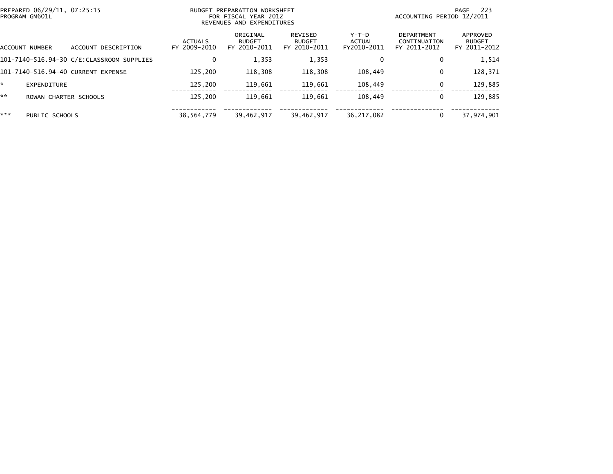|     | PREPARED 06/29/11, 07:25:15<br>PROGRAM GM601L |                                           | BUDGET PREPARATION WORKSHEET<br>FOR FISCAL YEAR 2012<br>REVENUES AND EXPENDITURES |                                           |                                          |                                | -223<br>PAGE<br>ACCOUNTING PERIOD 12/2011         |                                           |  |
|-----|-----------------------------------------------|-------------------------------------------|-----------------------------------------------------------------------------------|-------------------------------------------|------------------------------------------|--------------------------------|---------------------------------------------------|-------------------------------------------|--|
|     | ACCOUNT NUMBER                                | ACCOUNT DESCRIPTION                       | <b>ACTUALS</b><br>FY 2009-2010                                                    | ORIGINAL<br><b>BUDGET</b><br>FY 2010-2011 | REVISED<br><b>BUDGET</b><br>FY 2010-2011 | Y-T-D<br>ACTUAL<br>FY2010-2011 | <b>DEPARTMENT</b><br>CONTINUATION<br>FY 2011-2012 | APPROVED<br><b>BUDGET</b><br>FY 2011-2012 |  |
|     |                                               | 101-7140-516.94-30 C/E:CLASSROOM SUPPLIES |                                                                                   | 1,353                                     | 1,353                                    | 0                              | 0                                                 | 1,514                                     |  |
|     |                                               | 101-7140-516.94-40 CURRENT EXPENSE        | 125.200                                                                           | 118,308                                   | 118,308                                  | 108,449                        | 0                                                 | 128,371                                   |  |
| *   | EXPENDITURE                                   |                                           | 125.200                                                                           | 119,661                                   | 119.661                                  | 108,449                        | $\mathbf{0}$                                      | 129,885                                   |  |
| **  | ROWAN CHARTER SCHOOLS                         |                                           | 125.200                                                                           | 119.661                                   | 119.661                                  | 108.449                        | 0                                                 | 129,885                                   |  |
| *** | PUBLIC SCHOOLS                                |                                           | 38,564,779                                                                        | 39,462,917                                | 39,462,917                               | 36,217,082                     |                                                   | 37,974,901                                |  |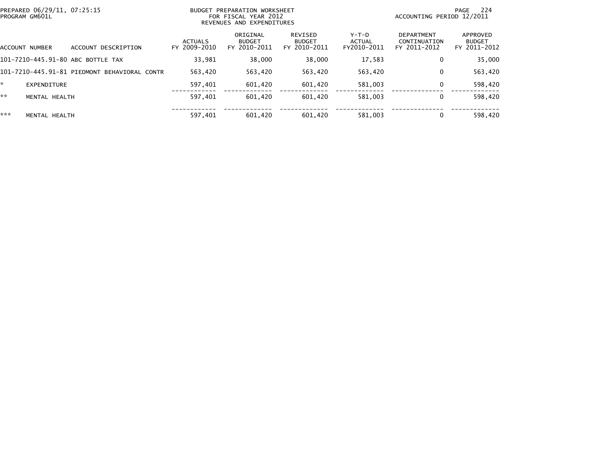|     | PREPARED 06/29/11, 07:25:15<br>PROGRAM GM601L |                                              | BUDGET PREPARATION WORKSHEET<br>FOR FISCAL YEAR 2012<br>REVENUES AND EXPENDITURES |                                           |                                          |                                  | 224<br>PAGE<br>ACCOUNTING PERIOD 12/2011          |                                           |  |
|-----|-----------------------------------------------|----------------------------------------------|-----------------------------------------------------------------------------------|-------------------------------------------|------------------------------------------|----------------------------------|---------------------------------------------------|-------------------------------------------|--|
|     | ACCOUNT NUMBER                                | ACCOUNT DESCRIPTION                          | <b>ACTUALS</b><br>FY 2009-2010                                                    | ORIGINAL<br><b>BUDGET</b><br>FY 2010-2011 | REVISED<br><b>BUDGET</b><br>FY 2010-2011 | $Y-T-D$<br>ACTUAL<br>FY2010-2011 | <b>DEPARTMENT</b><br>CONTINUATION<br>FY 2011-2012 | APPROVED<br><b>BUDGET</b><br>FY 2011-2012 |  |
|     |                                               | 101-7210-445.91-80 ABC BOTTLE TAX            | 33.981                                                                            | 38,000                                    | 38,000                                   | 17.583                           | 0                                                 | 35,000                                    |  |
|     |                                               | 101-7210-445.91-81 PIEDMONT BEHAVIORAL CONTR | 563.420                                                                           | 563,420                                   | 563.420                                  | 563,420                          | $\mathbf 0$                                       | 563,420                                   |  |
| *.  | EXPENDITURE                                   |                                              | 597,401                                                                           | 601,420                                   | 601,420                                  | 581,003                          | $\mathbf 0$                                       | 598,420                                   |  |
| **  | MENTAL HEALTH                                 |                                              | 597.401                                                                           | 601.420                                   | 601.420                                  | 581.003                          | 0                                                 | 598,420                                   |  |
| *** | MENTAL HEALTH                                 |                                              | 597,401                                                                           | 601.420                                   | 601.420                                  | 581,003                          | $\mathbf{0}$                                      | 598,420                                   |  |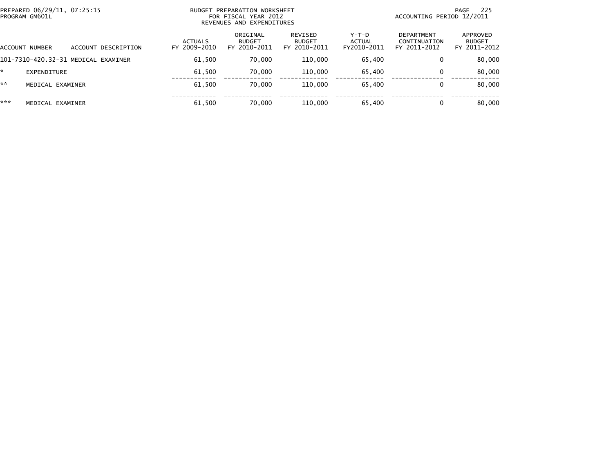| PREPARED 06/29/11, 07:25:15<br>PROGRAM GM601L |                  |                                     | BUDGET PREPARATION WORKSHEET<br>FOR FISCAL YEAR 2012<br>REVENUES AND EXPENDITURES |                                           |                                          |                                       | -225<br>PAGE<br>ACCOUNTING PERIOD 12/2011  |                                           |  |
|-----------------------------------------------|------------------|-------------------------------------|-----------------------------------------------------------------------------------|-------------------------------------------|------------------------------------------|---------------------------------------|--------------------------------------------|-------------------------------------------|--|
| ACCOUNT NUMBER                                |                  | ACCOUNT DESCRIPTION                 | <b>ACTUALS</b><br>FY 2009-2010                                                    | ORIGINAL<br><b>BUDGET</b><br>FY 2010-2011 | REVISED<br><b>BUDGET</b><br>FY 2010-2011 | Y-T-D<br><b>ACTUAL</b><br>FY2010-2011 | DEPARTMENT<br>CONTINUATION<br>FY 2011-2012 | APPROVED<br><b>BUDGET</b><br>FY 2011-2012 |  |
|                                               |                  | 101-7310-420.32-31 MEDICAL EXAMINER | 61,500                                                                            | 70,000                                    | 110,000                                  | 65,400                                | 0                                          | 80,000                                    |  |
| *                                             | EXPENDITURE      |                                     | 61.500                                                                            | 70.000                                    | 110,000                                  | 65,400                                | 0                                          | 80,000                                    |  |
| **                                            | MEDICAL EXAMINER |                                     | 61,500                                                                            | 70.000                                    | 110,000                                  | 65,400                                | 0                                          | 80,000                                    |  |
| ***                                           | MEDICAL EXAMINER |                                     | 61.500                                                                            | 70.000                                    | 110,000                                  | 65,400                                |                                            | 80,000                                    |  |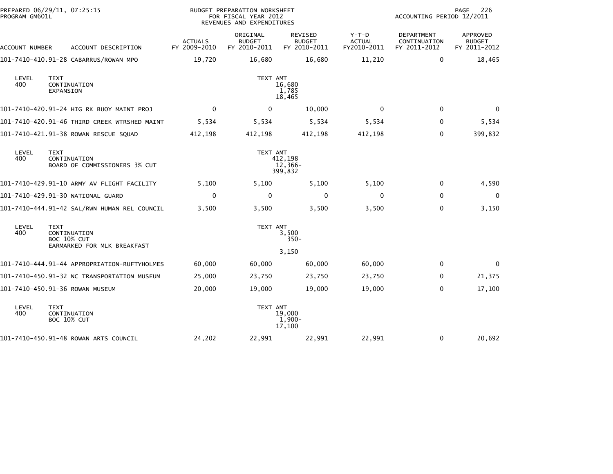| PREPARED 06/29/11, 07:25:15<br>PROGRAM GM601L |                                                                           |                                | BUDGET PREPARATION WORKSHEET<br>FOR FISCAL YEAR 2012<br>REVENUES AND EXPENDITURES |                                          | 226<br>PAGE<br>ACCOUNTING PERIOD 12/2011 |                                            |                                                  |
|-----------------------------------------------|---------------------------------------------------------------------------|--------------------------------|-----------------------------------------------------------------------------------|------------------------------------------|------------------------------------------|--------------------------------------------|--------------------------------------------------|
| ACCOUNT NUMBER                                | ACCOUNT DESCRIPTION                                                       | <b>ACTUALS</b><br>FY 2009-2010 | ORIGINAL<br><b>BUDGET</b><br>FY 2010-2011                                         | REVISED<br><b>BUDGET</b><br>FY 2010-2011 | $Y-T-D$<br><b>ACTUAL</b><br>FY2010-2011  | DEPARTMENT<br>CONTINUATION<br>FY 2011-2012 | <b>APPROVED</b><br><b>BUDGET</b><br>FY 2011-2012 |
|                                               | 101-7410-410.91-28 CABARRUS/ROWAN MPO                                     | 19,720                         | 16,680                                                                            | 16,680                                   | 11,210                                   | $\mathbf 0$                                | 18,465                                           |
| LEVEL<br>400                                  | <b>TEXT</b><br>CONTINUATION<br>EXPANSION                                  |                                | TEXT AMT                                                                          | 16,680<br>1,785<br>18,465                |                                          |                                            |                                                  |
|                                               | 101-7410-420.91-24 HIG RK BUOY MAINT PROJ                                 | $\mathbf{0}$                   | $\mathbf{0}$                                                                      | 10,000                                   | 0                                        | 0                                          | $\Omega$                                         |
|                                               | 101-7410-420.91-46 THIRD CREEK WTRSHED MAINT                              | 5,534                          | 5,534                                                                             | 5,534                                    | 5,534                                    | $\mathbf 0$                                | 5,534                                            |
|                                               | 101-7410-421.91-38 ROWAN RESCUE SQUAD                                     | 412,198                        | 412,198                                                                           | 412,198                                  | 412,198                                  | $\mathbf{0}$                               | 399,832                                          |
| LEVEL<br>400                                  | <b>TEXT</b><br>CONTINUATION<br>BOARD OF COMMISSIONERS 3% CUT              |                                | TEXT AMT                                                                          | 412,198<br>12,366-<br>399,832            |                                          |                                            |                                                  |
|                                               | 101-7410-429.91-10 ARMY AV FLIGHT FACILITY                                | 5,100                          | 5,100                                                                             | 5,100                                    | 5,100                                    | 0                                          | 4,590                                            |
|                                               | 101-7410-429.91-30 NATIONAL GUARD                                         | $\Omega$                       | $\mathbf 0$                                                                       | 0                                        | 0                                        | $\mathbf 0$                                | $\mathbf 0$                                      |
|                                               | 101-7410-444.91-42 SAL/RWN HUMAN REL COUNCIL                              | 3,500                          | 3,500                                                                             | 3,500                                    | 3,500                                    | $\mathbf 0$                                | 3,150                                            |
| LEVEL<br>400                                  | <b>TEXT</b><br>CONTINUATION<br>BOC 10% CUT<br>EARMARKED FOR MLK BREAKFAST |                                | TEXT AMT                                                                          | 3,500<br>$350 -$                         |                                          |                                            |                                                  |
|                                               | 101-7410-444.91-44 APPROPRIATION-RUFTYHOLMES                              | 60,000                         | 60,000                                                                            | 3,150<br>60,000                          | 60,000                                   | 0                                          | 0                                                |
|                                               |                                                                           |                                |                                                                                   |                                          |                                          |                                            |                                                  |
|                                               | 101-7410-450.91-32 NC TRANSPORTATION MUSEUM                               | 25,000                         | 23,750                                                                            | 23,750                                   | 23,750                                   | 0                                          | 21,375                                           |
|                                               | 101-7410-450.91-36 ROWAN MUSEUM                                           | 20,000                         | 19,000                                                                            | 19,000                                   | 19,000                                   | $\mathbf 0$                                | 17,100                                           |
| LEVEL<br>400                                  | <b>TEXT</b><br>CONTINUATION<br><b>BOC 10% CUT</b>                         |                                | TEXT AMT                                                                          | 19,000<br>$1,900-$<br>17,100             |                                          |                                            |                                                  |
|                                               | 101-7410-450.91-48 ROWAN ARTS COUNCIL                                     | 24,202                         | 22,991                                                                            | 22,991                                   | 22,991                                   | 0                                          | 20,692                                           |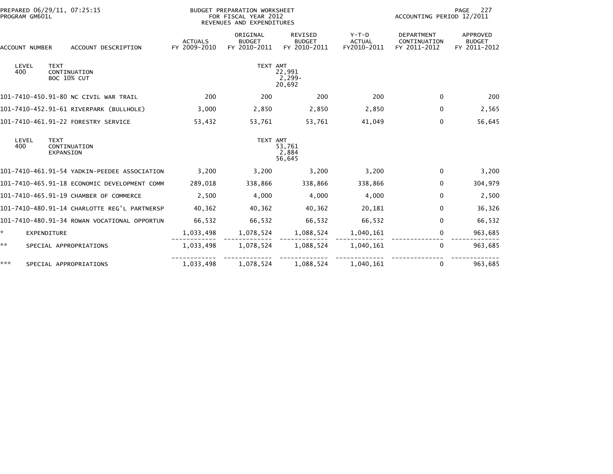| PREPARED 06/29/11, 07:25:15<br>PROGRAM GM601L |                                       |                          |                                              | <b>BUDGET PREPARATION WORKSHEET</b><br>FOR FISCAL YEAR 2012<br>REVENUES AND EXPENDITURES |                                           |                                          |                                         | 227<br>PAGE<br>ACCOUNTING PERIOD 12/2011          |                                           |  |
|-----------------------------------------------|---------------------------------------|--------------------------|----------------------------------------------|------------------------------------------------------------------------------------------|-------------------------------------------|------------------------------------------|-----------------------------------------|---------------------------------------------------|-------------------------------------------|--|
|                                               | ACCOUNT DESCRIPTION<br>ACCOUNT NUMBER |                          |                                              | <b>ACTUALS</b><br>FY 2009-2010                                                           | ORIGINAL<br><b>BUDGET</b><br>FY 2010-2011 | REVISED<br><b>BUDGET</b><br>FY 2010-2011 | $Y-T-D$<br><b>ACTUAL</b><br>FY2010-2011 | <b>DEPARTMENT</b><br>CONTINUATION<br>FY 2011-2012 | APPROVED<br><b>BUDGET</b><br>FY 2011-2012 |  |
| 400                                           | LEVEL                                 | <b>TEXT</b>              | CONTINUATION<br><b>BOC 10% CUT</b>           |                                                                                          | TEXT AMT                                  | 22,991<br>$2,299-$<br>20,692             |                                         |                                                   |                                           |  |
|                                               |                                       |                          | 101-7410-450.91-80 NC CIVIL WAR TRAIL        | 200                                                                                      | 200                                       | 200                                      | 200                                     | $\Omega$                                          | 200                                       |  |
|                                               |                                       |                          | 101-7410-452.91-61 RIVERPARK (BULLHOLE)      | 3,000                                                                                    | 2,850                                     | 2,850                                    | 2,850                                   | $\Omega$                                          | 2,565                                     |  |
|                                               |                                       |                          | 101-7410-461.91-22 FORESTRY SERVICE          | 53,432                                                                                   | 53,761                                    | 53,761                                   | 41,049                                  | $\mathbf{0}$                                      | 56,645                                    |  |
| 400                                           | LEVEL                                 | <b>TEXT</b><br>EXPANSION | CONTINUATION                                 |                                                                                          | TEXT AMT                                  | 53,761<br>2,884<br>56,645                |                                         |                                                   |                                           |  |
|                                               |                                       |                          |                                              | 3,200                                                                                    | 3,200                                     | 3,200                                    | 3,200                                   | $\Omega$                                          | 3,200                                     |  |
|                                               |                                       |                          | 101-7410-465.91-18 ECONOMIC DEVELOPMENT COMM | 289,018                                                                                  | 338,866                                   | 338,866                                  | 338,866                                 | $\mathbf{0}$                                      | 304,979                                   |  |
|                                               |                                       |                          | 101-7410-465.91-19 CHAMBER OF COMMERCE       | 2,500                                                                                    | 4,000                                     | 4,000                                    | 4,000                                   | $\mathbf{0}$                                      | 2,500                                     |  |
|                                               |                                       |                          | 101-7410-480.91-14 CHARLOTTE REG'L PARTNERSP | 40,362                                                                                   | 40,362                                    | 40,362                                   | 20,181                                  | $\mathbf 0$                                       | 36,326                                    |  |
|                                               |                                       |                          | 101-7410-480.91-34 ROWAN VOCATIONAL OPPORTUN | 66,532                                                                                   | 66,532                                    | 66,532                                   | 66,532                                  | $\Omega$                                          | 66,532                                    |  |
| ☆.                                            |                                       | <b>EXPENDITURE</b>       |                                              | 1,033,498                                                                                | 1,078,524                                 | 1,088,524                                | 1,040,161                               | 0                                                 | 963,685                                   |  |
| **                                            |                                       |                          | SPECIAL APPROPRIATIONS                       | 1,033,498                                                                                | 1,078,524                                 | 1,088,524                                | 1,040,161                               | $\bf{0}$                                          | 963,685                                   |  |
| ***                                           |                                       |                          | SPECIAL APPROPRIATIONS                       | 1,033,498                                                                                | 1,078,524                                 | 1,088,524                                | 1,040,161                               | $\bf{0}$                                          | 963,685                                   |  |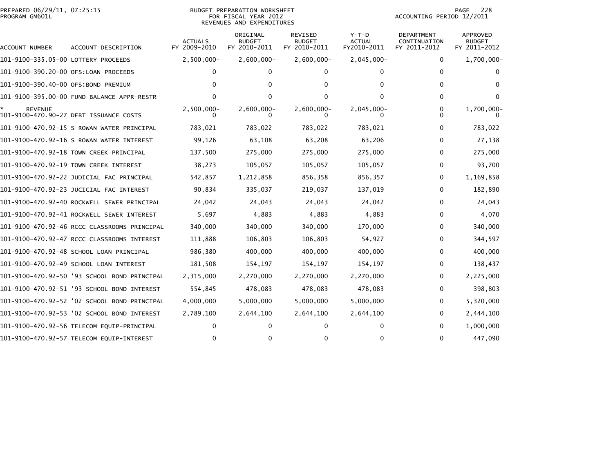## PREPARED 06/29/11, 07:25:15<br>PROGRAM GM601L

## BUDGET PREPARATION WORKSHEET<br>FOR FISCAL YEAR 2012 REVENUES AND EXPENDITURES

PAGE 228<br>ACCOUNTING PERIOD 12/2011

| ACCOUNT NUMBER                       | ACCOUNT DESCRIPTION                          | <b>ACTUALS</b><br>FY 2009-2010 | ORIGINAL<br><b>BUDGET</b><br>FY 2010-2011 | REVISED<br><b>BUDGET</b><br>FY 2010-2011 | $Y-T-D$<br><b>ACTUAL</b><br>FY2010-2011 | DEPARTMENT<br>CONTINUATION<br>FY 2011-2012 | APPROVED<br><b>BUDGET</b><br>FY 2011-2012 |
|--------------------------------------|----------------------------------------------|--------------------------------|-------------------------------------------|------------------------------------------|-----------------------------------------|--------------------------------------------|-------------------------------------------|
| 101-9100-335.05-00 LOTTERY PROCEEDS  |                                              | $2,500,000 -$                  | $2,600,000 -$                             | $2,600,000 -$                            | $2,045,000 -$                           | 0                                          | 1,700,000-                                |
| 101-9100-390.20-00 OFS:LOAN PROCEEDS |                                              |                                |                                           |                                          |                                         | $\Omega$                                   |                                           |
| 101-9100-390.40-00 OFS:BOND PREMIUM  |                                              |                                |                                           |                                          |                                         | 0                                          |                                           |
|                                      | 101-9100-395.00-00 FUND BALANCE APPR-RESTR   |                                | U                                         |                                          |                                         | <sup>0</sup>                               |                                           |
| <b>REVENUE</b>                       | 101-9100-470.90-27 DEBT ISSUANCE COSTS       | $2,500,000 -$                  | $2,600,000 -$                             | $2,600,000 -$                            | $2,045,000 -$                           | 0                                          | 1,700,000-                                |
|                                      | 101-9100-470.92-15 S ROWAN WATER PRINCIPAL   | 783,021                        | 783,022                                   | 783,022                                  | 783,021                                 | 0                                          | 783,022                                   |
|                                      | 101-9100-470.92-16 S ROWAN WATER INTEREST    | 99,126                         | 63,108                                    | 63,208                                   | 63,206                                  | 0                                          | 27,138                                    |
|                                      | 101-9100-470.92-18 TOWN CREEK PRINCIPAL      | 137,500                        | 275,000                                   | 275,000                                  | 275,000                                 | 0                                          | 275,000                                   |
|                                      | 101-9100-470.92-19 TOWN CREEK INTEREST       | 38,273                         | 105,057                                   | 105,057                                  | 105,057                                 | 0                                          | 93,700                                    |
|                                      | 101-9100-470.92-22 JUDICIAL FAC PRINCIPAL    | 542,857                        | 1,212,858                                 | 856,358                                  | 856,357                                 | 0                                          | 1,169,858                                 |
|                                      | 101-9100-470.92-23 JUCICIAL FAC INTEREST     | 90,834                         | 335,037                                   | 219,037                                  | 137,019                                 | 0                                          | 182,890                                   |
|                                      | 101-9100-470.92-40 ROCKWELL SEWER PRINCIPAL  | 24,042                         | 24,043                                    | 24,043                                   | 24,042                                  | $\Omega$                                   | 24,043                                    |
|                                      | 101-9100-470.92-41 ROCKWELL SEWER INTEREST   | 5,697                          | 4,883                                     | 4,883                                    | 4,883                                   | 0                                          | 4,070                                     |
|                                      | 101-9100-470.92-46 RCCC CLASSROOMS PRINCIPAL | 340,000                        | 340,000                                   | 340,000                                  | 170,000                                 | 0                                          | 340,000                                   |
|                                      | 101-9100-470.92-47 RCCC CLASSROOMS INTEREST  | 111,888                        | 106,803                                   | 106,803                                  | 54,927                                  | 0                                          | 344,597                                   |
|                                      | 101-9100-470.92-48 SCHOOL LOAN PRINCIPAL     | 986,380                        | 400,000                                   | 400,000                                  | 400,000                                 | 0                                          | 400,000                                   |
|                                      | 101-9100-470.92-49 SCHOOL LOAN INTEREST      | 181,508                        | 154,197                                   | 154,197                                  | 154,197                                 | 0                                          | 138,437                                   |
|                                      | 101-9100-470.92-50 '93 SCHOOL BOND PRINCIPAL | 2,315,000                      | 2,270,000                                 | 2,270,000                                | 2,270,000                               | 0                                          | 2,225,000                                 |
|                                      | 101-9100-470.92-51 '93 SCHOOL BOND INTEREST  | 554,845                        | 478,083                                   | 478,083                                  | 478,083                                 | 0                                          | 398,803                                   |
|                                      | 101-9100-470.92-52 '02 SCHOOL BOND PRINCIPAL | 4,000,000                      | 5,000,000                                 | 5,000,000                                | 5,000,000                               | 0                                          | 5,320,000                                 |
|                                      | 101-9100-470.92-53 '02 SCHOOL BOND INTEREST  | 2,789,100                      | 2,644,100                                 | 2,644,100                                | 2,644,100                               | 0                                          | 2,444,100                                 |
|                                      | 101-9100-470.92-56 TELECOM EQUIP-PRINCIPAL   |                                |                                           |                                          |                                         | 0                                          | 1,000,000                                 |
|                                      | 101-9100-470.92-57 TELECOM EQUIP-INTEREST    |                                |                                           | 0                                        |                                         | 0                                          | 447,090                                   |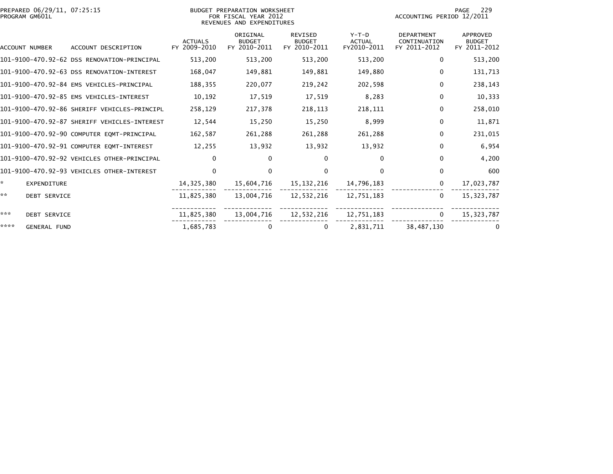| PREPARED 06/29/11, 07:25:15<br>PROGRAM GM601L |                                              |                                | BUDGET PREPARATION WORKSHEET<br>FOR FISCAL YEAR 2012<br>REVENUES AND EXPENDITURES |                                          |                                         | 229<br>PAGE<br>ACCOUNTING PERIOD 12/2011          |                                           |
|-----------------------------------------------|----------------------------------------------|--------------------------------|-----------------------------------------------------------------------------------|------------------------------------------|-----------------------------------------|---------------------------------------------------|-------------------------------------------|
| <b>ACCOUNT NUMBER</b>                         | ACCOUNT DESCRIPTION                          | <b>ACTUALS</b><br>FY 2009-2010 | ORIGINAL<br><b>BUDGET</b><br>FY 2010-2011                                         | REVISED<br><b>BUDGET</b><br>FY 2010-2011 | $Y-T-D$<br><b>ACTUAL</b><br>FY2010-2011 | <b>DEPARTMENT</b><br>CONTINUATION<br>FY 2011-2012 | APPROVED<br><b>BUDGET</b><br>FY 2011-2012 |
|                                               | 101-9100-470.92-62 DSS RENOVATION-PRINCIPAL  | 513,200                        | 513,200                                                                           | 513,200                                  | 513,200                                 | 0                                                 | 513,200                                   |
|                                               | 101-9100-470.92-63 DSS RENOVATION-INTEREST   | 168,047                        | 149,881                                                                           | 149,881                                  | 149,880                                 | $\mathbf{0}$                                      | 131,713                                   |
|                                               | 101-9100-470.92-84 EMS VEHICLES-PRINCIPAL    | 188,355                        | 220,077                                                                           | 219,242                                  | 202,598                                 | 0                                                 | 238,143                                   |
|                                               | 101-9100-470.92-85 EMS VEHICLES-INTEREST     | 10,192                         | 17,519                                                                            | 17,519                                   | 8,283                                   | 0                                                 | 10,333                                    |
|                                               | 101-9100-470.92-86 SHERIFF VEHICLES-PRINCIPL | 258,129                        | 217,378                                                                           | 218,113                                  | 218,111                                 | 0                                                 | 258,010                                   |
|                                               | 101-9100-470.92-87 SHERIFF VEHICLES-INTEREST | 12,544                         | 15,250                                                                            | 15,250                                   | 8,999                                   | $\Omega$                                          | 11,871                                    |
|                                               | 101-9100-470.92-90 COMPUTER EQMT-PRINCIPAL   | 162,587                        | 261,288                                                                           | 261,288                                  | 261,288                                 | $\Omega$                                          | 231,015                                   |
|                                               | 101-9100-470.92-91 COMPUTER EQMT-INTEREST    | 12,255                         | 13,932                                                                            | 13,932                                   | 13,932                                  | $\Omega$                                          | 6,954                                     |
|                                               | 101-9100-470.92-92 VEHICLES OTHER-PRINCIPAL  | 0                              | 0                                                                                 | $\bf{0}$                                 | $\Omega$                                | 0                                                 | 4,200                                     |
|                                               | 101-9100-470.92-93 VEHICLES OTHER-INTEREST   | $\Omega$                       | $\Omega$                                                                          | $\Omega$                                 | $\Omega$                                | $\Omega$                                          | 600                                       |
| $\mathcal{R}$<br><b>EXPENDITURE</b>           |                                              | 14,325,380                     | 15,604,716                                                                        | 15,132,216                               | 14,796,183                              | $\mathbf{0}$                                      | 17,023,787                                |
| **<br><b>DEBT SERVICE</b>                     |                                              | 11,825,380                     | 13,004,716                                                                        | 12,532,216                               | 12,751,183                              | $\mathbf{0}$                                      | 15, 323, 787                              |
| ***<br><b>DEBT SERVICE</b>                    |                                              | 11,825,380                     | 13,004,716                                                                        | 12,532,216                               | 12,751,183                              | $\mathbf{0}$                                      | 15,323,787                                |
| ****<br><b>GENERAL FUND</b>                   |                                              | 1,685,783                      | 0                                                                                 | 0                                        | 2,831,711                               | 38,487,130                                        |                                           |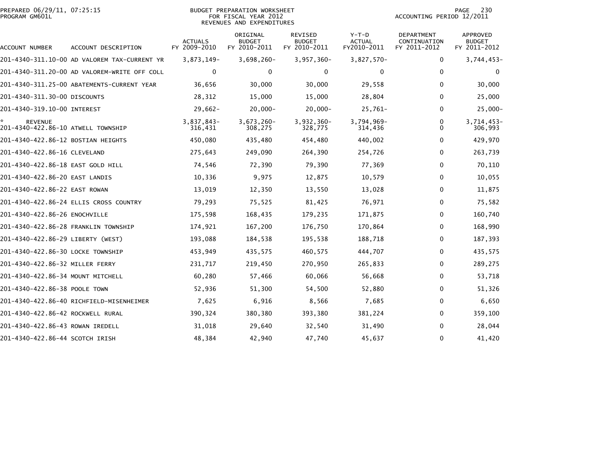|                | PREPARED 06/29/11, 07:25:15 |  |
|----------------|-----------------------------|--|
| PROGRAM GM601L |                             |  |

# PREPARED 06/29/11, 07:25:15 BUDGET PREPARATION WORKSHEET PAGE 230PROGRAM GM601L FOR FISCAL YEAR 2012 ACCOUNTING PERIOD 12/2011 REVENUES AND EXPENDITURES

|                                                      |                                              |                                | ORIGINAL                      | <b>REVISED</b>                | $Y-T-D$               | <b>DEPARTMENT</b>            | APPROVED                      |
|------------------------------------------------------|----------------------------------------------|--------------------------------|-------------------------------|-------------------------------|-----------------------|------------------------------|-------------------------------|
| ACCOUNT NUMBER                                       | ACCOUNT DESCRIPTION                          | <b>ACTUALS</b><br>FY 2009-2010 | <b>BUDGET</b><br>FY 2010-2011 | <b>BUDGET</b><br>FY 2010-2011 | ACTUAL<br>FY2010-2011 | CONTINUATION<br>FY 2011-2012 | <b>BUDGET</b><br>FY 2011-2012 |
|                                                      | 201-4340-311.10-00 AD VALOREM TAX-CURRENT YR | 3,873,149-                     | 3,698,260-                    | $3,957,360 -$                 | $3,827,570-$          | $\Omega$                     | $3,744,453-$                  |
|                                                      | 201-4340-311.20-00 AD VALOREM-WRITE OFF COLL | $\mathbf{0}$                   | 0                             | 0                             | 0                     | $\Omega$                     | 0                             |
|                                                      | 201-4340-311.25-00 ABATEMENTS-CURRENT YEAR   | 36,656                         | 30,000                        | 30,000                        | 29,558                | $\Omega$                     | 30,000                        |
| 201-4340-311.30-00 DISCOUNTS                         |                                              | 28,312                         | 15,000                        | 15,000                        | 28,804                | 0                            | 25,000                        |
| 201-4340-319.10-00 INTEREST                          |                                              | $29,662-$                      | $20,000-$                     | $20,000 -$                    | $25,761-$             | 0                            | $25,000-$                     |
| <b>REVENUE</b><br>201-4340-422.86-10 ATWELL TOWNSHIP |                                              | 3,837,843-<br>316,431          | $3,673,260 -$<br>308,275      | 3,932,360-<br>328,775         | 3,794,969-<br>314,436 | 0<br>$\Omega$                | $3,714,453-$<br>306,993       |
| 201-4340-422.86-12 BOSTIAN HEIGHTS                   |                                              | 450,080                        | 435,480                       | 454,480                       | 440,002               | 0                            | 429,970                       |
| 201–4340–422.86–16 CLEVELAND                         |                                              | 275,643                        | 249,090                       | 264,390                       | 254,726               | 0                            | 263,739                       |
| 201-4340-422.86-18 EAST GOLD HILL                    |                                              | 74,546                         | 72,390                        | 79,390                        | 77,369                | 0                            | 70,110                        |
| 201-4340-422.86-20 EAST LANDIS                       |                                              | 10,336                         | 9,975                         | 12,875                        | 10,579                | $\mathbf{0}$                 | 10,055                        |
| 201-4340-422.86-22 EAST ROWAN                        |                                              | 13,019                         | 12,350                        | 13,550                        | 13,028                | $\bf{0}$                     | 11,875                        |
|                                                      | 201-4340-422.86-24 ELLIS CROSS COUNTRY       | 79,293                         | 75,525                        | 81,425                        | 76,971                | $\bf{0}$                     | 75,582                        |
| 201-4340-422.86-26 ENOCHVILLE                        |                                              | 175,598                        | 168,435                       | 179,235                       | 171,875               | 0                            | 160,740                       |
| 201-4340-422.86-28 FRANKLIN TOWNSHIP                 |                                              | 174,921                        | 167,200                       | 176,750                       | 170,864               | 0                            | 168,990                       |
| 201-4340-422.86-29 LIBERTY (WEST)                    |                                              | 193,088                        | 184,538                       | 195,538                       | 188,718               | 0                            | 187,393                       |
| 201-4340-422.86-30 LOCKE TOWNSHIP                    |                                              | 453,949                        | 435,575                       | 460,575                       | 444,707               | $\mathbf{0}$                 | 435,575                       |
| 201-4340-422.86-32 MILLER FERRY                      |                                              | 231,717                        | 219,450                       | 270,950                       | 265,833               | 0                            | 289,275                       |
| 201–4340–422.86–34 MOUNT MITCHELL                    |                                              | 60,280                         | 57,466                        | 60,066                        | 56,668                | $\bf{0}$                     | 53,718                        |
| 201-4340-422.86-38 POOLE TOWN                        |                                              | 52,936                         | 51,300                        | 54,500                        | 52,880                | $\mathbf{0}$                 | 51,326                        |
|                                                      | 201-4340-422.86-40 RICHFIELD-MISENHEIMER     | 7,625                          | 6,916                         | 8,566                         | 7,685                 | 0                            | 6,650                         |
| 201-4340-422.86-42 ROCKWELL RURAL                    |                                              | 390,324                        | 380,380                       | 393,380                       | 381,224               | 0                            | 359,100                       |
| 201-4340-422.86-43 ROWAN IREDELL                     |                                              | 31,018                         | 29,640                        | 32,540                        | 31,490                | 0                            | 28,044                        |
| 201-4340-422.86-44 SCOTCH IRISH                      |                                              | 48,384                         | 42,940                        | 47,740                        | 45,637                | 0                            | 41,420                        |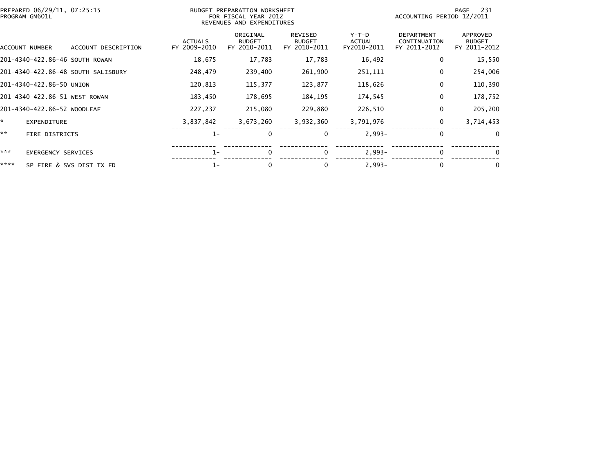|      | PREPARED 06/29/11, 07:25:15<br>PROGRAM GM601L |                                    | BUDGET PREPARATION WORKSHEET<br>FOR FISCAL YEAR 2012<br>REVENUES AND EXPENDITURES |                                           |                                                 |                                       | 231<br>PAGE<br>ACCOUNTING PERIOD 12/2011          |                                           |
|------|-----------------------------------------------|------------------------------------|-----------------------------------------------------------------------------------|-------------------------------------------|-------------------------------------------------|---------------------------------------|---------------------------------------------------|-------------------------------------------|
|      | ACCOUNT NUMBER                                | ACCOUNT DESCRIPTION                | <b>ACTUALS</b><br>FY 2009-2010                                                    | ORIGINAL<br><b>BUDGET</b><br>FY 2010-2011 | <b>REVISED</b><br><b>BUDGET</b><br>FY 2010-2011 | Y-T-D<br><b>ACTUAL</b><br>FY2010-2011 | <b>DEPARTMENT</b><br>CONTINUATION<br>FY 2011-2012 | APPROVED<br><b>BUDGET</b><br>FY 2011-2012 |
|      | 201-4340-422.86-46 SOUTH ROWAN                |                                    | 18,675                                                                            | 17,783                                    | 17,783                                          | 16,492                                | $\mathbf 0$                                       | 15,550                                    |
|      |                                               | 201–4340–422.86–48 SOUTH SALISBURY | 248,479                                                                           | 239,400                                   | 261,900                                         | 251,111                               | 0                                                 | 254,006                                   |
|      | 201-4340-422.86-50 UNION                      |                                    | 120,813                                                                           | 115,377                                   | 123,877                                         | 118,626                               | 0                                                 | 110,390                                   |
|      | 201-4340-422.86-51 WEST ROWAN                 |                                    | 183,450                                                                           | 178,695                                   | 184,195                                         | 174,545                               | $\mathbf 0$                                       | 178,752                                   |
|      | 201-4340-422.86-52 WOODLEAF                   |                                    | 227,237                                                                           | 215,080                                   | 229,880                                         | 226,510                               | $\Omega$                                          | 205,200                                   |
| ×.   | <b>EXPENDITURE</b>                            |                                    | 3,837,842                                                                         | 3,673,260                                 | 3,932,360                                       | 3,791,976                             | $\mathbf 0$                                       | 3,714,453                                 |
| **   | FIRE DISTRICTS                                |                                    | $1-$                                                                              | 0                                         | 0                                               | $2,993-$                              | 0                                                 | $\overline{0}$                            |
| ***  | <b>EMERGENCY SERVICES</b>                     |                                    | $1 -$                                                                             | 0                                         | 0                                               | $2,993-$                              | $\Omega$                                          | 0                                         |
| **** |                                               | SP FIRE & SVS DIST TX FD           | 1-                                                                                | 0                                         | 0                                               | $2,993-$                              | $\Omega$                                          | 0                                         |
|      |                                               |                                    |                                                                                   |                                           |                                                 |                                       |                                                   |                                           |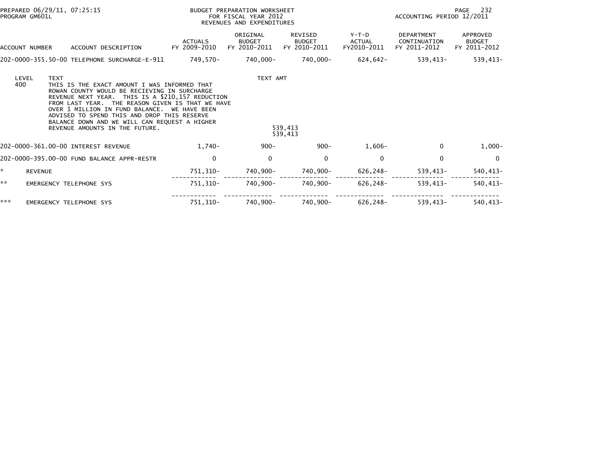|     | PREPARED 06/29/11, 07:25:15<br>PROGRAM GM601L |                                                                                                                                                                                                                                                                                                                                                                                        |                                | <b>BUDGET PREPARATION WORKSHEET</b><br>FOR FISCAL YEAR 2012<br>REVENUES AND EXPENDITURES |                                                 |                                  | ACCOUNTING PERIOD 12/2011                         | PAGE 232                                  |
|-----|-----------------------------------------------|----------------------------------------------------------------------------------------------------------------------------------------------------------------------------------------------------------------------------------------------------------------------------------------------------------------------------------------------------------------------------------------|--------------------------------|------------------------------------------------------------------------------------------|-------------------------------------------------|----------------------------------|---------------------------------------------------|-------------------------------------------|
|     | ACCOUNT NUMBER                                | ACCOUNT DESCRIPTION                                                                                                                                                                                                                                                                                                                                                                    | <b>ACTUALS</b><br>FY 2009-2010 | ORIGINAL<br><b>BUDGET</b><br>FY 2010-2011                                                | <b>REVISED</b><br><b>BUDGET</b><br>FY 2010-2011 | $Y-T-D$<br>ACTUAL<br>FY2010-2011 | <b>DEPARTMENT</b><br>CONTINUATION<br>FY 2011-2012 | APPROVED<br><b>BUDGET</b><br>FY 2011-2012 |
|     |                                               | 202-0000-355.50-00 TELEPHONE SURCHARGE-E-911                                                                                                                                                                                                                                                                                                                                           | 749,570-                       | 740,000-                                                                                 | 740,000-                                        | 624,642-                         | 539,413-                                          | $539,413-$                                |
|     | LEVEL<br><b>TEXT</b><br>400                   | THIS IS THE EXACT AMOUNT I WAS INFORMED THAT<br>ROWAN COUNTY WOULD BE RECIEVING IN SURCHARGE<br>REVENUE NEXT YEAR. THIS IS A \$210,157 REDUCTION<br>FROM LAST YEAR. THE REASON GIVEN IS THAT WE HAVE<br>OVER 1 MILLION IN FUND BALANCE. WE HAVE BEEN<br>ADVISED TO SPEND THIS AND DROP THIS RESERVE<br>BALANCE DOWN AND WE WILL CAN REQUEST A HIGHER<br>REVENUE AMOUNTS IN THE FUTURE. |                                | TEXT AMT                                                                                 | 539,413<br>539,413                              |                                  |                                                   |                                           |
|     |                                               | 202-0000-361.00-00 INTEREST REVENUE                                                                                                                                                                                                                                                                                                                                                    | $1,740-$                       | $900 -$                                                                                  | $900 -$                                         | $1,606-$                         | $\Omega$                                          | $1,000-$                                  |
|     |                                               | 202-0000-395.00-00 FUND BALANCE APPR-RESTR                                                                                                                                                                                                                                                                                                                                             | 0                              | 0                                                                                        | 0                                               | 0                                | 0                                                 | 0                                         |
| ÷.  | <b>REVENUE</b>                                |                                                                                                                                                                                                                                                                                                                                                                                        | 751,310-                       | 740,900-                                                                                 | 740,900-                                        | 626,248-                         | 539,413-                                          | 540,413-                                  |
| **  |                                               | <b>EMERGENCY TELEPHONE SYS</b>                                                                                                                                                                                                                                                                                                                                                         | 751,310-                       | 740,900-                                                                                 | 740,900-                                        | 626,248-                         | 539,413-                                          | 540,413-                                  |
| *** |                                               | <b>EMERGENCY TELEPHONE SYS</b>                                                                                                                                                                                                                                                                                                                                                         | 751,310-                       | 740,900-                                                                                 | 740,900-                                        | 626,248-                         | 539,413-                                          | $540, 413 -$                              |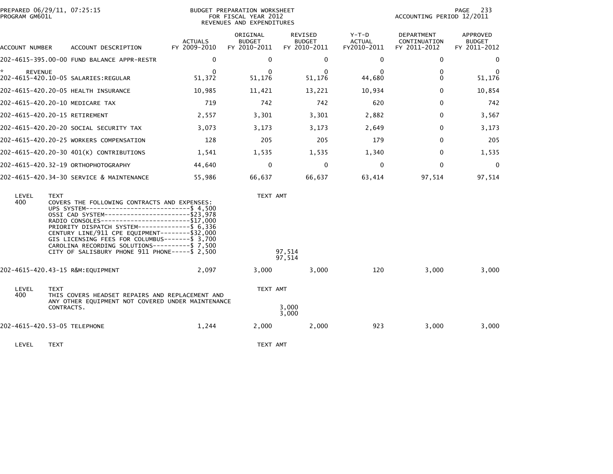| PROGRAM GM601L | PREPARED 06/29/11, 07:25:15                                                                                                                                                                                                                                                                                                                                                                                                                                                     | BUDGET PREPARATION WORKSHEET<br>FOR FISCAL YEAR 2012<br>REVENUES AND EXPENDITURES |                                           |                                          |                                       | PAGE<br>233<br>ACCOUNTING PERIOD 12/2011   |                                           |  |
|----------------|---------------------------------------------------------------------------------------------------------------------------------------------------------------------------------------------------------------------------------------------------------------------------------------------------------------------------------------------------------------------------------------------------------------------------------------------------------------------------------|-----------------------------------------------------------------------------------|-------------------------------------------|------------------------------------------|---------------------------------------|--------------------------------------------|-------------------------------------------|--|
| ACCOUNT NUMBER | ACCOUNT DESCRIPTION                                                                                                                                                                                                                                                                                                                                                                                                                                                             | <b>ACTUALS</b><br>FY 2009-2010                                                    | ORIGINAL<br><b>BUDGET</b><br>FY 2010-2011 | REVISED<br><b>BUDGET</b><br>FY 2010-2011 | Y-T-D<br><b>ACTUAL</b><br>FY2010-2011 | DEPARTMENT<br>CONTINUATION<br>FY 2011-2012 | APPROVED<br><b>BUDGET</b><br>FY 2011-2012 |  |
|                | 202-4615-395.00-00 FUND BALANCE APPR-RESTR                                                                                                                                                                                                                                                                                                                                                                                                                                      | $\Omega$                                                                          | $\Omega$                                  | $\mathbf{0}$                             | $\Omega$                              | $\mathbf{0}$                               | 0                                         |  |
| <b>REVENUE</b> | 202-4615-420.10-05 SALARIES:REGULAR                                                                                                                                                                                                                                                                                                                                                                                                                                             | $\Omega$<br>51,372                                                                | $\Omega$<br>51,176                        | $\Omega$<br>51,176                       | $\Omega$<br>44,680                    | $\mathbf{0}$<br>$\Omega$                   | 0<br>51,176                               |  |
|                | 202-4615-420.20-05 HEALTH INSURANCE                                                                                                                                                                                                                                                                                                                                                                                                                                             | 10,985                                                                            | 11,421                                    | 13,221                                   | 10,934                                | $\mathbf{0}$                               | 10,854                                    |  |
|                | 202-4615-420.20-10 MEDICARE TAX                                                                                                                                                                                                                                                                                                                                                                                                                                                 | 719                                                                               | 742                                       | 742                                      | 620                                   | $\Omega$                                   | 742                                       |  |
|                | 202-4615-420.20-15 RETIREMENT                                                                                                                                                                                                                                                                                                                                                                                                                                                   | 2,557                                                                             | 3,301                                     | 3,301                                    | 2,882                                 | $\mathbf{0}$                               | 3,567                                     |  |
|                | 202-4615-420.20-20 SOCIAL SECURITY TAX                                                                                                                                                                                                                                                                                                                                                                                                                                          | 3,073                                                                             | 3,173                                     | 3,173                                    | 2,649                                 | $\mathbf{0}$                               | 3,173                                     |  |
|                | 202-4615-420.20-25 WORKERS COMPENSATION                                                                                                                                                                                                                                                                                                                                                                                                                                         | 128                                                                               | 205                                       | 205                                      | 179                                   | 0                                          | 205                                       |  |
|                | 202-4615-420.20-30 401(K) CONTRIBUTIONS                                                                                                                                                                                                                                                                                                                                                                                                                                         | 1,541                                                                             | 1,535                                     | 1,535                                    | 1,340                                 | $\mathbf{0}$                               | 1,535                                     |  |
|                | 202-4615-420.32-19 ORTHOPHOTOGRAPHY                                                                                                                                                                                                                                                                                                                                                                                                                                             | 44.640                                                                            | 0                                         | 0                                        | $\mathbf{0}$                          | $\Omega$                                   | $\mathbf 0$                               |  |
|                | 202-4615-420.34-30 SERVICE & MAINTENANCE                                                                                                                                                                                                                                                                                                                                                                                                                                        | 55,986                                                                            | 66,637                                    | 66,637                                   | 63,414                                | 97,514                                     | 97,514                                    |  |
| LEVEL<br>400   | <b>TEXT</b><br>COVERS THE FOLLOWING CONTRACTS AND EXPENSES:<br>UPS SYSTEM------------------------------- \$4,500<br>OSSI CAD SYSTEM-----------------------\$23,978<br>RADIO CONSOLES-----------------------\$17,000<br>PRIORITY DISPATCH SYSTEM-------------- \$ 6,336<br>CENTURY LINE/911 CPE EQUIPMENT--------\$32,000<br>GIS LICENSING FEES FOR COLUMBUS-------\$ 3,700<br>CAROLINA RECORDING SOLUTIONS----------\$ 7,500<br>CITY OF SALISBURY PHONE 911 PHONE----- \$ 2,500 |                                                                                   | TEXT AMT                                  | 97,514<br>97,514                         |                                       |                                            |                                           |  |
|                | 202-4615-420.43-15 R&M: EQUIPMENT                                                                                                                                                                                                                                                                                                                                                                                                                                               | 2,097                                                                             | 3,000                                     | 3,000                                    | 120                                   | 3,000                                      | 3,000                                     |  |
| LEVEL<br>400   | <b>TEXT</b><br>THIS COVERS HEADSET REPAIRS AND REPLACEMENT AND<br>ANY OTHER EQUIPMENT NOT COVERED UNDER MAINTENANCE<br>CONTRACTS.                                                                                                                                                                                                                                                                                                                                               |                                                                                   | TEXT AMT                                  | 3,000<br>3,000                           |                                       |                                            |                                           |  |
|                | 202-4615-420.53-05 TELEPHONE                                                                                                                                                                                                                                                                                                                                                                                                                                                    | 1,244                                                                             | 2,000                                     | 2,000                                    | 923                                   | 3,000                                      | 3,000                                     |  |
| LEVEL          | <b>TEXT</b>                                                                                                                                                                                                                                                                                                                                                                                                                                                                     |                                                                                   | TEXT AMT                                  |                                          |                                       |                                            |                                           |  |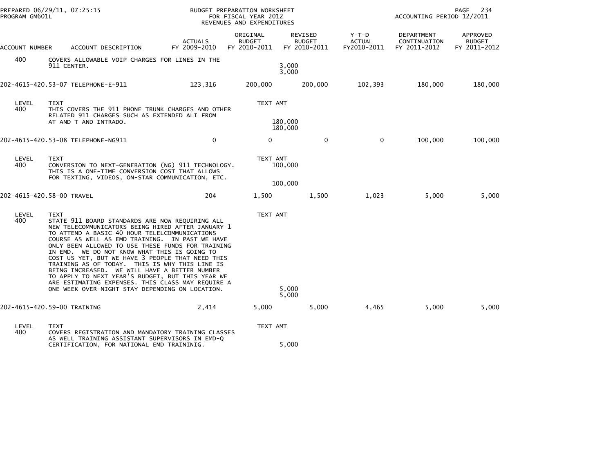| PREPARED 06/29/11, 07:25:15<br>PROGRAM GM601L |                                                                                                                                                               | BUDGET PREPARATION WORKSHEET<br>FOR FISCAL YEAR 2012<br>REVENUES AND EXPENDITURES                                                                                                                                                                                                                                                                                                                                                                                              |                                           |                                                 | ACCOUNTING PERIOD 12/2011               | 234<br>PAGE                                |                                           |
|-----------------------------------------------|---------------------------------------------------------------------------------------------------------------------------------------------------------------|--------------------------------------------------------------------------------------------------------------------------------------------------------------------------------------------------------------------------------------------------------------------------------------------------------------------------------------------------------------------------------------------------------------------------------------------------------------------------------|-------------------------------------------|-------------------------------------------------|-----------------------------------------|--------------------------------------------|-------------------------------------------|
| ACCOUNT NUMBER                                | ACCOUNT DESCRIPTION                                                                                                                                           | <b>ACTUALS</b><br>FY 2009-2010                                                                                                                                                                                                                                                                                                                                                                                                                                                 | ORIGINAL<br><b>BUDGET</b><br>FY 2010-2011 | <b>REVISED</b><br><b>BUDGET</b><br>FY 2010-2011 | $Y-T-D$<br><b>ACTUAL</b><br>FY2010-2011 | DEPARTMENT<br>CONTINUATION<br>FY 2011-2012 | APPROVED<br><b>BUDGET</b><br>FY 2011-2012 |
| 400                                           | COVERS ALLOWABLE VOIP CHARGES FOR LINES IN THE<br>911 CENTER.                                                                                                 |                                                                                                                                                                                                                                                                                                                                                                                                                                                                                |                                           | 3,000<br>3,000                                  |                                         |                                            |                                           |
|                                               | 202-4615-420.53-07 TELEPHONE-E-911                                                                                                                            | 123,316                                                                                                                                                                                                                                                                                                                                                                                                                                                                        | 200,000                                   | 200,000                                         | 102,393                                 | 180,000                                    | 180,000                                   |
| LEVEL<br>400                                  | <b>TEXT</b><br>RELATED 911 CHARGES SUCH AS EXTENDED ALI FROM<br>AT AND T AND INTRADO.                                                                         | THIS COVERS THE 911 PHONE TRUNK CHARGES AND OTHER                                                                                                                                                                                                                                                                                                                                                                                                                              | TEXT AMT                                  | 180,000<br>180,000                              |                                         |                                            |                                           |
|                                               |                                                                                                                                                               | $\mathbf 0$                                                                                                                                                                                                                                                                                                                                                                                                                                                                    | 0                                         | $\mathbf 0$                                     | $\mathbf 0$                             | 100,000                                    | 100,000                                   |
| LEVEL<br>400                                  | <b>TEXT</b><br>THIS IS A ONE-TIME CONVERSION COST THAT ALLOWS                                                                                                 | CONVERSION TO NEXT-GENERATION (NG) 911 TECHNOLOGY.<br>FOR TEXTING, VIDEOS, ON-STAR COMMUNICATION, ETC.                                                                                                                                                                                                                                                                                                                                                                         | TEXT AMT                                  | 100,000<br>100,000                              |                                         |                                            |                                           |
|                                               | 202-4615-420.58-00 TRAVEL                                                                                                                                     | 204                                                                                                                                                                                                                                                                                                                                                                                                                                                                            | 1,500                                     | 1,500                                           | 1,023                                   | 5,000                                      | 5,000                                     |
| LEVEL<br>400                                  | <b>TEXT</b><br>TO ATTEND A BASIC 40 HOUR TELELCOMMUNICATIONS<br>IN EMD. WE DO NOT KNOW WHAT THIS IS GOING TO<br>BEING INCREASED. WE WILL HAVE A BETTER NUMBER | STATE 911 BOARD STANDARDS ARE NOW REQUIRING ALL<br>NEW TELECOMMUNICATORS BEING HIRED AFTER JANUARY 1<br>COURSE AS WELL AS EMD TRAINING. IN PAST WE HAVE<br>ONLY BEEN ALLOWED TO USE THESE FUNDS FOR TRAINING<br>COST US YET, BUT WE HAVE 3 PEOPLE THAT NEED THIS<br>TRAINING AS OF TODAY. THIS IS WHY THIS LINE IS<br>TO APPLY TO NEXT YEAR'S BUDGET, BUT THIS YEAR WE<br>ARE ESTIMATING EXPENSES. THIS CLASS MAY REQUIRE A<br>ONE WEEK OVER-NIGHT STAY DEPENDING ON LOCATION. | TEXT AMT                                  | 5,000<br>5,000                                  |                                         |                                            |                                           |
|                                               | 202-4615-420.59-00 TRAINING                                                                                                                                   | 2,414                                                                                                                                                                                                                                                                                                                                                                                                                                                                          | 5,000                                     | 5,000                                           | 4,465                                   | 5,000                                      | 5,000                                     |
| LEVEL<br>400                                  | <b>TEXT</b>                                                                                                                                                   | COVERS REGISTRATION AND MANDATORY TRAINING CLASSES<br>AS WELL TRAINING ASSISTANT SUPERVISORS IN EMD-Q                                                                                                                                                                                                                                                                                                                                                                          | TEXT AMT                                  |                                                 |                                         |                                            |                                           |
|                                               | CERTIFICATION, FOR NATIONAL EMD TRAININIG.                                                                                                                    |                                                                                                                                                                                                                                                                                                                                                                                                                                                                                |                                           | 5,000                                           |                                         |                                            |                                           |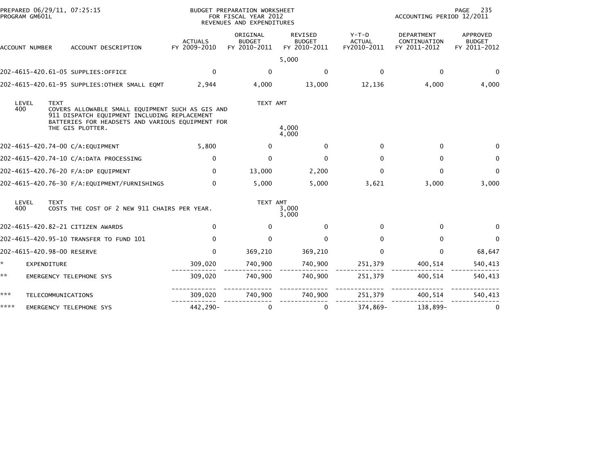| PROGRAM GM601L | PREPARED 06/29/11, 07:25:15                                                                                                                                                             |                                | BUDGET PREPARATION WORKSHEET<br>FOR FISCAL YEAR 2012<br>REVENUES AND EXPENDITURES |                                          |                                         | ACCOUNTING PERIOD 12/2011                  | 235<br><b>PAGE</b>                        |
|----------------|-----------------------------------------------------------------------------------------------------------------------------------------------------------------------------------------|--------------------------------|-----------------------------------------------------------------------------------|------------------------------------------|-----------------------------------------|--------------------------------------------|-------------------------------------------|
| ACCOUNT NUMBER | ACCOUNT DESCRIPTION                                                                                                                                                                     | <b>ACTUALS</b><br>FY 2009-2010 | ORIGINAL<br><b>BUDGET</b><br>FY 2010-2011                                         | REVISED<br><b>BUDGET</b><br>FY 2010-2011 | $Y-T-D$<br><b>ACTUAL</b><br>FY2010-2011 | DEPARTMENT<br>CONTINUATION<br>FY 2011-2012 | APPROVED<br><b>BUDGET</b><br>FY 2011-2012 |
|                |                                                                                                                                                                                         |                                |                                                                                   | 5,000                                    |                                         |                                            |                                           |
|                | 202-4615-420.61-05 SUPPLIES:OFFICE                                                                                                                                                      | $\mathbf{0}$                   | 0                                                                                 | $\mathbf{0}$                             | $\Omega$                                | $\Omega$                                   | $\bf{0}$                                  |
|                | 202-4615-420.61-95 SUPPLIES: OTHER SMALL EQMT                                                                                                                                           | 2,944                          | 4,000                                                                             | 13,000                                   | 12,136                                  | 4,000                                      | 4,000                                     |
| LEVEL<br>400   | <b>TEXT</b><br>COVERS ALLOWABLE SMALL EQUIPMENT SUCH AS GIS AND<br>911 DISPATCH EQUIPMENT INCLUDING REPLACEMENT<br>BATTERIES FOR HEADSETS AND VARIOUS EQUIPMENT FOR<br>THE GIS PLOTTER. |                                | TEXT AMT                                                                          | 4,000<br>4,000                           |                                         |                                            |                                           |
|                | 202-4615-420.74-00 C/A:EQUIPMENT                                                                                                                                                        | 5,800                          | $\mathbf{0}$                                                                      | $\mathbf{0}$                             | $\Omega$                                | $\Omega$                                   | $\Omega$                                  |
|                | 202-4615-420.74-10 C/A:DATA PROCESSING                                                                                                                                                  | $\Omega$                       | $\mathbf{0}$                                                                      | $\Omega$                                 | $\Omega$                                | $\Omega$                                   | $\mathbf{0}$                              |
|                | 202-4615-420.76-20 F/A:DP EQUIPMENT                                                                                                                                                     | $\mathbf{0}$                   | 13,000                                                                            | 2,200                                    | $\mathbf{0}$                            | $\Omega$                                   | $\mathbf{0}$                              |
|                | 202-4615-420.76-30 F/A:EQUIPMENT/FURNISHINGS                                                                                                                                            | $\Omega$                       | 5,000                                                                             | 5,000                                    | 3,621                                   | 3,000                                      | 3,000                                     |
| LEVEL<br>400   | <b>TEXT</b><br>COSTS THE COST OF 2 NEW 911 CHAIRS PER YEAR.                                                                                                                             |                                | TEXT AMT                                                                          | 3,000<br>3,000                           |                                         |                                            |                                           |
|                | 202-4615-420.82-21 CITIZEN AWARDS                                                                                                                                                       | $\Omega$                       | $\Omega$                                                                          | $\mathbf{0}$                             | $\Omega$                                | $\Omega$                                   |                                           |
|                | 202-4615-420.95-10 TRANSFER TO FUND 101                                                                                                                                                 | $\Omega$                       | $\Omega$                                                                          | $\Omega$                                 | $\Omega$                                | $\Omega$                                   | $\mathbf{0}$                              |
|                | 202-4615-420.98-00 RESERVE                                                                                                                                                              | $\mathbf{0}$                   | 369,210                                                                           | 369,210                                  | $\Omega$                                | $\mathbf{0}$                               | 68,647                                    |
|                | EXPENDITURE                                                                                                                                                                             | 309,020                        | 740,900                                                                           | 740,900                                  | 251,379                                 | 400,514                                    | 540,413                                   |
| **             | EMERGENCY TELEPHONE SYS                                                                                                                                                                 | 309,020                        | 740,900                                                                           | 740,900                                  | 251,379                                 | 400,514                                    | 540,413                                   |
| ***            | TELECOMMUNICATIONS                                                                                                                                                                      | 309,020                        | 740,900                                                                           | 740,900                                  | 251,379                                 | 400,514                                    | 540,413                                   |
| ****           | EMERGENCY TELEPHONE SYS                                                                                                                                                                 | 442,290-                       | 0                                                                                 | 0                                        | 374,869-                                | 138,899-                                   | 0                                         |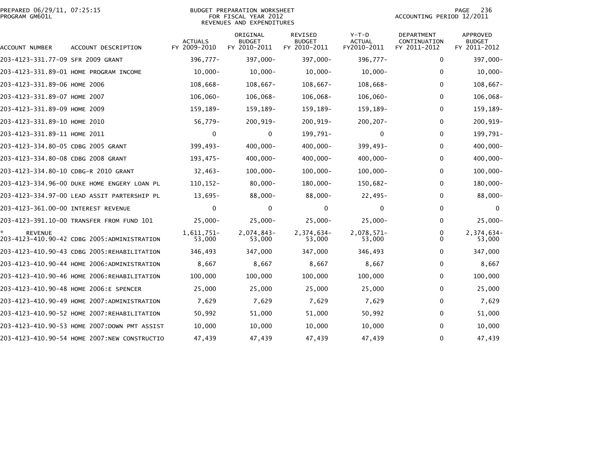| PREPARED 06/29/11, 07:25:15 | BUDGET PREPARATION WORKSHEET | 236<br>PAGE               |
|-----------------------------|------------------------------|---------------------------|
| PROGRAM GM601L              | FOR FISCAL YEAR 2012         | ACCOUNTING PERIOD 12/2011 |
|                             | REVENUES AND EXPENDITURES    |                           |

PAGE 236<br>ACCOUNTING PERIOD 12/2011

| ACCOUNT NUMBER                       | ACCOUNT DESCRIPTION                          | <b>ACTUALS</b><br>FY 2009-2010 | ORIGINAL<br><b>BUDGET</b><br>FY 2010-2011 | <b>REVISED</b><br><b>BUDGET</b><br>FY 2010-2011 | $Y-T-D$<br><b>ACTUAL</b><br>FY2010-2011 | DEPARTMENT<br>CONTINUATION<br>FY 2011-2012 | <b>APPROVED</b><br><b>BUDGET</b><br>FY 2011-2012 |
|--------------------------------------|----------------------------------------------|--------------------------------|-------------------------------------------|-------------------------------------------------|-----------------------------------------|--------------------------------------------|--------------------------------------------------|
| 203-4123-331.77-09 SFR 2009 GRANT    |                                              | 396,777-                       | 397,000-                                  | 397,000-                                        | 396,777-                                | $\mathbf 0$                                | 397,000-                                         |
|                                      | 203-4123-331.89-01 HOME PROGRAM INCOME       | $10,000 -$                     | $10,000 -$                                | $10,000 -$                                      | $10,000 -$                              | $\mathbf{0}$                               | $10,000 -$                                       |
| 203-4123-331.89-06 номє 2006         |                                              | 108,668-                       | $108,667-$                                | $108,667-$                                      | 108,668-                                | $\mathbf{0}$                               | $108,667-$                                       |
| 203-4123-331.89-07 HOME 2007         |                                              | $106,060 -$                    | 106,068-                                  | $106,068 -$                                     | $106,060 -$                             | $\mathbf{0}$                               | 106,068-                                         |
| 203-4123-331.89-09 HOME 2009         |                                              | 159,189-                       | 159,189-                                  | 159,189-                                        | 159,189-                                | 0                                          | 159,189-                                         |
| 203-4123-331.89-10 HOME 2010         |                                              | 56,779-                        | $200, 919 -$                              | 200,919-                                        | $200, 207 -$                            | 0                                          | 200,919-                                         |
| 203-4123-331.89-11 HOME 2011         |                                              | 0                              | 0                                         | 199,791-                                        | 0                                       | 0                                          | 199,791-                                         |
| 203-4123-334.80-05 CDBG 2005 GRANT   |                                              | 399,493-                       | 400,000-                                  | $400,000 -$                                     | 399,493-                                | $\mathbf{0}$                               | $400,000 -$                                      |
| 203-4123-334.80-08 CDBG 2008 GRANT   |                                              | 193,475-                       | $400,000 -$                               | $400,000 -$                                     | $400,000 -$                             | 0                                          | $400,000 -$                                      |
| 203-4123-334.80-10 CDBG-R 2010 GRANT |                                              | $32,463-$                      | $100,000 -$                               | $100,000 -$                                     | $100,000 -$                             | 0                                          | $100,000 -$                                      |
|                                      | 203-4123-334.96-00 DUKE HOME ENGERY LOAN PL  | 110, 152-                      | $80,000 -$                                | $180,000 -$                                     | 150,682-                                | 0                                          | 180,000-                                         |
|                                      | 203-4123-334.97-00 LEAD ASSIT PARTERSHIP PL  | $13,695-$                      | 88,000-                                   | $88,000 -$                                      | $22,495-$                               | $\mathbf{0}$                               | $88,000 -$                                       |
| 203-4123-361.00-00 INTEREST REVENUE  |                                              | $\mathbf{0}$                   | $\mathbf{0}$                              | $\mathbf 0$                                     | $\Omega$                                | $\mathbf{0}$                               | $\Omega$                                         |
|                                      | 203-4123-391.10-00 TRANSFER FROM FUND 101    | $25,000 -$                     | $25,000 -$                                | $25,000 -$                                      | $25,000 -$                              | $\mathbf{0}$                               | $25,000 -$                                       |
| <b>REVENUE</b>                       | 203-4123-410.90-42 CDBG 2005:ADMINISTRATION  | 1,611,751-<br>53,000           | 2,074,843-<br>53,000                      | 2,374,634-<br>53,000                            | 2,078,571-<br>53,000                    | 0<br>$\Omega$                              | 2,374,634-<br>53,000                             |
|                                      | 203-4123-410.90-43 CDBG 2005:REHABILITATION  | 346,493                        | 347,000                                   | 347,000                                         | 346,493                                 | 0                                          | 347,000                                          |
|                                      | 203-4123-410.90-44 HOME 2006:ADMINISTRATION  | 8,667                          | 8,667                                     | 8,667                                           | 8,667                                   | 0                                          | 8,667                                            |
|                                      | 203-4123-410.90-46 HOME 2006:REHABILITATION  | 100,000                        | 100,000                                   | 100,000                                         | 100,000                                 | $\mathbf{0}$                               | 100,000                                          |
|                                      | 203-4123-410.90-48 HOME 2006:E SPENCER       | 25,000                         | 25,000                                    | 25,000                                          | 25,000                                  | $\bf{0}$                                   | 25,000                                           |
|                                      |                                              | 7,629                          | 7,629                                     | 7,629                                           | 7,629                                   | $\mathbf 0$                                | 7,629                                            |
|                                      | 203-4123-410.90-52 HOME 2007:REHABILITATION  | 50,992                         | 51,000                                    | 51,000                                          | 50,992                                  | 0                                          | 51,000                                           |
|                                      | 203-4123-410.90-53 HOME 2007:DOWN PMT ASSIST | 10,000                         | 10,000                                    | 10,000                                          | 10,000                                  | 0                                          | 10,000                                           |
|                                      | 203-4123-410.90-54 HOME 2007:NEW CONSTRUCTIO | 47,439                         | 47,439                                    | 47,439                                          | 47,439                                  | $\mathbf{0}$                               | 47,439                                           |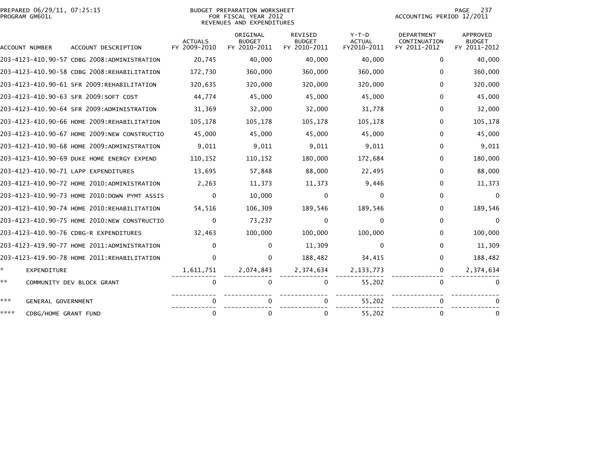|                | PREPARED 06/29/11, 07:25:15 |  |
|----------------|-----------------------------|--|
| PROGRAM GM601L |                             |  |

### BUDGET PREPARATION WORKSHEET PROGRAM GM601L FOR FISCAL YEAR 2012 ACCOUNTING PERIOD 12/2011 REVENUES AND EXPENDITURES

| ACCOUNT NUMBER |                      | ACCOUNT DESCRIPTION                          | ACTUALS<br>FY 2009-2010 | ORIGINAL<br><b>BUDGET</b><br>FY 2010-2011 | <b>REVISED</b><br><b>BUDGET</b><br>FY 2010-2011 | $Y-T-D$<br><b>ACTUAL</b><br>FY2010-2011 | <b>DEPARTMENT</b><br>CONTINUATION<br>FY 2011-2012 | <b>APPROVED</b><br><b>BUDGET</b><br>FY 2011-2012 |
|----------------|----------------------|----------------------------------------------|-------------------------|-------------------------------------------|-------------------------------------------------|-----------------------------------------|---------------------------------------------------|--------------------------------------------------|
|                |                      | 203-4123-410.90-57 CDBG 2008:ADMINISTRATION  | 20,745                  | 40,000                                    | 40,000                                          | 40,000                                  | 0                                                 | 40,000                                           |
|                |                      | 203-4123-410.90-58 CDBG 2008:REHABILITATION  | 172,730                 | 360,000                                   | 360,000                                         | 360,000                                 | 0                                                 | 360,000                                          |
|                |                      | 203-4123-410.90-61 SFR 2009:REHABILITATION   | 320,635                 | 320,000                                   | 320,000                                         | 320,000                                 | 0                                                 | 320,000                                          |
|                |                      | 203-4123-410.90-63 SFR 2009:SOFT COST        | 44,774                  | 45,000                                    | 45,000                                          | 45,000                                  | $\Omega$                                          | 45,000                                           |
|                |                      | 203-4123-410.90-64 SFR 2009:ADMINISTRATION   | 31,369                  | 32,000                                    | 32,000                                          | 31,778                                  | 0                                                 | 32,000                                           |
|                |                      | 203-4123-410.90-66 HOME 2009:REHABILITATION  | 105,178                 | 105,178                                   | 105,178                                         | 105,178                                 | $\mathbf{0}$                                      | 105,178                                          |
|                |                      | 203-4123-410.90-67 HOME 2009:NEW CONSTRUCTIO | 45,000                  | 45,000                                    | 45,000                                          | 45,000                                  | 0                                                 | 45,000                                           |
|                |                      | 203-4123-410.90-68 HOME 2009:ADMINISTRATION  | 9,011                   | 9,011                                     | 9,011                                           | 9,011                                   | 0                                                 | 9,011                                            |
|                |                      | 203-4123-410.90-69 DUKE HOME ENERGY EXPEND   | 110,152                 | 110,152                                   | 180,000                                         | 172,684                                 | 0                                                 | 180,000                                          |
|                |                      | 203-4123-410.90-71 LAPP EXPENDITURES         | 13,695                  | 57,848                                    | 88,000                                          | 22,495                                  | 0                                                 | 88,000                                           |
|                |                      | 203-4123-410.90-72 HOME 2010:ADMINISTRATION  | 2,263                   | 11,373                                    | 11,373                                          | 9,446                                   | 0                                                 | 11,373                                           |
|                |                      | 203-4123-410.90-73 HOME 2010:DOWN PYMT ASSIS | 0                       | 10,000                                    | $\Omega$                                        | 0                                       | 0                                                 |                                                  |
|                |                      | 203-4123-410.90-74 HOME 2010:REHABILITATION  | 54,516                  | 106,309                                   | 189,546                                         | 189,546                                 | 0                                                 | 189,546                                          |
|                |                      | 203-4123-410.90-75 HOME 2010:NEW CONSTRUCTIO | 0                       | 73,237                                    | $\Omega$                                        | $\Omega$                                | 0                                                 | 0                                                |
|                |                      | 203-4123-410.90-76 CDBG-R EXPENDITURES       | 32,463                  | 100,000                                   | 100,000                                         | 100,000                                 | 0                                                 | 100,000                                          |
|                |                      | 203-4123-419.90-77 HOME 2011:ADMINISTRATION  | 0                       | 0                                         | 11,309                                          | $\Omega$                                | 0                                                 | 11,309                                           |
|                |                      | 203-4123-419.90-78 HOME 2011:REHABILITATION  | 0                       | 0                                         | 188,482                                         | 34,415                                  | 0                                                 | 188,482                                          |
| * .            | <b>EXPENDITURE</b>   |                                              | 1,611,751               | 2,074,843                                 | 2,374,634                                       | 2, 133, 773                             | 0                                                 | 2,374,634                                        |
| **             |                      | COMMUNITY DEV BLOCK GRANT                    | $\mathbf{0}$            | 0                                         | $\Omega$                                        | 55,202                                  | $\mathbf{0}$                                      |                                                  |
| ***            | GENERAL GOVERNMENT   |                                              |                         |                                           |                                                 | 55,202                                  | 0                                                 |                                                  |
| ****           | CDBG/HOME GRANT FUND |                                              | 0                       | 0                                         | $\Omega$                                        | 55,202                                  | $\Omega$                                          |                                                  |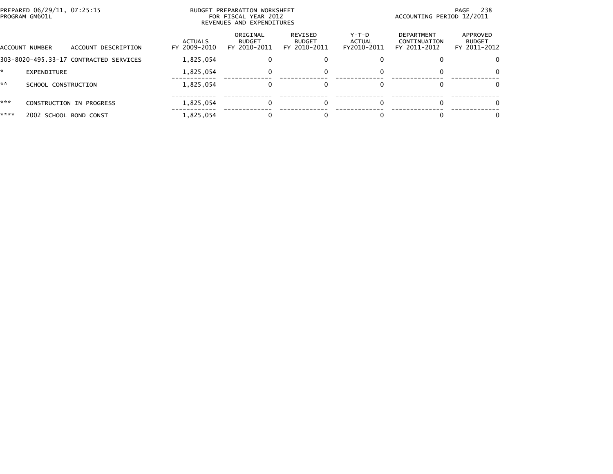|      | PREPARED 06/29/11, 07:25:15<br>PROGRAM GM601L |                                | <b>BUDGET PREPARATION WORKSHEET</b><br>FOR FISCAL YEAR 2012<br>REVENUES AND EXPENDITURES | 238<br>PAGE<br>ACCOUNTING PERIOD 12/2011 |                                |                                            |                                           |
|------|-----------------------------------------------|--------------------------------|------------------------------------------------------------------------------------------|------------------------------------------|--------------------------------|--------------------------------------------|-------------------------------------------|
|      | ACCOUNT DESCRIPTION<br>ACCOUNT NUMBER         | <b>ACTUALS</b><br>FY 2009-2010 | ORIGINAL<br><b>BUDGET</b><br>FY 2010-2011                                                | REVISED<br><b>BUDGET</b><br>FY 2010-2011 | Y-T-D<br>ACTUAL<br>FY2010-2011 | DEPARTMENT<br>CONTINUATION<br>FY 2011-2012 | APPROVED<br><b>BUDGET</b><br>FY 2011-2012 |
|      | 303-8020-495.33-17 CONTRACTED SERVICES        | 1,825,054                      |                                                                                          | 0                                        |                                |                                            | $\Omega$                                  |
| ÷.   | EXPENDITURE                                   | 1,825,054                      | 0                                                                                        | 0                                        |                                |                                            | $\Omega$                                  |
| **   | SCHOOL CONSTRUCTION                           | 1,825,054                      | 0                                                                                        | $\Omega$                                 |                                |                                            | $\Omega$                                  |
| ***  | CONSTRUCTION IN PROGRESS                      | 1,825,054                      |                                                                                          | 0                                        |                                |                                            | 0                                         |
| **** | 2002 SCHOOL BOND CONST                        | 1,825,054                      |                                                                                          | ŋ                                        |                                |                                            | 0                                         |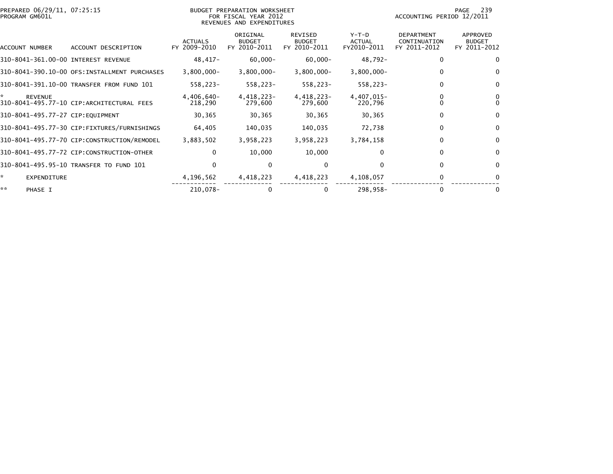| PREPARED 06/29/11, 07:25:15<br>PROGRAM GM601L |                                               |                                | BUDGET PREPARATION WORKSHEET<br>FOR FISCAL YEAR 2012<br>REVENUES AND EXPENDITURES |                                                 |                                  | ACCOUNTING PERIOD 12/2011                         | 239<br>PAGE                               |
|-----------------------------------------------|-----------------------------------------------|--------------------------------|-----------------------------------------------------------------------------------|-------------------------------------------------|----------------------------------|---------------------------------------------------|-------------------------------------------|
| ACCOUNT NUMBER                                | ACCOUNT DESCRIPTION                           | <b>ACTUALS</b><br>FY 2009-2010 | ORIGINAL<br><b>BUDGET</b><br>FY 2010-2011                                         | <b>REVISED</b><br><b>BUDGET</b><br>FY 2010-2011 | $Y-T-D$<br>ACTUAL<br>FY2010-2011 | <b>DEPARTMENT</b><br>CONTINUATION<br>FY 2011-2012 | APPROVED<br><b>BUDGET</b><br>FY 2011-2012 |
| 310-8041-361.00-00 INTEREST REVENUE           |                                               | 48,417-                        | $60,000 -$                                                                        | $60,000 -$                                      | 48,792-                          | 0                                                 | 0                                         |
|                                               | 310-8041-390.10-00 OFS: INSTALLMENT PURCHASES | $3,800,000 -$                  | $3,800,000 -$                                                                     | $3,800,000 -$                                   | $3,800,000 -$                    | $\Omega$                                          | $\Omega$                                  |
|                                               | 310-8041-391.10-00 TRANSFER FROM FUND 101     | 558,223-                       | 558,223-                                                                          | 558,223-                                        | 558,223-                         | 0                                                 | 0                                         |
| *.<br><b>REVENUE</b>                          | 310-8041-495.77-10 CIP:ARCHITECTURAL FEES     | 4,406,640-<br>218,290          | 4,418,223-<br>279,600                                                             | 4,418,223-<br>279,600                           | 4,407,015-<br>220,796            |                                                   |                                           |
| 310-8041-495.77-27 CIP:EQUIPMENT              |                                               | 30,365                         | 30,365                                                                            | 30,365                                          | 30,365                           | 0                                                 | $\mathbf 0$                               |
|                                               | 310-8041-495.77-30 CIP:FIXTURES/FURNISHINGS   | 64,405                         | 140,035                                                                           | 140,035                                         | 72,738                           | $\mathbf{0}$                                      | $\Omega$                                  |
|                                               | 310-8041-495.77-70 CIP:CONSTRUCTION/REMODEL   | 3,883,502                      | 3,958,223                                                                         | 3,958,223                                       | 3,784,158                        | 0                                                 | $\mathbf 0$                               |
|                                               | 310-8041-495.77-72 CIP:CONSTRUCTION-OTHER     | $\Omega$                       | 10,000                                                                            | 10,000                                          | 0                                | $\Omega$                                          | $\Omega$                                  |
|                                               | 310-8041-495.95-10 TRANSFER TO FUND 101       | $\mathbf{0}$                   | 0                                                                                 | 0                                               | 0                                | 0                                                 | 0                                         |
| ÷.<br><b>EXPENDITURE</b>                      |                                               | 4,196,562                      | 4,418,223                                                                         | 4,418,223                                       | 4,108,057                        | $\Omega$                                          |                                           |
| **<br>PHASE I                                 |                                               | 210,078-                       |                                                                                   | 0                                               | 298,958-                         | 0                                                 |                                           |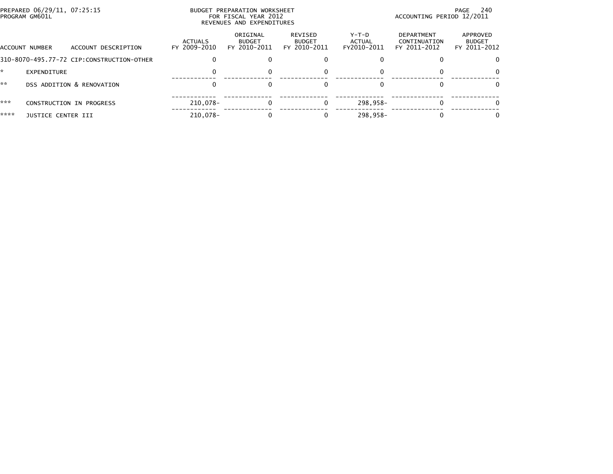|      | PREPARED 06/29/11, 07:25:15<br>PROGRAM GM601L |                                           |                                | BUDGET PREPARATION WORKSHEET<br>FOR FISCAL YEAR 2012<br>REVENUES AND EXPENDITURES | 240<br>PAGE<br>ACCOUNTING PERIOD 12/2011 |                                |                                            |                                           |
|------|-----------------------------------------------|-------------------------------------------|--------------------------------|-----------------------------------------------------------------------------------|------------------------------------------|--------------------------------|--------------------------------------------|-------------------------------------------|
|      | ACCOUNT NUMBER                                | ACCOUNT DESCRIPTION                       | <b>ACTUALS</b><br>FY 2009-2010 | ORIGINAL<br><b>BUDGET</b><br>FY 2010-2011                                         | REVISED<br><b>BUDGET</b><br>FY 2010-2011 | Y-T-D<br>ACTUAL<br>FY2010-2011 | DEPARTMENT<br>CONTINUATION<br>FY 2011-2012 | APPROVED<br><b>BUDGET</b><br>FY 2011-2012 |
|      |                                               | 310-8070-495.77-72 CIP:CONSTRUCTION-OTHER |                                |                                                                                   |                                          |                                |                                            |                                           |
|      | <b>EXPENDITURE</b>                            |                                           |                                |                                                                                   |                                          | $\Omega$                       |                                            | 0                                         |
| **   |                                               | DSS ADDITION & RENOVATION                 |                                |                                                                                   |                                          | $\Omega$                       |                                            |                                           |
| ***  |                                               | CONSTRUCTION IN PROGRESS                  | 210.078-                       |                                                                                   |                                          | 298.958-                       |                                            |                                           |
| **** | <b>JUSTICE CENTER III</b>                     |                                           | 210,078-                       |                                                                                   |                                          | $298.958 -$                    |                                            |                                           |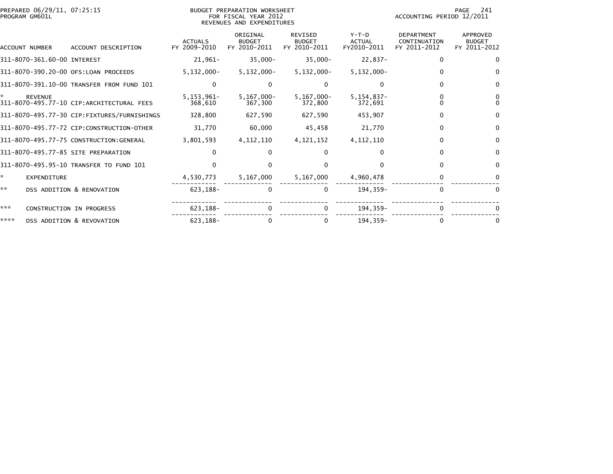|      | PREPARED 06/29/11, 07:25:15<br>PROGRAM GM601L |                                             |                                | BUDGET PREPARATION WORKSHEET<br>FOR FISCAL YEAR 2012<br>REVENUES AND EXPENDITURES | 241<br>PAGE<br>ACCOUNTING PERIOD 12/2011        |                                         |                                                   |                                           |
|------|-----------------------------------------------|---------------------------------------------|--------------------------------|-----------------------------------------------------------------------------------|-------------------------------------------------|-----------------------------------------|---------------------------------------------------|-------------------------------------------|
|      | <b>ACCOUNT NUMBER</b>                         | ACCOUNT DESCRIPTION                         | <b>ACTUALS</b><br>FY 2009-2010 | ORIGINAL<br><b>BUDGET</b><br>FY 2010-2011                                         | <b>REVISED</b><br><b>BUDGET</b><br>FY 2010-2011 | $Y-T-D$<br><b>ACTUAL</b><br>FY2010-2011 | <b>DEPARTMENT</b><br>CONTINUATION<br>FY 2011-2012 | APPROVED<br><b>BUDGET</b><br>FY 2011-2012 |
|      | 311-8070-361.60-00 INTEREST                   |                                             | $21,961-$                      | $35,000 -$                                                                        | $35,000 -$                                      | 22,837-                                 | 0                                                 | $\Omega$                                  |
|      |                                               | 311-8070-390.20-00 OFS:LOAN PROCEEDS        | $5,132,000 -$                  | $5,132,000 -$                                                                     | $5,132,000 -$                                   | $5,132,000 -$                           | 0                                                 | $\Omega$                                  |
|      |                                               | 311-8070-391.10-00 TRANSFER FROM FUND 101   | $\Omega$                       |                                                                                   | $\Omega$                                        | 0                                       |                                                   | $\Omega$                                  |
| *.   | <b>REVENUE</b>                                | 311-8070-495.77-10 CIP:ARCHITECTURAL FEES   | $5, 153, 961 -$<br>368,610     | $5,167,000 -$<br>367,300                                                          | $5, 167, 000 -$<br>372,800                      | $5, 154, 837 -$<br>372,691              |                                                   | $\Omega$                                  |
|      |                                               | 311-8070-495.77-30 CIP:FIXTURES/FURNISHINGS | 328,800                        | 627,590                                                                           | 627,590                                         | 453,907                                 | 0                                                 | 0                                         |
|      |                                               | 311-8070-495.77-72 CIP:CONSTRUCTION-OTHER   | 31,770                         | 60,000                                                                            | 45,458                                          | 21,770                                  | 0                                                 | $\mathbf{0}$                              |
|      |                                               | 311-8070-495.77-75 CONSTRUCTION:GENERAL     | 3,801,593                      | 4, 112, 110                                                                       | 4, 121, 152                                     | 4,112,110                               | 0                                                 | $\Omega$                                  |
|      |                                               | 311-8070-495.77-85 SITE PREPARATION         | 0                              |                                                                                   | $\Omega$                                        | <sup>0</sup>                            | 0                                                 | $\Omega$                                  |
|      |                                               | 311-8070-495.95-10 TRANSFER TO FUND 101     |                                |                                                                                   |                                                 |                                         | 0                                                 | $\Omega$                                  |
| *.   | <b>EXPENDITURE</b>                            |                                             | 4,530,773                      | 5,167,000                                                                         | 5,167,000                                       | 4,960,478                               | 0                                                 |                                           |
| **   |                                               | DSS ADDITION & RENOVATION                   | 623,188-                       |                                                                                   | $\mathbf 0$                                     | 194,359-                                | $\mathbf{0}$                                      | $\mathbf{0}$                              |
| ***  |                                               | CONSTRUCTION IN PROGRESS                    | $623, 188 -$                   |                                                                                   | 0                                               | 194,359-                                |                                                   |                                           |
| **** |                                               | DSS ADDITION & REVOVATION                   | 623, 188-                      |                                                                                   | 0                                               | 194.359-                                | 0                                                 |                                           |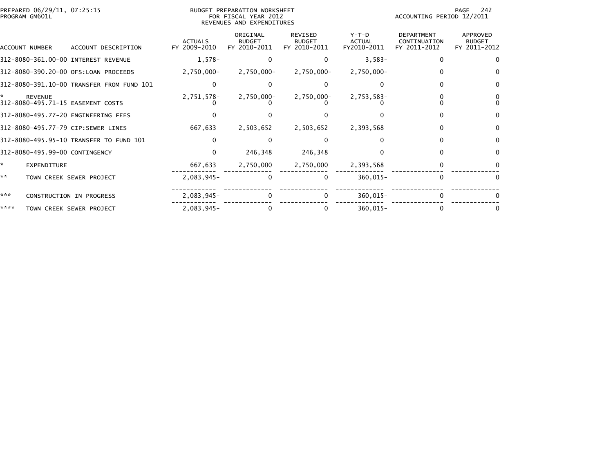| PREPARED 06/29/11, 07:25:15<br>PROGRAM GM601L |                                                     |                                           |                                | BUDGET PREPARATION WORKSHEET<br>FOR FISCAL YEAR 2012<br>REVENUES AND EXPENDITURES |                                          | 242<br>PAGE<br>ACCOUNTING PERIOD 12/2011 |                                                   |                                           |
|-----------------------------------------------|-----------------------------------------------------|-------------------------------------------|--------------------------------|-----------------------------------------------------------------------------------|------------------------------------------|------------------------------------------|---------------------------------------------------|-------------------------------------------|
| ACCOUNT NUMBER                                |                                                     | ACCOUNT DESCRIPTION                       | <b>ACTUALS</b><br>FY 2009-2010 | ORIGINAL<br><b>BUDGET</b><br>FY 2010-2011                                         | REVISED<br><b>BUDGET</b><br>FY 2010-2011 | $Y-T-D$<br><b>ACTUAL</b><br>FY2010-2011  | <b>DEPARTMENT</b><br>CONTINUATION<br>FY 2011-2012 | APPROVED<br><b>BUDGET</b><br>FY 2011-2012 |
|                                               | 312-8080-361.00-00 INTEREST REVENUE                 |                                           | $1,578-$                       |                                                                                   | 0                                        | $3,583-$                                 | $\Omega$                                          |                                           |
|                                               | 312-8080-390.20-00 OFS:LOAN PROCEEDS                |                                           | 2,750,000-                     | 2,750,000-                                                                        | 2,750,000-                               | $2,750,000 -$                            | 0                                                 |                                           |
|                                               |                                                     | 312-8080-391.10-00 TRANSFER FROM FUND 101 |                                |                                                                                   |                                          |                                          |                                                   |                                           |
| *                                             | <b>REVENUE</b><br>312-8080-495.71-15 EASEMENT COSTS |                                           | 2,751,578-                     | 2,750,000-                                                                        | $2,750,000 -$                            | 2,753,583-                               |                                                   |                                           |
|                                               | 312-8080-495.77-20 ENGINEERING FEES                 |                                           |                                |                                                                                   |                                          |                                          |                                                   |                                           |
|                                               | 312-8080-495.77-79 CIP:SEWER LINES                  |                                           | 667,633                        | 2,503,652                                                                         | 2,503,652                                | 2,393,568                                | 0                                                 |                                           |
|                                               | 312-8080-495.95-10 TRANSFER TO FUND 101             |                                           |                                |                                                                                   |                                          |                                          | <sup>0</sup>                                      |                                           |
|                                               | 312-8080-495.99-00 CONTINGENCY                      |                                           | $\Omega$                       | 246,348                                                                           | 246,348                                  |                                          | 0                                                 | $\bf{0}$                                  |
| ×.                                            | EXPENDITURE                                         |                                           | 667,633                        | 2,750,000                                                                         | 2,750,000                                | 2,393,568                                | 0                                                 |                                           |
| **                                            | TOWN CREEK SEWER PROJECT                            |                                           | 2,083,945-                     | $\mathbf{0}$                                                                      | 0                                        | 360,015-                                 | $\Omega$                                          |                                           |
| ***                                           | CONSTRUCTION IN PROGRESS                            |                                           | $2,083,945-$                   |                                                                                   | $\mathbf{0}$                             | 360,015-                                 | $\Omega$                                          |                                           |
| ****                                          | TOWN CREEK SEWER PROJECT                            |                                           | 2,083,945-                     |                                                                                   | $\Omega$                                 | 360,015-                                 | 0                                                 |                                           |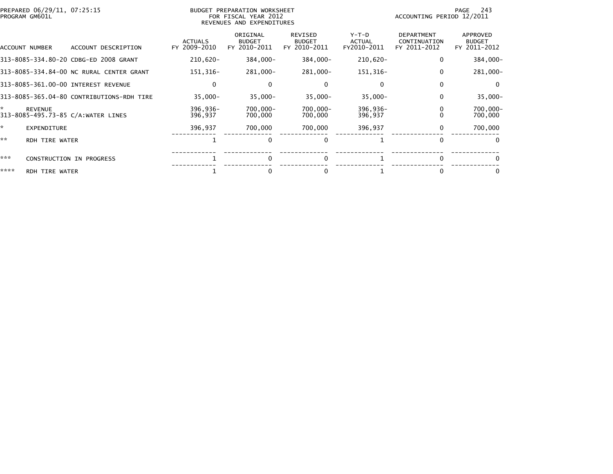| PREPARED 06/29/11, 07:25:15<br>PROGRAM GM601L             |                                | BUDGET PREPARATION WORKSHEET<br>FOR FISCAL YEAR 2012<br>REVENUES AND EXPENDITURES | 243<br>PAGE<br>ACCOUNTING PERIOD 12/2011        |                                  |                                                   |                                           |
|-----------------------------------------------------------|--------------------------------|-----------------------------------------------------------------------------------|-------------------------------------------------|----------------------------------|---------------------------------------------------|-------------------------------------------|
| ACCOUNT NUMBER<br>ACCOUNT DESCRIPTION                     | <b>ACTUALS</b><br>FY 2009-2010 | ORIGINAL<br><b>BUDGET</b><br>FY 2010-2011                                         | <b>REVISED</b><br><b>BUDGET</b><br>FY 2010-2011 | $Y-T-D$<br>ACTUAL<br>FY2010-2011 | <b>DEPARTMENT</b><br>CONTINUATION<br>FY 2011-2012 | APPROVED<br><b>BUDGET</b><br>FY 2011-2012 |
| 313-8085-334.80-20 CDBG-ED 2008 GRANT                     | $210,620 -$                    | 384,000-                                                                          | 384,000-                                        | 210,620-                         | 0                                                 | 384,000-                                  |
| 313-8085-334.84-00 NC RURAL CENTER GRANT                  | 151,316-                       | 281,000-                                                                          | 281,000-                                        | 151,316-                         | 0                                                 | 281,000-                                  |
| 313-8085-361.00-00 INTEREST REVENUE                       | $\Omega$                       |                                                                                   | $\Omega$                                        |                                  | $\Omega$                                          | - 0                                       |
| 313-8085-365.04-80 CONTRIBUTIONS-RDH TIRE                 | $35,000 -$                     | $35,000 -$                                                                        | $35,000 -$                                      | $35,000 -$                       | $\mathbf{0}$                                      | $35,000 -$                                |
| *<br><b>REVENUE</b><br>313-8085-495.73-85 C/A:WATER LINES | 396,936-<br>396,937            | 700,000-<br>700,000                                                               | 700,000-<br>700,000                             | 396,936-<br>396,937              |                                                   | $700,000 -$<br>700,000                    |
| ×.<br><b>EXPENDITURE</b>                                  | 396,937                        | 700,000                                                                           | 700,000                                         | 396,937                          | 0                                                 | 700,000                                   |
| **<br>RDH TIRE WATER                                      |                                | 0                                                                                 | $\Omega$                                        |                                  | $\Omega$                                          | $\Omega$                                  |
| ***<br>CONSTRUCTION IN PROGRESS                           |                                | 0                                                                                 | $\Omega$                                        |                                  | $\Omega$                                          |                                           |
| ****<br>RDH TIRE WATER                                    |                                | 0                                                                                 | 0                                               |                                  | 0                                                 |                                           |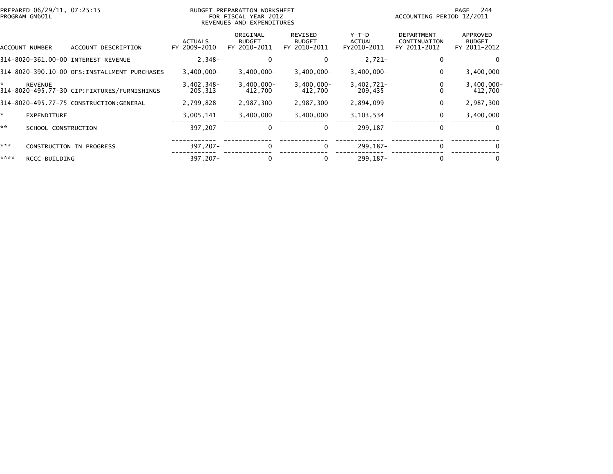|      | PREPARED 06/29/11, 07:25:15<br>PROGRAM GM601L |                                              |                                | BUDGET PREPARATION WORKSHEET<br>FOR FISCAL YEAR 2012<br>REVENUES AND EXPENDITURES | 244<br>PAGE<br>ACCOUNTING PERIOD 12/2011 |                                |                                                   |                                           |
|------|-----------------------------------------------|----------------------------------------------|--------------------------------|-----------------------------------------------------------------------------------|------------------------------------------|--------------------------------|---------------------------------------------------|-------------------------------------------|
|      | ACCOUNT NUMBER                                | ACCOUNT DESCRIPTION                          | <b>ACTUALS</b><br>FY 2009-2010 | ORIGINAL<br><b>BUDGET</b><br>FY 2010-2011                                         | REVISED<br><b>BUDGET</b><br>FY 2010-2011 | Y-T-D<br>ACTUAL<br>FY2010-2011 | <b>DEPARTMENT</b><br>CONTINUATION<br>FY 2011-2012 | APPROVED<br><b>BUDGET</b><br>FY 2011-2012 |
|      |                                               | 314-8020-361.00-00 INTEREST REVENUE          | $2,348-$                       | 0                                                                                 | $\Omega$                                 | $2,721-$                       | $\bf{0}$                                          | 0                                         |
|      |                                               | 314-8020-390.10-00 OFS:INSTALLMENT PURCHASES | $3,400,000 -$                  | $3,400,000 -$                                                                     | $3,400,000 -$                            | $3,400,000 -$                  | 0                                                 | $3,400,000 -$                             |
| ÷.   | <b>REVENUE</b>                                | 314-8020-495.77-30 CIP:FIXTURES/FURNISHINGS  | $3,402,348-$<br>205,313        | $3,400,000 -$<br>412,700                                                          | $3,400,000 -$<br>412,700                 | 3,402,721-<br>209,435          |                                                   | $3,400,000 -$<br>412,700                  |
|      |                                               | 314-8020-495.77-75 CONSTRUCTION:GENERAL      | 2,799,828                      | 2,987,300                                                                         | 2,987,300                                | 2,894,099                      | 0                                                 | 2,987,300                                 |
| ×.   | <b>EXPENDITURE</b>                            |                                              | 3,005,141                      | 3,400,000                                                                         | 3,400,000                                | 3,103,534                      | 0                                                 | 3,400,000                                 |
| **   | SCHOOL CONSTRUCTION                           |                                              | 397,207-                       | 0                                                                                 | 0                                        | 299.187-                       | $\Omega$                                          | $\mathbf{0}$                              |
| ***  |                                               | CONSTRUCTION IN PROGRESS                     | 397,207-                       | $\Omega$                                                                          | $\mathbf{0}$                             | 299, 187-                      | $\Omega$                                          | 0                                         |
| **** | RCCC BUILDING                                 |                                              | 397,207-                       |                                                                                   | 0                                        | 299.187-                       | $\Omega$                                          | 0                                         |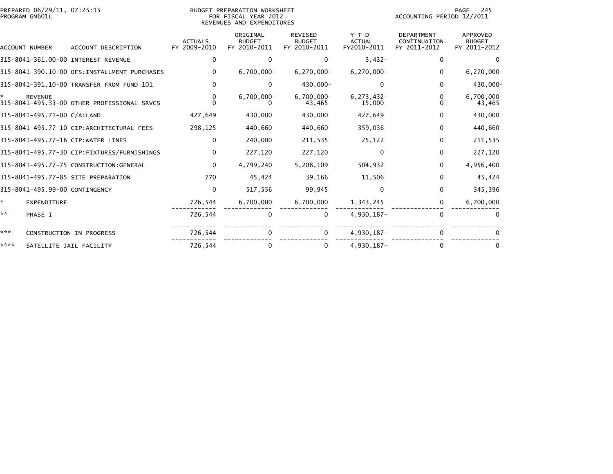|      | PREPARED 06/29/11, 07:25:15<br>PROGRAM GM601L |                                               |                                | BUDGET PREPARATION WORKSHEET<br>FOR FISCAL YEAR 2012<br>REVENUES AND EXPENDITURES | PAGE<br>245<br>ACCOUNTING PERIOD 12/2011        |                                         |                                                   |                                           |
|------|-----------------------------------------------|-----------------------------------------------|--------------------------------|-----------------------------------------------------------------------------------|-------------------------------------------------|-----------------------------------------|---------------------------------------------------|-------------------------------------------|
|      | ACCOUNT NUMBER                                | ACCOUNT DESCRIPTION                           | <b>ACTUALS</b><br>FY 2009-2010 | ORIGINAL<br><b>BUDGET</b><br>FY 2010-2011                                         | <b>REVISED</b><br><b>BUDGET</b><br>FY 2010-2011 | $Y-T-D$<br><b>ACTUAL</b><br>FY2010-2011 | <b>DEPARTMENT</b><br>CONTINUATION<br>FY 2011-2012 | APPROVED<br><b>BUDGET</b><br>FY 2011-2012 |
|      |                                               | 315-8041-361.00-00 INTEREST REVENUE           | $\Omega$                       | 0                                                                                 | 0                                               | $3,432-$                                | 0                                                 | $\Omega$                                  |
|      |                                               | 315-8041-390.10-00 OFS: INSTALLMENT PURCHASES | $\Omega$                       | $6,700,000 -$                                                                     | $6,270,000 -$                                   | $6,270,000 -$                           | $\Omega$                                          | $6, 270, 000 -$                           |
|      |                                               | 315-8041-391.10-00 TRANSFER FROM FUND 101     | $\Omega$                       | 0                                                                                 | 430,000-                                        | $\Omega$                                | 0                                                 | 430,000-                                  |
|      | <b>REVENUE</b>                                | 315-8041-495.33-00 OTHER PROFESSIONAL SRVCS   | $\bf{0}$                       | $6,700,000 -$                                                                     | $6,700,000 -$<br>43,465                         | $6, 273, 432 -$<br>15,000               |                                                   | $6,700,000 -$<br>43,465                   |
|      | 315-8041-495.71-00 C/A:LAND                   |                                               | 427,649                        | 430,000                                                                           | 430,000                                         | 427,649                                 | 0                                                 | 430,000                                   |
|      |                                               | 315-8041-495.77-10 CIP:ARCHITECTURAL FEES     | 298,125                        | 440,660                                                                           | 440,660                                         | 359,036                                 | $\Omega$                                          | 440,660                                   |
|      |                                               | 315-8041-495.77-16 CIP:WATER LINES            | $\Omega$                       | 240,000                                                                           | 211,535                                         | 25,122                                  | $\Omega$                                          | 211,535                                   |
|      |                                               | 315-8041-495.77-30 CIP:FIXTURES/FURNISHINGS   | $\mathbf{0}$                   | 227,120                                                                           | 227,120                                         | $\bf{0}$                                | $\mathbf{0}$                                      | 227,120                                   |
|      |                                               | 315-8041-495.77-75 CONSTRUCTION:GENERAL       | $\mathbf{0}$                   | 4,799,240                                                                         | 5,208,109                                       | 504,932                                 | $\mathbf{0}$                                      | 4,956,400                                 |
|      |                                               | 315-8041-495.77-85 SITE PREPARATION           | 770                            | 45,424                                                                            | 39,166                                          | 11,506                                  | $\Omega$                                          | 45,424                                    |
|      | 315-8041-495.99-00 CONTINGENCY                |                                               | 0                              | 517,556                                                                           | 99,945                                          | $\bf{0}$                                | 0                                                 | 345,396                                   |
| ☆.   | EXPENDITURE                                   |                                               | 726,544                        | 6,700,000                                                                         | 6,700,000                                       | 1,343,245                               | 0                                                 | 6,700,000                                 |
| **   | PHASE I                                       |                                               | 726,544                        | 0                                                                                 | $\mathbf 0$                                     | 4,930,187-                              | $\Omega$                                          |                                           |
| ***  |                                               | CONSTRUCTION IN PROGRESS                      | 726,544                        | 0                                                                                 | 0                                               | 4,930,187-                              | $\mathbf{0}$                                      |                                           |
| **** | SATELLITE JAIL FACILITY                       |                                               | 726,544                        | 0                                                                                 | $\Omega$                                        | 4,930,187-                              | $\Omega$                                          | 0                                         |
|      |                                               |                                               |                                |                                                                                   |                                                 |                                         |                                                   |                                           |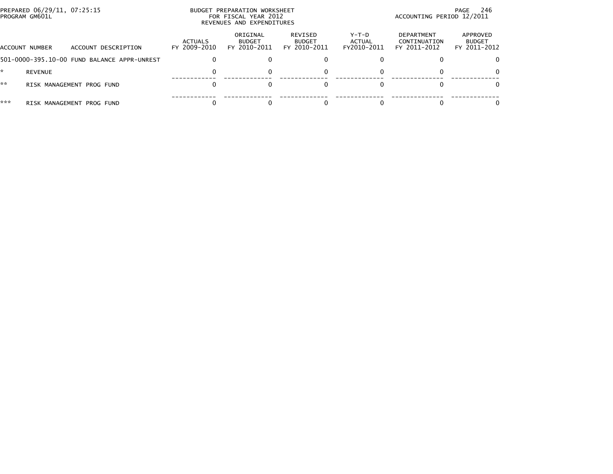|     | PREPARED 06/29/11, 07:25:15<br>PROGRAM GM601L |                                             |                         | BUDGET PREPARATION WORKSHEET<br>FOR FISCAL YEAR 2012<br>REVENUES AND EXPENDITURES | - 246<br>PAGE<br>ACCOUNTING PERIOD 12/2011 |                                |                                                   |                                           |
|-----|-----------------------------------------------|---------------------------------------------|-------------------------|-----------------------------------------------------------------------------------|--------------------------------------------|--------------------------------|---------------------------------------------------|-------------------------------------------|
|     | ACCOUNT NUMBER                                | ACCOUNT DESCRIPTION                         | ACTUALS<br>FY 2009-2010 | ORIGINAL<br><b>BUDGET</b><br>FY 2010-2011                                         | REVISED<br><b>BUDGET</b><br>FY 2010-2011   | Y-T-D<br>ACTUAL<br>FY2010-2011 | <b>DEPARTMENT</b><br>CONTINUATION<br>FY 2011-2012 | APPROVED<br><b>BUDGET</b><br>FY 2011-2012 |
|     |                                               | 501-0000-395.10-00 FUND BALANCE APPR-UNREST |                         |                                                                                   |                                            |                                |                                                   | 0                                         |
|     | <b>REVENUE</b>                                |                                             |                         |                                                                                   | 0                                          |                                |                                                   | $\Omega$                                  |
| **  |                                               | RISK MANAGEMENT PROG FUND                   |                         |                                                                                   |                                            |                                |                                                   | 0                                         |
| *** |                                               | RISK MANAGEMENT PROG FUND                   |                         |                                                                                   |                                            |                                |                                                   | 0                                         |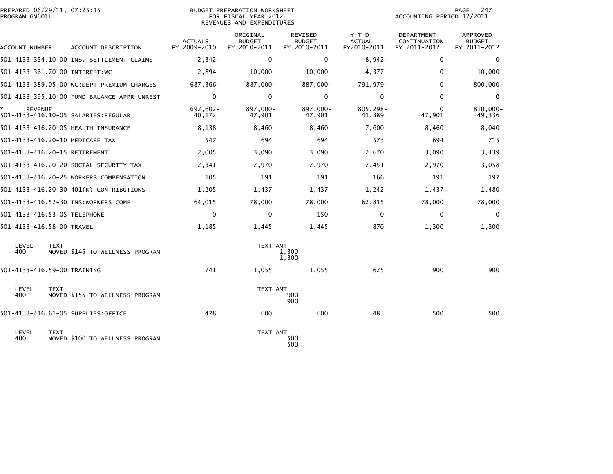| PREPARED 06/29/11, 07:25:15<br>PROGRAM GM601L |                                             |                                | <b>BUDGET PREPARATION WORKSHEET</b><br>FOR FISCAL YEAR 2012<br>REVENUES AND EXPENDITURES |                                          |                                         | ACCOUNTING PERIOD 12/2011                  | PAGE<br>247                               |
|-----------------------------------------------|---------------------------------------------|--------------------------------|------------------------------------------------------------------------------------------|------------------------------------------|-----------------------------------------|--------------------------------------------|-------------------------------------------|
| ACCOUNT NUMBER                                | ACCOUNT DESCRIPTION                         | <b>ACTUALS</b><br>FY 2009-2010 | ORIGINAL<br><b>BUDGET</b><br>FY 2010-2011                                                | REVISED<br><b>BUDGET</b><br>FY 2010-2011 | $Y-T-D$<br><b>ACTUAL</b><br>FY2010-2011 | DEPARTMENT<br>CONTINUATION<br>FY 2011-2012 | APPROVED<br><b>BUDGET</b><br>FY 2011-2012 |
|                                               | 501-4133-354.10-00 INS. SETTLEMENT CLAIMS   | $2,342-$                       | $\Omega$                                                                                 | $\Omega$                                 | $8,942-$                                | $\Omega$                                   | $\Omega$                                  |
| 501-4133-361.70-00 INTEREST:WC                |                                             | $2,894-$                       | $10,000 -$                                                                               | $10,000 -$                               | $4,377-$                                | $\mathbf{0}$                               | $10,000 -$                                |
|                                               | 501-4133-389.05-00 WC:DEPT PREMIUM CHARGES  | 687,366-                       | 887,000-                                                                                 | 887,000-                                 | 791,979-                                | $\Omega$                                   | 800,000-                                  |
|                                               | 501-4133-395.10-00 FUND BALANCE APPR-UNREST | $\mathbf{0}$                   | 0                                                                                        | 0                                        | $\mathbf{0}$                            | 0                                          | 0                                         |
| <b>REVENUE</b>                                | 501-4133-416.10-05 SALARIES: REGULAR        | $692,602 -$<br>40,172          | 897,000-<br>47,901                                                                       | 897,000-<br>47,901                       | 805,298-<br>41,389                      | 0<br>47,901                                | 810,000-<br>49,336                        |
|                                               | 501-4133-416.20-05 HEALTH INSURANCE         | 8,138                          | 8,460                                                                                    | 8,460                                    | 7,600                                   | 8,460                                      | 8,040                                     |
| 501-4133-416.20-10 MEDICARE TAX               |                                             | 547                            | 694                                                                                      | 694                                      | 573                                     | 694                                        | 715                                       |
| 501-4133-416.20-15 RETIREMENT                 |                                             | 2,005                          | 3,090                                                                                    | 3,090                                    | 2,670                                   | 3,090                                      | 3,439                                     |
|                                               | 501-4133-416.20-20 SOCIAL SECURITY TAX      | 2,341                          | 2,970                                                                                    | 2,970                                    | 2,451                                   | 2,970                                      | 3,058                                     |
|                                               | 501-4133-416.20-25 WORKERS COMPENSATION     | 105                            | 191                                                                                      | 191                                      | 166                                     | 191                                        | 197                                       |
|                                               | 501-4133-416.20-30 401(K) CONTRIBUTIONS     | 1,205                          | 1,437                                                                                    | 1,437                                    | 1,242                                   | 1,437                                      | 1,480                                     |
|                                               | 501-4133-416.52-30 INS:WORKERS COMP         | 64,015                         | 78,000                                                                                   | 78,000                                   | 62,815                                  | 78,000                                     | 78,000                                    |
| 501-4133-416.53-05 TELEPHONE                  |                                             | 0                              | 0                                                                                        | 150                                      | 0                                       | 0                                          | $\mathbf 0$                               |
| 501-4133-416.58-00 TRAVEL                     |                                             | 1,185                          | 1,445                                                                                    | 1,445                                    | 870                                     | 1,300                                      | 1,300                                     |
| LEVEL<br><b>TEXT</b><br>400                   | MOVED \$145 TO WELLNESS PROGRAM             |                                | TEXT AMT                                                                                 | 1,300<br>1,300                           |                                         |                                            |                                           |
| 501-4133-416.59-00 TRAINING                   |                                             | 741                            | 1,055                                                                                    | 1,055                                    | 625                                     | 900                                        | 900                                       |
| LEVEL<br><b>TEXT</b><br>400                   | MOVED \$155 TO WELLNESS PROGRAM             |                                | TEXT AMT                                                                                 | 900<br>900                               |                                         |                                            |                                           |
| 501-4133-416.61-05 SUPPLIES:OFFICE            |                                             | 478                            | 600                                                                                      | 600                                      | 483                                     | 500                                        | 500                                       |
| LEVEL<br><b>TEXT</b><br>400                   | MOVED \$100 TO WELLNESS PROGRAM             |                                | TEXT AMT                                                                                 | 500<br>500                               |                                         |                                            |                                           |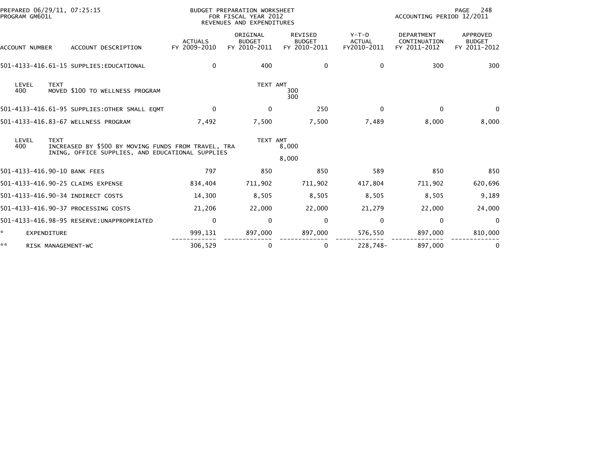|                              | PREPARED 06/29/11, 07:25:15<br>PROGRAM GM601L |                                                                                                         |                                | BUDGET PREPARATION WORKSHEET<br>FOR FISCAL YEAR 2012<br>REVENUES AND EXPENDITURES |                                                 |                                         | PAGE<br>248<br>ACCOUNTING PERIOD 12/2011          |                                           |  |
|------------------------------|-----------------------------------------------|---------------------------------------------------------------------------------------------------------|--------------------------------|-----------------------------------------------------------------------------------|-------------------------------------------------|-----------------------------------------|---------------------------------------------------|-------------------------------------------|--|
| ACCOUNT NUMBER               |                                               | ACCOUNT DESCRIPTION                                                                                     | <b>ACTUALS</b><br>FY 2009-2010 | ORIGINAL<br><b>BUDGET</b><br>FY 2010-2011                                         | <b>REVISED</b><br><b>BUDGET</b><br>FY 2010-2011 | $Y-T-D$<br><b>ACTUAL</b><br>FY2010-2011 | <b>DEPARTMENT</b><br>CONTINUATION<br>FY 2011-2012 | APPROVED<br><b>BUDGET</b><br>FY 2011-2012 |  |
|                              |                                               | 501-4133-416.61-15 SUPPLIES: EDUCATIONAL                                                                | $\Omega$                       | 400                                                                               | 0                                               | $\Omega$                                | 300                                               | 300                                       |  |
| LEVEL<br>400                 | <b>TEXT</b>                                   | MOVED \$100 TO WELLNESS PROGRAM                                                                         |                                | TEXT AMT                                                                          | 300<br>300                                      |                                         |                                                   |                                           |  |
|                              |                                               | 501-4133-416.61-95 SUPPLIES: OTHER SMALL EQMT                                                           | $\mathbf{0}$                   | 0                                                                                 | 250                                             | $\Omega$                                | $\mathbf{0}$                                      | $\Omega$                                  |  |
|                              |                                               | 501-4133-416.83-67 WELLNESS PROGRAM                                                                     | 7,492                          | 7,500                                                                             | 7,500                                           | 7,489                                   | 8,000                                             | 8,000                                     |  |
| LEVEL<br>400                 | <b>TEXT</b>                                   | INCREASED BY \$500 BY MOVING FUNDS FROM TRAVEL, TRA<br>INING, OFFICE SUPPLIES, AND EDUCATIONAL SUPPLIES |                                | TEXT AMT                                                                          | 8,000                                           |                                         |                                                   |                                           |  |
|                              |                                               |                                                                                                         |                                |                                                                                   | 8,000                                           |                                         |                                                   |                                           |  |
| 501-4133-416.90-10 BANK FEES |                                               |                                                                                                         | 797                            | 850                                                                               | 850                                             | 589                                     | 850                                               | 850                                       |  |
|                              |                                               | 501-4133-416.90-25 CLAIMS EXPENSE                                                                       | 834,404                        | 711,902                                                                           | 711,902                                         | 417,804                                 | 711,902                                           | 620,696                                   |  |
|                              |                                               | 501-4133-416.90-34 INDIRECT COSTS                                                                       | 14,300                         | 8,505                                                                             | 8,505                                           | 8,505                                   | 8,505                                             | 9,189                                     |  |
|                              |                                               | 501-4133-416.90-37 PROCESSING COSTS                                                                     | 21,206                         | 22,000                                                                            | 22,000                                          | 21,279                                  | 22,000                                            | 24,000                                    |  |
|                              |                                               | 501-4133-416.98-95 RESERVE: UNAPPROPRIATED                                                              | $\mathbf{0}$                   | $\mathbf{0}$                                                                      | 0                                               | $\mathbf{0}$                            | $\Omega$                                          | $\Omega$                                  |  |
| EXPENDITURE                  |                                               |                                                                                                         | 999,131                        | 897,000                                                                           | 897,000                                         | 576,550                                 | 897,000                                           | 810,000                                   |  |
| **                           |                                               | RISK MANAGEMENT-WC                                                                                      | 306,529                        | 0                                                                                 | 0                                               | 228,748-                                | 897,000                                           |                                           |  |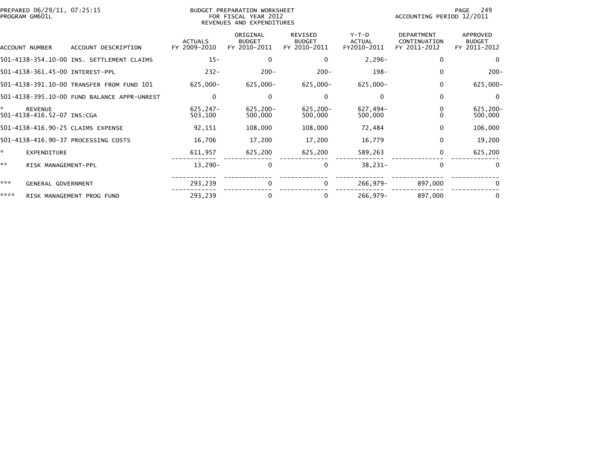| PREPARED 06/29/11, 07:25:15<br>PROGRAM GM601L |                                              |                                             | <b>BUDGET PREPARATION WORKSHEET</b><br>FOR FISCAL YEAR 2012<br>REVENUES AND EXPENDITURES |                                           |                                                 |                                         | 249<br>PAGE<br>ACCOUNTING PERIOD 12/2011          |                                                  |  |
|-----------------------------------------------|----------------------------------------------|---------------------------------------------|------------------------------------------------------------------------------------------|-------------------------------------------|-------------------------------------------------|-----------------------------------------|---------------------------------------------------|--------------------------------------------------|--|
|                                               | ACCOUNT NUMBER                               | ACCOUNT DESCRIPTION                         | <b>ACTUALS</b><br>FY 2009-2010                                                           | ORIGINAL<br><b>BUDGET</b><br>FY 2010-2011 | <b>REVISED</b><br><b>BUDGET</b><br>FY 2010-2011 | $Y-T-D$<br><b>ACTUAL</b><br>FY2010-2011 | <b>DEPARTMENT</b><br>CONTINUATION<br>FY 2011-2012 | <b>APPROVED</b><br><b>BUDGET</b><br>FY 2011-2012 |  |
|                                               |                                              | 501-4138-354.10-00 INS. SETTLEMENT CLAIMS   | $15 -$                                                                                   | 0                                         | 0                                               | $2,296-$                                | $\mathbf{0}$                                      | $\Omega$                                         |  |
|                                               |                                              | 501-4138-361.45-00 INTEREST-PPL             | $232 -$                                                                                  | $200 -$                                   | $200 -$                                         | $198 -$                                 | $\mathbf{0}$                                      | $200 -$                                          |  |
|                                               |                                              | 501-4138-391.10-00 TRANSFER FROM FUND 101   | $625,000 -$                                                                              | 625,000-                                  | 625,000-                                        | 625,000-                                | 0                                                 | $625,000 -$                                      |  |
|                                               |                                              | 501-4138-395.10-00 FUND BALANCE APPR-UNREST | 0                                                                                        | 0                                         | 0                                               | $\Omega$                                | $\mathbf{0}$                                      | $\Omega$                                         |  |
| ×.                                            | <b>REVENUE</b><br>501-4138-416.52-07 INS:CGA |                                             | $625, 247 -$<br>503,100                                                                  | 625,200-<br>500,000                       | 625,200-<br>500,000                             | 627,494-<br>500,000                     | 0<br>$\Omega$                                     | $625, 200 -$<br>500,000                          |  |
|                                               |                                              | 501-4138-416.90-25 CLAIMS EXPENSE           | 92,151                                                                                   | 108,000                                   | 108,000                                         | 72,484                                  | 0                                                 | 106,000                                          |  |
|                                               |                                              | 501-4138-416.90-37 PROCESSING COSTS         | 16,706                                                                                   | 17,200                                    | 17,200                                          | 16,779                                  | 0                                                 | 19,200                                           |  |
| ×.                                            | EXPENDITURE                                  |                                             | 611,957                                                                                  | 625,200                                   | 625,200                                         | 589,263                                 | $\mathbf{0}$                                      | 625,200                                          |  |
| **                                            | RISK MANAGEMENT-PPL                          |                                             | $13,290-$                                                                                | 0                                         | $\mathbf 0$                                     | $38,231-$                               | $\mathbf{0}$                                      | $\Omega$                                         |  |
| ***                                           | <b>GENERAL GOVERNMENT</b>                    |                                             | 293,239                                                                                  | $\Omega$                                  | $\mathbf{0}$                                    | 266,979-                                | 897,000                                           | $\Omega$                                         |  |
| ****                                          |                                              | RISK MANAGEMENT PROG FUND                   | 293,239                                                                                  | 0                                         | $\Omega$                                        | 266,979-                                | 897,000                                           | $\bf{0}$                                         |  |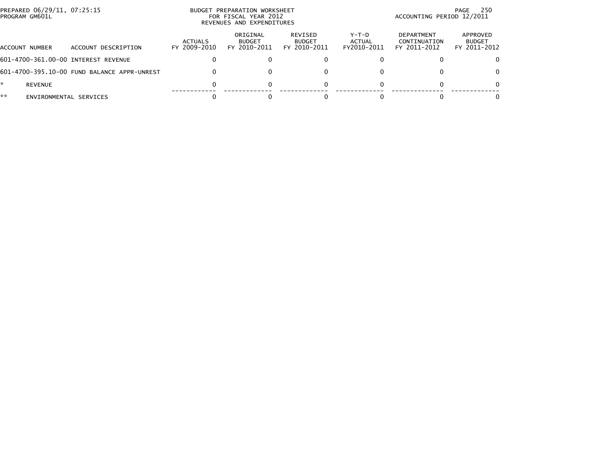| PREPARED 06/29/11, 07:25:15<br>PROGRAM GM601L |                        |                                             | BUDGET PREPARATION WORKSHEET<br>FOR FISCAL YEAR 2012<br>REVENUES AND EXPENDITURES |                                           |                                          | -250<br>PAGE<br>ACCOUNTING PERIOD 12/2011 |                                                   |                                           |  |
|-----------------------------------------------|------------------------|---------------------------------------------|-----------------------------------------------------------------------------------|-------------------------------------------|------------------------------------------|-------------------------------------------|---------------------------------------------------|-------------------------------------------|--|
| ACCOUNT NUMBER                                |                        | ACCOUNT DESCRIPTION                         | ACTUALS<br>FY 2009-2010                                                           | ORIGINAL<br><b>BUDGET</b><br>FY 2010-2011 | REVISED<br><b>BUDGET</b><br>FY 2010-2011 | $Y-T-D$<br><b>ACTUAL</b><br>FY2010-2011   | <b>DEPARTMENT</b><br>CONTINUATION<br>FY 2011-2012 | APPROVED<br><b>BUDGET</b><br>FY 2011-2012 |  |
|                                               |                        | 601-4700-361.00-00 INTEREST REVENUE         |                                                                                   |                                           |                                          |                                           |                                                   | 0                                         |  |
|                                               |                        | 601-4700-395.10-00 FUND BALANCE APPR-UNREST |                                                                                   | 0                                         |                                          |                                           |                                                   | $\Omega$                                  |  |
|                                               | <b>REVENUE</b>         |                                             |                                                                                   | 0                                         |                                          |                                           |                                                   | $\mathbf{0}$                              |  |
| **                                            | ENVIRONMENTAL SERVICES |                                             |                                                                                   |                                           |                                          |                                           |                                                   | 0                                         |  |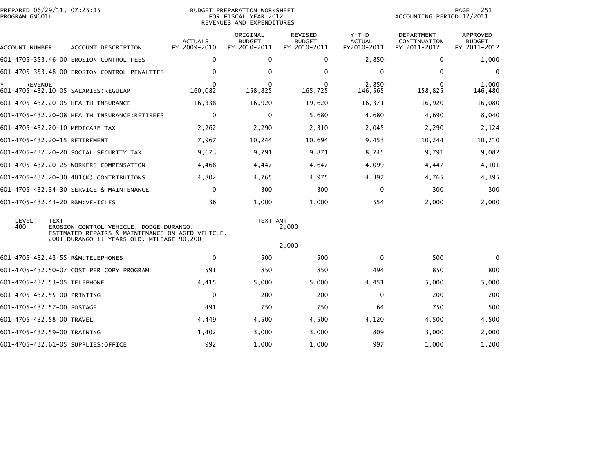| PREPARED 06/29/11, 07:25:15<br>PROGRAM GM601L |             |                                                                                                                                          | <b>BUDGET PREPARATION WORKSHEET</b><br>FOR FISCAL YEAR 2012<br>REVENUES AND EXPENDITURES |                                           |                                          |                                         | 251<br>PAGE<br>ACCOUNTING PERIOD 12/2011   |                                                  |  |
|-----------------------------------------------|-------------|------------------------------------------------------------------------------------------------------------------------------------------|------------------------------------------------------------------------------------------|-------------------------------------------|------------------------------------------|-----------------------------------------|--------------------------------------------|--------------------------------------------------|--|
| ACCOUNT NUMBER                                |             | ACCOUNT DESCRIPTION                                                                                                                      | <b>ACTUALS</b><br>FY 2009-2010                                                           | ORIGINAL<br><b>BUDGET</b><br>FY 2010-2011 | REVISED<br><b>BUDGET</b><br>FY 2010-2011 | $Y-T-D$<br><b>ACTUAL</b><br>FY2010-2011 | DEPARTMENT<br>CONTINUATION<br>FY 2011-2012 | <b>APPROVED</b><br><b>BUDGET</b><br>FY 2011-2012 |  |
|                                               |             | 601-4705-353.46-00 EROSION CONTROL FEES                                                                                                  | $\Omega$                                                                                 | $\Omega$                                  | $\mathbf{0}$                             | $2,850-$                                | $\Omega$                                   | $1,000-$                                         |  |
|                                               |             | 601-4705-353.48-00 EROSION CONTROL PENALTIES                                                                                             | $\Omega$                                                                                 | $\Omega$                                  | $\Omega$                                 | 0                                       | $\mathbf 0$                                | 0                                                |  |
| <b>REVENUE</b>                                |             |                                                                                                                                          | $\Omega$<br>160,082                                                                      | $\Omega$<br>158,825                       | $\Omega$<br>165,725                      | $2,850-$<br>146,565                     | $\Omega$<br>158,825                        | $1,000 -$<br>146,480                             |  |
|                                               |             | 601-4705-432.20-05 HEALTH INSURANCE                                                                                                      | 16,338                                                                                   | 16,920                                    | 19,620                                   | 16,371                                  | 16,920                                     | 16,080                                           |  |
|                                               |             | 601-4705-432.20-08 HEALTH INSURANCE:RETIREES                                                                                             | $\mathbf{0}$                                                                             | $\Omega$                                  | 5,680                                    | 4,680                                   | 4,690                                      | 8,040                                            |  |
|                                               |             | 601-4705-432.20-10 MEDICARE TAX                                                                                                          | 2,262                                                                                    | 2,290                                     | 2,310                                    | 2,045                                   | 2,290                                      | 2,124                                            |  |
| 601-4705-432.20-15 RETIREMENT                 |             |                                                                                                                                          | 7,967                                                                                    | 10,244                                    | 10,694                                   | 9,453                                   | 10,244                                     | 10,210                                           |  |
|                                               |             | 601-4705-432.20-20 SOCIAL SECURITY TAX                                                                                                   | 9,673                                                                                    | 9,791                                     | 9,871                                    | 8,745                                   | 9,791                                      | 9,082                                            |  |
|                                               |             | 601-4705-432.20-25 WORKERS COMPENSATION                                                                                                  | 4,468                                                                                    | 4,447                                     | 4,647                                    | 4,099                                   | 4,447                                      | 4,101                                            |  |
|                                               |             | 601-4705-432.20-30 401(K) CONTRIBUTIONS                                                                                                  | 4,802                                                                                    | 4,765                                     | 4,975                                    | 4,397                                   | 4,765                                      | 4,395                                            |  |
|                                               |             | 601-4705-432.34-30 SERVICE & MAINTENANCE                                                                                                 | $\mathbf{0}$                                                                             | 300                                       | 300                                      | $\mathbf{0}$                            | 300                                        | 300                                              |  |
|                                               |             | 601-4705-432.43-20 R&M:VEHICLES                                                                                                          | 36                                                                                       | 1,000                                     | 1,000                                    | 554                                     | 2,000                                      | 2,000                                            |  |
| LEVEL<br>400                                  | <b>TEXT</b> | EROSION CONTROL VEHICLE, DODGE DURANGO.<br>ESTIMATED REPAIRS & MAINTENANCE ON AGED VEHICLE.<br>2001 DURANGO-11 YEARS OLD. MILEAGE 90,200 |                                                                                          |                                           | TEXT AMT<br>2,000                        |                                         |                                            |                                                  |  |
|                                               |             |                                                                                                                                          | $\mathbf{0}$                                                                             | 500                                       | 2,000                                    | $\mathbf{0}$                            | 500                                        | $\Omega$                                         |  |
|                                               |             | 601-4705-432.43-55 R&M:TELEPHONES                                                                                                        |                                                                                          |                                           | 500                                      |                                         |                                            |                                                  |  |
|                                               |             | 601-4705-432.50-07 COST PER COPY PROGRAM                                                                                                 | 591                                                                                      | 850                                       | 850                                      | 494                                     | 850                                        | 800                                              |  |
| 601-4705-432.53-05 TELEPHONE                  |             |                                                                                                                                          | 4,415                                                                                    | 5,000                                     | 5,000                                    | 4,451                                   | 5,000                                      | 5,000                                            |  |
| 601-4705-432.55-00 PRINTING                   |             |                                                                                                                                          | $\mathbf{0}$                                                                             | 200                                       | 200                                      | $\mathbf{0}$                            | 200                                        | 200                                              |  |
| 601-4705-432.57-00 POSTAGE                    |             |                                                                                                                                          | 491                                                                                      | 750                                       | 750                                      | 64                                      | 750                                        | 500                                              |  |
| 601-4705-432.58-00 TRAVEL                     |             |                                                                                                                                          | 4,449                                                                                    | 4,500                                     | 4,500                                    | 4,120                                   | 4,500                                      | 4,500                                            |  |
| 601-4705-432.59-00 TRAINING                   |             |                                                                                                                                          | 1,402                                                                                    | 3,000                                     | 3,000                                    | 809                                     | 3,000                                      | 2,000                                            |  |
|                                               |             | 601-4705-432.61-05 SUPPLIES:OFFICE                                                                                                       | 992                                                                                      | 1,000                                     | 1,000                                    | 997                                     | 1,000                                      | 1,200                                            |  |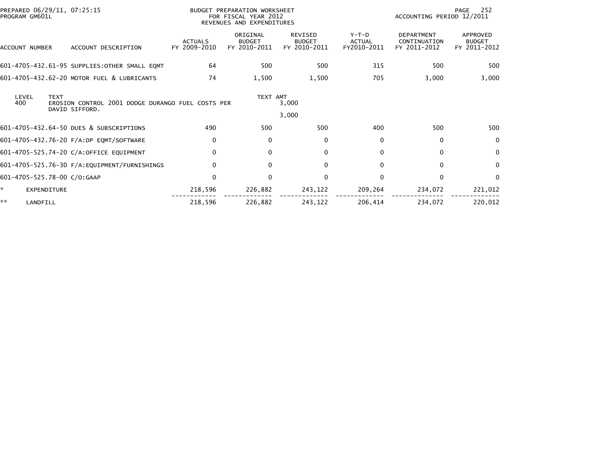| PREPARED 06/29/11, 07:25:15<br>PROGRAM GM601L |                                                                     | BUDGET PREPARATION WORKSHEET<br>FOR FISCAL YEAR 2012<br>REVENUES AND EXPENDITURES |                                           |                                                 |                                       | 252<br>PAGE<br>ACCOUNTING PERIOD 12/2011          |                                           |
|-----------------------------------------------|---------------------------------------------------------------------|-----------------------------------------------------------------------------------|-------------------------------------------|-------------------------------------------------|---------------------------------------|---------------------------------------------------|-------------------------------------------|
| ACCOUNT NUMBER                                | ACCOUNT DESCRIPTION                                                 | <b>ACTUALS</b><br>FY 2009-2010                                                    | ORIGINAL<br><b>BUDGET</b><br>FY 2010-2011 | <b>REVISED</b><br><b>BUDGET</b><br>FY 2010-2011 | Y-T-D<br><b>ACTUAL</b><br>FY2010-2011 | <b>DEPARTMENT</b><br>CONTINUATION<br>FY 2011-2012 | APPROVED<br><b>BUDGET</b><br>FY 2011-2012 |
|                                               | 601-4705-432.61-95 SUPPLIES: OTHER SMALL EQMT                       | 64                                                                                | 500                                       | 500                                             | 315                                   | 500                                               | 500                                       |
|                                               | 601-4705-432.62-20 MOTOR FUEL & LUBRICANTS                          | 74                                                                                | 1,500                                     | 1,500                                           | 705                                   | 3,000                                             | 3,000                                     |
| <b>TEXT</b><br>LEVEL<br>400                   | EROSION CONTROL 2001 DODGE DURANGO FUEL COSTS PER<br>DAVID SIFFORD. |                                                                                   | TEXT AMT                                  | 3,000<br>3,000                                  |                                       |                                                   |                                           |
|                                               | 601-4705-432.64-50 DUES & SUBSCRIPTIONS                             | 490                                                                               | 500                                       | 500                                             | 400                                   | 500                                               | 500                                       |
|                                               | 601-4705-432.76-20 F/A:DP EQMT/SOFTWARE                             | $\mathbf{0}$                                                                      | $\mathbf{0}$                              | 0                                               | $\mathbf{0}$                          | $\Omega$                                          | $\mathbf{0}$                              |
|                                               | 601-4705-525.74-20 C/A:OFFICE EQUIPMENT                             | $\mathbf{0}$                                                                      | $\mathbf{0}$                              | 0                                               | $\mathbf{0}$                          | $\Omega$                                          | $\mathbf{0}$                              |
|                                               | 601-4705-525.76-30 F/A: EQUIPMENT/FURNISHINGS                       | $\Omega$                                                                          | $\mathbf{0}$                              | $\mathbf 0$                                     | $\Omega$                              | $\Omega$                                          | $\Omega$                                  |
| 601-4705-525.78-00 C/O:GAAP                   |                                                                     | $\Omega$                                                                          | $\Omega$                                  | $\mathbf{0}$                                    | $\Omega$                              | $\Omega$                                          | $\Omega$                                  |
| <b>EXPENDITURE</b>                            |                                                                     | 218,596                                                                           | 226,882                                   | 243,122                                         | 209,264                               | 234,072                                           | 221,012                                   |
| **<br>LANDFILL                                |                                                                     | 218,596                                                                           | 226,882                                   | 243,122                                         | 206,414                               | 234,072                                           | 220,012                                   |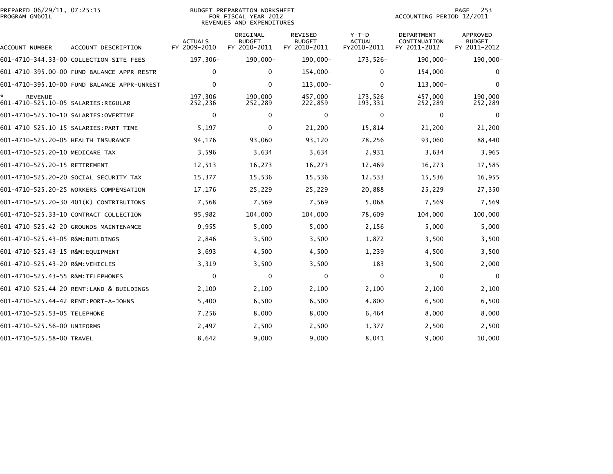|                | PREPARED 06/29/11, 07:25:15 |  |
|----------------|-----------------------------|--|
| PROGRAM GM601L |                             |  |

## PREPARED 06/29/11, 07:25:15 BUDGET PREPARATION WORKSHEET PAGE 253PROGRAM GM601L FOR FISCAL YEAR 2012 ACCOUNTING PERIOD 12/2011 REVENUES AND EXPENDITURES

| ACCOUNT NUMBER                                        | ACCOUNT DESCRIPTION                         | <b>ACTUALS</b><br>FY 2009-2010 | ORIGINAL<br><b>BUDGET</b><br>FY 2010-2011 | REVISED<br><b>BUDGET</b><br>FY 2010-2011 | $Y-T-D$<br><b>ACTUAL</b><br>FY2010-2011 | <b>DEPARTMENT</b><br>CONTINUATION<br>FY 2011-2012 | <b>APPROVED</b><br><b>BUDGET</b><br>FY 2011-2012 |
|-------------------------------------------------------|---------------------------------------------|--------------------------------|-------------------------------------------|------------------------------------------|-----------------------------------------|---------------------------------------------------|--------------------------------------------------|
|                                                       | 601-4710-344.33-00 COLLECTION SITE FEES     | 197,306-                       | 190,000-                                  | 190,000-                                 | 173,526-                                | 190,000-                                          | 190,000-                                         |
|                                                       | 601-4710-395.00-00 FUND BALANCE APPR-RESTR  | 0                              | 0                                         | $154,000-$                               | 0                                       | $154,000-$                                        | 0                                                |
|                                                       | 601-4710-395.10-00 FUND BALANCE APPR-UNREST | $\Omega$                       | $\Omega$                                  | 113,000-                                 | $\Omega$                                | $113,000 -$                                       | $\Omega$                                         |
| <b>REVENUE</b><br>601-4710-525.10-05 SALARIES:REGULAR |                                             | 197,306-<br>252,236            | 190,000-<br>252,289                       | 457,000-<br>222,859                      | 173,526-<br>193,331                     | 457,000-<br>252,289                               | 190,000-<br>252,289                              |
| 601-4710-525.10-10 SALARIES:OVERTIME                  |                                             | 0                              | 0                                         | 0                                        | 0                                       | $\bf{0}$                                          | 0                                                |
|                                                       |                                             | 5,197                          | 0                                         | 21,200                                   | 15,814                                  | 21,200                                            | 21,200                                           |
| 601-4710-525.20-05 HEALTH INSURANCE                   |                                             | 94,176                         | 93,060                                    | 93,120                                   | 78,256                                  | 93,060                                            | 88,440                                           |
| 601-4710-525.20-10 MEDICARE TAX                       |                                             | 3,596                          | 3,634                                     | 3,634                                    | 2,931                                   | 3,634                                             | 3,965                                            |
| 601-4710-525.20-15 RETIREMENT                         |                                             | 12,513                         | 16,273                                    | 16,273                                   | 12,469                                  | 16,273                                            | 17,585                                           |
|                                                       | 601-4710-525.20-20 SOCIAL SECURITY TAX      | 15,377                         | 15,536                                    | 15,536                                   | 12,533                                  | 15,536                                            | 16,955                                           |
|                                                       | 601-4710-525.20-25 WORKERS COMPENSATION     | 17,176                         | 25,229                                    | 25,229                                   | 20,888                                  | 25,229                                            | 27,350                                           |
|                                                       | 601-4710-525.20-30 401(K) CONTRIBUTIONS     | 7,568                          | 7,569                                     | 7,569                                    | 5,068                                   | 7,569                                             | 7,569                                            |
|                                                       | 601-4710-525.33-10 CONTRACT COLLECTION      | 95,982                         | 104,000                                   | 104,000                                  | 78,609                                  | 104,000                                           | 100,000                                          |
|                                                       | 601-4710-525.42-20 GROUNDS MAINTENANCE      | 9,955                          | 5,000                                     | 5,000                                    | 2,156                                   | 5,000                                             | 5,000                                            |
| 601-4710-525.43-05 R&M:BUILDINGS                      |                                             | 2,846                          | 3,500                                     | 3,500                                    | 1,872                                   | 3,500                                             | 3,500                                            |
| 601-4710-525.43-15 R&M:EOUIPMENT                      |                                             | 3,693                          | 4,500                                     | 4,500                                    | 1,239                                   | 4,500                                             | 3,500                                            |
| 601-4710-525.43-20 R&M:VEHICLES                       |                                             | 3,319                          | 3,500                                     | 3,500                                    | 183                                     | 3,500                                             | 2,000                                            |
| 601-4710-525.43-55 R&M: TELEPHONES                    |                                             | 0                              | $\mathbf{0}$                              | $\mathbf 0$                              | $\Omega$                                | $\mathbf{0}$                                      | $\Omega$                                         |
|                                                       | 601-4710-525.44-20 RENT:LAND & BUILDINGS    | 2,100                          | 2,100                                     | 2,100                                    | 2,100                                   | 2,100                                             | 2,100                                            |
| 601-4710-525.44-42 RENT:PORT-A-JOHNS                  |                                             | 5,400                          | 6,500                                     | 6,500                                    | 4,800                                   | 6,500                                             | 6,500                                            |
| 601-4710-525.53-05 TELEPHONE                          |                                             | 7,256                          | 8,000                                     | 8,000                                    | 6,464                                   | 8,000                                             | 8,000                                            |
| 601-4710-525.56-00 UNIFORMS                           |                                             | 2,497                          | 2,500                                     | 2,500                                    | 1,377                                   | 2,500                                             | 2,500                                            |
| 601-4710-525.58-00 TRAVEL                             |                                             | 8,642                          | 9,000                                     | 9,000                                    | 8,041                                   | 9,000                                             | 10,000                                           |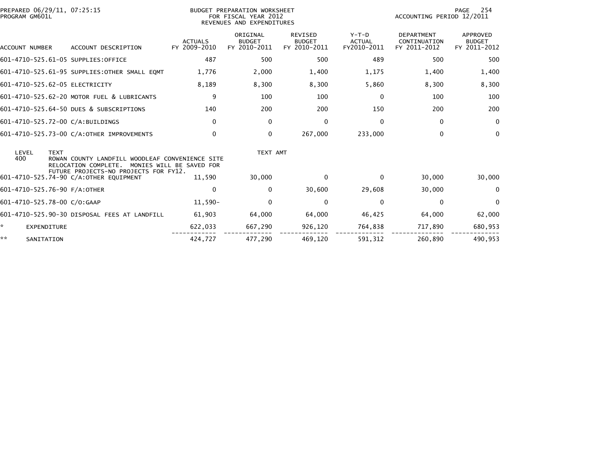| PREPARED 06/29/11, 07:25:15<br>PROGRAM GM601L |                                                                                 |                                | BUDGET PREPARATION WORKSHEET<br>FOR FISCAL YEAR 2012<br>REVENUES AND EXPENDITURES |                                                 |                                         | 254<br>PAGE<br>ACCOUNTING PERIOD 12/2011   |                                                  |
|-----------------------------------------------|---------------------------------------------------------------------------------|--------------------------------|-----------------------------------------------------------------------------------|-------------------------------------------------|-----------------------------------------|--------------------------------------------|--------------------------------------------------|
| ACCOUNT NUMBER                                | ACCOUNT DESCRIPTION                                                             | <b>ACTUALS</b><br>FY 2009-2010 | ORIGINAL<br><b>BUDGET</b><br>FY 2010-2011                                         | <b>REVISED</b><br><b>BUDGET</b><br>FY 2010-2011 | $Y-T-D$<br><b>ACTUAL</b><br>FY2010-2011 | DEPARTMENT<br>CONTINUATION<br>FY 2011-2012 | <b>APPROVED</b><br><b>BUDGET</b><br>FY 2011-2012 |
| 601-4710-525.61-05 SUPPLIES:OFFICE            |                                                                                 | 487                            | 500                                                                               | 500                                             | 489                                     | 500                                        | 500                                              |
|                                               | 601-4710-525.61-95 SUPPLIES: OTHER SMALL EQMT                                   | 1,776                          | 2,000                                                                             | 1,400                                           | 1,175                                   | 1,400                                      | 1,400                                            |
| 601-4710-525.62-05 ELECTRICITY                |                                                                                 | 8,189                          | 8,300                                                                             | 8,300                                           | 5,860                                   | 8,300                                      | 8,300                                            |
|                                               | 601-4710-525.62-20 MOTOR FUEL & LUBRICANTS                                      | 9                              | 100                                                                               | 100                                             | 0                                       | 100                                        | 100                                              |
|                                               | 601-4710-525.64-50 DUES & SUBSCRIPTIONS                                         | 140                            | 200                                                                               | 200                                             | 150                                     | 200                                        | 200                                              |
| 601-4710-525.72-00 C/A:BUILDINGS              |                                                                                 | $\mathbf{0}$                   | 0                                                                                 | 0                                               | $\Omega$                                | $\Omega$                                   | $\mathbf 0$                                      |
|                                               | 601-4710-525.73-00 C/A:OTHER IMPROVEMENTS                                       | $\Omega$                       | 0                                                                                 | 267,000                                         | 233,000                                 | $\Omega$                                   | 0                                                |
| LEVEL<br><b>TEXT</b><br>400                   | ROWAN COUNTY LANDFILL WOODLEAF CONVENIENCE SITE<br>RELOCATION COMPLETE.         | MONIES WILL BE SAVED FOR       | TEXT AMT                                                                          |                                                 |                                         |                                            |                                                  |
|                                               | FUTURE PROJECTS-NO PROJECTS FOR FY12.<br>601-4710-525.74-90 C/A:OTHER EQUIPMENT | 11,590                         | 30,000                                                                            | $\mathbf{0}$                                    | $\Omega$                                | 30,000                                     | 30,000                                           |
| 601-4710-525.76-90 F/A:OTHER                  |                                                                                 | $\mathbf{0}$                   | $\Omega$                                                                          | 30,600                                          | 29,608                                  | 30,000                                     | 0                                                |
| 601-4710-525.78-00 C/O:GAAP                   |                                                                                 | $11,590-$                      | $\Omega$                                                                          | $\mathbf 0$                                     | $\Omega$                                | $\mathbf{0}$                               | $\Omega$                                         |
|                                               | 601-4710-525.90-30 DISPOSAL FEES AT LANDFILL                                    | 61,903                         | 64,000                                                                            | 64,000                                          | 46,425                                  | 64,000                                     | 62,000                                           |
| *<br><b>EXPENDITURE</b>                       |                                                                                 | 622,033                        | 667,290                                                                           | 926,120                                         | 764,838                                 | 717,890                                    | 680,953                                          |
| **<br>SANITATION                              |                                                                                 | 424.727                        | 477.290                                                                           | 469,120                                         | 591.312                                 | 260.890                                    | 490.953                                          |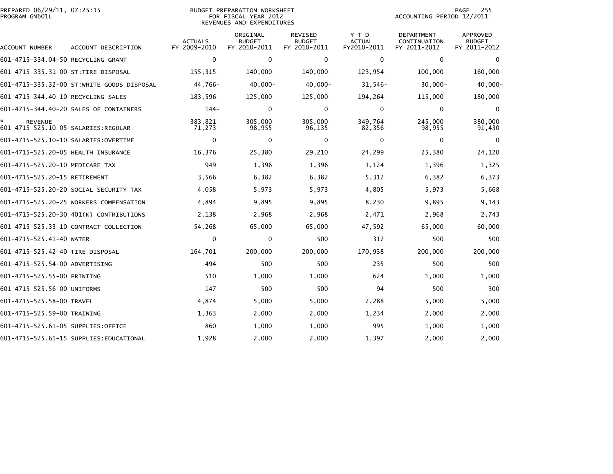| PREPARED 06/29/11, 07:25:15<br>PROGRAM GM601L |                                            |                                | <b>BUDGET PREPARATION WORKSHEET</b><br>FOR FISCAL YEAR 2012<br>REVENUES AND EXPENDITURES | 255<br>PAGE<br>ACCOUNTING PERIOD 12/2011        |                                         |                                            |                                                  |
|-----------------------------------------------|--------------------------------------------|--------------------------------|------------------------------------------------------------------------------------------|-------------------------------------------------|-----------------------------------------|--------------------------------------------|--------------------------------------------------|
| ACCOUNT NUMBER                                | ACCOUNT DESCRIPTION                        | <b>ACTUALS</b><br>FY 2009-2010 | ORIGINAL<br><b>BUDGET</b><br>FY 2010-2011                                                | <b>REVISED</b><br><b>BUDGET</b><br>FY 2010-2011 | $Y-T-D$<br><b>ACTUAL</b><br>FY2010-2011 | DEPARTMENT<br>CONTINUATION<br>FY 2011-2012 | <b>APPROVED</b><br><b>BUDGET</b><br>FY 2011-2012 |
| 601-4715-334.04-50 RECYCLING GRANT            |                                            | $\mathbf 0$                    | $\mathbf 0$                                                                              | $\mathbf 0$                                     | $\mathbf 0$                             | $\mathbf 0$                                | $\mathbf 0$                                      |
| 601-4715-335.31-00 ST:TIRE DISPOSAL           |                                            | 155, 315-                      | 140,000-                                                                                 | 140,000-                                        | $123,954-$                              | $100,000 -$                                | $160,000 -$                                      |
|                                               | 601-4715-335.32-00 ST:WHITE GOODS DISPOSAL | 44,766-                        | $40,000 -$                                                                               | $40,000 -$                                      | $31,546-$                               | $30,000 -$                                 | $40,000 -$                                       |
| 601-4715-344.40-10 RECYCLING SALES            |                                            | 183,596-                       | $125,000 -$                                                                              | $125,000 -$                                     | 194, 264-                               | 115,000-                                   | 180,000-                                         |
|                                               | 601-4715-344.40-20 SALES OF CONTAINERS     | $144-$                         | 0                                                                                        | $\mathbf 0$                                     | 0                                       | $\mathbf 0$                                | 0                                                |
| <b>REVENUE</b>                                |                                            | 383,821-<br>71,273             | $305,000 -$<br>98,955                                                                    | $305,000 -$<br>96,135                           | 349,764-<br>82,356                      | 245,000-<br>98,955                         | 380,000-<br>91,430                               |
| 601-4715-525.10-10 SALARIES:OVERTIME          |                                            | $\mathbf 0$                    | 0                                                                                        | $\mathbf 0$                                     | $\mathbf 0$                             | $\mathbf 0$                                | 0                                                |
| 601-4715-525.20-05 HEALTH INSURANCE           |                                            | 16,376                         | 25,380                                                                                   | 29,210                                          | 24,299                                  | 25,380                                     | 24,120                                           |
| 601-4715-525.20-10 MEDICARE TAX               |                                            | 949                            | 1,396                                                                                    | 1,396                                           | 1,124                                   | 1,396                                      | 1,325                                            |
| 601-4715-525.20-15 RETIREMENT                 |                                            | 3,566                          | 6,382                                                                                    | 6,382                                           | 5,312                                   | 6,382                                      | 6,373                                            |
|                                               | 601-4715-525.20-20 SOCIAL SECURITY TAX     | 4,058                          | 5,973                                                                                    | 5,973                                           | 4,805                                   | 5,973                                      | 5,668                                            |
|                                               | 601-4715-525.20-25 WORKERS COMPENSATION    | 4,894                          | 9,895                                                                                    | 9,895                                           | 8,230                                   | 9,895                                      | 9,143                                            |
|                                               | 601-4715-525.20-30 401(K) CONTRIBUTIONS    | 2,138                          | 2,968                                                                                    | 2,968                                           | 2,471                                   | 2,968                                      | 2,743                                            |
|                                               | 601-4715-525.33-10 CONTRACT COLLECTION     | 54,268                         | 65,000                                                                                   | 65,000                                          | 47,592                                  | 65,000                                     | 60,000                                           |
| 601-4715-525.41-40 WATER                      |                                            | $\mathbf 0$                    | 0                                                                                        | 500                                             | 317                                     | 500                                        | 500                                              |
| 601-4715-525.42-40 TIRE DISPOSAL              |                                            | 164,701                        | 200,000                                                                                  | 200,000                                         | 170,938                                 | 200,000                                    | 200,000                                          |
| 601-4715-525.54-00 ADVERTISING                |                                            | 494                            | 500                                                                                      | 500                                             | 235                                     | 500                                        | 500                                              |
| 601-4715-525.55-00 PRINTING                   |                                            | 510                            | 1,000                                                                                    | 1,000                                           | 624                                     | 1,000                                      | 1,000                                            |
| 601-4715-525.56-00 UNIFORMS                   |                                            | 147                            | 500                                                                                      | 500                                             | 94                                      | 500                                        | 300                                              |
| 601-4715-525.58-00 TRAVEL                     |                                            | 4,874                          | 5,000                                                                                    | 5,000                                           | 2,288                                   | 5,000                                      | 5,000                                            |
| 601-4715-525.59-00 TRAINING                   |                                            | 1,363                          | 2,000                                                                                    | 2,000                                           | 1,234                                   | 2,000                                      | 2,000                                            |
| 601-4715-525.61-05 SUPPLIES:OFFICE            |                                            | 860                            | 1,000                                                                                    | 1,000                                           | 995                                     | 1,000                                      | 1,000                                            |
|                                               | 601-4715-525.61-15 SUPPLIES: EDUCATIONAL   | 1,928                          | 2,000                                                                                    | 2,000                                           | 1,397                                   | 2,000                                      | 2,000                                            |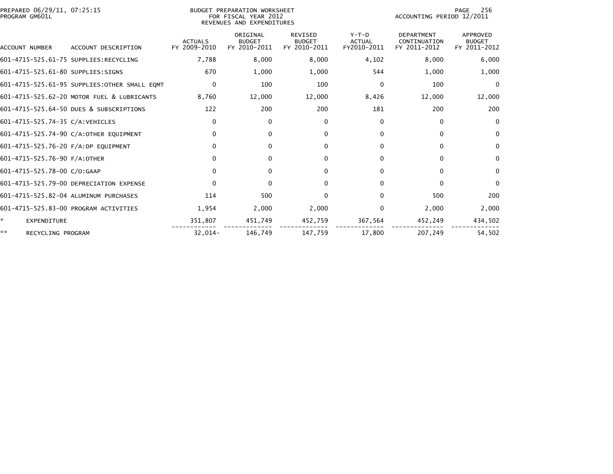| PREPARED 06/29/11, 07:25:15<br>PROGRAM GM601L |                                               | 256<br>PAGE<br>ACCOUNTING PERIOD 12/2011 |                                           |                                                 |                                         |                                                   |                                           |
|-----------------------------------------------|-----------------------------------------------|------------------------------------------|-------------------------------------------|-------------------------------------------------|-----------------------------------------|---------------------------------------------------|-------------------------------------------|
| ACCOUNT NUMBER                                | ACCOUNT DESCRIPTION                           | <b>ACTUALS</b><br>FY 2009-2010           | ORIGINAL<br><b>BUDGET</b><br>FY 2010-2011 | <b>REVISED</b><br><b>BUDGET</b><br>FY 2010-2011 | $Y-T-D$<br><b>ACTUAL</b><br>FY2010-2011 | <b>DEPARTMENT</b><br>CONTINUATION<br>FY 2011-2012 | APPROVED<br><b>BUDGET</b><br>FY 2011-2012 |
|                                               | 601-4715-525.61-75 SUPPLIES:RECYCLING         | 7,788                                    | 8,000                                     | 8,000                                           | 4,102                                   | 8,000                                             | 6,000                                     |
| 601-4715-525.61-80 SUPPLIES:SIGNS             |                                               | 670                                      | 1,000                                     | 1,000                                           | 544                                     | 1,000                                             | 1,000                                     |
|                                               | 601-4715-525.61-95 SUPPLIES: OTHER SMALL EQMT | $\Omega$                                 | 100                                       | 100                                             | $\Omega$                                | 100                                               | $\mathbf{0}$                              |
|                                               | 601-4715-525.62-20 MOTOR FUEL & LUBRICANTS    | 8,760                                    | 12,000                                    | 12,000                                          | 8,426                                   | 12,000                                            | 12,000                                    |
|                                               | 601-4715-525.64-50 DUES & SUBSCRIPTIONS       | 122                                      | 200                                       | 200                                             | 181                                     | 200                                               | 200                                       |
| 601-4715-525.74-35 C/A: VEHICLES              |                                               | $\mathbf{0}$                             | 0                                         | 0                                               | 0                                       | $\Omega$                                          | $\Omega$                                  |
|                                               | 601-4715-525.74-90 C/A:OTHER EQUIPMENT        | $\Omega$                                 | 0                                         | 0                                               | 0                                       | $\Omega$                                          | $\bf{0}$                                  |
| 601-4715-525.76-20 F/A:DP EQUIPMENT           |                                               | $\Omega$                                 | 0                                         | 0                                               | 0                                       | 0                                                 | $\bf{0}$                                  |
| 601-4715-525.76-90 F/A:OTHER                  |                                               | $\Omega$                                 | 0                                         | 0                                               | 0                                       | $\Omega$                                          | $\mathbf{0}$                              |
| 601-4715-525.78-00 C/O:GAAP                   |                                               | $\Omega$                                 | 0                                         | 0                                               | $\Omega$                                | 0                                                 | $\mathbf{0}$                              |
|                                               | 601-4715-525.79-00 DEPRECIATION EXPENSE       | $\mathbf{0}$                             | 0                                         | 0                                               | $\Omega$                                | $\Omega$                                          | $\mathbf{0}$                              |
|                                               | 601-4715-525.82-04 ALUMINUM PURCHASES         | 114                                      | 500                                       | $\mathbf{0}$                                    | $\Omega$                                | 500                                               | 200                                       |
|                                               | 601-4715-525.83-00 PROGRAM ACTIVITIES         | 1,954                                    | 2,000                                     | 2,000                                           | 0                                       | 2,000                                             | 2,000                                     |
| EXPENDITURE                                   |                                               | 351,807                                  | 451,749                                   | 452,759                                         | 367,564                                 | 452,249                                           | 434,502                                   |
| **<br>RECYCLING PROGRAM                       |                                               | $32,014-$                                | 146,749                                   | 147,759                                         | 17,800                                  | 207,249                                           | 54,502                                    |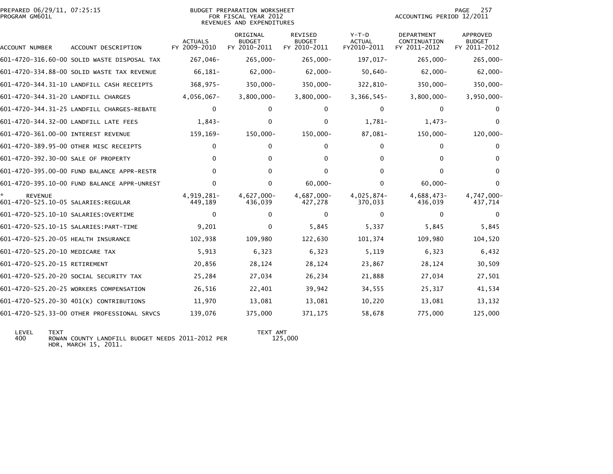| PREPARED 06/29/11, 07:25:15<br>PROGRAM GM601L         |                                             |                                | BUDGET PREPARATION WORKSHEET<br>FOR FISCAL YEAR 2012<br>REVENUES AND EXPENDITURES |                                          |                                         |                                            | 257<br>PAGE<br>ACCOUNTING PERIOD 12/2011 |  |  |
|-------------------------------------------------------|---------------------------------------------|--------------------------------|-----------------------------------------------------------------------------------|------------------------------------------|-----------------------------------------|--------------------------------------------|------------------------------------------|--|--|
| ACCOUNT NUMBER                                        | ACCOUNT DESCRIPTION                         | <b>ACTUALS</b><br>FY 2009-2010 | ORIGINAL<br><b>BUDGET</b><br>FY 2010-2011                                         | REVISED<br><b>BUDGET</b><br>FY 2010-2011 | $Y-T-D$<br><b>ACTUAL</b><br>FY2010-2011 | DEPARTMENT<br>CONTINUATION<br>FY 2011-2012 | APPROVED<br>BUDGET<br>FY 2011-2012       |  |  |
|                                                       | 601-4720-316.60-00 SOLID WASTE DISPOSAL TAX | 267,046-                       | 265,000-                                                                          | $265,000 -$                              | 197,017-                                | $265,000 -$                                | $265,000 -$                              |  |  |
|                                                       | 601-4720-334.88-00 SOLID WASTE TAX REVENUE  | 66,181-                        | $62,000-$                                                                         | $62,000 -$                               | $50,640-$                               | $62,000 -$                                 | $62,000 -$                               |  |  |
|                                                       | 601-4720-344.31-10 LANDFILL CASH RECEIPTS   | $368, 975 -$                   | 350,000-                                                                          | $350,000 -$                              | 322,810-                                | 350,000-                                   | $350,000 -$                              |  |  |
| 601-4720-344.31-20 LANDFILL CHARGES                   |                                             | $4,056,067-$                   | $3,800,000 -$                                                                     | $3,800,000 -$                            | $3,366,545-$                            | $3,800,000 -$                              | $3,950,000 -$                            |  |  |
|                                                       | 601-4720-344.31-25 LANDFILL CHARGES-REBATE  | $\Omega$                       | 0                                                                                 | 0                                        | $\Omega$                                | $\Omega$                                   |                                          |  |  |
|                                                       | 601-4720-344.32-00 LANDFILL LATE FEES       | $1,843-$                       | 0                                                                                 | 0                                        | 1,781-                                  | $1,473-$                                   | $\Omega$                                 |  |  |
| 601-4720-361.00-00 INTEREST REVENUE                   |                                             | 159, 169-                      | $150,000 -$                                                                       | 150,000-                                 | 87,081-                                 | 150,000-                                   | $120,000 -$                              |  |  |
|                                                       | 601-4720-389.95-00 OTHER MISC RECEIPTS      | $\mathbf{0}$                   | 0                                                                                 | 0                                        | 0                                       | 0                                          | 0                                        |  |  |
| 601-4720-392.30-00 SALE OF PROPERTY                   |                                             | $\Omega$                       | 0                                                                                 | 0                                        | $\Omega$                                | 0                                          | 0                                        |  |  |
|                                                       | 601-4720-395.00-00 FUND BALANCE APPR-RESTR  | $\mathbf{0}$                   | 0                                                                                 | 0                                        | $\Omega$                                | 0                                          | 0                                        |  |  |
|                                                       | 601-4720-395.10-00 FUND BALANCE APPR-UNREST | $\Omega$                       | 0                                                                                 | $60,000 -$                               | $\Omega$                                | $60,000 -$                                 | $\Omega$                                 |  |  |
| <b>REVENUE</b><br>601-4720-525.10-05 SALARIES:REGULAR |                                             | 4,919,281-<br>449,189          | 4,627,000-<br>436,039                                                             | 4,687,000-<br>427,278                    | 4,025,874-<br>370,033                   | 4,688,473-<br>436,039                      | 4,747,000-<br>437,714                    |  |  |
| 601-4720-525.10-10 SALARIES: OVERTIME                 |                                             | $\mathbf{0}$                   | 0                                                                                 | $\mathbf{0}$                             | $\mathbf{0}$                            | $\Omega$                                   | $\Omega$                                 |  |  |
|                                                       |                                             | 9,201                          | 0                                                                                 | 5,845                                    | 5,337                                   | 5,845                                      | 5,845                                    |  |  |
| 601-4720-525.20-05 HEALTH INSURANCE                   |                                             | 102,938                        | 109,980                                                                           | 122,630                                  | 101,374                                 | 109,980                                    | 104,520                                  |  |  |
| 601-4720-525.20-10 MEDICARE TAX                       |                                             | 5,913                          | 6,323                                                                             | 6,323                                    | 5,119                                   | 6,323                                      | 6,432                                    |  |  |
| 601-4720-525.20-15 RETIREMENT                         |                                             | 20,856                         | 28,124                                                                            | 28,124                                   | 23,867                                  | 28,124                                     | 30,509                                   |  |  |
|                                                       | 601-4720-525.20-20 SOCIAL SECURITY TAX      | 25,284                         | 27,034                                                                            | 26,234                                   | 21,888                                  | 27,034                                     | 27,501                                   |  |  |
|                                                       | 601-4720-525.20-25 WORKERS COMPENSATION     | 26,516                         | 22,401                                                                            | 39,942                                   | 34,555                                  | 25,317                                     | 41,534                                   |  |  |
|                                                       | 601-4720-525.20-30 401(K) CONTRIBUTIONS     | 11,970                         | 13,081                                                                            | 13,081                                   | 10,220                                  | 13,081                                     | 13,132                                   |  |  |
|                                                       | 601-4720-525.33-00 OTHER PROFESSIONAL SRVCS | 139,076                        | 375,000                                                                           | 371,175                                  | 58,678                                  | 775,000                                    | 125,000                                  |  |  |

 LEVEL TEXT TEXT AMT 400 ROWAN COUNTY LANDFILL BUDGET NEEDS 2011-2012 PER 125,000HDR, MARCH 15, 2011.

TEXT AMT<br>125,000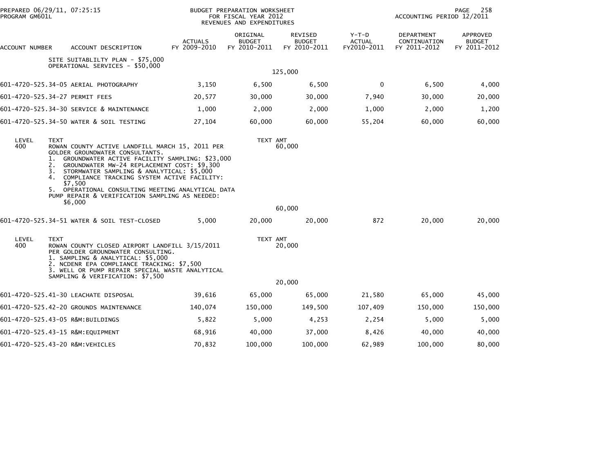| PROGRAM GM601L               | PREPARED 06/29/11, 07:25:15                                                                                                                                                                                                                                                                                                                                                                                                                                                                                                                                                                                                                                                                                                                                             |                                | BUDGET PREPARATION WORKSHEET<br>FOR FISCAL YEAR 2012<br>REVENUES AND EXPENDITURES |                                          |                                         | ACCOUNTING PERIOD 12/2011                  | 258<br><b>PAGE</b>                        |
|------------------------------|-------------------------------------------------------------------------------------------------------------------------------------------------------------------------------------------------------------------------------------------------------------------------------------------------------------------------------------------------------------------------------------------------------------------------------------------------------------------------------------------------------------------------------------------------------------------------------------------------------------------------------------------------------------------------------------------------------------------------------------------------------------------------|--------------------------------|-----------------------------------------------------------------------------------|------------------------------------------|-----------------------------------------|--------------------------------------------|-------------------------------------------|
| ACCOUNT NUMBER               | ACCOUNT DESCRIPTION                                                                                                                                                                                                                                                                                                                                                                                                                                                                                                                                                                                                                                                                                                                                                     | <b>ACTUALS</b><br>FY 2009-2010 | ORIGINAL<br><b>BUDGET</b><br>FY 2010-2011                                         | REVISED<br><b>BUDGET</b><br>FY 2010-2011 | $Y-T-D$<br><b>ACTUAL</b><br>FY2010-2011 | DEPARTMENT<br>CONTINUATION<br>FY 2011-2012 | APPROVED<br><b>BUDGET</b><br>FY 2011-2012 |
|                              | SITE SUITABLILTY PLAN - \$75,000<br>OPERATIONAL SERVICES - \$50,000                                                                                                                                                                                                                                                                                                                                                                                                                                                                                                                                                                                                                                                                                                     |                                |                                                                                   | 125,000                                  |                                         |                                            |                                           |
|                              | 601-4720-525.34-05 AERIAL PHOTOGRAPHY                                                                                                                                                                                                                                                                                                                                                                                                                                                                                                                                                                                                                                                                                                                                   | 3,150                          | 6,500                                                                             | 6,500                                    | $\mathbf 0$                             | 6,500                                      | 4,000                                     |
|                              | 601-4720-525.34-27 PERMIT FEES                                                                                                                                                                                                                                                                                                                                                                                                                                                                                                                                                                                                                                                                                                                                          | 20,577                         | 30,000                                                                            | 30,000                                   | 7,940                                   | 30,000                                     | 20,000                                    |
|                              | 601-4720-525.34-30 SERVICE & MAINTENANCE                                                                                                                                                                                                                                                                                                                                                                                                                                                                                                                                                                                                                                                                                                                                | 1,000                          | 2,000                                                                             | 2,000                                    | 1,000                                   | 2,000                                      | 1,200                                     |
|                              | 601-4720-525.34-50 WATER & SOIL TESTING                                                                                                                                                                                                                                                                                                                                                                                                                                                                                                                                                                                                                                                                                                                                 | 27,104                         | 60,000                                                                            | 60,000                                   | 55,204                                  | 60,000                                     | 60,000                                    |
| LEVEL<br>400<br>LEVEL<br>400 | <b>TEXT</b><br>ROWAN COUNTY ACTIVE LANDFILL MARCH 15, 2011 PER<br>GOLDER GROUNDWATER CONSULTANTS.<br>1. GROUNDWATER ACTIVE FACILITY SAMPLING: \$23,000<br>GROUNDWATER MW-24 REPLACEMENT COST: \$9,300<br>3. STORMWATER SAMPLING & ANALYTICAL: \$5,000<br>COMPLIANCE TRACKING SYSTEM ACTIVE FACILITY:<br>4.<br>\$7.500<br>5. OPERATIONAL CONSULTING MEETING ANALYTICAL DATA<br>PUMP REPAIR & VERIFICATION SAMPLING AS NEEDED:<br>\$6,000<br>601-4720-525.34-51 WATER & SOIL TEST-CLOSED<br><b>TEXT</b><br>ROWAN COUNTY CLOSED AIRPORT LANDFILL 3/15/2011<br>PER GOLDER GROUNDWATER CONSULTING.<br>1. SAMPLING & ANALYTICAL: \$5,000<br>2. NCDENR EPA COMPLIANCE TRACKING: \$7,500<br>3. WELL OR PUMP REPAIR SPECIAL WASTE ANALYTICAL<br>SAMPLING & VERIFICATION: \$7,500 | 5,000                          | TEXT AMT<br>20,000<br>TEXT AMT                                                    | 60,000<br>60,000<br>20,000<br>20,000     | 872                                     | 20,000                                     | 20,000                                    |
|                              |                                                                                                                                                                                                                                                                                                                                                                                                                                                                                                                                                                                                                                                                                                                                                                         |                                |                                                                                   | 20,000                                   |                                         |                                            |                                           |
|                              | 601-4720-525.41-30 LEACHATE DISPOSAL                                                                                                                                                                                                                                                                                                                                                                                                                                                                                                                                                                                                                                                                                                                                    | 39,616                         | 65,000                                                                            | 65,000                                   | 21,580                                  | 65,000                                     | 45,000                                    |
|                              | 601-4720-525.42-20 GROUNDS MAINTENANCE                                                                                                                                                                                                                                                                                                                                                                                                                                                                                                                                                                                                                                                                                                                                  | 140,074                        | 150,000                                                                           | 149,500                                  | 107,409                                 | 150,000                                    | 150,000                                   |
|                              | 601-4720-525.43-05 R&M:BUILDINGS                                                                                                                                                                                                                                                                                                                                                                                                                                                                                                                                                                                                                                                                                                                                        | 5,822                          | 5,000                                                                             | 4,253                                    | 2,254                                   | 5,000                                      | 5,000                                     |
|                              | 601-4720-525.43-15 R&M:EQUIPMENT                                                                                                                                                                                                                                                                                                                                                                                                                                                                                                                                                                                                                                                                                                                                        | 68,916                         | 40,000                                                                            | 37,000                                   | 8,426                                   | 40,000                                     | 40,000                                    |
|                              | 601-4720-525.43-20 R&M:VEHICLES                                                                                                                                                                                                                                                                                                                                                                                                                                                                                                                                                                                                                                                                                                                                         | 70,832                         | 100,000                                                                           | 100,000                                  | 62,989                                  | 100,000                                    | 80,000                                    |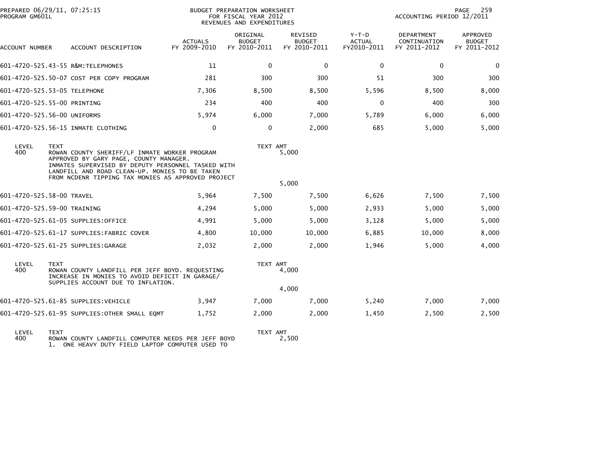| PREPARED 06/29/11, 07:25:15<br>PROGRAM GM601L |             |                                                                                                                                                                                                                                                       |                                | 259<br>PAGE<br>ACCOUNTING PERIOD 12/2011  |                                                 |                                         |                                            |                                                  |
|-----------------------------------------------|-------------|-------------------------------------------------------------------------------------------------------------------------------------------------------------------------------------------------------------------------------------------------------|--------------------------------|-------------------------------------------|-------------------------------------------------|-----------------------------------------|--------------------------------------------|--------------------------------------------------|
| ACCOUNT NUMBER                                |             | ACCOUNT DESCRIPTION                                                                                                                                                                                                                                   | <b>ACTUALS</b><br>FY 2009-2010 | ORIGINAL<br><b>BUDGET</b><br>FY 2010-2011 | <b>REVISED</b><br><b>BUDGET</b><br>FY 2010-2011 | $Y-T-D$<br><b>ACTUAL</b><br>FY2010-2011 | DEPARTMENT<br>CONTINUATION<br>FY 2011-2012 | <b>APPROVED</b><br><b>BUDGET</b><br>FY 2011-2012 |
|                                               |             | 601-4720-525.43-55 R&M:TELEPHONES                                                                                                                                                                                                                     | 11                             | 0                                         | 0                                               | $\mathbf{0}$                            | 0                                          | 0                                                |
|                                               |             | 601-4720-525.50-07 COST PER COPY PROGRAM                                                                                                                                                                                                              | 281                            | 300                                       | 300                                             | 51                                      | 300                                        | 300                                              |
| 601-4720-525.53-05 TELEPHONE                  |             |                                                                                                                                                                                                                                                       | 7,306                          | 8,500                                     | 8,500                                           | 5,596                                   | 8,500                                      | 8,000                                            |
| 601-4720-525.55-00 PRINTING                   |             |                                                                                                                                                                                                                                                       | 234                            | 400                                       | 400                                             | $\mathbf{0}$                            | 400                                        | 300                                              |
| 601-4720-525.56-00 UNIFORMS                   |             |                                                                                                                                                                                                                                                       | 5,974                          | 6,000                                     | 7,000                                           | 5,789                                   | 6,000                                      | 6,000                                            |
|                                               |             | 601-4720-525.56-15 INMATE CLOTHING                                                                                                                                                                                                                    | $\mathbf{0}$                   | 0                                         | 2,000                                           | 685                                     | 5,000                                      | 5,000                                            |
| LEVEL<br>400                                  | <b>TEXT</b> | ROWAN COUNTY SHERIFF/LF INMATE WORKER PROGRAM<br>APPROVED BY GARY PAGE, COUNTY MANAGER.<br>INMATES SUPERVISED BY DEPUTY PERSONNEL TASKED WITH<br>LANDFILL AND ROAD CLEAN-UP. MONIES TO BE TAKEN<br>FROM NCDENR TIPPING TAX MONIES AS APPROVED PROJECT |                                | TEXT AMT                                  | 5,000                                           |                                         |                                            |                                                  |
|                                               |             |                                                                                                                                                                                                                                                       |                                |                                           | 5,000                                           |                                         |                                            |                                                  |
| 601-4720-525.58-00 TRAVEL                     |             |                                                                                                                                                                                                                                                       | 5,964                          | 7,500                                     | 7,500                                           | 6,626                                   | 7,500                                      | 7,500                                            |
| 601-4720-525.59-00 TRAINING                   |             |                                                                                                                                                                                                                                                       | 4,294                          | 5,000                                     | 5,000                                           | 2,933                                   | 5,000                                      | 5,000                                            |
|                                               |             | 601-4720-525.61-05 SUPPLIES:OFFICE                                                                                                                                                                                                                    | 4,991                          | 5,000                                     | 5,000                                           | 3,128                                   | 5,000                                      | 5,000                                            |
|                                               |             | 601-4720-525.61-17 SUPPLIES:FABRIC COVER                                                                                                                                                                                                              | 4,800                          | 10,000                                    | 10,000                                          | 6,885                                   | 10,000                                     | 8,000                                            |
|                                               |             | 601-4720-525.61-25 SUPPLIES:GARAGE                                                                                                                                                                                                                    | 2,032                          | 2,000                                     | 2,000                                           | 1,946                                   | 5,000                                      | 4,000                                            |
| LEVEL<br>400                                  | <b>TEXT</b> | ROWAN COUNTY LANDFILL PER JEFF BOYD. REQUESTING<br>INCREASE IN MONIES TO AVOID DEFICIT IN GARAGE/                                                                                                                                                     |                                | TEXT AMT                                  | 4,000                                           |                                         |                                            |                                                  |
|                                               |             | SUPPLIES ACCOUNT DUE TO INFLATION.                                                                                                                                                                                                                    |                                |                                           | 4,000                                           |                                         |                                            |                                                  |
|                                               |             | 601-4720-525.61-85 SUPPLIES: VEHICLE                                                                                                                                                                                                                  | 3,947                          | 7,000                                     | 7,000                                           | 5,240                                   | 7,000                                      | 7,000                                            |
|                                               |             | 601-4720-525.61-95 SUPPLIES: OTHER SMALL EQMT                                                                                                                                                                                                         | 1,752                          | 2,000                                     | 2,000                                           | 1,450                                   | 2,500                                      | 2,500                                            |
|                                               |             |                                                                                                                                                                                                                                                       |                                |                                           |                                                 |                                         |                                            |                                                  |

LEVEL TEXT TEXT AMT 400 ROWAN COUNTY LANDFILL COMPUTER NEEDS PER JEFF BOYD 2,500 1. ONE HEAVY DUTY FIELD LAPTOP COMPUTER USED TO

TEXT AMT<br>2,500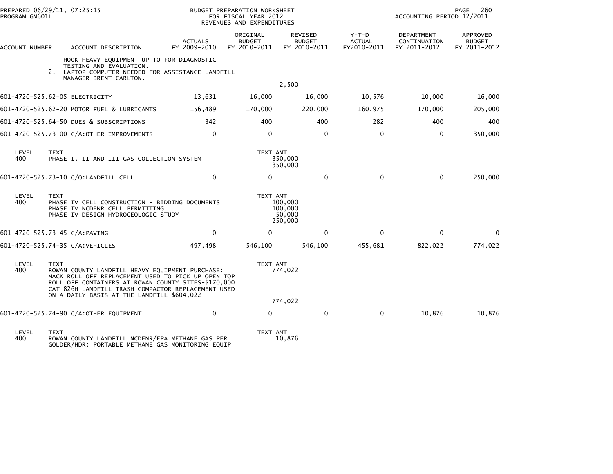| PROGRAM GM601L                 | PREPARED 06/29/11, 07:25:15 |                                                                                                                                                                                                                                                                  |                                | BUDGET PREPARATION WORKSHEET<br>FOR FISCAL YEAR 2012<br>REVENUES AND EXPENDITURES |                                          |                                         | ACCOUNTING PERIOD 12/2011                  | 260<br>PAGE                               |
|--------------------------------|-----------------------------|------------------------------------------------------------------------------------------------------------------------------------------------------------------------------------------------------------------------------------------------------------------|--------------------------------|-----------------------------------------------------------------------------------|------------------------------------------|-----------------------------------------|--------------------------------------------|-------------------------------------------|
| ACCOUNT NUMBER                 |                             | ACCOUNT DESCRIPTION                                                                                                                                                                                                                                              | <b>ACTUALS</b><br>FY 2009-2010 | ORIGINAL<br><b>BUDGET</b><br>FY 2010-2011                                         | REVISED<br><b>BUDGET</b><br>FY 2010-2011 | $Y-T-D$<br><b>ACTUAL</b><br>FY2010-2011 | DEPARTMENT<br>CONTINUATION<br>FY 2011-2012 | APPROVED<br><b>BUDGET</b><br>FY 2011-2012 |
|                                |                             | HOOK HEAVY EQUIPMENT UP TO FOR DIAGNOSTIC<br>TESTING AND EVALUATION.<br>2. LAPTOP COMPUTER NEEDED FOR ASSISTANCE LANDFILL<br>MANAGER BRENT CARLTON.                                                                                                              |                                |                                                                                   | 2,500                                    |                                         |                                            |                                           |
| 601-4720-525.62-05 ELECTRICITY |                             |                                                                                                                                                                                                                                                                  | 13,631                         | 16,000                                                                            | 16,000                                   | 10,576                                  | 10,000                                     | 16,000                                    |
|                                |                             | 601-4720-525.62-20 MOTOR FUEL & LUBRICANTS                                                                                                                                                                                                                       | 156,489                        | 170,000                                                                           | 220,000                                  | 160,975                                 | 170,000                                    | 205,000                                   |
|                                |                             | 601-4720-525.64-50 DUES & SUBSCRIPTIONS                                                                                                                                                                                                                          | 342                            | 400                                                                               | 400                                      | 282                                     | 400                                        | 400                                       |
|                                |                             | 601-4720-525.73-00 C/A:OTHER IMPROVEMENTS                                                                                                                                                                                                                        | $\mathbf 0$                    | 0                                                                                 | 0                                        | 0                                       | 0                                          | 350,000                                   |
| LEVEL<br>400                   | <b>TEXT</b>                 | PHASE I, II AND III GAS COLLECTION SYSTEM                                                                                                                                                                                                                        |                                | TEXT AMT                                                                          | 350,000<br>350,000                       |                                         |                                            |                                           |
|                                |                             | 601-4720-525.73-10 C/O:LANDFILL CELL                                                                                                                                                                                                                             | $\mathbf{0}$                   | $\mathbf{0}$                                                                      | $\mathbf{0}$                             | $\Omega$                                | $\Omega$                                   | 250,000                                   |
| LEVEL<br>400                   | <b>TEXT</b>                 | PHASE IV CELL CONSTRUCTION - BIDDING DOCUMENTS<br>PHASE IV NCDENR CELL PERMITTING<br>PHASE IV DESIGN HYDROGEOLOGIC STUDY                                                                                                                                         |                                | TEXT AMT                                                                          | 100,000<br>100,000<br>50,000<br>250,000  |                                         |                                            |                                           |
| 601-4720-525.73-45 C/A:PAVING  |                             |                                                                                                                                                                                                                                                                  | $\mathbf{0}$                   | 0                                                                                 | $\mathbf{0}$                             | $\Omega$                                | $\Omega$                                   | 0                                         |
|                                |                             | 601-4720-525.74-35 C/A:VEHICLES                                                                                                                                                                                                                                  | 497,498                        | 546,100                                                                           | 546,100                                  | 455,681                                 | 822,022                                    | 774,022                                   |
| LEVEL<br>400                   | <b>TEXT</b>                 | ROWAN COUNTY LANDFILL HEAVY EQUIPMENT PURCHASE:<br>MACK ROLL OFF REPLACEMENT USED TO PICK UP OPEN TOP<br>ROLL OFF CONTAINERS AT ROWAN COUNTY SITES-\$170,000<br>CAT 826H LANDFILL TRASH COMPACTOR REPLACEMENT USED<br>ON A DAILY BASIS AT THE LANDFILL-\$604,022 |                                | TEXT AMT                                                                          | 774,022                                  |                                         |                                            |                                           |
|                                |                             |                                                                                                                                                                                                                                                                  |                                |                                                                                   | 774,022                                  |                                         |                                            |                                           |
|                                |                             | 601-4720-525.74-90 C/A:OTHER EQUIPMENT                                                                                                                                                                                                                           | $\mathbf 0$                    | $\mathbf 0$                                                                       | $\mathbf 0$                              | 0                                       | 10,876                                     | 10,876                                    |
| LEVEL<br>400                   | <b>TEXT</b>                 | ROWAN COUNTY LANDFILL NCDENR/EPA METHANE GAS PER                                                                                                                                                                                                                 |                                | TEXT AMT                                                                          | 10,876                                   |                                         |                                            |                                           |

GOLDER/HDR: PORTABLE METHANE GAS MONITORING EQUIP

10,876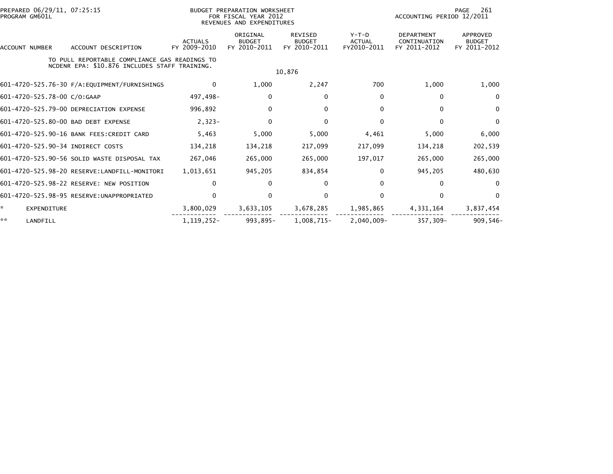| PREPARED 06/29/11, 07:25:15<br>PROGRAM GM601L |                                                                                                |                                | BUDGET PREPARATION WORKSHEET<br>FOR FISCAL YEAR 2012<br>REVENUES AND EXPENDITURES |                                                 |                                         | 261<br>PAGE<br>ACCOUNTING PERIOD 12/2011          |                                                  |  |  |
|-----------------------------------------------|------------------------------------------------------------------------------------------------|--------------------------------|-----------------------------------------------------------------------------------|-------------------------------------------------|-----------------------------------------|---------------------------------------------------|--------------------------------------------------|--|--|
| <b>ACCOUNT NUMBER</b>                         | ACCOUNT DESCRIPTION                                                                            | <b>ACTUALS</b><br>FY 2009-2010 | ORIGINAL<br><b>BUDGET</b><br>FY 2010-2011                                         | <b>REVISED</b><br><b>BUDGET</b><br>FY 2010-2011 | $Y-T-D$<br><b>ACTUAL</b><br>FY2010-2011 | <b>DEPARTMENT</b><br>CONTINUATION<br>FY 2011-2012 | <b>APPROVED</b><br><b>BUDGET</b><br>FY 2011-2012 |  |  |
|                                               | TO PULL REPORTABLE COMPLIANCE GAS READINGS TO<br>NCDENR EPA: \$10.876 INCLUDES STAFF TRAINING. |                                |                                                                                   | 10,876                                          |                                         |                                                   |                                                  |  |  |
|                                               | 601-4720-525.76-30 F/A:EQUIPMENT/FURNISHINGS                                                   | 0                              | 1,000                                                                             | 2,247                                           | 700                                     | 1,000                                             | 1,000                                            |  |  |
| 601-4720-525.78-00 C/O:GAAP                   |                                                                                                | 497,498-                       | 0                                                                                 | 0                                               | 0                                       | $\mathbf{0}$                                      | 0                                                |  |  |
|                                               | 601-4720-525.79-00 DEPRECIATION EXPENSE                                                        | 996,892                        | 0                                                                                 | 0                                               | 0                                       | 0                                                 | $\mathbf{0}$                                     |  |  |
|                                               | 601-4720-525.80-00 BAD DEBT EXPENSE                                                            | $2,323-$                       | $\Omega$                                                                          | 0                                               | $\mathbf{0}$                            | $\Omega$                                          | $\Omega$                                         |  |  |
|                                               | 601-4720-525.90-16 BANK FEES: CREDIT CARD                                                      | 5,463                          | 5,000                                                                             | 5,000                                           | 4,461                                   | 5,000                                             | 6,000                                            |  |  |
| 601-4720-525.90-34 INDIRECT COSTS             |                                                                                                | 134,218                        | 134,218                                                                           | 217,099                                         | 217,099                                 | 134,218                                           | 202,539                                          |  |  |
|                                               | 601-4720-525.90-56 SOLID WASTE DISPOSAL TAX                                                    | 267,046                        | 265,000                                                                           | 265,000                                         | 197,017                                 | 265,000                                           | 265,000                                          |  |  |
|                                               | 601-4720-525.98-20 RESERVE: LANDFILL-MONITORI                                                  | 1,013,651                      | 945,205                                                                           | 834,854                                         | $\mathbf{0}$                            | 945,205                                           | 480,630                                          |  |  |
|                                               | 601-4720-525.98-22 RESERVE: NEW POSITION                                                       | 0                              |                                                                                   | $\mathbf{0}$                                    | $\mathbf{0}$                            | $\mathbf{0}$                                      | $\Omega$                                         |  |  |
|                                               |                                                                                                | $\Omega$                       | 0                                                                                 | 0                                               | $\Omega$                                | $\mathbf{0}$                                      | $\Omega$                                         |  |  |
| $\star$<br>EXPENDITURE                        |                                                                                                | 3,800,029                      | 3,633,105                                                                         | 3,678,285                                       | 1,985,865                               | 4,331,164                                         | 3,837,454                                        |  |  |
| **<br>LANDFILL                                |                                                                                                | 1, 119, 252-                   | 993,895-                                                                          | 1,008,715-                                      | $2,040,009 -$                           | 357,309-                                          | $909.546 -$                                      |  |  |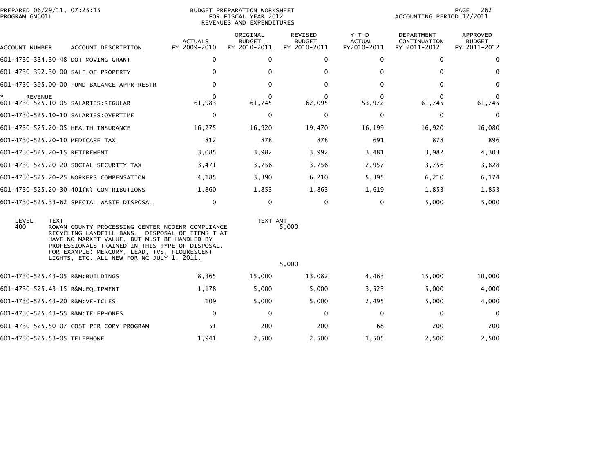| PREPARED 06/29/11, 07:25:15<br>PROGRAM GM601L |                                                                                                                                                                                                                                                                                                                    | BUDGET PREPARATION WORKSHEET<br>FOR FISCAL YEAR 2012<br>REVENUES AND EXPENDITURES |                                           |                                                 |                                         | PAGE<br>262<br>ACCOUNTING PERIOD 12/2011   |                                           |  |
|-----------------------------------------------|--------------------------------------------------------------------------------------------------------------------------------------------------------------------------------------------------------------------------------------------------------------------------------------------------------------------|-----------------------------------------------------------------------------------|-------------------------------------------|-------------------------------------------------|-----------------------------------------|--------------------------------------------|-------------------------------------------|--|
| ACCOUNT NUMBER                                | ACCOUNT DESCRIPTION                                                                                                                                                                                                                                                                                                | <b>ACTUALS</b><br>FY 2009-2010                                                    | ORIGINAL<br><b>BUDGET</b><br>FY 2010-2011 | <b>REVISED</b><br><b>BUDGET</b><br>FY 2010-2011 | $Y-T-D$<br><b>ACTUAL</b><br>FY2010-2011 | DEPARTMENT<br>CONTINUATION<br>FY 2011-2012 | APPROVED<br><b>BUDGET</b><br>FY 2011-2012 |  |
|                                               | 601-4730-334.30-48 DOT MOVING GRANT                                                                                                                                                                                                                                                                                | $\mathbf{0}$                                                                      | $\mathbf{0}$                              | 0                                               | $\Omega$                                | $\mathbf{0}$                               | $\mathbf{0}$                              |  |
|                                               | 601-4730-392.30-00 SALE OF PROPERTY                                                                                                                                                                                                                                                                                | $\Omega$                                                                          | 0                                         | $\Omega$                                        | 0                                       | $\bf{0}$                                   | $\Omega$                                  |  |
|                                               | 601-4730-395.00-00 FUND BALANCE APPR-RESTR                                                                                                                                                                                                                                                                         | $\mathbf{0}$                                                                      | $\mathbf{0}$                              | 0                                               | 0                                       | $\mathbf 0$                                | $\mathbf{0}$                              |  |
| <b>REVENUE</b>                                |                                                                                                                                                                                                                                                                                                                    | $\Omega$<br>61,983                                                                | $\Omega$<br>61,745                        | $\Omega$<br>62,095                              | 0<br>53,972                             | $\Omega$<br>61,745                         | 0<br>61,745                               |  |
|                                               | 601-4730-525.10-10 SALARIES: OVERTIME                                                                                                                                                                                                                                                                              | 0                                                                                 | 0                                         | 0                                               | 0                                       | 0                                          | $\mathbf 0$                               |  |
|                                               | 601-4730-525.20-05 HEALTH INSURANCE                                                                                                                                                                                                                                                                                | 16,275                                                                            | 16,920                                    | 19,470                                          | 16,199                                  | 16,920                                     | 16,080                                    |  |
|                                               | 601-4730-525.20-10 MEDICARE TAX                                                                                                                                                                                                                                                                                    | 812                                                                               | 878                                       | 878                                             | 691                                     | 878                                        | 896                                       |  |
|                                               | 601-4730-525.20-15 RETIREMENT                                                                                                                                                                                                                                                                                      | 3,085                                                                             | 3,982                                     | 3,992                                           | 3,481                                   | 3,982                                      | 4,303                                     |  |
|                                               | 601-4730-525.20-20 SOCIAL SECURITY TAX                                                                                                                                                                                                                                                                             | 3,471                                                                             | 3,756                                     | 3,756                                           | 2,957                                   | 3,756                                      | 3,828                                     |  |
|                                               | 601-4730-525.20-25 WORKERS COMPENSATION                                                                                                                                                                                                                                                                            | 4,185                                                                             | 3,390                                     | 6,210                                           | 5,395                                   | 6,210                                      | 6,174                                     |  |
|                                               | 601-4730-525.20-30 401(K) CONTRIBUTIONS                                                                                                                                                                                                                                                                            | 1.860                                                                             | 1,853                                     | 1,863                                           | 1,619                                   | 1,853                                      | 1,853                                     |  |
|                                               | 601-4730-525.33-62 SPECIAL WASTE DISPOSAL                                                                                                                                                                                                                                                                          | $\mathbf{0}$                                                                      | $\mathbf 0$                               | $\mathbf 0$                                     | $\mathbf 0$                             | 5,000                                      | 5,000                                     |  |
| LEVEL<br>400                                  | <b>TEXT</b><br>ROWAN COUNTY PROCESSING CENTER NCDENR COMPLIANCE<br>RECYCLING LANDFILL BANS. DISPOSAL OF ITEMS THAT<br>HAVE NO MARKET VALUE, BUT MUST BE HANDLED BY<br>PROFESSIONALS TRAINED IN THIS TYPE OF DISPOSAL.<br>FOR EXAMPLE: MERCURY, LEAD, TVS, FLOURESCENT<br>LIGHTS, ETC. ALL NEW FOR NC JULY 1, 2011. |                                                                                   | TEXT AMT                                  | 5,000<br>5,000                                  |                                         |                                            |                                           |  |
|                                               | 601-4730-525.43-05 R&M:BUILDINGS                                                                                                                                                                                                                                                                                   | 8,365                                                                             | 15,000                                    | 13,082                                          | 4,463                                   | 15,000                                     | 10,000                                    |  |
|                                               | 601-4730-525.43-15 R&M:EQUIPMENT                                                                                                                                                                                                                                                                                   | 1,178                                                                             | 5,000                                     | 5,000                                           | 3,523                                   | 5,000                                      | 4,000                                     |  |
|                                               | 601-4730-525.43-20 R&M:VEHICLES                                                                                                                                                                                                                                                                                    | 109                                                                               | 5,000                                     | 5,000                                           | 2,495                                   | 5,000                                      | 4,000                                     |  |
|                                               | 601-4730-525.43-55 R&M:TELEPHONES                                                                                                                                                                                                                                                                                  | 0                                                                                 | 0                                         | 0                                               | 0                                       | 0                                          | $\Omega$                                  |  |
|                                               | 601-4730-525.50-07 COST PER COPY PROGRAM                                                                                                                                                                                                                                                                           | 51                                                                                | 200                                       | 200                                             | 68                                      | 200                                        | 200                                       |  |
| 601-4730-525.53-05 TELEPHONE                  |                                                                                                                                                                                                                                                                                                                    | 1,941                                                                             | 2,500                                     | 2,500                                           | 1,505                                   | 2,500                                      | 2,500                                     |  |
|                                               |                                                                                                                                                                                                                                                                                                                    |                                                                                   |                                           |                                                 |                                         |                                            |                                           |  |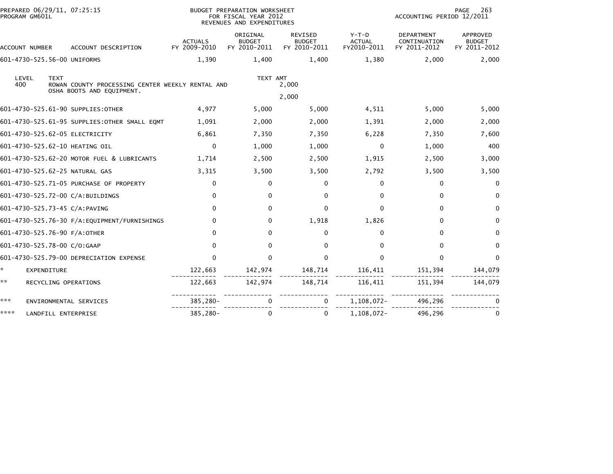| PREPARED 06/29/11, 07:25:15<br>PROGRAM GM601L |                                                                               |                                | BUDGET PREPARATION WORKSHEET<br>FOR FISCAL YEAR 2012<br>REVENUES AND EXPENDITURES |                                          |                                         | 263<br>PAGE<br>ACCOUNTING PERIOD 12/2011          |                                           |  |
|-----------------------------------------------|-------------------------------------------------------------------------------|--------------------------------|-----------------------------------------------------------------------------------|------------------------------------------|-----------------------------------------|---------------------------------------------------|-------------------------------------------|--|
| ACCOUNT NUMBER                                | ACCOUNT DESCRIPTION                                                           | <b>ACTUALS</b><br>FY 2009-2010 | ORIGINAL<br><b>BUDGET</b><br>FY 2010-2011                                         | REVISED<br><b>BUDGET</b><br>FY 2010-2011 | $Y-T-D$<br><b>ACTUAL</b><br>FY2010-2011 | <b>DEPARTMENT</b><br>CONTINUATION<br>FY 2011-2012 | APPROVED<br><b>BUDGET</b><br>FY 2011-2012 |  |
| 601-4730-525.56-00 UNIFORMS                   |                                                                               | 1,390                          | 1,400                                                                             | 1,400                                    | 1,380                                   | 2,000                                             | 2,000                                     |  |
| LEVEL<br><b>TEXT</b><br>400                   | ROWAN COUNTY PROCESSING CENTER WEEKLY RENTAL AND<br>OSHA BOOTS AND EQUIPMENT. |                                | TEXT AMT                                                                          | 2,000                                    |                                         |                                                   |                                           |  |
| 601-4730-525.61-90 SUPPLIES: OTHER            |                                                                               | 4,977                          | 5,000                                                                             | 2,000<br>5,000                           | 4,511                                   | 5,000                                             | 5,000                                     |  |
|                                               | 601-4730-525.61-95 SUPPLIES: OTHER SMALL EQMT                                 | 1,091                          | 2,000                                                                             | 2,000                                    | 1,391                                   | 2,000                                             | 2,000                                     |  |
| 601-4730-525.62-05 ELECTRICITY                |                                                                               | 6,861                          | 7,350                                                                             | 7,350                                    | 6,228                                   | 7,350                                             | 7,600                                     |  |
| 601-4730-525.62-10 HEATING OIL                |                                                                               | $\mathbf{0}$                   | 1,000                                                                             | 1,000                                    | 0                                       | 1,000                                             | 400                                       |  |
|                                               | 601-4730-525.62-20 MOTOR FUEL & LUBRICANTS                                    | 1,714                          | 2,500                                                                             | 2,500                                    | 1,915                                   | 2,500                                             | 3,000                                     |  |
| 601-4730-525.62-25 NATURAL GAS                |                                                                               | 3,315                          | 3,500                                                                             | 3,500                                    | 2,792                                   | 3,500                                             | 3,500                                     |  |
|                                               | 601-4730-525.71-05 PURCHASE OF PROPERTY                                       | $\Omega$                       | 0                                                                                 | 0                                        | $\Omega$                                | $\mathbf 0$                                       | $\mathbf{0}$                              |  |
| 601-4730-525.72-00 C/A:BUILDINGS              |                                                                               | $\Omega$                       | $\Omega$                                                                          | 0                                        | $\Omega$                                | $\Omega$                                          | $\mathbf{0}$                              |  |
| 601-4730-525.73-45 C/A:PAVING                 |                                                                               | $\Omega$                       | $\Omega$                                                                          | $\mathbf{0}$                             | 0                                       | $\Omega$                                          | $\mathbf{0}$                              |  |
|                                               | 601-4730-525.76-30 F/A: EQUIPMENT/FURNISHINGS                                 | $\Omega$                       | 0                                                                                 | 1,918                                    | 1,826                                   | $\Omega$                                          | $\mathbf{0}$                              |  |
| 601-4730-525.76-90 F/A:OTHER                  |                                                                               | $\Omega$                       | $\Omega$                                                                          | $\mathbf{0}$                             | $\Omega$                                | $\Omega$                                          | $\Omega$                                  |  |
| 601-4730-525.78-00 C/O:GAAP                   |                                                                               | $\Omega$                       | 0                                                                                 | 0                                        | $\Omega$                                | $\Omega$                                          | $\mathbf{0}$                              |  |
|                                               | 601-4730-525.79-00 DEPRECIATION EXPENSE                                       | $\Omega$                       | $\Omega$                                                                          | $\mathbf{0}$                             | $\Omega$                                | $\Omega$                                          | $\Omega$                                  |  |
| *.<br>EXPENDITURE                             |                                                                               | 122,663                        | 142,974                                                                           | 148,714                                  | 116,411                                 | 151,394                                           | 144,079                                   |  |
| **<br>RECYCLING OPERATIONS                    |                                                                               | 122,663                        | 142,974                                                                           | 148,714                                  | 116,411                                 | 151,394                                           | 144,079                                   |  |
| ***                                           | ENVIRONMENTAL SERVICES                                                        | 385,280-                       | 0                                                                                 | 0                                        | 1,108,072-                              | 496,296                                           |                                           |  |
| ****<br>LANDFILL ENTERPRISE                   |                                                                               | 385,280-                       | 0                                                                                 | 0                                        | 1,108,072-                              | 496,296                                           | 0                                         |  |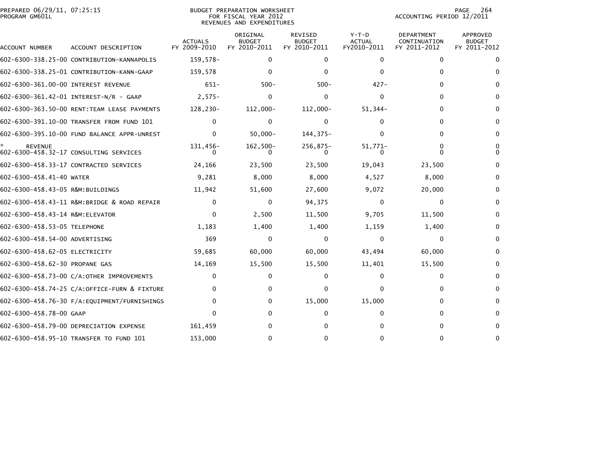| PREPARED 06/29/11, 07:25:15<br>PROGRAM GM601L |                                              | BUDGET PREPARATION WORKSHEET<br>FOR FISCAL YEAR 2012<br>REVENUES AND EXPENDITURES | 264<br>PAGE<br>ACCOUNTING PERIOD 12/2011  |                                          |                                         |                                            |                                                  |
|-----------------------------------------------|----------------------------------------------|-----------------------------------------------------------------------------------|-------------------------------------------|------------------------------------------|-----------------------------------------|--------------------------------------------|--------------------------------------------------|
| ACCOUNT NUMBER                                | ACCOUNT DESCRIPTION                          | <b>ACTUALS</b><br>FY 2009-2010                                                    | ORIGINAL<br><b>BUDGET</b><br>FY 2010-2011 | REVISED<br><b>BUDGET</b><br>FY 2010-2011 | $Y-T-D$<br><b>ACTUAL</b><br>FY2010-2011 | DEPARTMENT<br>CONTINUATION<br>FY 2011-2012 | <b>APPROVED</b><br><b>BUDGET</b><br>FY 2011-2012 |
|                                               | 602-6300-338.25-00 CONTRIBUTION-KANNAPOLIS   | 159,578-                                                                          | 0                                         | 0                                        | 0                                       | 0                                          | 0                                                |
|                                               | 602-6300-338.25-01 CONTRIBUTION-KANN-GAAP    | 159,578                                                                           | $\Omega$                                  | 0                                        | 0                                       | 0                                          | $\Omega$                                         |
| 602-6300-361.00-00 INTEREST REVENUE           |                                              | $651-$                                                                            | $500 -$                                   | $500 -$                                  | $427 -$                                 | 0                                          | 0                                                |
|                                               | 602-6300-361.42-01 INTEREST-N/R - GAAP       | $2,575-$                                                                          | 0                                         | 0                                        | 0                                       | 0                                          | 0                                                |
|                                               | 602-6300-363.50-00 RENT:TEAM LEASE PAYMENTS  | 128,230-                                                                          | 112,000-                                  | 112,000-                                 | $51,344-$                               | 0                                          | 0                                                |
|                                               | 602-6300-391.10-00 TRANSFER FROM FUND 101    | $\Omega$                                                                          | $\Omega$                                  | 0                                        |                                         | 0                                          | 0                                                |
|                                               | 602-6300-395.10-00 FUND BALANCE APPR-UNREST  | $\mathbf{0}$                                                                      | $50,000 -$                                | 144,375-                                 | 0                                       | 0                                          | $\bf{0}$                                         |
| <b>REVENUE</b>                                | 602-6300-458.32-17 CONSULTING SERVICES       | 131,456-<br>0                                                                     | $162,500-$                                | $256,875-$                               | 51,771-                                 | 0<br>O                                     | 0<br>0                                           |
|                                               | 602-6300-458.33-17 CONTRACTED SERVICES       | 24,166                                                                            | 23,500                                    | 23,500                                   | 19,043                                  | 23,500                                     | 0                                                |
| 602-6300-458.41-40 WATER                      |                                              | 9,281                                                                             | 8,000                                     | 8,000                                    | 4,527                                   | 8,000                                      | 0                                                |
| 602-6300-458.43-05 R&M:BUILDINGS              |                                              | 11,942                                                                            | 51,600                                    | 27,600                                   | 9,072                                   | 20,000                                     | 0                                                |
|                                               | 602-6300-458.43-11 R&M:BRIDGE & ROAD REPAIR  | $\mathbf{0}$                                                                      | $\Omega$                                  | 94,375                                   | $\Omega$                                | $\Omega$                                   | $\Omega$                                         |
| 602-6300-458.43-14 R&M:ELEVATOR               |                                              | $\mathbf{0}$                                                                      | 2,500                                     | 11,500                                   | 9,705                                   | 11,500                                     | $\bf{0}$                                         |
| 602-6300-458.53-05 TELEPHONE                  |                                              | 1,183                                                                             | 1,400                                     | 1,400                                    | 1,159                                   | 1,400                                      | 0                                                |
| 602-6300-458.54-00 ADVERTISING                |                                              | 369                                                                               | 0                                         | 0                                        | 0                                       | 0                                          | 0                                                |
| 602-6300-458.62-05 ELECTRICITY                |                                              | 59,685                                                                            | 60,000                                    | 60,000                                   | 43,494                                  | 60,000                                     | 0                                                |
| 602-6300-458.62-30 PROPANE GAS                |                                              | 14,169                                                                            | 15,500                                    | 15,500                                   | 11,401                                  | 15,500                                     | 0                                                |
|                                               | 602-6300-458.73-00 C/A:OTHER IMPROVEMENTS    | $\Omega$                                                                          | 0                                         | $^{(1)}$                                 | 0                                       | 0                                          | 0                                                |
|                                               | 602-6300-458.74-25 C/A:OFFICE-FURN & FIXTURE | 0                                                                                 | 0                                         | 0                                        | 0                                       | 0                                          | 0                                                |
|                                               |                                              | $\Omega$                                                                          | 0                                         | 15,000                                   | 15,000                                  | 0                                          | 0                                                |
| 602-6300-458.78-00 GAAP                       |                                              | $\Omega$                                                                          | 0                                         | 0                                        | 0                                       | 0                                          | $\bf{0}$                                         |
|                                               | 602-6300-458.79-00 DEPRECIATION EXPENSE      | 161,459                                                                           |                                           |                                          |                                         | 0                                          | $\bf{0}$                                         |
|                                               | 602-6300-458.95-10 TRANSFER TO FUND 101      | 153,000                                                                           |                                           |                                          |                                         | 0                                          | 0                                                |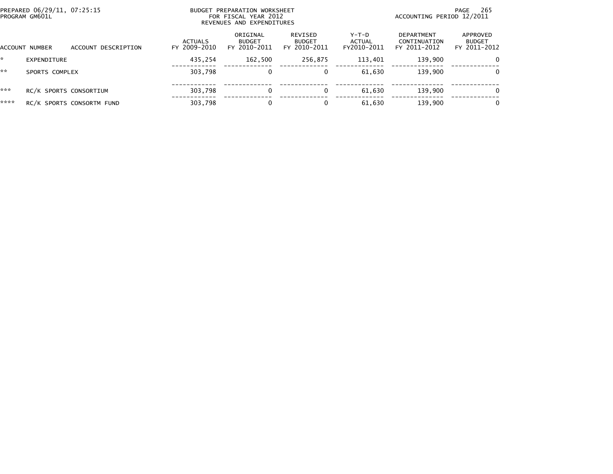| PREPARED 06/29/11, 07:25:15<br>PROGRAM GM601L |                |                           |                                | BUDGET PREPARATION WORKSHEET<br>FOR FISCAL YEAR 2012<br>REVENUES AND EXPENDITURES | 265<br>PAGE<br>ACCOUNTING PERIOD 12/2011 |                                |                                            |                                           |
|-----------------------------------------------|----------------|---------------------------|--------------------------------|-----------------------------------------------------------------------------------|------------------------------------------|--------------------------------|--------------------------------------------|-------------------------------------------|
|                                               | ACCOUNT NUMBER | ACCOUNT DESCRIPTION       | <b>ACTUALS</b><br>FY 2009-2010 | ORIGINAL<br><b>BUDGET</b><br>FY 2010-2011                                         | REVISED<br><b>BUDGET</b><br>FY 2010-2011 | Y-T-D<br>ACTUAL<br>FY2010-2011 | DEPARTMENT<br>CONTINUATION<br>FY 2011-2012 | APPROVED<br><b>BUDGET</b><br>FY 2011-2012 |
| <b>Section</b>                                | EXPENDITURE    |                           | 435.254                        | 162,500                                                                           | 256,875                                  | 113,401                        | 139,900                                    | $\Omega$                                  |
| **                                            | SPORTS COMPLEX |                           | 303,798                        | 0                                                                                 | 0                                        | 61,630                         | 139.900                                    | $\Omega$                                  |
| ***                                           |                | RC/K SPORTS CONSORTIUM    | 303,798                        | 0                                                                                 | 0                                        | 61.630                         | 139,900                                    | $\mathbf{0}$                              |
| ****                                          |                | RC/K SPORTS CONSORTM FUND | 303,798                        | $\mathbf{0}$                                                                      | 0                                        | 61.630                         | 139.900                                    | $\Omega$                                  |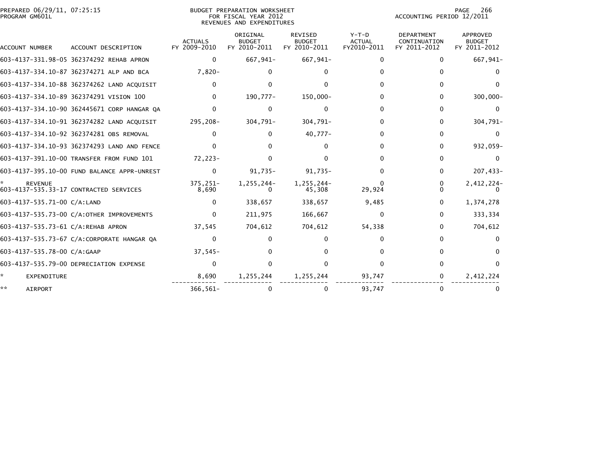## PREPARED 06/29/11, 07:25:15<br>PROGRAM GM601L

BUDGET PREPARATION WORKSHEET<br>FOR FISCAL YEAR 2012 REVENUES AND EXPENDITURES PAGE 266<br>ACCOUNTING PERIOD 12/2011

| <b>ACCOUNT NUMBER</b>              | ACCOUNT DESCRIPTION                         | <b>ACTUALS</b><br>FY 2009-2010 | ORIGINAL<br><b>BUDGET</b><br>FY 2010-2011 | <b>REVISED</b><br><b>BUDGET</b><br>FY 2010-2011 | $Y-T-D$<br><b>ACTUAL</b><br>FY2010-2011 | <b>DEPARTMENT</b><br>CONTINUATION<br>FY 2011-2012 | <b>APPROVED</b><br><b>BUDGET</b><br>FY 2011-2012 |
|------------------------------------|---------------------------------------------|--------------------------------|-------------------------------------------|-------------------------------------------------|-----------------------------------------|---------------------------------------------------|--------------------------------------------------|
|                                    | 603-4137-331.98-05 362374292 REHAB APRON    | $\mathbf{0}$                   | 667,941-                                  | 667,941-                                        | 0                                       | 0                                                 | 667,941-                                         |
|                                    | 603-4137-334.10-87 362374271 ALP AND BCA    | $7,820-$                       |                                           |                                                 |                                         |                                                   |                                                  |
|                                    | 603-4137-334.10-88 362374262 LAND ACQUISIT  | <sup>0</sup>                   |                                           |                                                 |                                         | 0                                                 | <sup>0</sup>                                     |
|                                    | 603-4137-334.10-89 362374291 VISION 100     | <sup>0</sup>                   | 190,777-                                  | 150,000-                                        |                                         | 0                                                 | $300,000 -$                                      |
|                                    | 603-4137-334.10-90 362445671 CORP HANGAR QA | <sup>0</sup>                   |                                           |                                                 |                                         | 0                                                 | $\Omega$                                         |
|                                    | 603-4137-334.10-91 362374282 LAND ACQUISIT  | 295,208-                       | $304,791 -$                               | 304,791-                                        |                                         | 0                                                 | 304,791-                                         |
|                                    | 603-4137-334.10-92 362374281 OBS REMOVAL    | $\Omega$                       |                                           | $40,777-$                                       |                                         | 0                                                 | $\Omega$                                         |
|                                    | 603-4137-334.10-93 362374293 LAND AND FENCE |                                |                                           |                                                 |                                         | 0                                                 | 932,059-                                         |
|                                    | 603-4137-391.10-00 TRANSFER FROM FUND 101   | 72,223-                        |                                           |                                                 |                                         | O.                                                |                                                  |
|                                    | 603-4137-395.10-00 FUND BALANCE APPR-UNREST | $\Omega$                       | 91,735-                                   | $91,735-$                                       |                                         | 0                                                 | 207,433-                                         |
| <b>REVENUE</b>                     | 603-4137-535.33-17 CONTRACTED SERVICES      | 375,251-<br>8,690              | 1,255,244-                                | $1.255.244 -$<br>45,308                         | 29,924                                  |                                                   | 2,412,224-                                       |
| 603-4137-535.71-00 C/A:LAND        |                                             | $\Omega$                       | 338,657                                   | 338,657                                         | 9,485                                   | 0                                                 | 1,374,278                                        |
|                                    | 603-4137-535.73-00 C/A:OTHER IMPROVEMENTS   | $\Omega$                       | 211,975                                   | 166,667                                         | <sup>0</sup>                            | 0                                                 | 333,334                                          |
| 603-4137-535.73-61 C/A:REHAB APRON |                                             | 37,545                         | 704,612                                   | 704,612                                         | 54,338                                  | 0                                                 | 704,612                                          |
|                                    | 603-4137-535.73-67 C/A:CORPORATE HANGAR QA  | <sup>0</sup>                   |                                           |                                                 |                                         | n.                                                |                                                  |
| 603-4137-535.78-00 C/A:GAAP        |                                             | $37,545-$                      |                                           |                                                 |                                         | 0                                                 | $\Omega$                                         |
|                                    | 603-4137-535.79-00 DEPRECIATION EXPENSE     | $\Omega$                       |                                           |                                                 |                                         |                                                   | $\Omega$                                         |
| EXPENDITURE                        |                                             | 8,690                          | 1,255,244                                 | 1,255,244                                       | 93,747                                  | 0                                                 | 2,412,224                                        |
| AIRPORT                            |                                             | $366, 561 -$                   |                                           | 0                                               | 93.747                                  |                                                   |                                                  |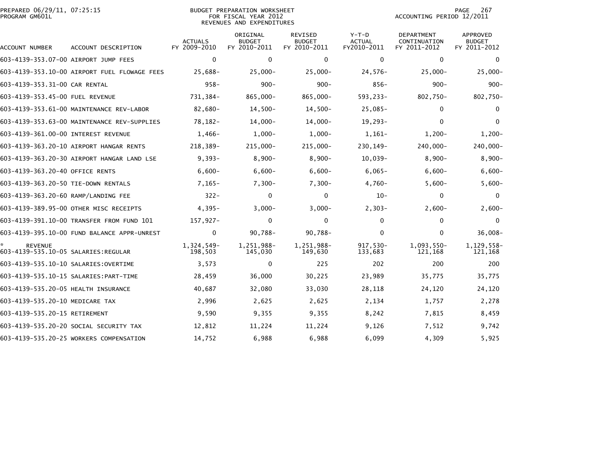| PREPARED 06/29/11, 07:25:15<br>PROGRAM GM601L         |                                              |                                | <b>BUDGET PREPARATION WORKSHEET</b><br>FOR FISCAL YEAR 2012<br>REVENUES AND EXPENDITURES | 267<br>PAGE<br>ACCOUNTING PERIOD 12/2011        |                                         |                                            |                                                  |
|-------------------------------------------------------|----------------------------------------------|--------------------------------|------------------------------------------------------------------------------------------|-------------------------------------------------|-----------------------------------------|--------------------------------------------|--------------------------------------------------|
| ACCOUNT NUMBER                                        | ACCOUNT DESCRIPTION                          | <b>ACTUALS</b><br>FY 2009-2010 | ORIGINAL<br><b>BUDGET</b><br>FY 2010-2011                                                | <b>REVISED</b><br><b>BUDGET</b><br>FY 2010-2011 | $Y-T-D$<br><b>ACTUAL</b><br>FY2010-2011 | DEPARTMENT<br>CONTINUATION<br>FY 2011-2012 | <b>APPROVED</b><br><b>BUDGET</b><br>FY 2011-2012 |
| 603-4139-353.07-00 AIRPORT JUMP FEES                  |                                              | $\mathbf 0$                    | $\mathbf 0$                                                                              | $\mathbf 0$                                     | $\mathbf 0$                             | $\mathbf 0$                                | $\mathbf 0$                                      |
|                                                       | 603-4139-353.10-00 AIRPORT FUEL FLOWAGE FEES | 25,688-                        | $25,000 -$                                                                               | $25,000 -$                                      | $24,576-$                               | $25,000 -$                                 | $25,000 -$                                       |
| 603-4139-353.31-00 CAR RENTAL                         |                                              | $958 -$                        | $900 -$                                                                                  | $900 -$                                         | $856-$                                  | $900 -$                                    | $900 -$                                          |
| 603-4139-353.45-00 FUEL REVENUE                       |                                              | 731,384-                       | 865,000-                                                                                 | 865,000-                                        | 593,233-                                | 802,750-                                   | 802,750-                                         |
|                                                       | 603-4139-353.61-00 MAINTENANCE REV-LABOR     | 82,680-                        | $14,500-$                                                                                | $14,500-$                                       | $25,085-$                               | $\mathbf{0}$                               | 0                                                |
|                                                       | 603-4139-353.63-00 MAINTENANCE REV-SUPPLIES  | 78,182-                        | $14,000-$                                                                                | $14,000-$                                       | $19,293-$                               | $\Omega$                                   | $\mathbf{0}$                                     |
| 603-4139-361.00-00 INTEREST REVENUE                   |                                              | $1,466-$                       | $1,000-$                                                                                 | $1,000 -$                                       | $1,161-$                                | $1,200-$                                   | $1,200-$                                         |
|                                                       | 603-4139-363.20-10 AIRPORT HANGAR RENTS      | 218,389-                       | 215,000-                                                                                 | 215,000-                                        | 230,149-                                | 240,000-                                   | 240,000-                                         |
|                                                       | 603-4139-363.20-30 AIRPORT HANGAR LAND LSE   | $9,393-$                       | $8,900-$                                                                                 | $8,900-$                                        | $10,039-$                               | $8,900-$                                   | $8,900-$                                         |
| 603-4139-363.20-40 OFFICE RENTS                       |                                              | $6,600-$                       | $6,600-$                                                                                 | $6,600-$                                        | $6,065-$                                | $6,600-$                                   | $6,600-$                                         |
| 603-4139-363.20-50 TIE-DOWN RENTALS                   |                                              | $7,165-$                       | $7,300-$                                                                                 | $7,300-$                                        | $4,760-$                                | $5,600-$                                   | $5,600-$                                         |
| 603-4139-363.20-60 RAMP/LANDING FEE                   |                                              | $322 -$                        | 0                                                                                        | $\mathbf 0$                                     | $10-$                                   | $\mathbf 0$                                | $\mathbf{0}$                                     |
|                                                       | 603-4139-389.95-00 OTHER MISC RECEIPTS       | $4,395-$                       | $3,000-$                                                                                 | $3,000 -$                                       | $2,303-$                                | $2,600-$                                   | $2,600-$                                         |
|                                                       | 603-4139-391.10-00 TRANSFER FROM FUND 101    | 157,927-                       | $\mathbf 0$                                                                              | 0                                               | $\Omega$                                | $\mathbf 0$                                | 0                                                |
|                                                       | 603-4139-395.10-00 FUND BALANCE APPR-UNREST  | 0                              | $90,788 -$                                                                               | $90,788 -$                                      | $\Omega$                                | $\Omega$                                   | $36,008-$                                        |
| <b>REVENUE</b><br>603-4139-535.10-05 SALARIES:REGULAR |                                              | 1,324,549-<br>198,503          | 1,251,988-<br>145,030                                                                    | 1,251,988-<br>149,630                           | $917,530-$<br>133,683                   | 1,093,550-<br>121,168                      | 1,129,558-<br>121,168                            |
| 603-4139-535.10-10 SALARIES: OVERTIME                 |                                              | 3,573                          | 0                                                                                        | 225                                             | 202                                     | 200                                        | 200                                              |
|                                                       |                                              | 28,459                         | 36,000                                                                                   | 30,225                                          | 23,989                                  | 35,775                                     | 35,775                                           |
| 603-4139-535.20-05 HEALTH INSURANCE                   |                                              | 40,687                         | 32,080                                                                                   | 33,030                                          | 28,118                                  | 24,120                                     | 24,120                                           |
| 603-4139-535.20-10 MEDICARE TAX                       |                                              | 2,996                          | 2,625                                                                                    | 2,625                                           | 2,134                                   | 1,757                                      | 2,278                                            |
| 603-4139-535.20-15 RETIREMENT                         |                                              | 9,590                          | 9,355                                                                                    | 9,355                                           | 8,242                                   | 7,815                                      | 8,459                                            |
|                                                       | 603-4139-535.20-20 SOCIAL SECURITY TAX       | 12,812                         | 11,224                                                                                   | 11,224                                          | 9,126                                   | 7,512                                      | 9,742                                            |
|                                                       | 603-4139-535.20-25 WORKERS COMPENSATION      | 14,752                         | 6,988                                                                                    | 6,988                                           | 6,099                                   | 4,309                                      | 5,925                                            |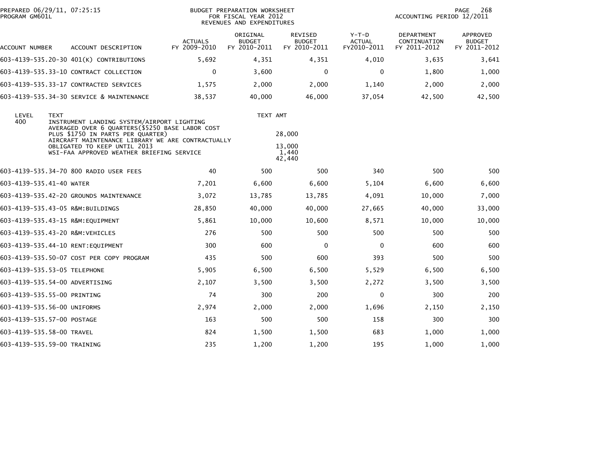| PREPARED 06/29/11, 07:25:15<br>PROGRAM GM601L |                                                                                        | BUDGET PREPARATION WORKSHEET<br>FOR FISCAL YEAR 2012<br>REVENUES AND EXPENDITURES              | 268<br>PAGE<br>ACCOUNTING PERIOD 12/2011  |                                                 |                                         |                                                   |                                                  |
|-----------------------------------------------|----------------------------------------------------------------------------------------|------------------------------------------------------------------------------------------------|-------------------------------------------|-------------------------------------------------|-----------------------------------------|---------------------------------------------------|--------------------------------------------------|
| ACCOUNT NUMBER                                | ACCOUNT DESCRIPTION                                                                    | <b>ACTUALS</b><br>FY 2009-2010                                                                 | ORIGINAL<br><b>BUDGET</b><br>FY 2010-2011 | <b>REVISED</b><br><b>BUDGET</b><br>FY 2010-2011 | $Y-T-D$<br><b>ACTUAL</b><br>FY2010-2011 | <b>DEPARTMENT</b><br>CONTINUATION<br>FY 2011-2012 | <b>APPROVED</b><br><b>BUDGET</b><br>FY 2011-2012 |
|                                               | 603-4139-535.20-30 401(K) CONTRIBUTIONS                                                | 5,692                                                                                          | 4,351                                     | 4,351                                           | 4,010                                   | 3,635                                             | 3,641                                            |
|                                               | 603-4139-535.33-10 CONTRACT COLLECTION                                                 | 0                                                                                              | 3,600                                     | 0                                               | 0                                       | 1,800                                             | 1,000                                            |
|                                               | 603-4139-535.33-17 CONTRACTED SERVICES                                                 | 1,575                                                                                          | 2,000                                     | 2,000                                           | 1,140                                   | 2,000                                             | 2,000                                            |
|                                               | 603-4139-535.34-30 SERVICE & MAINTENANCE                                               | 38,537                                                                                         | 40,000                                    | 46,000                                          | 37,054                                  | 42,500                                            | 42,500                                           |
| LEVEL<br>400                                  | <b>TEXT</b>                                                                            | INSTRUMENT LANDING SYSTEM/AIRPORT LIGHTING<br>AVERAGED OVER 6 QUARTERS (\$5250 BASE LABOR COST |                                           | TEXT AMT                                        |                                         |                                                   |                                                  |
|                                               | PLUS \$1750 IN PARTS PER QUARTER)<br>AIRCRAFT MAINTENANCE LIBRARY WE ARE CONTRACTUALLY |                                                                                                |                                           | 28,000                                          |                                         |                                                   |                                                  |
|                                               | OBLIGATED TO KEEP UNTIL 2013<br>WSI-FAA APPROVED WEATHER BRIEFING SERVICE              |                                                                                                | 13,000<br>1,440<br>42,440                 |                                                 |                                         |                                                   |                                                  |
|                                               | 603-4139-535.34-70 800 RADIO USER FEES                                                 | 40                                                                                             | 500                                       | 500                                             | 340                                     | 500                                               | 500                                              |
| 603-4139-535.41-40 WATER                      |                                                                                        | 7,201                                                                                          | 6,600                                     | 6,600                                           | 5,104                                   | 6,600                                             | 6,600                                            |
|                                               | 603-4139-535.42-20 GROUNDS MAINTENANCE                                                 | 3,072                                                                                          | 13,785                                    | 13,785                                          | 4,091                                   | 10,000                                            | 7,000                                            |
|                                               | 603-4139-535.43-05 R&M:BUILDINGS                                                       | 28,850                                                                                         | 40,000                                    | 40,000                                          | 27,665                                  | 40,000                                            | 33,000                                           |
|                                               | 603-4139-535.43-15 R&M:EQUIPMENT                                                       | 5,861                                                                                          | 10,000                                    | 10,600                                          | 8,571                                   | 10,000                                            | 10,000                                           |
|                                               | 603-4139-535.43-20 R&M: VEHICLES                                                       | 276                                                                                            | 500                                       | 500                                             | 500                                     | 500                                               | 500                                              |
|                                               | 603-4139-535.44-10 RENT:EQUIPMENT                                                      | 300                                                                                            | 600                                       | 0                                               | $\mathbf 0$                             | 600                                               | 600                                              |
|                                               | 603-4139-535.50-07 COST PER COPY PROGRAM                                               | 435                                                                                            | 500                                       | 600                                             | 393                                     | 500                                               | 500                                              |
| 603-4139-535.53-05 TELEPHONE                  |                                                                                        | 5,905                                                                                          | 6,500                                     | 6,500                                           | 5,529                                   | 6,500                                             | 6,500                                            |
|                                               | 603-4139-535.54-00 ADVERTISING                                                         | 2,107                                                                                          | 3,500                                     | 3,500                                           | 2,272                                   | 3,500                                             | 3,500                                            |
| 603-4139-535.55-00 PRINTING                   |                                                                                        | 74                                                                                             | 300                                       | 200                                             | $\mathbf 0$                             | 300                                               | 200                                              |
| 603-4139-535.56-00 UNIFORMS                   |                                                                                        | 2,974                                                                                          | 2,000                                     | 2,000                                           | 1,696                                   | 2,150                                             | 2,150                                            |
| 603-4139-535.57-00 POSTAGE                    |                                                                                        | 163                                                                                            | 500                                       | 500                                             | 158                                     | 300                                               | 300                                              |
| 603-4139-535.58-00 TRAVEL                     |                                                                                        | 824                                                                                            | 1,500                                     | 1,500                                           | 683                                     | 1,000                                             | 1,000                                            |
| 603-4139-535.59-00 TRAINING                   |                                                                                        | 235                                                                                            | 1,200                                     | 1,200                                           | 195                                     | 1,000                                             | 1,000                                            |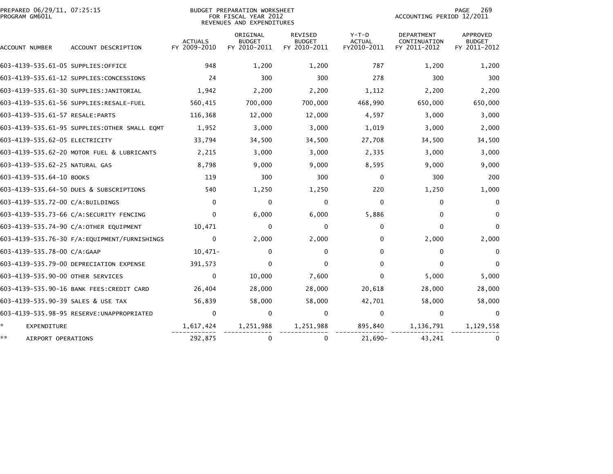| PREPARED 06/29/11, 07:25:15<br>PROGRAM GM601L | BUDGET PREPARATION WORKSHEET<br>FOR FISCAL YEAR 2012<br>REVENUES AND EXPENDITURES |                                |                                           |                                                 |                                         |                                                   | 269<br>PAGE<br>ACCOUNTING PERIOD 12/2011  |  |  |
|-----------------------------------------------|-----------------------------------------------------------------------------------|--------------------------------|-------------------------------------------|-------------------------------------------------|-----------------------------------------|---------------------------------------------------|-------------------------------------------|--|--|
| ACCOUNT NUMBER                                | ACCOUNT DESCRIPTION                                                               | <b>ACTUALS</b><br>FY 2009-2010 | ORIGINAL<br><b>BUDGET</b><br>FY 2010-2011 | <b>REVISED</b><br><b>BUDGET</b><br>FY 2010-2011 | $Y-T-D$<br><b>ACTUAL</b><br>FY2010-2011 | <b>DEPARTMENT</b><br>CONTINUATION<br>FY 2011-2012 | APPROVED<br><b>BUDGET</b><br>FY 2011-2012 |  |  |
| 603-4139-535.61-05 SUPPLIES:OFFICE            |                                                                                   | 948                            | 1,200                                     | 1,200                                           | 787                                     | 1,200                                             | 1,200                                     |  |  |
|                                               | 603-4139-535.61-12 SUPPLIES:CONCESSIONS                                           | 24                             | 300                                       | 300                                             | 278                                     | 300                                               | 300                                       |  |  |
|                                               | 603-4139-535.61-30 SUPPLIES:JANITORIAL                                            | 1,942                          | 2,200                                     | 2,200                                           | 1,112                                   | 2,200                                             | 2,200                                     |  |  |
|                                               | 603-4139-535.61-56 SUPPLIES:RESALE-FUEL                                           | 560,415                        | 700,000                                   | 700,000                                         | 468,990                                 | 650,000                                           | 650,000                                   |  |  |
| 603-4139-535.61-57 RESALE: PARTS              |                                                                                   | 116,368                        | 12,000                                    | 12,000                                          | 4,597                                   | 3,000                                             | 3,000                                     |  |  |
|                                               | 603-4139-535.61-95 SUPPLIES: OTHER SMALL EQMT                                     | 1,952                          | 3,000                                     | 3,000                                           | 1,019                                   | 3,000                                             | 2,000                                     |  |  |
| 603-4139-535.62-05 ELECTRICITY                |                                                                                   | 33,794                         | 34,500                                    | 34,500                                          | 27,708                                  | 34,500                                            | 34,500                                    |  |  |
|                                               | 603-4139-535.62-20 MOTOR FUEL & LUBRICANTS                                        | 2,215                          | 3,000                                     | 3,000                                           | 2,335                                   | 3,000                                             | 3,000                                     |  |  |
| 603-4139-535.62-25 NATURAL GAS                |                                                                                   | 8,798                          | 9,000                                     | 9,000                                           | 8,595                                   | 9,000                                             | 9,000                                     |  |  |
| 603-4139-535.64-10 BOOKS                      |                                                                                   | 119                            | 300                                       | 300                                             | $\mathbf{0}$                            | 300                                               | 200                                       |  |  |
|                                               | 603-4139-535.64-50 DUES & SUBSCRIPTIONS                                           | 540                            | 1,250                                     | 1,250                                           | 220                                     | 1,250                                             | 1,000                                     |  |  |
| 603-4139-535.72-00 C/A:BUILDINGS              |                                                                                   | $\Omega$                       | 0                                         | 0                                               | $\mathbf{0}$                            | $\mathbf{0}$                                      | $\mathbf{0}$                              |  |  |
|                                               | 603-4139-535.73-66 C/A:SECURITY FENCING                                           | $\Omega$                       | 6,000                                     | 6,000                                           | 5,886                                   | $\Omega$                                          | $\Omega$                                  |  |  |
|                                               | 603-4139-535.74-90 C/A:OTHER EQUIPMENT                                            | 10,471                         | 0                                         | $\Omega$                                        | 0                                       | $\Omega$                                          | $\Omega$                                  |  |  |
|                                               | 603-4139-535.76-30 F/A:EQUIPMENT/FURNISHINGS                                      | $\mathbf 0$                    | 2,000                                     | 2,000                                           | 0                                       | 2,000                                             | 2,000                                     |  |  |
| 603-4139-535.78-00 C/A:GAAP                   |                                                                                   | $10,471-$                      | 0                                         | 0                                               | 0                                       | $\mathbf{0}$                                      | $\mathbf{0}$                              |  |  |
|                                               | 603-4139-535.79-00 DEPRECIATION EXPENSE                                           | 391,573                        | $\Omega$                                  | $\Omega$                                        | <sup>0</sup>                            | $\Omega$                                          |                                           |  |  |
| 603-4139-535.90-00 OTHER SERVICES             |                                                                                   | $\Omega$                       | 10,000                                    | 7,600                                           | 0                                       | 5,000                                             | 5,000                                     |  |  |
|                                               | 603-4139-535.90-16 BANK FEES:CREDIT CARD                                          | 26,404                         | 28,000                                    | 28,000                                          | 20,618                                  | 28,000                                            | 28,000                                    |  |  |
| 603-4139-535.90-39 SALES & USE TAX            |                                                                                   | 56,839                         | 58,000                                    | 58,000                                          | 42,701                                  | 58,000                                            | 58,000                                    |  |  |
|                                               |                                                                                   | $\mathbf{0}$                   | 0                                         | $\Omega$                                        | $\mathbf{0}$                            | $\mathbf{0}$                                      | $\Omega$                                  |  |  |
| *.<br><b>EXPENDITURE</b>                      |                                                                                   | 1,617,424                      | 1,251,988                                 | 1,251,988                                       | 895,840                                 | 1,136,791                                         | 1,129,558                                 |  |  |
| **<br>AIRPORT OPERATIONS                      |                                                                                   | 292,875                        | 0                                         | $\mathbf{0}$                                    | $21,690-$                               | 43,241                                            | 0                                         |  |  |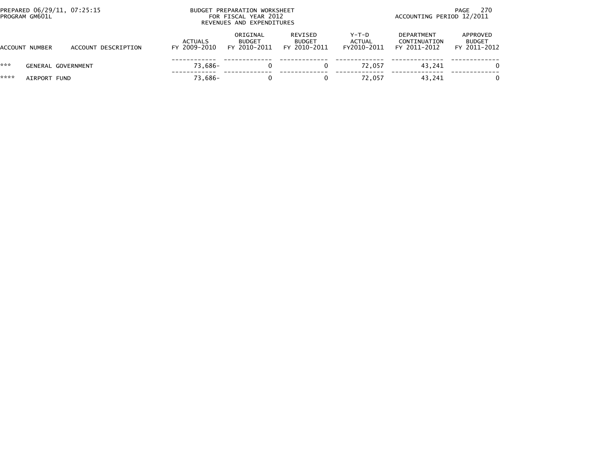| PREPARED 06/29/11, 07:25:15<br>PROGRAM GM601L |                           |                     | <b>BUDGET</b>                  | PREPARATION WORKSHEET<br>FOR FISCAL YEAR 2012<br>REVENUES AND EXPENDITURES |                                          | 270<br>PAGE<br>ACCOUNTING PERIOD 12/2011 |                                                   |                                           |  |
|-----------------------------------------------|---------------------------|---------------------|--------------------------------|----------------------------------------------------------------------------|------------------------------------------|------------------------------------------|---------------------------------------------------|-------------------------------------------|--|
|                                               | ACCOUNT NUMBER            | ACCOUNT DESCRIPTION | <b>ACTUALS</b><br>FY 2009-2010 | ORIGINAL<br><b>BUDGET</b><br>FY 2010-2011                                  | REVISED<br><b>BUDGET</b><br>FY 2010-2011 | $Y-T-D$<br><b>ACTUAL</b><br>FY2010-2011  | <b>DEPARTMENT</b><br>CONTINUATION<br>FY 2011-2012 | APPROVED<br><b>BUDGET</b><br>FY 2011-2012 |  |
| ***                                           | <b>GENERAL GOVERNMENT</b> |                     | 73.686-                        |                                                                            |                                          | 72.057                                   | 43.241                                            | 0                                         |  |
| ****                                          | AIRPORT FUND              |                     | 73,686-                        | 0                                                                          |                                          | 72.057                                   | 43.241                                            | 0                                         |  |